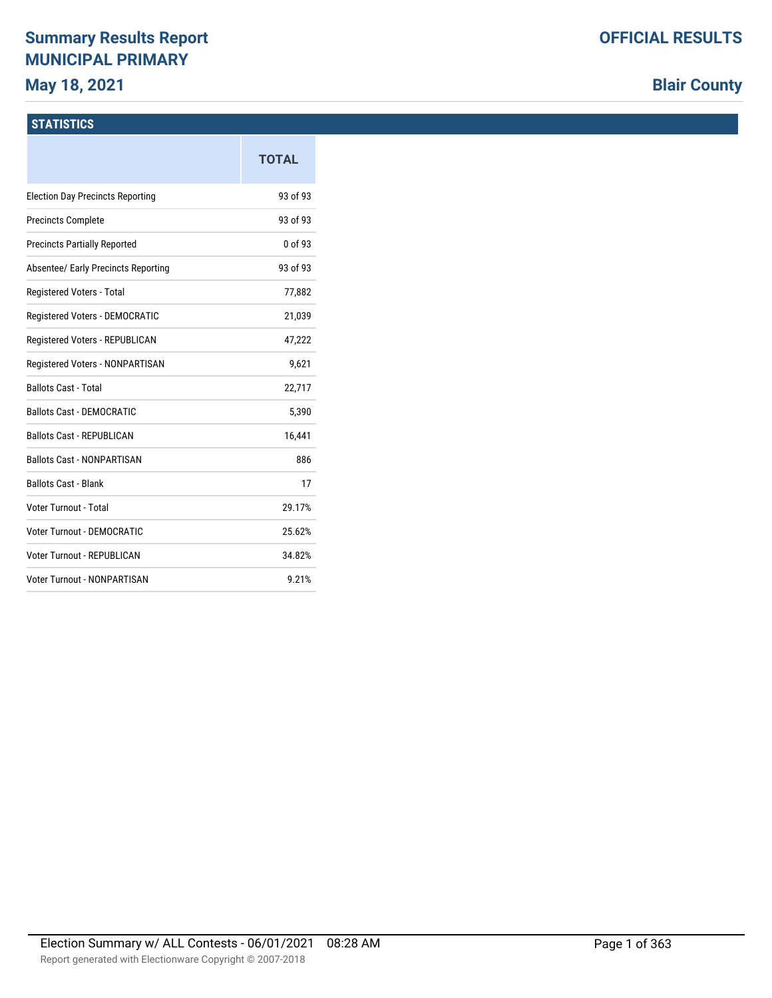# **Summary Results Report MUNICIPAL PRIMARY**

## **May 18, 2021**

# **Blair County**

## **STATISTICS**

|                                         | <b>TOTAL</b> |
|-----------------------------------------|--------------|
| <b>Election Day Precincts Reporting</b> | 93 of 93     |
| <b>Precincts Complete</b>               | 93 of 93     |
| <b>Precincts Partially Reported</b>     | 0 of 93      |
| Absentee/ Early Precincts Reporting     | 93 of 93     |
| Registered Voters - Total               | 77,882       |
| Registered Voters - DEMOCRATIC          | 21,039       |
| Registered Voters - REPUBLICAN          | 47,222       |
| Registered Voters - NONPARTISAN         | 9,621        |
| <b>Ballots Cast - Total</b>             | 22,717       |
| <b>Ballots Cast - DEMOCRATIC</b>        | 5,390        |
| <b>Ballots Cast - REPUBLICAN</b>        | 16,441       |
| <b>Ballots Cast - NONPARTISAN</b>       | 886          |
| <b>Ballots Cast - Blank</b>             | 17           |
| Voter Turnout - Total                   | 29.17%       |
| Voter Turnout - DEMOCRATIC              | 25.62%       |
| Voter Turnout - REPUBLICAN              | 34.82%       |
| <b>Voter Turnout - NONPARTISAN</b>      | 9.21%        |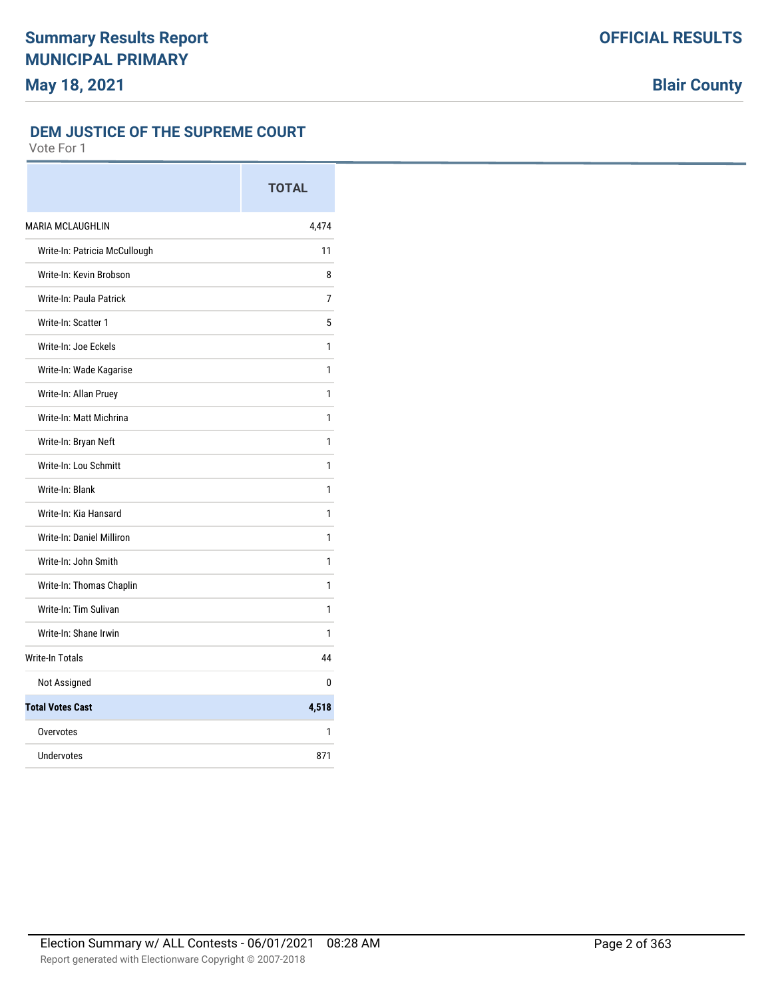#### **DEM JUSTICE OF THE SUPREME COURT**

|                               | <b>TOTAL</b> |
|-------------------------------|--------------|
| <b>MARIA MCLAUGHLIN</b>       | 4,474        |
| Write-In: Patricia McCullough | 11           |
| Write-In: Kevin Brobson       | 8            |
| Write-In: Paula Patrick       | 7            |
| Write-In: Scatter 1           | 5            |
| Write-In: Joe Eckels          | 1            |
| Write-In: Wade Kagarise       | 1            |
| Write-In: Allan Pruey         | 1            |
| Write-In: Matt Michrina       | 1            |
| Write-In: Bryan Neft          | 1            |
| Write-In: Lou Schmitt         | 1            |
| Write-In: Blank               | 1            |
| Write-In: Kia Hansard         | 1            |
| Write-In: Daniel Milliron     | 1            |
| Write-In: John Smith          | 1            |
| Write-In: Thomas Chaplin      | 1            |
| Write-In: Tim Sulivan         | 1            |
| Write-In: Shane Irwin         | 1            |
| <b>Write-In Totals</b>        | 44           |
| Not Assigned                  | 0            |
| <b>Total Votes Cast</b>       | 4,518        |
| Overvotes                     | 1            |
| Undervotes                    | 871          |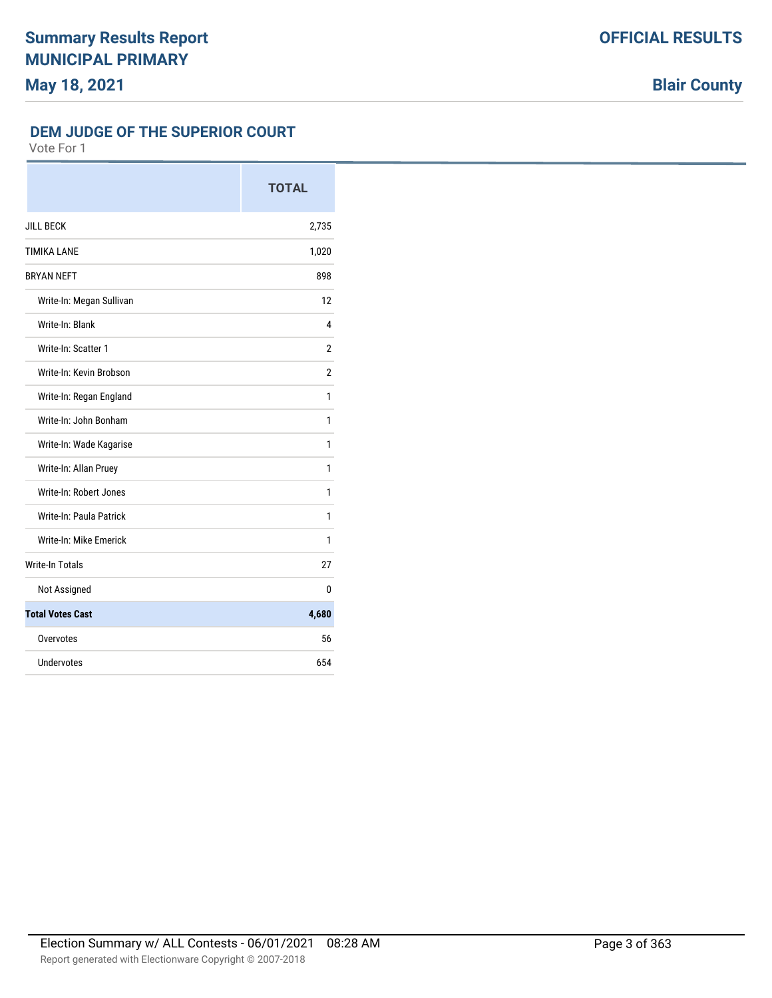#### **DEM JUDGE OF THE SUPERIOR COURT**

|                          | <b>TOTAL</b>   |
|--------------------------|----------------|
| <b>JILL BECK</b>         | 2,735          |
| <b>TIMIKA LANE</b>       | 1,020          |
| <b>BRYAN NEFT</b>        | 898            |
| Write-In: Megan Sullivan | 12             |
| Write-In: Blank          | 4              |
| Write-In: Scatter 1      | 2              |
| Write-In: Kevin Brobson  | $\overline{2}$ |
| Write-In: Regan England  | 1              |
| Write-In: John Bonham    | 1              |
| Write-In: Wade Kagarise  | 1              |
| Write-In: Allan Pruey    | 1              |
| Write-In: Robert Jones   | 1              |
| Write-In: Paula Patrick  | 1              |
| Write-In: Mike Emerick   | 1              |
| <b>Write-In Totals</b>   | 27             |
| Not Assigned             | 0              |
| <b>Total Votes Cast</b>  | 4,680          |
| Overvotes                | 56             |
| Undervotes               | 654            |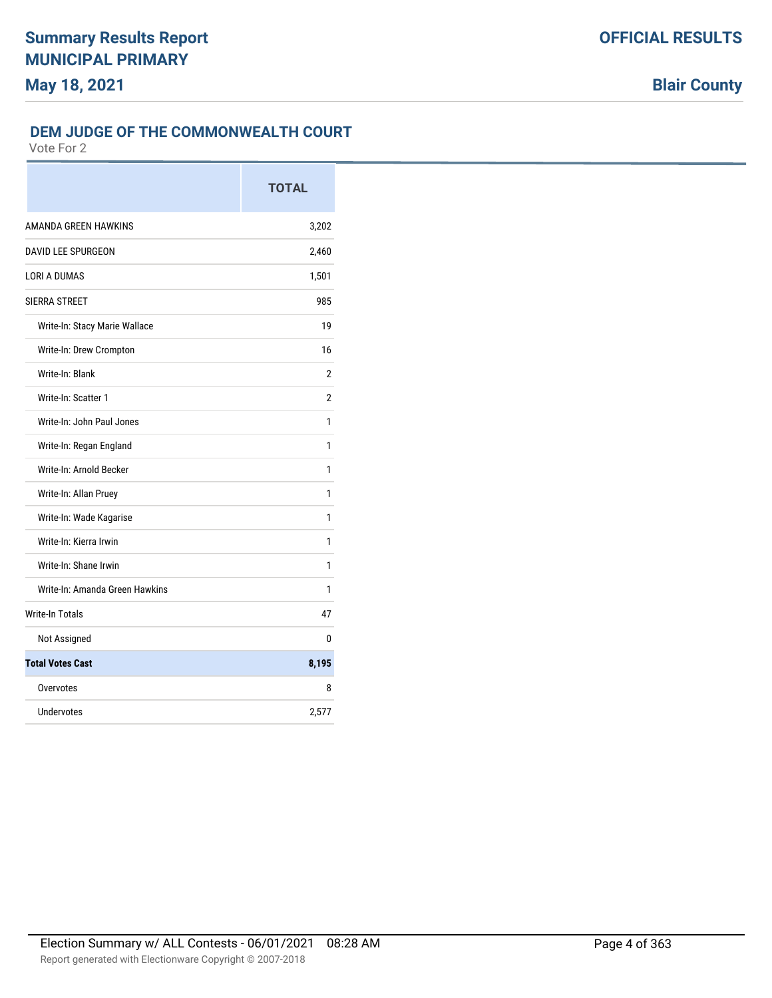### **DEM JUDGE OF THE COMMONWEALTH COURT**

|                                | <b>TOTAL</b> |
|--------------------------------|--------------|
| AMANDA GREEN HAWKINS           | 3,202        |
| DAVID LEE SPURGEON             | 2,460        |
| <b>LORI A DUMAS</b>            | 1,501        |
| SIERRA STREET                  | 985          |
| Write-In: Stacy Marie Wallace  | 19           |
| Write-In: Drew Crompton        | 16           |
| Write-In: Blank                | 2            |
| Write-In: Scatter 1            | 2            |
| Write-In: John Paul Jones      | 1            |
| Write-In: Regan England        | 1            |
| Write-In: Arnold Becker        | 1            |
| Write-In: Allan Pruey          | 1            |
| Write-In: Wade Kagarise        | 1            |
| Write-In: Kierra Irwin         | 1            |
| Write-In: Shane Irwin          | 1            |
| Write-In: Amanda Green Hawkins | 1            |
| <b>Write-In Totals</b>         | 47           |
| Not Assigned                   | 0            |
| <b>Total Votes Cast</b>        | 8,195        |
| Overvotes                      | 8            |
| <b>Undervotes</b>              | 2,577        |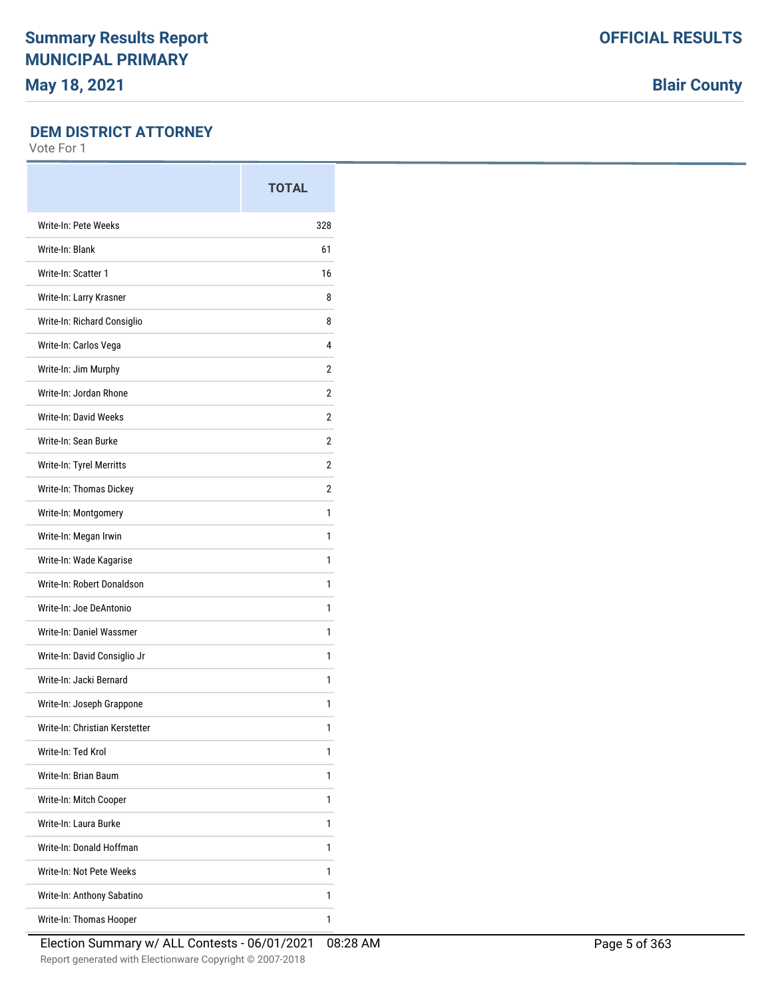**Blair County**

### **DEM DISTRICT ATTORNEY**

|                                | <b>TOTAL</b> |
|--------------------------------|--------------|
| Write-In: Pete Weeks           | 328          |
| Write-In: Blank                | 61           |
| Write-In: Scatter 1            | 16           |
| Write-In: Larry Krasner        | 8            |
| Write-In: Richard Consiglio    | 8            |
| Write-In: Carlos Vega          | 4            |
| Write-In: Jim Murphy           | 2            |
| Write-In: Jordan Rhone         | 2            |
| Write-In: David Weeks          | 2            |
| Write-In: Sean Burke           | 2            |
| Write-In: Tyrel Merritts       | 2            |
| Write-In: Thomas Dickey        | 2            |
| Write-In: Montgomery           | 1            |
| Write-In: Megan Irwin          | 1            |
| Write-In: Wade Kagarise        | 1            |
| Write-In: Robert Donaldson     | 1            |
| Write-In: Joe DeAntonio        | 1            |
| Write-In: Daniel Wassmer       | 1            |
| Write-In: David Consiglio Jr   | 1            |
| Write-In: Jacki Bernard        | 1            |
| Write-In: Joseph Grappone      | 1            |
| Write-In: Christian Kerstetter | 1            |
| Write-In: Ted Krol             | 1            |
| Write-In: Brian Baum           | 1            |
| Write-In: Mitch Cooper         | 1            |
| Write-In: Laura Burke          | 1            |
| Write-In: Donald Hoffman       | 1            |
| Write-In: Not Pete Weeks       | 1            |
| Write-In: Anthony Sabatino     | 1            |
| Write-In: Thomas Hooper        | 1            |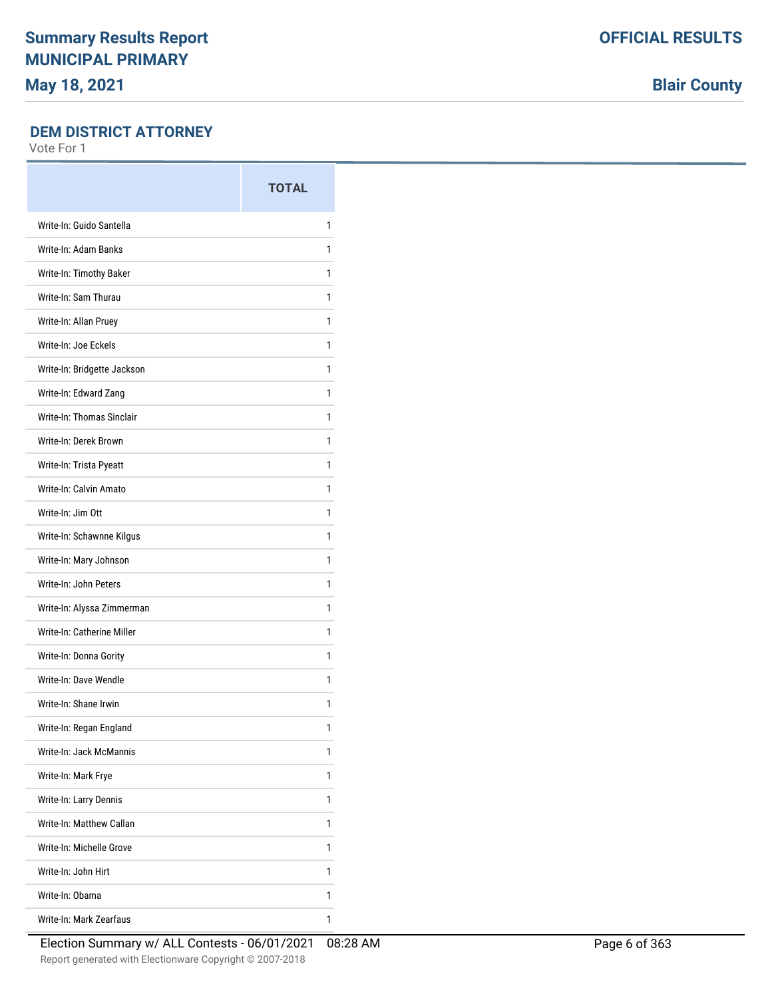**Blair County**

### **DEM DISTRICT ATTORNEY**

|                             | <b>TOTAL</b> |
|-----------------------------|--------------|
| Write-In: Guido Santella    | 1            |
| Write-In: Adam Banks        | 1            |
| Write-In: Timothy Baker     | 1            |
| Write-In: Sam Thurau        | 1            |
| Write-In: Allan Pruey       | 1            |
| Write-In: Joe Eckels        | 1            |
| Write-In: Bridgette Jackson | 1            |
| Write-In: Edward Zang       | 1            |
| Write-In: Thomas Sinclair   | 1            |
| Write-In: Derek Brown       | 1            |
| Write-In: Trista Pyeatt     | 1            |
| Write-In: Calvin Amato      | 1            |
| Write-In: Jim Ott           | 1            |
| Write-In: Schawnne Kilgus   | 1            |
| Write-In: Mary Johnson      | 1            |
| Write-In: John Peters       | 1            |
| Write-In: Alyssa Zimmerman  | 1            |
| Write-In: Catherine Miller  | 1            |
| Write-In: Donna Gority      | 1            |
| Write-In: Dave Wendle       | 1            |
| Write-In: Shane Irwin       | 1            |
| Write-In: Regan England     | 1            |
| Write-In: Jack McMannis     | 1            |
| Write-In: Mark Frye         | 1            |
| Write-In: Larry Dennis      | 1            |
| Write-In: Matthew Callan    | 1            |
| Write-In: Michelle Grove    | 1            |
| Write-In: John Hirt         | 1            |
| Write-In: Obama             | 1            |
| Write-In: Mark Zearfaus     | 1            |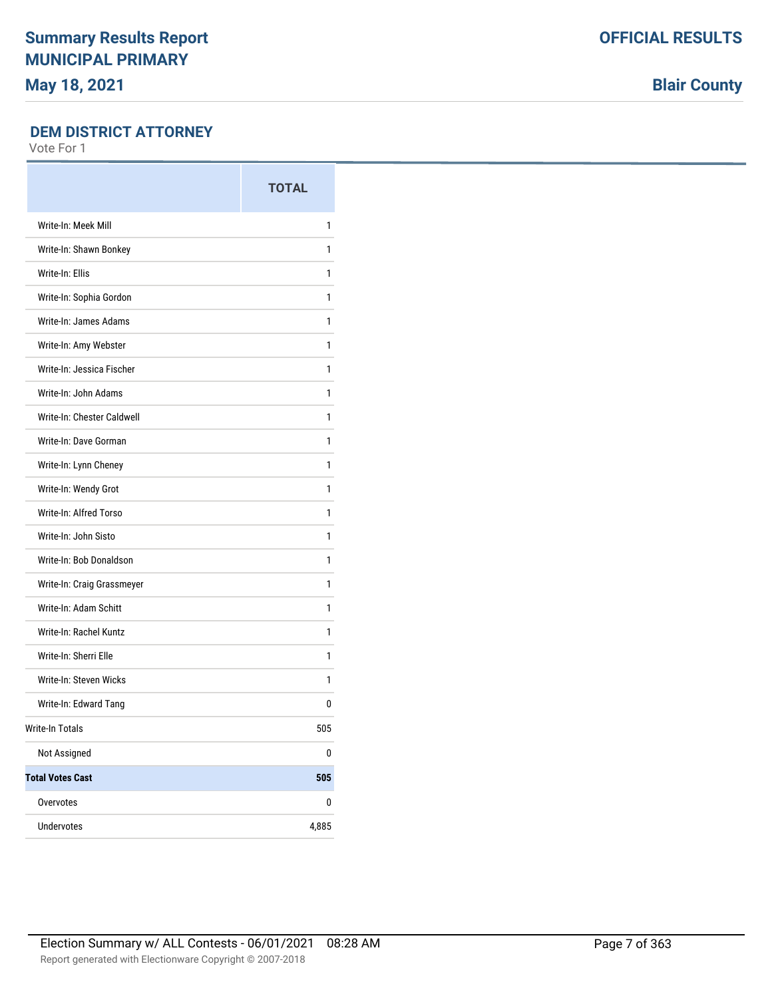**Blair County**

#### **DEM DISTRICT ATTORNEY**

|                            | <b>TOTAL</b> |
|----------------------------|--------------|
| Write-In: Meek Mill        | 1            |
| Write-In: Shawn Bonkey     | 1            |
| Write-In: Ellis            | 1            |
| Write-In: Sophia Gordon    | 1            |
| Write-In: James Adams      | 1            |
| Write-In: Amy Webster      | 1            |
| Write-In: Jessica Fischer  | 1            |
| Write-In: John Adams       | 1            |
| Write-In: Chester Caldwell | 1            |
| Write-In: Dave Gorman      | 1            |
| Write-In: Lynn Cheney      | 1            |
| Write-In: Wendy Grot       | 1            |
| Write-In: Alfred Torso     | 1            |
| Write-In: John Sisto       | 1            |
| Write-In: Bob Donaldson    | 1            |
| Write-In: Craig Grassmeyer | 1            |
| Write-In: Adam Schitt      | 1            |
| Write-In: Rachel Kuntz     | 1            |
| Write-In: Sherri Elle      | 1            |
| Write-In: Steven Wicks     | 1            |
| Write-In: Edward Tang      | 0            |
| <b>Write-In Totals</b>     | 505          |
| Not Assigned               | 0            |
| <b>Total Votes Cast</b>    | 505          |
| Overvotes                  | 0            |
| <b>Undervotes</b>          | 4,885        |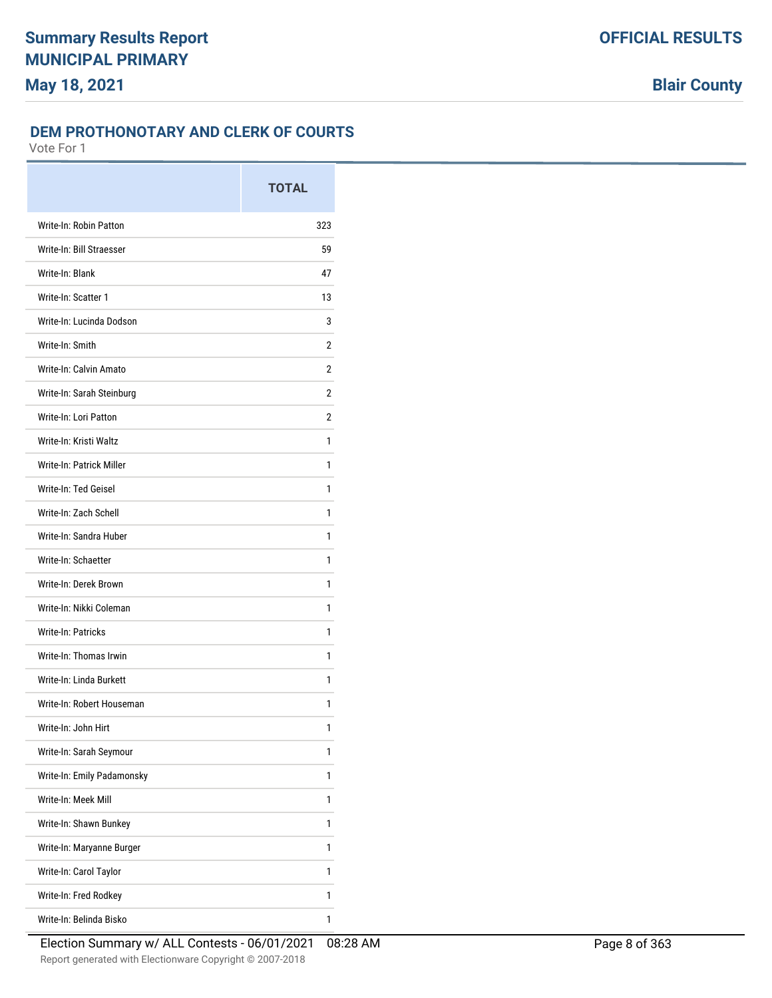### **DEM PROTHONOTARY AND CLERK OF COURTS**

|                            | <b>TOTAL</b> |
|----------------------------|--------------|
| Write-In: Robin Patton     | 323          |
| Write-In: Bill Straesser   | 59           |
| Write-In: Blank            | 47           |
| Write-In: Scatter 1        | 13           |
| Write-In: Lucinda Dodson   | 3            |
| Write-In: Smith            | 2            |
| Write-In: Calvin Amato     | 2            |
| Write-In: Sarah Steinburg  | 2            |
| Write-In: Lori Patton      | 2            |
| Write-In: Kristi Waltz     | 1            |
| Write-In: Patrick Miller   | 1            |
| Write-In: Ted Geisel       | 1            |
| Write-In: Zach Schell      | 1            |
| Write-In: Sandra Huber     | 1            |
| Write-In: Schaetter        | 1            |
| Write-In: Derek Brown      | 1            |
| Write-In: Nikki Coleman    | 1            |
| <b>Write-In: Patricks</b>  | 1            |
| Write-In: Thomas Irwin     | 1            |
| Write-In: Linda Burkett    | 1            |
| Write-In: Robert Houseman  | 1            |
| Write-In: John Hirt        | 1            |
| Write-In: Sarah Seymour    | 1            |
| Write-In: Emily Padamonsky | 1            |
| Write-In: Meek Mill        | 1            |
| Write-In: Shawn Bunkey     | 1            |
| Write-In: Maryanne Burger  | 1            |
| Write-In: Carol Taylor     | 1            |
| Write-In: Fred Rodkey      | 1            |
| Write-In: Belinda Bisko    | 1            |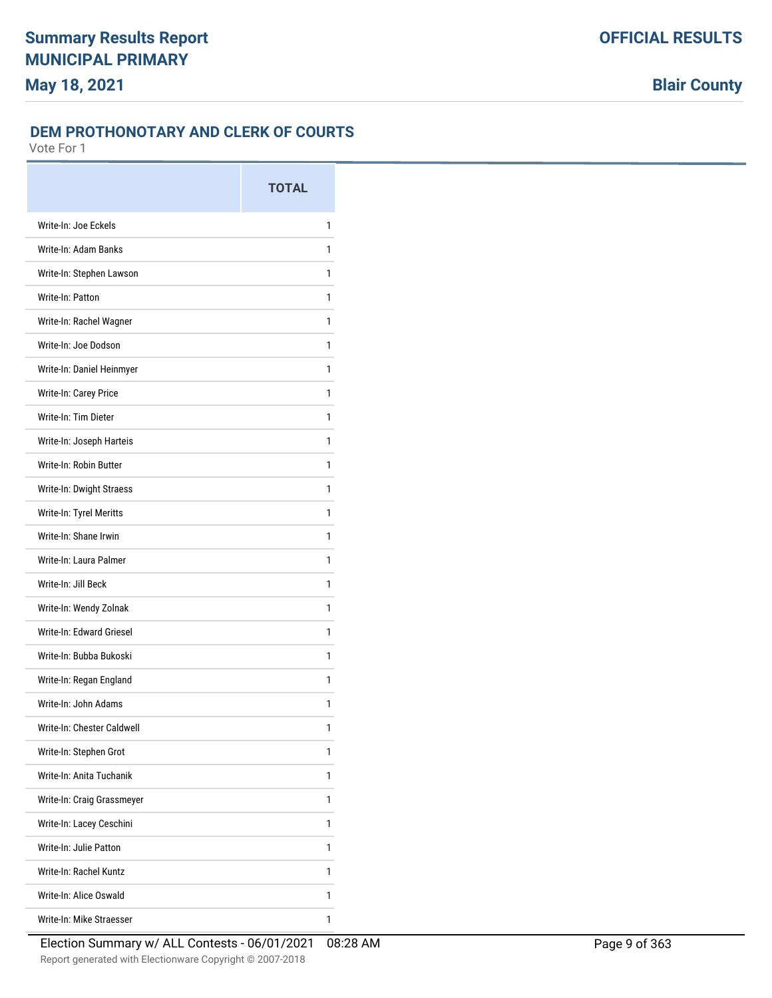### **DEM PROTHONOTARY AND CLERK OF COURTS**

|                            | <b>TOTAL</b> |
|----------------------------|--------------|
| Write-In: Joe Eckels       | 1            |
| Write-In: Adam Banks       | 1            |
| Write-In: Stephen Lawson   | 1            |
| Write-In: Patton           | 1            |
| Write-In: Rachel Wagner    | 1            |
| Write-In: Joe Dodson       | 1            |
| Write-In: Daniel Heinmyer  | 1            |
| Write-In: Carey Price      | 1            |
| Write-In: Tim Dieter       | 1            |
| Write-In: Joseph Harteis   | 1            |
| Write-In: Robin Butter     | 1            |
| Write-In: Dwight Straess   | 1            |
| Write-In: Tyrel Meritts    | 1            |
| Write-In: Shane Irwin      | 1            |
| Write-In: Laura Palmer     | 1            |
| Write-In: Jill Beck        | 1            |
| Write-In: Wendy Zolnak     | 1            |
| Write-In: Edward Griesel   | 1            |
| Write-In: Bubba Bukoski    | 1            |
| Write-In: Regan England    | 1            |
| Write-In: John Adams       | 1            |
| Write-In: Chester Caldwell | 1            |
| Write-In: Stephen Grot     | 1            |
| Write-In: Anita Tuchanik   | 1            |
| Write-In: Craig Grassmeyer | 1            |
| Write-In: Lacey Ceschini   | 1            |
| Write-In: Julie Patton     | 1            |
| Write-In: Rachel Kuntz     | 1            |
| Write-In: Alice Oswald     | 1            |
| Write-In: Mike Straesser   | 1            |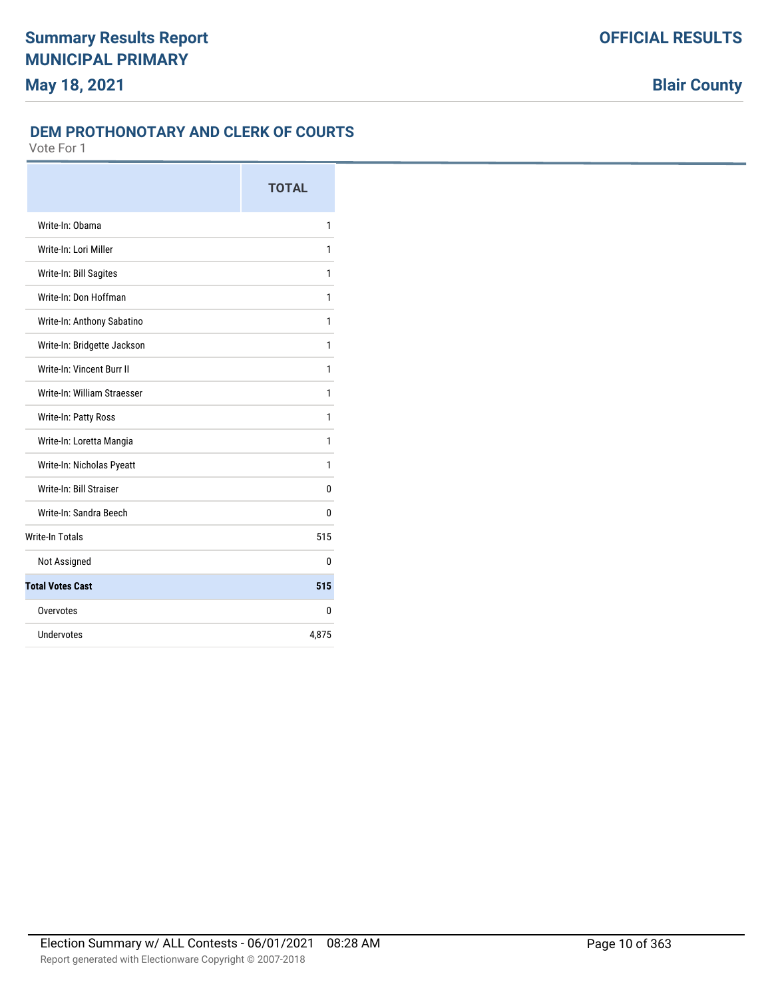## **DEM PROTHONOTARY AND CLERK OF COURTS**

|                             | <b>TOTAL</b> |
|-----------------------------|--------------|
| Write-In: Obama             | 1            |
| Write-In: Lori Miller       | 1            |
| Write-In: Bill Sagites      | 1            |
| Write-In: Don Hoffman       | 1            |
| Write-In: Anthony Sabatino  | 1            |
| Write-In: Bridgette Jackson | 1            |
| Write-In: Vincent Burr II   | 1            |
| Write-In: William Straesser | 1            |
| Write-In: Patty Ross        | 1            |
| Write-In: Loretta Mangia    | 1            |
| Write-In: Nicholas Pyeatt   | 1            |
| Write-In: Bill Straiser     | 0            |
| Write-In: Sandra Beech      | 0            |
| <b>Write-In Totals</b>      | 515          |
| Not Assigned                | 0            |
| <b>Total Votes Cast</b>     | 515          |
| Overvotes                   | 0            |
| Undervotes                  | 4,875        |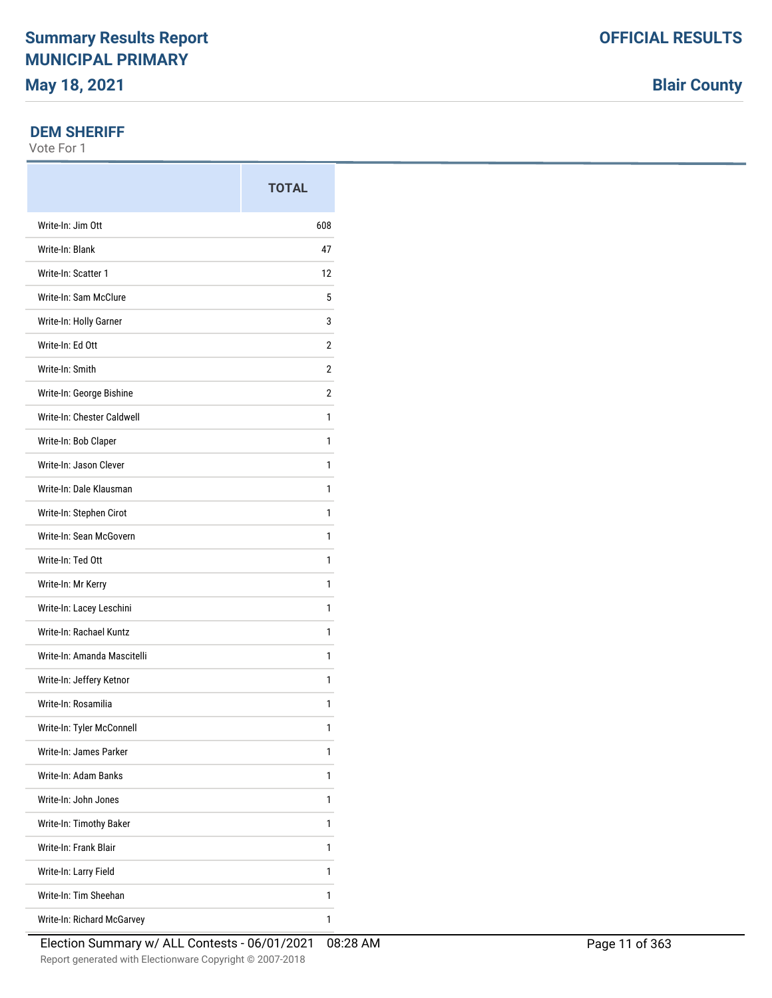### **DEM SHERIFF**

Vote For 1

|                             | <b>TOTAL</b> |
|-----------------------------|--------------|
| Write-In: Jim Ott           | 608          |
| Write-In: Blank             | 47           |
| Write-In: Scatter 1         | 12           |
| Write-In: Sam McClure       | 5            |
| Write-In: Holly Garner      | 3            |
| Write-In: Ed Ott            | 2            |
| Write-In: Smith             | 2            |
| Write-In: George Bishine    | 2            |
| Write-In: Chester Caldwell  | 1            |
| Write-In: Bob Claper        | 1            |
| Write-In: Jason Clever      | 1            |
| Write-In: Dale Klausman     | 1            |
| Write-In: Stephen Cirot     | 1            |
| Write-In: Sean McGovern     | 1            |
| Write-In: Ted Ott           | 1            |
| Write-In: Mr Kerry          | 1            |
| Write-In: Lacey Leschini    | 1            |
| Write-In: Rachael Kuntz     | 1            |
| Write-In: Amanda Mascitelli | 1            |
| Write-In: Jeffery Ketnor    | 1            |
| Write-In: Rosamilia         | 1            |
| Write-In: Tyler McConnell   | 1            |
| Write-In: James Parker      | 1            |
| Write-In: Adam Banks        | 1            |
| Write-In: John Jones        | 1            |
| Write-In: Timothy Baker     | 1            |
| Write-In: Frank Blair       | 1            |
| Write-In: Larry Field       | 1            |
| Write-In: Tim Sheehan       | 1            |
| Write-In: Richard McGarvey  | 1            |

**Blair County**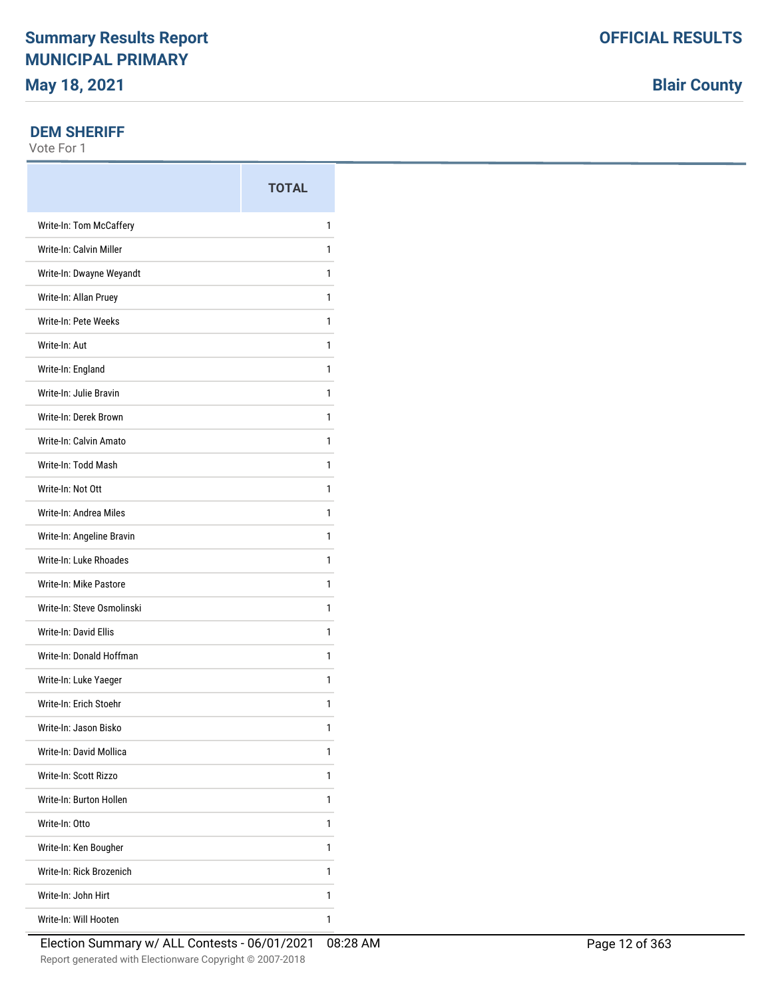### **DEM SHERIFF**

Vote For 1

|                            | <b>TOTAL</b> |
|----------------------------|--------------|
| Write-In: Tom McCaffery    | 1            |
| Write-In: Calvin Miller    | 1            |
| Write-In: Dwayne Weyandt   | 1            |
| Write-In: Allan Pruey      | 1            |
| Write-In: Pete Weeks       | 1            |
| Write-In: Aut              | 1            |
| Write-In: England          | 1            |
| Write-In: Julie Bravin     | 1            |
| Write-In: Derek Brown      | 1            |
| Write-In: Calvin Amato     | 1            |
| Write-In: Todd Mash        | 1            |
| Write-In: Not Ott          | 1            |
| Write-In: Andrea Miles     | 1            |
| Write-In: Angeline Bravin  | 1            |
| Write-In: Luke Rhoades     | 1            |
| Write-In: Mike Pastore     | 1            |
| Write-In: Steve Osmolinski | 1            |
| Write-In: David Ellis      | 1            |
| Write-In: Donald Hoffman   | 1            |
| Write-In: Luke Yaeger      | 1            |
| Write-In: Erich Stoehr     | 1            |
| Write-In: Jason Bisko      | 1            |
| Write-In: David Mollica    | 1            |
| Write-In: Scott Rizzo      | 1            |
| Write-In: Burton Hollen    | 1            |
| Write-In: Otto             | 1            |
| Write-In: Ken Bougher      | 1            |
| Write-In: Rick Brozenich   | 1            |
| Write-In: John Hirt        | 1            |
| Write-In: Will Hooten      | 1            |

**Blair County**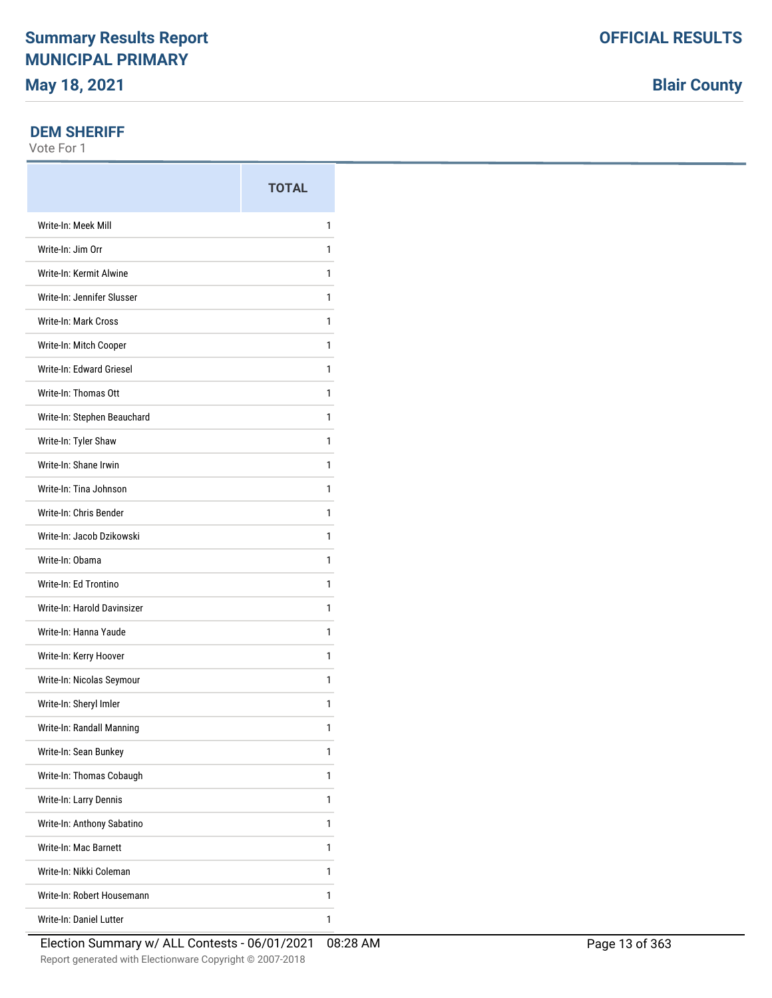# **OFFICIAL RESULTS**

**Blair County**

### **DEM SHERIFF**

|                                | <b>TOTAL</b> |
|--------------------------------|--------------|
| Write-In: Meek Mill            | 1            |
| Write-In: Jim Orr              | 1            |
| Write-In: Kermit Alwine        | 1            |
| Write-In: Jennifer Slusser     | 1            |
| Write-In: Mark Cross           | 1            |
| Write-In: Mitch Cooper         | 1            |
| Write-In: Edward Griesel       | 1            |
| Write-In: Thomas Ott           | 1            |
| Write-In: Stephen Beauchard    | 1            |
| Write-In: Tyler Shaw           | 1            |
| Write-In: Shane Irwin          | 1            |
| Write-In: Tina Johnson         | 1            |
| Write-In: Chris Bender         | 1            |
| Write-In: Jacob Dzikowski      | 1            |
| Write-In: Obama                | 1            |
| Write-In: Ed Trontino          | 1            |
| Write-In: Harold Davinsizer    | 1            |
| Write-In: Hanna Yaude          | 1            |
| Write-In: Kerry Hoover         | 1            |
| Write-In: Nicolas Seymour      | 1            |
| Write-In: Sheryl Imler         | 1            |
| Write-In: Randall Manning      | 1            |
| Write-In: Sean Bunkey          | 1            |
| Write-In: Thomas Cobaugh       | 1            |
| Write-In: Larry Dennis         | 1            |
| Write-In: Anthony Sabatino     | 1            |
| Write-In: Mac Barnett          | 1            |
| Write-In: Nikki Coleman        | 1            |
| Write-In: Robert Housemann     | 1            |
| <b>Write-In: Daniel Lutter</b> | 1            |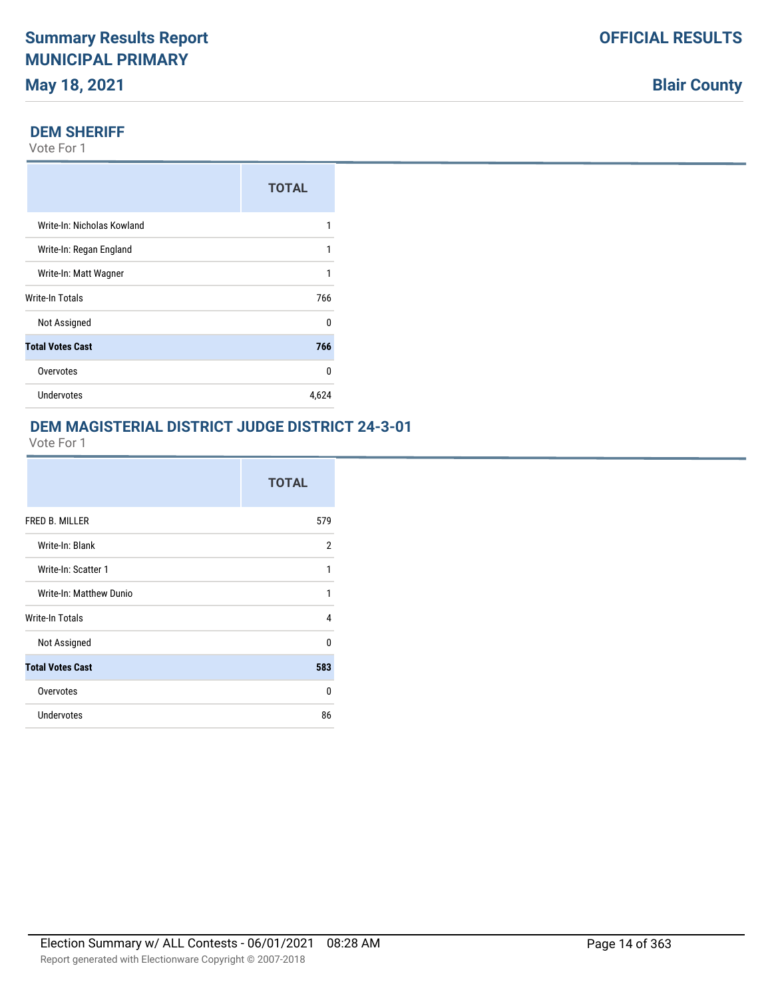#### **DEM SHERIFF**

Vote For 1

|                            | <b>TOTAL</b> |
|----------------------------|--------------|
| Write-In: Nicholas Kowland |              |
| Write-In: Regan England    | 1            |
| Write-In: Matt Wagner      |              |
| Write-In Totals            | 766          |
| Not Assigned               | n            |
| <b>Total Votes Cast</b>    | 766          |
| Overvotes                  | n            |
| Undervotes                 | 4,624        |

### **DEM MAGISTERIAL DISTRICT JUDGE DISTRICT 24-3-01**

|                         | <b>TOTAL</b> |
|-------------------------|--------------|
| FRED B. MILLER          | 579          |
| Write-In: Blank         | 2            |
| Write-In: Scatter 1     | 1            |
| Write-In: Matthew Dunio | 1            |
| Write-In Totals         | 4            |
| Not Assigned            | $\Omega$     |
| <b>Total Votes Cast</b> | 583          |
| Overvotes               | 0            |
| <b>Undervotes</b>       | 86           |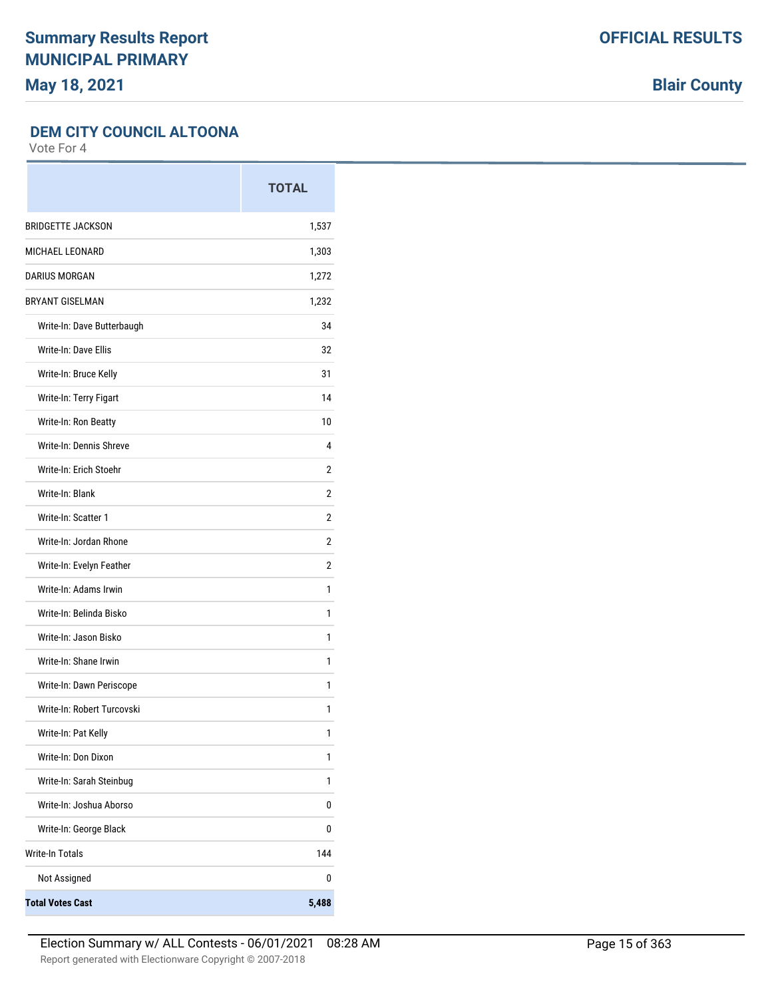**Blair County**

#### **DEM CITY COUNCIL ALTOONA**

|                            | <b>TOTAL</b>   |
|----------------------------|----------------|
| <b>BRIDGETTE JACKSON</b>   | 1,537          |
| MICHAEL LEONARD            | 1,303          |
| <b>DARIUS MORGAN</b>       | 1,272          |
| <b>BRYANT GISELMAN</b>     | 1,232          |
| Write-In: Dave Butterbaugh | 34             |
| Write-In: Dave Ellis       | 32             |
| Write-In: Bruce Kelly      | 31             |
| Write-In: Terry Figart     | 14             |
| Write-In: Ron Beatty       | 10             |
| Write-In: Dennis Shreve    | 4              |
| Write-In: Erich Stoehr     | 2              |
| Write-In: Blank            | 2              |
| Write-In: Scatter 1        | $\overline{2}$ |
| Write-In: Jordan Rhone     | 2              |
| Write-In: Evelyn Feather   | 2              |
| Write-In: Adams Irwin      | 1              |
| Write-In: Belinda Bisko    | 1              |
| Write-In: Jason Bisko      | 1              |
| Write-In: Shane Irwin      | 1              |
| Write-In: Dawn Periscope   | 1              |
| Write-In: Robert Turcovski | 1              |
| Write-In: Pat Kelly        | 1              |
| Write-In: Don Dixon        | 1              |
| Write-In: Sarah Steinbug   | 1              |
| Write-In: Joshua Aborso    | 0              |
| Write-In: George Black     | 0              |
| <b>Write-In Totals</b>     | 144            |
| Not Assigned               | 0              |
| <b>Total Votes Cast</b>    | 5,488          |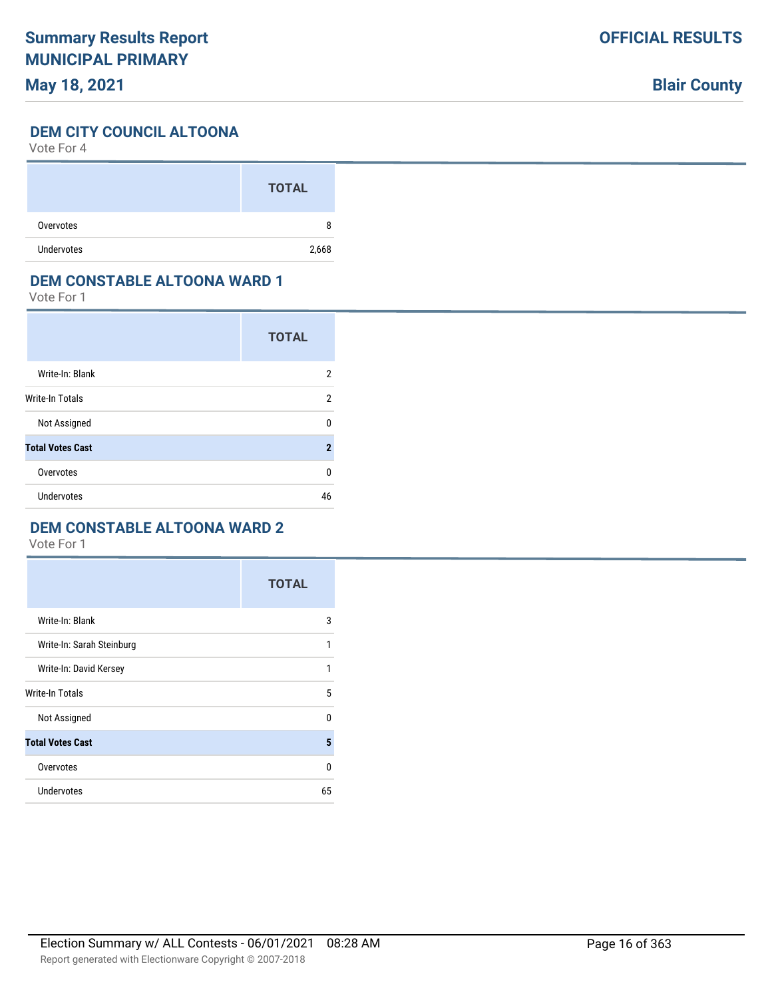## **Blair County**

#### **DEM CITY COUNCIL ALTOONA**

Vote For 4

|                   | <b>TOTAL</b> |
|-------------------|--------------|
| Overvotes         | 8            |
| <b>Undervotes</b> | 2,668        |

#### **DEM CONSTABLE ALTOONA WARD 1**

Vote For 1

|                         | <b>TOTAL</b>   |
|-------------------------|----------------|
| Write-In: Blank         | 2              |
| Write-In Totals         | 2              |
| Not Assigned            | U              |
| <b>Total Votes Cast</b> | $\overline{2}$ |
| Overvotes               | 0              |
| <b>Undervotes</b>       | 46             |

### **DEM CONSTABLE ALTOONA WARD 2**

|                           | <b>TOTAL</b> |
|---------------------------|--------------|
| Write-In: Blank           | 3            |
| Write-In: Sarah Steinburg | 1            |
| Write-In: David Kersey    | 1            |
| <b>Write-In Totals</b>    | 5            |
| Not Assigned              | $\mathbf{0}$ |
| <b>Total Votes Cast</b>   | 5            |
| Overvotes                 | $\Omega$     |
| Undervotes                | 65           |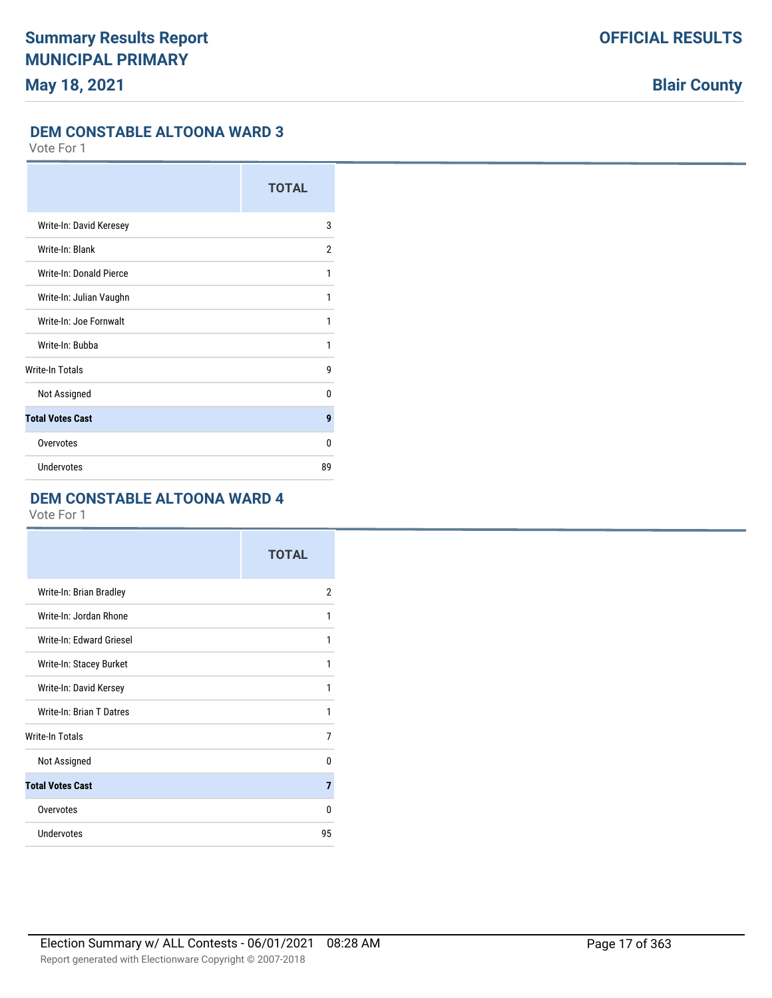#### **DEM CONSTABLE ALTOONA WARD 3**

Vote For 1

|                         | <b>TOTAL</b> |
|-------------------------|--------------|
| Write-In: David Keresey | 3            |
| Write-In: Blank         | 2            |
| Write-In: Donald Pierce | 1            |
| Write-In: Julian Vaughn | 1            |
| Write-In: Joe Fornwalt  | 1            |
| Write-In: Bubba         | 1            |
| <b>Write-In Totals</b>  | 9            |
| Not Assigned            | 0            |
| <b>Total Votes Cast</b> | 9            |
| Overvotes               | 0            |
| <b>Undervotes</b>       | 89           |

### **DEM CONSTABLE ALTOONA WARD 4**

|                          | <b>TOTAL</b> |
|--------------------------|--------------|
| Write-In: Brian Bradley  | 2            |
| Write-In: Jordan Rhone   | 1            |
| Write-In: Edward Griesel | 1            |
| Write-In: Stacey Burket  | 1            |
| Write-In: David Kersey   | 1            |
| Write-In: Brian T Datres | 1            |
| Write-In Totals          | 7            |
| Not Assigned             | 0            |
| <b>Total Votes Cast</b>  | 7            |
| Overvotes                | $\Omega$     |
| <b>Undervotes</b>        | 95           |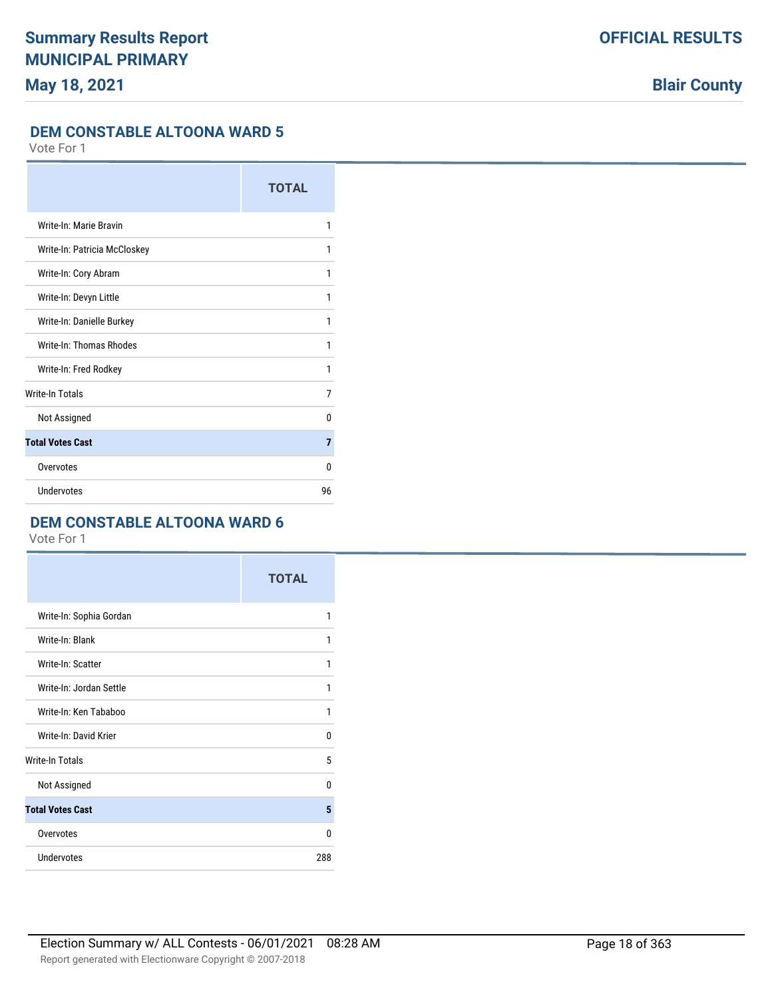#### **DEM CONSTABLE ALTOONA WARD 5**

Vote For 1

|                              | <b>TOTAL</b>   |
|------------------------------|----------------|
| Write-In: Marie Bravin       | 1              |
| Write-In: Patricia McCloskey | 1              |
| Write-In: Cory Abram         | 1              |
| Write-In: Devyn Little       | 1              |
| Write-In: Danielle Burkey    | 1              |
| Write-In: Thomas Rhodes      | 1              |
| Write-In: Fred Rodkey        | 1              |
| <b>Write-In Totals</b>       | 7              |
| Not Assigned                 | 0              |
| <b>Total Votes Cast</b>      | $\overline{7}$ |
| Overvotes                    | 0              |
| Undervotes                   | 96             |

### **DEM CONSTABLE ALTOONA WARD 6**

|                         | <b>TOTAL</b> |
|-------------------------|--------------|
| Write-In: Sophia Gordan | 1            |
| Write-In: Blank         | 1            |
| Write-In: Scatter       | 1            |
| Write-In: Jordan Settle | 1            |
| Write-In: Ken Tababoo   | 1            |
| Write-In: David Krier   | $\Omega$     |
| <b>Write-In Totals</b>  | 5            |
| Not Assigned            | $\Omega$     |
| <b>Total Votes Cast</b> | 5            |
| Overvotes               | $\Omega$     |
| Undervotes              | 288          |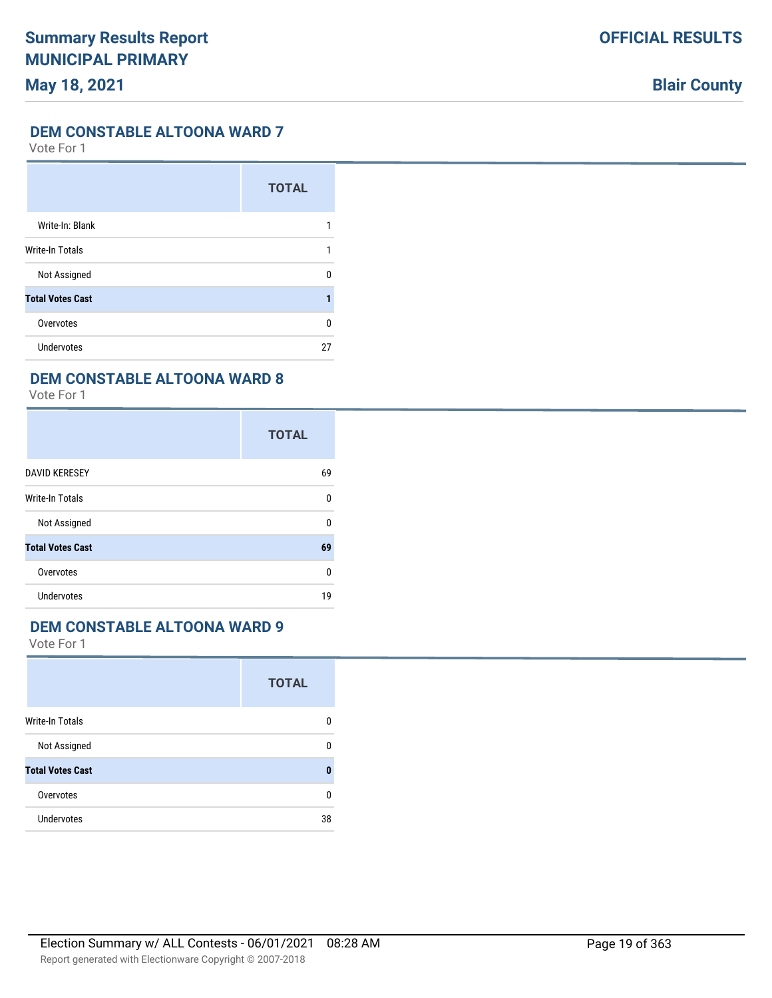#### **DEM CONSTABLE ALTOONA WARD 7**

Vote For 1

|                         | <b>TOTAL</b> |
|-------------------------|--------------|
| Write-In: Blank         |              |
| Write-In Totals         |              |
| Not Assigned            | n            |
| <b>Total Votes Cast</b> |              |
| Overvotes               | 0            |
| Undervotes              | 27           |

### **DEM CONSTABLE ALTOONA WARD 8**

Vote For 1

|                         | <b>TOTAL</b> |
|-------------------------|--------------|
| <b>DAVID KERESEY</b>    | 69           |
| Write-In Totals         | 0            |
| Not Assigned            | 0            |
| <b>Total Votes Cast</b> | 69           |
| Overvotes               | 0            |
| <b>Undervotes</b>       | 19           |

### **DEM CONSTABLE ALTOONA WARD 9**

|                         | <b>TOTAL</b> |
|-------------------------|--------------|
| <b>Write-In Totals</b>  | 0            |
| Not Assigned            | 0            |
| <b>Total Votes Cast</b> | 0            |
| Overvotes               | 0            |
| <b>Undervotes</b>       | 38           |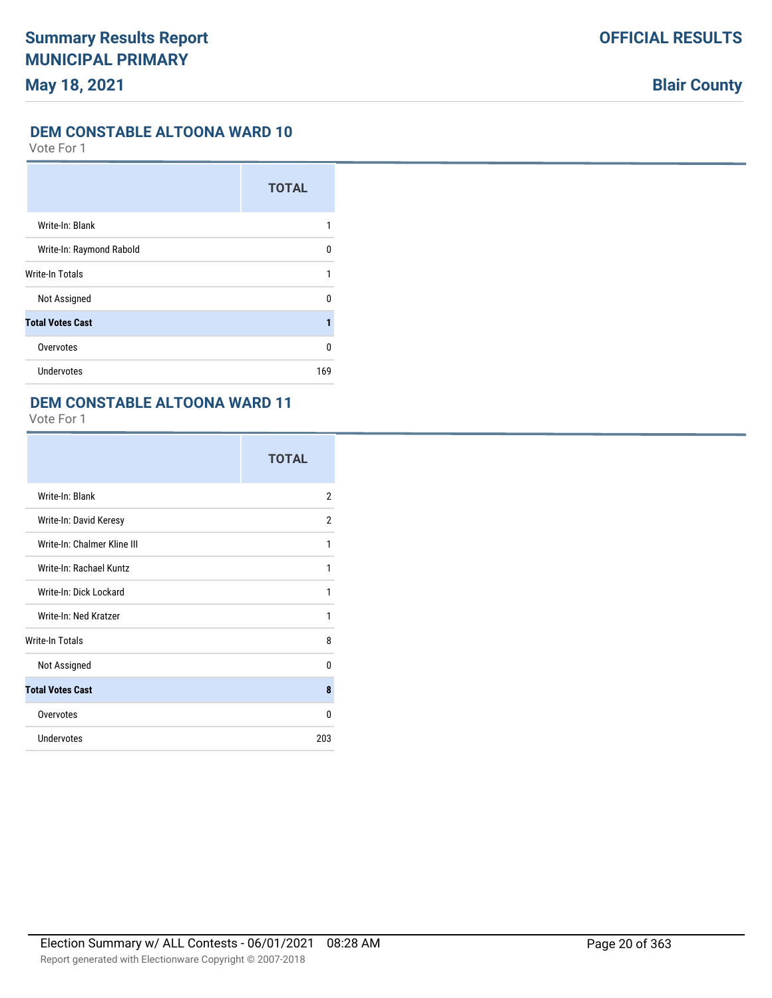### **DEM CONSTABLE ALTOONA WARD 10**

Vote For 1

|                          | <b>TOTAL</b> |
|--------------------------|--------------|
| Write-In: Blank          |              |
| Write-In: Raymond Rabold | U            |
| Write-In Totals          |              |
| Not Assigned             | 0            |
| <b>Total Votes Cast</b>  |              |
| Overvotes                | 0            |
| Undervotes               | 169          |

### **DEM CONSTABLE ALTOONA WARD 11**

|                             | <b>TOTAL</b>   |
|-----------------------------|----------------|
| Write-In: Blank             | 2              |
| Write-In: David Keresy      | $\overline{2}$ |
| Write-In: Chalmer Kline III | 1              |
| Write-In: Rachael Kuntz     | 1              |
| Write-In: Dick Lockard      | 1              |
| Write-In: Ned Kratzer       | 1              |
| <b>Write-In Totals</b>      | 8              |
| Not Assigned                | 0              |
| <b>Total Votes Cast</b>     | 8              |
| Overvotes                   | 0              |
| Undervotes                  | 203            |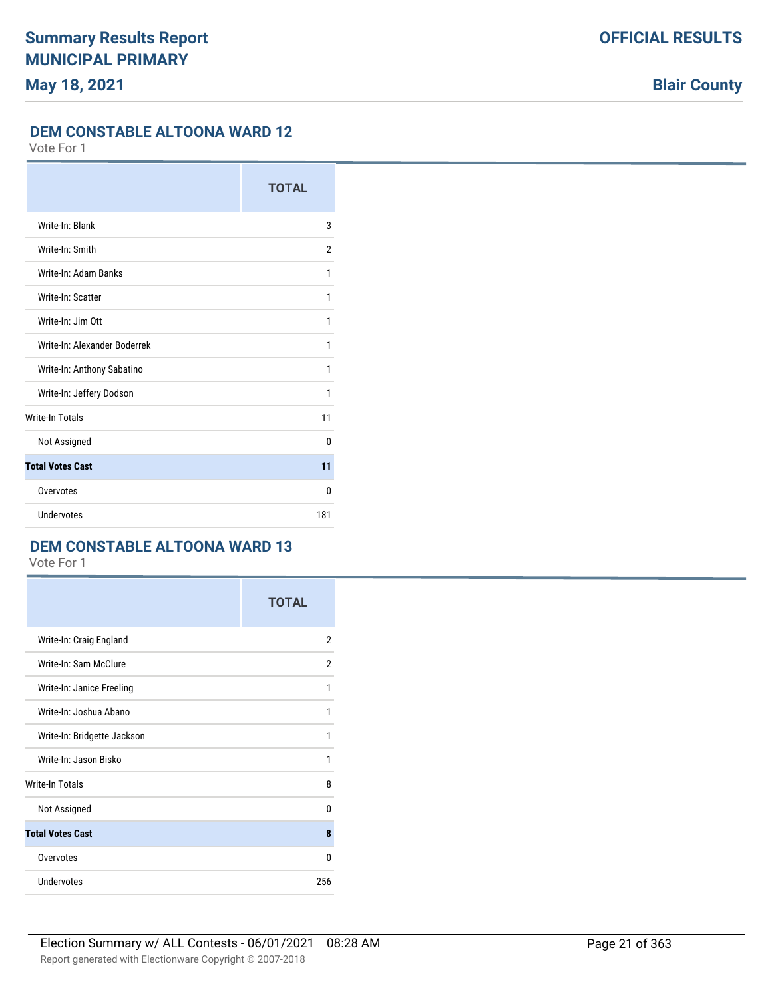#### **DEM CONSTABLE ALTOONA WARD 12**

Vote For 1

|                              | <b>TOTAL</b> |
|------------------------------|--------------|
| Write-In: Blank              | 3            |
| Write-In: Smith              | 2            |
| Write-In: Adam Banks         | 1            |
| Write-In: Scatter            | 1            |
| Write-In: Jim Ott            | 1            |
| Write-In: Alexander Boderrek | 1            |
| Write-In: Anthony Sabatino   | 1            |
| Write-In: Jeffery Dodson     | 1            |
| <b>Write-In Totals</b>       | 11           |
| Not Assigned                 | <sup>0</sup> |
| <b>Total Votes Cast</b>      | 11           |
| Overvotes                    | $\Omega$     |
| Undervotes                   | 181          |

#### **DEM CONSTABLE ALTOONA WARD 13**

|                             | <b>TOTAL</b>   |
|-----------------------------|----------------|
| Write-In: Craig England     | $\overline{2}$ |
| Write-In: Sam McClure       | $\overline{2}$ |
| Write-In: Janice Freeling   | 1              |
| Write-In: Joshua Abano      | 1              |
| Write-In: Bridgette Jackson | 1              |
| Write-In: Jason Bisko       | 1              |
| <b>Write-In Totals</b>      | 8              |
| Not Assigned                | $\mathbf{0}$   |
| <b>Total Votes Cast</b>     | 8              |
| Overvotes                   | 0              |
| <b>Undervotes</b>           | 256            |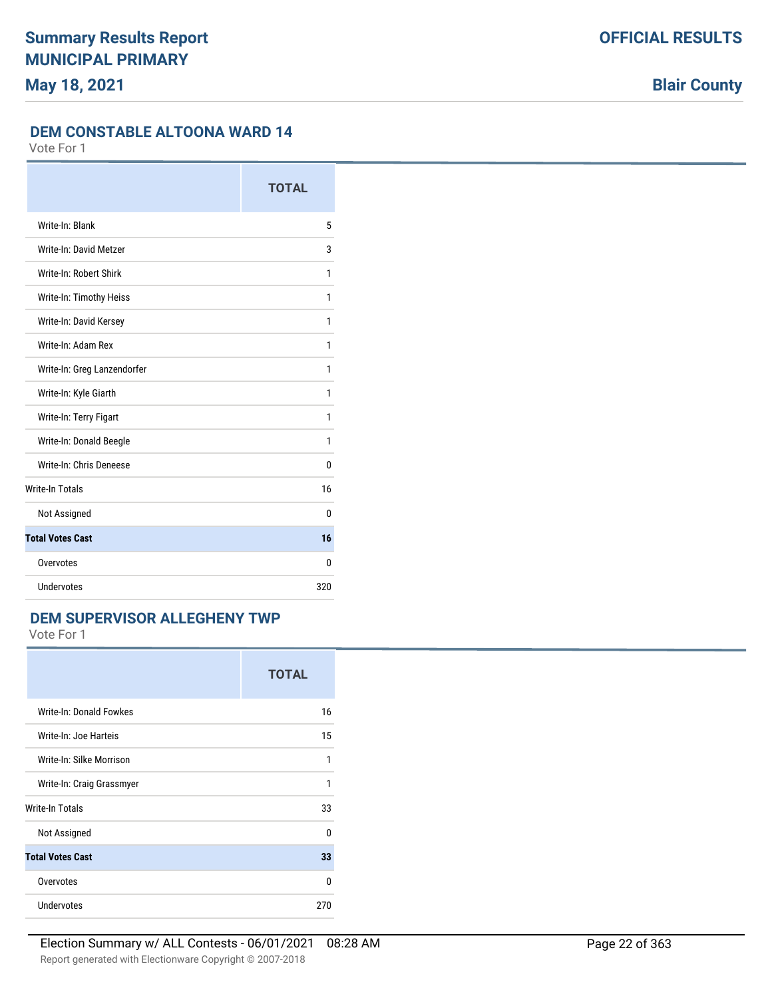### **DEM CONSTABLE ALTOONA WARD 14**

Vote For 1

|                             | <b>TOTAL</b> |
|-----------------------------|--------------|
| Write-In: Blank             | 5            |
| Write-In: David Metzer      | 3            |
| Write-In: Robert Shirk      | 1            |
| Write-In: Timothy Heiss     | 1            |
| Write-In: David Kersey      | 1            |
| Write-In: Adam Rex          | 1            |
| Write-In: Greg Lanzendorfer | 1            |
| Write-In: Kyle Giarth       | 1            |
| Write-In: Terry Figart      | 1            |
| Write-In: Donald Beegle     | 1            |
| Write-In: Chris Deneese     | $\Omega$     |
| <b>Write-In Totals</b>      | 16           |
| Not Assigned                | 0            |
| <b>Total Votes Cast</b>     | 16           |
| Overvotes                   | $\Omega$     |
| Undervotes                  | 320          |

#### **DEM SUPERVISOR ALLEGHENY TWP**

|                           | <b>TOTAL</b> |
|---------------------------|--------------|
| Write-In: Donald Fowkes   | 16           |
| Write-In: Joe Harteis     | 15           |
| Write-In: Silke Morrison  | 1            |
| Write-In: Craig Grassmyer | 1            |
| <b>Write-In Totals</b>    | 33           |
| Not Assigned              | U            |
| <b>Total Votes Cast</b>   | 33           |
| Overvotes                 | U            |
| Undervotes                | 270          |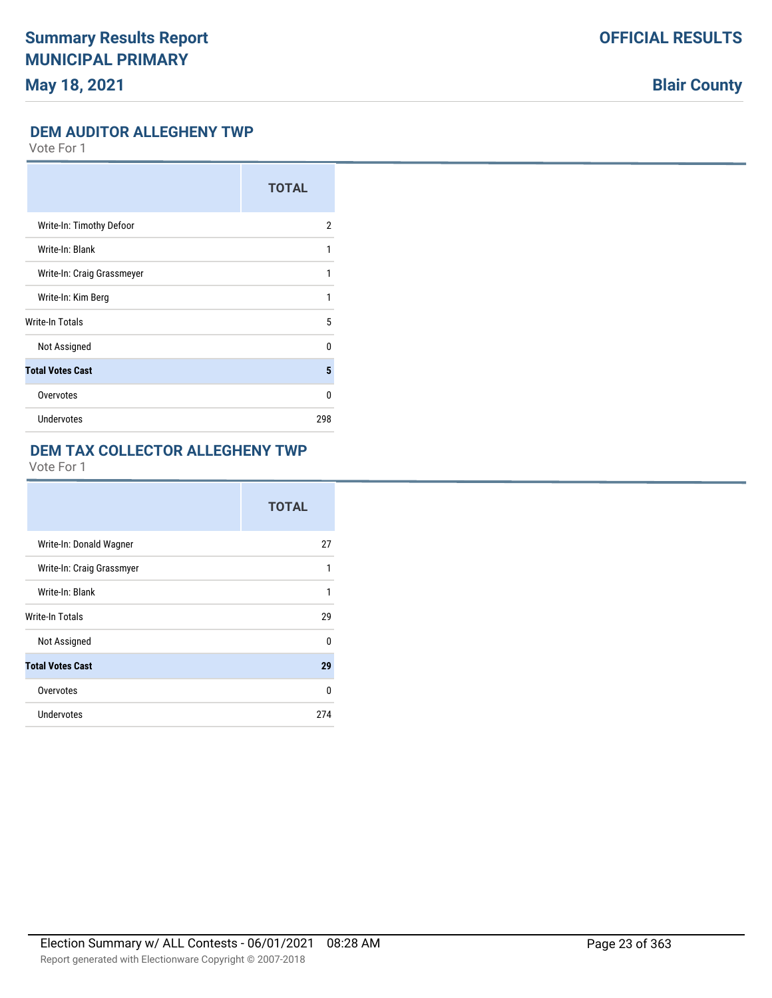## **Blair County**

#### **DEM AUDITOR ALLEGHENY TWP**

Vote For 1

|                            | <b>TOTAL</b> |
|----------------------------|--------------|
| Write-In: Timothy Defoor   | 2            |
| Write-In: Blank            | 1            |
| Write-In: Craig Grassmeyer | 1            |
| Write-In: Kim Berg         | 1            |
| Write-In Totals            | 5            |
| Not Assigned               | U            |
| <b>Total Votes Cast</b>    | 5            |
| Overvotes                  | 0            |
| Undervotes                 | 298          |

#### **DEM TAX COLLECTOR ALLEGHENY TWP**

|                           | <b>TOTAL</b> |
|---------------------------|--------------|
| Write-In: Donald Wagner   | 27           |
| Write-In: Craig Grassmyer | 1            |
| Write-In: Blank           | 1            |
| <b>Write-In Totals</b>    | 29           |
| Not Assigned              | 0            |
| <b>Total Votes Cast</b>   | 29           |
| Overvotes                 | 0            |
| <b>Undervotes</b>         | 274          |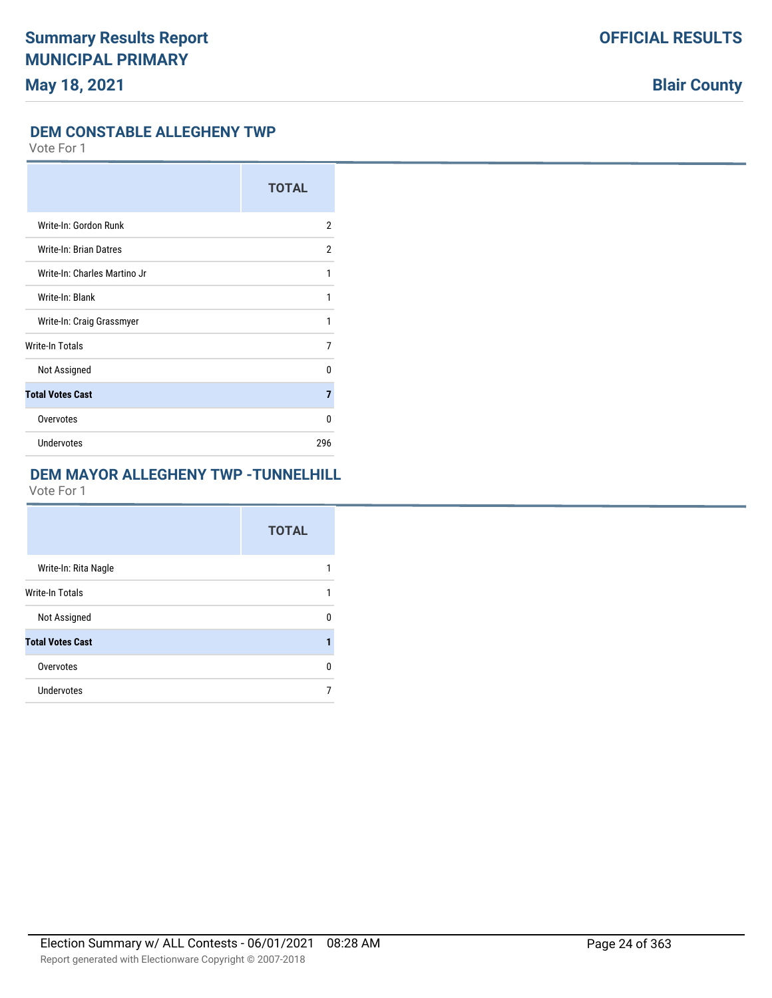### **DEM CONSTABLE ALLEGHENY TWP**

Vote For 1

|                              | <b>TOTAL</b>   |
|------------------------------|----------------|
| Write-In: Gordon Runk        | 2              |
| Write-In: Brian Datres       | 2              |
| Write-In: Charles Martino Jr | 1              |
| Write-In: Blank              | 1              |
| Write-In: Craig Grassmyer    | 1              |
| <b>Write-In Totals</b>       | 7              |
| Not Assigned                 | $\Omega$       |
| <b>Total Votes Cast</b>      | $\overline{7}$ |
| Overvotes                    | 0              |
| <b>Undervotes</b>            | 296            |

## **DEM MAYOR ALLEGHENY TWP -TUNNELHILL**

|                         | <b>TOTAL</b> |
|-------------------------|--------------|
| Write-In: Rita Nagle    |              |
| <b>Write-In Totals</b>  |              |
| Not Assigned            | n            |
| <b>Total Votes Cast</b> |              |
| Overvotes               | n            |
| Undervotes              |              |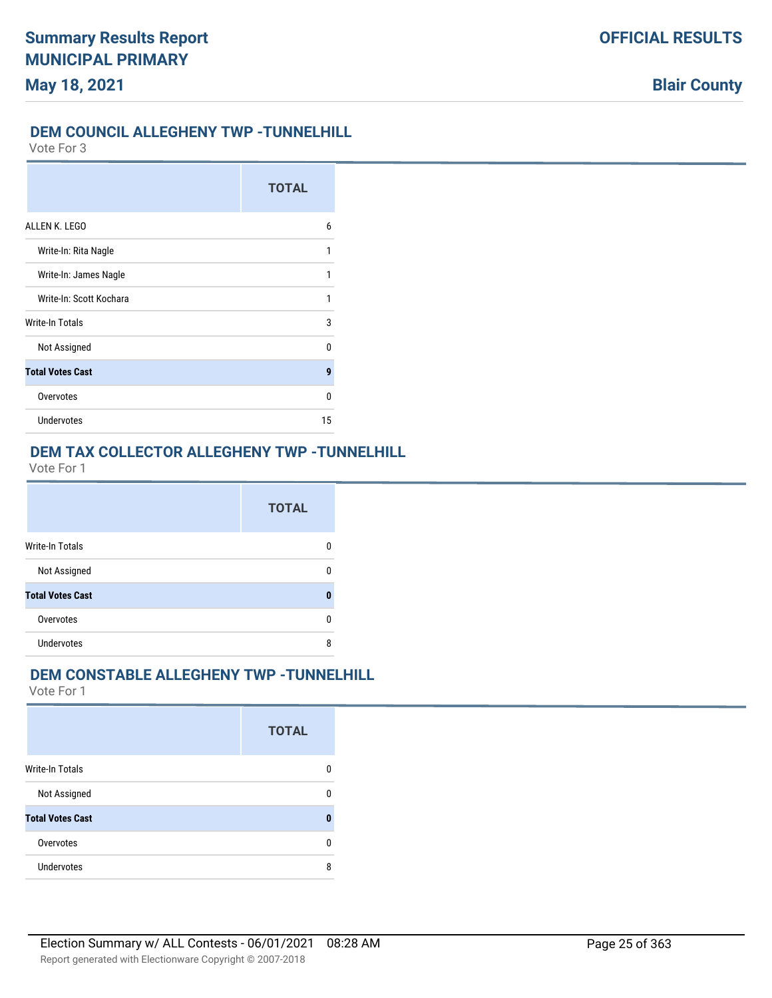## **OFFICIAL RESULTS**

**Blair County**

### **DEM COUNCIL ALLEGHENY TWP -TUNNELHILL**

Vote For 3

|                         | <b>TOTAL</b> |
|-------------------------|--------------|
| ALLEN K. LEGO           | 6            |
| Write-In: Rita Nagle    | 1            |
| Write-In: James Nagle   |              |
| Write-In: Scott Kochara | 1            |
| Write-In Totals         | 3            |
| Not Assigned            | n            |
| <b>Total Votes Cast</b> | 9            |
| Overvotes               | n            |
| <b>Undervotes</b>       | 15           |

## **DEM TAX COLLECTOR ALLEGHENY TWP -TUNNELHILL**

Vote For 1

|                         | <b>TOTAL</b> |
|-------------------------|--------------|
| <b>Write-In Totals</b>  | 0            |
| Not Assigned            | 0            |
| <b>Total Votes Cast</b> | Л            |
| Overvotes               | 0            |
| <b>Undervotes</b>       | 8            |

### **DEM CONSTABLE ALLEGHENY TWP -TUNNELHILL**

|                         | <b>TOTAL</b> |
|-------------------------|--------------|
| <b>Write-In Totals</b>  |              |
| Not Assigned            | n            |
| <b>Total Votes Cast</b> | O            |
| Overvotes               | n            |
| <b>Undervotes</b>       | 8            |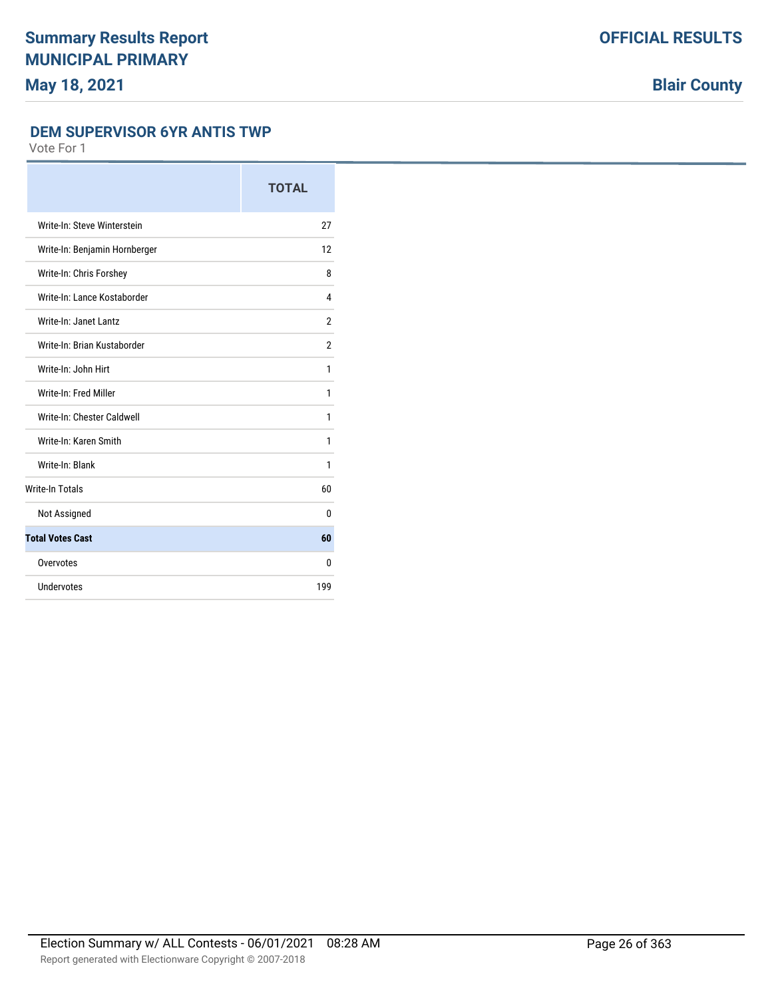#### **DEM SUPERVISOR 6YR ANTIS TWP**

|                               | <b>TOTAL</b>   |
|-------------------------------|----------------|
| Write-In: Steve Winterstein   | 27             |
| Write-In: Benjamin Hornberger | 12             |
| Write-In: Chris Forshey       | 8              |
| Write-In: Lance Kostaborder   | 4              |
| Write-In: Janet Lantz         | $\overline{2}$ |
| Write-In: Brian Kustaborder   | $\overline{2}$ |
| Write-In: John Hirt           | 1              |
| Write-In: Fred Miller         | 1              |
| Write-In: Chester Caldwell    | 1              |
| Write-In: Karen Smith         | 1              |
| Write-In: Blank               | 1              |
| <b>Write-In Totals</b>        | 60             |
| Not Assigned                  | 0              |
| <b>Total Votes Cast</b>       | 60             |
| Overvotes                     | 0              |
| Undervotes                    | 199            |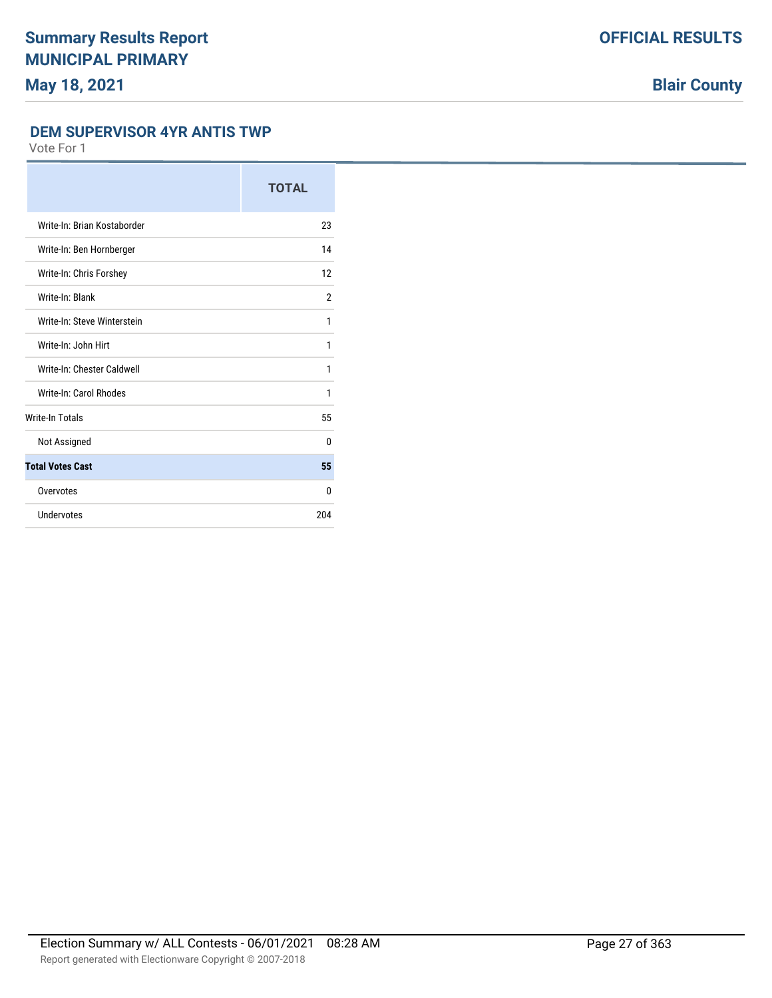#### **DEM SUPERVISOR 4YR ANTIS TWP**

|                             | <b>TOTAL</b>   |
|-----------------------------|----------------|
| Write-In: Brian Kostaborder | 23             |
| Write-In: Ben Hornberger    | 14             |
| Write-In: Chris Forshey     | 12             |
| Write-In: Blank             | $\overline{2}$ |
| Write-In: Steve Winterstein | 1              |
| Write-In: John Hirt         | 1              |
| Write-In: Chester Caldwell  | 1              |
| Write-In: Carol Rhodes      | 1              |
| Write-In Totals             | 55             |
| Not Assigned                | $\theta$       |
| <b>Total Votes Cast</b>     | 55             |
| Overvotes                   | 0              |
| Undervotes                  | 204            |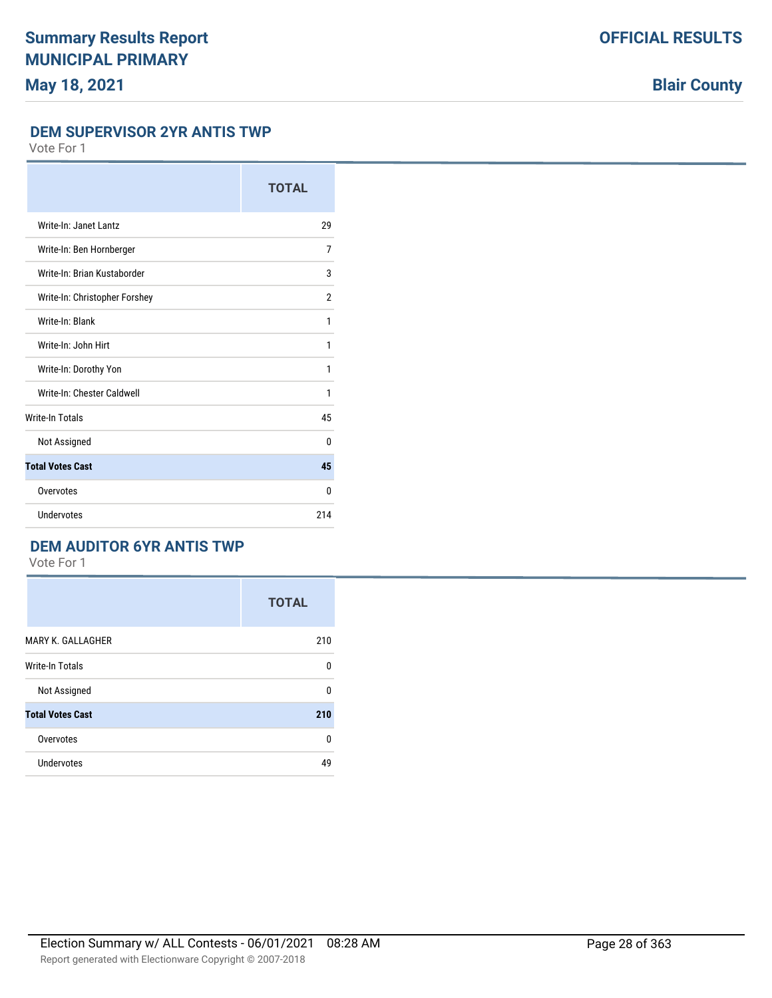#### **DEM SUPERVISOR 2YR ANTIS TWP**

Vote For 1

|                               | <b>TOTAL</b> |
|-------------------------------|--------------|
| Write-In: Janet Lantz         | 29           |
| Write-In: Ben Hornberger      | 7            |
| Write-In: Brian Kustaborder   | 3            |
| Write-In: Christopher Forshey | 2            |
| Write-In: Blank               | 1            |
| Write-In: John Hirt           | 1            |
| Write-In: Dorothy Yon         | 1            |
| Write-In: Chester Caldwell    | 1            |
| <b>Write-In Totals</b>        | 45           |
| Not Assigned                  | 0            |
| <b>Total Votes Cast</b>       | 45           |
| Overvotes                     | 0            |
| Undervotes                    | 214          |

### **DEM AUDITOR 6YR ANTIS TWP**

|                         | <b>TOTAL</b> |
|-------------------------|--------------|
| MARY K. GALLAGHER       | 210          |
| <b>Write-In Totals</b>  | 0            |
| Not Assigned            | $\Omega$     |
| <b>Total Votes Cast</b> | 210          |
| Overvotes               | 0            |
| Undervotes              | 49           |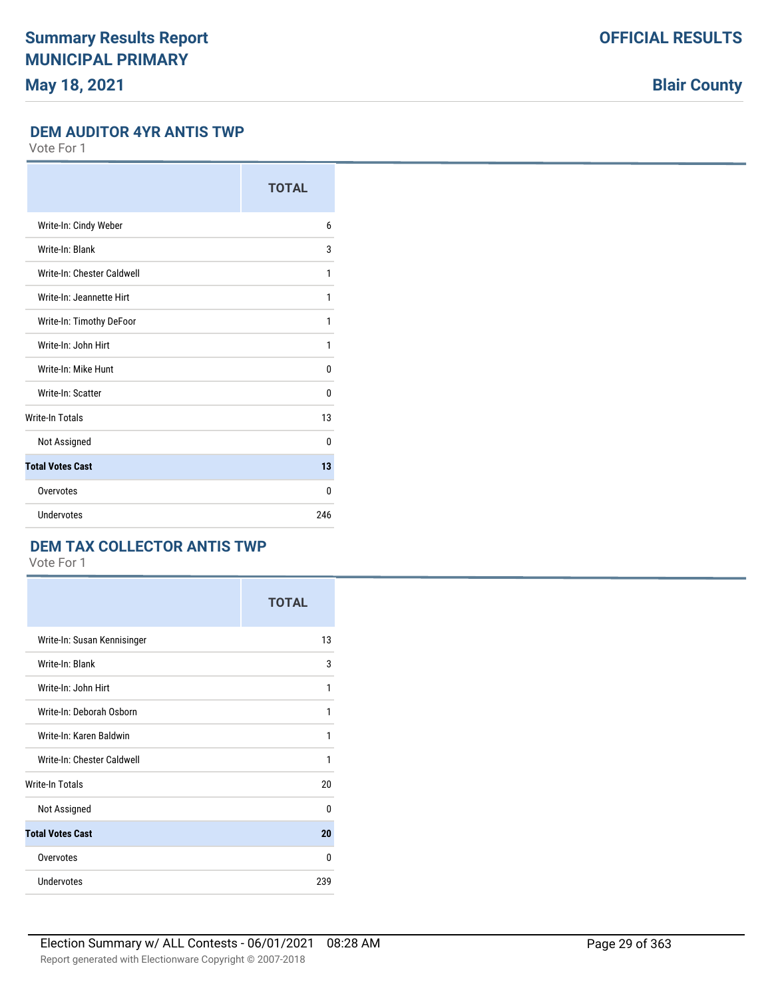## **Blair County**

#### **DEM AUDITOR 4YR ANTIS TWP**

Vote For 1

|                            | <b>TOTAL</b> |
|----------------------------|--------------|
| Write-In: Cindy Weber      | 6            |
| Write-In: Blank            | 3            |
| Write-In: Chester Caldwell | 1            |
| Write-In: Jeannette Hirt   | 1            |
| Write-In: Timothy DeFoor   | 1            |
| Write-In: John Hirt        | 1            |
| Write-In: Mike Hunt        | 0            |
| Write-In: Scatter          | 0            |
| <b>Write-In Totals</b>     | 13           |
| Not Assigned               | $\Omega$     |
| <b>Total Votes Cast</b>    | 13           |
| Overvotes                  | $\Omega$     |
| Undervotes                 | 246          |

### **DEM TAX COLLECTOR ANTIS TWP**

|                             | <b>TOTAL</b> |
|-----------------------------|--------------|
| Write-In: Susan Kennisinger | 13           |
| Write-In: Blank             | 3            |
| Write-In: John Hirt         | 1            |
| Write-In: Deborah Osborn    | 1            |
| Write-In: Karen Baldwin     | 1            |
| Write-In: Chester Caldwell  | 1            |
| <b>Write-In Totals</b>      | 20           |
| Not Assigned                | 0            |
| <b>Total Votes Cast</b>     | 20           |
| Overvotes                   | 0            |
| <b>Undervotes</b>           | 239          |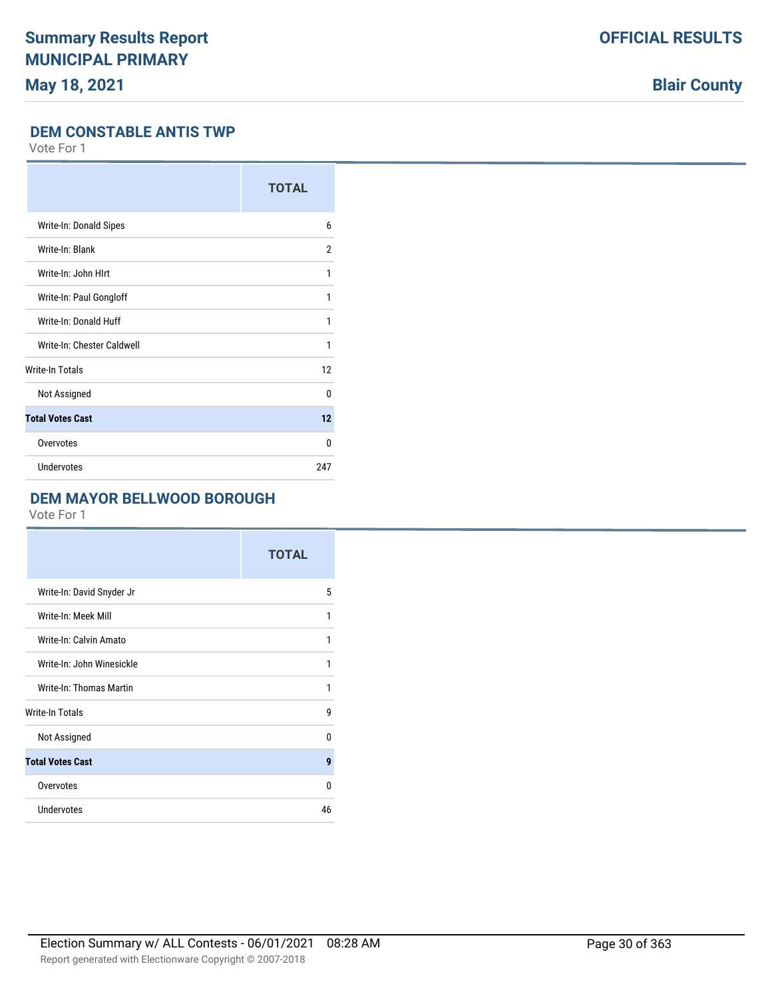**Blair County**

### **DEM CONSTABLE ANTIS TWP**

Vote For 1

|                            | <b>TOTAL</b> |
|----------------------------|--------------|
| Write-In: Donald Sipes     | 6            |
| Write-In: Blank            | 2            |
| Write-In: John HIrt        | 1            |
| Write-In: Paul Gongloff    | 1            |
| Write-In: Donald Huff      | 1            |
| Write-In: Chester Caldwell | 1            |
| <b>Write-In Totals</b>     | 12           |
| Not Assigned               | $\Omega$     |
| <b>Total Votes Cast</b>    | 12           |
| Overvotes                  | $\Omega$     |
| Undervotes                 | 247          |

### **DEM MAYOR BELLWOOD BOROUGH**

|                           | <b>TOTAL</b> |
|---------------------------|--------------|
| Write-In: David Snyder Jr | 5            |
| Write-In: Meek Mill       | 1            |
| Write-In: Calvin Amato    | 1            |
| Write-In: John Winesickle | 1            |
| Write-In: Thomas Martin   | 1            |
| Write-In Totals           | g            |
| Not Assigned              | $\Omega$     |
| <b>Total Votes Cast</b>   | 9            |
| Overvotes                 | 0            |
| Undervotes                | 46           |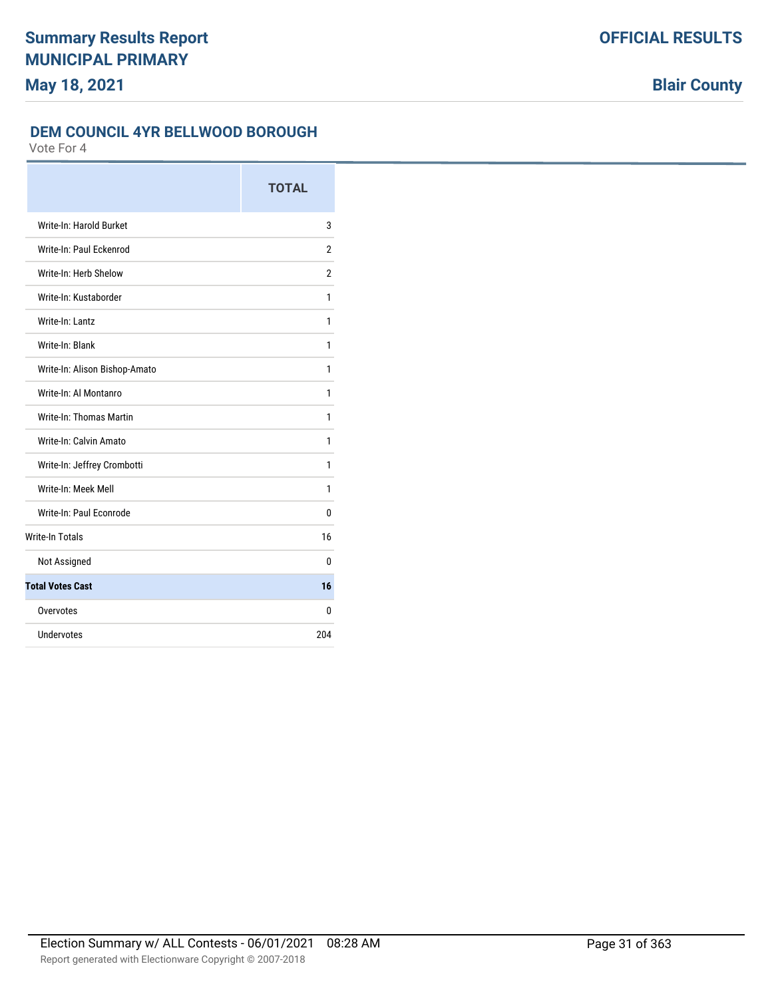### **DEM COUNCIL 4YR BELLWOOD BOROUGH**

|                               | <b>TOTAL</b>   |
|-------------------------------|----------------|
| Write-In: Harold Burket       | 3              |
| Write-In: Paul Fckenrod       | $\overline{2}$ |
| Write-In: Herb Shelow         | $\overline{2}$ |
| Write-In: Kustaborder         | 1              |
| Write-In: Lantz               | 1              |
| Write-In: Blank               | 1              |
| Write-In: Alison Bishop-Amato | 1              |
| Write-In: Al Montanro         | 1              |
| Write-In: Thomas Martin       | 1              |
| Write-In: Calvin Amato        | 1              |
| Write-In: Jeffrey Crombotti   | 1              |
| Write-In: Meek Mell           | 1              |
| Write-In: Paul Econrode       | 0              |
| <b>Write-In Totals</b>        | 16             |
| Not Assigned                  | 0              |
| <b>Total Votes Cast</b>       | 16             |
| Overvotes                     | 0              |
| Undervotes                    | 204            |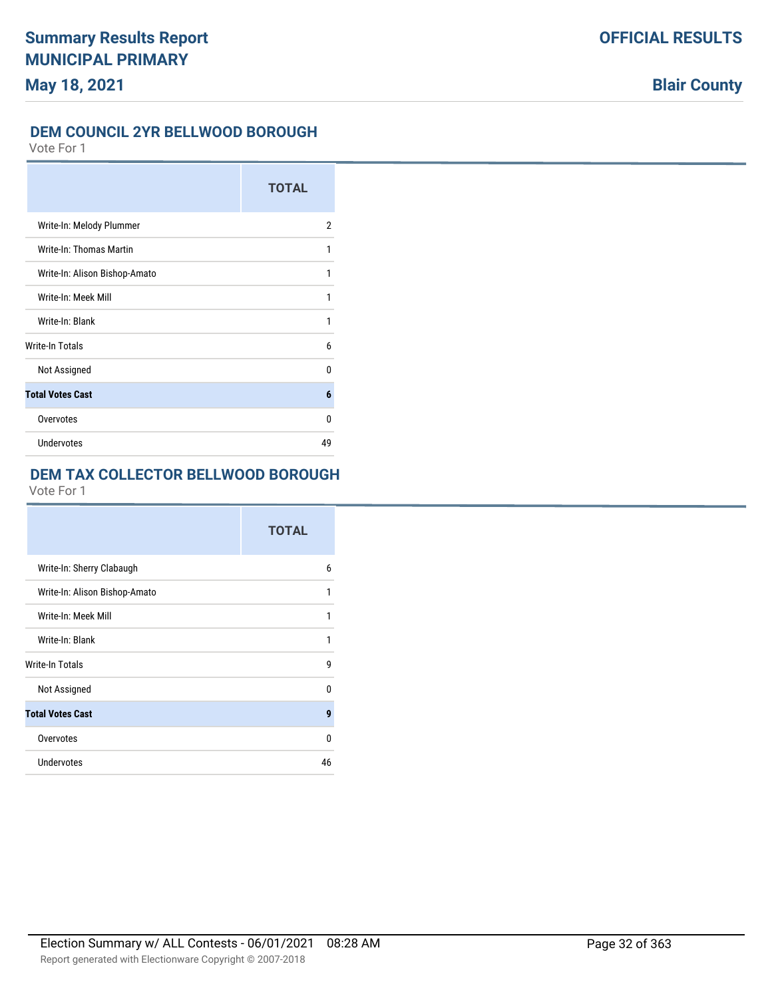#### **DEM COUNCIL 2YR BELLWOOD BOROUGH**

Vote For 1

|                               | <b>TOTAL</b> |
|-------------------------------|--------------|
| Write-In: Melody Plummer      | 2            |
| Write-In: Thomas Martin       | 1            |
| Write-In: Alison Bishop-Amato | 1            |
| Write-In: Meek Mill           | 1            |
| Write-In: Blank               | 1            |
| Write-In Totals               | 6            |
| Not Assigned                  | 0            |
| <b>Total Votes Cast</b>       | 6            |
| Overvotes                     | 0            |
| <b>Undervotes</b>             | 49           |

## **DEM TAX COLLECTOR BELLWOOD BOROUGH**

|                               | <b>TOTAL</b> |
|-------------------------------|--------------|
| Write-In: Sherry Clabaugh     | 6            |
| Write-In: Alison Bishop-Amato | 1            |
| Write-In: Meek Mill           | 1            |
| Write-In: Blank               | 1            |
| Write-In Totals               | 9            |
| Not Assigned                  | U            |
| <b>Total Votes Cast</b>       | 9            |
| Overvotes                     | U            |
| Undervotes                    | 46           |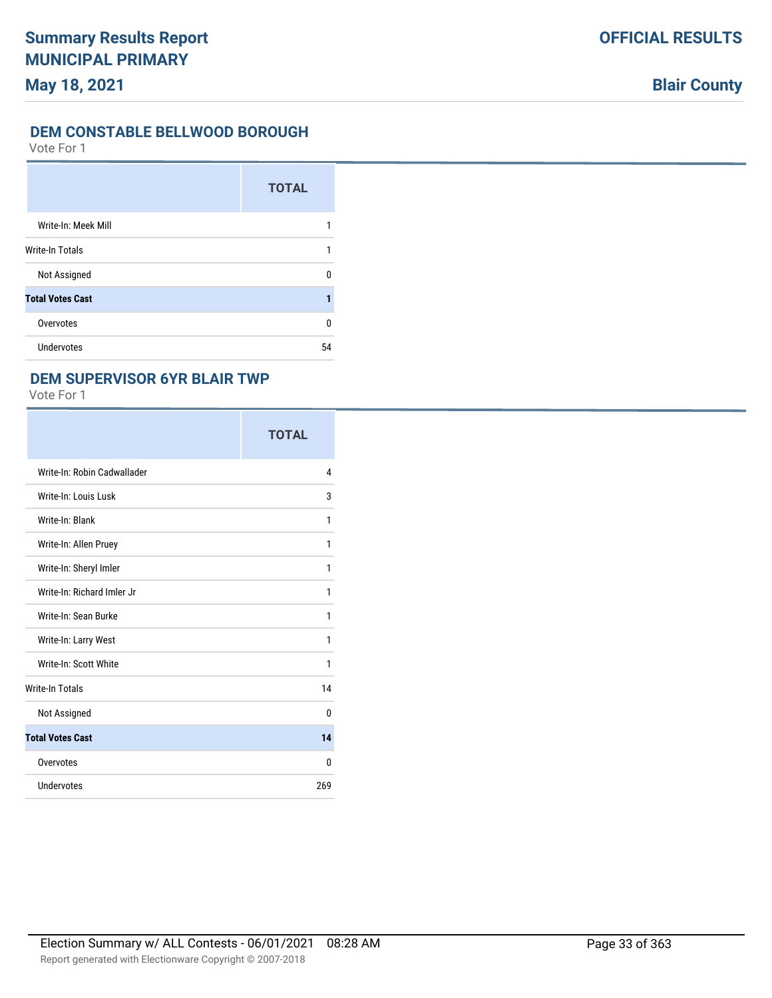#### **DEM CONSTABLE BELLWOOD BOROUGH**

Vote For 1

|                         | <b>TOTAL</b> |
|-------------------------|--------------|
| Write-In: Meek Mill     |              |
| <b>Write-In Totals</b>  |              |
| Not Assigned            | U            |
| <b>Total Votes Cast</b> |              |
| Overvotes               | 0            |
| <b>Undervotes</b>       | 54           |

### **DEM SUPERVISOR 6YR BLAIR TWP**

|                             | <b>TOTAL</b> |
|-----------------------------|--------------|
| Write-In: Robin Cadwallader | 4            |
| Write-In: Louis Lusk        | 3            |
| Write-In: Blank             | 1            |
| Write-In: Allen Pruey       | 1            |
| Write-In: Sheryl Imler      | 1            |
| Write-In: Richard Imler Jr  | 1            |
| Write-In: Sean Burke        | 1            |
| Write-In: Larry West        | 1            |
| Write-In: Scott White       | 1            |
| <b>Write-In Totals</b>      | 14           |
| Not Assigned                | $\Omega$     |
| <b>Total Votes Cast</b>     | 14           |
| Overvotes                   | 0            |
| Undervotes                  | 269          |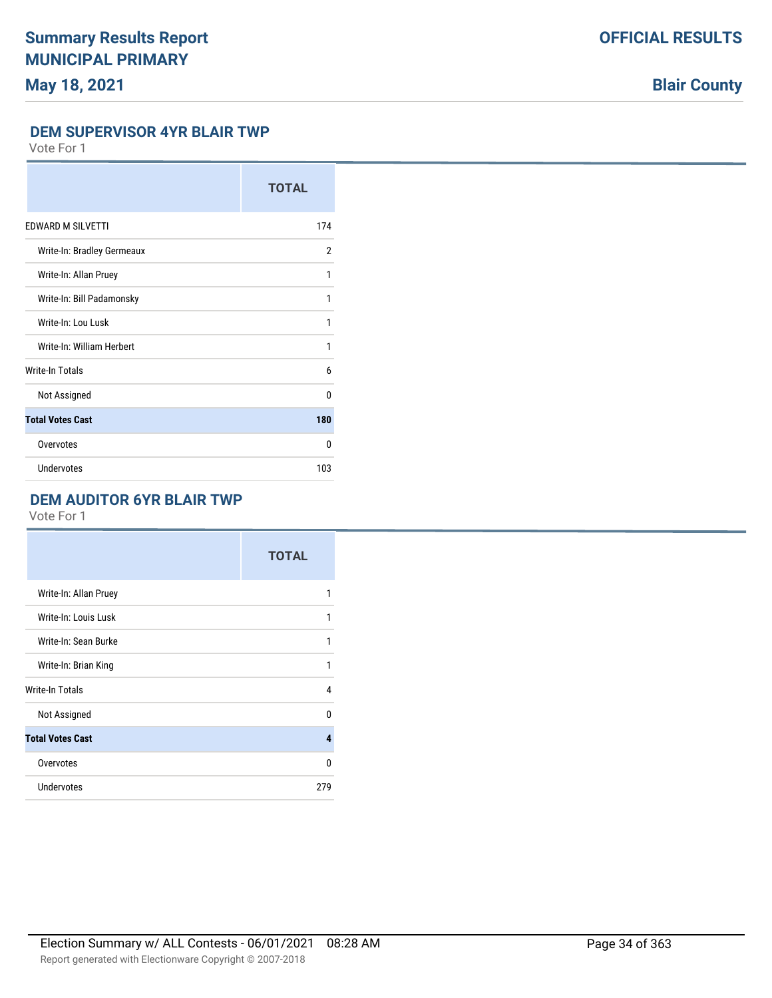#### **DEM SUPERVISOR 4YR BLAIR TWP**

Vote For 1

|                            | <b>TOTAL</b>   |
|----------------------------|----------------|
| EDWARD M SILVETTI          | 174            |
| Write-In: Bradley Germeaux | $\overline{2}$ |
| Write-In: Allan Pruey      | 1              |
| Write-In: Bill Padamonsky  | 1              |
| Write-In: Lou Lusk         | 1              |
| Write-In: William Herbert  | 1              |
| <b>Write-In Totals</b>     | 6              |
| Not Assigned               | $\Omega$       |
| <b>Total Votes Cast</b>    | 180            |
| Overvotes                  | $\Omega$       |
| <b>Undervotes</b>          | 103            |

### **DEM AUDITOR 6YR BLAIR TWP**

|                         | <b>TOTAL</b> |
|-------------------------|--------------|
| Write-In: Allan Pruey   | 1            |
| Write-In: Louis Lusk    | 1            |
| Write-In: Sean Burke    | 1            |
| Write-In: Brian King    | 1            |
| Write-In Totals         | 4            |
| Not Assigned            | U            |
| <b>Total Votes Cast</b> | 4            |
| Overvotes               | 0            |
| Undervotes              | 279          |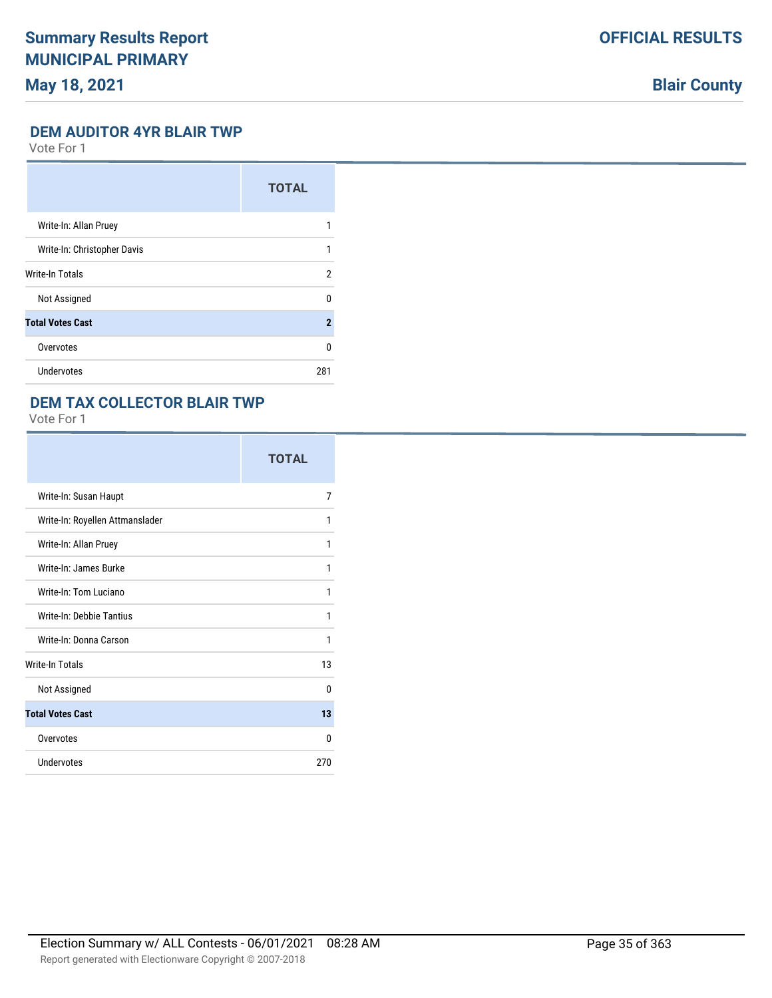## **Blair County**

#### **DEM AUDITOR 4YR BLAIR TWP**

Vote For 1

|                             | <b>TOTAL</b> |
|-----------------------------|--------------|
| Write-In: Allan Pruey       |              |
| Write-In: Christopher Davis |              |
| <b>Write-In Totals</b>      | 2            |
| Not Assigned                | <sup>0</sup> |
| <b>Total Votes Cast</b>     | $\mathbf{2}$ |
| Overvotes                   | <sup>0</sup> |
| <b>Undervotes</b>           | 281          |

### **DEM TAX COLLECTOR BLAIR TWP**

|                                 | <b>TOTAL</b> |
|---------------------------------|--------------|
| Write-In: Susan Haupt           | 7            |
| Write-In: Royellen Attmanslader | 1            |
| Write-In: Allan Pruey           | 1            |
| Write-In: James Burke           | 1            |
| Write-In: Tom Luciano           | 1            |
| Write-In: Debbie Tantius        | 1            |
| Write-In: Donna Carson          | 1            |
| <b>Write-In Totals</b>          | 13           |
| Not Assigned                    | 0            |
| <b>Total Votes Cast</b>         | 13           |
| Overvotes                       | 0            |
| Undervotes                      | 270          |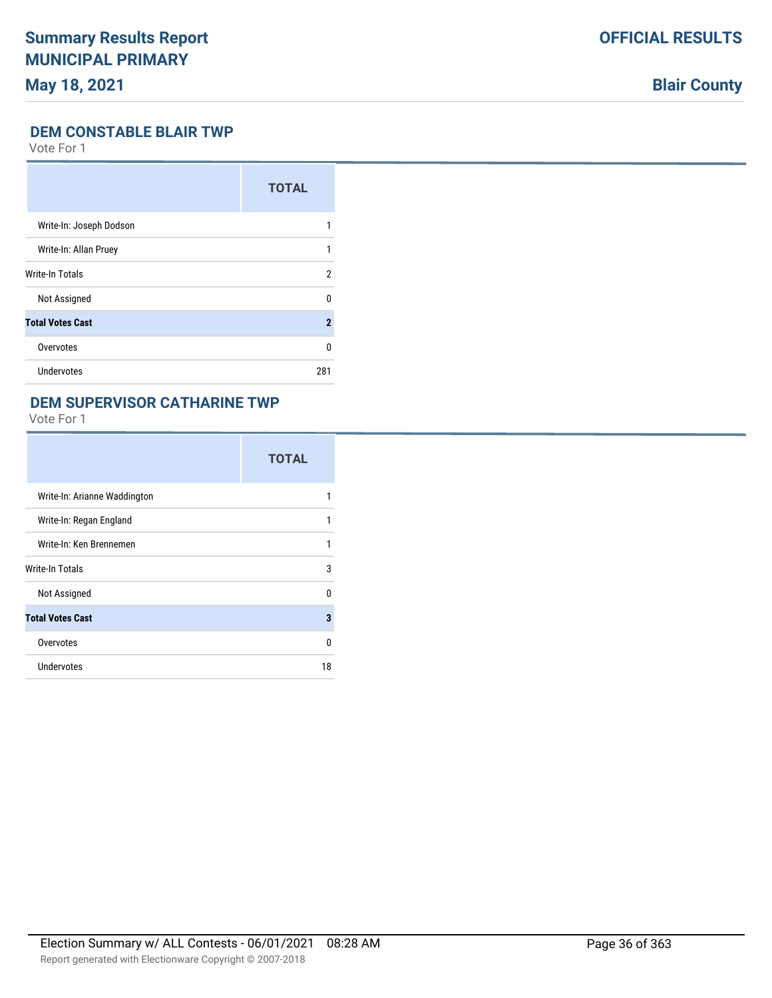## **Blair County**

#### **DEM CONSTABLE BLAIR TWP**

Vote For 1

|                         | <b>TOTAL</b>   |
|-------------------------|----------------|
| Write-In: Joseph Dodson | 1              |
| Write-In: Allan Pruey   | 1              |
| <b>Write-In Totals</b>  | $\overline{2}$ |
| Not Assigned            | U              |
| <b>Total Votes Cast</b> | $\overline{2}$ |
| Overvotes               | U              |
| Undervotes              | 281            |

### **DEM SUPERVISOR CATHARINE TWP**

|                              | <b>TOTAL</b> |
|------------------------------|--------------|
| Write-In: Arianne Waddington | 1            |
| Write-In: Regan England      | 1            |
| Write-In: Ken Brennemen      | 1            |
| <b>Write-In Totals</b>       | 3            |
| Not Assigned                 | $\Omega$     |
| <b>Total Votes Cast</b>      | 3            |
| Overvotes                    | 0            |
| Undervotes                   | 18           |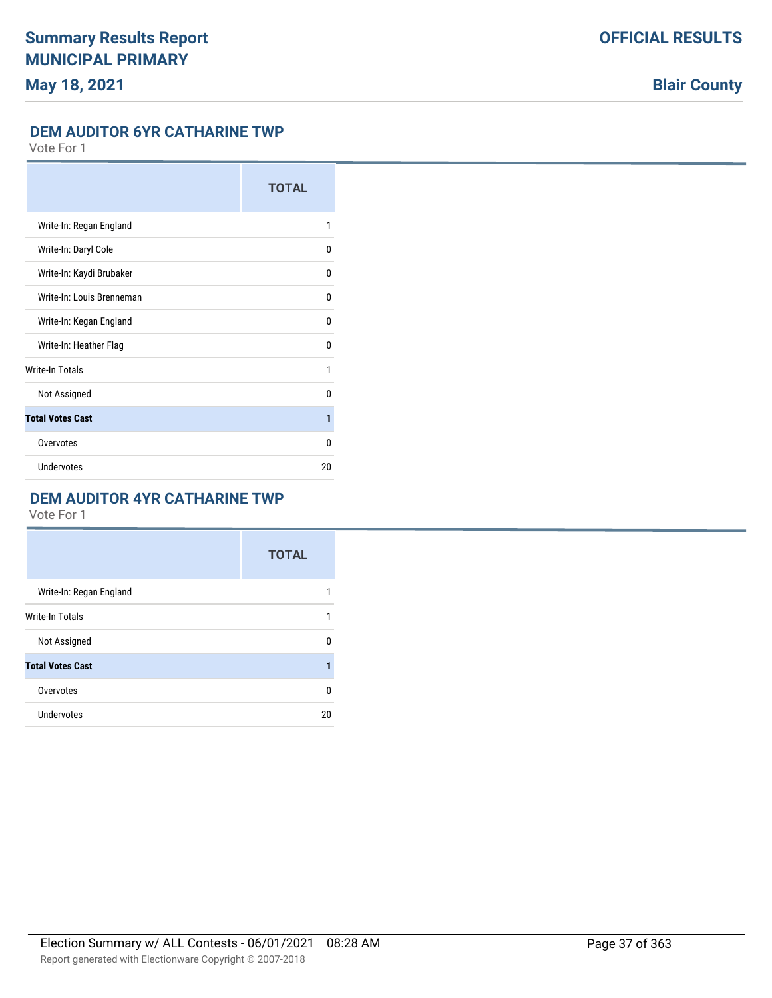#### **DEM AUDITOR 6YR CATHARINE TWP**

Vote For 1

|                           | <b>TOTAL</b> |
|---------------------------|--------------|
| Write-In: Regan England   | 1            |
| Write-In: Daryl Cole      | 0            |
| Write-In: Kaydi Brubaker  | 0            |
| Write-In: Louis Brenneman | 0            |
| Write-In: Kegan England   | 0            |
| Write-In: Heather Flag    | 0            |
| <b>Write-In Totals</b>    | 1            |
| Not Assigned              | <sup>0</sup> |
| <b>Total Votes Cast</b>   | 1            |
| Overvotes                 | 0            |
| <b>Undervotes</b>         | 20           |

### **DEM AUDITOR 4YR CATHARINE TWP**

|                         | <b>TOTAL</b> |
|-------------------------|--------------|
| Write-In: Regan England | 1            |
| Write-In Totals         | 1            |
| Not Assigned            | 0            |
| <b>Total Votes Cast</b> | 1            |
| Overvotes               | 0            |
| Undervotes              | 20           |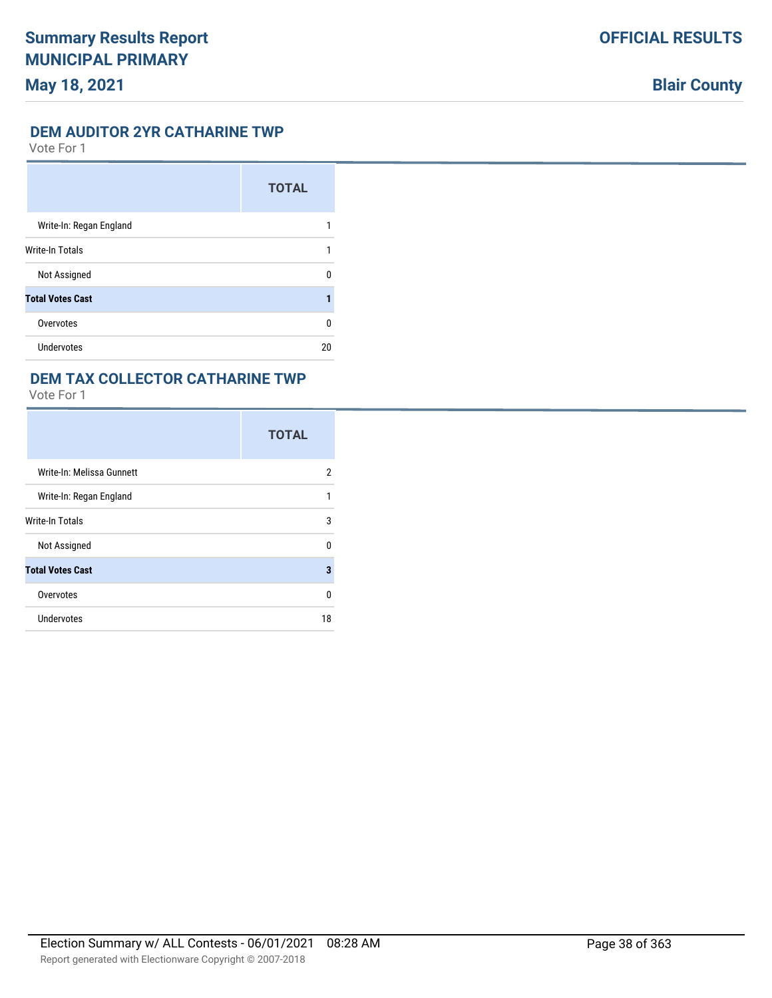#### **DEM AUDITOR 2YR CATHARINE TWP**

Vote For 1

|                         | <b>TOTAL</b> |
|-------------------------|--------------|
| Write-In: Regan England |              |
| Write-In Totals         |              |
| Not Assigned            | n            |
| <b>Total Votes Cast</b> |              |
| Overvotes               | U            |
| <b>Undervotes</b>       | 20           |

### **DEM TAX COLLECTOR CATHARINE TWP**

|                           | <b>TOTAL</b> |
|---------------------------|--------------|
| Write-In: Melissa Gunnett | 2            |
| Write-In: Regan England   | 1            |
| Write-In Totals           | 3            |
| Not Assigned              | 0            |
| <b>Total Votes Cast</b>   | 3            |
| Overvotes                 | 0            |
| <b>Undervotes</b>         | 18           |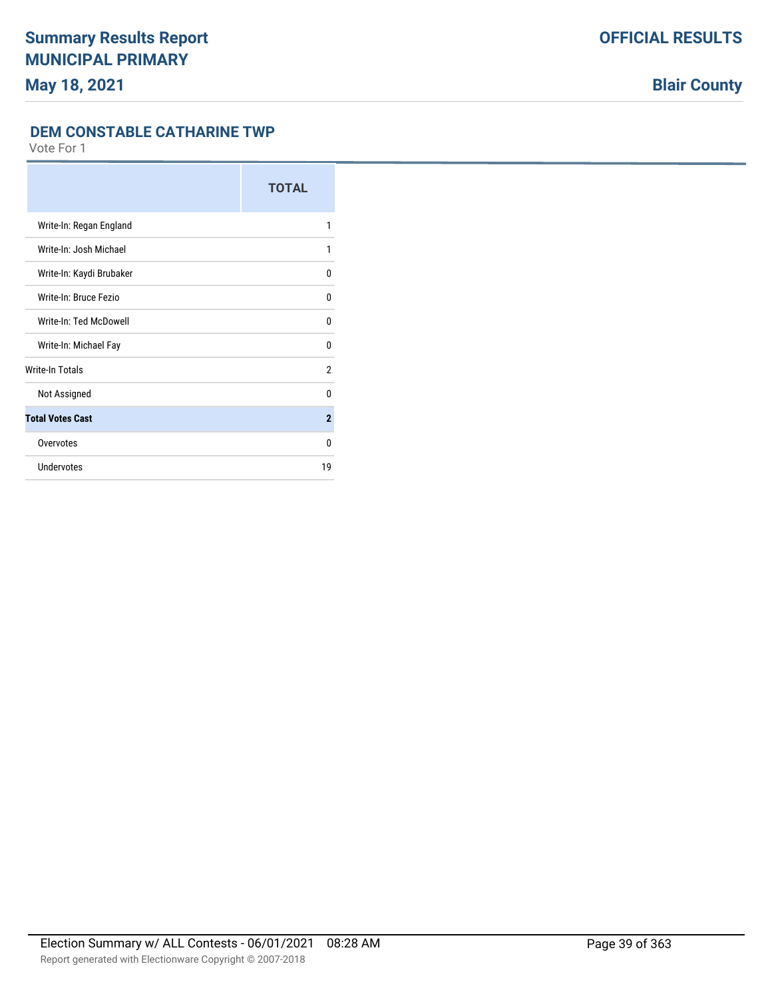#### **DEM CONSTABLE CATHARINE TWP**

|                          | <b>TOTAL</b>   |
|--------------------------|----------------|
| Write-In: Regan England  | 1              |
| Write-In: Josh Michael   | 1              |
| Write-In: Kaydi Brubaker | 0              |
| Write-In: Bruce Fezio    | $\mathbf{0}$   |
| Write-In: Ted McDowell   | $\Omega$       |
| Write-In: Michael Fay    | $\Omega$       |
| Write-In Totals          | $\overline{2}$ |
| Not Assigned             | $\Omega$       |
| <b>Total Votes Cast</b>  | $\overline{2}$ |
| Overvotes                | $\Omega$       |
| <b>Undervotes</b>        | 19             |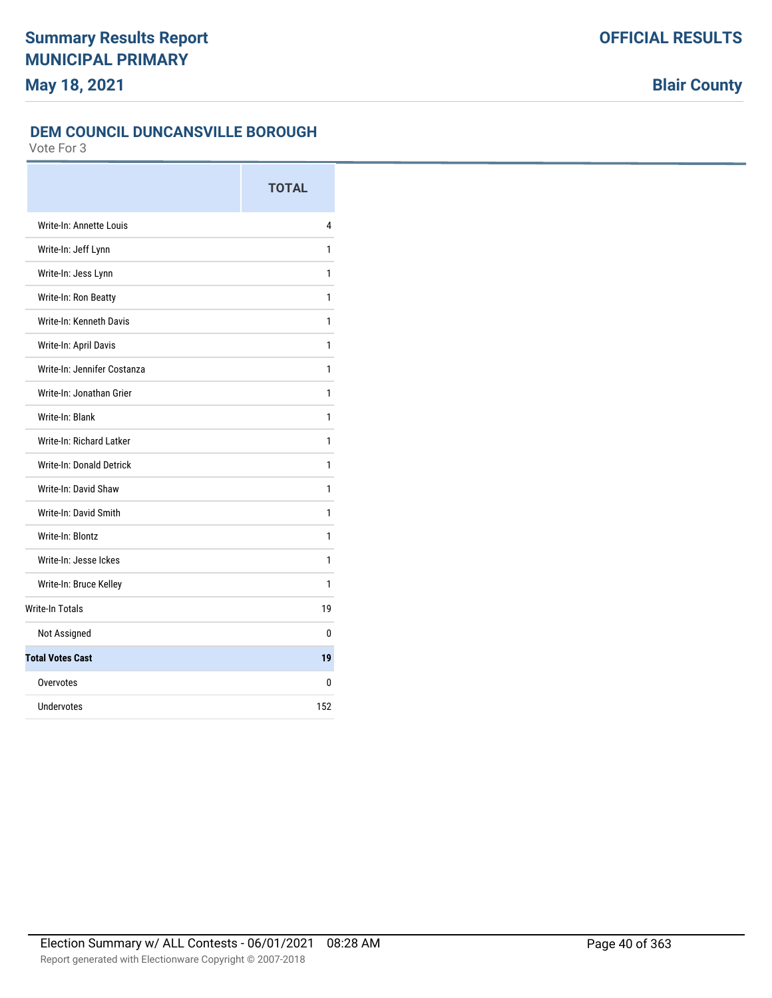### **DEM COUNCIL DUNCANSVILLE BOROUGH**

|                             | <b>TOTAL</b> |
|-----------------------------|--------------|
| Write-In: Annette Louis     | 4            |
| Write-In: Jeff Lynn         | 1            |
| Write-In: Jess Lynn         | 1            |
| Write-In: Ron Beatty        | 1            |
| Write-In: Kenneth Davis     | 1            |
| Write-In: April Davis       | 1            |
| Write-In: Jennifer Costanza | 1            |
| Write-In: Jonathan Grier    | 1            |
| Write-In: Blank             | 1            |
| Write-In: Richard Latker    | 1            |
| Write-In: Donald Detrick    | 1            |
| Write-In: David Shaw        | 1            |
| Write-In: David Smith       | 1            |
| Write-In: Blontz            | 1            |
| Write-In: Jesse Ickes       | 1            |
| Write-In: Bruce Kelley      | 1            |
| <b>Write-In Totals</b>      | 19           |
| Not Assigned                | 0            |
| <b>Total Votes Cast</b>     | 19           |
| Overvotes                   | 0            |
| Undervotes                  | 152          |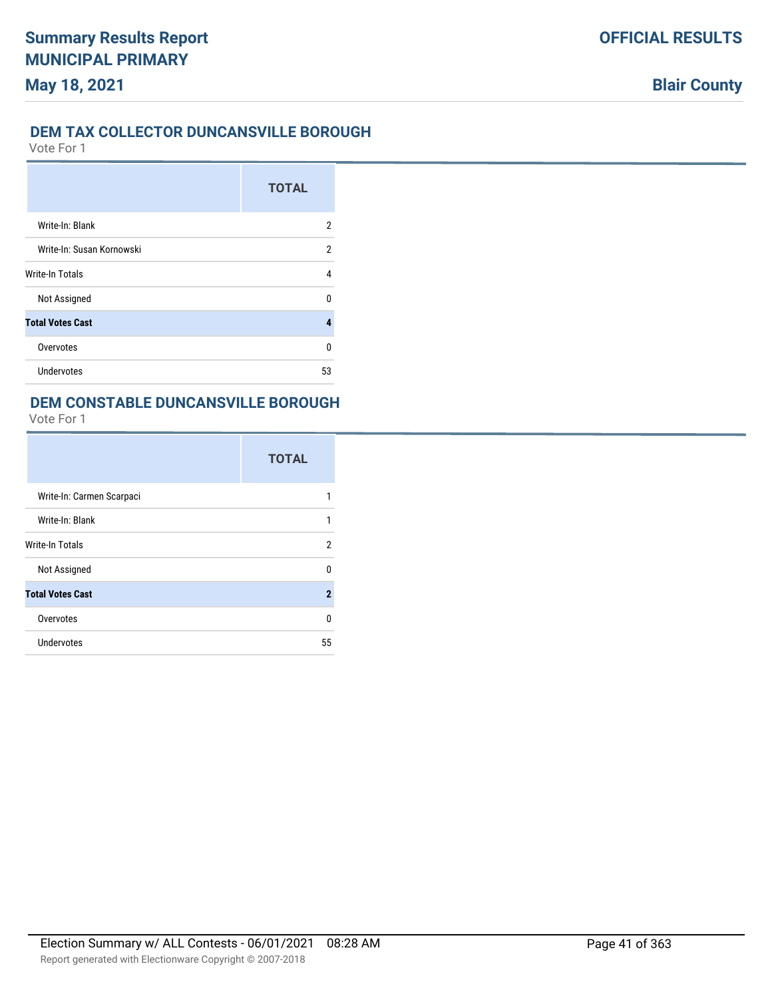### **DEM TAX COLLECTOR DUNCANSVILLE BOROUGH**

Vote For 1

|                           | <b>TOTAL</b> |
|---------------------------|--------------|
| Write-In: Blank           | 2            |
| Write-In: Susan Kornowski | 2            |
| <b>Write-In Totals</b>    | 4            |
| Not Assigned              | n            |
| <b>Total Votes Cast</b>   | Δ            |
| Overvotes                 | U            |
| <b>Undervotes</b>         | 53           |

## **DEM CONSTABLE DUNCANSVILLE BOROUGH**

|                           | <b>TOTAL</b> |
|---------------------------|--------------|
| Write-In: Carmen Scarpaci |              |
| Write-In: Blank           |              |
| Write-In Totals           | 2            |
| Not Assigned              | U            |
| <b>Total Votes Cast</b>   | $\mathbf 2$  |
| Overvotes                 | 0            |
| Undervotes                | 55           |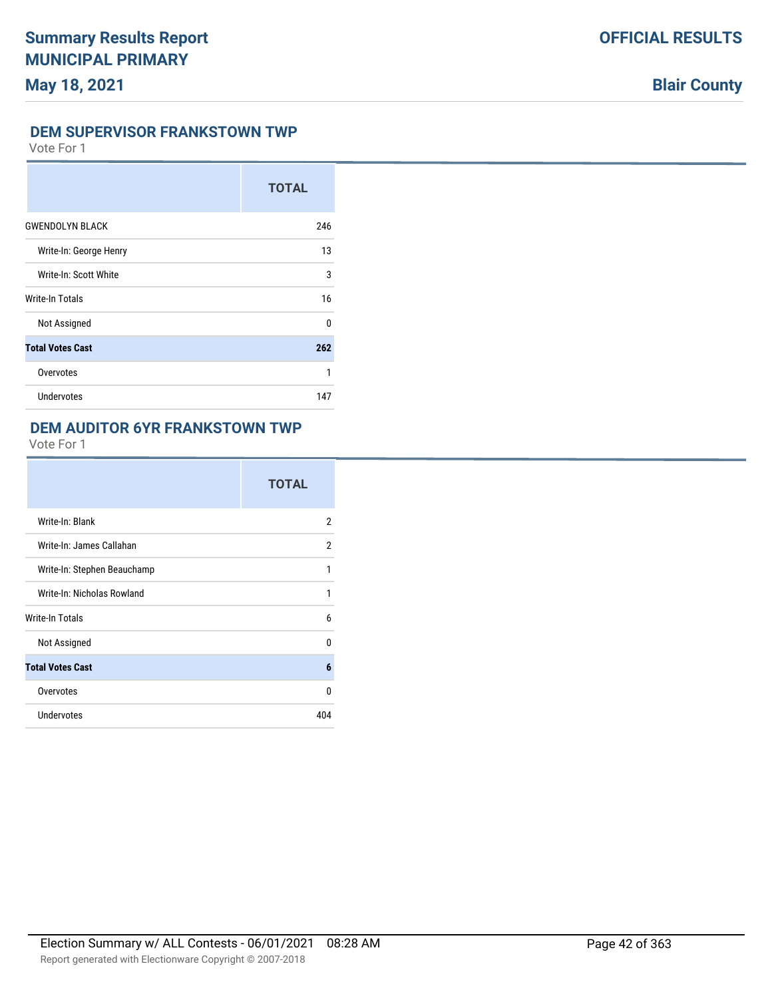#### **DEM SUPERVISOR FRANKSTOWN TWP**

Vote For 1

|                         | <b>TOTAL</b> |
|-------------------------|--------------|
| <b>GWENDOLYN BLACK</b>  | 246          |
| Write-In: George Henry  | 13           |
| Write-In: Scott White   | 3            |
| Write-In Totals         | 16           |
| Not Assigned            | $\Omega$     |
| <b>Total Votes Cast</b> | 262          |
| Overvotes               | 1            |
| Undervotes              | 147          |

### **DEM AUDITOR 6YR FRANKSTOWN TWP**

|                             | <b>TOTAL</b> |
|-----------------------------|--------------|
| Write-In: Blank             | 2            |
| Write-In: James Callahan    | 2            |
| Write-In: Stephen Beauchamp | 1            |
| Write-In: Nicholas Rowland  | 1            |
| Write-In Totals             | 6            |
| Not Assigned                | <sup>0</sup> |
| <b>Total Votes Cast</b>     | 6            |
| Overvotes                   | 0            |
| Undervotes                  | 404          |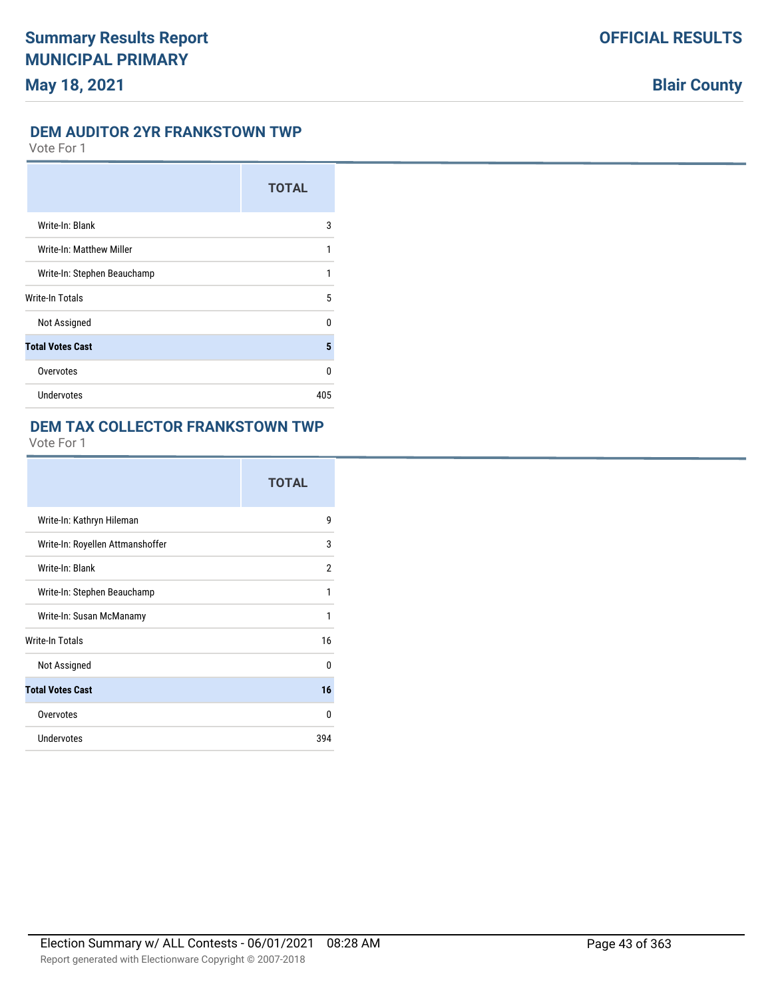#### **DEM AUDITOR 2YR FRANKSTOWN TWP**

Vote For 1

|                             | <b>TOTAL</b> |
|-----------------------------|--------------|
| Write-In: Blank             | 3            |
| Write-In: Matthew Miller    | 1            |
| Write-In: Stephen Beauchamp | 1            |
| <b>Write-In Totals</b>      | 5            |
| Not Assigned                | 0            |
| <b>Total Votes Cast</b>     | 5            |
| Overvotes                   | U            |
| Undervotes                  | 405          |

### **DEM TAX COLLECTOR FRANKSTOWN TWP**

|                                  | <b>TOTAL</b> |
|----------------------------------|--------------|
| Write-In: Kathryn Hileman        | 9            |
| Write-In: Royellen Attmanshoffer | 3            |
| Write-In: Blank                  | 2            |
| Write-In: Stephen Beauchamp      | 1            |
| Write-In: Susan McManamy         | 1            |
| <b>Write-In Totals</b>           | 16           |
| Not Assigned                     | 0            |
| <b>Total Votes Cast</b>          | 16           |
| Overvotes                        | $\Omega$     |
| <b>Undervotes</b>                | 394          |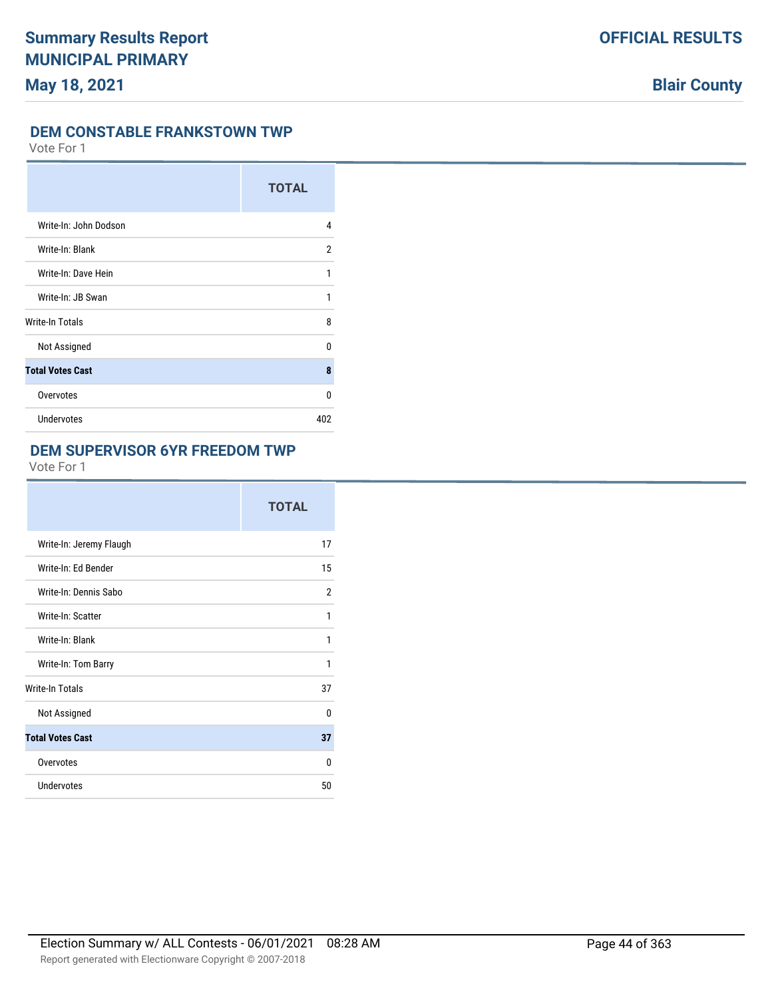#### **DEM CONSTABLE FRANKSTOWN TWP**

Vote For 1

|                         | <b>TOTAL</b>   |
|-------------------------|----------------|
| Write-In: John Dodson   | 4              |
| Write-In: Blank         | $\overline{2}$ |
| Write-In: Dave Hein     | 1              |
| Write-In: JB Swan       | 1              |
| Write-In Totals         | 8              |
| Not Assigned            | $\Omega$       |
| <b>Total Votes Cast</b> | 8              |
| Overvotes               | 0              |
| Undervotes              | 402            |

#### **DEM SUPERVISOR 6YR FREEDOM TWP**

|                         | <b>TOTAL</b> |
|-------------------------|--------------|
| Write-In: Jeremy Flaugh | 17           |
| Write-In: Ed Bender     | 15           |
| Write-In: Dennis Sabo   | 2            |
| Write-In: Scatter       | 1            |
| Write-In: Blank         | 1            |
| Write-In: Tom Barry     | 1            |
| <b>Write-In Totals</b>  | 37           |
| Not Assigned            | 0            |
| <b>Total Votes Cast</b> | 37           |
| Overvotes               | 0            |
| Undervotes              | 50           |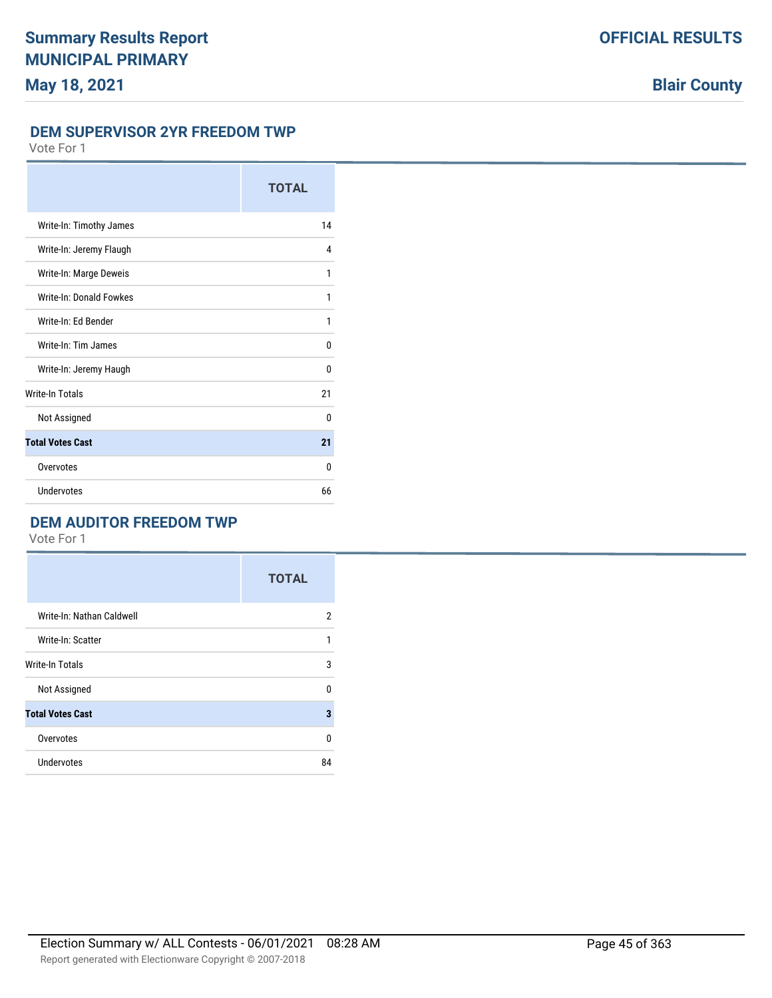#### **DEM SUPERVISOR 2YR FREEDOM TWP**

Vote For 1

|                         | <b>TOTAL</b> |
|-------------------------|--------------|
| Write-In: Timothy James | 14           |
| Write-In: Jeremy Flaugh | 4            |
| Write-In: Marge Deweis  | 1            |
| Write-In: Donald Fowkes | 1            |
| Write-In: Ed Bender     | 1            |
| Write-In: Tim James     | $\Omega$     |
| Write-In: Jeremy Haugh  | $\Omega$     |
| <b>Write-In Totals</b>  | 21           |
| Not Assigned            | 0            |
| <b>Total Votes Cast</b> | 21           |
| Overvotes               | $\Omega$     |
| Undervotes              | 66           |

## **DEM AUDITOR FREEDOM TWP**

|                           | <b>TOTAL</b>   |
|---------------------------|----------------|
| Write-In: Nathan Caldwell | $\overline{2}$ |
| Write-In: Scatter         | 1              |
| Write-In Totals           | 3              |
| Not Assigned              | $\Omega$       |
| <b>Total Votes Cast</b>   | 3              |
| Overvotes                 | 0              |
| <b>Undervotes</b>         | 84             |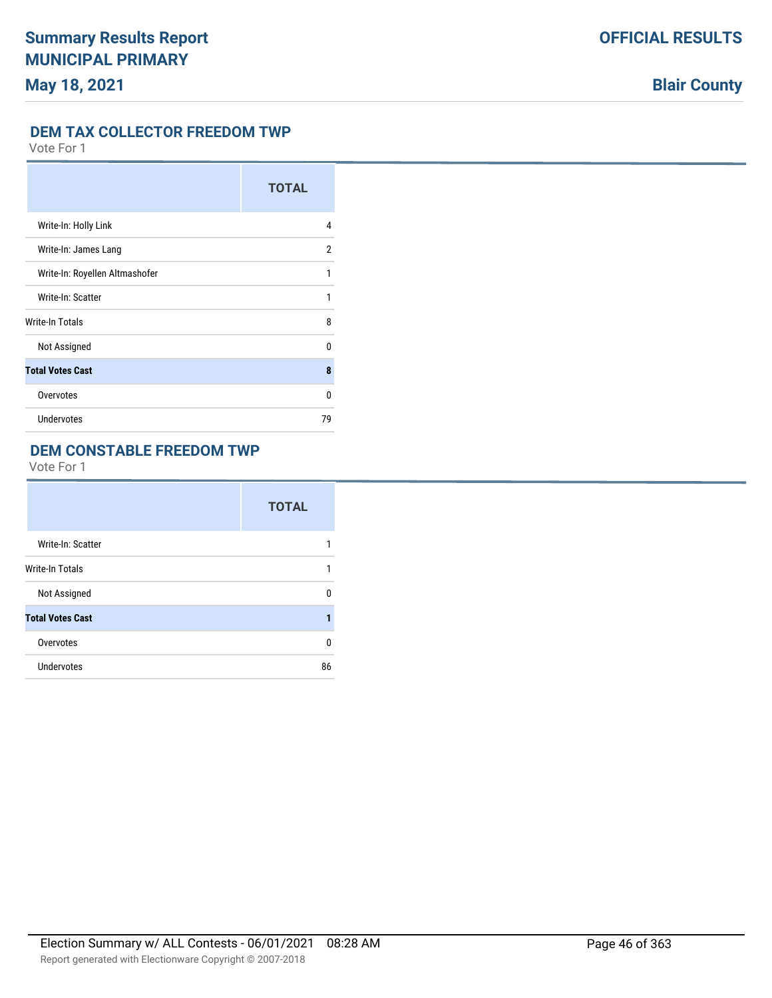## **DEM TAX COLLECTOR FREEDOM TWP**

Vote For 1

|                                | <b>TOTAL</b> |
|--------------------------------|--------------|
| Write-In: Holly Link           | 4            |
| Write-In: James Lang           | 2            |
| Write-In: Royellen Altmashofer | 1            |
| Write-In: Scatter              | 1            |
| <b>Write-In Totals</b>         | 8            |
| Not Assigned                   | $\Omega$     |
| <b>Total Votes Cast</b>        | 8            |
| Overvotes                      | 0            |
| Undervotes                     | 79           |

## **DEM CONSTABLE FREEDOM TWP**

|                         | <b>TOTAL</b> |
|-------------------------|--------------|
| Write-In: Scatter       |              |
| <b>Write-In Totals</b>  |              |
| Not Assigned            | 0            |
| <b>Total Votes Cast</b> | 1            |
| Overvotes               | 0            |
| Undervotes              | 86           |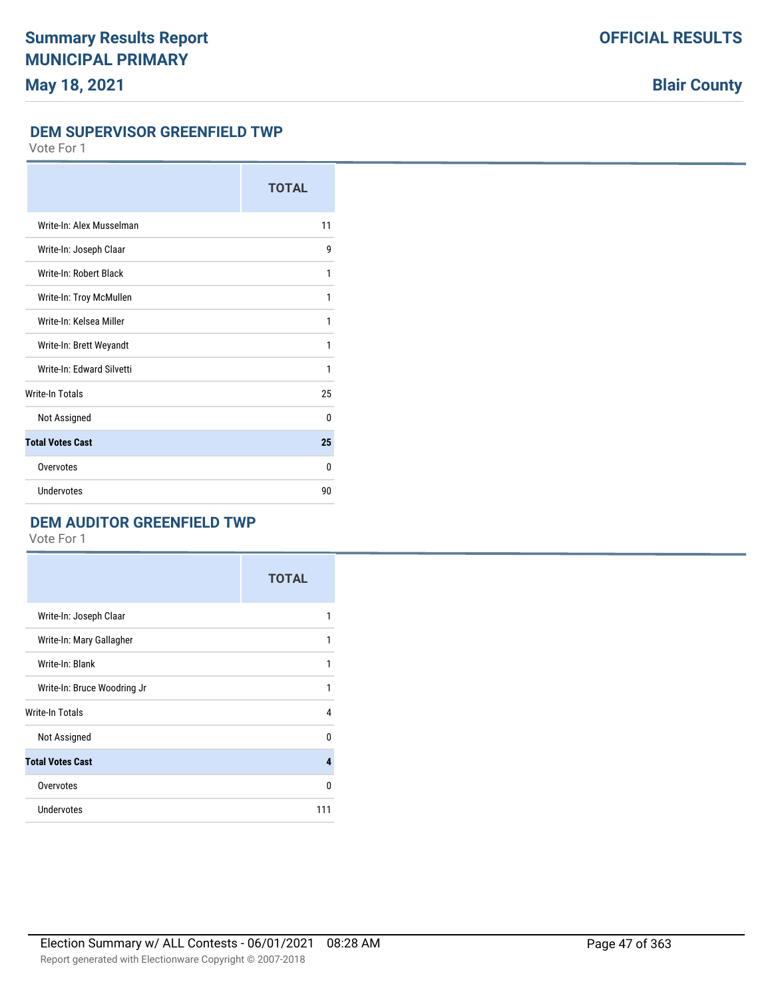#### **DEM SUPERVISOR GREENFIELD TWP**

Vote For 1

|                           | <b>TOTAL</b> |
|---------------------------|--------------|
| Write-In: Alex Musselman  | 11           |
| Write-In: Joseph Claar    | 9            |
| Write-In: Robert Black    | 1            |
| Write-In: Troy McMullen   | 1            |
| Write-In: Kelsea Miller   | 1            |
| Write-In: Brett Weyandt   | 1            |
| Write-In: Fdward Silvetti | 1            |
| <b>Write-In Totals</b>    | 25           |
| Not Assigned              | $\Omega$     |
| <b>Total Votes Cast</b>   | 25           |
| Overvotes                 | $\Omega$     |
| Undervotes                | 90           |

## **DEM AUDITOR GREENFIELD TWP**

|                             | <b>TOTAL</b> |
|-----------------------------|--------------|
| Write-In: Joseph Claar      | 1            |
| Write-In: Mary Gallagher    | 1            |
| Write-In: Blank             | 1            |
| Write-In: Bruce Woodring Jr | 1            |
| Write-In Totals             | 4            |
| Not Assigned                | 0            |
| <b>Total Votes Cast</b>     | 4            |
| Overvotes                   | 0            |
| Undervotes                  | 111          |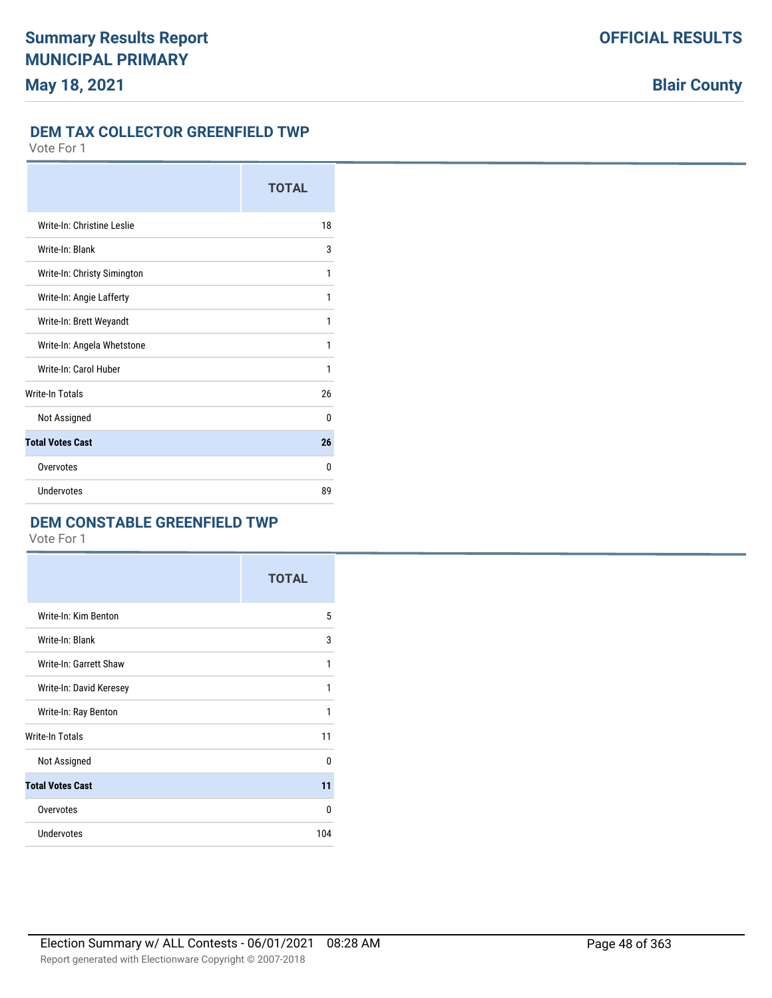#### **DEM TAX COLLECTOR GREENFIELD TWP**

Vote For 1

|                             | <b>TOTAL</b> |
|-----------------------------|--------------|
| Write-In: Christine Leslie  | 18           |
| Write-In: Blank             | 3            |
| Write-In: Christy Simington | 1            |
| Write-In: Angie Lafferty    | 1            |
| Write-In: Brett Weyandt     | 1            |
| Write-In: Angela Whetstone  | 1            |
| Write-In: Carol Huber       | 1            |
| <b>Write-In Totals</b>      | 26           |
| Not Assigned                | $\Omega$     |
| <b>Total Votes Cast</b>     | 26           |
| Overvotes                   | 0            |
| Undervotes                  | 89           |

## **DEM CONSTABLE GREENFIELD TWP**

|                         | <b>TOTAL</b> |
|-------------------------|--------------|
| Write-In: Kim Benton    | 5            |
| Write-In: Blank         | 3            |
| Write-In: Garrett Shaw  | 1            |
| Write-In: David Keresey | 1            |
| Write-In: Ray Benton    | 1            |
| <b>Write-In Totals</b>  | 11           |
| Not Assigned            | 0            |
| <b>Total Votes Cast</b> | 11           |
| Overvotes               | 0            |
| <b>Undervotes</b>       | 104          |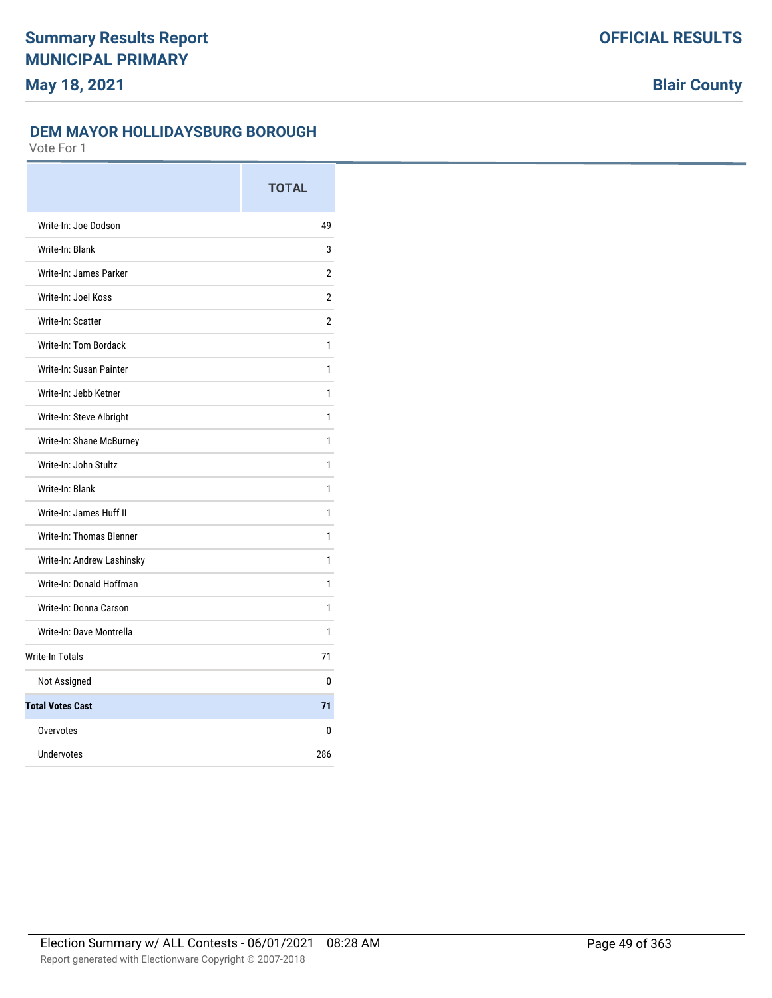## **DEM MAYOR HOLLIDAYSBURG BOROUGH**

|                                 | <b>TOTAL</b>   |
|---------------------------------|----------------|
| Write-In: Joe Dodson            | 49             |
| Write-In: Blank                 | 3              |
| Write-In: James Parker          | 2              |
| Write-In: Joel Koss             | $\overline{2}$ |
| Write-In: Scatter               | 2              |
| <b>Write-In: Tom Bordack</b>    | 1              |
| Write-In: Susan Painter         | 1              |
| Write-In: Jebb Ketner           | 1              |
| Write-In: Steve Albright        | 1              |
| Write-In: Shane McBurney        | 1              |
| Write-In: John Stultz           | 1              |
| Write-In: Blank                 | 1              |
| Write-In: James Huff II         | 1              |
| <b>Write-In: Thomas Blenner</b> | 1              |
| Write-In: Andrew Lashinsky      | 1              |
| Write-In: Donald Hoffman        | 1              |
| Write-In: Donna Carson          | 1              |
| Write-In: Dave Montrella        | 1              |
| <b>Write-In Totals</b>          | 71             |
| Not Assigned                    | 0              |
| <b>Total Votes Cast</b>         | 71             |
| Overvotes                       | 0              |
| <b>Undervotes</b>               | 286            |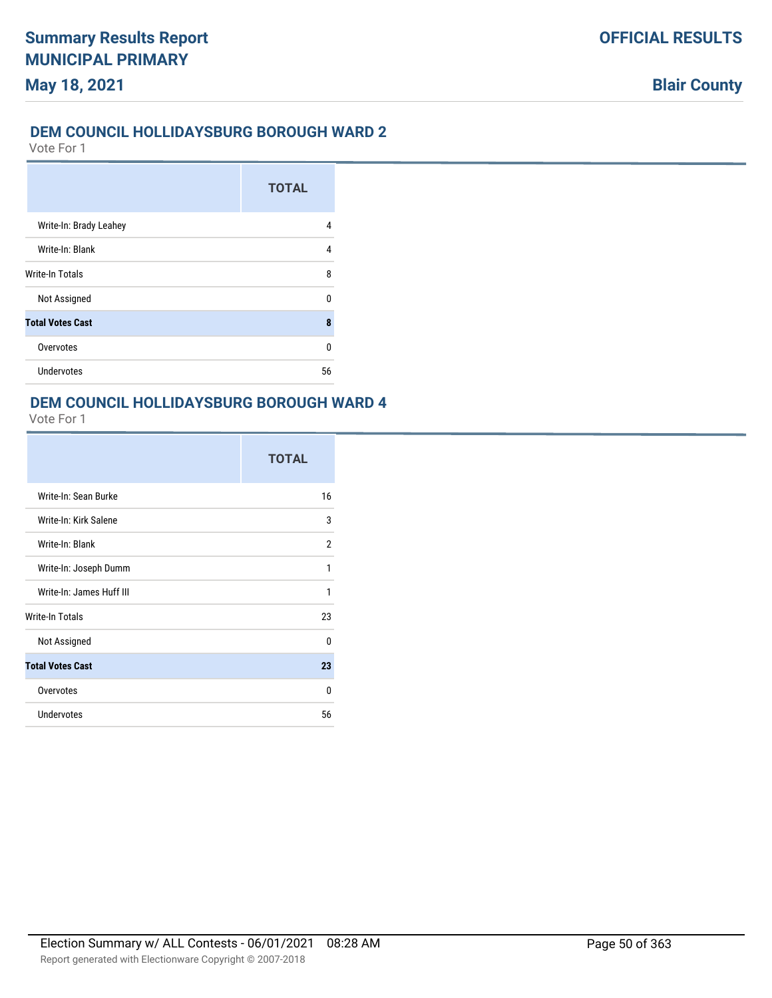### **DEM COUNCIL HOLLIDAYSBURG BOROUGH WARD 2**

Vote For 1

|                         | <b>TOTAL</b> |
|-------------------------|--------------|
| Write-In: Brady Leahey  | 4            |
| Write-In: Blank         | 4            |
| Write-In Totals         | 8            |
| Not Assigned            | n            |
| <b>Total Votes Cast</b> | 8            |
| Overvotes               | ŋ            |
| <b>Undervotes</b>       | 56           |

#### **DEM COUNCIL HOLLIDAYSBURG BOROUGH WARD 4**

|                          | <b>TOTAL</b> |
|--------------------------|--------------|
| Write-In: Sean Burke     | 16           |
| Write-In: Kirk Salene    | 3            |
| Write-In: Blank          | 2            |
| Write-In: Joseph Dumm    | 1            |
| Write-In: James Huff III | 1            |
| Write-In Totals          | 23           |
| Not Assigned             | 0            |
| <b>Total Votes Cast</b>  | 23           |
| Overvotes                | U            |
| <b>Undervotes</b>        | 56           |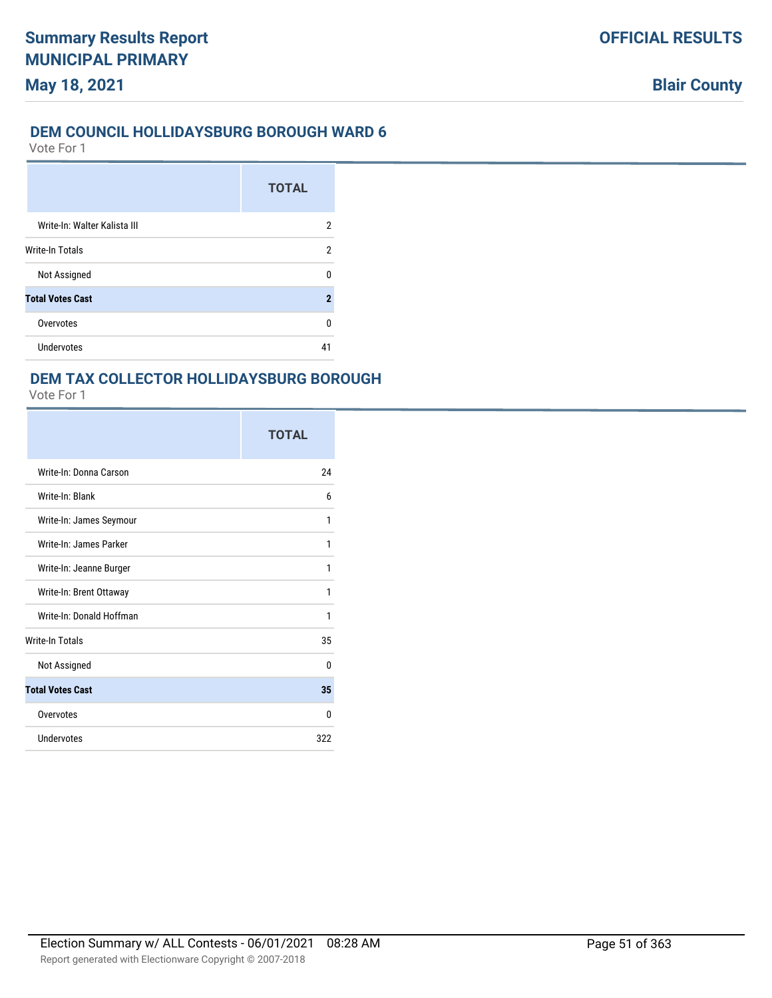#### **DEM COUNCIL HOLLIDAYSBURG BOROUGH WARD 6**

Vote For 1

**May 18, 2021**

|                              | <b>TOTAL</b> |
|------------------------------|--------------|
| Write-In: Walter Kalista III | 2            |
| <b>Write-In Totals</b>       | 2            |
| Not Assigned                 | U            |
| <b>Total Votes Cast</b>      | 2            |
| Overvotes                    | U            |
| Undervotes                   | 41           |

### **DEM TAX COLLECTOR HOLLIDAYSBURG BOROUGH**

|                          | <b>TOTAL</b> |
|--------------------------|--------------|
| Write-In: Donna Carson   | 24           |
| Write-In: Blank          | 6            |
| Write-In: James Seymour  | 1            |
| Write-In: James Parker   | 1            |
| Write-In: Jeanne Burger  | 1            |
| Write-In: Brent Ottaway  | 1            |
| Write-In: Donald Hoffman | 1            |
| <b>Write-In Totals</b>   | 35           |
| Not Assigned             | $\Omega$     |
| <b>Total Votes Cast</b>  | 35           |
| Overvotes                | 0            |
| Undervotes               | 322          |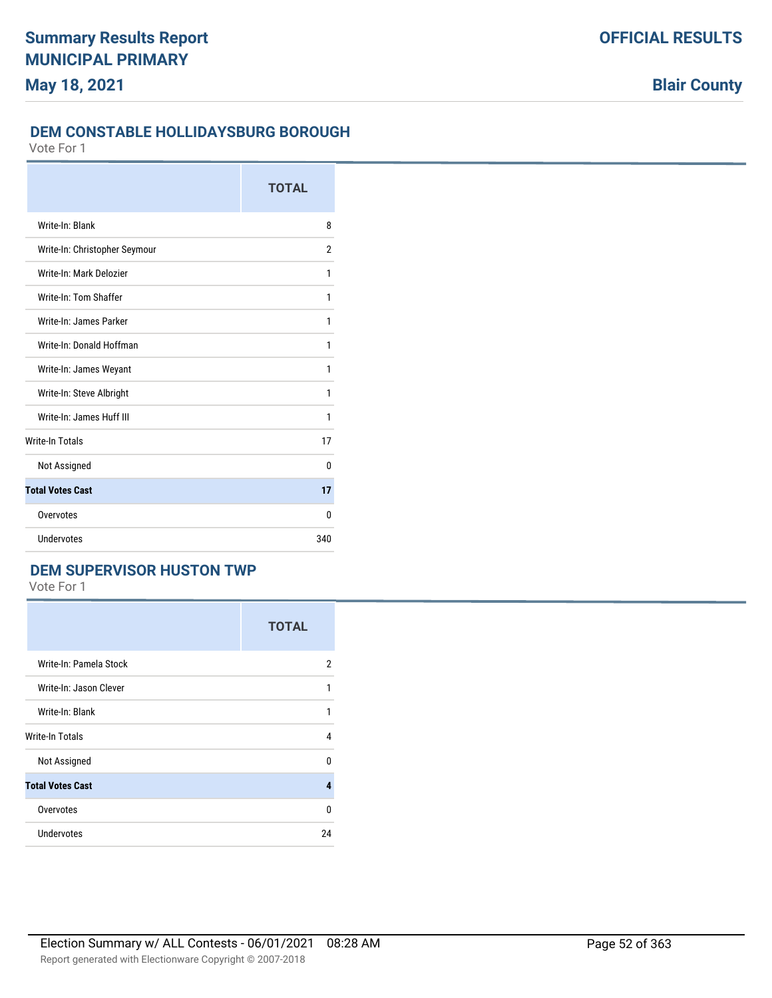### **DEM CONSTABLE HOLLIDAYSBURG BOROUGH**

Vote For 1

|                               | <b>TOTAL</b> |
|-------------------------------|--------------|
| Write-In: Blank               | 8            |
| Write-In: Christopher Seymour | 2            |
| Write-In: Mark Delozier       | 1            |
| Write-In: Tom Shaffer         | 1            |
| Write-In: James Parker        | 1            |
| Write-In: Donald Hoffman      | 1            |
| Write-In: James Weyant        | 1            |
| Write-In: Steve Albright      | 1            |
| Write-In: James Huff III      | 1            |
| <b>Write-In Totals</b>        | 17           |
| Not Assigned                  | 0            |
| <b>Total Votes Cast</b>       | 17           |
| Overvotes                     | 0            |
| Undervotes                    | 340          |

## **DEM SUPERVISOR HUSTON TWP**

|                         | <b>TOTAL</b>   |
|-------------------------|----------------|
| Write-In: Pamela Stock  | $\overline{2}$ |
| Write-In: Jason Clever  | 1              |
| Write-In: Blank         | 1              |
| Write-In Totals         | 4              |
| Not Assigned            | 0              |
| <b>Total Votes Cast</b> | 4              |
| Overvotes               | 0              |
| Undervotes              | 24             |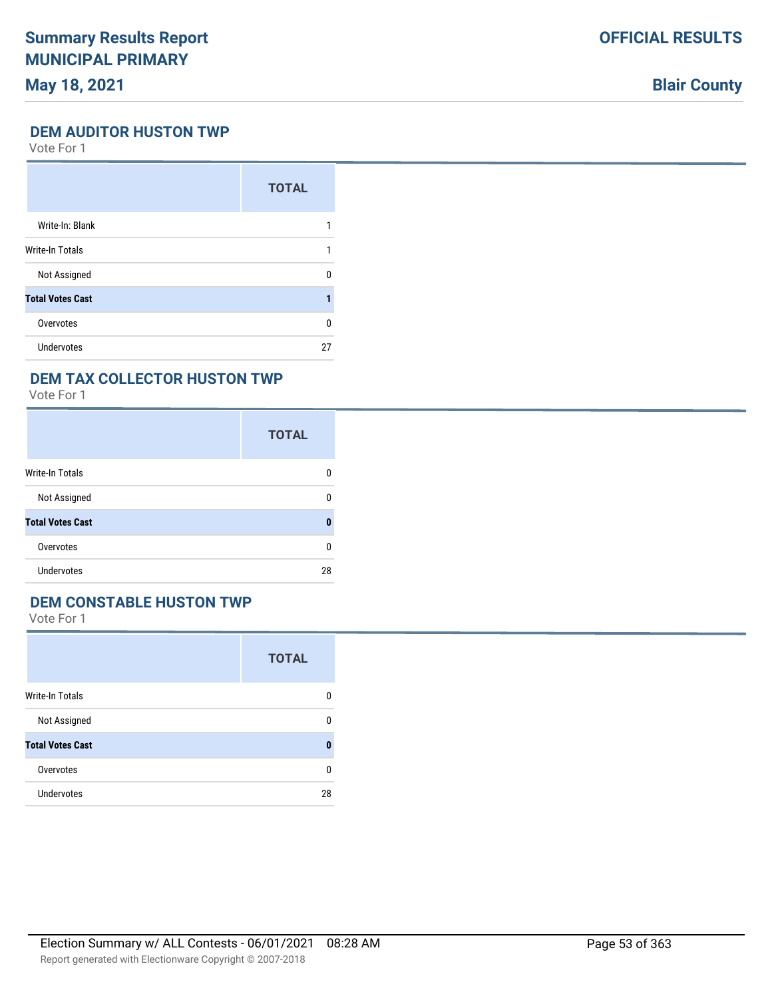## **Blair County**

#### **DEM AUDITOR HUSTON TWP**

Vote For 1

|                         | <b>TOTAL</b> |
|-------------------------|--------------|
| Write-In: Blank         |              |
| <b>Write-In Totals</b>  |              |
| Not Assigned            | U            |
| <b>Total Votes Cast</b> |              |
| Overvotes               | U            |
| <b>Undervotes</b>       | 27           |

### **DEM TAX COLLECTOR HUSTON TWP**

Vote For 1

|                         | <b>TOTAL</b> |
|-------------------------|--------------|
| <b>Write-In Totals</b>  | 0            |
| Not Assigned            | 0            |
| <b>Total Votes Cast</b> | 0            |
| Overvotes               | 0            |
| Undervotes              | 28           |

### **DEM CONSTABLE HUSTON TWP**

|                         | <b>TOTAL</b> |
|-------------------------|--------------|
| <b>Write-In Totals</b>  | 0            |
| Not Assigned            | n            |
| <b>Total Votes Cast</b> | Ω            |
| Overvotes               | n            |
| Undervotes              | 28           |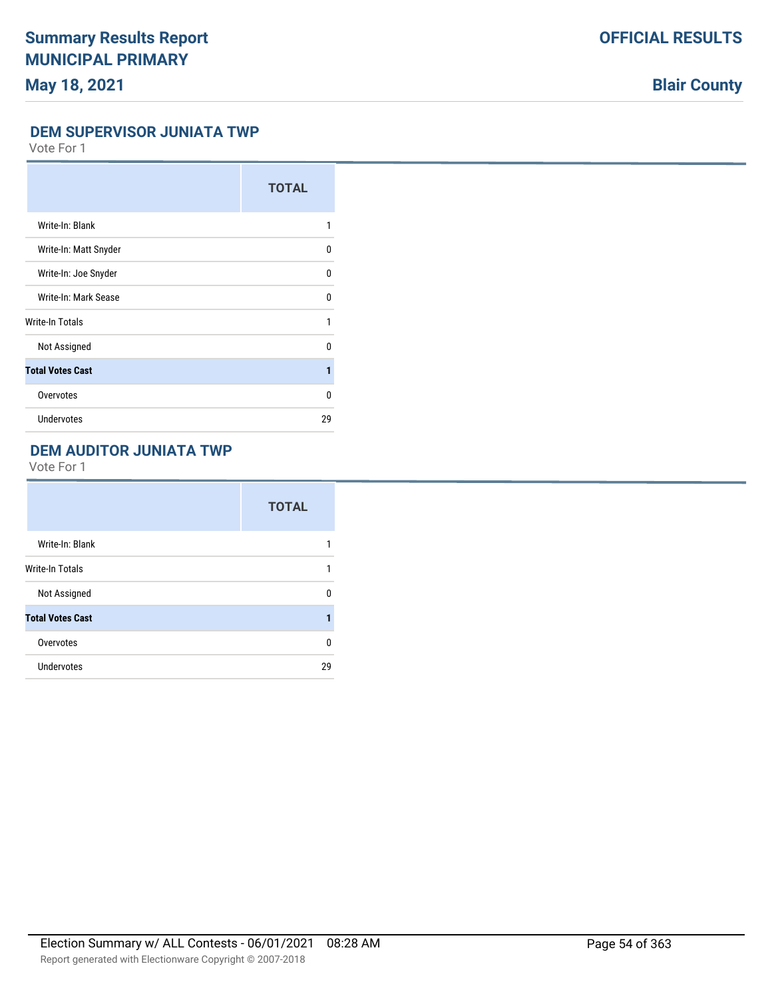# **Blair County**

### **DEM SUPERVISOR JUNIATA TWP**

Vote For 1

|                         | <b>TOTAL</b> |
|-------------------------|--------------|
| Write-In: Blank         | 1            |
| Write-In: Matt Snyder   | 0            |
| Write-In: Joe Snyder    | 0            |
| Write-In: Mark Sease    | 0            |
| Write-In Totals         | 1            |
| Not Assigned            | U            |
| <b>Total Votes Cast</b> | 1            |
| Overvotes               | 0            |
| Undervotes              | 29           |

## **DEM AUDITOR JUNIATA TWP**

|                         | <b>TOTAL</b> |
|-------------------------|--------------|
| Write-In: Blank         | 1            |
| <b>Write-In Totals</b>  | 1            |
| Not Assigned            | 0            |
| <b>Total Votes Cast</b> | 1            |
| Overvotes               | 0            |
| <b>Undervotes</b>       | 29           |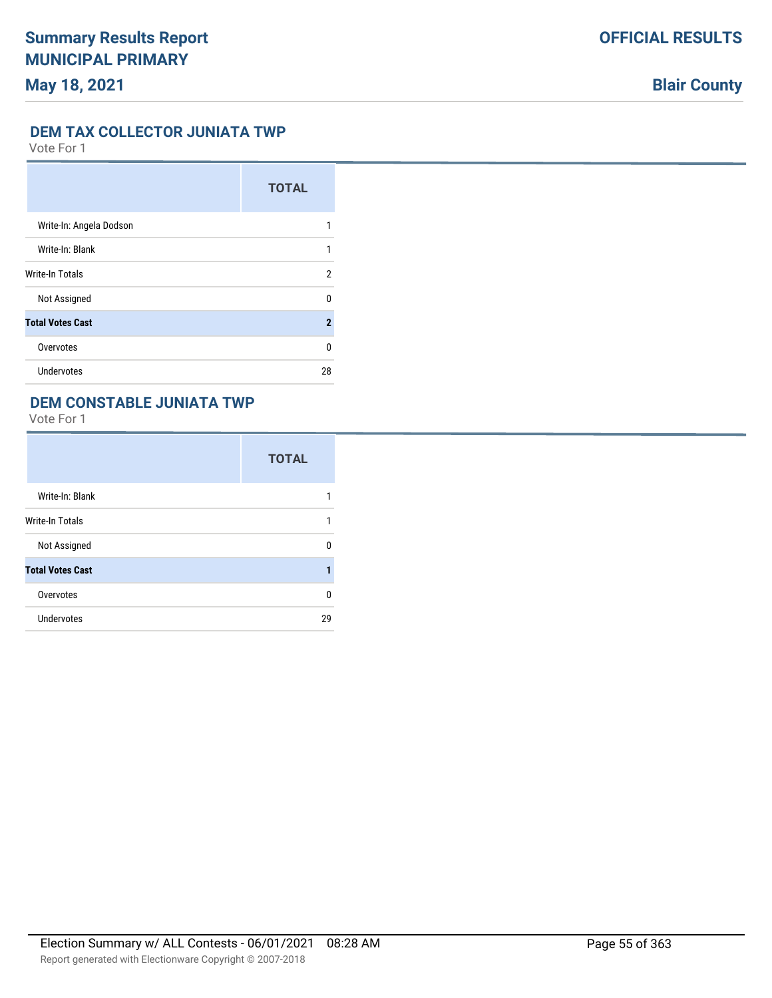#### **DEM TAX COLLECTOR JUNIATA TWP**

Vote For 1

|                         | <b>TOTAL</b>   |
|-------------------------|----------------|
| Write-In: Angela Dodson | 1              |
| Write-In: Blank         | 1              |
| Write-In Totals         | 2              |
| Not Assigned            | U              |
| <b>Total Votes Cast</b> | $\overline{2}$ |
| Overvotes               | U              |
| Undervotes              | 28             |

## **DEM CONSTABLE JUNIATA TWP**

|                         | <b>TOTAL</b> |
|-------------------------|--------------|
| Write-In: Blank         |              |
| <b>Write-In Totals</b>  | 1            |
| Not Assigned            | U            |
| <b>Total Votes Cast</b> |              |
| Overvotes               | 0            |
| Undervotes              | 29           |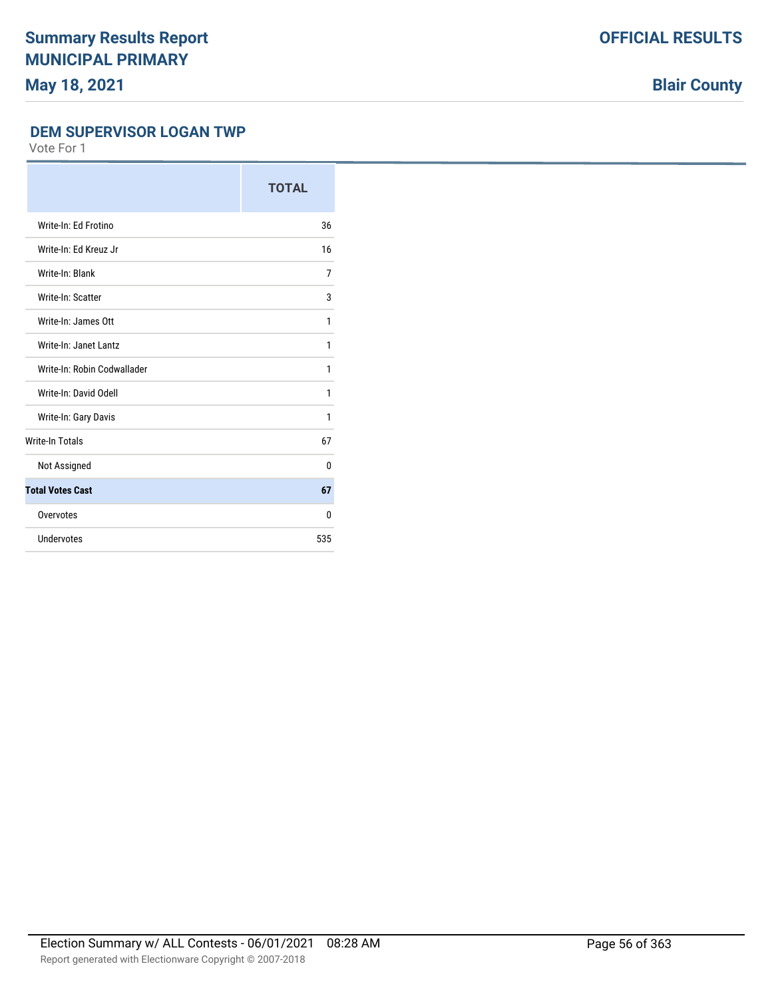# **Blair County**

### **DEM SUPERVISOR LOGAN TWP**

|                             | <b>TOTAL</b> |
|-----------------------------|--------------|
| Write-In: Ed Frotino        | 36           |
| Write-In: Ed Kreuz Jr       | 16           |
| Write-In: Blank             | 7            |
| Write-In: Scatter           | 3            |
| Write-In: James Ott         | 1            |
| Write-In: Janet Lantz       | 1            |
| Write-In: Robin Codwallader | 1            |
| Write-In: David Odell       | 1            |
| Write-In: Gary Davis        | 1            |
| <b>Write-In Totals</b>      | 67           |
| Not Assigned                | 0            |
| <b>Total Votes Cast</b>     | 67           |
| Overvotes                   | 0            |
| Undervotes                  | 535          |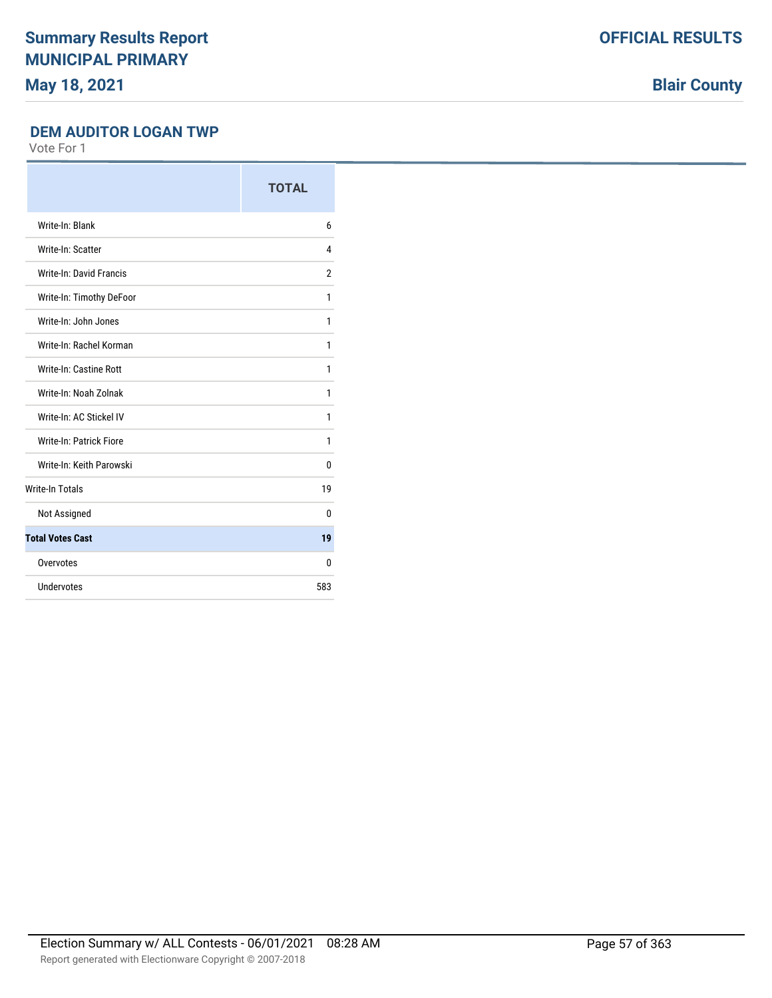**Blair County**

#### **DEM AUDITOR LOGAN TWP**

|                          | <b>TOTAL</b>   |
|--------------------------|----------------|
| Write-In: Blank          | 6              |
| Write-In: Scatter        | 4              |
| Write-In: David Francis  | $\overline{2}$ |
| Write-In: Timothy DeFoor | 1              |
| Write-In: John Jones     | 1              |
| Write-In: Rachel Korman  | 1              |
| Write-In: Castine Rott   | 1              |
| Write-In: Noah Zolnak    | 1              |
| Write-In: AC Stickel IV  | 1              |
| Write-In: Patrick Fiore  | 1              |
| Write-In: Keith Parowski | 0              |
| <b>Write-In Totals</b>   | 19             |
| Not Assigned             | 0              |
| <b>Total Votes Cast</b>  | 19             |
| Overvotes                | 0              |
| Undervotes               | 583            |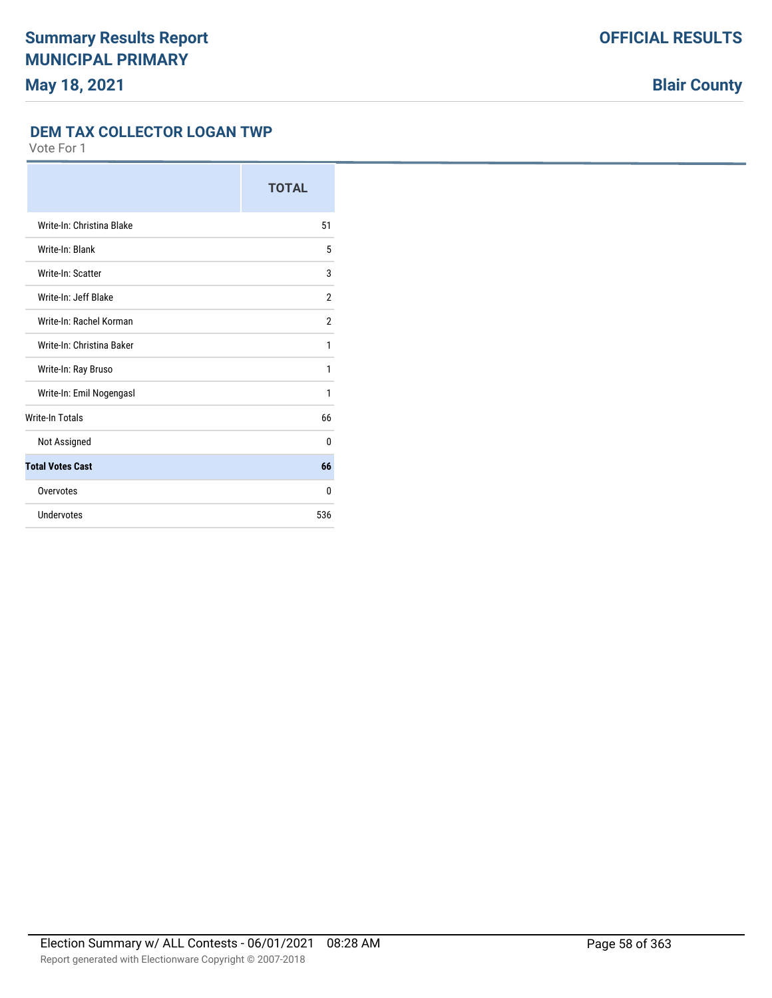#### **DEM TAX COLLECTOR LOGAN TWP**

|                           | <b>TOTAL</b>   |
|---------------------------|----------------|
| Write-In: Christina Blake | 51             |
| Write-In: Blank           | 5              |
| Write-In: Scatter         | 3              |
| Write-In: Jeff Blake      | $\overline{2}$ |
| Write-In: Rachel Korman   | $\overline{2}$ |
| Write-In: Christina Baker | 1              |
| Write-In: Ray Bruso       | 1              |
| Write-In: Emil Nogengasl  | 1              |
| <b>Write-In Totals</b>    | 66             |
| Not Assigned              | $\Omega$       |
| <b>Total Votes Cast</b>   | 66             |
| Overvotes                 | $\Omega$       |
| Undervotes                | 536            |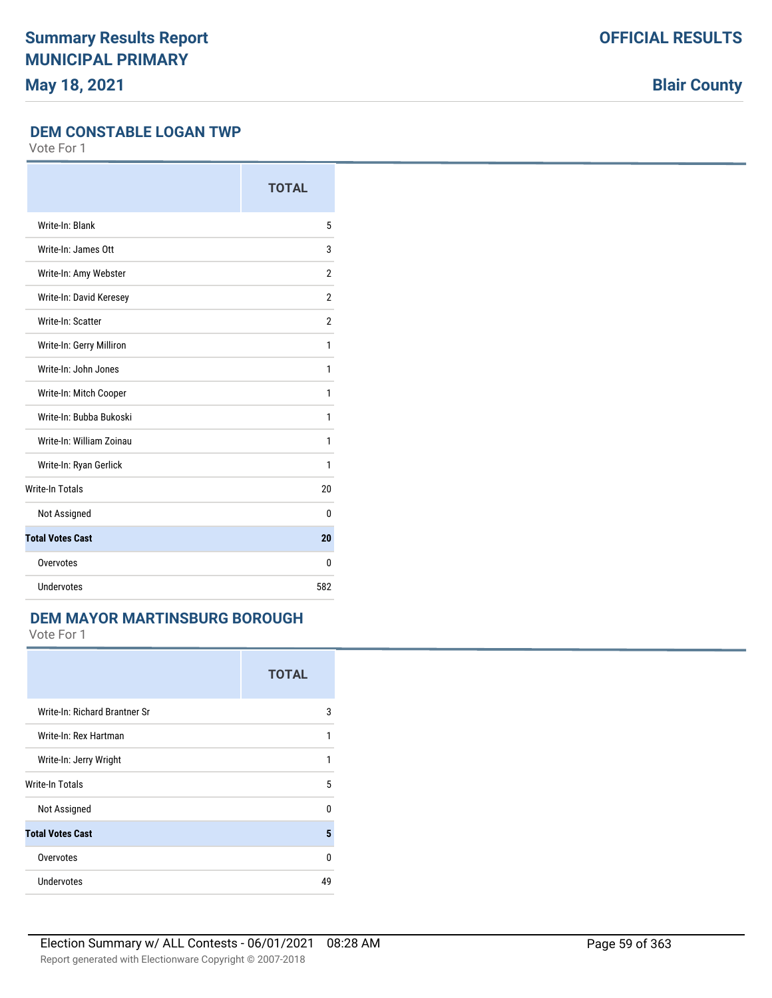**Blair County**

#### **DEM CONSTABLE LOGAN TWP**

Vote For 1

|                          | <b>TOTAL</b>   |
|--------------------------|----------------|
| Write-In: Blank          | 5              |
| Write-In: James Ott      | 3              |
| Write-In: Amy Webster    | $\overline{2}$ |
| Write-In: David Keresey  | $\overline{2}$ |
| Write-In: Scatter        | $\overline{2}$ |
| Write-In: Gerry Milliron | 1              |
| Write-In: John Jones     | 1              |
| Write-In: Mitch Cooper   | 1              |
| Write-In: Bubba Bukoski  | 1              |
| Write-In: William Zoinau | 1              |
| Write-In: Ryan Gerlick   | 1              |
| <b>Write-In Totals</b>   | 20             |
| Not Assigned             | 0              |
| <b>Total Votes Cast</b>  | 20             |
| Overvotes                | $\Omega$       |
| Undervotes               | 582            |

## **DEM MAYOR MARTINSBURG BOROUGH**

|                               | <b>TOTAL</b> |
|-------------------------------|--------------|
| Write-In: Richard Brantner Sr | 3            |
| Write-In: Rex Hartman         | 1            |
| Write-In: Jerry Wright        | 1            |
| Write-In Totals               | 5            |
| Not Assigned                  | U            |
| <b>Total Votes Cast</b>       | 5            |
| Overvotes                     | U            |
| Undervotes                    | 49           |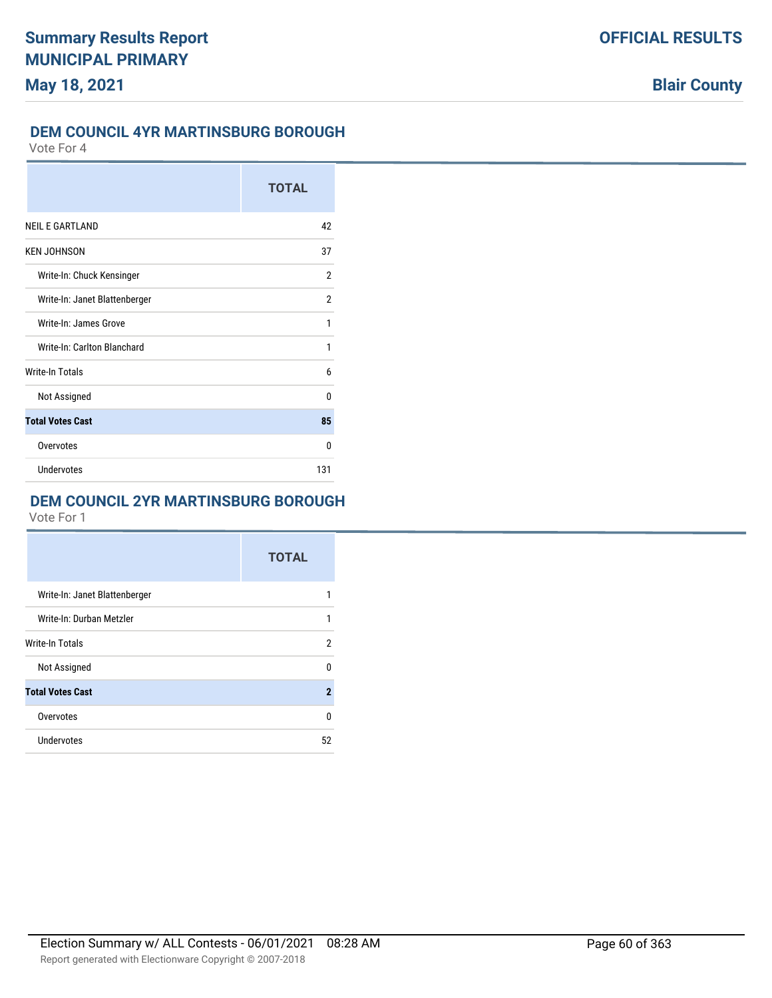### **DEM COUNCIL 4YR MARTINSBURG BOROUGH**

Vote For 4

|                               | <b>TOTAL</b> |
|-------------------------------|--------------|
| <b>NEIL E GARTLAND</b>        | 42           |
| <b>KEN JOHNSON</b>            | 37           |
| Write-In: Chuck Kensinger     | 2            |
| Write-In: Janet Blattenberger | 2            |
| Write-In: James Grove         | 1            |
| Write-In: Carlton Blanchard   | 1            |
| <b>Write-In Totals</b>        | 6            |
| Not Assigned                  | 0            |
| <b>Total Votes Cast</b>       | 85           |
| Overvotes                     | 0            |
| Undervotes                    | 131          |

## **DEM COUNCIL 2YR MARTINSBURG BOROUGH**

|                               | <b>TOTAL</b> |
|-------------------------------|--------------|
| Write-In: Janet Blattenberger | 1            |
| Write-In: Durban Metzler      | 1            |
| Write-In Totals               | 2            |
| Not Assigned                  | 0            |
| <b>Total Votes Cast</b>       | $\mathbf{2}$ |
| Overvotes                     | $\Omega$     |
| Undervotes                    | 52           |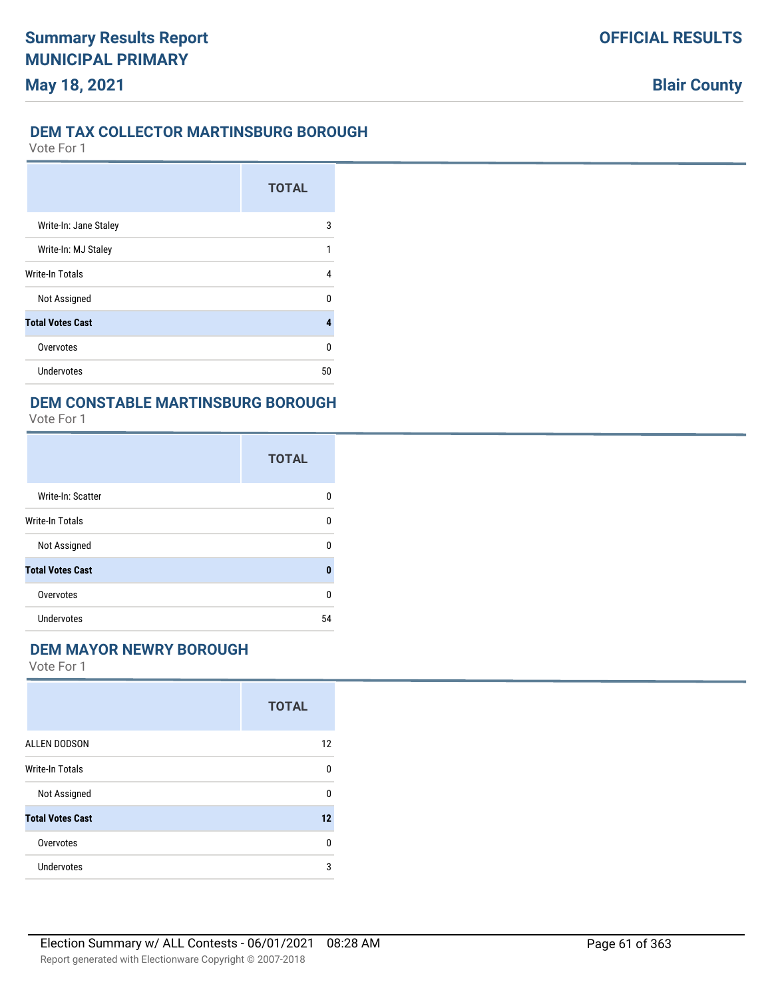## **DEM TAX COLLECTOR MARTINSBURG BOROUGH**

Vote For 1

|                         | <b>TOTAL</b> |
|-------------------------|--------------|
| Write-In: Jane Staley   | 3            |
| Write-In: MJ Staley     | 1            |
| <b>Write-In Totals</b>  | 4            |
| Not Assigned            | n            |
| <b>Total Votes Cast</b> | 4            |
| Overvotes               | U            |
| Undervotes              | 50           |

### **DEM CONSTABLE MARTINSBURG BOROUGH**

Vote For 1

|                         | <b>TOTAL</b> |
|-------------------------|--------------|
| Write-In: Scatter       | n            |
| Write-In Totals         | 0            |
| Not Assigned            | 0            |
| <b>Total Votes Cast</b> | 0            |
| Overvotes               | $\Omega$     |
| <b>Undervotes</b>       | 54           |

### **DEM MAYOR NEWRY BOROUGH**

|                         | <b>TOTAL</b> |
|-------------------------|--------------|
| <b>ALLEN DODSON</b>     | 12           |
| <b>Write-In Totals</b>  | 0            |
| Not Assigned            | 0            |
| <b>Total Votes Cast</b> | 12           |
| Overvotes               | 0            |
| Undervotes              | 3            |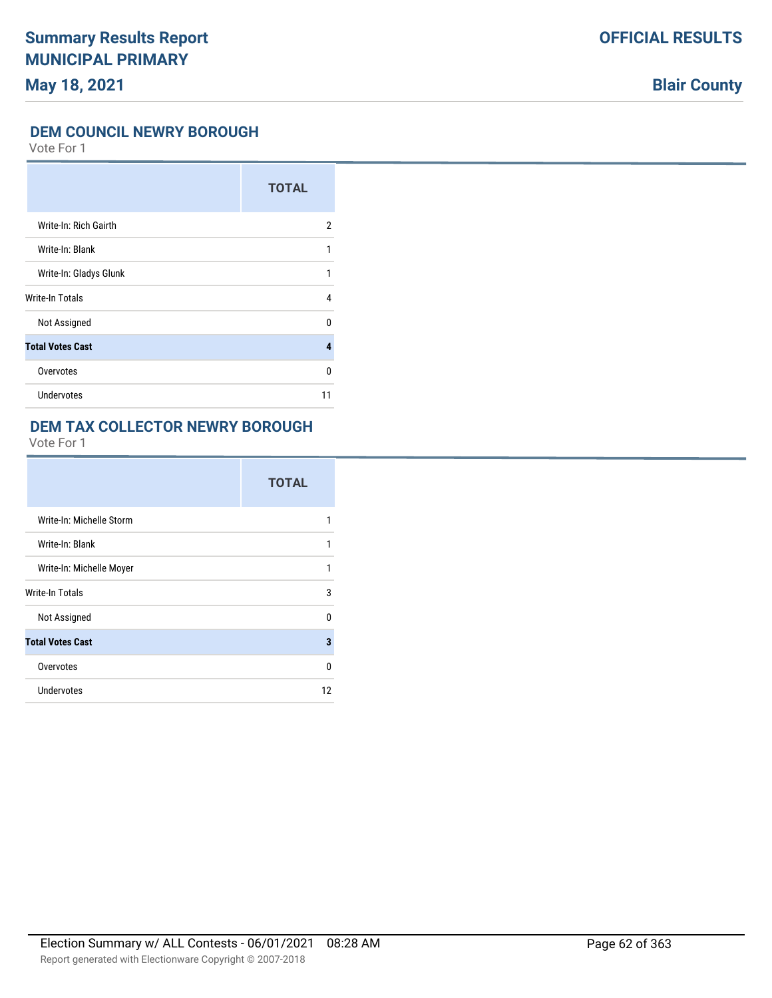# **Blair County**

#### **DEM COUNCIL NEWRY BOROUGH**

Vote For 1

|                         | <b>TOTAL</b> |
|-------------------------|--------------|
| Write-In: Rich Gairth   | 2            |
| Write-In: Blank         | 1            |
| Write-In: Gladys Glunk  | 1            |
| Write-In Totals         | 4            |
| Not Assigned            | U            |
| <b>Total Votes Cast</b> | 4            |
| Overvotes               | U            |
| Undervotes              | 11           |

### **DEM TAX COLLECTOR NEWRY BOROUGH**

|                          | <b>TOTAL</b> |
|--------------------------|--------------|
| Write-In: Michelle Storm | 1            |
| Write-In: Blank          | 1            |
| Write-In: Michelle Moyer | 1            |
| Write-In Totals          | 3            |
| Not Assigned             | 0            |
| <b>Total Votes Cast</b>  | 3            |
| Overvotes                | $\Omega$     |
| Undervotes               | 12           |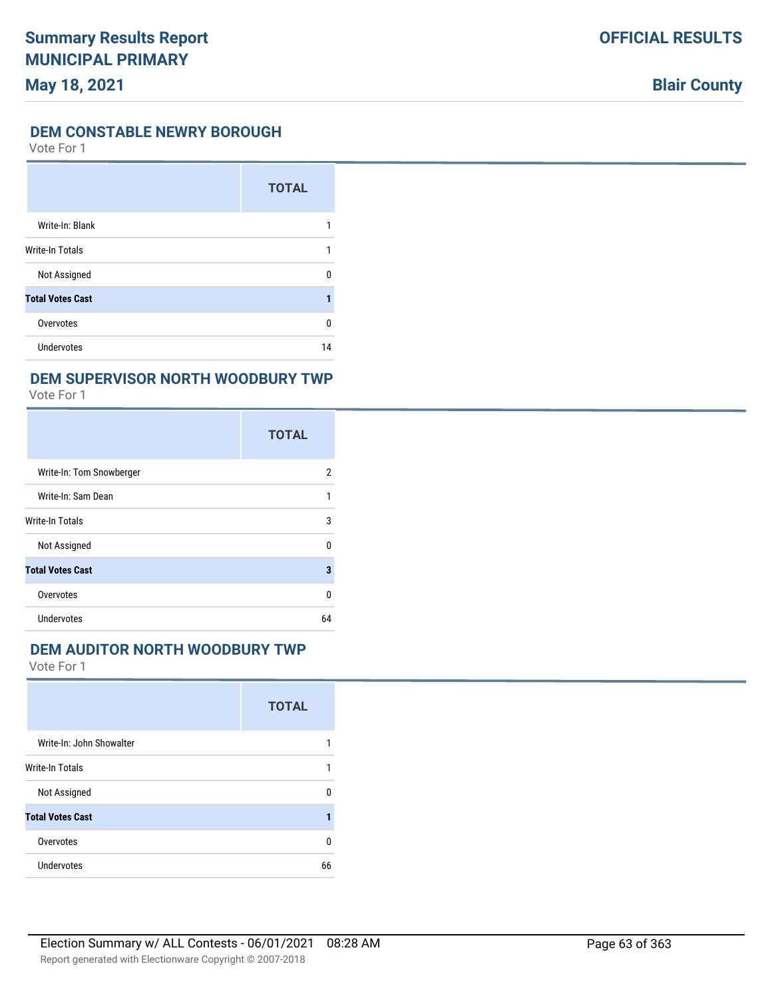#### **DEM CONSTABLE NEWRY BOROUGH**

Vote For 1

|                         | <b>TOTAL</b> |
|-------------------------|--------------|
| Write-In: Blank         |              |
| <b>Write-In Totals</b>  |              |
| Not Assigned            | ŋ            |
| <b>Total Votes Cast</b> |              |
| Overvotes               | 0            |
| Undervotes              | 14           |

## **DEM SUPERVISOR NORTH WOODBURY TWP**

Vote For 1

|                          | <b>TOTAL</b> |
|--------------------------|--------------|
| Write-In: Tom Snowberger | 2            |
| Write-In: Sam Dean       | 1            |
| Write-In Totals          | 3            |
| Not Assigned             | 0            |
| <b>Total Votes Cast</b>  | 3            |
| Overvotes                | 0            |
| Undervotes               | 64           |

#### **DEM AUDITOR NORTH WOODBURY TWP**

|                          | <b>TOTAL</b> |
|--------------------------|--------------|
| Write-In: John Showalter |              |
| <b>Write-In Totals</b>   |              |
| Not Assigned             | U            |
| <b>Total Votes Cast</b>  |              |
| Overvotes                | 0            |
| <b>Undervotes</b>        | 66           |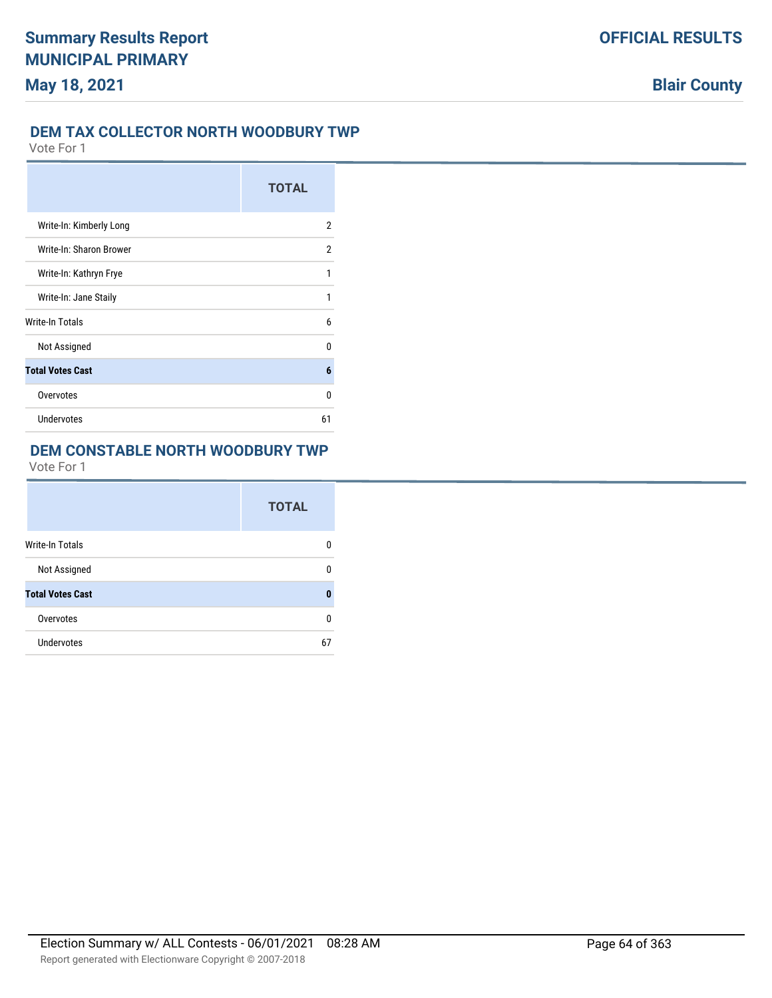## **DEM TAX COLLECTOR NORTH WOODBURY TWP**

Vote For 1

|                         | <b>TOTAL</b> |
|-------------------------|--------------|
| Write-In: Kimberly Long | 2            |
| Write-In: Sharon Brower | 2            |
| Write-In: Kathryn Frye  | 1            |
| Write-In: Jane Staily   | 1            |
| Write-In Totals         | 6            |
| Not Assigned            | U            |
| <b>Total Votes Cast</b> | 6            |
| Overvotes               | U            |
| Undervotes              | 61           |

## **DEM CONSTABLE NORTH WOODBURY TWP**

|                         | <b>TOTAL</b> |
|-------------------------|--------------|
| <b>Write-In Totals</b>  | n            |
| Not Assigned            | n            |
| <b>Total Votes Cast</b> |              |
| Overvotes               | n            |
| Undervotes              | 67           |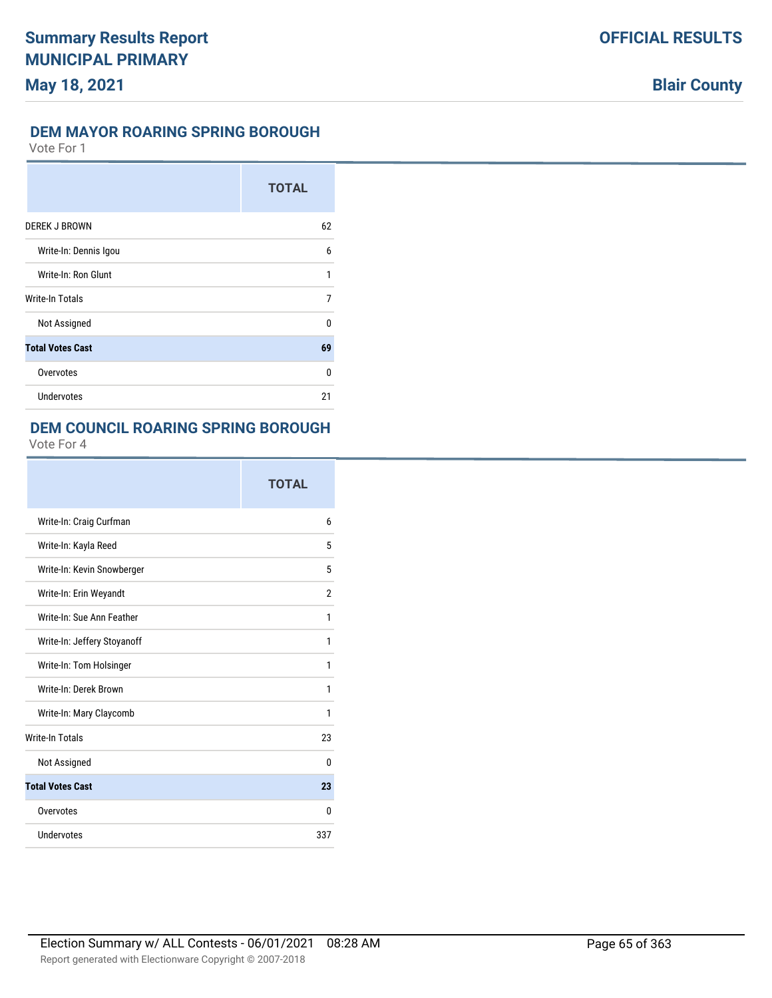#### **DEM MAYOR ROARING SPRING BOROUGH**

Vote For 1

|                         | <b>TOTAL</b> |
|-------------------------|--------------|
| <b>DEREK J BROWN</b>    | 62           |
| Write-In: Dennis Igou   | 6            |
| Write-In: Ron Glunt     | 1            |
| Write-In Totals         | 7            |
| Not Assigned            | $\Omega$     |
| <b>Total Votes Cast</b> | 69           |
| Overvotes               | $\Omega$     |
| <b>Undervotes</b>       | 21           |

## **DEM COUNCIL ROARING SPRING BOROUGH**

|                             | TOTAL          |
|-----------------------------|----------------|
| Write-In: Craig Curfman     | 6              |
| Write-In: Kayla Reed        | 5              |
| Write-In: Kevin Snowberger  | 5              |
| Write-In: Erin Weyandt      | $\overline{2}$ |
| Write-In: Sue Ann Feather   | 1              |
| Write-In: Jeffery Stoyanoff | 1              |
| Write-In: Tom Holsinger     | 1              |
| Write-In: Derek Brown       | 1              |
| Write-In: Mary Claycomb     | 1              |
| <b>Write-In Totals</b>      | 23             |
| Not Assigned                | $\Omega$       |
| <b>Total Votes Cast</b>     | 23             |
| Overvotes                   | 0              |
| Undervotes                  | 337            |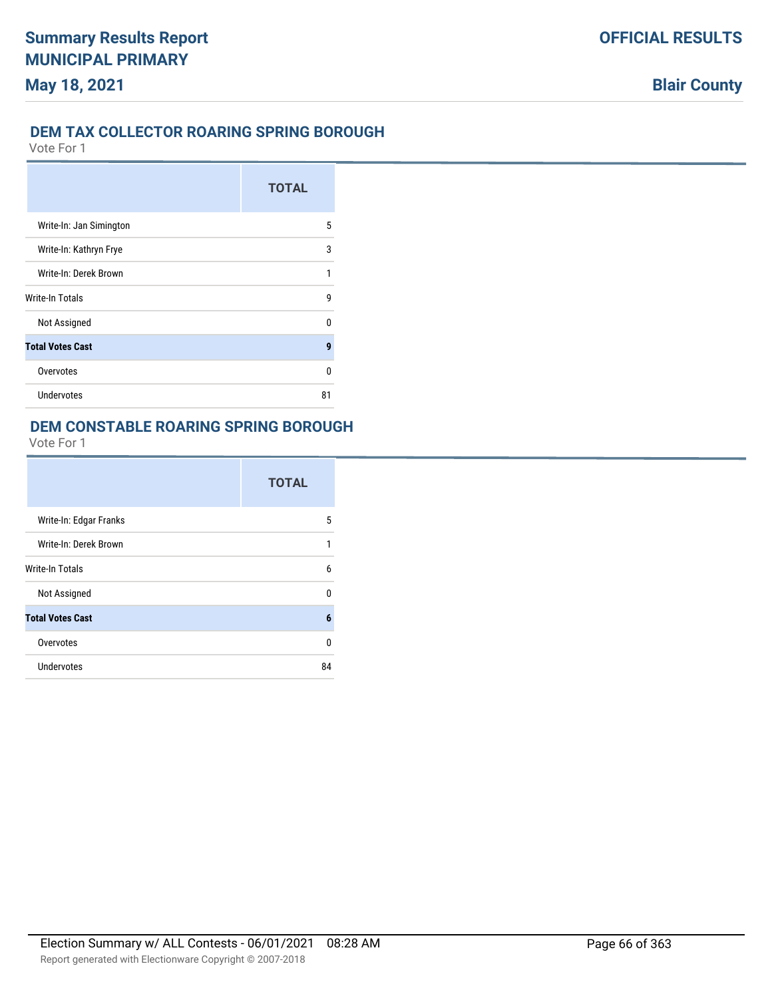### **DEM TAX COLLECTOR ROARING SPRING BOROUGH**

Vote For 1

|                         | <b>TOTAL</b> |
|-------------------------|--------------|
| Write-In: Jan Simington | 5            |
| Write-In: Kathryn Frye  | 3            |
| Write-In: Derek Brown   | 1            |
| Write-In Totals         | g            |
| Not Assigned            | n            |
| <b>Total Votes Cast</b> | 9            |
| Overvotes               | 0            |
| Undervotes              | 81           |

### **DEM CONSTABLE ROARING SPRING BOROUGH**

|                         | <b>TOTAL</b> |
|-------------------------|--------------|
| Write-In: Edgar Franks  | 5            |
| Write-In: Derek Brown   | 1            |
| <b>Write-In Totals</b>  | 6            |
| Not Assigned            | U            |
| <b>Total Votes Cast</b> | 6            |
| Overvotes               | 0            |
| Undervotes              | 84           |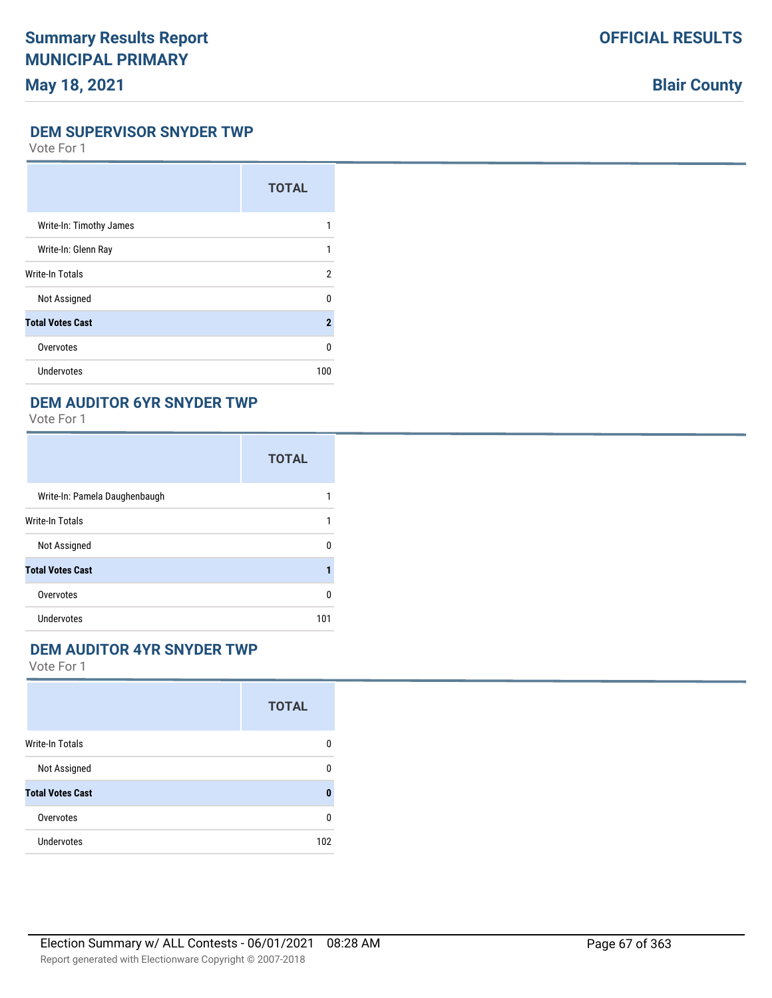# **Blair County**

#### **DEM SUPERVISOR SNYDER TWP**

Vote For 1

|                         | <b>TOTAL</b> |
|-------------------------|--------------|
| Write-In: Timothy James |              |
| Write-In: Glenn Ray     | 1            |
| Write-In Totals         | 2            |
| Not Assigned            | <sup>0</sup> |
| <b>Total Votes Cast</b> | $\mathbf{2}$ |
| Overvotes               | <sup>0</sup> |
| <b>Undervotes</b>       | 100          |

### **DEM AUDITOR 6YR SNYDER TWP**

Vote For 1

|                               | <b>TOTAL</b> |
|-------------------------------|--------------|
| Write-In: Pamela Daughenbaugh |              |
| Write-In Totals               | 1            |
| Not Assigned                  | n            |
| <b>Total Votes Cast</b>       |              |
| Overvotes                     | U            |
| <b>Undervotes</b>             | 101          |

#### **DEM AUDITOR 4YR SNYDER TWP**

|                         | <b>TOTAL</b> |
|-------------------------|--------------|
| <b>Write-In Totals</b>  | O            |
| Not Assigned            | 0            |
| <b>Total Votes Cast</b> | ŋ            |
| Overvotes               | n            |
| <b>Undervotes</b>       | 102          |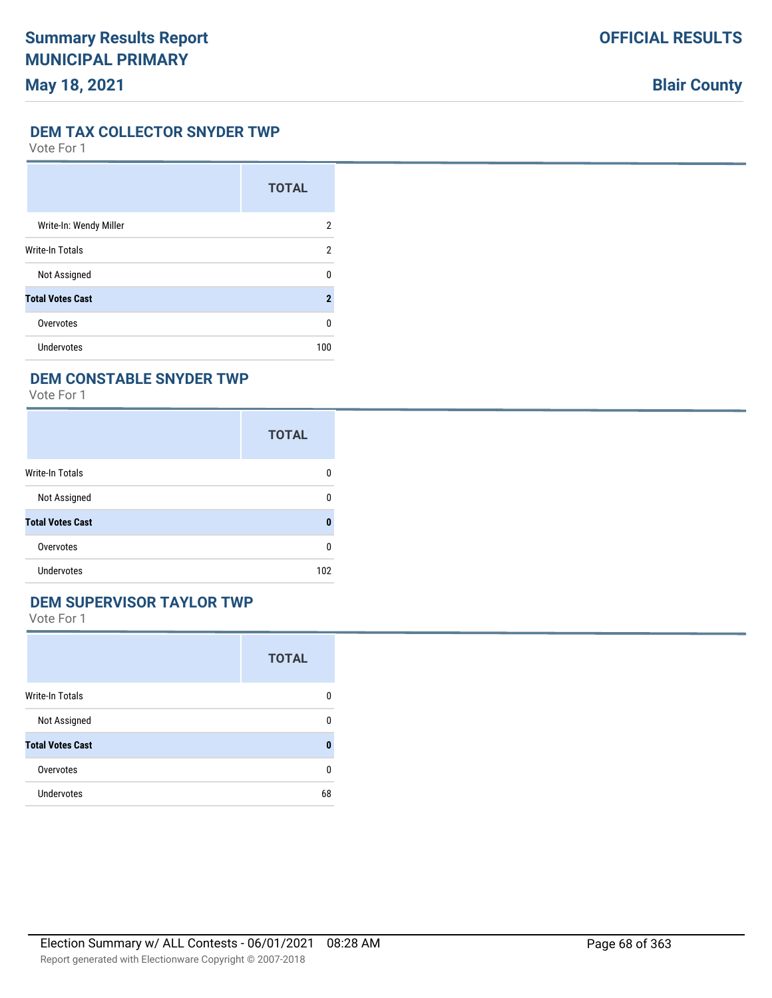## **Blair County**

#### **DEM TAX COLLECTOR SNYDER TWP**

Vote For 1

|                         | <b>TOTAL</b> |
|-------------------------|--------------|
| Write-In: Wendy Miller  | 2            |
| Write-In Totals         | 2            |
| Not Assigned            | U            |
| <b>Total Votes Cast</b> | 2            |
| Overvotes               | 0            |
| <b>Undervotes</b>       | 100          |

### **DEM CONSTABLE SNYDER TWP**

Vote For 1

|                         | <b>TOTAL</b> |
|-------------------------|--------------|
| Write-In Totals         | 0            |
| Not Assigned            | n            |
| <b>Total Votes Cast</b> | Ω            |
| Overvotes               | 0            |
| Undervotes              | 102          |

## **DEM SUPERVISOR TAYLOR TWP**

|                         | <b>TOTAL</b> |
|-------------------------|--------------|
| <b>Write-In Totals</b>  | n            |
| Not Assigned            | U            |
| <b>Total Votes Cast</b> | ŋ            |
| Overvotes               | n            |
| <b>Undervotes</b>       | 68           |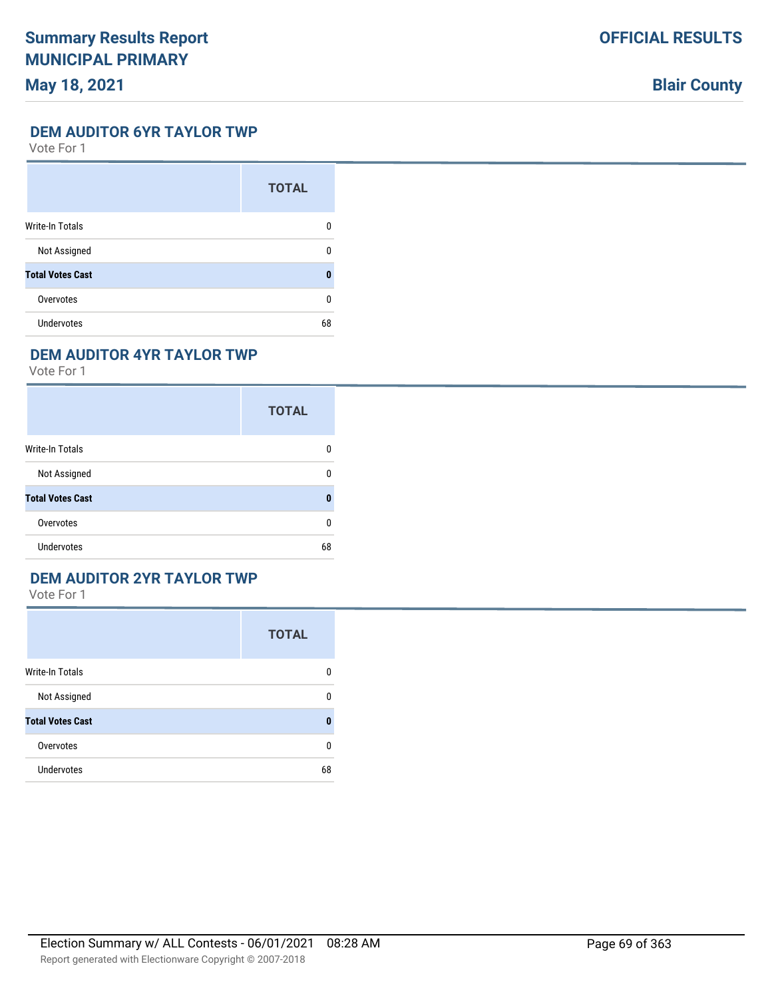# **Blair County**

#### **DEM AUDITOR 6YR TAYLOR TWP**

Vote For 1

|                         | <b>TOTAL</b> |
|-------------------------|--------------|
| <b>Write-In Totals</b>  | 0            |
| Not Assigned            | n            |
| <b>Total Votes Cast</b> | Ω            |
| Overvotes               | U            |
| <b>Undervotes</b>       | 68           |

## **DEM AUDITOR 4YR TAYLOR TWP**

Vote For 1

|                         | <b>TOTAL</b> |
|-------------------------|--------------|
| Write-In Totals         | 0            |
| Not Assigned            | n            |
| <b>Total Votes Cast</b> | ŋ            |
| Overvotes               | 0            |
| <b>Undervotes</b>       | 68           |

### **DEM AUDITOR 2YR TAYLOR TWP**

|                         | <b>TOTAL</b> |
|-------------------------|--------------|
| <b>Write-In Totals</b>  | 0            |
| Not Assigned            | 0            |
| <b>Total Votes Cast</b> | $\bf{0}$     |
| Overvotes               | 0            |
| <b>Undervotes</b>       | 68           |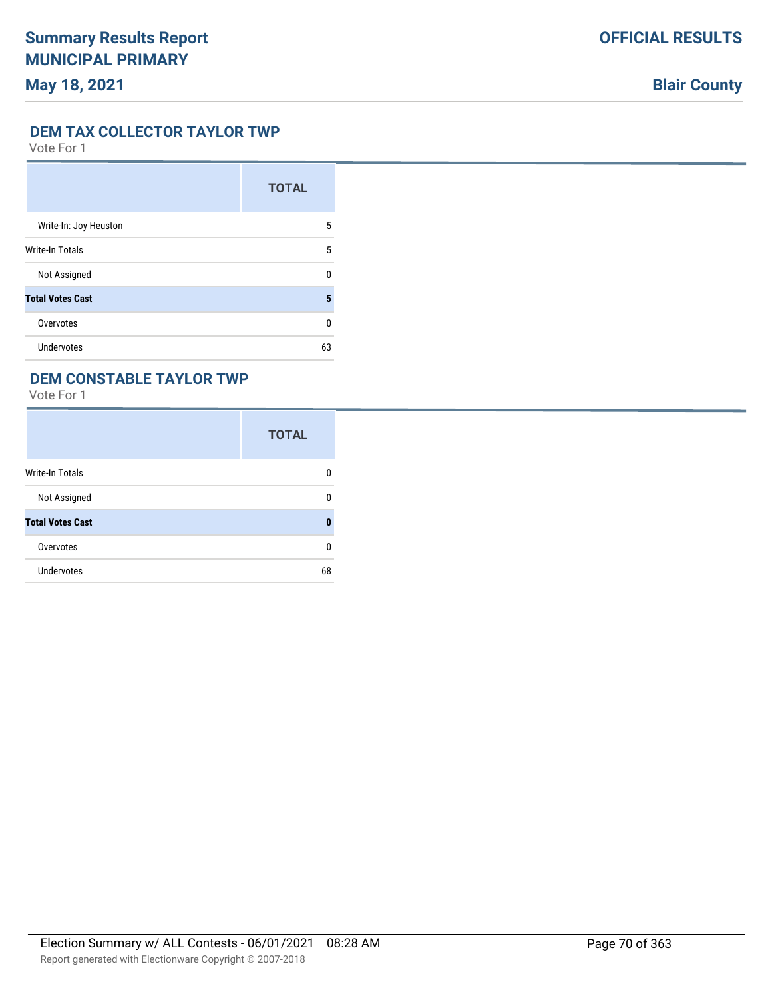# **Blair County**

#### **DEM TAX COLLECTOR TAYLOR TWP**

Vote For 1

|                         | <b>TOTAL</b> |
|-------------------------|--------------|
| Write-In: Joy Heuston   | 5            |
| <b>Write-In Totals</b>  | 5            |
| Not Assigned            | 0            |
| <b>Total Votes Cast</b> | 5            |
| Overvotes               | 0            |
| <b>Undervotes</b>       | 63           |

### **DEM CONSTABLE TAYLOR TWP**

|                         | <b>TOTAL</b> |
|-------------------------|--------------|
| Write-In Totals         | 0            |
| Not Assigned            | 0            |
| <b>Total Votes Cast</b> | 0            |
| Overvotes               | 0            |
| <b>Undervotes</b>       | 68           |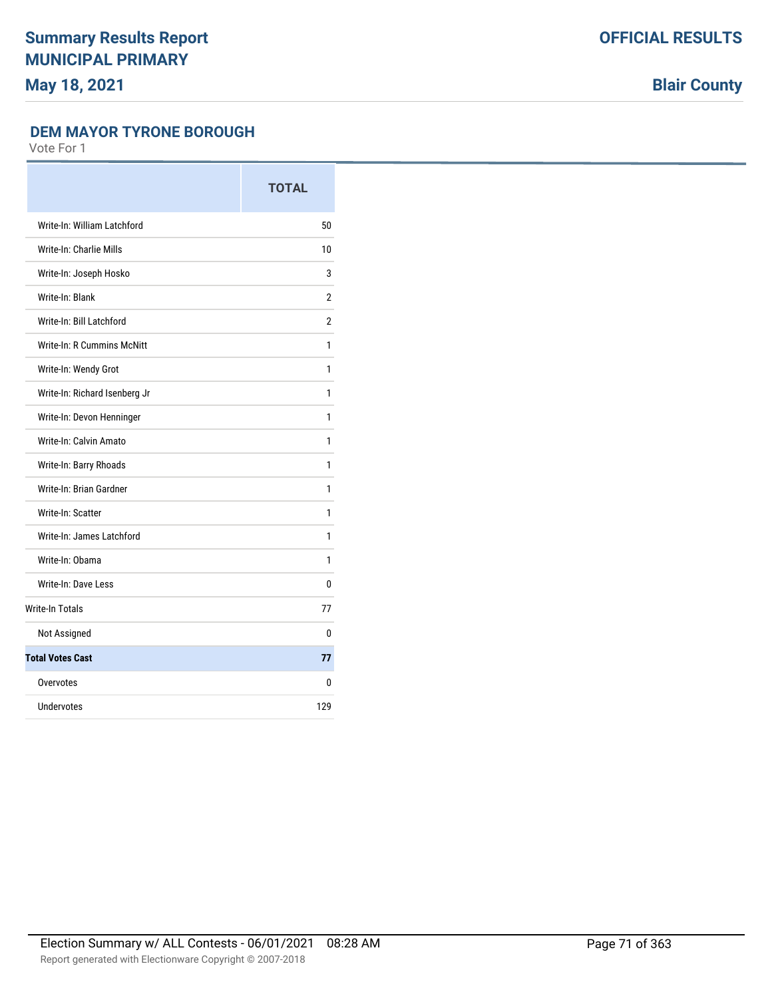**Blair County**

#### **DEM MAYOR TYRONE BOROUGH**

|                                   | <b>TOTAL</b>   |
|-----------------------------------|----------------|
| Write-In: William Latchford       | 50             |
| Write-In: Charlie Mills           | 10             |
| Write-In: Joseph Hosko            | 3              |
| Write-In: Blank                   | $\overline{2}$ |
| Write-In: Bill Latchford          | $\overline{2}$ |
| <b>Write-In: R Cummins McNitt</b> | 1              |
| Write-In: Wendy Grot              | 1              |
| Write-In: Richard Isenberg Jr     | 1              |
| Write-In: Devon Henninger         | 1              |
| Write-In: Calvin Amato            | 1              |
| Write-In: Barry Rhoads            | 1              |
| Write-In: Brian Gardner           | 1              |
| Write-In: Scatter                 | 1              |
| Write-In: James Latchford         | 1              |
| Write-In: Obama                   | 1              |
| Write-In: Dave Less               | 0              |
| <b>Write-In Totals</b>            | 77             |
| Not Assigned                      | 0              |
| <b>Total Votes Cast</b>           | 77             |
| Overvotes                         | 0              |
| Undervotes                        | 129            |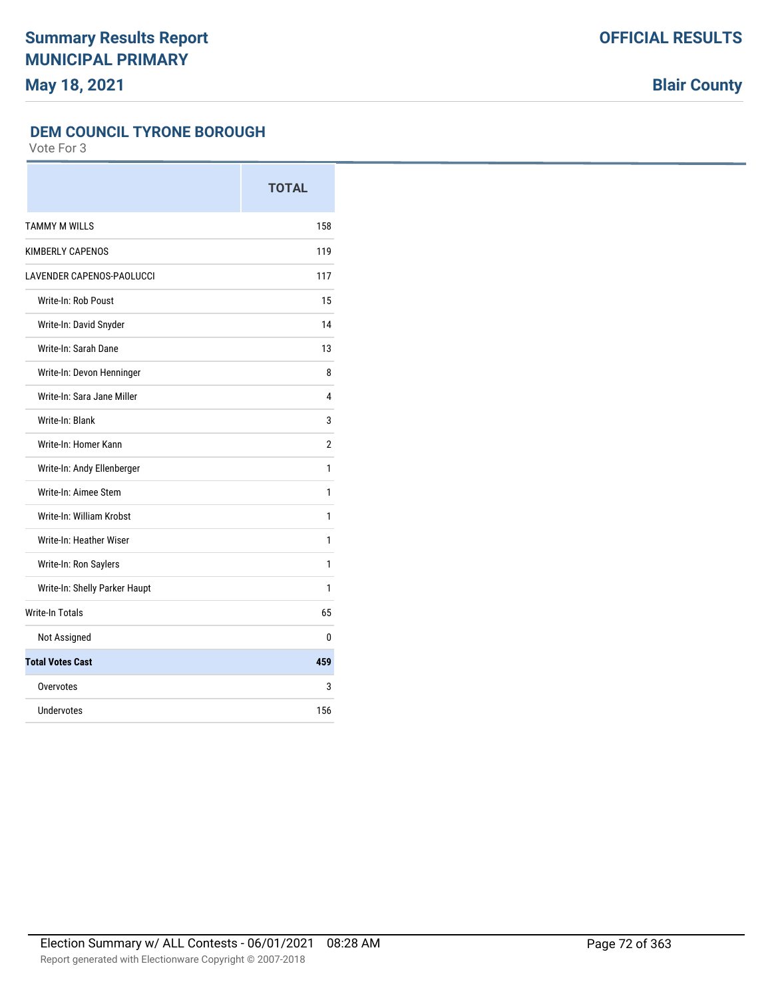**Blair County**

#### **DEM COUNCIL TYRONE BOROUGH**

|                               | <b>TOTAL</b> |
|-------------------------------|--------------|
| <b>TAMMY M WILLS</b>          | 158          |
| KIMBERLY CAPENOS              | 119          |
| LAVENDER CAPENOS-PAOLUCCI     | 117          |
| Write-In: Rob Poust           | 15           |
| Write-In: David Snyder        | 14           |
| Write-In: Sarah Dane          | 13           |
| Write-In: Devon Henninger     | 8            |
| Write-In: Sara Jane Miller    | 4            |
| Write-In: Blank               | 3            |
| Write-In: Homer Kann          | 2            |
| Write-In: Andy Ellenberger    | 1            |
| Write-In: Aimee Stem          | 1            |
| Write-In: William Krobst      | 1            |
| Write-In: Heather Wiser       | 1            |
| Write-In: Ron Saylers         | 1            |
| Write-In: Shelly Parker Haupt | 1            |
| <b>Write-In Totals</b>        | 65           |
| Not Assigned                  | 0            |
| <b>Total Votes Cast</b>       | 459          |
| Overvotes                     | 3            |
| <b>Undervotes</b>             | 156          |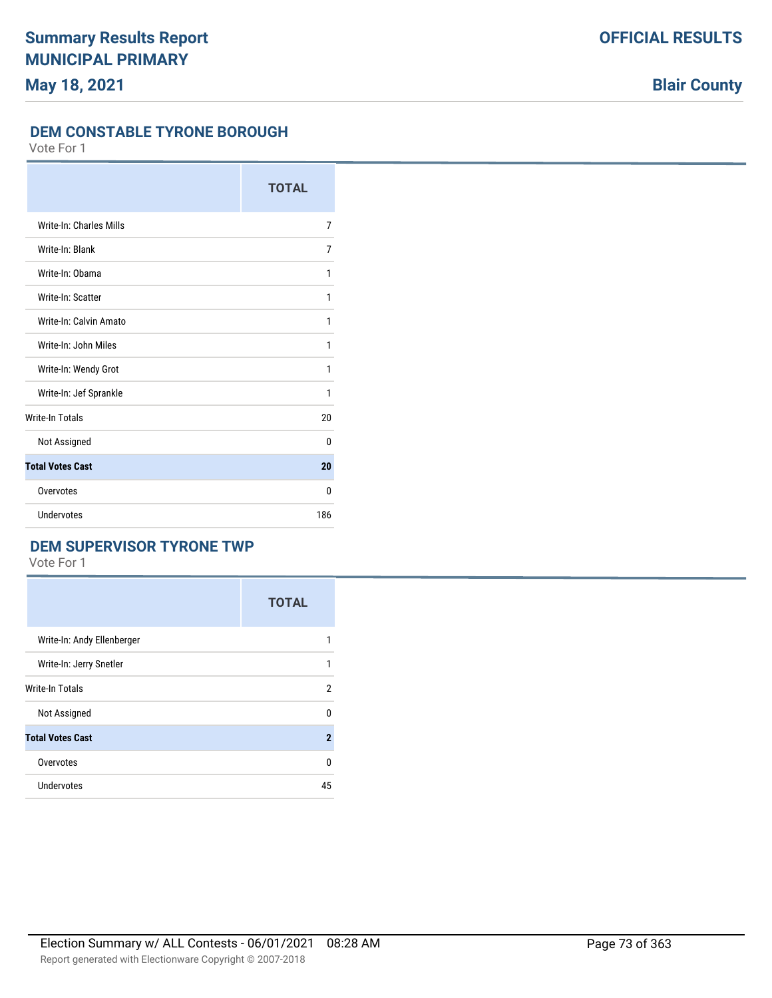**OFFICIAL RESULTS**

#### **DEM CONSTABLE TYRONE BOROUGH**

Vote For 1

|                         | <b>TOTAL</b> |
|-------------------------|--------------|
| Write-In: Charles Mills | 7            |
| Write-In: Blank         | 7            |
| Write-In: Obama         | 1            |
| Write-In: Scatter       | 1            |
| Write-In: Calvin Amato  | 1            |
| Write-In: John Miles    | 1            |
| Write-In: Wendy Grot    | 1            |
| Write-In: Jef Sprankle  | 1            |
| <b>Write-In Totals</b>  | 20           |
| Not Assigned            | 0            |
| <b>Total Votes Cast</b> | 20           |
| Overvotes               | 0            |
| Undervotes              | 186          |

# **DEM SUPERVISOR TYRONE TWP**

Vote For 1

|                            | <b>TOTAL</b>   |
|----------------------------|----------------|
| Write-In: Andy Ellenberger | 1              |
| Write-In: Jerry Snetler    | 1              |
| Write-In Totals            | $\overline{2}$ |
| Not Assigned               | 0              |
| <b>Total Votes Cast</b>    | $\mathbf 2$    |
| Overvotes                  | 0              |
| Undervotes                 | 45             |

**Blair County**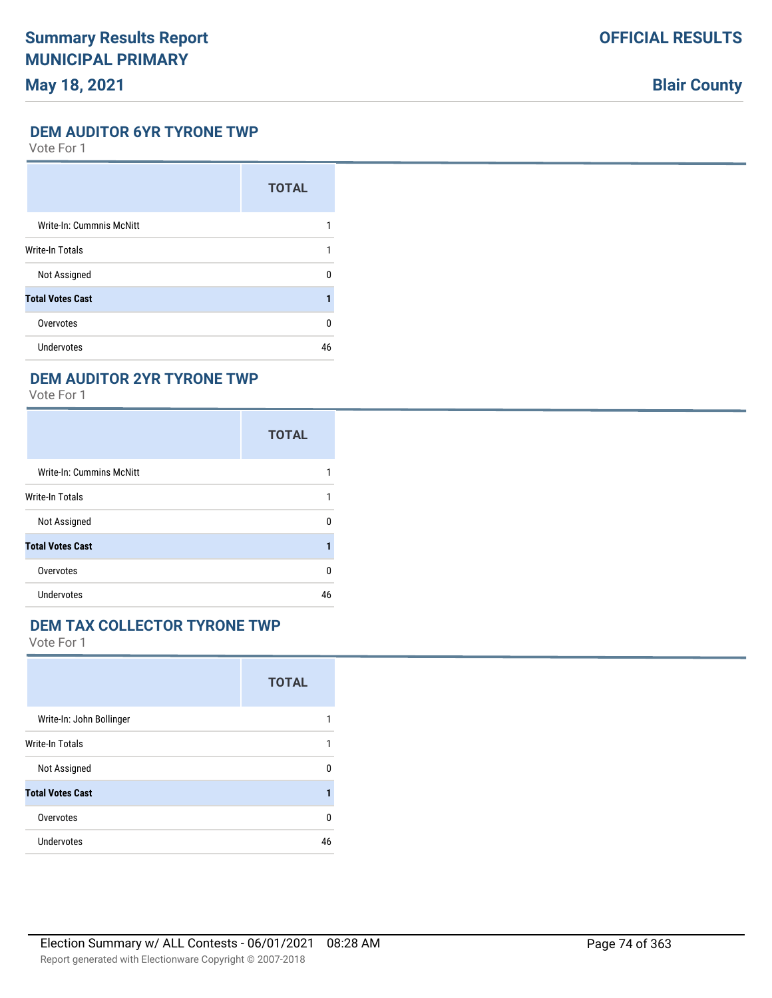# **May 18, 2021**

# **Blair County**

#### **DEM AUDITOR 6YR TYRONE TWP**

Vote For 1

|                          | <b>TOTAL</b> |
|--------------------------|--------------|
| Write-In: Cummnis McNitt |              |
| <b>Write-In Totals</b>   |              |
| Not Assigned             | n            |
| <b>Total Votes Cast</b>  |              |
| Overvotes                | n            |
| Undervotes               | 46           |

## **DEM AUDITOR 2YR TYRONE TWP**

Vote For 1

|                          | <b>TOTAL</b> |
|--------------------------|--------------|
| Write-In: Cummins McNitt |              |
| <b>Write-In Totals</b>   |              |
| Not Assigned             | U            |
| <b>Total Votes Cast</b>  |              |
| Overvotes                | U            |
| Undervotes               | 46           |

# **DEM TAX COLLECTOR TYRONE TWP**

|                          | <b>TOTAL</b> |
|--------------------------|--------------|
| Write-In: John Bollinger | 1            |
| <b>Write-In Totals</b>   | 1            |
| Not Assigned             | 0            |
| <b>Total Votes Cast</b>  | 1            |
| Overvotes                | 0            |
| Undervotes               | 46           |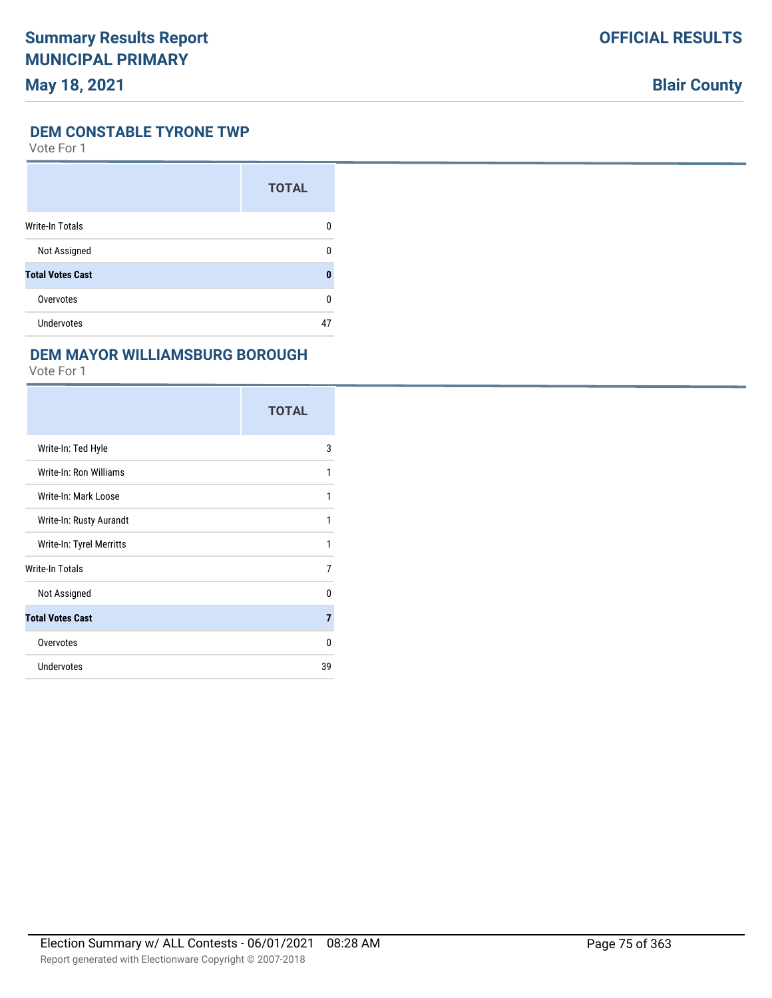# **May 18, 2021**

# **Blair County**

## **DEM CONSTABLE TYRONE TWP**

Vote For 1

|                         | <b>TOTAL</b> |
|-------------------------|--------------|
| <b>Write-In Totals</b>  |              |
| Not Assigned            | n            |
| <b>Total Votes Cast</b> | O            |
| Overvotes               | ŋ            |
| <b>Undervotes</b>       | 47           |

### **DEM MAYOR WILLIAMSBURG BOROUGH**

|                          | <b>TOTAL</b> |
|--------------------------|--------------|
| Write-In: Ted Hyle       | 3            |
| Write-In: Ron Williams   | 1            |
| Write-In: Mark Loose     | 1            |
| Write-In: Rusty Aurandt  | 1            |
| Write-In: Tyrel Merritts | 1            |
| Write-In Totals          | 7            |
| Not Assigned             | U            |
| <b>Total Votes Cast</b>  | 7            |
| Overvotes                | 0            |
| <b>Undervotes</b>        | 39           |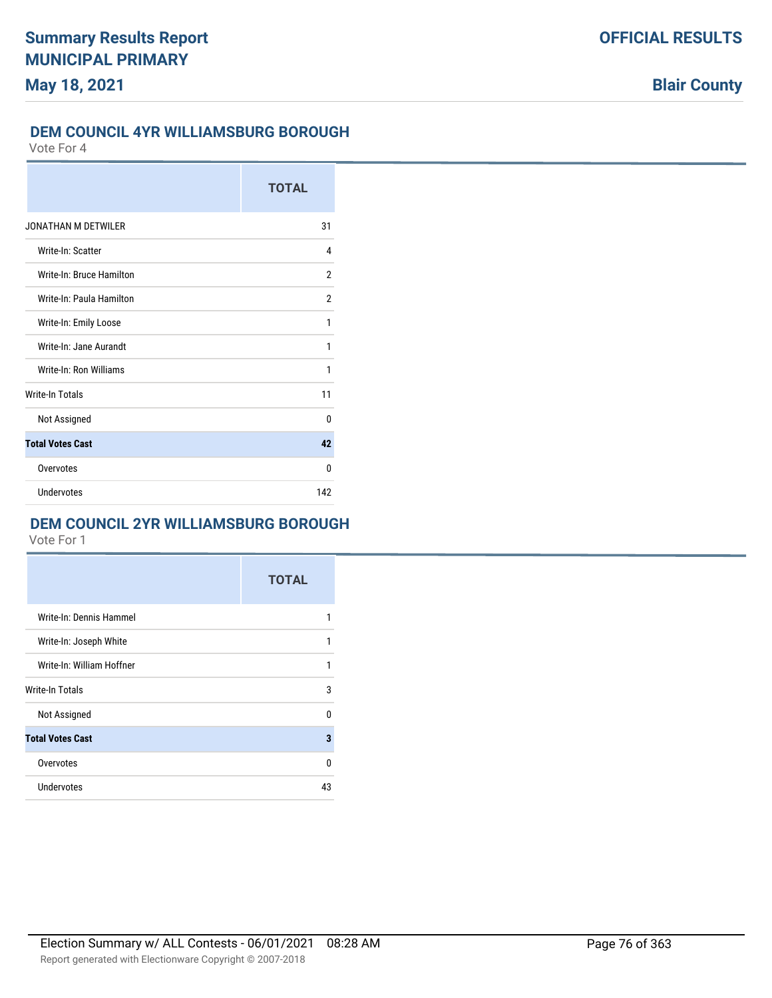## **DEM COUNCIL 4YR WILLIAMSBURG BOROUGH**

Vote For 4

|                            | <b>TOTAL</b> |
|----------------------------|--------------|
| <b>JONATHAN M DETWILER</b> | 31           |
| Write-In: Scatter          | 4            |
| Write-In: Bruce Hamilton   | 2            |
| Write-In: Paula Hamilton   | 2            |
| Write-In: Emily Loose      | 1            |
| Write-In: Jane Aurandt     | 1            |
| Write-In: Ron Williams     | 1            |
| <b>Write-In Totals</b>     | 11           |
| Not Assigned               | $\Omega$     |
| <b>Total Votes Cast</b>    | 42           |
| Overvotes                  | U            |
| Undervotes                 | 142          |

# **DEM COUNCIL 2YR WILLIAMSBURG BOROUGH**

|                           | <b>TOTAL</b> |
|---------------------------|--------------|
| Write-In: Dennis Hammel   | 1            |
| Write-In: Joseph White    | 1            |
| Write-In: William Hoffner | 1            |
| Write-In Totals           | 3            |
| Not Assigned              | U            |
| <b>Total Votes Cast</b>   | 3            |
| Overvotes                 | $\Omega$     |
| <b>Undervotes</b>         | 43           |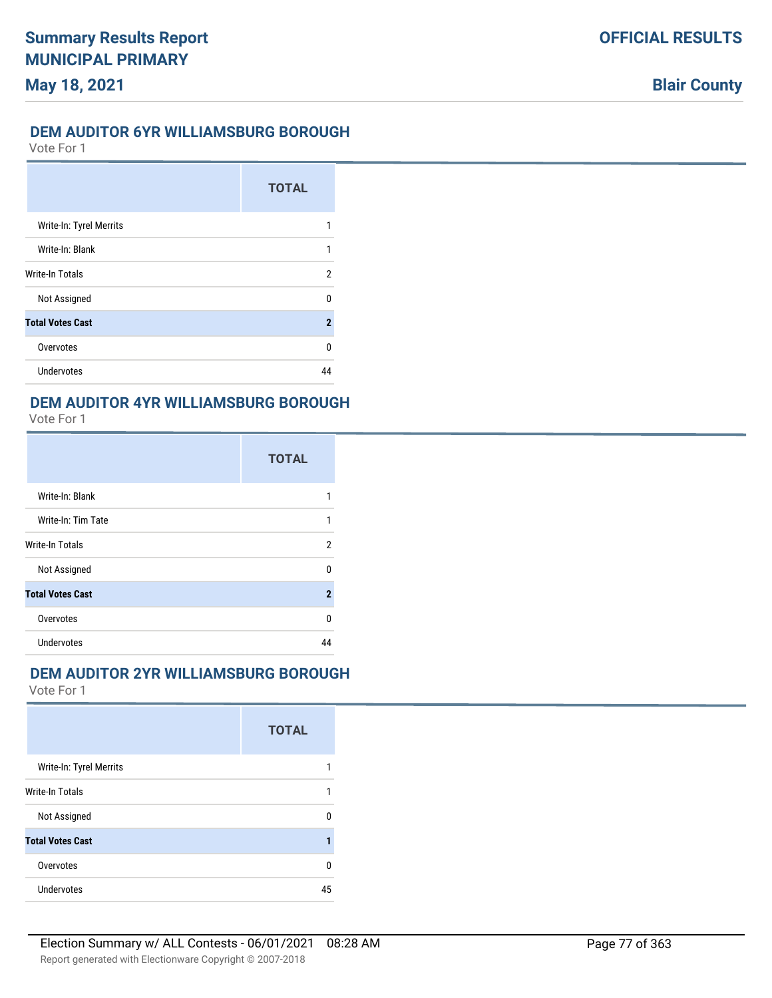### **DEM AUDITOR 6YR WILLIAMSBURG BOROUGH**

Vote For 1

|                         | <b>TOTAL</b> |
|-------------------------|--------------|
| Write-In: Tyrel Merrits |              |
| Write-In: Blank         | 1            |
| Write-In Totals         | 2            |
| Not Assigned            | n            |
| <b>Total Votes Cast</b> | $\mathbf 2$  |
| Overvotes               | 0            |
| Undervotes              |              |

### **DEM AUDITOR 4YR WILLIAMSBURG BOROUGH**

Vote For 1

|                         | <b>TOTAL</b> |
|-------------------------|--------------|
| Write-In: Blank         |              |
| Write-In: Tim Tate      | 1            |
| Write-In Totals         | 2            |
| Not Assigned            | n            |
| <b>Total Votes Cast</b> | $\mathbf 2$  |
| Overvotes               | U            |
| Undervotes              |              |

### **DEM AUDITOR 2YR WILLIAMSBURG BOROUGH**

|                         | <b>TOTAL</b> |
|-------------------------|--------------|
| Write-In: Tyrel Merrits |              |
| <b>Write-In Totals</b>  |              |
| Not Assigned            | U            |
| <b>Total Votes Cast</b> |              |
| Overvotes               | U            |
| Undervotes              | 45           |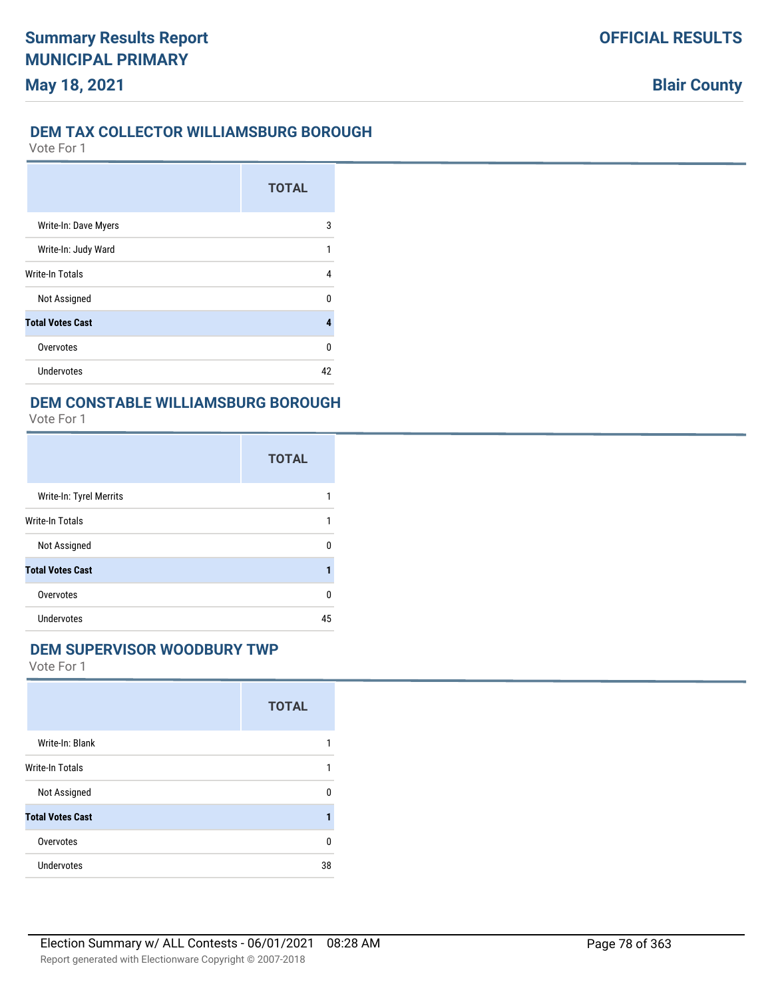# **DEM TAX COLLECTOR WILLIAMSBURG BOROUGH**

Vote For 1

|                         | <b>TOTAL</b> |
|-------------------------|--------------|
| Write-In: Dave Myers    | 3            |
| Write-In: Judy Ward     |              |
| <b>Write-In Totals</b>  | 4            |
| Not Assigned            | U            |
| <b>Total Votes Cast</b> | 4            |
| Overvotes               | 0            |
| <b>Undervotes</b>       | 42           |

## **DEM CONSTABLE WILLIAMSBURG BOROUGH**

Vote For 1

|                         | <b>TOTAL</b> |
|-------------------------|--------------|
| Write-In: Tyrel Merrits |              |
| Write-In Totals         |              |
| Not Assigned            | U            |
| <b>Total Votes Cast</b> |              |
| Overvotes               | U            |
| <b>Undervotes</b>       | 45           |

#### **DEM SUPERVISOR WOODBURY TWP**

|                         | <b>TOTAL</b> |
|-------------------------|--------------|
| Write-In: Blank         |              |
| Write-In Totals         | 1            |
| Not Assigned            | n            |
| <b>Total Votes Cast</b> |              |
| Overvotes               | n            |
| <b>Undervotes</b>       | 38           |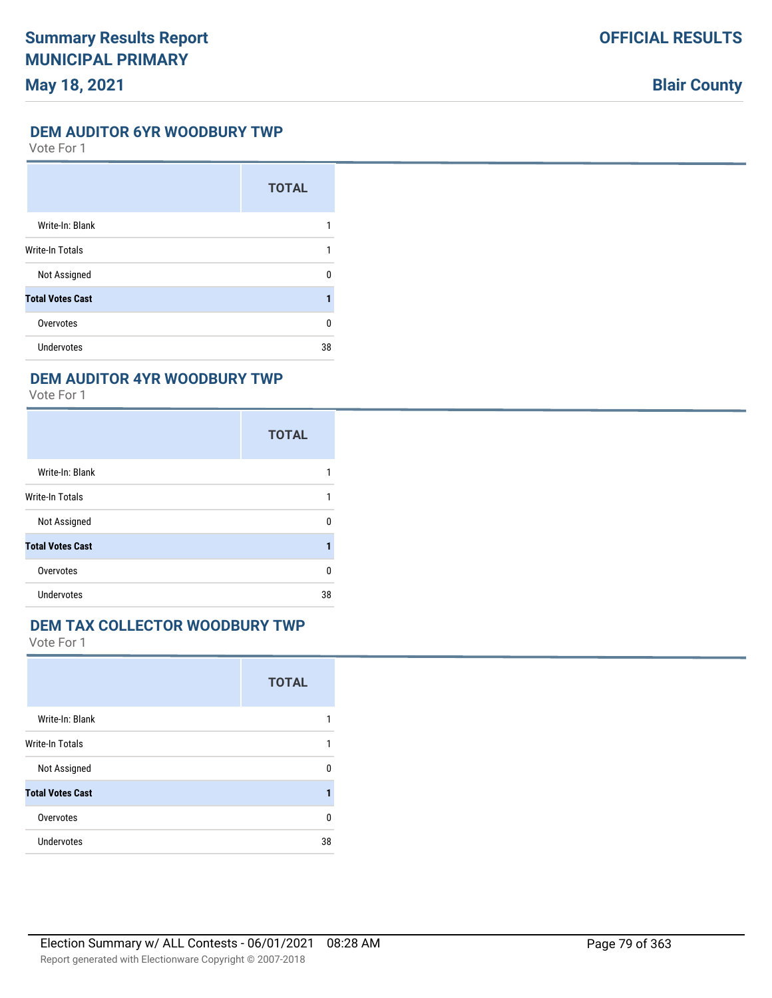# **May 18, 2021**

**Blair County**

#### **DEM AUDITOR 6YR WOODBURY TWP**

Vote For 1

|                         | <b>TOTAL</b> |
|-------------------------|--------------|
| Write-In: Blank         |              |
| <b>Write-In Totals</b>  | 1            |
| Not Assigned            | U            |
| <b>Total Votes Cast</b> |              |
| Overvotes               | 0            |
| <b>Undervotes</b>       | 38           |

### **DEM AUDITOR 4YR WOODBURY TWP**

Vote For 1

|                         | <b>TOTAL</b> |
|-------------------------|--------------|
| Write-In: Blank         |              |
| <b>Write-In Totals</b>  |              |
| Not Assigned            | n            |
| <b>Total Votes Cast</b> |              |
| Overvotes               | n            |
| <b>Undervotes</b>       | 38           |

# **DEM TAX COLLECTOR WOODBURY TWP**

|                         | <b>TOTAL</b> |
|-------------------------|--------------|
| Write-In: Blank         |              |
| <b>Write-In Totals</b>  |              |
| Not Assigned            | $\Omega$     |
| <b>Total Votes Cast</b> | 1            |
| Overvotes               | 0            |
| <b>Undervotes</b>       | 38           |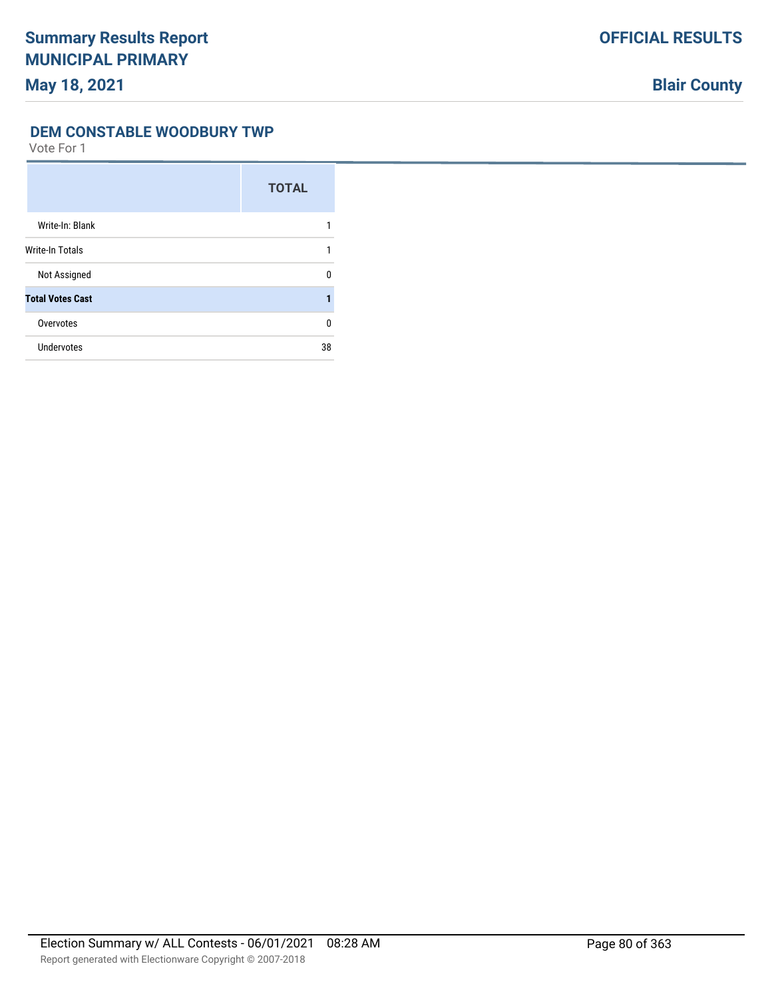#### **DEM CONSTABLE WOODBURY TWP**

|                         | <b>TOTAL</b> |
|-------------------------|--------------|
| Write-In: Blank         |              |
| <b>Write-In Totals</b>  |              |
| Not Assigned            | n            |
| <b>Total Votes Cast</b> |              |
| Overvotes               | 0            |
| Undervotes              | 38           |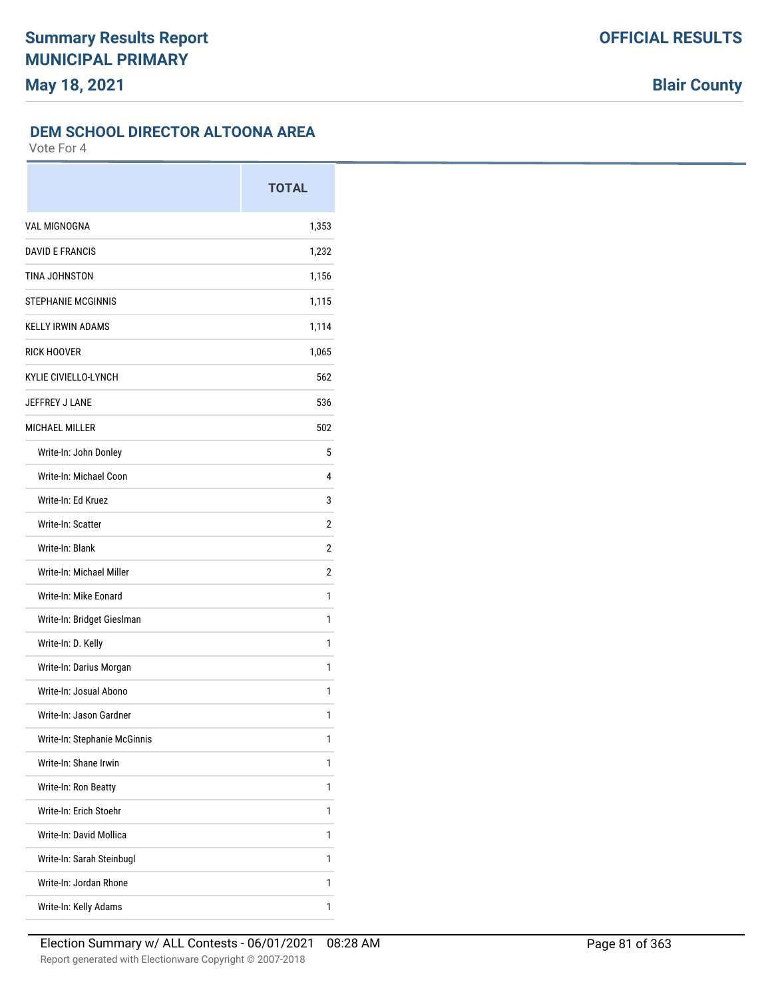# **DEM SCHOOL DIRECTOR ALTOONA AREA**

|                              | <b>TOTAL</b> |
|------------------------------|--------------|
| <b>VAL MIGNOGNA</b>          | 1,353        |
| <b>DAVID E FRANCIS</b>       | 1,232        |
| TINA JOHNSTON                | 1,156        |
| <b>STEPHANIE MCGINNIS</b>    | 1,115        |
| <b>KELLY IRWIN ADAMS</b>     | 1,114        |
| <b>RICK HOOVER</b>           | 1,065        |
| <b>KYLIE CIVIELLO-LYNCH</b>  | 562          |
| JEFFREY J LANE               | 536          |
| <b>MICHAEL MILLER</b>        | 502          |
| Write-In: John Donley        | 5            |
| Write-In: Michael Coon       | 4            |
| Write-In: Ed Kruez           | 3            |
| Write-In: Scatter            | 2            |
| Write-In: Blank              | 2            |
| Write-In: Michael Miller     | 2            |
| Write-In: Mike Eonard        | 1            |
| Write-In: Bridget Gieslman   | 1            |
| Write-In: D. Kelly           | 1            |
| Write-In: Darius Morgan      | 1            |
| Write-In: Josual Abono       | 1            |
| Write-In: Jason Gardner      | 1            |
| Write-In: Stephanie McGinnis | 1            |
| Write-In: Shane Irwin        | 1            |
| Write-In: Ron Beatty         | 1            |
| Write-In: Erich Stoehr       | 1            |
| Write-In: David Mollica      | 1            |
| Write-In: Sarah Steinbugl    | 1            |
| Write-In: Jordan Rhone       | 1            |
| Write-In: Kelly Adams        | 1            |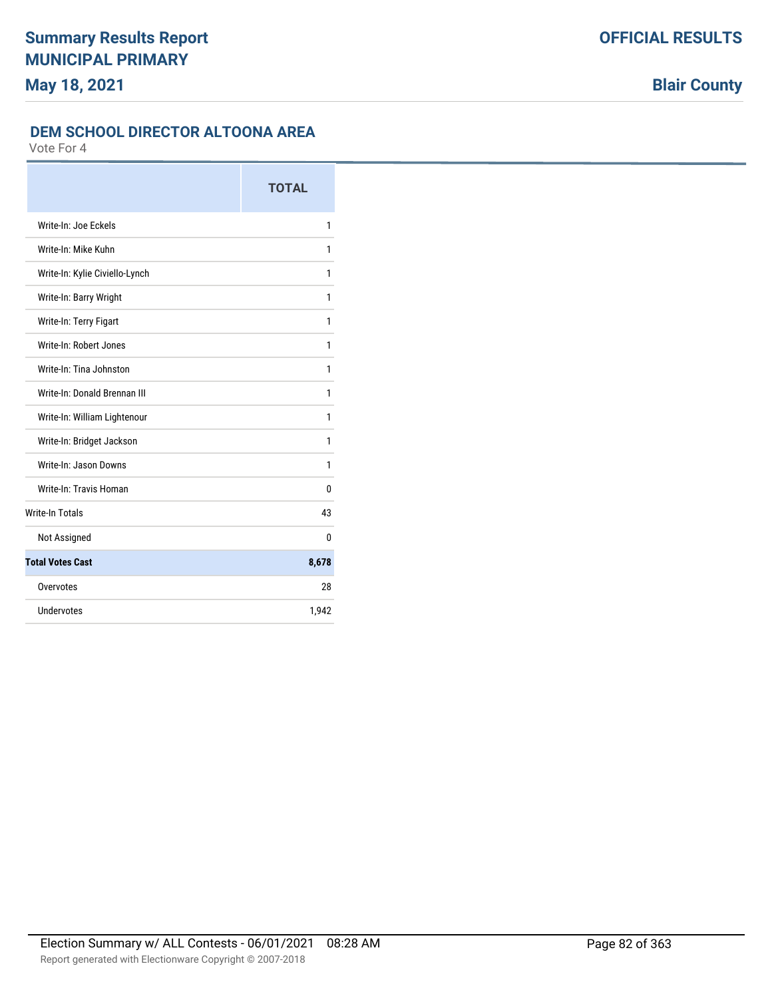## **DEM SCHOOL DIRECTOR ALTOONA AREA**

|                                | <b>TOTAL</b> |
|--------------------------------|--------------|
| Write-In: Joe Eckels           | 1            |
| Write-In: Mike Kuhn            | 1            |
| Write-In: Kylie Civiello-Lynch | 1            |
| Write-In: Barry Wright         | 1            |
| Write-In: Terry Figart         | 1            |
| Write-In: Robert Jones         | 1            |
| Write-In: Tina Johnston        | 1            |
| Write-In: Donald Brennan III   | 1            |
| Write-In: William Lightenour   | 1            |
| Write-In: Bridget Jackson      | 1            |
| Write-In: Jason Downs          | 1            |
| Write-In: Travis Homan         | 0            |
| <b>Write-In Totals</b>         | 43           |
| Not Assigned                   | 0            |
| <b>Total Votes Cast</b>        | 8,678        |
| Overvotes                      | 28           |
| Undervotes                     | 1,942        |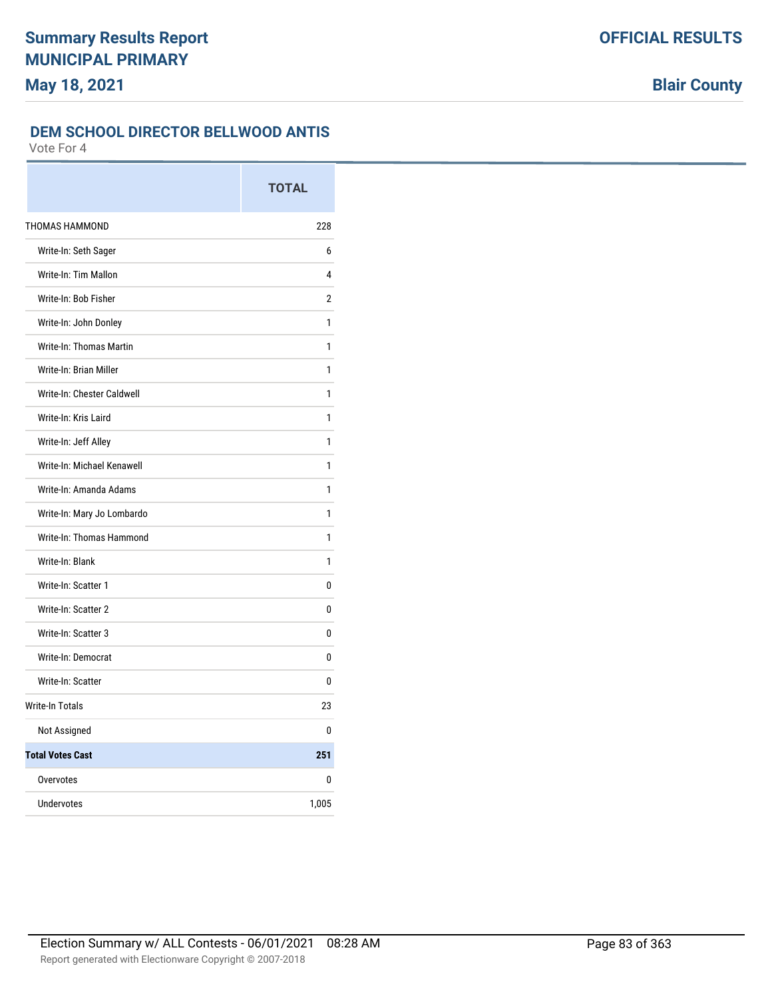# **DEM SCHOOL DIRECTOR BELLWOOD ANTIS**

|                            | <b>TOTAL</b>   |
|----------------------------|----------------|
| THOMAS HAMMOND             | 228            |
| Write-In: Seth Sager       | 6              |
| Write-In: Tim Mallon       | 4              |
| Write-In: Bob Fisher       | $\overline{2}$ |
| Write-In: John Donley      | 1              |
| Write-In: Thomas Martin    | 1              |
| Write-In: Brian Miller     | 1              |
| Write-In: Chester Caldwell | 1              |
| Write-In: Kris Laird       | 1              |
| Write-In: Jeff Alley       | 1              |
| Write-In: Michael Kenawell | 1              |
| Write-In: Amanda Adams     | 1              |
| Write-In: Mary Jo Lombardo | 1              |
| Write-In: Thomas Hammond   | 1              |
| Write-In: Blank            | 1              |
| Write-In: Scatter 1        | 0              |
| Write-In: Scatter 2        | 0              |
| Write-In: Scatter 3        | 0              |
| Write-In: Democrat         | 0              |
| Write-In: Scatter          | 0              |
| <b>Write-In Totals</b>     | 23             |
| Not Assigned               | 0              |
| <b>Total Votes Cast</b>    | 251            |
| Overvotes                  | 0              |
| Undervotes                 | 1,005          |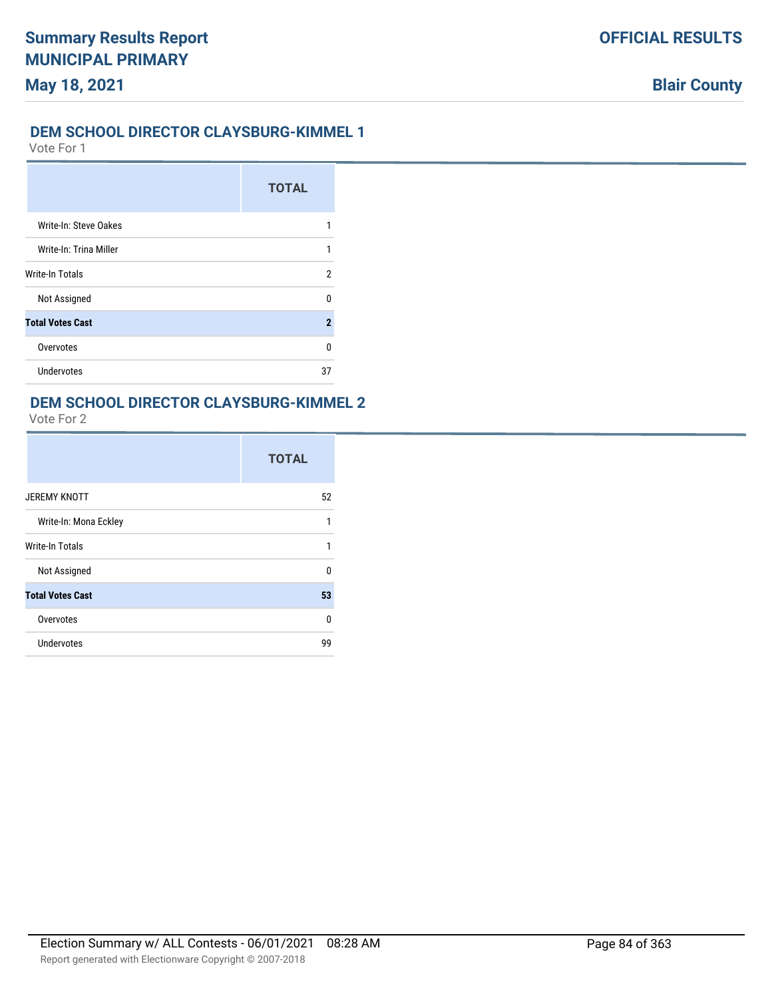### **DEM SCHOOL DIRECTOR CLAYSBURG-KIMMEL 1**

Vote For 1

|                         | <b>TOTAL</b> |
|-------------------------|--------------|
| Write-In: Steve Oakes   |              |
| Write-In: Trina Miller  |              |
| <b>Write-In Totals</b>  | 2            |
| Not Assigned            | U            |
| <b>Total Votes Cast</b> | 2            |
| Overvotes               | U            |
| <b>Undervotes</b>       | 37           |

## **DEM SCHOOL DIRECTOR CLAYSBURG-KIMMEL 2**

|                         | <b>TOTAL</b> |
|-------------------------|--------------|
| <b>JEREMY KNOTT</b>     | 52           |
| Write-In: Mona Eckley   |              |
| <b>Write-In Totals</b>  | 1            |
| Not Assigned            | U            |
| <b>Total Votes Cast</b> | 53           |
| Overvotes               | U            |
| Undervotes              | 99           |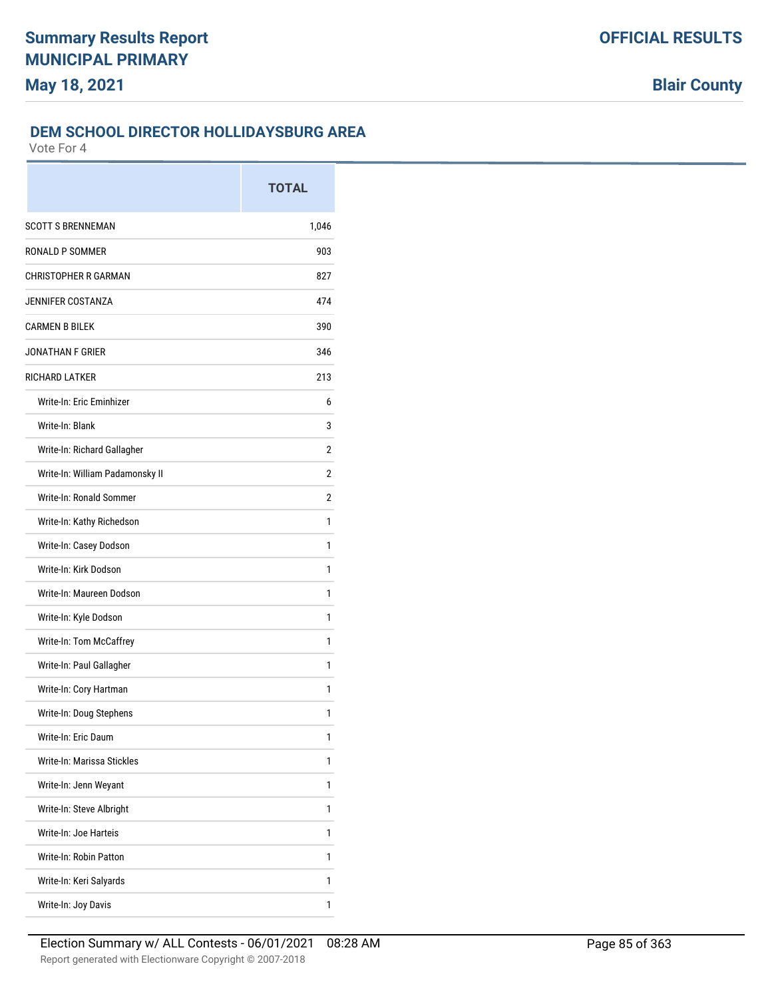### **DEM SCHOOL DIRECTOR HOLLIDAYSBURG AREA**

|                                 | <b>TOTAL</b> |
|---------------------------------|--------------|
| <b>SCOTT S BRENNEMAN</b>        | 1,046        |
| RONALD P SOMMER                 | 903          |
| <b>CHRISTOPHER R GARMAN</b>     | 827          |
| JENNIFER COSTANZA               | 474          |
| <b>CARMEN B BILEK</b>           | 390          |
| <b>JONATHAN F GRIER</b>         | 346          |
| <b>RICHARD LATKER</b>           | 213          |
| Write-In: Eric Eminhizer        | 6            |
| Write-In: Blank                 | 3            |
| Write-In: Richard Gallagher     | 2            |
| Write-In: William Padamonsky II | 2            |
| Write-In: Ronald Sommer         | 2            |
| Write-In: Kathy Richedson       | 1            |
| Write-In: Casey Dodson          | 1            |
| Write-In: Kirk Dodson           | 1            |
| Write-In: Maureen Dodson        | 1            |
| Write-In: Kyle Dodson           | 1            |
| Write-In: Tom McCaffrey         | 1            |
| Write-In: Paul Gallagher        | 1            |
| Write-In: Cory Hartman          | 1            |
| Write-In: Doug Stephens         | 1            |
| Write-In: Eric Daum             | 1            |
| Write-In: Marissa Stickles      | 1            |
| Write-In: Jenn Weyant           | 1            |
| Write-In: Steve Albright        | 1            |
| Write-In: Joe Harteis           | 1            |
| Write-In: Robin Patton          | 1            |
| Write-In: Keri Salyards         | 1            |
| Write-In: Joy Davis             | 1            |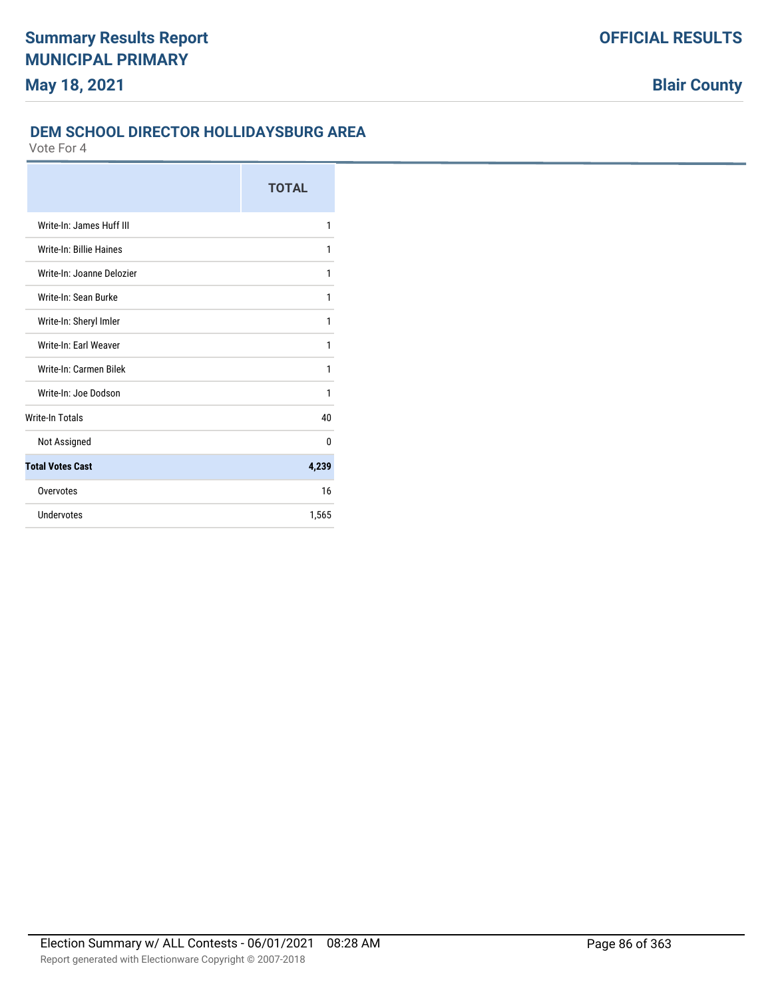## **DEM SCHOOL DIRECTOR HOLLIDAYSBURG AREA**

|                           | <b>TOTAL</b> |
|---------------------------|--------------|
| Write-In: James Huff III  | 1            |
| Write-In: Billie Haines   | 1            |
| Write-In: Joanne Delozier | 1            |
| Write-In: Sean Burke      | 1            |
| Write-In: Sheryl Imler    | 1            |
| Write-In: Earl Weaver     | 1            |
| Write-In: Carmen Bilek    | 1            |
| Write-In: Joe Dodson      | 1            |
| <b>Write-In Totals</b>    | 40           |
| Not Assigned              | 0            |
| <b>Total Votes Cast</b>   | 4,239        |
| Overvotes                 | 16           |
| Undervotes                | 1,565        |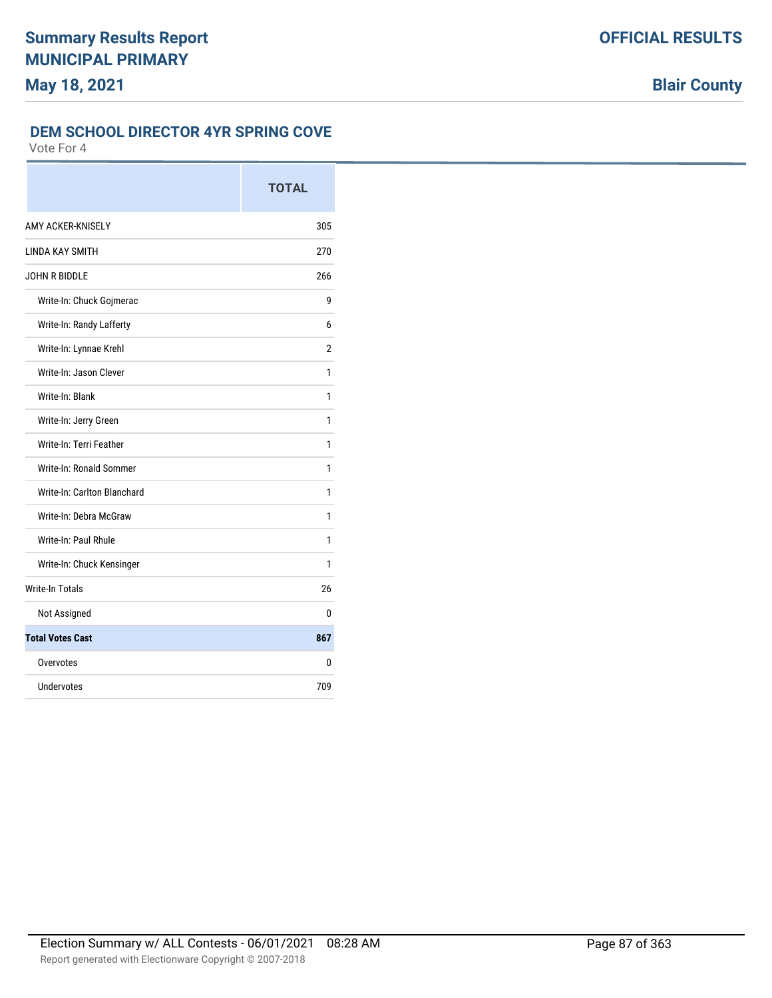### **DEM SCHOOL DIRECTOR 4YR SPRING COVE**

|                             | <b>TOTAL</b> |
|-----------------------------|--------------|
| AMY ACKER-KNISELY           | 305          |
| LINDA KAY SMITH             | 270          |
| JOHN R BIDDLE               | 266          |
| Write-In: Chuck Gojmerac    | 9            |
| Write-In: Randy Lafferty    | 6            |
| Write-In: Lynnae Krehl      | 2            |
| Write-In: Jason Clever      | 1            |
| Write-In: Blank             | 1            |
| Write-In: Jerry Green       | 1            |
| Write-In: Terri Feather     | 1            |
| Write-In: Ronald Sommer     | 1            |
| Write-In: Carlton Blanchard | 1            |
| Write-In: Debra McGraw      | 1            |
| Write-In: Paul Rhule        | 1            |
| Write-In: Chuck Kensinger   | 1            |
| <b>Write-In Totals</b>      | 26           |
| Not Assigned                | 0            |
| <b>Total Votes Cast</b>     | 867          |
| Overvotes                   | 0            |
| Undervotes                  | 709          |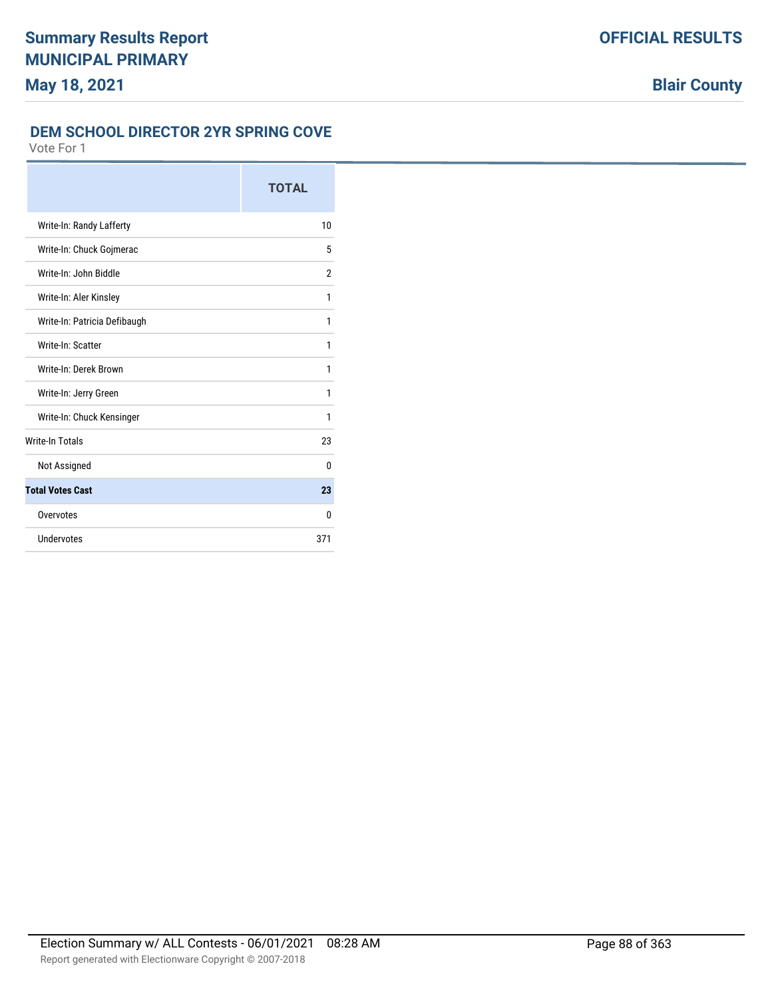## **DEM SCHOOL DIRECTOR 2YR SPRING COVE**

|                              | <b>TOTAL</b>   |
|------------------------------|----------------|
| Write-In: Randy Lafferty     | 10             |
| Write-In: Chuck Gojmerac     | 5              |
| Write-In: John Biddle        | $\overline{2}$ |
| Write-In: Aler Kinsley       | 1              |
| Write-In: Patricia Defibaugh | 1              |
| Write-In: Scatter            | 1              |
| Write-In: Derek Brown        | 1              |
| Write-In: Jerry Green        | 1              |
| Write-In: Chuck Kensinger    | 1              |
| <b>Write-In Totals</b>       | 23             |
| Not Assigned                 | $\Omega$       |
| <b>Total Votes Cast</b>      | 23             |
| Overvotes                    | 0              |
| Undervotes                   | 371            |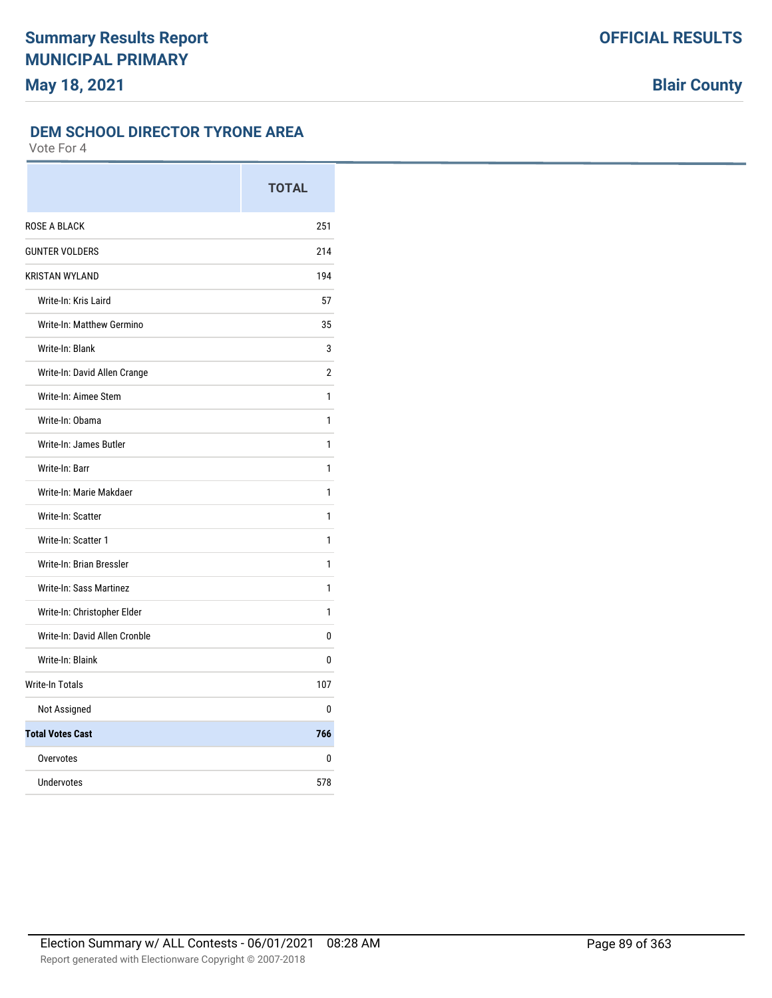### **DEM SCHOOL DIRECTOR TYRONE AREA**

|                               | <b>TOTAL</b> |
|-------------------------------|--------------|
| <b>ROSE A BLACK</b>           | 251          |
| <b>GUNTER VOLDERS</b>         | 214          |
| <b>KRISTAN WYLAND</b>         | 194          |
| Write-In: Kris Laird          | 57           |
| Write-In: Matthew Germino     | 35           |
| Write-In: Blank               | 3            |
| Write-In: David Allen Crange  | 2            |
| Write-In: Aimee Stem          | 1            |
| Write-In: Obama               | 1            |
| Write-In: James Butler        | 1            |
| Write-In: Barr                | 1            |
| Write-In: Marie Makdaer       | 1            |
| Write-In: Scatter             | 1            |
| Write-In: Scatter 1           | 1            |
| Write-In: Brian Bressler      | 1            |
| Write-In: Sass Martinez       | 1            |
| Write-In: Christopher Elder   | 1            |
| Write-In: David Allen Cronble | 0            |
| Write-In: Blaink              | 0            |
| <b>Write-In Totals</b>        | 107          |
| Not Assigned                  | 0            |
| <b>Total Votes Cast</b>       | 766          |
| Overvotes                     | 0            |
| Undervotes                    | 578          |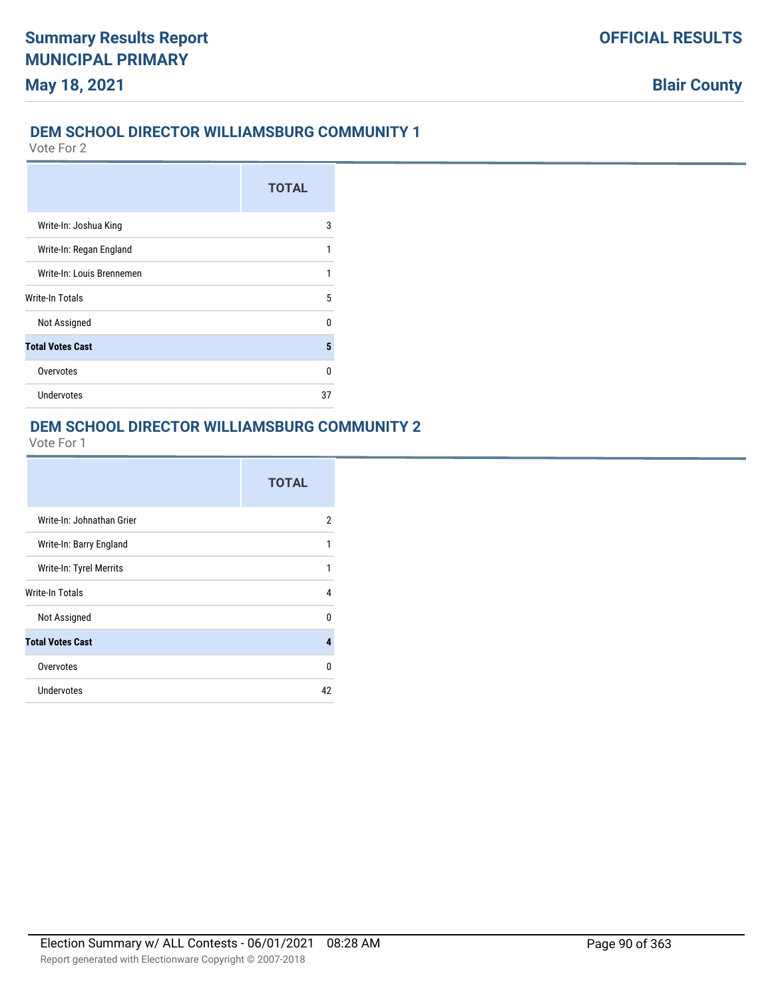### **DEM SCHOOL DIRECTOR WILLIAMSBURG COMMUNITY 1**

Vote For 2

|                           | <b>TOTAL</b> |
|---------------------------|--------------|
| Write-In: Joshua King     | 3            |
| Write-In: Regan England   | 1            |
| Write-In: Louis Brennemen | 1            |
| Write-In Totals           | 5            |
| Not Assigned              | n            |
| <b>Total Votes Cast</b>   | 5            |
| Overvotes                 | n            |
| Undervotes                | 37           |

## **DEM SCHOOL DIRECTOR WILLIAMSBURG COMMUNITY 2**

|                           | <b>TOTAL</b> |
|---------------------------|--------------|
| Write-In: Johnathan Grier | 2            |
| Write-In: Barry England   | 1            |
| Write-In: Tyrel Merrits   | 1            |
| Write-In Totals           | 4            |
| Not Assigned              | 0            |
| <b>Total Votes Cast</b>   | 4            |
| Overvotes                 | U            |
| <b>Undervotes</b>         | 42           |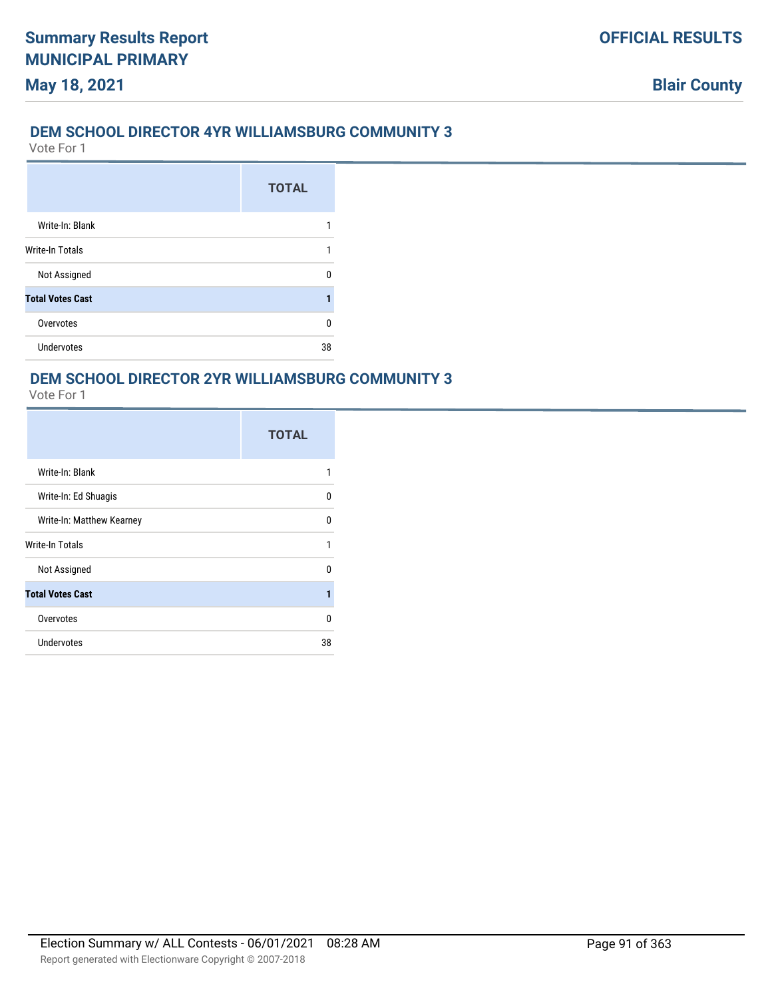### **DEM SCHOOL DIRECTOR 4YR WILLIAMSBURG COMMUNITY 3**

Vote For 1

**May 18, 2021**

|                         | <b>TOTAL</b> |
|-------------------------|--------------|
| Write-In: Blank         |              |
| Write-In Totals         |              |
| Not Assigned            |              |
| <b>Total Votes Cast</b> |              |
| Overvotes               | n            |
| <b>Undervotes</b>       | 38           |

# **DEM SCHOOL DIRECTOR 2YR WILLIAMSBURG COMMUNITY 3**

|                           | <b>TOTAL</b> |
|---------------------------|--------------|
| Write-In: Blank           | 1            |
| Write-In: Ed Shuagis      | 0            |
| Write-In: Matthew Kearney | n            |
| Write-In Totals           | 1            |
| Not Assigned              | n            |
| <b>Total Votes Cast</b>   | 1            |
| Overvotes                 | 0            |
| <b>Undervotes</b>         | 38           |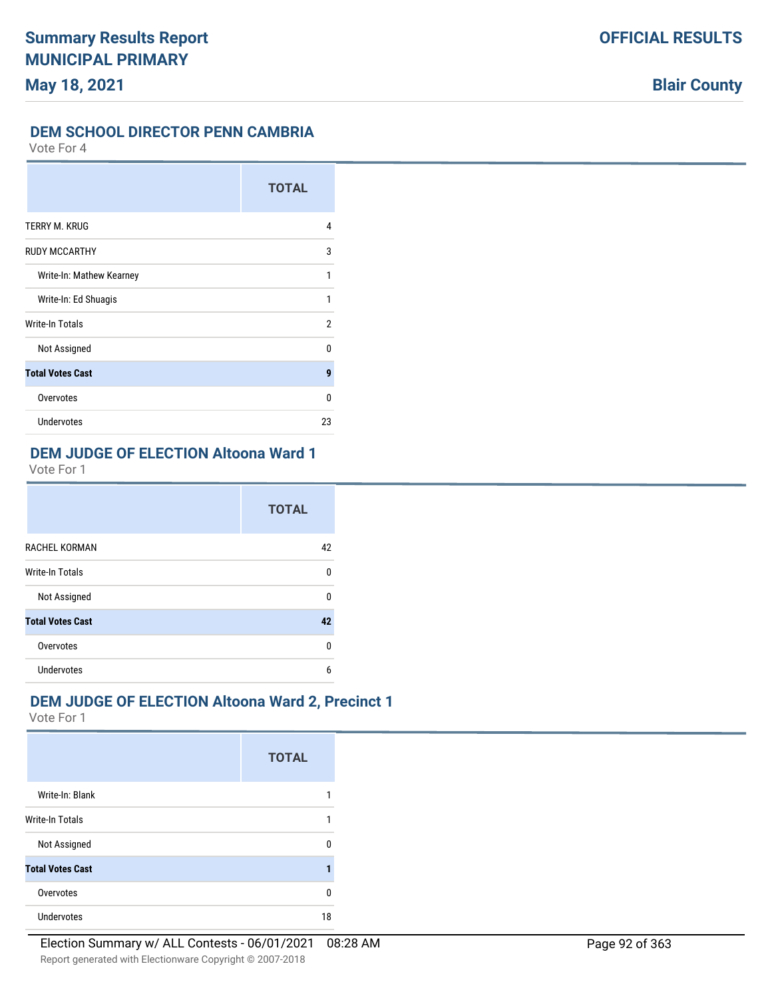### **DEM SCHOOL DIRECTOR PENN CAMBRIA**

Vote For 4

|                          | <b>TOTAL</b> |
|--------------------------|--------------|
| TERRY M. KRUG            | 4            |
| <b>RUDY MCCARTHY</b>     | 3            |
| Write-In: Mathew Kearney | 1            |
| Write-In: Ed Shuagis     | 1            |
| Write-In Totals          | 2            |
| Not Assigned             | n            |
| <b>Total Votes Cast</b>  | 9            |
| Overvotes                | 0            |
| Undervotes               | 23           |

# **DEM JUDGE OF ELECTION Altoona Ward 1**

Vote For 1

|                         | <b>TOTAL</b> |
|-------------------------|--------------|
| RACHEL KORMAN           | 42           |
| <b>Write-In Totals</b>  | 0            |
| Not Assigned            | $\Omega$     |
| <b>Total Votes Cast</b> | 42           |
| Overvotes               | 0            |
| Undervotes              | 6            |

# **DEM JUDGE OF ELECTION Altoona Ward 2, Precinct 1**

|                         | <b>TOTAL</b> |
|-------------------------|--------------|
| Write-In: Blank         |              |
| <b>Write-In Totals</b>  |              |
| Not Assigned            | n            |
| <b>Total Votes Cast</b> |              |
| Overvotes               | n            |
| <b>Undervotes</b>       | 18           |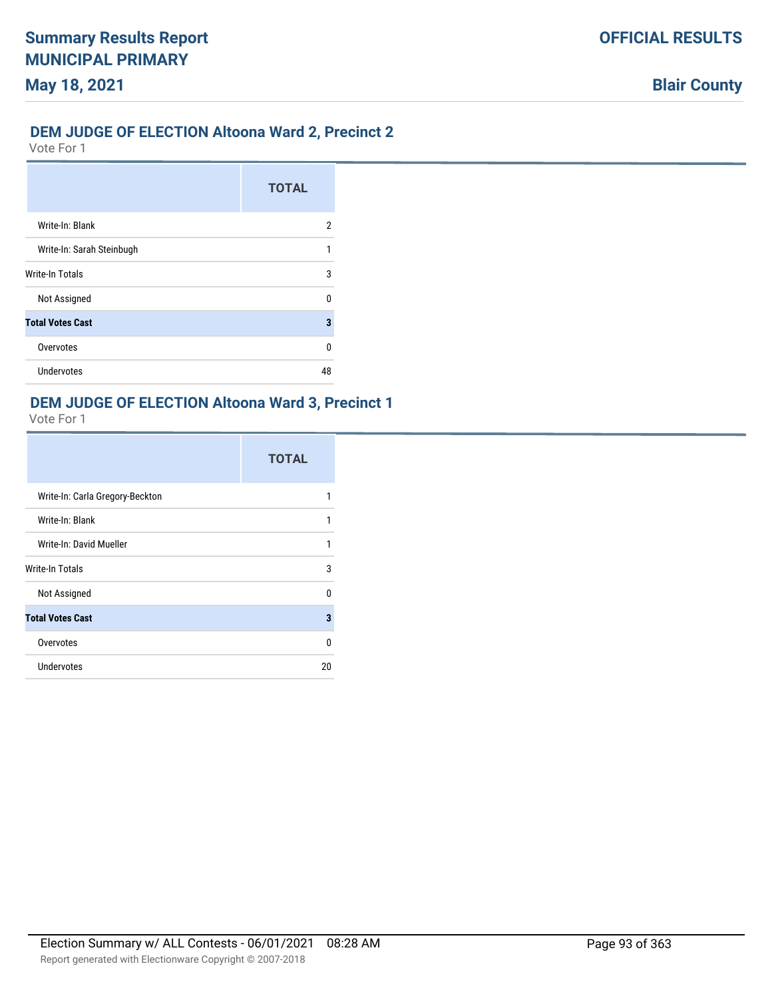### **DEM JUDGE OF ELECTION Altoona Ward 2, Precinct 2**

Vote For 1

**May 18, 2021**

|                           | <b>TOTAL</b> |
|---------------------------|--------------|
| Write-In: Blank           | 2            |
| Write-In: Sarah Steinbugh | 1            |
| <b>Write-In Totals</b>    | 3            |
| Not Assigned              | n            |
| <b>Total Votes Cast</b>   | 3            |
| Overvotes                 | ŋ            |
| <b>Undervotes</b>         | 48           |

## **DEM JUDGE OF ELECTION Altoona Ward 3, Precinct 1**

|                                 | <b>TOTAL</b> |
|---------------------------------|--------------|
| Write-In: Carla Gregory-Beckton |              |
| Write-In: Blank                 | 1            |
| Write-In: David Mueller         | 1            |
| <b>Write-In Totals</b>          | 3            |
| Not Assigned                    | <sup>0</sup> |
| <b>Total Votes Cast</b>         | 3            |
| Overvotes                       | 0            |
| Undervotes                      | 20           |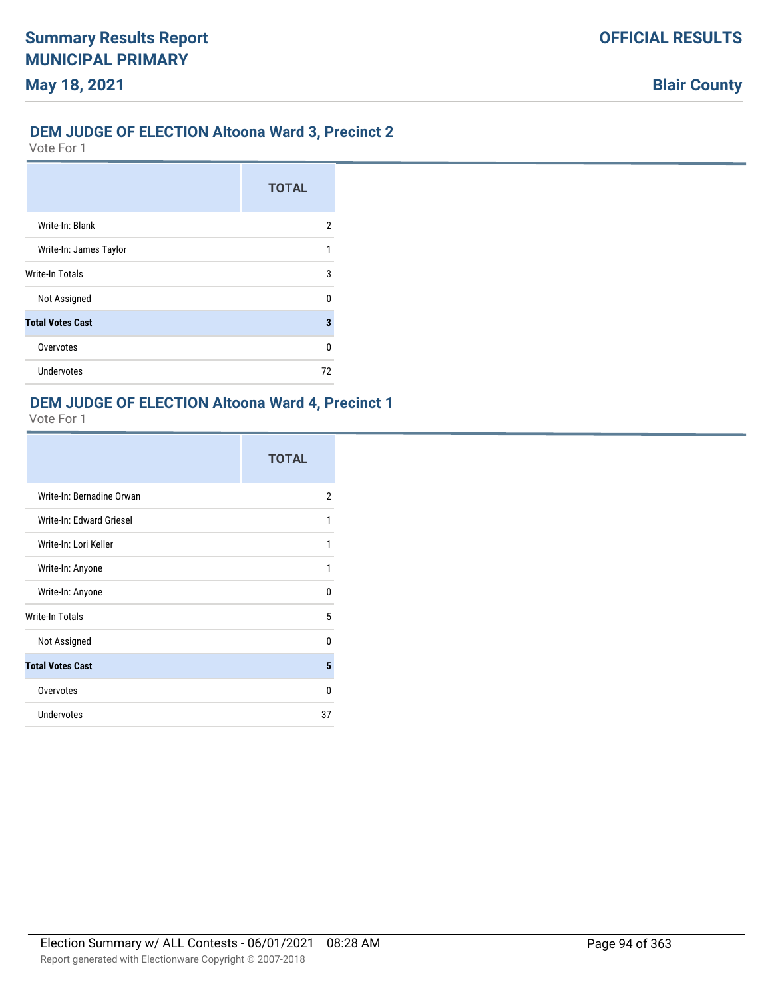# **DEM JUDGE OF ELECTION Altoona Ward 3, Precinct 2**

Vote For 1

**May 18, 2021**

|                         | <b>TOTAL</b> |
|-------------------------|--------------|
| Write-In: Blank         | 2            |
| Write-In: James Taylor  |              |
| <b>Write-In Totals</b>  | 3            |
| Not Assigned            | n            |
| <b>Total Votes Cast</b> | 3            |
| Overvotes               | 0            |
| Undervotes              | 72           |

# **DEM JUDGE OF ELECTION Altoona Ward 4, Precinct 1**

|                           | <b>TOTAL</b> |
|---------------------------|--------------|
| Write-In: Bernadine Orwan | 2            |
| Write-In: Edward Griesel  | 1            |
| Write-In: Lori Keller     | 1            |
| Write-In: Anyone          | 1            |
| Write-In: Anyone          | U            |
| <b>Write-In Totals</b>    | 5            |
| Not Assigned              | U            |
| <b>Total Votes Cast</b>   | 5            |
| Overvotes                 | U            |
| <b>Undervotes</b>         | 37           |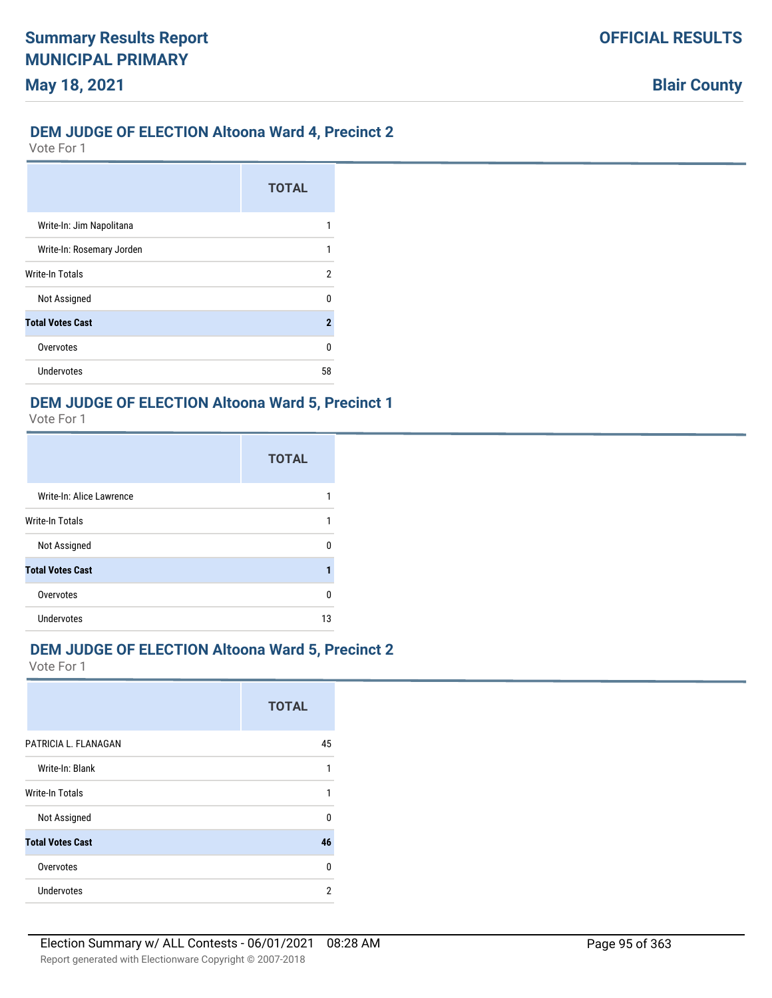## **DEM JUDGE OF ELECTION Altoona Ward 4, Precinct 2**

Vote For 1

|                           | <b>TOTAL</b>        |
|---------------------------|---------------------|
| Write-In: Jim Napolitana  |                     |
| Write-In: Rosemary Jorden |                     |
| Write-In Totals           | 2                   |
| Not Assigned              | n                   |
| <b>Total Votes Cast</b>   | $\boldsymbol{\eta}$ |
| Overvotes                 | n                   |
| Undervotes                | 58                  |

### **DEM JUDGE OF ELECTION Altoona Ward 5, Precinct 1**

Vote For 1

|                          | <b>TOTAL</b> |
|--------------------------|--------------|
| Write-In: Alice Lawrence |              |
| <b>Write-In Totals</b>   |              |
| Not Assigned             | n            |
| <b>Total Votes Cast</b>  | 1            |
| Overvotes                | n            |
| Undervotes               | 13           |

## **DEM JUDGE OF ELECTION Altoona Ward 5, Precinct 2**

|                         | <b>TOTAL</b> |
|-------------------------|--------------|
| PATRICIA L. FLANAGAN    | 45           |
| Write-In: Blank         |              |
| <b>Write-In Totals</b>  |              |
| Not Assigned            | n            |
| <b>Total Votes Cast</b> | 46           |
| Overvotes               | $\Omega$     |
| Undervotes              | 2            |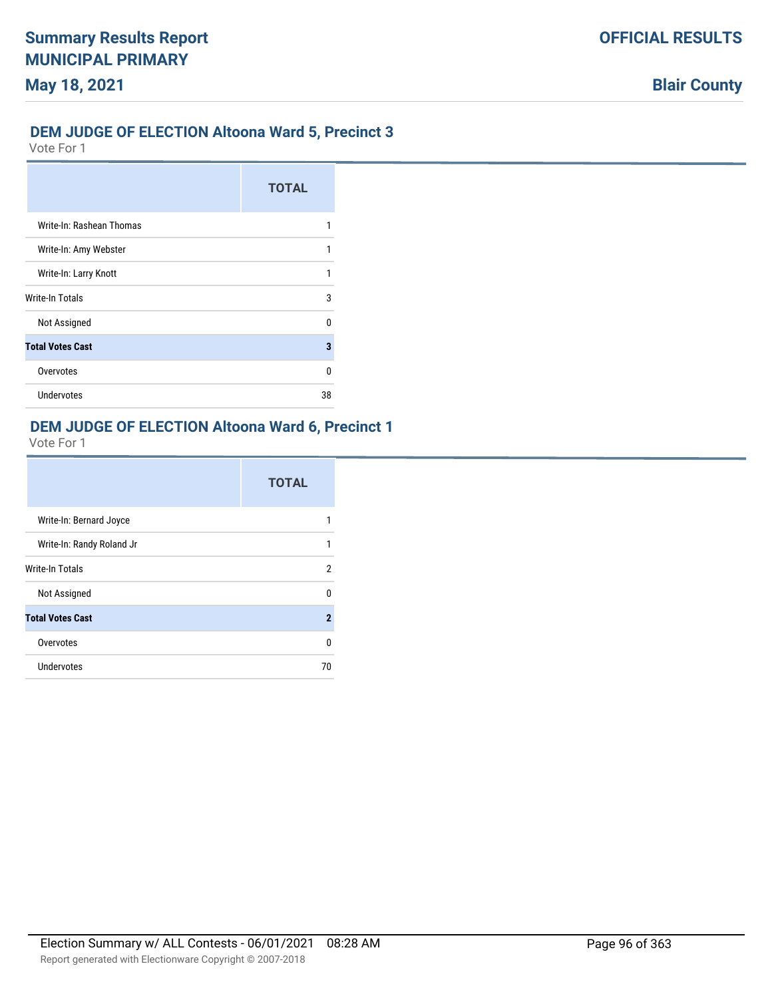### **DEM JUDGE OF ELECTION Altoona Ward 5, Precinct 3**

Vote For 1

|                          | <b>TOTAL</b> |
|--------------------------|--------------|
| Write-In: Rashean Thomas |              |
| Write-In: Amy Webster    |              |
| Write-In: Larry Knott    |              |
| Write-In Totals          | 3            |
| Not Assigned             | n            |
| <b>Total Votes Cast</b>  | 3            |
| Overvotes                | U            |
| Undervotes               | 38           |

# **DEM JUDGE OF ELECTION Altoona Ward 6, Precinct 1**

|                           | <b>TOTAL</b> |
|---------------------------|--------------|
| Write-In: Bernard Joyce   |              |
| Write-In: Randy Roland Jr | 1            |
| Write-In Totals           | 2            |
| Not Assigned              | U            |
| <b>Total Votes Cast</b>   | $\mathbf{2}$ |
| Overvotes                 | 0            |
| Undervotes                | 70           |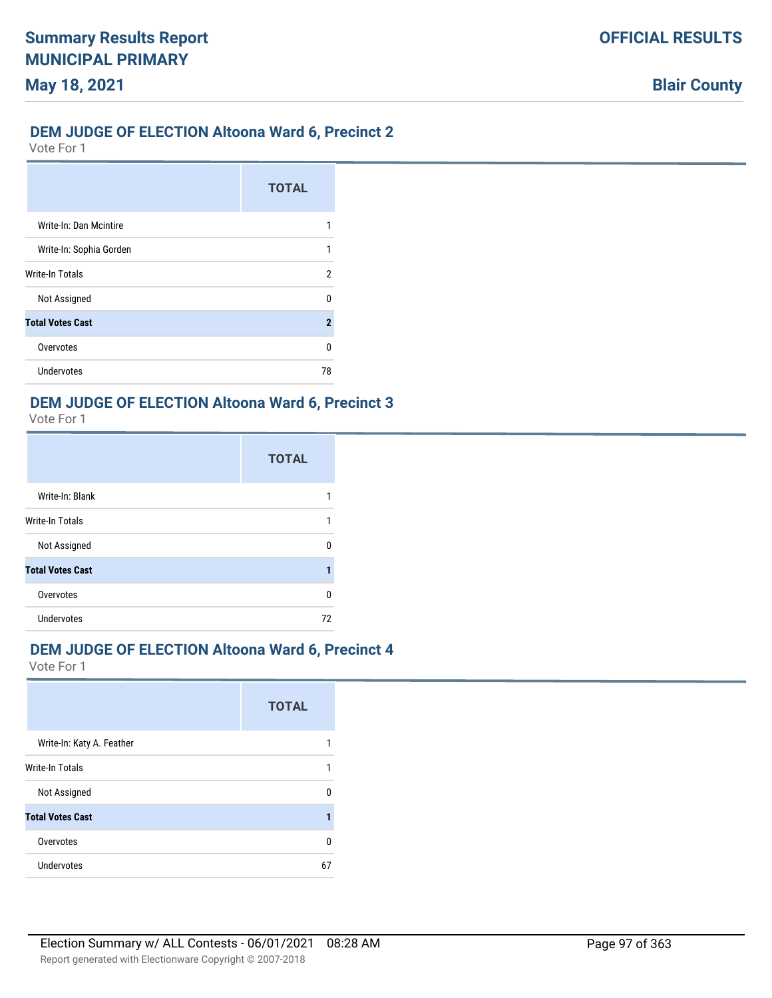### **DEM JUDGE OF ELECTION Altoona Ward 6, Precinct 2**

Vote For 1

|                         | <b>TOTAL</b>        |
|-------------------------|---------------------|
| Write-In: Dan Mcintire  |                     |
| Write-In: Sophia Gorden |                     |
| <b>Write-In Totals</b>  | 2                   |
| Not Assigned            | n                   |
| <b>Total Votes Cast</b> | $\boldsymbol{\eta}$ |
| Overvotes               | n                   |
| Undervotes              | 78                  |

### **DEM JUDGE OF ELECTION Altoona Ward 6, Precinct 3**

Vote For 1

|                         | <b>TOTAL</b> |
|-------------------------|--------------|
| Write-In: Blank         |              |
| Write-In Totals         |              |
| Not Assigned            | U            |
| <b>Total Votes Cast</b> |              |
| Overvotes               | 0            |
| <b>Undervotes</b>       | 72           |

## **DEM JUDGE OF ELECTION Altoona Ward 6, Precinct 4**

|                           | <b>TOTAL</b> |
|---------------------------|--------------|
| Write-In: Katy A. Feather |              |
| <b>Write-In Totals</b>    | 1            |
| Not Assigned              | U            |
| <b>Total Votes Cast</b>   |              |
| Overvotes                 | 0            |
| <b>Undervotes</b>         | 67           |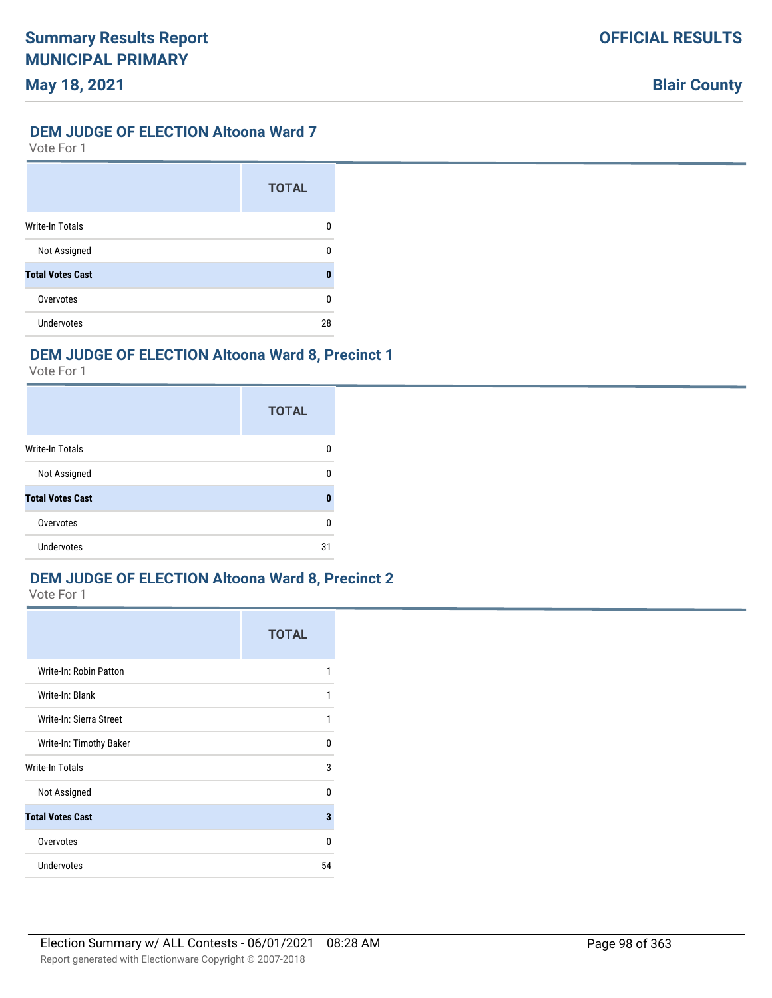# **DEM JUDGE OF ELECTION Altoona Ward 7**

Vote For 1

|                         | <b>TOTAL</b> |
|-------------------------|--------------|
| <b>Write-In Totals</b>  | 0            |
| Not Assigned            | n            |
| <b>Total Votes Cast</b> | 0            |
| Overvotes               | n            |
| Undervotes              | 28           |

# **DEM JUDGE OF ELECTION Altoona Ward 8, Precinct 1**

Vote For 1

|                         | <b>TOTAL</b> |
|-------------------------|--------------|
| <b>Write-In Totals</b>  | n            |
| Not Assigned            | n            |
| <b>Total Votes Cast</b> | n            |
| Overvotes               | U            |
| <b>Undervotes</b>       | 31           |

# **DEM JUDGE OF ELECTION Altoona Ward 8, Precinct 2**

|                         | <b>TOTAL</b> |
|-------------------------|--------------|
| Write-In: Robin Patton  |              |
| Write-In: Blank         | 1            |
| Write-In: Sierra Street | 1            |
| Write-In: Timothy Baker | 0            |
| <b>Write-In Totals</b>  | 3            |
| Not Assigned            | $\Omega$     |
| <b>Total Votes Cast</b> | 3            |
| Overvotes               | 0            |
| Undervotes              | 54           |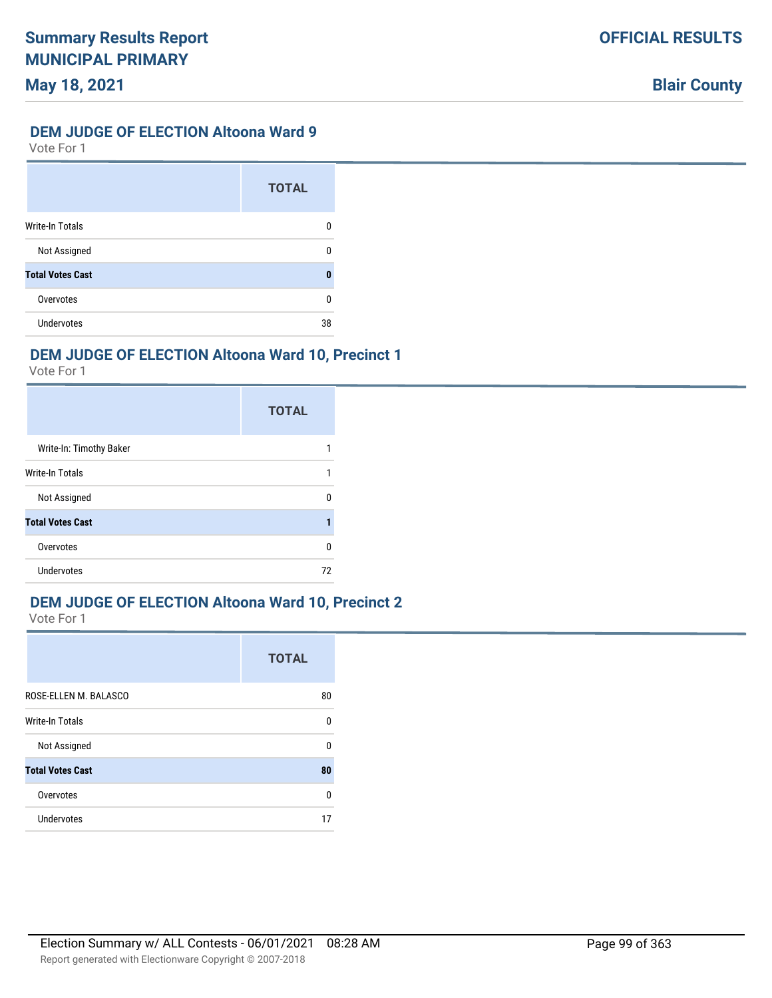### **DEM JUDGE OF ELECTION Altoona Ward 9**

Vote For 1

|                         | <b>TOTAL</b> |
|-------------------------|--------------|
| <b>Write-In Totals</b>  | 0            |
| Not Assigned            | n            |
| <b>Total Votes Cast</b> | 0            |
| Overvotes               | n            |
| Undervotes              | 38           |

# **DEM JUDGE OF ELECTION Altoona Ward 10, Precinct 1**

Vote For 1

|                         | <b>TOTAL</b> |
|-------------------------|--------------|
| Write-In: Timothy Baker |              |
| Write-In Totals         |              |
| Not Assigned            | n            |
| <b>Total Votes Cast</b> |              |
| Overvotes               | U            |
| Undervotes              | 72           |

## **DEM JUDGE OF ELECTION Altoona Ward 10, Precinct 2**

|                         | <b>TOTAL</b> |
|-------------------------|--------------|
| ROSE-ELLEN M. BALASCO   | 80           |
| Write-In Totals         | 0            |
| Not Assigned            | 0            |
| <b>Total Votes Cast</b> | 80           |
| Overvotes               | 0            |
| <b>Undervotes</b>       | 17           |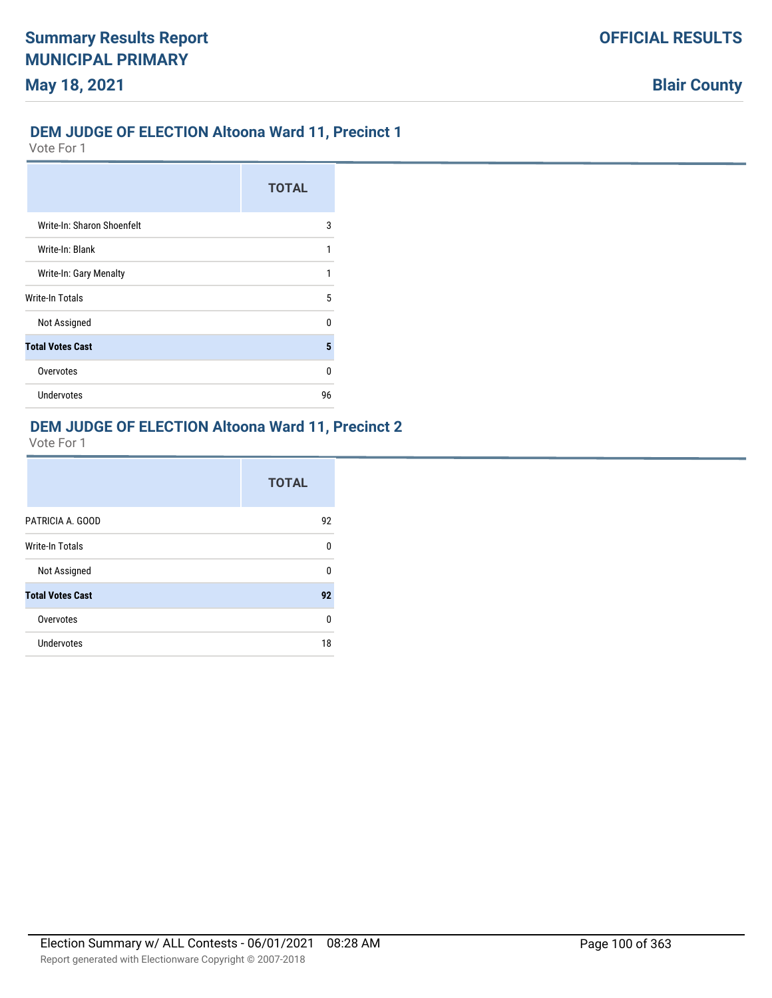### **DEM JUDGE OF ELECTION Altoona Ward 11, Precinct 1**

Vote For 1

|                            | <b>TOTAL</b> |
|----------------------------|--------------|
| Write-In: Sharon Shoenfelt | 3            |
| Write-In: Blank            | 1            |
| Write-In: Gary Menalty     | 1            |
| <b>Write-In Totals</b>     | 5            |
| Not Assigned               | n            |
| <b>Total Votes Cast</b>    | 5            |
| Overvotes                  | U            |
| <b>Undervotes</b>          | 96           |

# **DEM JUDGE OF ELECTION Altoona Ward 11, Precinct 2**

|                         | <b>TOTAL</b> |
|-------------------------|--------------|
| PATRICIA A. GOOD        | 92           |
| <b>Write-In Totals</b>  | 0            |
| Not Assigned            | 0            |
| <b>Total Votes Cast</b> | 92           |
| Overvotes               | 0            |
| <b>Undervotes</b>       | 18           |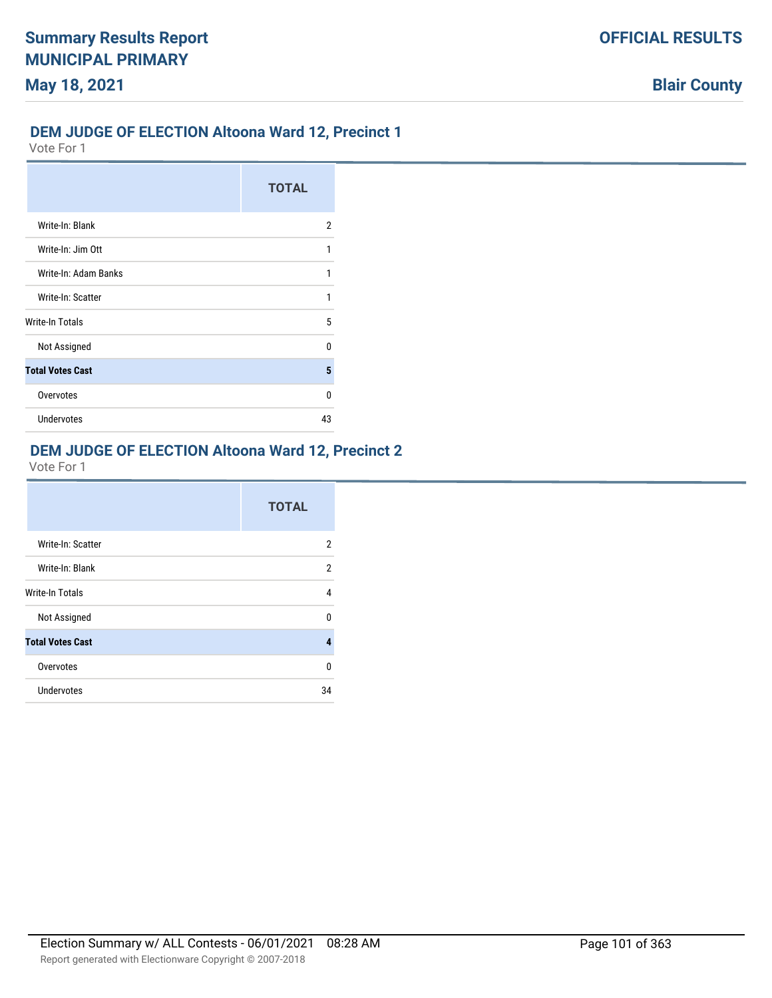## **DEM JUDGE OF ELECTION Altoona Ward 12, Precinct 1**

Vote For 1

|                         | <b>TOTAL</b> |
|-------------------------|--------------|
| Write-In: Blank         | 2            |
| Write-In: Jim Ott       | 1            |
| Write-In: Adam Banks    | 1            |
| Write-In: Scatter       | 1            |
| Write-In Totals         | 5            |
| Not Assigned            | U            |
| <b>Total Votes Cast</b> | 5            |
| Overvotes               | n            |
| <b>Undervotes</b>       | 43           |

## **DEM JUDGE OF ELECTION Altoona Ward 12, Precinct 2**

|                         | <b>TOTAL</b>   |
|-------------------------|----------------|
| Write-In: Scatter       | $\overline{2}$ |
| Write-In: Blank         | 2              |
| <b>Write-In Totals</b>  | 4              |
| Not Assigned            | U              |
| <b>Total Votes Cast</b> | 4              |
| Overvotes               | 0              |
| Undervotes              | 34             |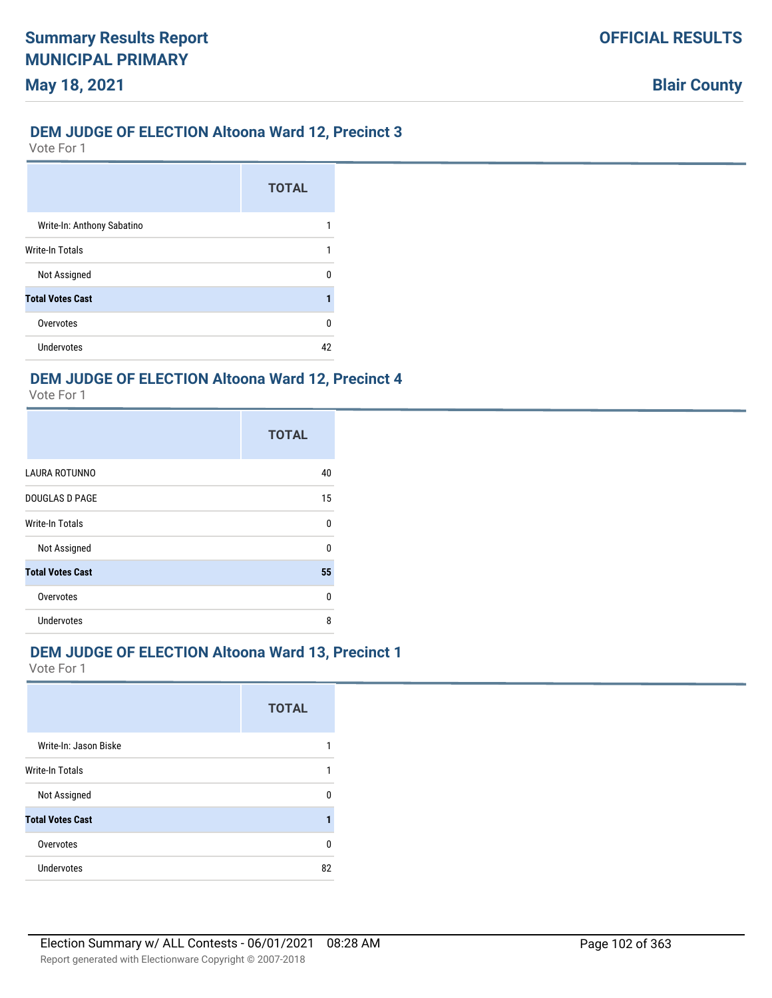### **DEM JUDGE OF ELECTION Altoona Ward 12, Precinct 3**

Vote For 1

**May 18, 2021**

|                            | <b>TOTAL</b> |
|----------------------------|--------------|
| Write-In: Anthony Sabatino |              |
| Write-In Totals            |              |
| Not Assigned               |              |
| <b>Total Votes Cast</b>    |              |
| Overvotes                  | n            |
| Undervotes                 |              |

### **DEM JUDGE OF ELECTION Altoona Ward 12, Precinct 4**

Vote For 1

|                         | <b>TOTAL</b> |
|-------------------------|--------------|
| LAURA ROTUNNO           | 40           |
| <b>DOUGLAS D PAGE</b>   | 15           |
| Write-In Totals         | 0            |
| Not Assigned            | U            |
| <b>Total Votes Cast</b> | 55           |
| Overvotes               | 0            |
| Undervotes              | 8            |

### **DEM JUDGE OF ELECTION Altoona Ward 13, Precinct 1**

|                         | <b>TOTAL</b> |
|-------------------------|--------------|
| Write-In: Jason Biske   |              |
| Write-In Totals         |              |
| Not Assigned            | U            |
| <b>Total Votes Cast</b> |              |
| Overvotes               | 0            |
| <b>Undervotes</b>       | 82           |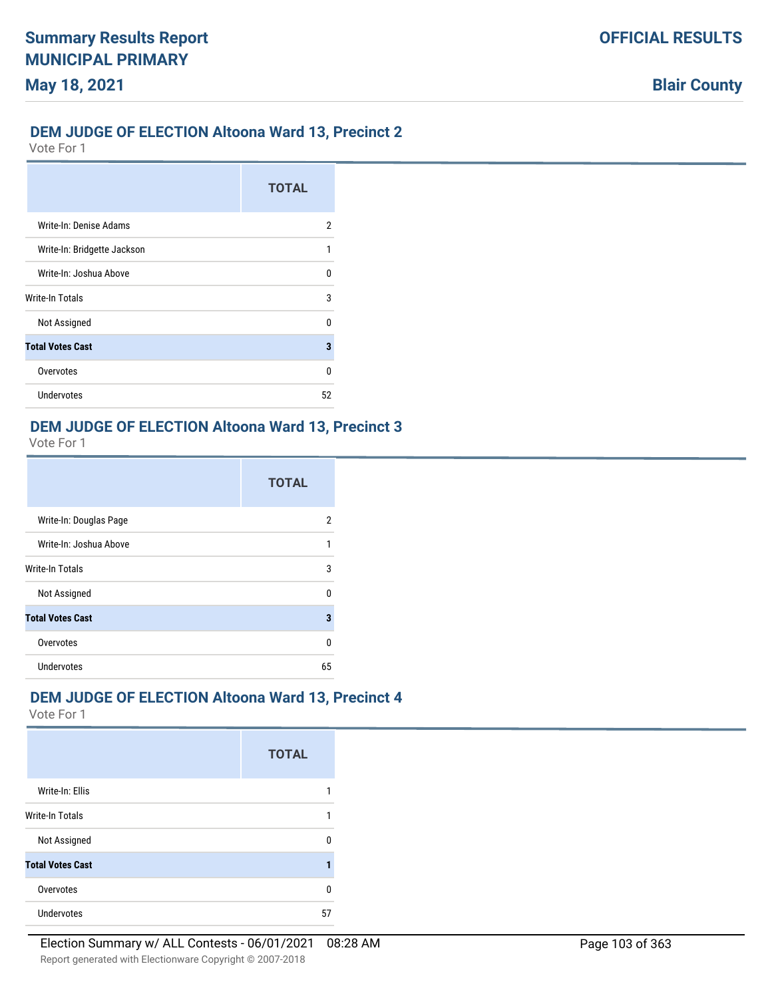## **DEM JUDGE OF ELECTION Altoona Ward 13, Precinct 2**

Vote For 1

|                             | <b>TOTAL</b> |
|-----------------------------|--------------|
| Write-In: Denise Adams      | 2            |
| Write-In: Bridgette Jackson | 1            |
| Write-In: Joshua Above      | n            |
| Write-In Totals             | 3            |
| Not Assigned                | n            |
| <b>Total Votes Cast</b>     | 3            |
| Overvotes                   | n            |
| Undervotes                  | 52           |

# **DEM JUDGE OF ELECTION Altoona Ward 13, Precinct 3**

Vote For 1

|                         | <b>TOTAL</b> |
|-------------------------|--------------|
| Write-In: Douglas Page  | 2            |
| Write-In: Joshua Above  |              |
| Write-In Totals         | 3            |
| Not Assigned            | U            |
| <b>Total Votes Cast</b> | 3            |
| Overvotes               | n            |
| <b>Undervotes</b>       | 65           |

# **DEM JUDGE OF ELECTION Altoona Ward 13, Precinct 4**

|                         | <b>TOTAL</b> |
|-------------------------|--------------|
| Write-In: Ellis         |              |
| Write-In Totals         |              |
| Not Assigned            | n            |
| <b>Total Votes Cast</b> |              |
| Overvotes               | n            |
| <b>Undervotes</b>       | 57           |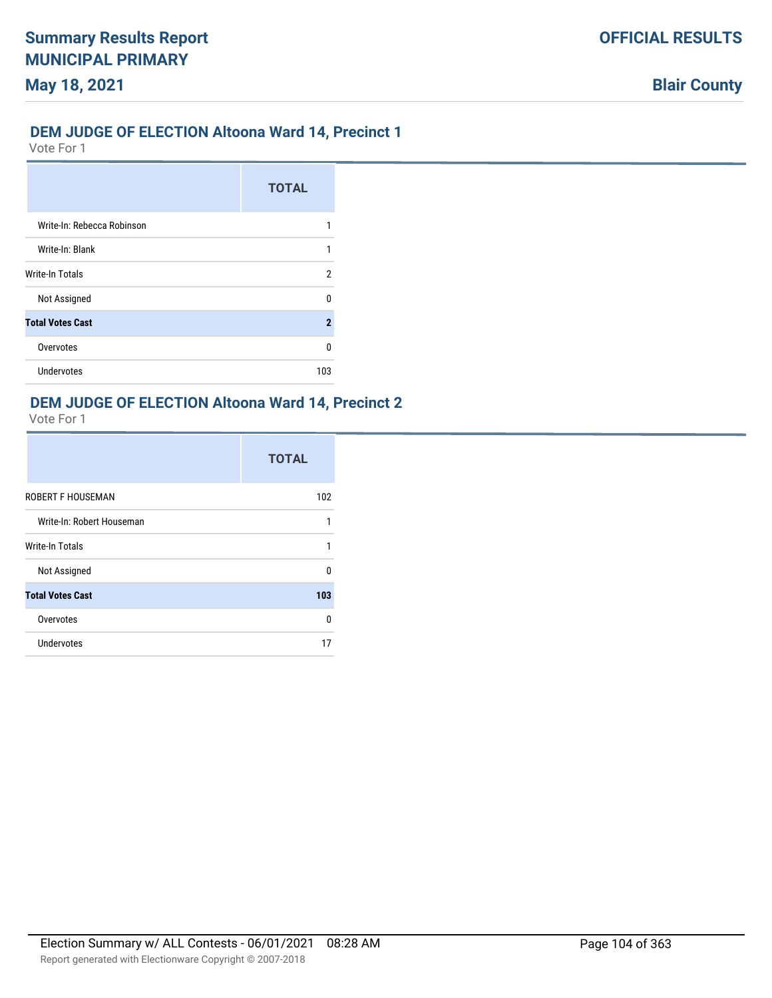## **DEM JUDGE OF ELECTION Altoona Ward 14, Precinct 1**

Vote For 1

**May 18, 2021**

|                            | <b>TOTAL</b>        |
|----------------------------|---------------------|
| Write-In: Rebecca Robinson |                     |
| Write-In: Blank            |                     |
| <b>Write-In Totals</b>     | 2                   |
| Not Assigned               | n                   |
| <b>Total Votes Cast</b>    | $\boldsymbol{\eta}$ |
| Overvotes                  | n                   |
| Undervotes                 | 103                 |

## **DEM JUDGE OF ELECTION Altoona Ward 14, Precinct 2**

|                           | <b>TOTAL</b> |
|---------------------------|--------------|
| <b>ROBERT F HOUSEMAN</b>  | 102          |
| Write-In: Robert Houseman |              |
| <b>Write-In Totals</b>    |              |
| Not Assigned              | U            |
| <b>Total Votes Cast</b>   | 103          |
| Overvotes                 | <sup>0</sup> |
| Undervotes                | 17           |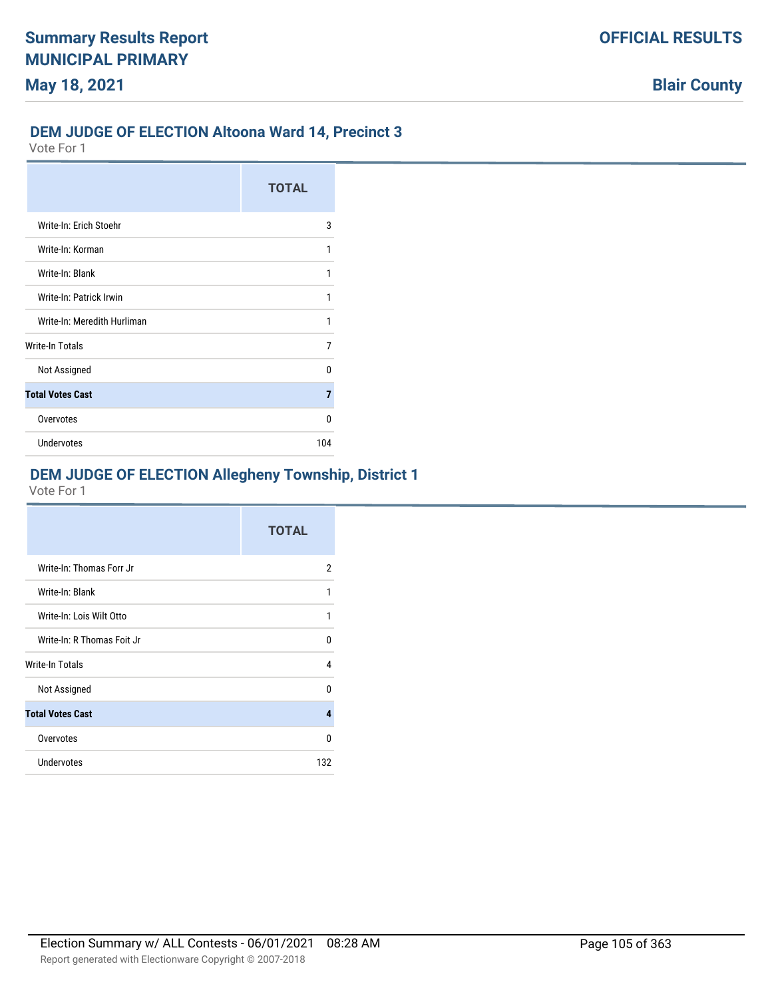### **DEM JUDGE OF ELECTION Altoona Ward 14, Precinct 3**

Vote For 1

|                             | <b>TOTAL</b> |
|-----------------------------|--------------|
| Write-In: Erich Stoehr      | 3            |
| Write-In: Korman            | 1            |
| Write-In: Blank             | 1            |
| Write-In: Patrick Irwin     | 1            |
| Write-In: Meredith Hurliman | 1            |
| Write-In Totals             | 7            |
| Not Assigned                | n            |
| <b>Total Votes Cast</b>     | 7            |
| Overvotes                   | n            |
| <b>Undervotes</b>           | 104          |

# **DEM JUDGE OF ELECTION Allegheny Township, District 1**

|                            | <b>TOTAL</b> |
|----------------------------|--------------|
| Write-In: Thomas Forr Jr   | 2            |
| Write-In: Blank            | 1            |
| Write-In: Lois Wilt Otto   | 1            |
| Write-In: R Thomas Foit Jr | U            |
| Write-In Totals            | 4            |
| Not Assigned               | n            |
| <b>Total Votes Cast</b>    | 4            |
| Overvotes                  | U            |
| <b>Undervotes</b>          | 132          |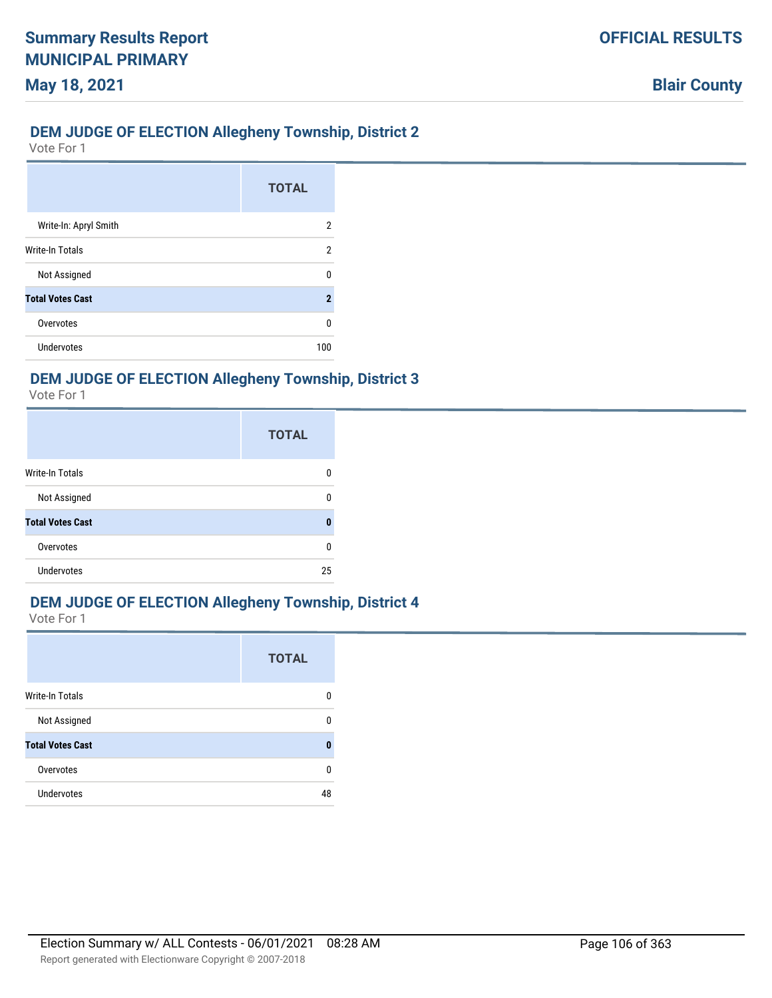# **DEM JUDGE OF ELECTION Allegheny Township, District 2**

Vote For 1

|                         | <b>TOTAL</b> |
|-------------------------|--------------|
| Write-In: Apryl Smith   | 2            |
| Write-In Totals         | 2            |
| Not Assigned            | n            |
| <b>Total Votes Cast</b> | 2            |
| Overvotes               | O            |
| Undervotes              | 100          |

# **DEM JUDGE OF ELECTION Allegheny Township, District 3**

Vote For 1

|                         | <b>TOTAL</b> |
|-------------------------|--------------|
| Write-In Totals         |              |
| Not Assigned            |              |
| <b>Total Votes Cast</b> | Λ            |
| Overvotes               | n            |
| Undervotes              | 25           |

## **DEM JUDGE OF ELECTION Allegheny Township, District 4**

|                         | <b>TOTAL</b> |
|-------------------------|--------------|
| Write-In Totals         | O            |
| Not Assigned            | n            |
| <b>Total Votes Cast</b> | n            |
| Overvotes               | U            |
| <b>Undervotes</b>       | 48           |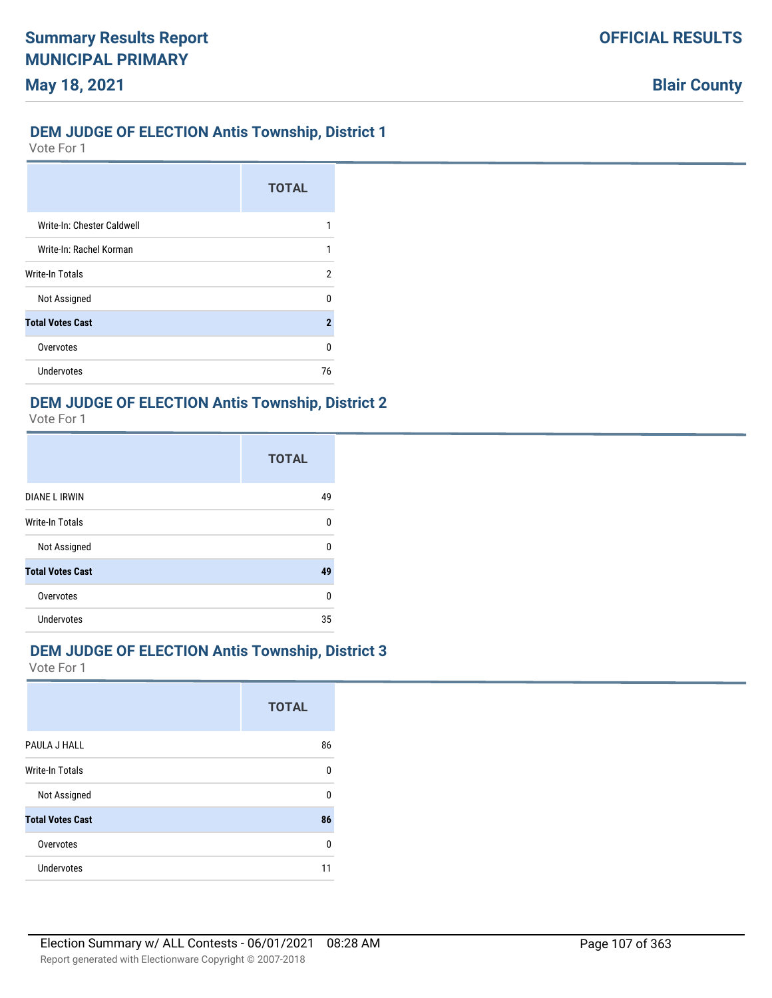## **DEM JUDGE OF ELECTION Antis Township, District 1**

Vote For 1

**May 18, 2021**

|                            | <b>TOTAL</b>        |
|----------------------------|---------------------|
| Write-In: Chester Caldwell |                     |
| Write-In: Rachel Korman    |                     |
| Write-In Totals            | 2                   |
| Not Assigned               | U                   |
| <b>Total Votes Cast</b>    | $\boldsymbol{\eta}$ |
| Overvotes                  | U                   |
| Undervotes                 | 76                  |

## **DEM JUDGE OF ELECTION Antis Township, District 2**

Vote For 1

|                         | <b>TOTAL</b> |
|-------------------------|--------------|
| <b>DIANE L IRWIN</b>    | 49           |
| Write-In Totals         | 0            |
| Not Assigned            | U            |
| <b>Total Votes Cast</b> | 49           |
| Overvotes               | $\Omega$     |
| Undervotes              | 35           |

### **DEM JUDGE OF ELECTION Antis Township, District 3**

|                         | <b>TOTAL</b> |
|-------------------------|--------------|
| PAULA J HALL            | 86           |
| <b>Write-In Totals</b>  | 0            |
| Not Assigned            | $\Omega$     |
| <b>Total Votes Cast</b> | 86           |
| Overvotes               | $\Omega$     |
| Undervotes              | 11           |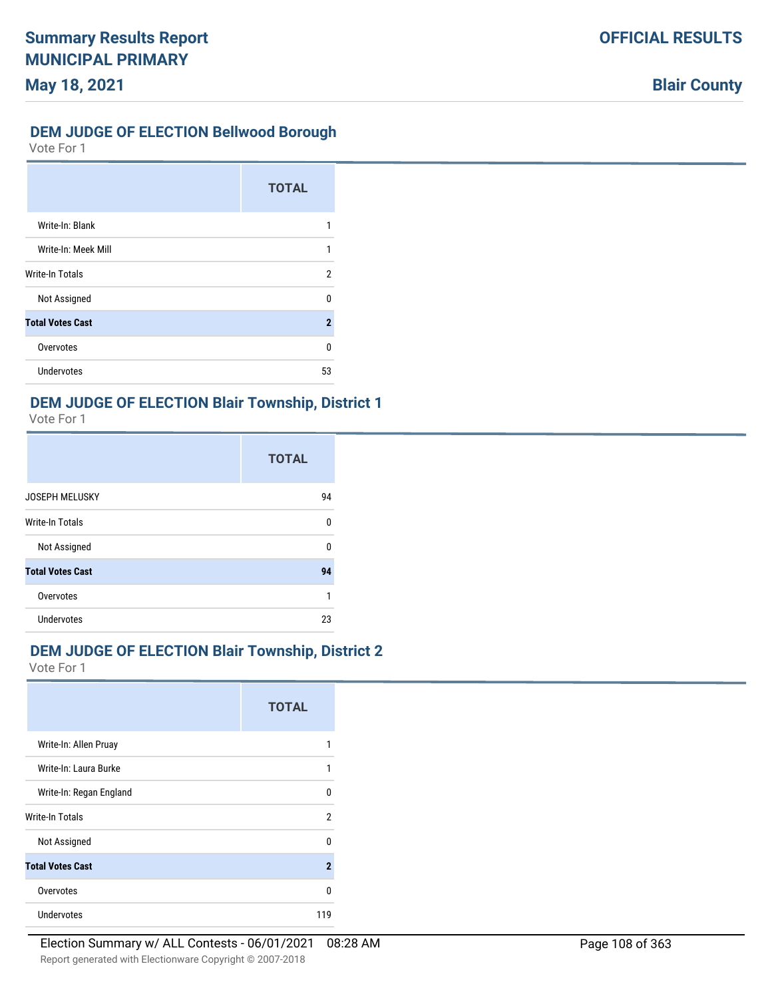## **DEM JUDGE OF ELECTION Bellwood Borough**

Vote For 1

|                         | <b>TOTAL</b>        |
|-------------------------|---------------------|
| Write-In: Blank         |                     |
| Write-In: Meek Mill     | 1                   |
| Write-In Totals         | 2                   |
| Not Assigned            | n                   |
| <b>Total Votes Cast</b> | $\boldsymbol{\eta}$ |
| Overvotes               | U                   |
| Undervotes              | 53                  |

## **DEM JUDGE OF ELECTION Blair Township, District 1**

Vote For 1

|                         | <b>TOTAL</b> |
|-------------------------|--------------|
| <b>JOSEPH MELUSKY</b>   | 94           |
| <b>Write-In Totals</b>  | $\Omega$     |
| Not Assigned            | U            |
| <b>Total Votes Cast</b> | 94           |
| Overvotes               |              |
| Undervotes              | 23           |

# **DEM JUDGE OF ELECTION Blair Township, District 2**

|                         | <b>TOTAL</b>   |
|-------------------------|----------------|
| Write-In: Allen Pruay   |                |
| Write-In: Laura Burke   | 1              |
| Write-In: Regan England | U              |
| Write-In Totals         | 2              |
| Not Assigned            | n              |
| <b>Total Votes Cast</b> | $\overline{2}$ |
| Overvotes               | U              |
| <b>Undervotes</b>       | 119            |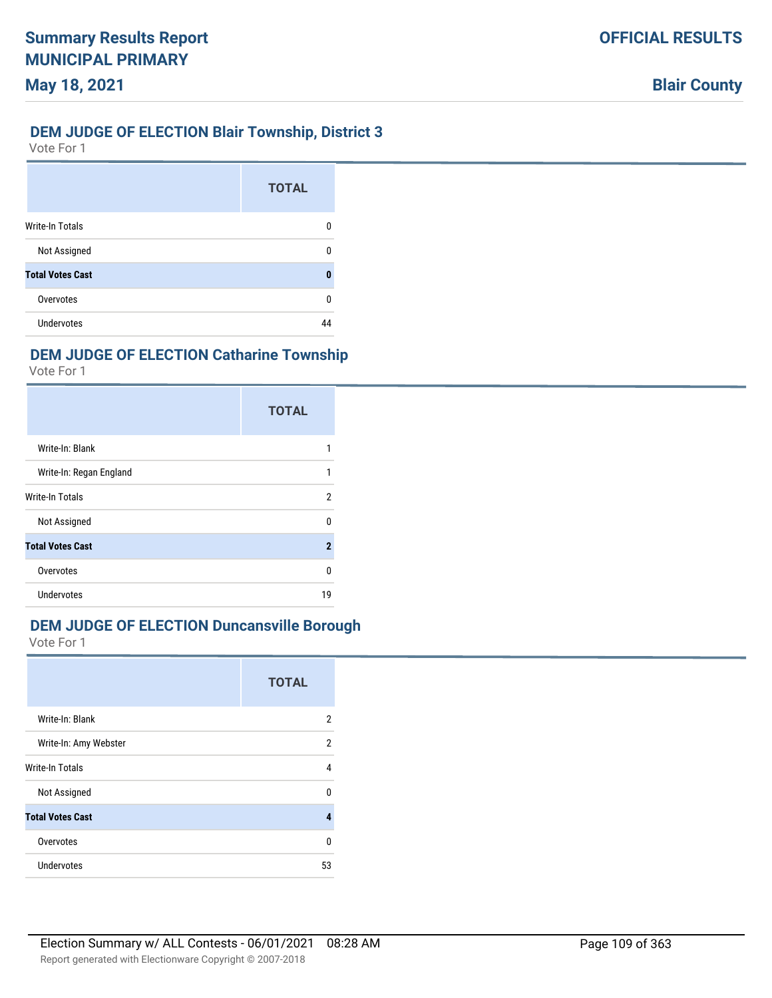### **DEM JUDGE OF ELECTION Blair Township, District 3**

Vote For 1

**May 18, 2021**

|                         | <b>TOTAL</b> |
|-------------------------|--------------|
| <b>Write-In Totals</b>  | n            |
| Not Assigned            | n            |
| <b>Total Votes Cast</b> | Ω            |
| Overvotes               | n            |
| Undervotes              | 44           |

### **DEM JUDGE OF ELECTION Catharine Township**

Vote For 1

|                         | <b>TOTAL</b>   |
|-------------------------|----------------|
| Write-In: Blank         |                |
| Write-In: Regan England | 1              |
| Write-In Totals         | 2              |
| Not Assigned            | ŋ              |
| <b>Total Votes Cast</b> | $\overline{2}$ |
| Overvotes               | n              |
| <b>Undervotes</b>       | 19             |

# **DEM JUDGE OF ELECTION Duncansville Borough**

|                         | <b>TOTAL</b> |
|-------------------------|--------------|
| Write-In: Blank         | 2            |
| Write-In: Amy Webster   | 2            |
| Write-In Totals         | 4            |
| Not Assigned            | n            |
| <b>Total Votes Cast</b> | 4            |
| Overvotes               | U            |
| <b>Undervotes</b>       | 53           |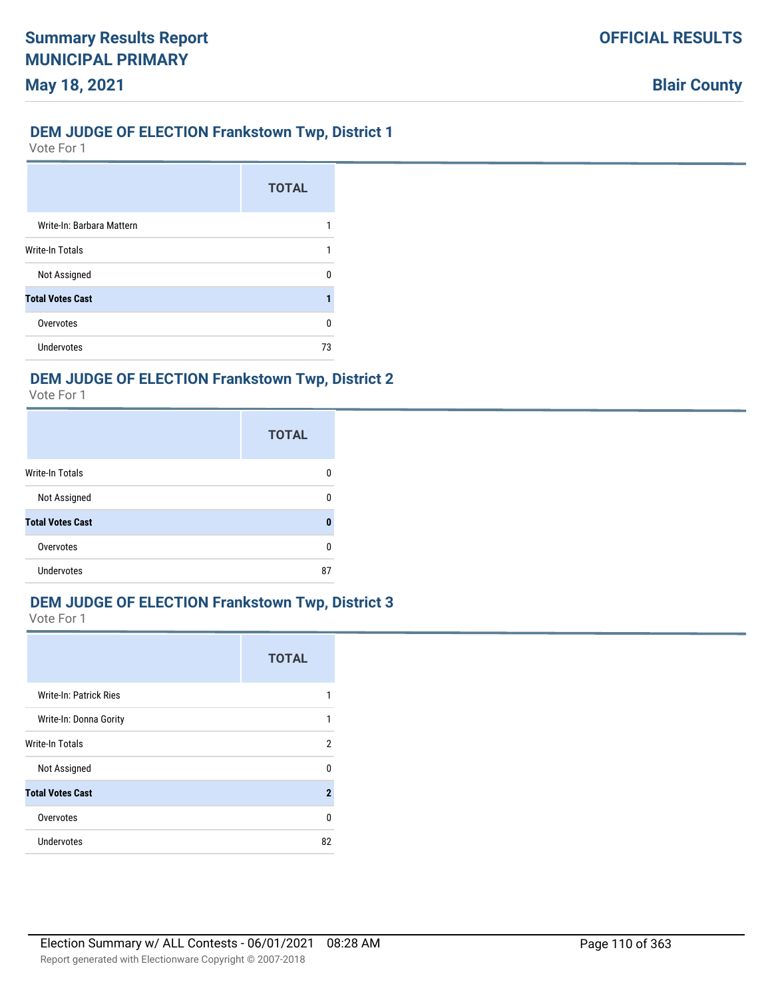### **DEM JUDGE OF ELECTION Frankstown Twp, District 1**

Vote For 1

|                           | <b>TOTAL</b> |
|---------------------------|--------------|
| Write-In: Barbara Mattern |              |
| Write-In Totals           |              |
| Not Assigned              | n            |
| <b>Total Votes Cast</b>   |              |
| Overvotes                 | n            |
| Undervotes                | 73           |

#### **DEM JUDGE OF ELECTION Frankstown Twp, District 2**

Vote For 1

|                         | <b>TOTAL</b> |
|-------------------------|--------------|
| Write-In Totals         | n            |
| Not Assigned            | n            |
| <b>Total Votes Cast</b> | O            |
| Overvotes               | ŋ            |
| <b>Undervotes</b>       | 87           |

### **DEM JUDGE OF ELECTION Frankstown Twp, District 3**

|                               | <b>TOTAL</b> |
|-------------------------------|--------------|
| <b>Write-In: Patrick Ries</b> | 1            |
| Write-In: Donna Gority        | 1            |
| Write-In Totals               | 2            |
| Not Assigned                  | 0            |
| <b>Total Votes Cast</b>       | $\mathbf{2}$ |
| Overvotes                     | 0            |
| <b>Undervotes</b>             | 82           |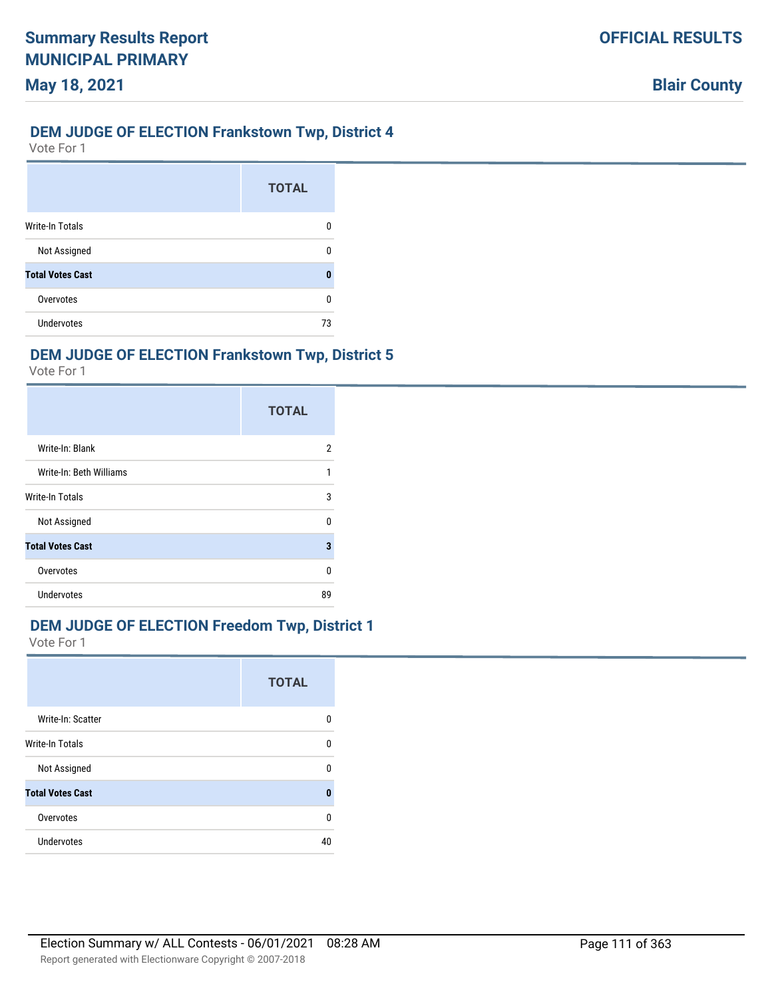### **DEM JUDGE OF ELECTION Frankstown Twp, District 4**

Vote For 1

|                         | <b>TOTAL</b> |
|-------------------------|--------------|
| <b>Write-In Totals</b>  | 0            |
| Not Assigned            | O            |
| <b>Total Votes Cast</b> | Ω            |
| Overvotes               | n            |
| Undervotes              | 73           |

### **DEM JUDGE OF ELECTION Frankstown Twp, District 5**

Vote For 1

|                         | <b>TOTAL</b> |
|-------------------------|--------------|
| Write-In: Blank         | 2            |
| Write-In: Beth Williams | 1            |
| Write-In Totals         | 3            |
| Not Assigned            | U            |
| <b>Total Votes Cast</b> | 3            |
| Overvotes               | U            |
| Undervotes              | 89           |

### **DEM JUDGE OF ELECTION Freedom Twp, District 1**

|                         | <b>TOTAL</b> |
|-------------------------|--------------|
| Write-In: Scatter       | U            |
| <b>Write-In Totals</b>  | 0            |
| Not Assigned            | U            |
| <b>Total Votes Cast</b> | 0            |
| Overvotes               | 0            |
| <b>Undervotes</b>       | 40           |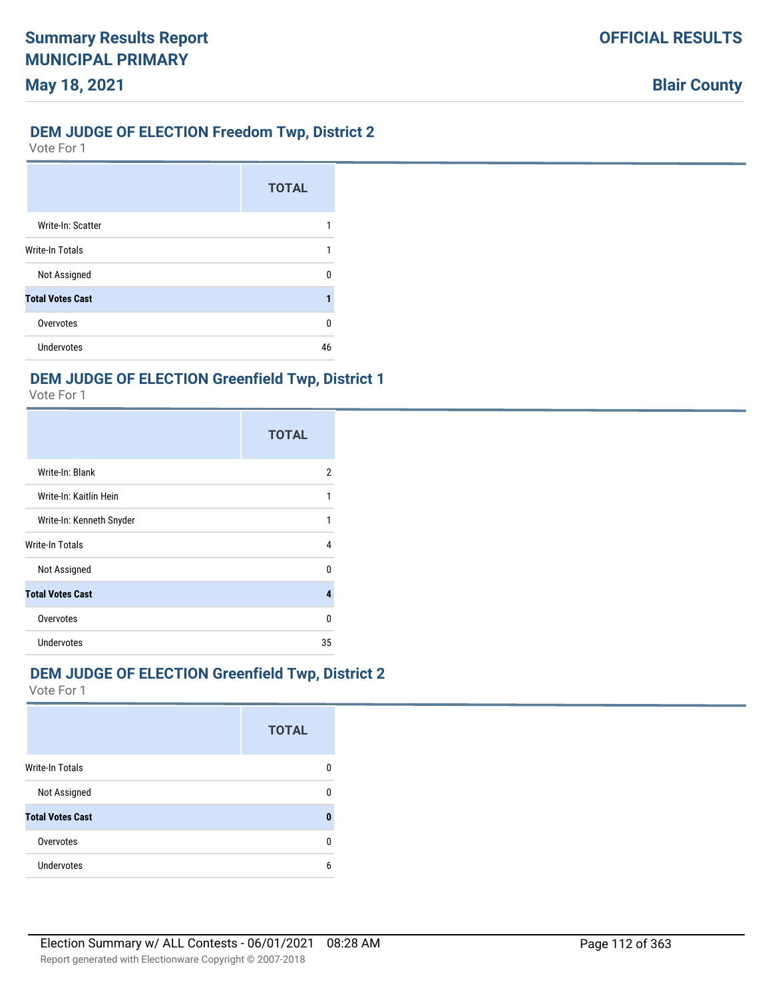# **DEM JUDGE OF ELECTION Freedom Twp, District 2**

Vote For 1

**May 18, 2021**

|                         | <b>TOTAL</b> |
|-------------------------|--------------|
| Write-In: Scatter       |              |
| Write-In Totals         |              |
| Not Assigned            | n            |
| <b>Total Votes Cast</b> |              |
| Overvotes               | ŋ            |
| <b>Undervotes</b>       | 46           |

# **DEM JUDGE OF ELECTION Greenfield Twp, District 1**

Vote For 1

|                          | <b>TOTAL</b> |
|--------------------------|--------------|
| Write-In: Blank          | 2            |
| Write-In: Kaitlin Hein   |              |
| Write-In: Kenneth Snyder | 1            |
| Write-In Totals          | 4            |
| Not Assigned             | n            |
| <b>Total Votes Cast</b>  |              |
| Overvotes                | n            |
| <b>Undervotes</b>        | 35           |

### **DEM JUDGE OF ELECTION Greenfield Twp, District 2**

|                         | <b>TOTAL</b> |
|-------------------------|--------------|
| <b>Write-In Totals</b>  |              |
| Not Assigned            | n            |
| <b>Total Votes Cast</b> | П            |
| Overvotes               | n            |
| Undervotes              | h            |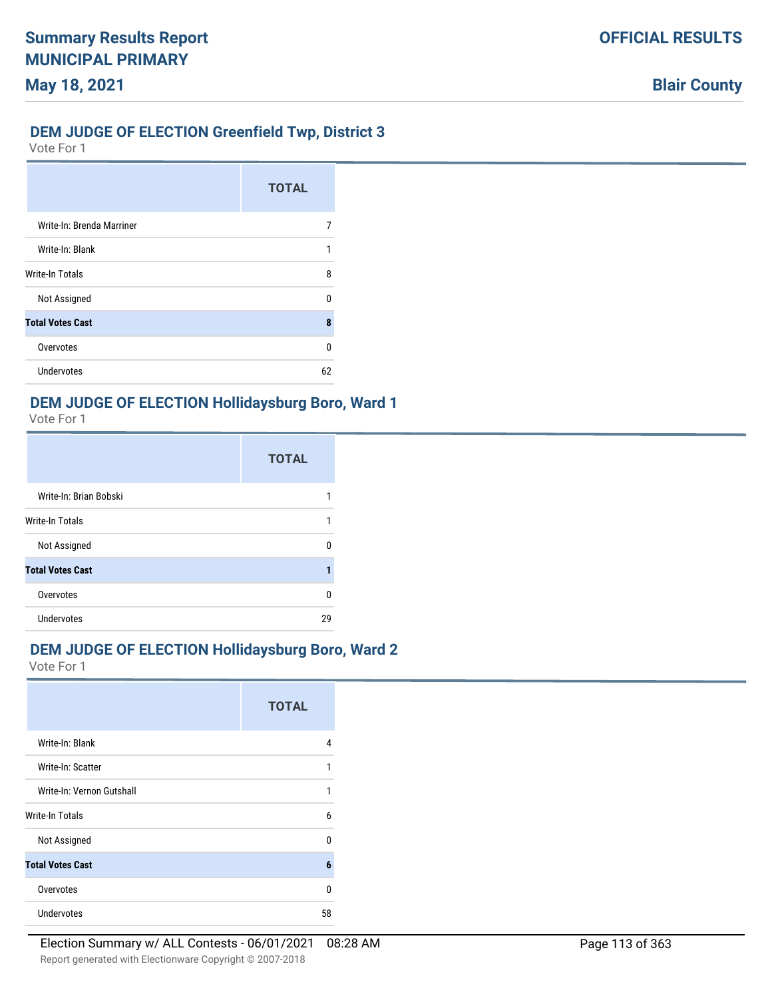### **DEM JUDGE OF ELECTION Greenfield Twp, District 3**

Vote For 1

**May 18, 2021**

|                           | <b>TOTAL</b> |
|---------------------------|--------------|
| Write-In: Brenda Marriner |              |
| Write-In: Blank           |              |
| <b>Write-In Totals</b>    | 8            |
| Not Assigned              | n            |
| <b>Total Votes Cast</b>   | ጸ            |
| Overvotes                 | n            |
| <b>Undervotes</b>         | 62           |

#### **DEM JUDGE OF ELECTION Hollidaysburg Boro, Ward 1**

Vote For 1

|                         | <b>TOTAL</b> |
|-------------------------|--------------|
| Write-In: Brian Bobski  |              |
| Write-In Totals         | 1            |
| Not Assigned            | n            |
| <b>Total Votes Cast</b> |              |
| Overvotes               | ŋ            |
| Undervotes              | 29           |

### **DEM JUDGE OF ELECTION Hollidaysburg Boro, Ward 2**

|                           | <b>TOTAL</b> |
|---------------------------|--------------|
| Write-In: Blank           | 4            |
| Write-In: Scatter         | 1            |
| Write-In: Vernon Gutshall | 1            |
| Write-In Totals           | h            |
| Not Assigned              | n            |
| <b>Total Votes Cast</b>   | 6            |
| Overvotes                 | n            |
| <b>Undervotes</b>         | 58           |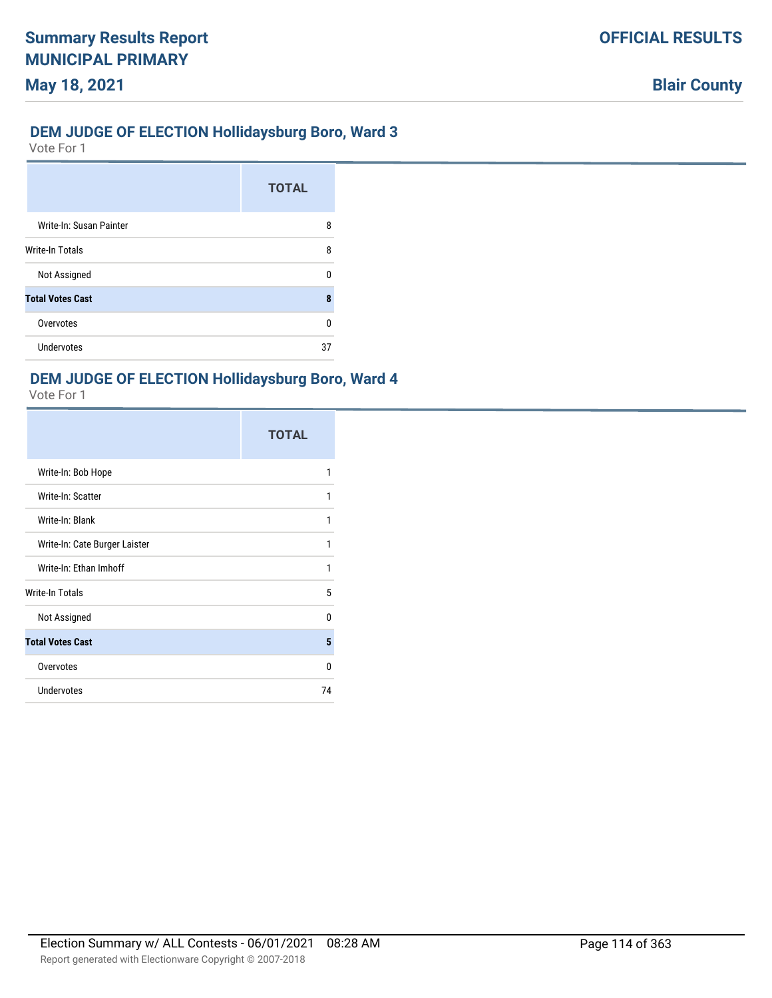### **DEM JUDGE OF ELECTION Hollidaysburg Boro, Ward 3**

Vote For 1

**May 18, 2021**

|                         | <b>TOTAL</b> |
|-------------------------|--------------|
| Write-In: Susan Painter | 8            |
| Write-In Totals         | 8            |
| Not Assigned            | U            |
| <b>Total Votes Cast</b> | 8            |
| Overvotes               | 0            |
| Undervotes              | 37           |

### **DEM JUDGE OF ELECTION Hollidaysburg Boro, Ward 4**

|                               | <b>TOTAL</b> |
|-------------------------------|--------------|
| Write-In: Bob Hope            | 1            |
| Write-In: Scatter             | 1            |
| Write-In: Blank               | 1            |
| Write-In: Cate Burger Laister | 1            |
| Write-In: Ethan Imhoff        | 1            |
| <b>Write-In Totals</b>        | 5            |
| Not Assigned                  | 0            |
| <b>Total Votes Cast</b>       | 5            |
| Overvotes                     | 0            |
| <b>Undervotes</b>             | 74           |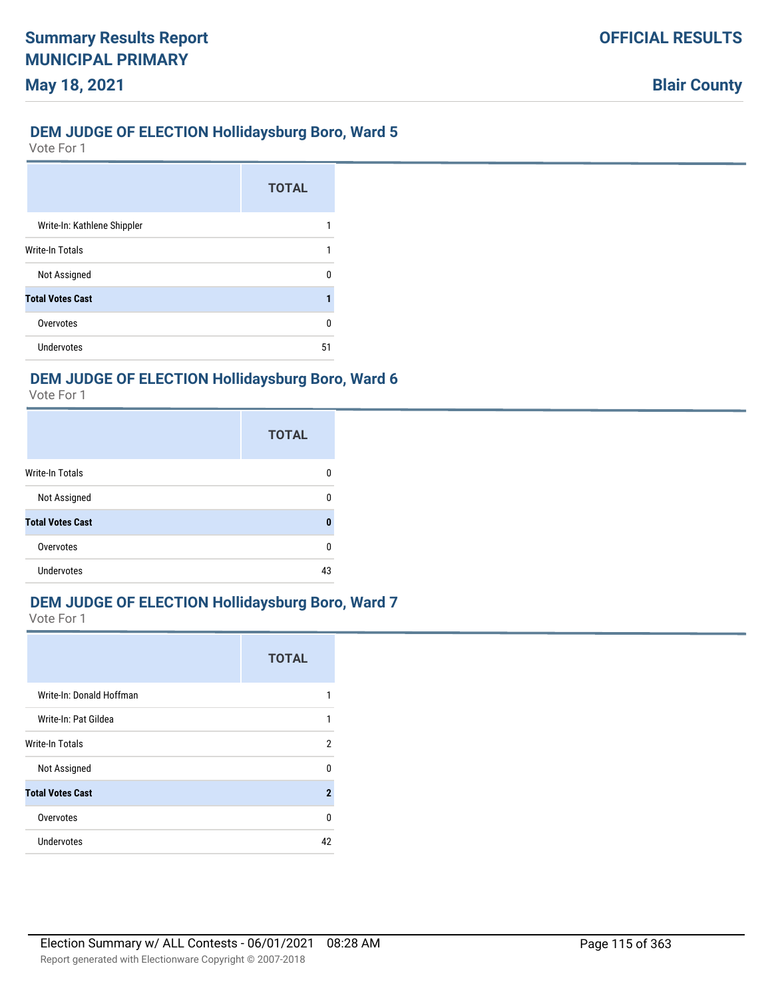### **DEM JUDGE OF ELECTION Hollidaysburg Boro, Ward 5**

Vote For 1

**May 18, 2021**

|                             | <b>TOTAL</b> |
|-----------------------------|--------------|
| Write-In: Kathlene Shippler |              |
| Write-In Totals             |              |
| Not Assigned                |              |
| <b>Total Votes Cast</b>     |              |
| Overvotes                   | n            |
| Undervotes                  | 51           |

### **DEM JUDGE OF ELECTION Hollidaysburg Boro, Ward 6**

Vote For 1

|                         | <b>TOTAL</b> |
|-------------------------|--------------|
| Write-In Totals         | n            |
| Not Assigned            | ŋ            |
| <b>Total Votes Cast</b> | 0            |
| Overvotes               | $\Omega$     |
| Undervotes              | 43           |

### **DEM JUDGE OF ELECTION Hollidaysburg Boro, Ward 7**

|                          | <b>TOTAL</b> |
|--------------------------|--------------|
| Write-In: Donald Hoffman |              |
| Write-In: Pat Gildea     | 1            |
| <b>Write-In Totals</b>   | 2            |
| Not Assigned             | 0            |
| <b>Total Votes Cast</b>  | $\mathbf{2}$ |
| Overvotes                | $\Omega$     |
| Undervotes               | 42           |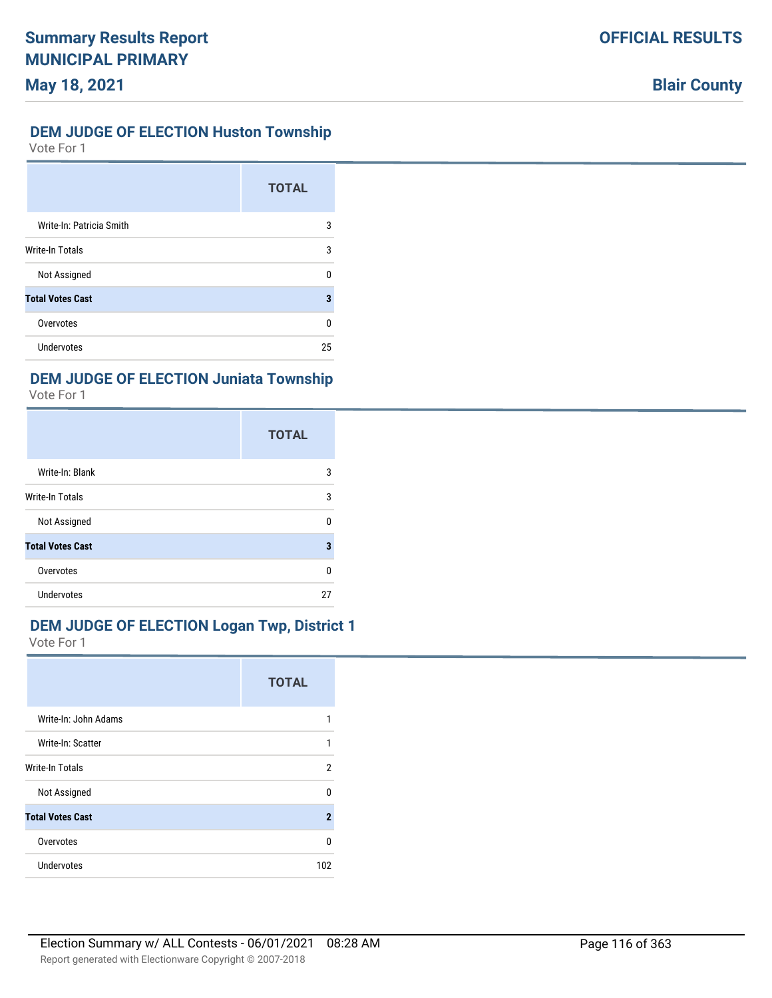### **DEM JUDGE OF ELECTION Huston Township**

Vote For 1

|                          | <b>TOTAL</b> |
|--------------------------|--------------|
| Write-In: Patricia Smith | 3            |
| Write-In Totals          | 3            |
| Not Assigned             | U            |
| <b>Total Votes Cast</b>  | 3            |
| Overvotes                | 0            |
| <b>Undervotes</b>        | 25           |

## **DEM JUDGE OF ELECTION Juniata Township**

Vote For 1

|                         | <b>TOTAL</b> |
|-------------------------|--------------|
| Write-In: Blank         | 3            |
| Write-In Totals         | 3            |
| Not Assigned            | U            |
| <b>Total Votes Cast</b> | 3            |
| Overvotes               | U            |
| Undervotes              | 27           |

## **DEM JUDGE OF ELECTION Logan Twp, District 1**

|                         | <b>TOTAL</b>   |
|-------------------------|----------------|
| Write-In: John Adams    | 1              |
| Write-In: Scatter       | 1              |
| Write-In Totals         | 2              |
| Not Assigned            | U              |
| <b>Total Votes Cast</b> | $\overline{2}$ |
| Overvotes               | $\Omega$       |
| <b>Undervotes</b>       | 102            |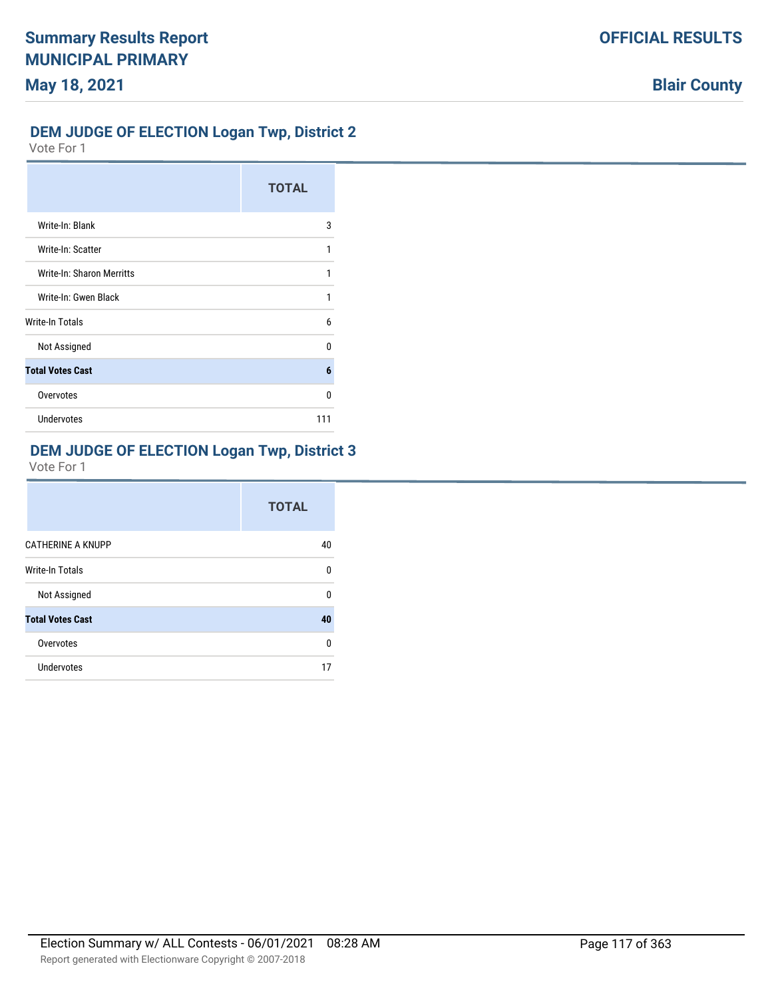# **OFFICIAL RESULTS**

# **Blair County**

# **DEM JUDGE OF ELECTION Logan Twp, District 2**

Vote For 1

|                           | <b>TOTAL</b> |
|---------------------------|--------------|
| Write-In: Blank           | 3            |
| Write-In: Scatter         | 1            |
| Write-In: Sharon Merritts | 1            |
| Write-In: Gwen Black      | 1            |
| Write-In Totals           | 6            |
| Not Assigned              | U            |
| <b>Total Votes Cast</b>   | 6            |
| Overvotes                 | 0            |
| Undervotes                | 111          |

### **DEM JUDGE OF ELECTION Logan Twp, District 3**

|                          | <b>TOTAL</b> |
|--------------------------|--------------|
| <b>CATHERINE A KNUPP</b> | 40           |
| <b>Write-In Totals</b>   | n            |
| Not Assigned             | U            |
| <b>Total Votes Cast</b>  | 40           |
| Overvotes                | n            |
| Undervotes               | 17           |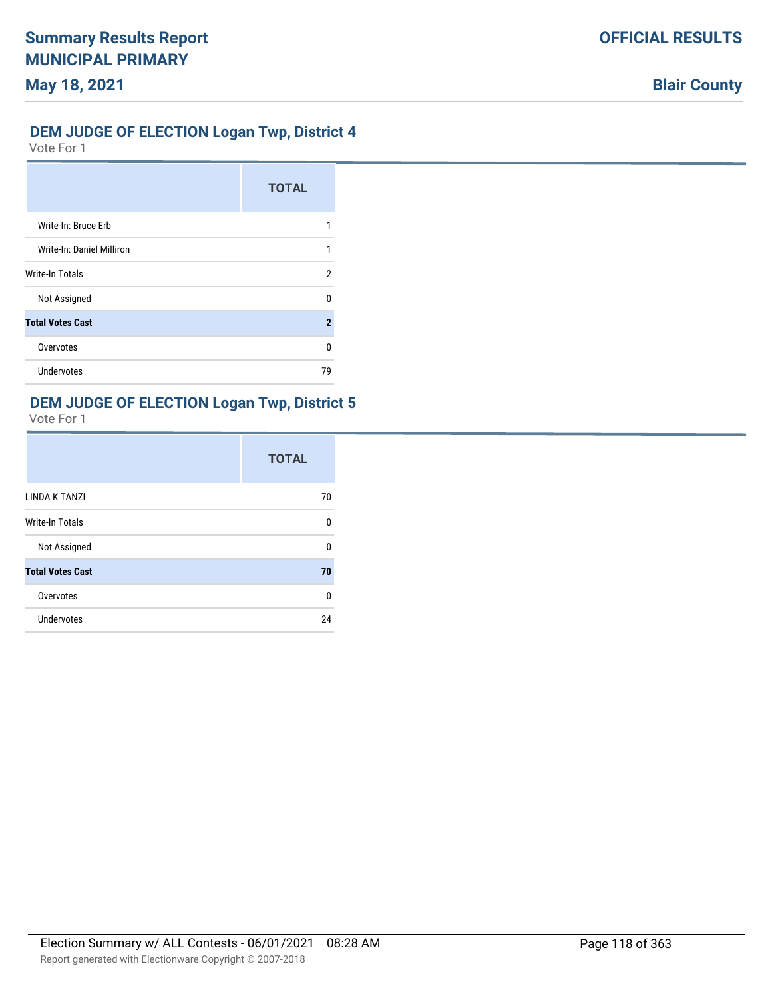### **DEM JUDGE OF ELECTION Logan Twp, District 4**

Vote For 1

|                           | <b>TOTAL</b> |
|---------------------------|--------------|
| Write-In: Bruce Erb       |              |
| Write-In: Daniel Milliron |              |
| <b>Write-In Totals</b>    | 2            |
| Not Assigned              | n            |
| <b>Total Votes Cast</b>   | 2            |
| Overvotes                 | U            |
| Undervotes                | 79           |

### **DEM JUDGE OF ELECTION Logan Twp, District 5**

|                         | <b>TOTAL</b> |
|-------------------------|--------------|
| LINDA K TANZI           | 70           |
| <b>Write-In Totals</b>  | 0            |
| Not Assigned            | U            |
| <b>Total Votes Cast</b> | 70           |
| Overvotes               | 0            |
| Undervotes              | 24           |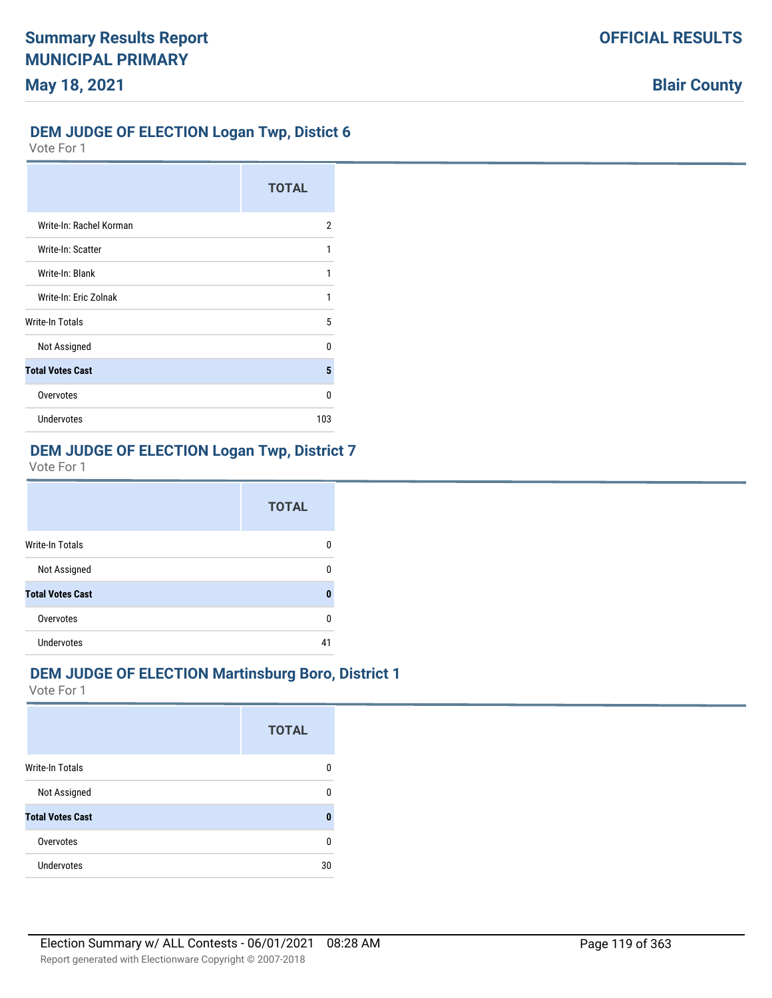### **DEM JUDGE OF ELECTION Logan Twp, Distict 6**

Vote For 1

|                         | <b>TOTAL</b> |
|-------------------------|--------------|
| Write-In: Rachel Korman | 2            |
| Write-In: Scatter       | 1            |
| Write-In: Blank         | 1            |
| Write-In: Eric Zolnak   |              |
| Write-In Totals         | 5            |
| Not Assigned            | U            |
| <b>Total Votes Cast</b> | 5            |
| Overvotes               | n            |
| Undervotes              | 103          |

### **DEM JUDGE OF ELECTION Logan Twp, District 7**

Vote For 1

|                         | <b>TOTAL</b> |
|-------------------------|--------------|
| Write-In Totals         |              |
| Not Assigned            |              |
| <b>Total Votes Cast</b> |              |
| Overvotes               | n            |
| <b>Undervotes</b>       | 41           |

### **DEM JUDGE OF ELECTION Martinsburg Boro, District 1**

|                         | <b>TOTAL</b> |
|-------------------------|--------------|
| <b>Write-In Totals</b>  |              |
| Not Assigned            |              |
| <b>Total Votes Cast</b> | Ω            |
| Overvotes               | n            |
| Undervotes              | 30           |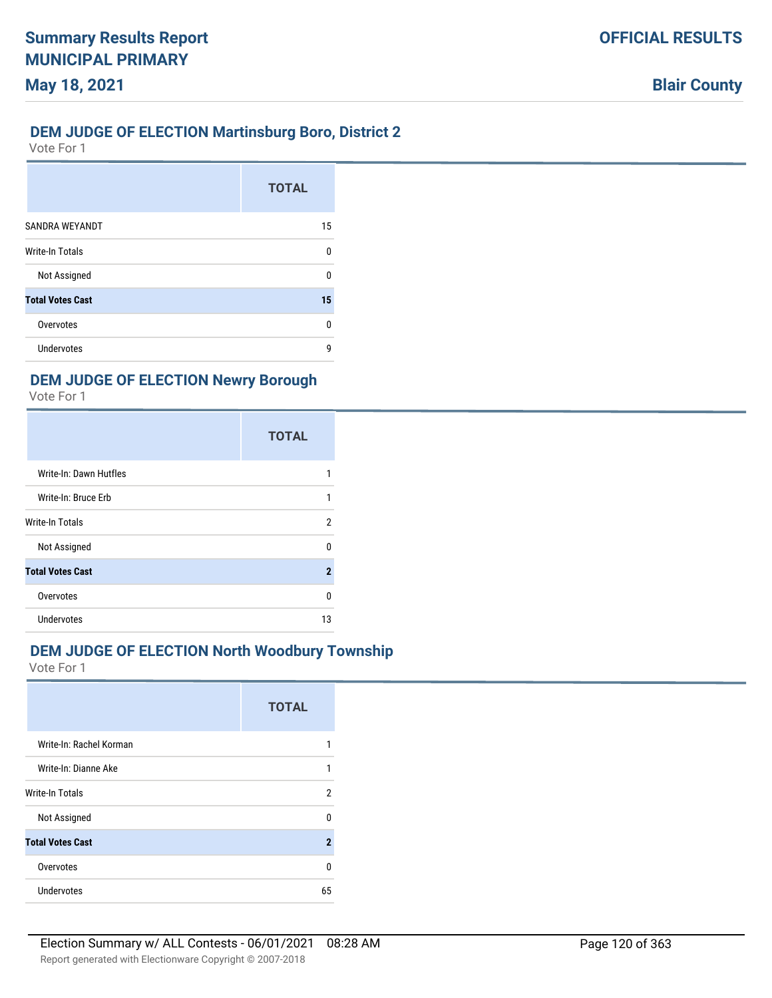### **DEM JUDGE OF ELECTION Martinsburg Boro, District 2**

Vote For 1

|                         | <b>TOTAL</b> |
|-------------------------|--------------|
| SANDRA WEYANDT          | 15           |
| Write-In Totals         | ŋ            |
| Not Assigned            | 0            |
| <b>Total Votes Cast</b> | 15           |
| Overvotes               | ŋ            |
| Undervotes              | g            |

### **DEM JUDGE OF ELECTION Newry Borough**

Vote For 1

|                         | <b>TOTAL</b>   |
|-------------------------|----------------|
| Write-In: Dawn Hutfles  | 1              |
| Write-In: Bruce Erb     | 1              |
| Write-In Totals         | 2              |
| Not Assigned            | U              |
| <b>Total Votes Cast</b> | $\overline{2}$ |
| Overvotes               | 0              |
| <b>Undervotes</b>       | 13             |

### **DEM JUDGE OF ELECTION North Woodbury Township**

|                         | <b>TOTAL</b>        |
|-------------------------|---------------------|
| Write-In: Rachel Korman |                     |
| Write-In: Dianne Ake    |                     |
| <b>Write-In Totals</b>  | 2                   |
| Not Assigned            | n                   |
| <b>Total Votes Cast</b> | $\boldsymbol{\eta}$ |
| Overvotes               | U                   |
| Undervotes              | 65                  |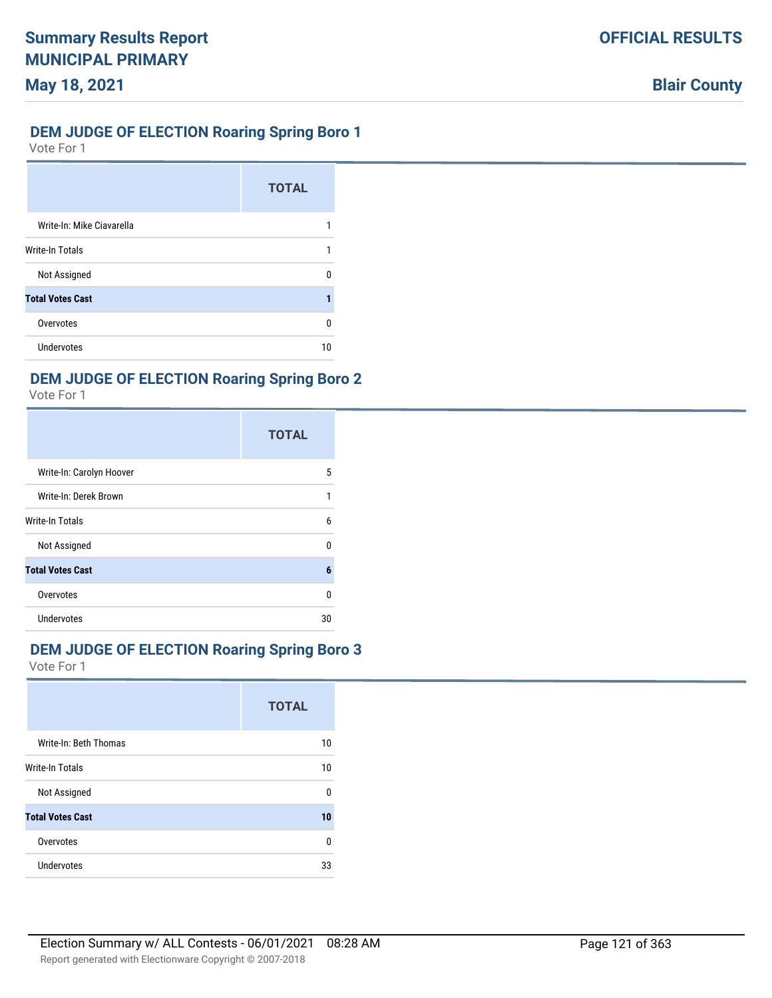### **DEM JUDGE OF ELECTION Roaring Spring Boro 1**

Vote For 1

|                           | <b>TOTAL</b> |
|---------------------------|--------------|
| Write-In: Mike Ciavarella |              |
| Write-In Totals           |              |
| Not Assigned              | n            |
| <b>Total Votes Cast</b>   |              |
| Overvotes                 | n            |
| Undervotes                | 10           |

### **DEM JUDGE OF ELECTION Roaring Spring Boro 2**

Vote For 1

|                          | <b>TOTAL</b> |
|--------------------------|--------------|
| Write-In: Carolyn Hoover | 5            |
| Write-In: Derek Brown    | 1            |
| <b>Write-In Totals</b>   | 6            |
| Not Assigned             | U            |
| <b>Total Votes Cast</b>  | 6            |
| Overvotes                | n            |
| <b>Undervotes</b>        | 30           |

### **DEM JUDGE OF ELECTION Roaring Spring Boro 3**

|                         | <b>TOTAL</b> |
|-------------------------|--------------|
| Write-In: Beth Thomas   | 10           |
| <b>Write-In Totals</b>  | 10           |
| Not Assigned            | $\Omega$     |
| <b>Total Votes Cast</b> | 10           |
| Overvotes               | 0            |
| Undervotes              | 33           |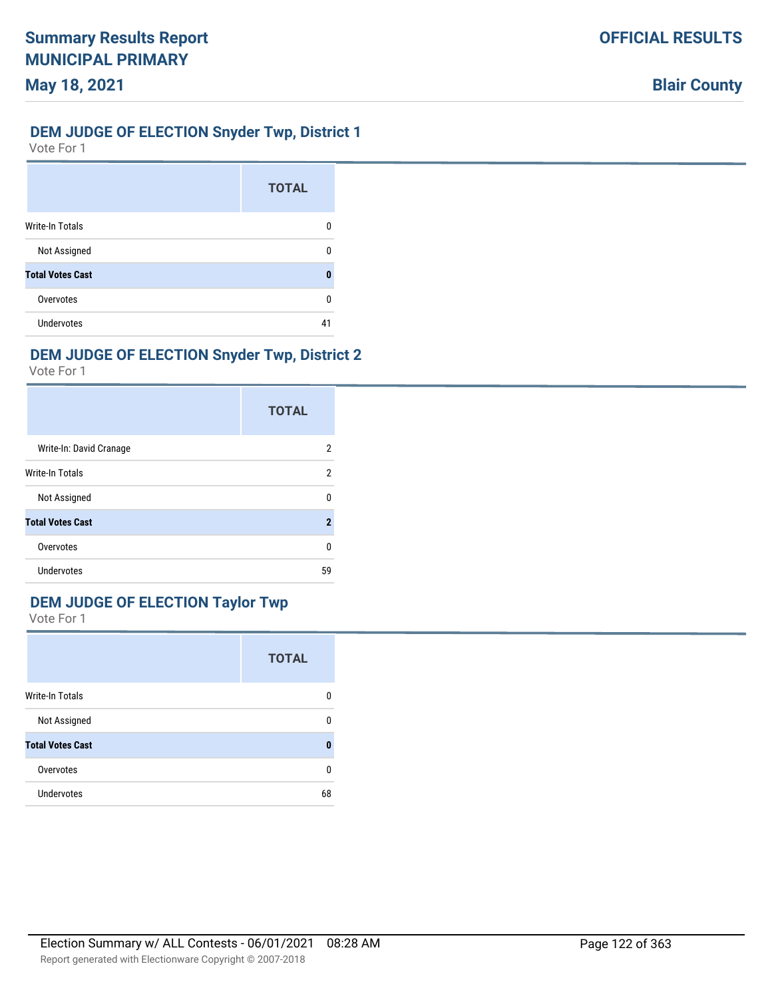### **DEM JUDGE OF ELECTION Snyder Twp, District 1**

Vote For 1

|                         | <b>TOTAL</b> |
|-------------------------|--------------|
| <b>Write-In Totals</b>  | n            |
| Not Assigned            |              |
| <b>Total Votes Cast</b> | Λ            |
| Overvotes               | n            |
| Undervotes              | 41           |

## **DEM JUDGE OF ELECTION Snyder Twp, District 2**

Vote For 1

|                         | <b>TOTAL</b>            |
|-------------------------|-------------------------|
| Write-In: David Cranage | 2                       |
| Write-In Totals         | 2                       |
| Not Assigned            | ŋ                       |
| <b>Total Votes Cast</b> | $\overline{\mathbf{2}}$ |
| Overvotes               | U                       |
| Undervotes              | 59                      |

### **DEM JUDGE OF ELECTION Taylor Twp**

|                         | <b>TOTAL</b> |
|-------------------------|--------------|
| Write-In Totals         | O            |
| Not Assigned            | n            |
| <b>Total Votes Cast</b> | 0            |
| Overvotes               | 0            |
| <b>Undervotes</b>       | 68           |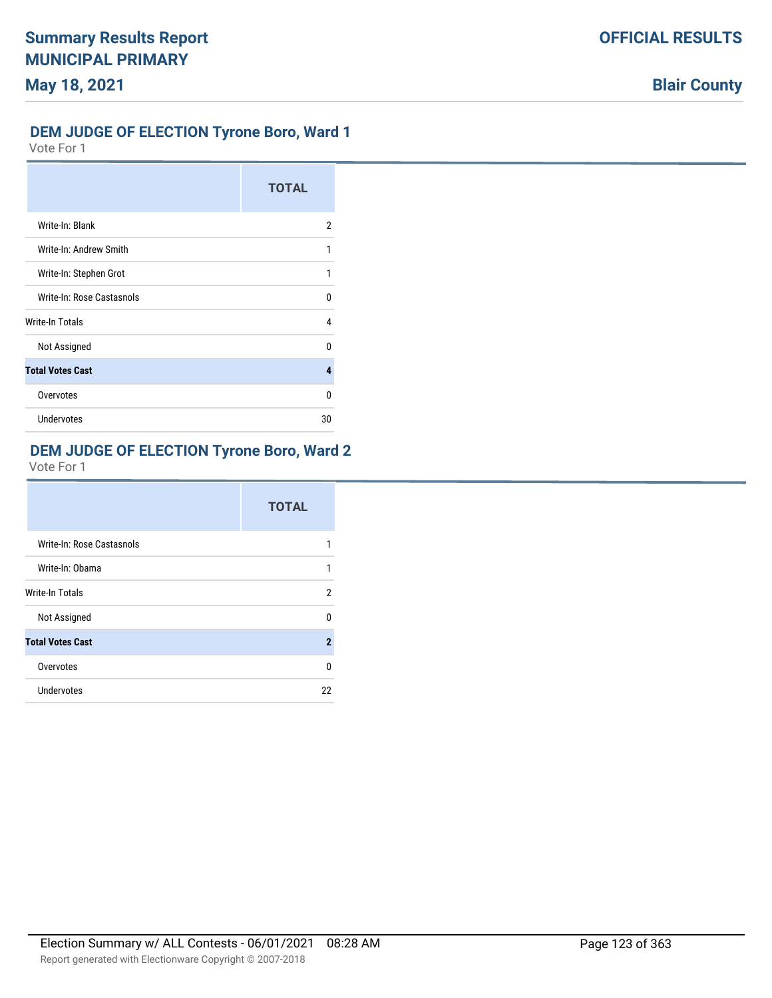# **OFFICIAL RESULTS**

# **Blair County**

#### **DEM JUDGE OF ELECTION Tyrone Boro, Ward 1**

Vote For 1

|                           | <b>TOTAL</b> |
|---------------------------|--------------|
| Write-In: Blank           | 2            |
| Write-In: Andrew Smith    | 1            |
| Write-In: Stephen Grot    | 1            |
| Write-In: Rose Castasnols | n            |
| Write-In Totals           | 4            |
| Not Assigned              | U            |
| <b>Total Votes Cast</b>   | 4            |
| Overvotes                 | 0            |
| <b>Undervotes</b>         | 30           |

### **DEM JUDGE OF ELECTION Tyrone Boro, Ward 2**

|                           | <b>TOTAL</b> |
|---------------------------|--------------|
| Write-In: Rose Castasnols | 1            |
| Write-In: Obama           | 1            |
| <b>Write-In Totals</b>    | 2            |
| Not Assigned              | U            |
| <b>Total Votes Cast</b>   | $\mathbf{2}$ |
| Overvotes                 | 0            |
| Undervotes                | 22           |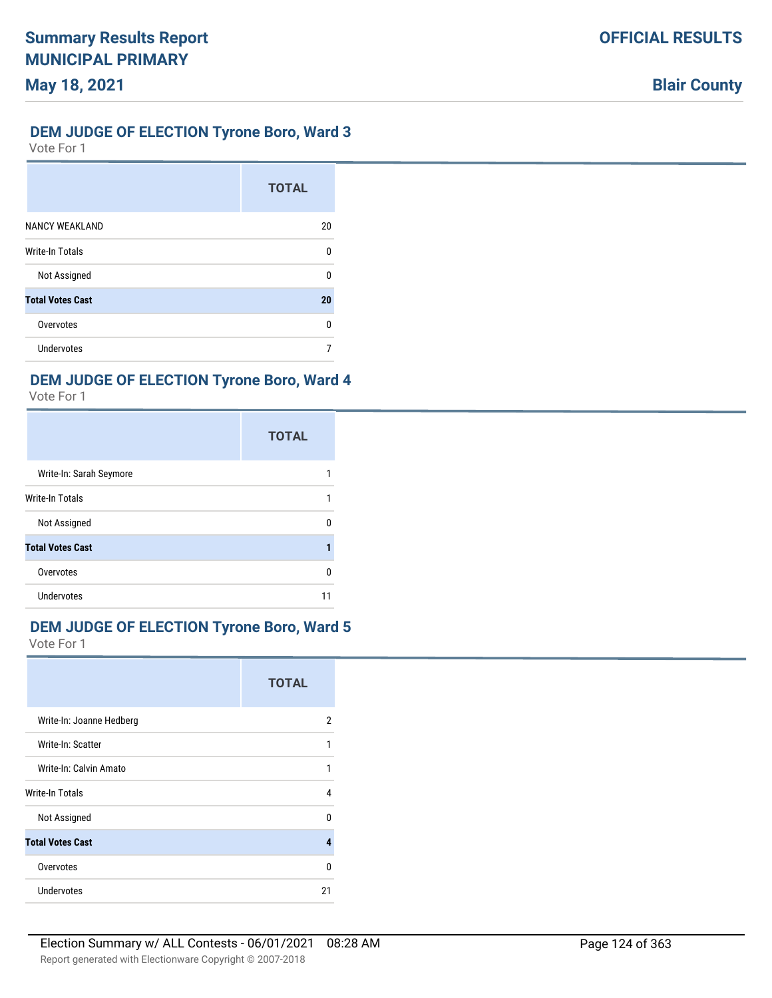### **DEM JUDGE OF ELECTION Tyrone Boro, Ward 3**

Vote For 1

|                         | <b>TOTAL</b> |
|-------------------------|--------------|
| <b>NANCY WEAKLAND</b>   | 20           |
| <b>Write-In Totals</b>  | n            |
| Not Assigned            | n            |
| <b>Total Votes Cast</b> | 20           |
| Overvotes               | n            |
| <b>Undervotes</b>       |              |

# **DEM JUDGE OF ELECTION Tyrone Boro, Ward 4**

Vote For 1

|                         | <b>TOTAL</b> |
|-------------------------|--------------|
| Write-In: Sarah Seymore |              |
| <b>Write-In Totals</b>  |              |
| Not Assigned            |              |
| <b>Total Votes Cast</b> |              |
| Overvotes               | O            |
| <b>Undervotes</b>       |              |

### **DEM JUDGE OF ELECTION Tyrone Boro, Ward 5**

|                          | <b>TOTAL</b> |
|--------------------------|--------------|
| Write-In: Joanne Hedberg | 2            |
| Write-In: Scatter        | 1            |
| Write-In: Calvin Amato   |              |
| <b>Write-In Totals</b>   | 4            |
| Not Assigned             | n            |
| <b>Total Votes Cast</b>  | д            |
| Overvotes                | n            |
| Undervotes               | 21           |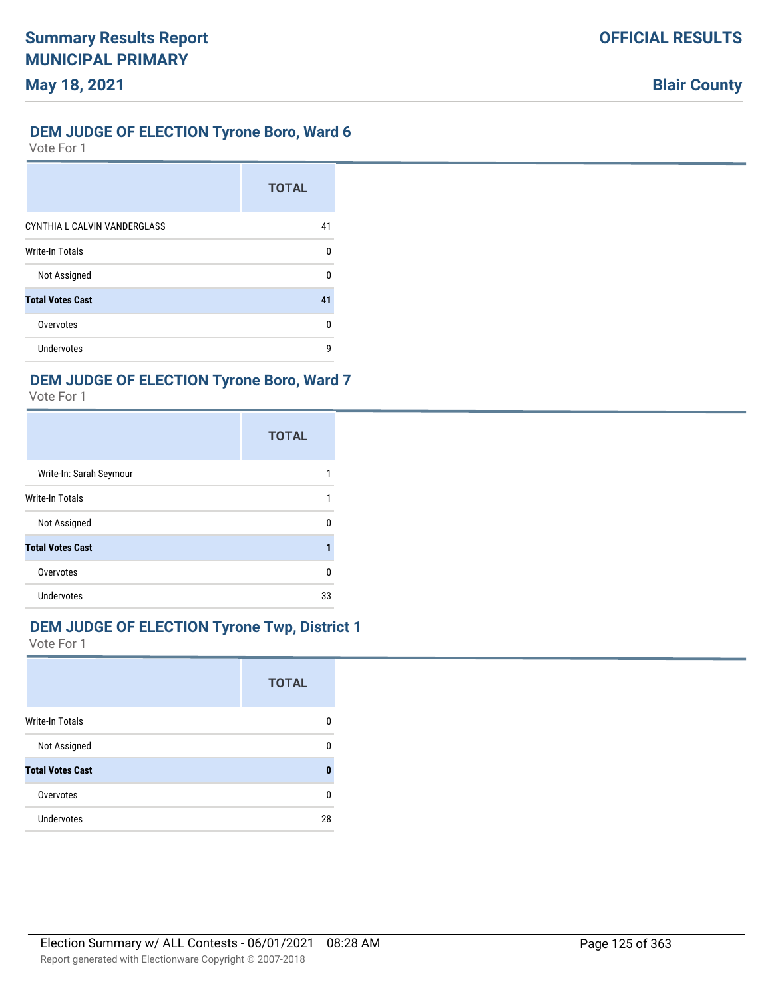### **DEM JUDGE OF ELECTION Tyrone Boro, Ward 6**

Vote For 1

|                              | <b>TOTAL</b> |
|------------------------------|--------------|
| CYNTHIA L CALVIN VANDERGLASS | 41           |
| <b>Write-In Totals</b>       | n            |
| Not Assigned                 | n            |
| <b>Total Votes Cast</b>      | 41           |
| Overvotes                    | U            |
| Undervotes                   | q            |

# **DEM JUDGE OF ELECTION Tyrone Boro, Ward 7**

Vote For 1

|                         | <b>TOTAL</b> |
|-------------------------|--------------|
| Write-In: Sarah Seymour |              |
| Write-In Totals         |              |
| Not Assigned            | n            |
| <b>Total Votes Cast</b> |              |
| Overvotes               | O            |
| Undervotes              | 33           |

### **DEM JUDGE OF ELECTION Tyrone Twp, District 1**

|                         | <b>TOTAL</b> |
|-------------------------|--------------|
| <b>Write-In Totals</b>  | 0            |
| Not Assigned            | ŋ            |
| <b>Total Votes Cast</b> | O            |
| Overvotes               | 0            |
| <b>Undervotes</b>       | 28           |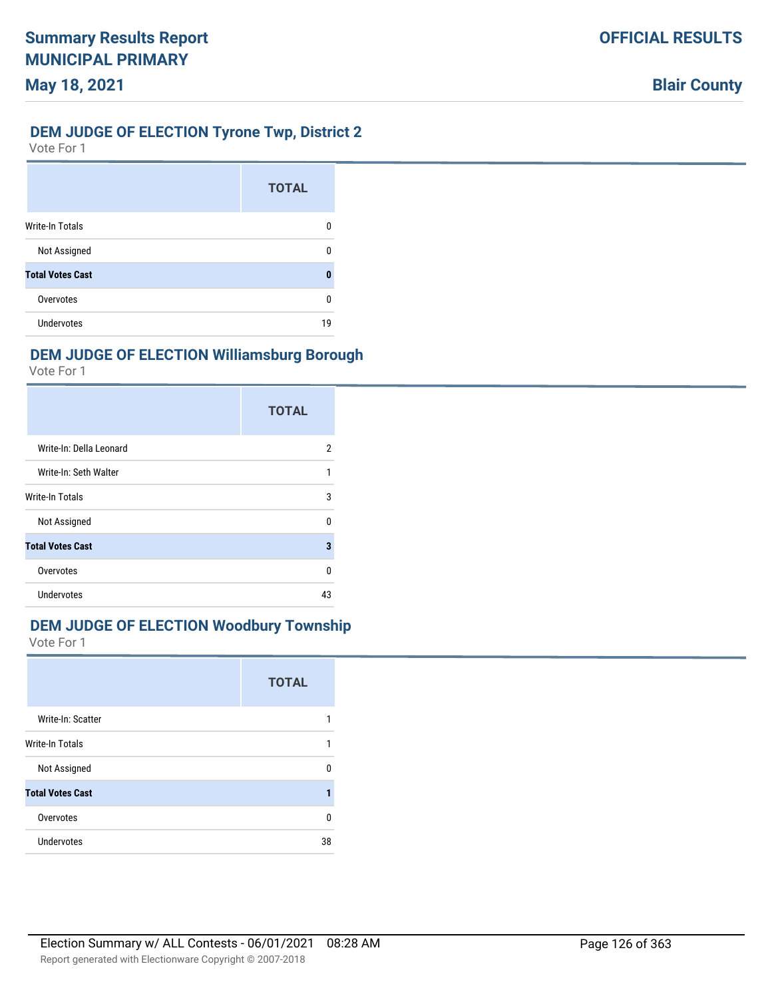### **DEM JUDGE OF ELECTION Tyrone Twp, District 2**

Vote For 1

|                         | <b>TOTAL</b> |
|-------------------------|--------------|
| <b>Write-In Totals</b>  | O            |
| Not Assigned            |              |
| <b>Total Votes Cast</b> |              |
| Overvotes               | n            |
| Undervotes              | 19           |

## **DEM JUDGE OF ELECTION Williamsburg Borough**

Vote For 1

|                         | <b>TOTAL</b> |
|-------------------------|--------------|
| Write-In: Della Leonard | 2            |
| Write-In: Seth Walter   | 1            |
| <b>Write-In Totals</b>  | 3            |
| Not Assigned            | U            |
| <b>Total Votes Cast</b> | 3            |
| Overvotes               | U            |
| Undervotes              | 43           |

# **DEM JUDGE OF ELECTION Woodbury Township**

|                         | <b>TOTAL</b> |
|-------------------------|--------------|
| Write-In: Scatter       |              |
| <b>Write-In Totals</b>  | 1            |
| Not Assigned            | n            |
| <b>Total Votes Cast</b> |              |
| Overvotes               | U            |
| Undervotes              | 38           |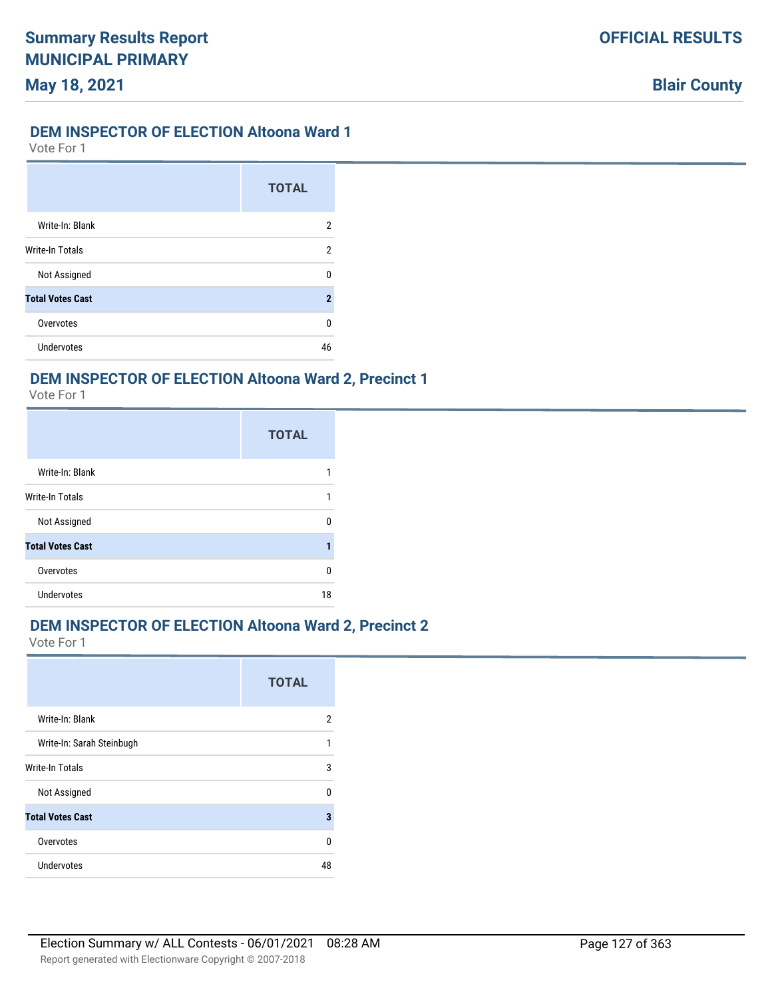#### **DEM INSPECTOR OF ELECTION Altoona Ward 1**

Vote For 1

|                         | <b>TOTAL</b> |
|-------------------------|--------------|
| Write-In: Blank         | 2            |
| Write-In Totals         | 2            |
| Not Assigned            | U            |
| <b>Total Votes Cast</b> | 2            |
| Overvotes               | U            |
| <b>Undervotes</b>       | 46           |

### **DEM INSPECTOR OF ELECTION Altoona Ward 2, Precinct 1**

Vote For 1

|                         | <b>TOTAL</b> |
|-------------------------|--------------|
| Write-In: Blank         |              |
| <b>Write-In Totals</b>  | 1            |
| Not Assigned            | n            |
| <b>Total Votes Cast</b> |              |
| Overvotes               | n            |
| Undervotes              | 18           |

# **DEM INSPECTOR OF ELECTION Altoona Ward 2, Precinct 2**

|                           | <b>TOTAL</b> |
|---------------------------|--------------|
| Write-In: Blank           | 2            |
| Write-In: Sarah Steinbugh | 1            |
| Write-In Totals           | 3            |
| Not Assigned              | $\Omega$     |
| <b>Total Votes Cast</b>   | 3            |
| Overvotes                 | U            |
| Undervotes                | 48           |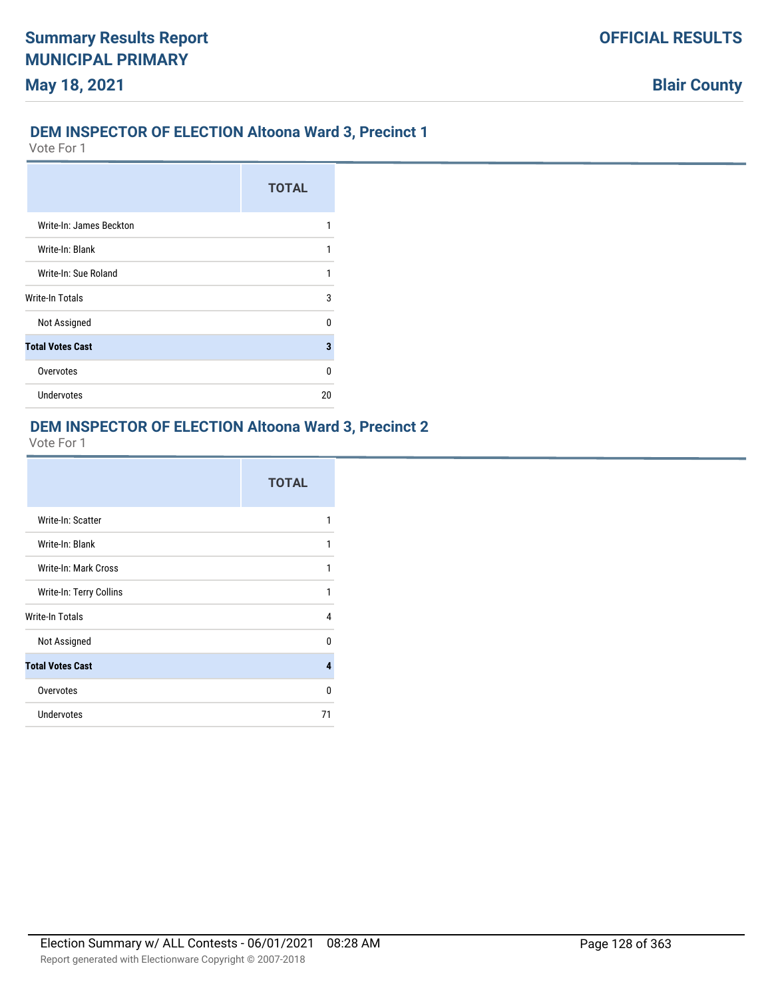### **DEM INSPECTOR OF ELECTION Altoona Ward 3, Precinct 1**

Vote For 1

|                         | <b>TOTAL</b> |
|-------------------------|--------------|
| Write-In: James Beckton |              |
| Write-In: Blank         |              |
| Write-In: Sue Roland    | 1            |
| Write-In Totals         | 3            |
| Not Assigned            | n            |
| <b>Total Votes Cast</b> | 3            |
| Overvotes               | U            |
| <b>Undervotes</b>       | 20           |

### **DEM INSPECTOR OF ELECTION Altoona Ward 3, Precinct 2**

|                         | <b>TOTAL</b> |
|-------------------------|--------------|
| Write-In: Scatter       |              |
| Write-In: Blank         | 1            |
| Write-In: Mark Cross    | 1            |
| Write-In: Terry Collins | 1            |
| Write-In Totals         | 4            |
| Not Assigned            | <sup>0</sup> |
| <b>Total Votes Cast</b> | 4            |
| Overvotes               | $\Omega$     |
| Undervotes              | 71           |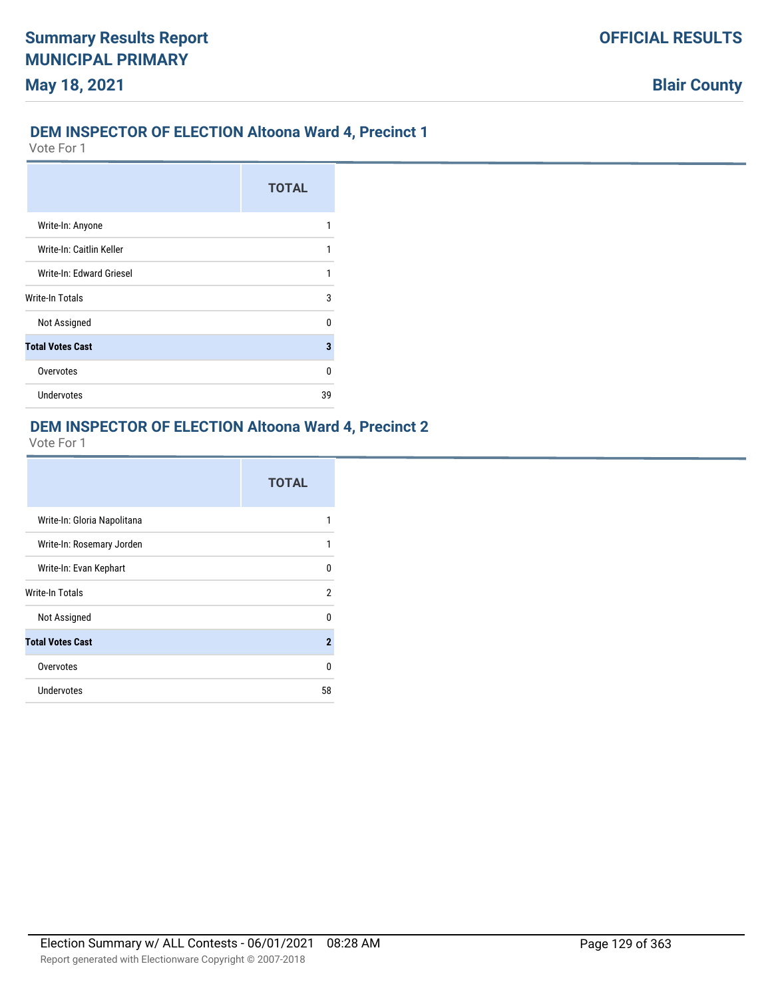### **DEM INSPECTOR OF ELECTION Altoona Ward 4, Precinct 1**

Vote For 1

|                          | <b>TOTAL</b> |
|--------------------------|--------------|
| Write-In: Anyone         |              |
| Write-In: Caitlin Keller |              |
| Write-In: Edward Griesel |              |
| Write-In Totals          | 3            |
| Not Assigned             | n            |
| <b>Total Votes Cast</b>  | 3            |
| Overvotes                | n            |
| <b>Undervotes</b>        | 39           |

# **DEM INSPECTOR OF ELECTION Altoona Ward 4, Precinct 2**

|                             | <b>TOTAL</b>   |
|-----------------------------|----------------|
| Write-In: Gloria Napolitana | 1              |
| Write-In: Rosemary Jorden   | 1              |
| Write-In: Evan Kephart      | 0              |
| Write-In Totals             | $\overline{2}$ |
| Not Assigned                | 0              |
| <b>Total Votes Cast</b>     | $\mathbf{2}$   |
| Overvotes                   | U              |
| Undervotes                  | 58             |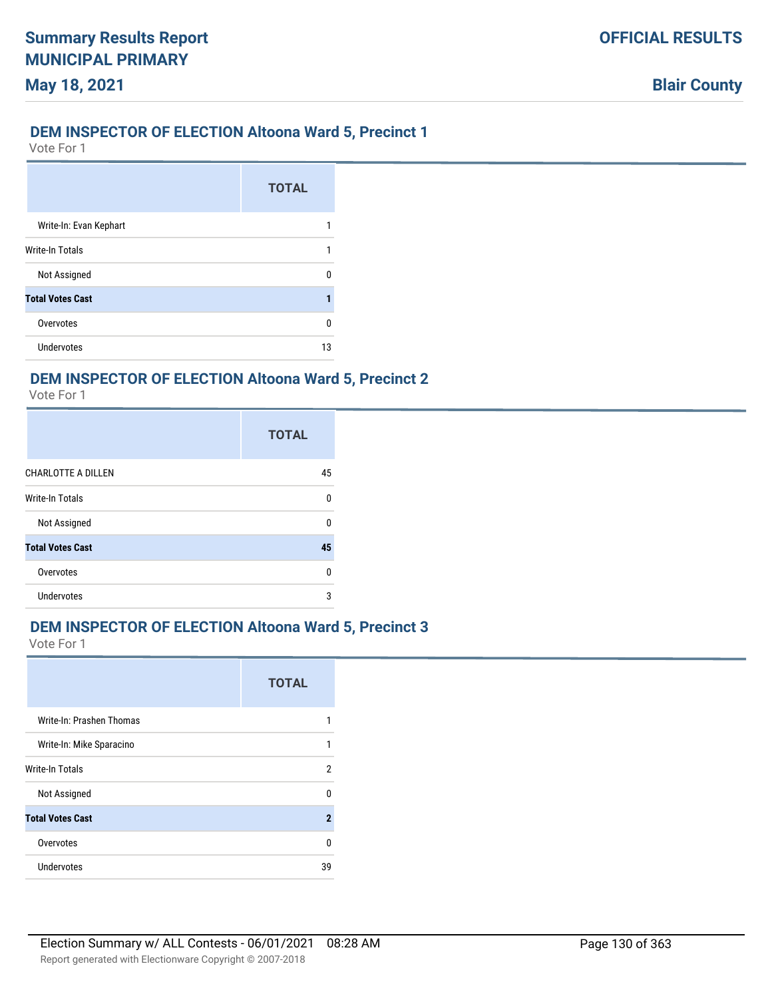### **DEM INSPECTOR OF ELECTION Altoona Ward 5, Precinct 1**

Vote For 1

**May 18, 2021**

|                         | <b>TOTAL</b> |
|-------------------------|--------------|
| Write-In: Evan Kephart  |              |
| Write-In Totals         |              |
| Not Assigned            |              |
| <b>Total Votes Cast</b> |              |
| Overvotes               | n            |
| Undervotes              | 13           |

### **DEM INSPECTOR OF ELECTION Altoona Ward 5, Precinct 2**

Vote For 1

|                           | <b>TOTAL</b> |
|---------------------------|--------------|
| <b>CHARLOTTE A DILLEN</b> | 45           |
| <b>Write-In Totals</b>    | $\Omega$     |
| Not Assigned              | n            |
| <b>Total Votes Cast</b>   | 45           |
| Overvotes                 | $\Omega$     |
| <b>Undervotes</b>         | 3            |

### **DEM INSPECTOR OF ELECTION Altoona Ward 5, Precinct 3**

|                          | <b>TOTAL</b>        |
|--------------------------|---------------------|
| Write-In: Prashen Thomas |                     |
| Write-In: Mike Sparacino | 1                   |
| Write-In Totals          | 2                   |
| Not Assigned             | n                   |
| <b>Total Votes Cast</b>  | $\boldsymbol{\eta}$ |
| Overvotes                | n                   |
| Undervotes               | 39                  |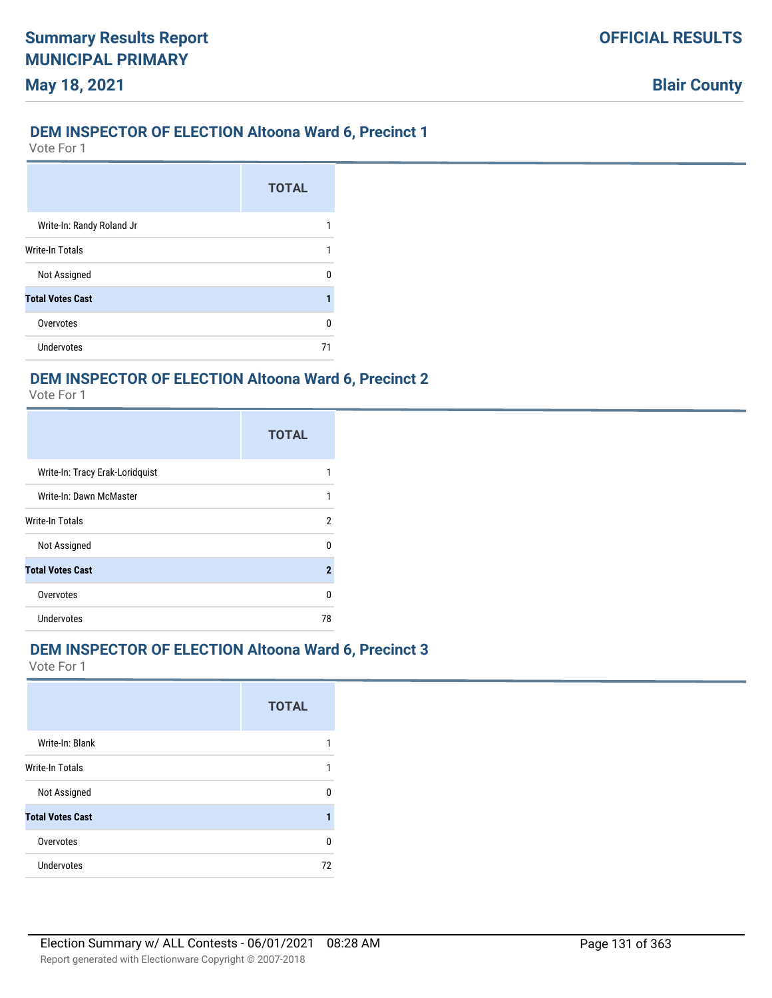### **DEM INSPECTOR OF ELECTION Altoona Ward 6, Precinct 1**

Vote For 1

**May 18, 2021**

|                           | <b>TOTAL</b> |
|---------------------------|--------------|
| Write-In: Randy Roland Jr |              |
| <b>Write-In Totals</b>    |              |
| Not Assigned              |              |
| <b>Total Votes Cast</b>   |              |
| Overvotes                 | n            |
| Undervotes                |              |

### **DEM INSPECTOR OF ELECTION Altoona Ward 6, Precinct 2**

Vote For 1

|                                 | <b>TOTAL</b>   |
|---------------------------------|----------------|
| Write-In: Tracy Erak-Loridquist |                |
| Write-In: Dawn McMaster         | 1              |
| Write-In Totals                 | 2              |
| Not Assigned                    | U              |
| <b>Total Votes Cast</b>         | $\overline{2}$ |
| Overvotes                       | U              |
| <b>Undervotes</b>               | 78             |

### **DEM INSPECTOR OF ELECTION Altoona Ward 6, Precinct 3**

| Write-In: Blank<br>1<br>Not Assigned<br>n<br>1<br>Overvotes<br>U |                   | <b>TOTAL</b> |
|------------------------------------------------------------------|-------------------|--------------|
| <b>Write-In Totals</b><br><b>Total Votes Cast</b>                |                   |              |
|                                                                  |                   |              |
|                                                                  |                   |              |
|                                                                  |                   |              |
|                                                                  |                   |              |
|                                                                  | <b>Undervotes</b> | 72           |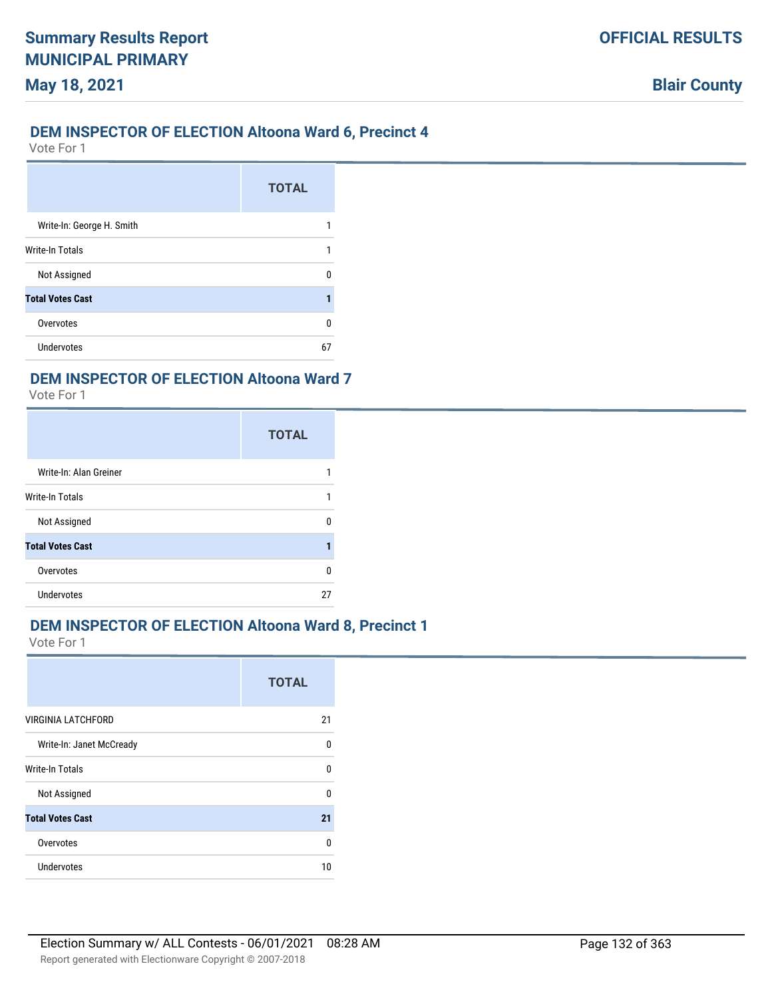### **DEM INSPECTOR OF ELECTION Altoona Ward 6, Precinct 4**

Vote For 1

**May 18, 2021**

|                           | <b>TOTAL</b> |
|---------------------------|--------------|
| Write-In: George H. Smith |              |
| Write-In Totals           |              |
| Not Assigned              |              |
| <b>Total Votes Cast</b>   |              |
| Overvotes                 | п            |
| Undervotes                | 67           |

#### **DEM INSPECTOR OF ELECTION Altoona Ward 7**

Vote For 1

|                         | <b>TOTAL</b> |
|-------------------------|--------------|
| Write-In: Alan Greiner  |              |
| <b>Write-In Totals</b>  |              |
| Not Assigned            |              |
| <b>Total Votes Cast</b> |              |
| Overvotes               | n            |
| <b>Undervotes</b>       | 27           |

# **DEM INSPECTOR OF ELECTION Altoona Ward 8, Precinct 1**

|                           | <b>TOTAL</b> |
|---------------------------|--------------|
| <b>VIRGINIA LATCHFORD</b> | 21           |
| Write-In: Janet McCready  | $\Omega$     |
| Write-In Totals           | $\Omega$     |
| Not Assigned              | $\Omega$     |
| <b>Total Votes Cast</b>   | 21           |
| Overvotes                 | $\Omega$     |
| Undervotes                | 10           |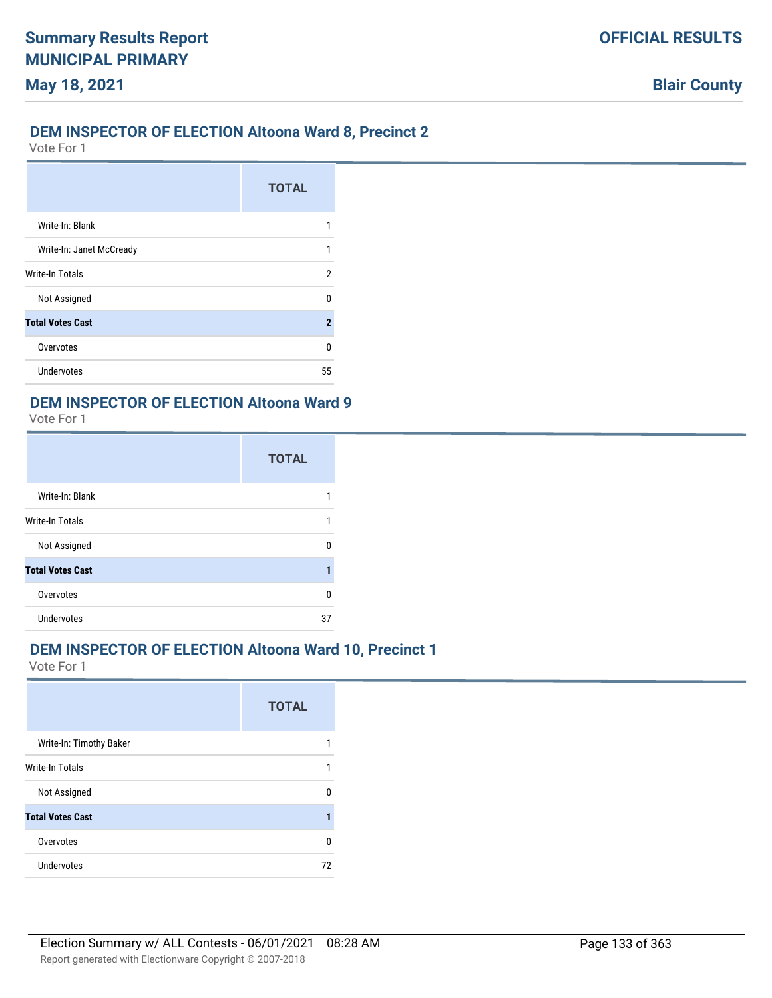### **DEM INSPECTOR OF ELECTION Altoona Ward 8, Precinct 2**

Vote For 1

|                          | <b>TOTAL</b>   |
|--------------------------|----------------|
| Write-In: Blank          |                |
| Write-In: Janet McCready | 1              |
| <b>Write-In Totals</b>   | 2              |
| Not Assigned             | n              |
| <b>Total Votes Cast</b>  | $\overline{2}$ |
| Overvotes                | 0              |
| <b>Undervotes</b>        | 55             |

#### **DEM INSPECTOR OF ELECTION Altoona Ward 9**

Vote For 1

|                         | <b>TOTAL</b> |
|-------------------------|--------------|
| Write-In: Blank         |              |
| Write-In Totals         | 1            |
| Not Assigned            | n            |
| <b>Total Votes Cast</b> |              |
| Overvotes               | 0            |
| <b>Undervotes</b>       | 37           |

### **DEM INSPECTOR OF ELECTION Altoona Ward 10, Precinct 1**

|                         | <b>TOTAL</b> |
|-------------------------|--------------|
| Write-In: Timothy Baker |              |
| <b>Write-In Totals</b>  | 1            |
| Not Assigned            | n            |
| <b>Total Votes Cast</b> |              |
| Overvotes               | 0            |
| Undervotes              | 72           |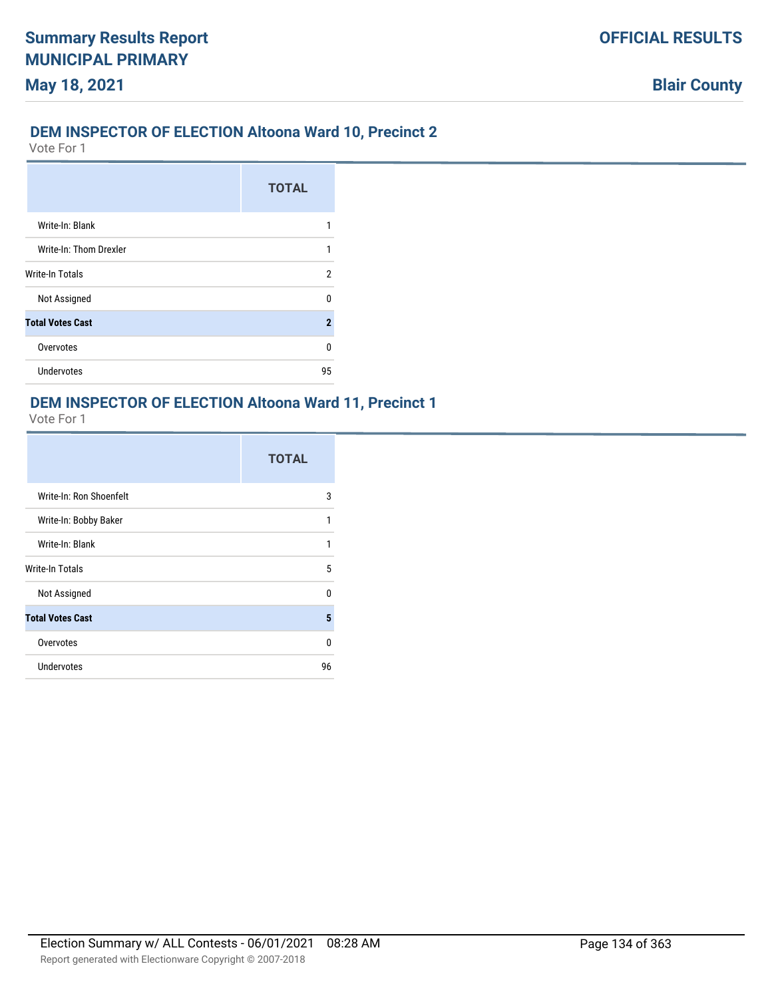### **DEM INSPECTOR OF ELECTION Altoona Ward 10, Precinct 2**

Vote For 1

|                         | <b>TOTAL</b> |
|-------------------------|--------------|
| Write-In: Blank         |              |
| Write-In: Thom Drexler  | 1            |
| <b>Write-In Totals</b>  | 2            |
| Not Assigned            | n            |
| <b>Total Votes Cast</b> | $\mathbf{2}$ |
| Overvotes               | n            |
| <b>Undervotes</b>       | 95           |

#### **DEM INSPECTOR OF ELECTION Altoona Ward 11, Precinct 1**

|                         | <b>TOTAL</b> |
|-------------------------|--------------|
| Write-In: Ron Shoenfelt | 3            |
| Write-In: Bobby Baker   | 1            |
| Write-In: Blank         | 1            |
| Write-In Totals         | 5            |
| Not Assigned            | $\Omega$     |
| <b>Total Votes Cast</b> | 5            |
| Overvotes               | $\Omega$     |
| <b>Undervotes</b>       | 96           |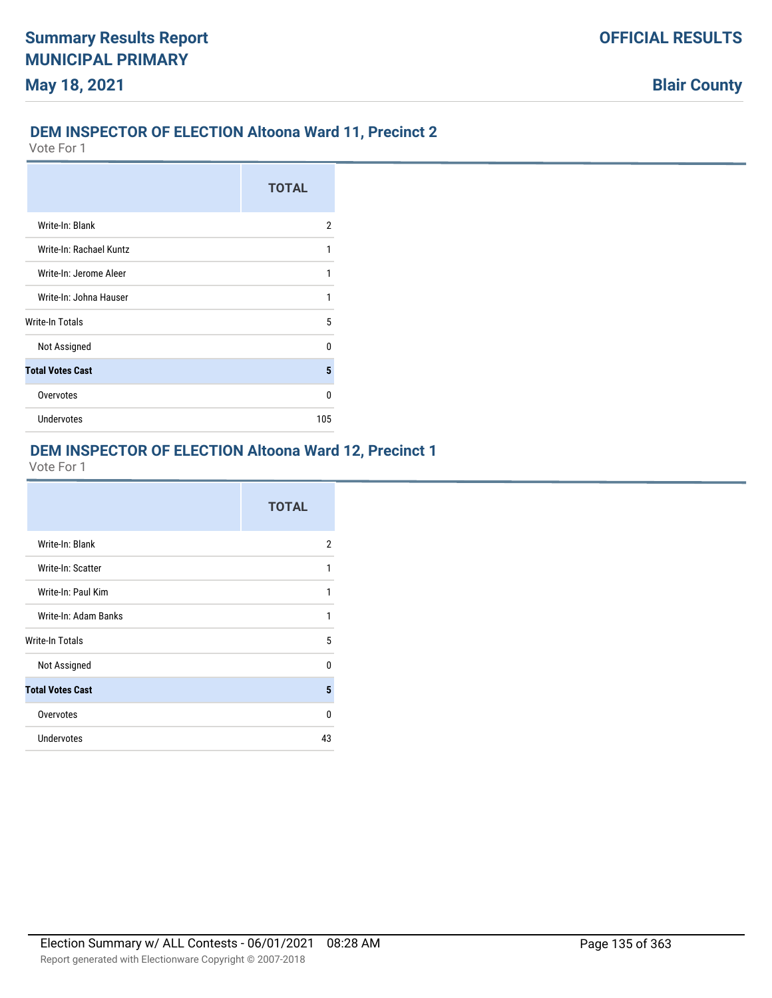### **DEM INSPECTOR OF ELECTION Altoona Ward 11, Precinct 2**

Vote For 1

|                         | <b>TOTAL</b> |
|-------------------------|--------------|
| Write-In: Blank         | 2            |
| Write-In: Rachael Kuntz | 1            |
| Write-In: Jerome Aleer  | 1            |
| Write-In: Johna Hauser  | 1            |
| Write-In Totals         | 5            |
| Not Assigned            | n            |
| <b>Total Votes Cast</b> | 5            |
| Overvotes               | n            |
| Undervotes              | 105          |

### **DEM INSPECTOR OF ELECTION Altoona Ward 12, Precinct 1**

|                         | <b>TOTAL</b> |
|-------------------------|--------------|
| Write-In: Blank         | 2            |
| Write-In: Scatter       | 1            |
| Write-In: Paul Kim      | 1            |
| Write-In: Adam Banks    | 1            |
| Write-In Totals         | 5            |
| Not Assigned            | <sup>0</sup> |
| <b>Total Votes Cast</b> | 5            |
| Overvotes               | $\Omega$     |
| <b>Undervotes</b>       | 43           |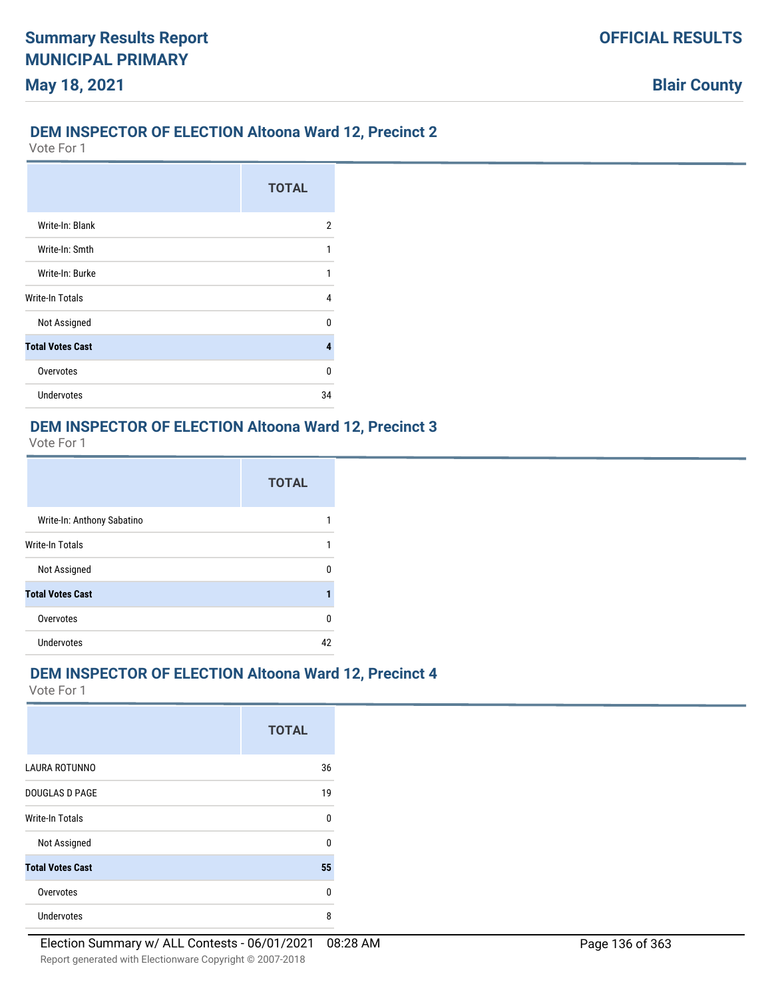### **DEM INSPECTOR OF ELECTION Altoona Ward 12, Precinct 2**

Vote For 1

|                         | <b>TOTAL</b> |
|-------------------------|--------------|
| Write-In: Blank         | 2            |
| Write-In: Smth          | 1            |
| Write-In: Burke         | 1            |
| Write-In Totals         | 4            |
| Not Assigned            | U            |
| <b>Total Votes Cast</b> | 4            |
| Overvotes               | U            |
| <b>Undervotes</b>       | 34           |

#### **DEM INSPECTOR OF ELECTION Altoona Ward 12, Precinct 3**

Vote For 1

|                            | <b>TOTAL</b> |
|----------------------------|--------------|
| Write-In: Anthony Sabatino |              |
| Write-In Totals            |              |
| Not Assigned               |              |
| <b>Total Votes Cast</b>    |              |
| Overvotes                  | n            |
| Undervotes                 | 10           |

### **DEM INSPECTOR OF ELECTION Altoona Ward 12, Precinct 4**

|                         | <b>TOTAL</b> |
|-------------------------|--------------|
| <b>LAURA ROTUNNO</b>    | 36           |
| <b>DOUGLAS D PAGE</b>   | 19           |
| <b>Write-In Totals</b>  | $\Omega$     |
| Not Assigned            | $\Omega$     |
| <b>Total Votes Cast</b> | 55           |
| Overvotes               | $\Omega$     |
| <b>Undervotes</b>       | 8            |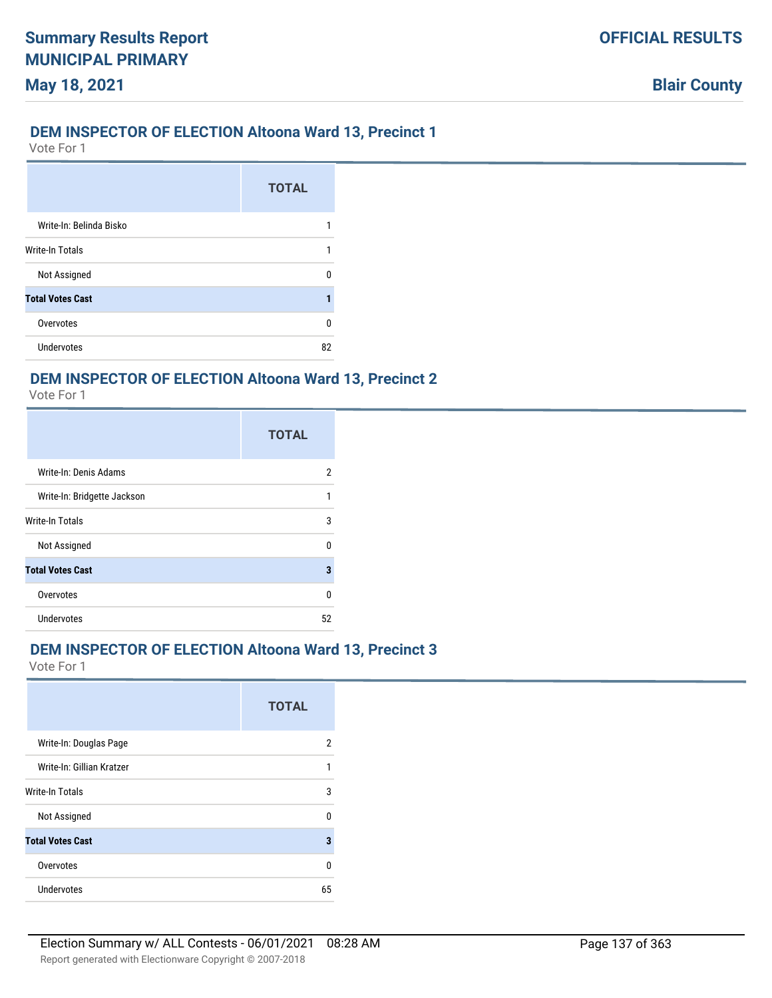### **DEM INSPECTOR OF ELECTION Altoona Ward 13, Precinct 1**

Vote For 1

**May 18, 2021**

|                         | <b>TOTAL</b> |
|-------------------------|--------------|
| Write-In: Belinda Bisko |              |
| <b>Write-In Totals</b>  |              |
| Not Assigned            | n            |
| <b>Total Votes Cast</b> |              |
| Overvotes               | ŋ            |
| Undervotes              | 82           |

### **DEM INSPECTOR OF ELECTION Altoona Ward 13, Precinct 2**

Vote For 1

|                             | <b>TOTAL</b> |
|-----------------------------|--------------|
| Write-In: Denis Adams       | 2            |
| Write-In: Bridgette Jackson | 1            |
| Write-In Totals             | 3            |
| Not Assigned                | U            |
| <b>Total Votes Cast</b>     | 3            |
| Overvotes                   | U            |
| <b>Undervotes</b>           | 52           |

### **DEM INSPECTOR OF ELECTION Altoona Ward 13, Precinct 3**

|                           | <b>TOTAL</b> |
|---------------------------|--------------|
| Write-In: Douglas Page    | 2            |
| Write-In: Gillian Kratzer |              |
| Write-In Totals           | 3            |
| Not Assigned              | n            |
| <b>Total Votes Cast</b>   | 3            |
| Overvotes                 | U            |
| Undervotes                | 65           |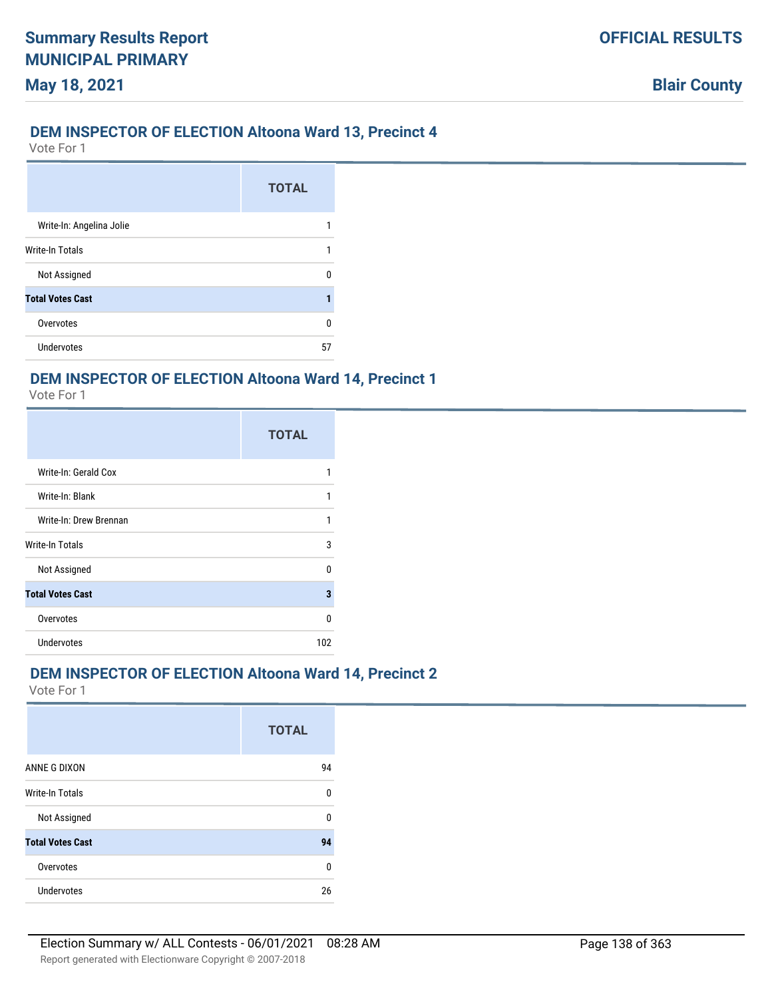### **DEM INSPECTOR OF ELECTION Altoona Ward 13, Precinct 4**

Vote For 1

**May 18, 2021**

|                          | <b>TOTAL</b> |
|--------------------------|--------------|
| Write-In: Angelina Jolie |              |
| Write-In Totals          |              |
| Not Assigned             |              |
| <b>Total Votes Cast</b>  |              |
| Overvotes                | n            |
| Undervotes               | 57           |

### **DEM INSPECTOR OF ELECTION Altoona Ward 14, Precinct 1**

Vote For 1

|                         | <b>TOTAL</b> |
|-------------------------|--------------|
| Write-In: Gerald Cox    |              |
| Write-In: Blank         |              |
| Write-In: Drew Brennan  |              |
| Write-In Totals         | 3            |
| Not Assigned            | n            |
| <b>Total Votes Cast</b> | 3            |
| Overvotes               | n            |
| Undervotes              | 102          |

### **DEM INSPECTOR OF ELECTION Altoona Ward 14, Precinct 2**

|                         | <b>TOTAL</b> |
|-------------------------|--------------|
| ANNE G DIXON            | 94           |
| <b>Write-In Totals</b>  | 0            |
| Not Assigned            | 0            |
| <b>Total Votes Cast</b> | 94           |
| Overvotes               | 0            |
| Undervotes              | 26           |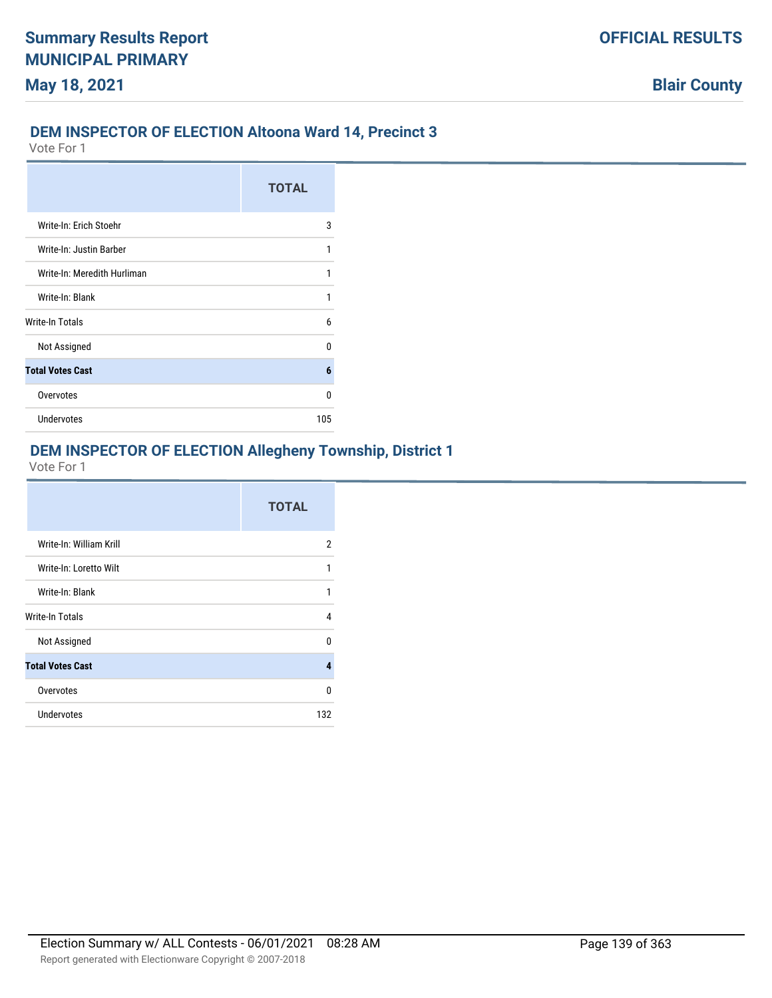### **DEM INSPECTOR OF ELECTION Altoona Ward 14, Precinct 3**

Vote For 1

|                             | <b>TOTAL</b> |
|-----------------------------|--------------|
| Write-In: Erich Stoehr      | 3            |
| Write-In: Justin Barber     | 1            |
| Write-In: Meredith Hurliman | 1            |
| Write-In: Blank             | 1            |
| Write-In Totals             | 6            |
| Not Assigned                | n            |
| <b>Total Votes Cast</b>     | 6            |
| Overvotes                   | n            |
| Undervotes                  | 105          |

### **DEM INSPECTOR OF ELECTION Allegheny Township, District 1**

|                         | <b>TOTAL</b>   |
|-------------------------|----------------|
| Write-In: William Krill | $\overline{2}$ |
| Write-In: Loretto Wilt  | 1              |
| Write-In: Blank         | 1              |
| Write-In Totals         | 4              |
| Not Assigned            | <sup>0</sup>   |
| <b>Total Votes Cast</b> | 4              |
| Overvotes               | U              |
| Undervotes              | 132            |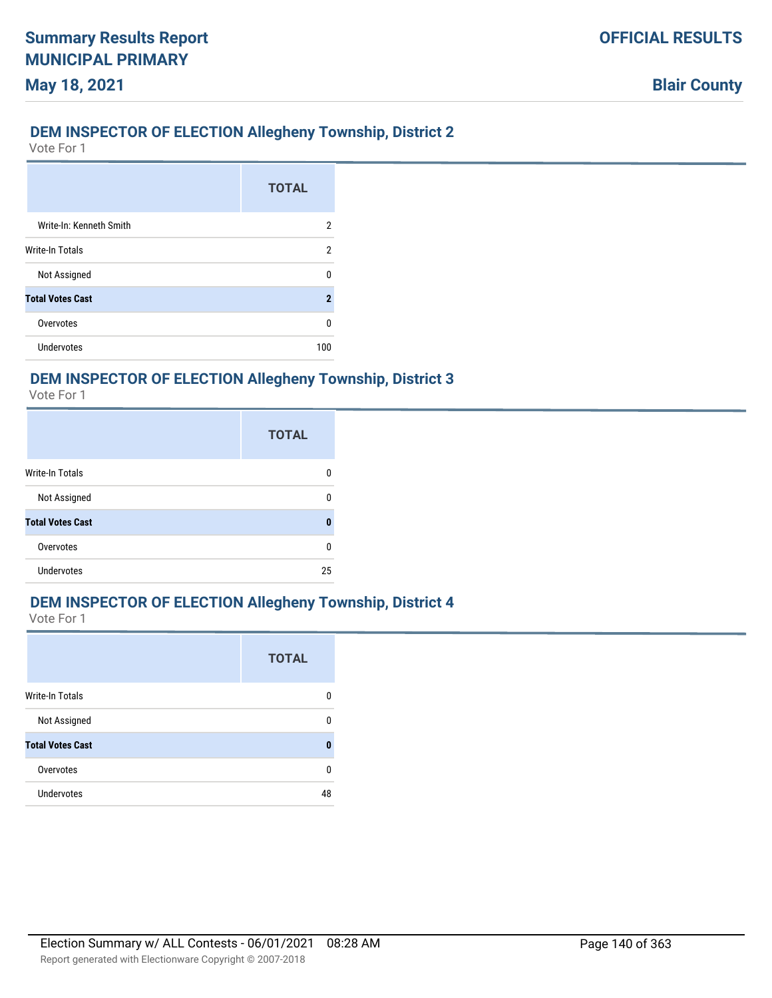### **DEM INSPECTOR OF ELECTION Allegheny Township, District 2**

Vote For 1

**May 18, 2021**

|                         | <b>TOTAL</b> |
|-------------------------|--------------|
| Write-In: Kenneth Smith | 2            |
| <b>Write-In Totals</b>  | 2            |
| Not Assigned            | n            |
| <b>Total Votes Cast</b> | 2            |
| Overvotes               | n            |
| <b>Undervotes</b>       | 100          |

### **DEM INSPECTOR OF ELECTION Allegheny Township, District 3**

Vote For 1

|                         | <b>TOTAL</b> |
|-------------------------|--------------|
| Write-In Totals         | n            |
| Not Assigned            |              |
| <b>Total Votes Cast</b> | O            |
| Overvotes               | ŋ            |
| <b>Undervotes</b>       | 25           |

### **DEM INSPECTOR OF ELECTION Allegheny Township, District 4**

|                         | <b>TOTAL</b> |
|-------------------------|--------------|
| Write-In Totals         | O            |
| Not Assigned            | n            |
| <b>Total Votes Cast</b> | Л            |
| Overvotes               | n            |
| Undervotes              | 48           |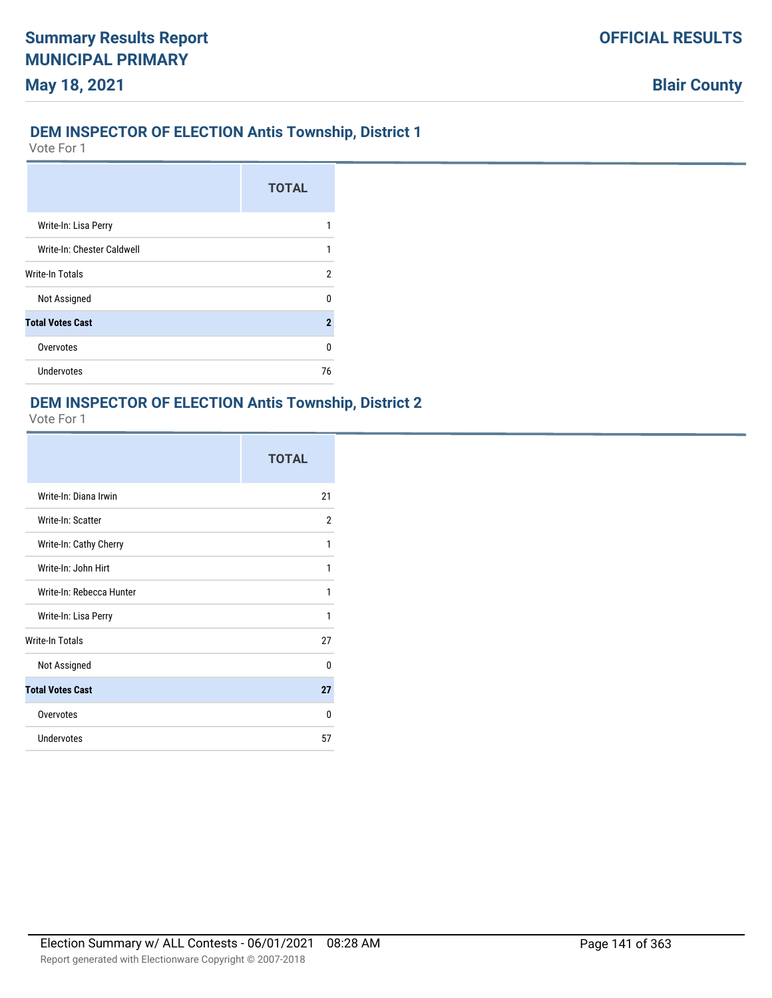### **DEM INSPECTOR OF ELECTION Antis Township, District 1**

Vote For 1

|                            | <b>TOTAL</b> |
|----------------------------|--------------|
| Write-In: Lisa Perry       |              |
| Write-In: Chester Caldwell |              |
| Write-In Totals            | 2            |
| Not Assigned               | n            |
| <b>Total Votes Cast</b>    | 2            |
| Overvotes                  | n            |
| Undervotes                 | 76           |

#### **DEM INSPECTOR OF ELECTION Antis Township, District 2**

|                          | <b>TOTAL</b>   |
|--------------------------|----------------|
| Write-In: Diana Irwin    | 21             |
| Write-In: Scatter        | $\overline{2}$ |
| Write-In: Cathy Cherry   | 1              |
| Write-In: John Hirt      | 1              |
| Write-In: Rebecca Hunter | 1              |
| Write-In: Lisa Perry     | 1              |
| <b>Write-In Totals</b>   | 27             |
| Not Assigned             | <sup>0</sup>   |
| <b>Total Votes Cast</b>  | 27             |
| Overvotes                | $\Omega$       |
| Undervotes               | 57             |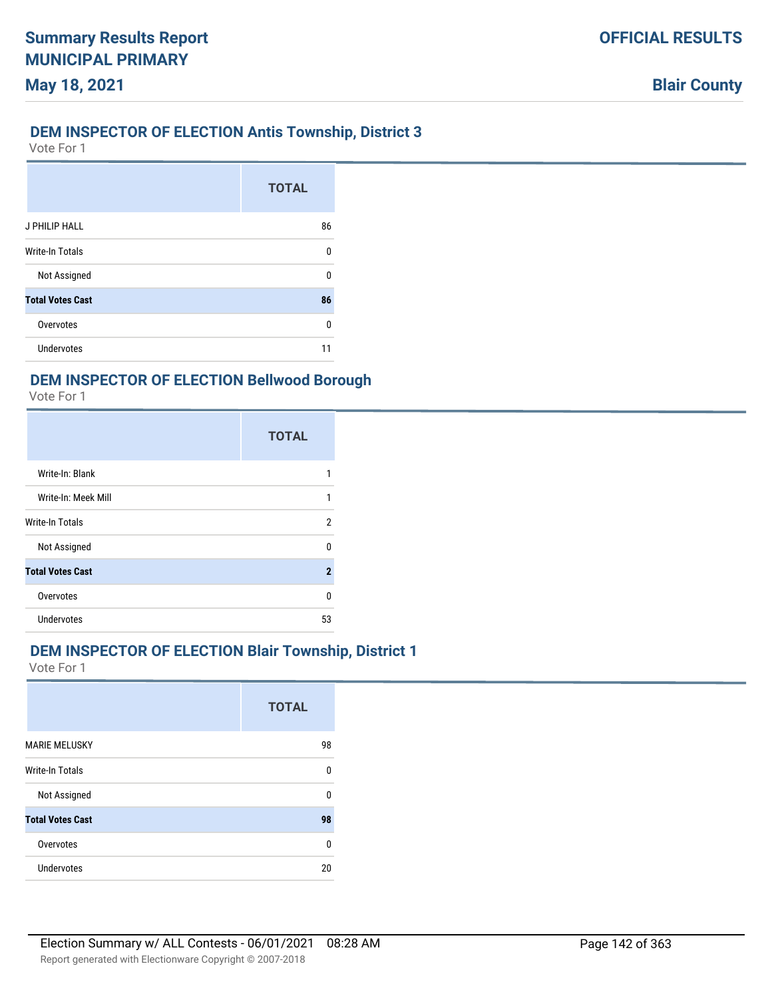### **DEM INSPECTOR OF ELECTION Antis Township, District 3**

Vote For 1

**May 18, 2021**

|                         | <b>TOTAL</b> |
|-------------------------|--------------|
| J PHILIP HALL           | 86           |
| Write-In Totals         | 0            |
| Not Assigned            | 0            |
| <b>Total Votes Cast</b> | 86           |
| Overvotes               | 0            |
| Undervotes              |              |

### **DEM INSPECTOR OF ELECTION Bellwood Borough**

Vote For 1

|                         | <b>TOTAL</b> |
|-------------------------|--------------|
| Write-In: Blank         |              |
| Write-In: Meek Mill     | 1            |
| Write-In Totals         | 2            |
| Not Assigned            | n            |
| <b>Total Votes Cast</b> | 2            |
| Overvotes               | U            |
| <b>Undervotes</b>       | 53           |

#### **DEM INSPECTOR OF ELECTION Blair Township, District 1**

|                         | <b>TOTAL</b> |
|-------------------------|--------------|
| <b>MARIE MELUSKY</b>    | 98           |
| Write-In Totals         | U            |
| Not Assigned            | U            |
| <b>Total Votes Cast</b> | 98           |
| Overvotes               | $\Omega$     |
| Undervotes              | 20           |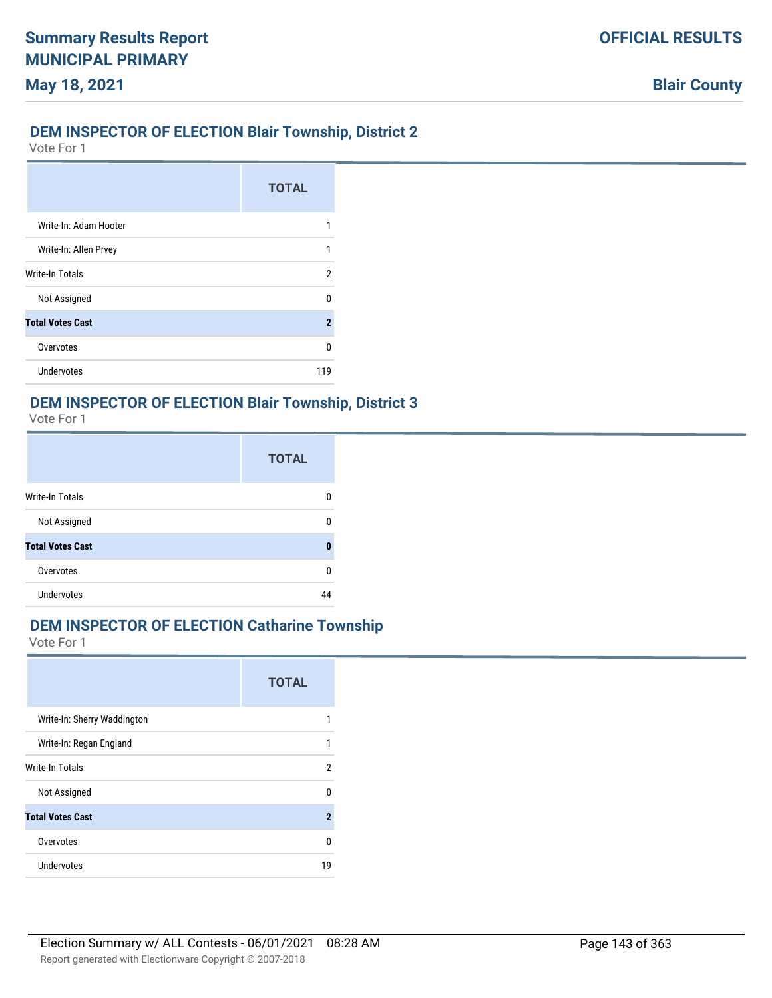### **DEM INSPECTOR OF ELECTION Blair Township, District 2**

Vote For 1

|                         | <b>TOTAL</b>        |
|-------------------------|---------------------|
| Write-In: Adam Hooter   |                     |
| Write-In: Allen Prvey   | 1                   |
| <b>Write-In Totals</b>  | 2                   |
| Not Assigned            | n                   |
| <b>Total Votes Cast</b> | $\boldsymbol{\eta}$ |
| Overvotes               | n                   |
| Undervotes              | 119                 |

#### **DEM INSPECTOR OF ELECTION Blair Township, District 3**

Vote For 1

|                         | <b>TOTAL</b> |
|-------------------------|--------------|
| <b>Write-In Totals</b>  |              |
| Not Assigned            | n            |
| <b>Total Votes Cast</b> |              |
| Overvotes               |              |
| <b>Undervotes</b>       |              |

### **DEM INSPECTOR OF ELECTION Catharine Township**

|                             | <b>TOTAL</b>   |
|-----------------------------|----------------|
| Write-In: Sherry Waddington |                |
| Write-In: Regan England     | 1              |
| Write-In Totals             | 2              |
| Not Assigned                | ŋ              |
| <b>Total Votes Cast</b>     | $\overline{2}$ |
| Overvotes                   | U              |
| Undervotes                  | 19             |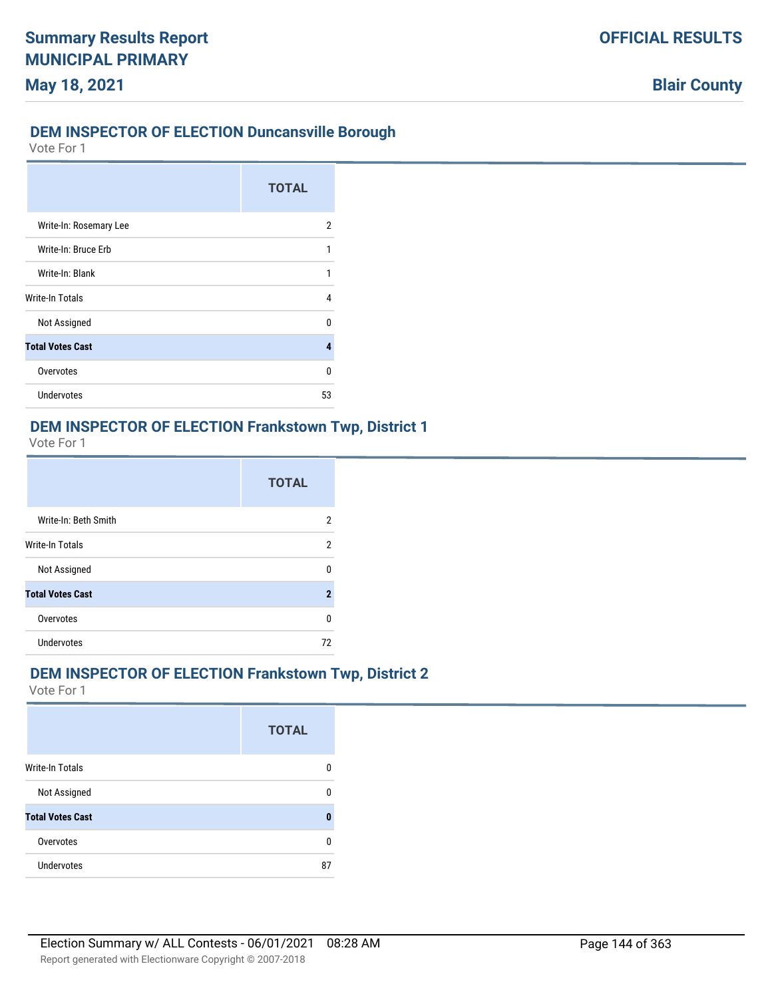### **DEM INSPECTOR OF ELECTION Duncansville Borough**

Vote For 1

|                         | <b>TOTAL</b> |
|-------------------------|--------------|
| Write-In: Rosemary Lee  | 2            |
| Write-In: Bruce Erb     | 1            |
| Write-In: Blank         | 1            |
| Write-In Totals         | 4            |
| Not Assigned            | n            |
| <b>Total Votes Cast</b> | 4            |
| Overvotes               | U            |
| <b>Undervotes</b>       | 53           |

### **DEM INSPECTOR OF ELECTION Frankstown Twp, District 1**

Vote For 1

|                         | <b>TOTAL</b>   |
|-------------------------|----------------|
| Write-In: Beth Smith    | 2              |
| Write-In Totals         | 2              |
| Not Assigned            | U              |
| <b>Total Votes Cast</b> | $\overline{2}$ |
| Overvotes               | U              |
| <b>Undervotes</b>       | 72             |

### **DEM INSPECTOR OF ELECTION Frankstown Twp, District 2**

|                         | <b>TOTAL</b> |
|-------------------------|--------------|
| <b>Write-In Totals</b>  | O            |
| Not Assigned            | n            |
| <b>Total Votes Cast</b> | Π            |
| Overvotes               | n            |
| Undervotes              | 87           |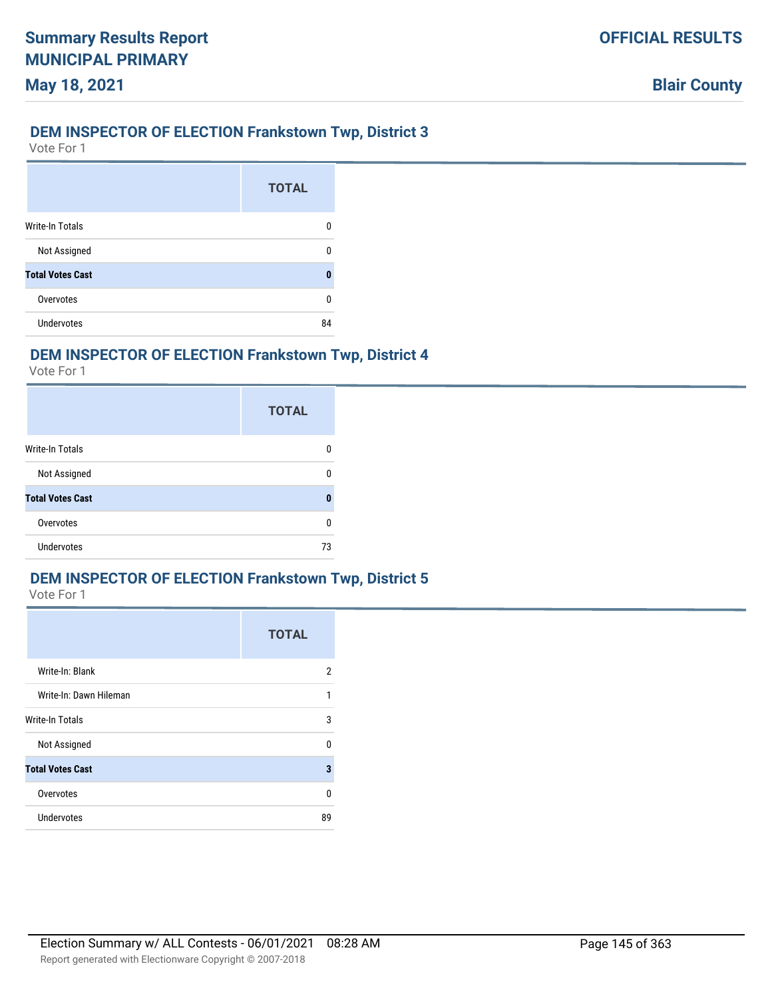## **DEM INSPECTOR OF ELECTION Frankstown Twp, District 3**

Vote For 1

**May 18, 2021**

|                         | <b>TOTAL</b> |
|-------------------------|--------------|
| <b>Write-In Totals</b>  | n            |
| Not Assigned            |              |
| <b>Total Votes Cast</b> | Λ            |
| Overvotes               | ŋ            |
| Undervotes              | 84           |

# **DEM INSPECTOR OF ELECTION Frankstown Twp, District 4**

Vote For 1

|                         | <b>TOTAL</b> |
|-------------------------|--------------|
| <b>Write-In Totals</b>  |              |
| Not Assigned            | n            |
| <b>Total Votes Cast</b> | Ω            |
| Overvotes               | U            |
| <b>Undervotes</b>       | 73           |

# **DEM INSPECTOR OF ELECTION Frankstown Twp, District 5**

|                         | <b>TOTAL</b> |
|-------------------------|--------------|
| Write-In: Blank         | 2            |
| Write-In: Dawn Hileman  | 1            |
| <b>Write-In Totals</b>  | 3            |
| Not Assigned            | 0            |
| <b>Total Votes Cast</b> | 3            |
| Overvotes               | 0            |
| Undervotes              | 89           |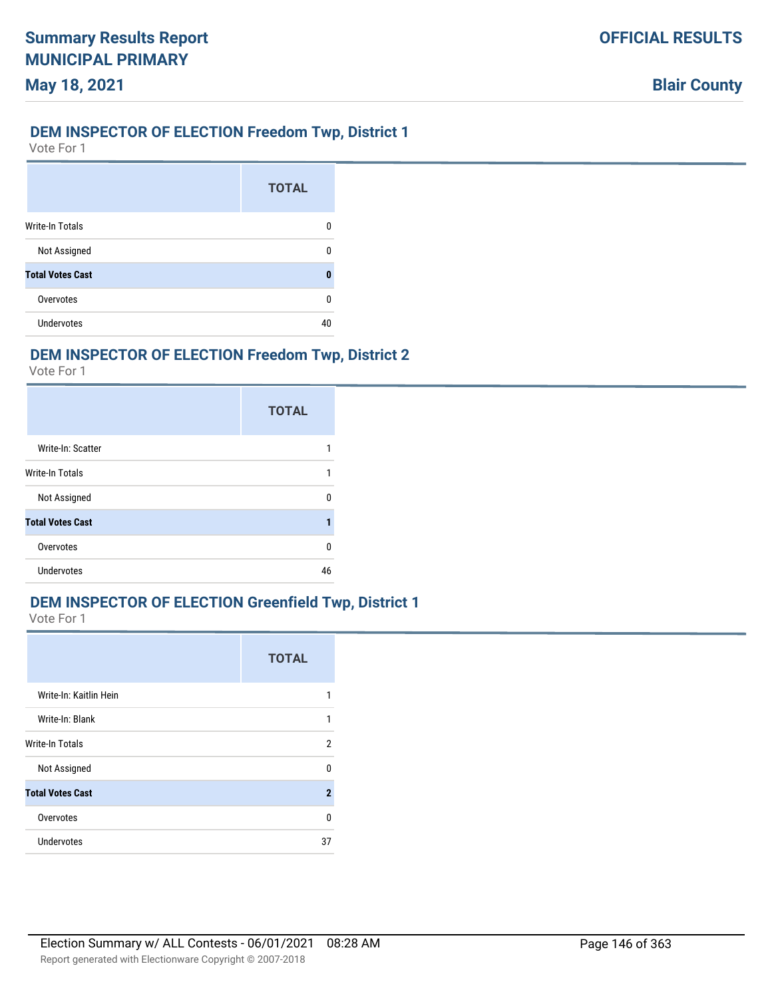## **DEM INSPECTOR OF ELECTION Freedom Twp, District 1**

Vote For 1

|                         | <b>TOTAL</b> |
|-------------------------|--------------|
| <b>Write-In Totals</b>  | n            |
| Not Assigned            |              |
| <b>Total Votes Cast</b> | Λ            |
| Overvotes               | ŋ            |
| Undervotes              | ΔП           |

# **DEM INSPECTOR OF ELECTION Freedom Twp, District 2**

Vote For 1

|                         | <b>TOTAL</b> |
|-------------------------|--------------|
| Write-In: Scatter       |              |
| Write-In Totals         |              |
| Not Assigned            | n            |
| <b>Total Votes Cast</b> |              |
| Overvotes               | U            |
| Undervotes              | 46           |

### **DEM INSPECTOR OF ELECTION Greenfield Twp, District 1**

|                         | <b>TOTAL</b> |
|-------------------------|--------------|
| Write-In: Kaitlin Hein  | 1            |
| Write-In: Blank         | 1            |
| Write-In Totals         | 2            |
| Not Assigned            | 0            |
| <b>Total Votes Cast</b> | $\mathbf{2}$ |
| Overvotes               | 0            |
| <b>Undervotes</b>       | 37           |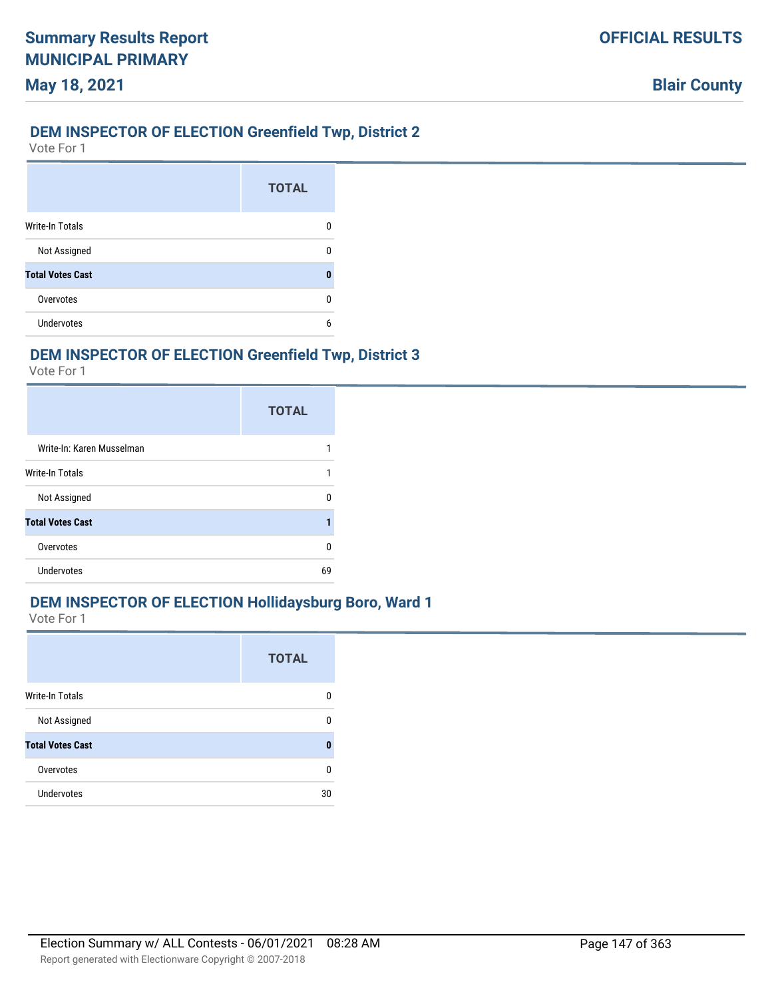# **DEM INSPECTOR OF ELECTION Greenfield Twp, District 2**

Vote For 1

|                         | <b>TOTAL</b> |
|-------------------------|--------------|
| <b>Write-In Totals</b>  |              |
| Not Assigned            |              |
| <b>Total Votes Cast</b> |              |
| Overvotes               |              |
| Undervotes              | 6            |

# **DEM INSPECTOR OF ELECTION Greenfield Twp, District 3**

Vote For 1

|                           | <b>TOTAL</b> |
|---------------------------|--------------|
| Write-In: Karen Musselman |              |
| <b>Write-In Totals</b>    |              |
| Not Assigned              | n            |
| <b>Total Votes Cast</b>   |              |
| Overvotes                 | n            |
| Undervotes                | 69           |

### **DEM INSPECTOR OF ELECTION Hollidaysburg Boro, Ward 1**

|                         | <b>TOTAL</b> |
|-------------------------|--------------|
| Write-In Totals         | n            |
| Not Assigned            | n            |
| <b>Total Votes Cast</b> | п            |
| Overvotes               | n            |
| Undervotes              | 30           |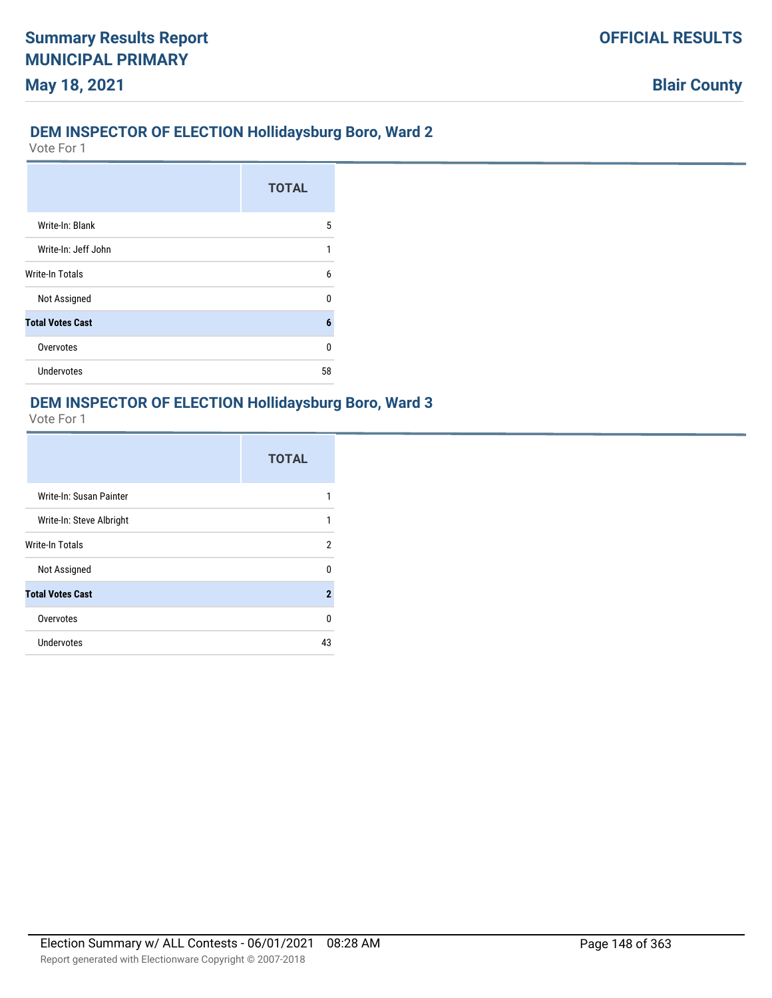# **DEM INSPECTOR OF ELECTION Hollidaysburg Boro, Ward 2**

Vote For 1

|                         | <b>TOTAL</b> |
|-------------------------|--------------|
| Write-In: Blank         | 5            |
| Write-In: Jeff John     | 1            |
| <b>Write-In Totals</b>  | h            |
| Not Assigned            | n            |
| <b>Total Votes Cast</b> | 6            |
| Overvotes               | n            |
| <b>Undervotes</b>       | 58           |

#### **DEM INSPECTOR OF ELECTION Hollidaysburg Boro, Ward 3**

|                          | <b>TOTAL</b> |
|--------------------------|--------------|
| Write-In: Susan Painter  |              |
| Write-In: Steve Albright | 1            |
| <b>Write-In Totals</b>   | 2            |
| Not Assigned             | U            |
| <b>Total Votes Cast</b>  | $\mathbf{2}$ |
| Overvotes                | U            |
| Undervotes               | 43           |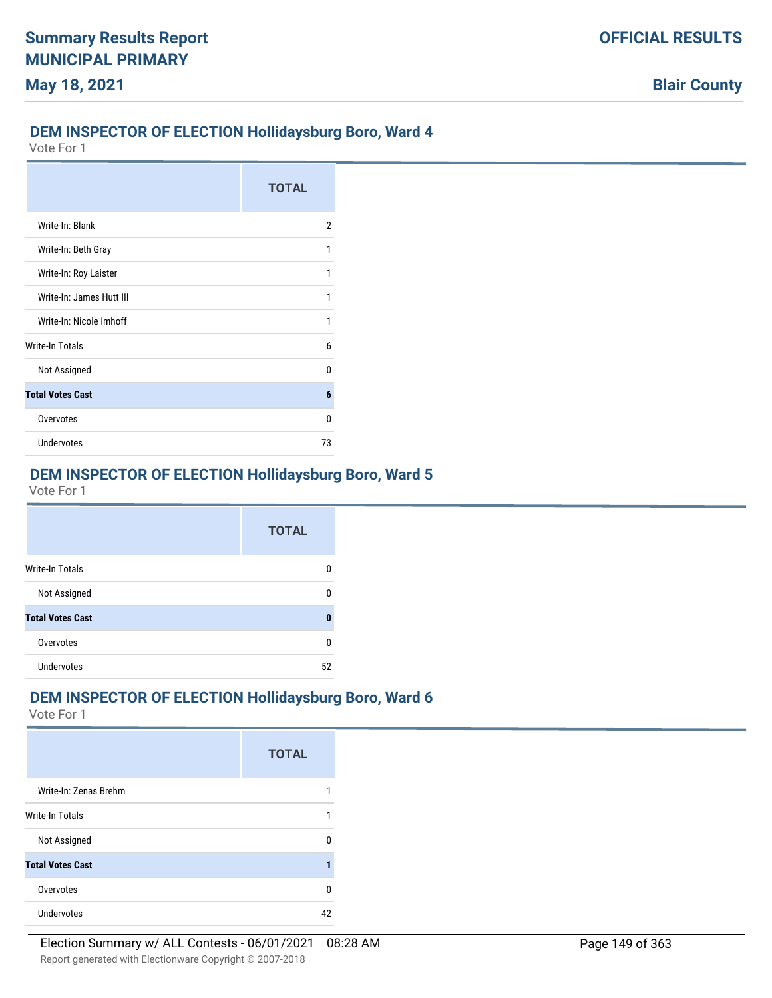# **DEM INSPECTOR OF ELECTION Hollidaysburg Boro, Ward 4**

Vote For 1

|                          | <b>TOTAL</b> |
|--------------------------|--------------|
| Write-In: Blank          | 2            |
| Write-In: Beth Gray      | 1            |
| Write-In: Roy Laister    | 1            |
| Write-In: James Hutt III | 1            |
| Write-In: Nicole Imhoff  | 1            |
| <b>Write-In Totals</b>   | 6            |
| Not Assigned             | n            |
| <b>Total Votes Cast</b>  | 6            |
| Overvotes                | n            |
| <b>Undervotes</b>        | 73           |

# **DEM INSPECTOR OF ELECTION Hollidaysburg Boro, Ward 5**

Vote For 1

|                         | <b>TOTAL</b> |
|-------------------------|--------------|
| <b>Write-In Totals</b>  | Ω            |
| Not Assigned            | 0            |
| <b>Total Votes Cast</b> | 0            |
| Overvotes               | 0            |
| <b>Undervotes</b>       | 52           |

#### **DEM INSPECTOR OF ELECTION Hollidaysburg Boro, Ward 6**

|                         | <b>TOTAL</b> |
|-------------------------|--------------|
| Write-In: Zenas Brehm   |              |
| <b>Write-In Totals</b>  |              |
| Not Assigned            |              |
| <b>Total Votes Cast</b> |              |
| Overvotes               | n            |
| <b>Undervotes</b>       |              |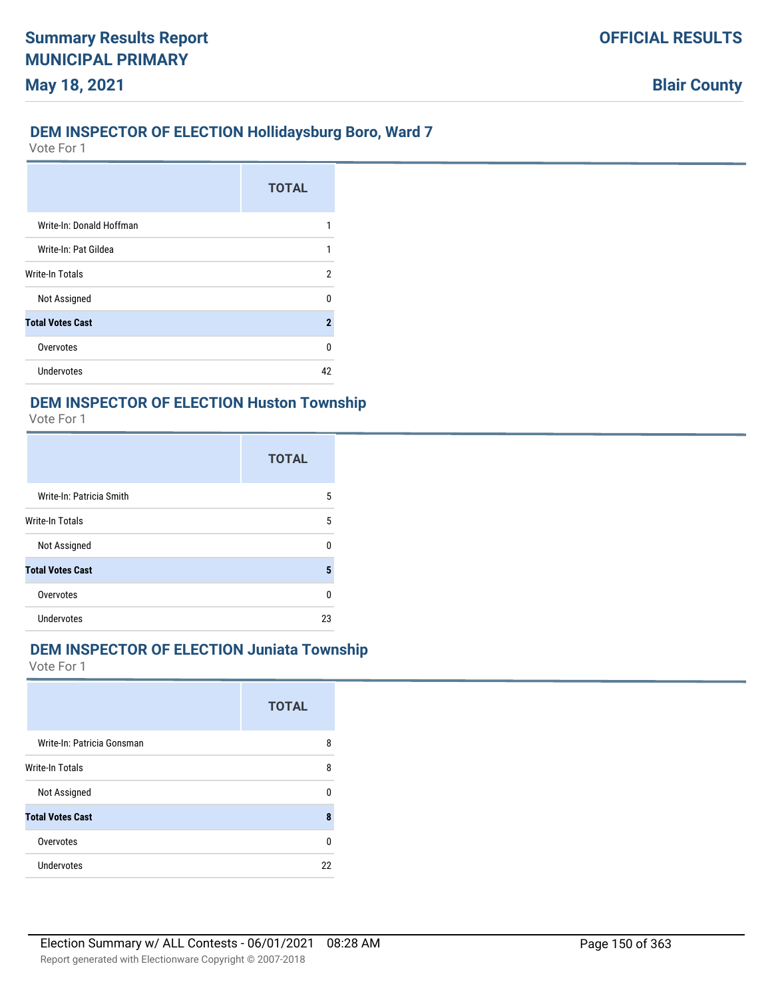## **DEM INSPECTOR OF ELECTION Hollidaysburg Boro, Ward 7**

Vote For 1

|                          | <b>TOTAL</b> |
|--------------------------|--------------|
| Write-In: Donald Hoffman |              |
| Write-In: Pat Gildea     |              |
| Write-In Totals          | 2            |
| Not Assigned             | n            |
| <b>Total Votes Cast</b>  | 2            |
| Overvotes                | n            |
| Undervotes               | 42           |

#### **DEM INSPECTOR OF ELECTION Huston Township**

Vote For 1

|                          | <b>TOTAL</b> |
|--------------------------|--------------|
| Write-In: Patricia Smith | 5            |
| Write-In Totals          | 5            |
| Not Assigned             | U            |
| <b>Total Votes Cast</b>  | 5            |
| Overvotes                | U            |
| Undervotes               | 23           |

#### **DEM INSPECTOR OF ELECTION Juniata Township**

|                            | <b>TOTAL</b> |
|----------------------------|--------------|
| Write-In: Patricia Gonsman | 8            |
| <b>Write-In Totals</b>     | 8            |
| Not Assigned               | ŋ            |
| <b>Total Votes Cast</b>    | 8            |
| Overvotes                  | $\Omega$     |
| Undervotes                 | 22           |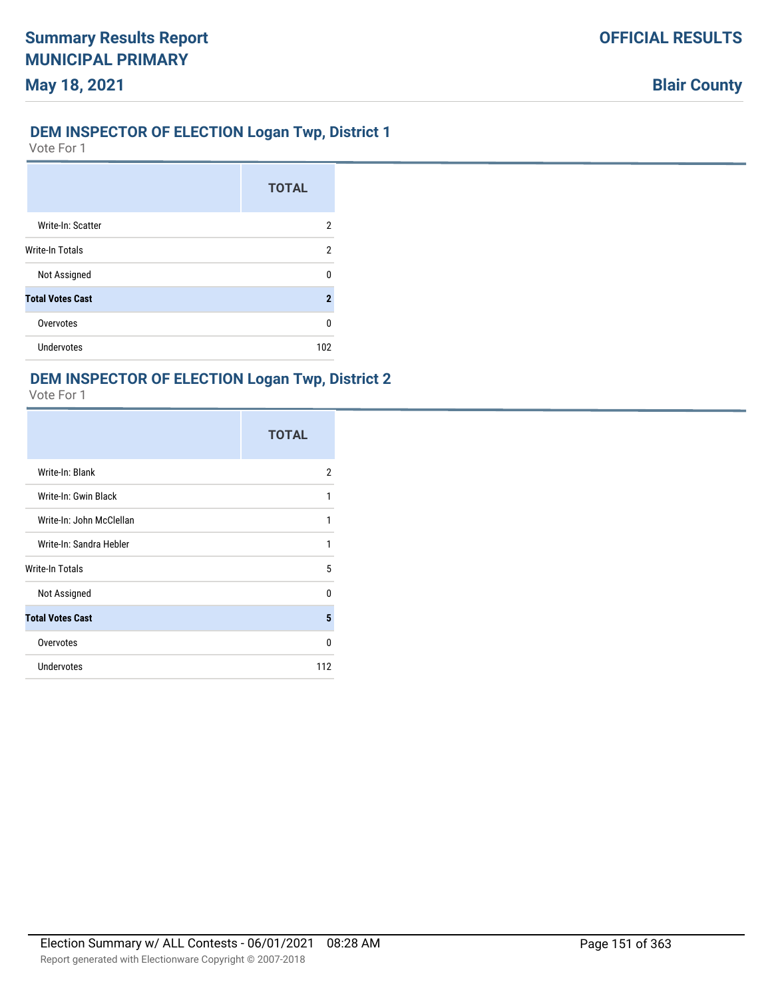## **DEM INSPECTOR OF ELECTION Logan Twp, District 1**

Vote For 1

|                         | <b>TOTAL</b> |
|-------------------------|--------------|
| Write-In: Scatter       | 2            |
| Write-In Totals         | 2            |
| Not Assigned            | n            |
| <b>Total Votes Cast</b> | 2            |
| Overvotes               | n            |
| Undervotes              | 102          |

# **DEM INSPECTOR OF ELECTION Logan Twp, District 2**

|                          | <b>TOTAL</b>   |
|--------------------------|----------------|
| Write-In: Blank          | $\overline{2}$ |
| Write-In: Gwin Black     | 1              |
| Write-In: John McClellan | 1              |
| Write-In: Sandra Hebler  | 1              |
| Write-In Totals          | 5              |
| Not Assigned             | 0              |
| <b>Total Votes Cast</b>  | 5              |
| Overvotes                | 0              |
| Undervotes               | 112            |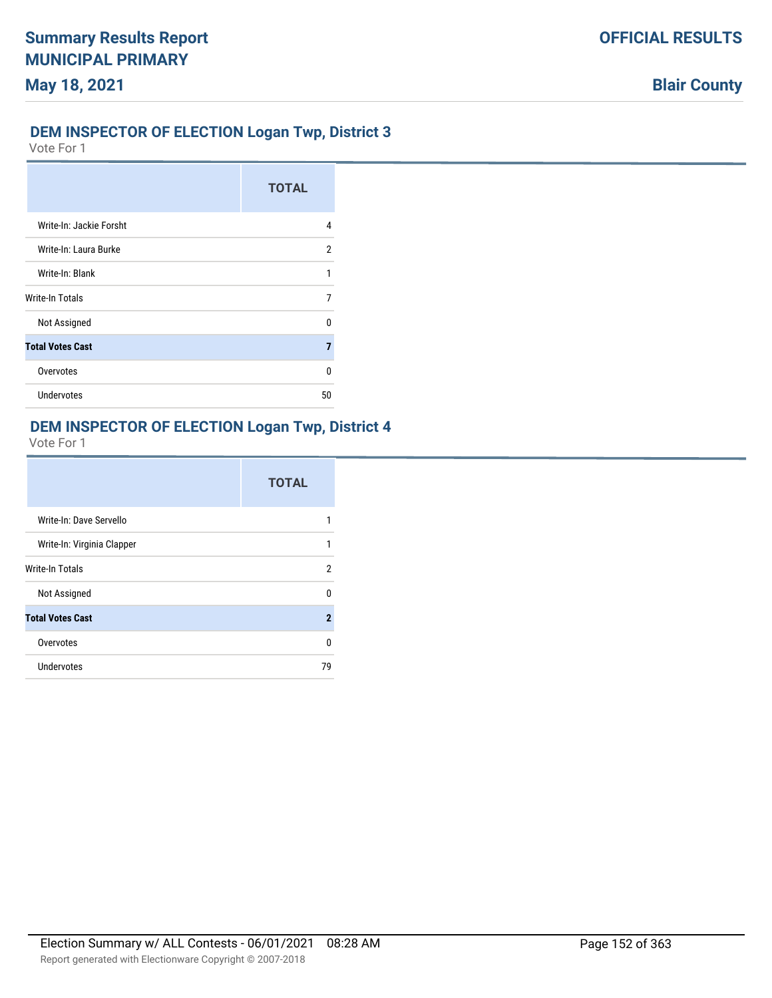# **DEM INSPECTOR OF ELECTION Logan Twp, District 3**

Vote For 1

|                         | <b>TOTAL</b> |
|-------------------------|--------------|
| Write-In: Jackie Forsht | 4            |
| Write-In: Laura Burke   | 2            |
| Write-In: Blank         | 1            |
| Write-In Totals         | 7            |
| Not Assigned            | n            |
| <b>Total Votes Cast</b> | 7            |
| Overvotes               | U            |
| <b>Undervotes</b>       | 50           |

# **DEM INSPECTOR OF ELECTION Logan Twp, District 4**

|                            | <b>TOTAL</b> |
|----------------------------|--------------|
| Write-In: Dave Servello    | 1            |
| Write-In: Virginia Clapper | 1            |
| <b>Write-In Totals</b>     | 2            |
| Not Assigned               | U            |
| <b>Total Votes Cast</b>    | $\mathbf 2$  |
| Overvotes                  | 0            |
| Undervotes                 | 79           |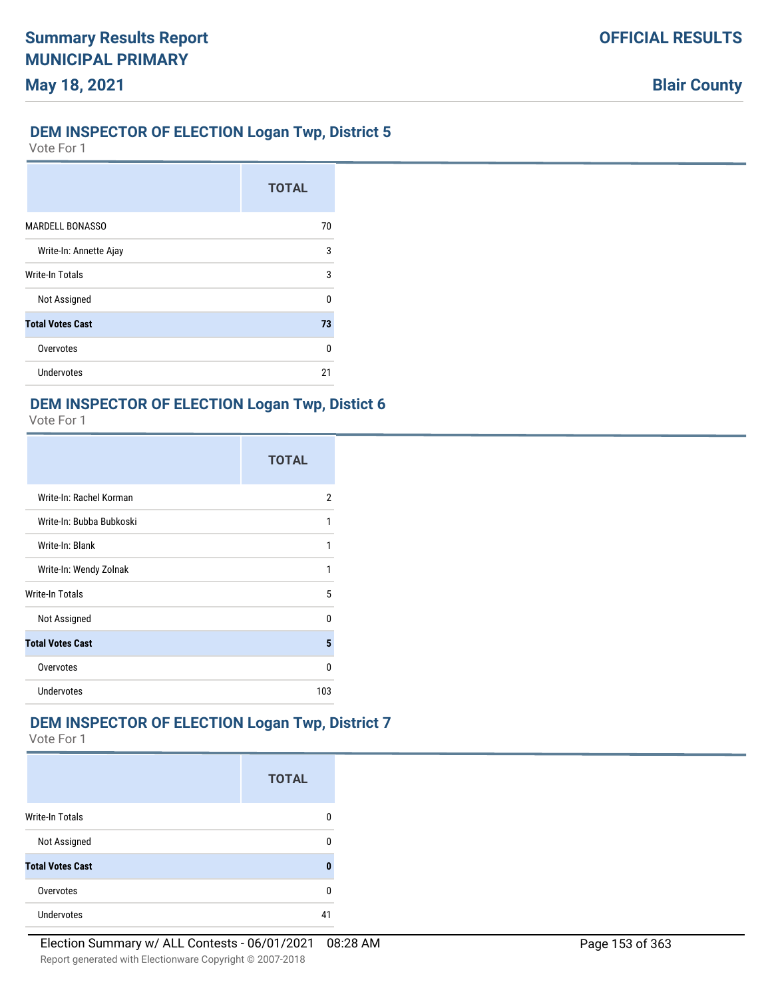# **DEM INSPECTOR OF ELECTION Logan Twp, District 5**

Vote For 1

**May 18, 2021**

|                         | <b>TOTAL</b> |
|-------------------------|--------------|
| <b>MARDELL BONASSO</b>  | 70           |
| Write-In: Annette Ajay  | 3            |
| <b>Write-In Totals</b>  | 3            |
| Not Assigned            | U            |
| <b>Total Votes Cast</b> | 73           |
| Overvotes               | U            |
| Undervotes              | 21           |

# **DEM INSPECTOR OF ELECTION Logan Twp, Distict 6**

Vote For 1

|                          | <b>TOTAL</b> |
|--------------------------|--------------|
| Write-In: Rachel Korman  | 2            |
| Write-In: Bubba Bubkoski | 1            |
| Write-In: Blank          | 1            |
| Write-In: Wendy Zolnak   |              |
| Write-In Totals          | 5            |
| Not Assigned             | n            |
| <b>Total Votes Cast</b>  | 5            |
| Overvotes                | n            |
| <b>Undervotes</b>        | 103          |

# **DEM INSPECTOR OF ELECTION Logan Twp, District 7**

|                         | <b>TOTAL</b> |
|-------------------------|--------------|
| <b>Write-In Totals</b>  |              |
| Not Assigned            |              |
| <b>Total Votes Cast</b> | Λ            |
| Overvotes               | n            |
| <b>Undervotes</b>       | 41           |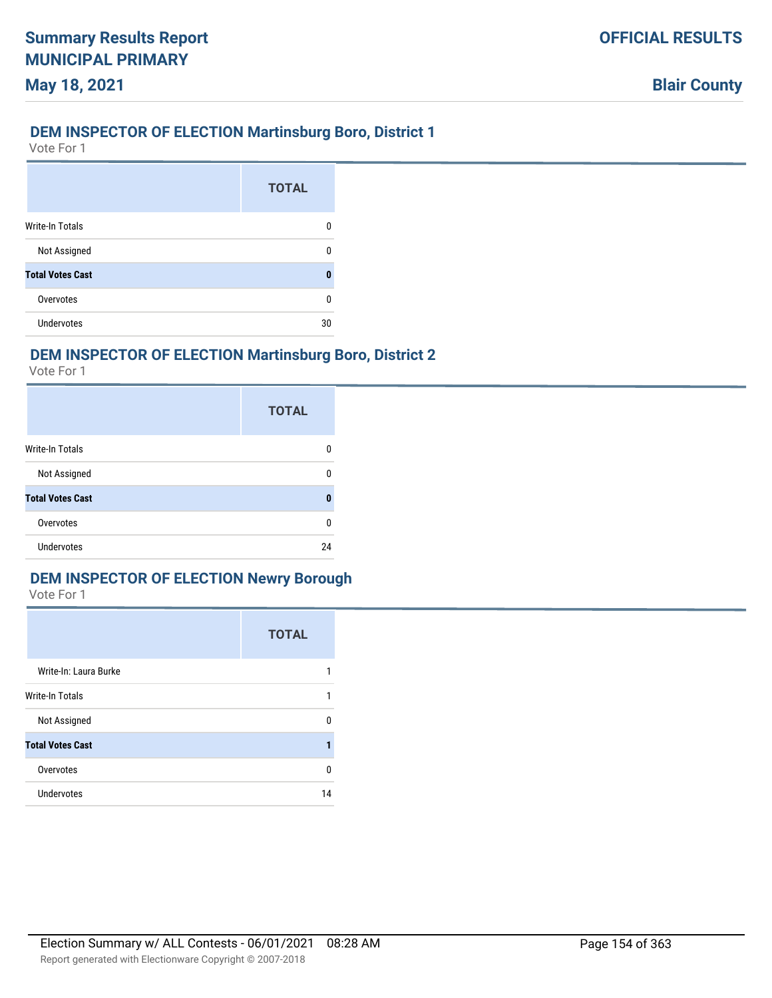## **DEM INSPECTOR OF ELECTION Martinsburg Boro, District 1**

Vote For 1

**May 18, 2021**

|                         | <b>TOTAL</b> |
|-------------------------|--------------|
| <b>Write-In Totals</b>  | n            |
| Not Assigned            | 0            |
| <b>Total Votes Cast</b> | 0            |
| Overvotes               | 0            |
| <b>Undervotes</b>       | 30           |

# **DEM INSPECTOR OF ELECTION Martinsburg Boro, District 2**

Vote For 1

|                         | <b>TOTAL</b> |
|-------------------------|--------------|
| <b>Write-In Totals</b>  | 0            |
| Not Assigned            | n            |
| <b>Total Votes Cast</b> | 0            |
| Overvotes               | 0            |
| <b>Undervotes</b>       | 24           |

# **DEM INSPECTOR OF ELECTION Newry Borough**

|                         | <b>TOTAL</b> |
|-------------------------|--------------|
| Write-In: Laura Burke   |              |
| Write-In Totals         | 1            |
| Not Assigned            | U            |
| <b>Total Votes Cast</b> |              |
| Overvotes               | U            |
| <b>Undervotes</b>       | 14           |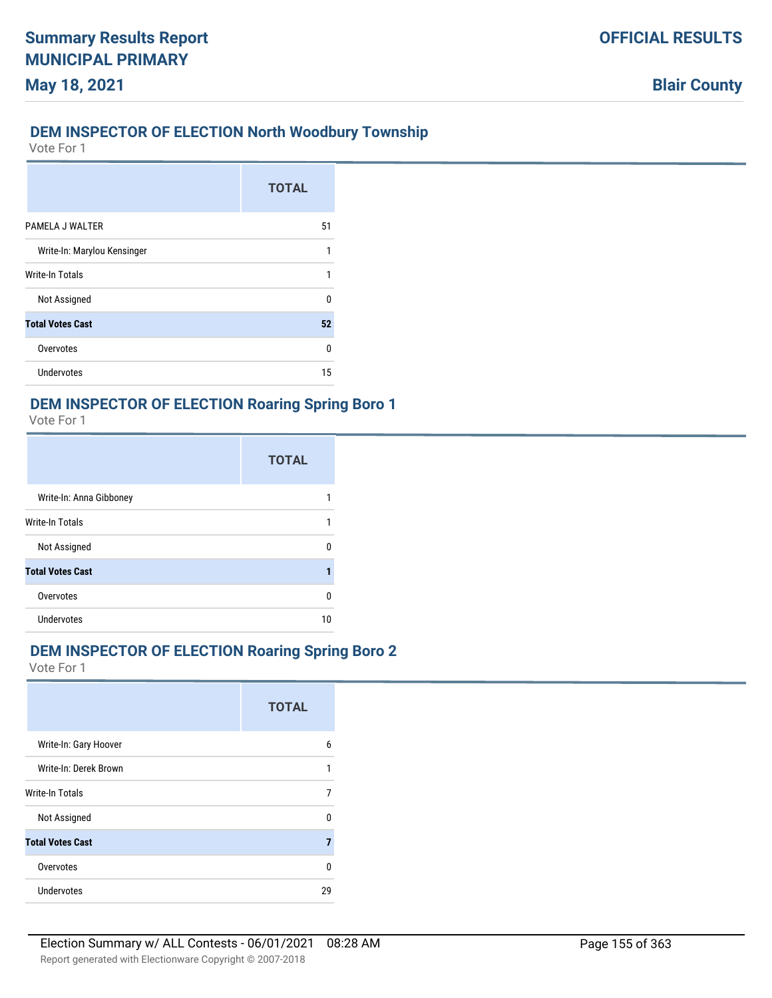#### **DEM INSPECTOR OF ELECTION North Woodbury Township**

Vote For 1

**May 18, 2021**

|                             | <b>TOTAL</b> |
|-----------------------------|--------------|
| PAMELA J WALTER             | 51           |
| Write-In: Marylou Kensinger | 1            |
| <b>Write-In Totals</b>      |              |
| Not Assigned                | n            |
| <b>Total Votes Cast</b>     | 52           |
| Overvotes                   | U            |
| <b>Undervotes</b>           | 15           |

# **DEM INSPECTOR OF ELECTION Roaring Spring Boro 1**

Vote For 1

|                         | <b>TOTAL</b> |
|-------------------------|--------------|
| Write-In: Anna Gibboney |              |
| Write-In Totals         |              |
| Not Assigned            | ŋ            |
| <b>Total Votes Cast</b> |              |
| Overvotes               | 0            |
| Undervotes              | 10           |

### **DEM INSPECTOR OF ELECTION Roaring Spring Boro 2**

|                         | <b>TOTAL</b> |
|-------------------------|--------------|
| Write-In: Gary Hoover   | 6            |
| Write-In: Derek Brown   |              |
| <b>Write-In Totals</b>  | 7            |
| Not Assigned            | n            |
| <b>Total Votes Cast</b> | 7            |
| Overvotes               | n            |
| Undervotes              | 29           |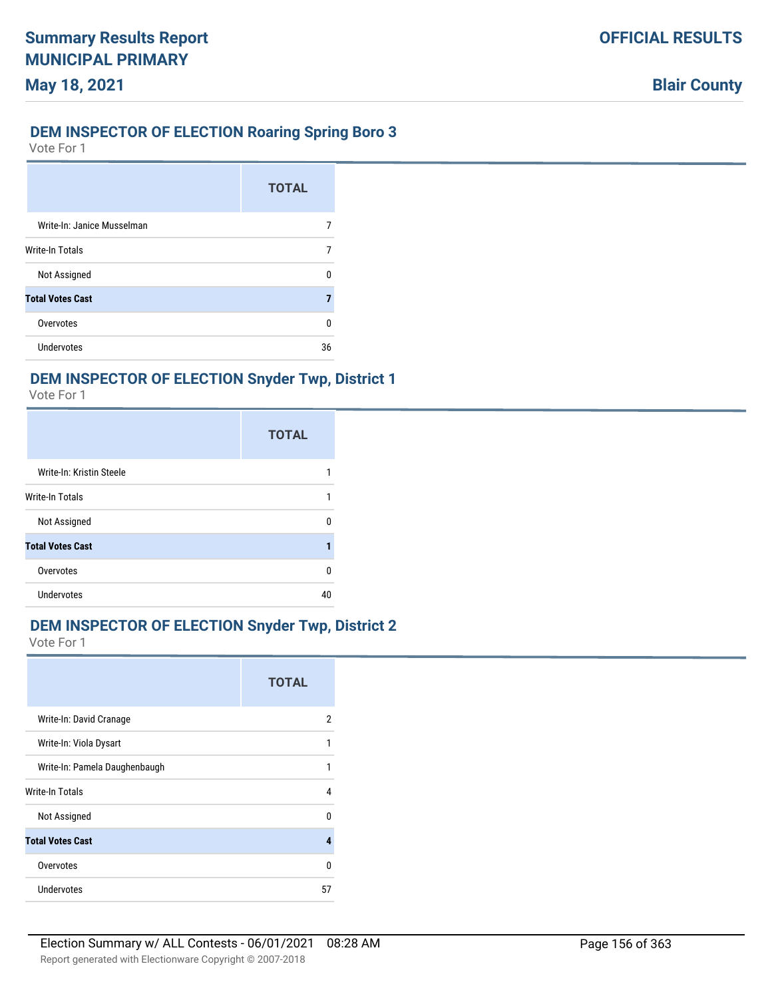# **DEM INSPECTOR OF ELECTION Roaring Spring Boro 3**

Vote For 1

**May 18, 2021**

|                            | <b>TOTAL</b> |
|----------------------------|--------------|
| Write-In: Janice Musselman |              |
| Write-In Totals            |              |
| Not Assigned               | n            |
| <b>Total Votes Cast</b>    | 7            |
| Overvotes                  | ŋ            |
| <b>Undervotes</b>          | 36           |

# **DEM INSPECTOR OF ELECTION Snyder Twp, District 1**

Vote For 1

|                          | <b>TOTAL</b> |
|--------------------------|--------------|
| Write-In: Kristin Steele |              |
| <b>Write-In Totals</b>   |              |
| Not Assigned             | n            |
| <b>Total Votes Cast</b>  |              |
| Overvotes                | n            |
| <b>Undervotes</b>        | 40           |

# **DEM INSPECTOR OF ELECTION Snyder Twp, District 2**

|                               | <b>TOTAL</b> |
|-------------------------------|--------------|
| Write-In: David Cranage       | 2            |
| Write-In: Viola Dysart        | 1            |
| Write-In: Pamela Daughenbaugh | 1            |
| Write-In Totals               | 4            |
| Not Assigned                  | U            |
| <b>Total Votes Cast</b>       | д            |
| Overvotes                     | n            |
| Undervotes                    | 57           |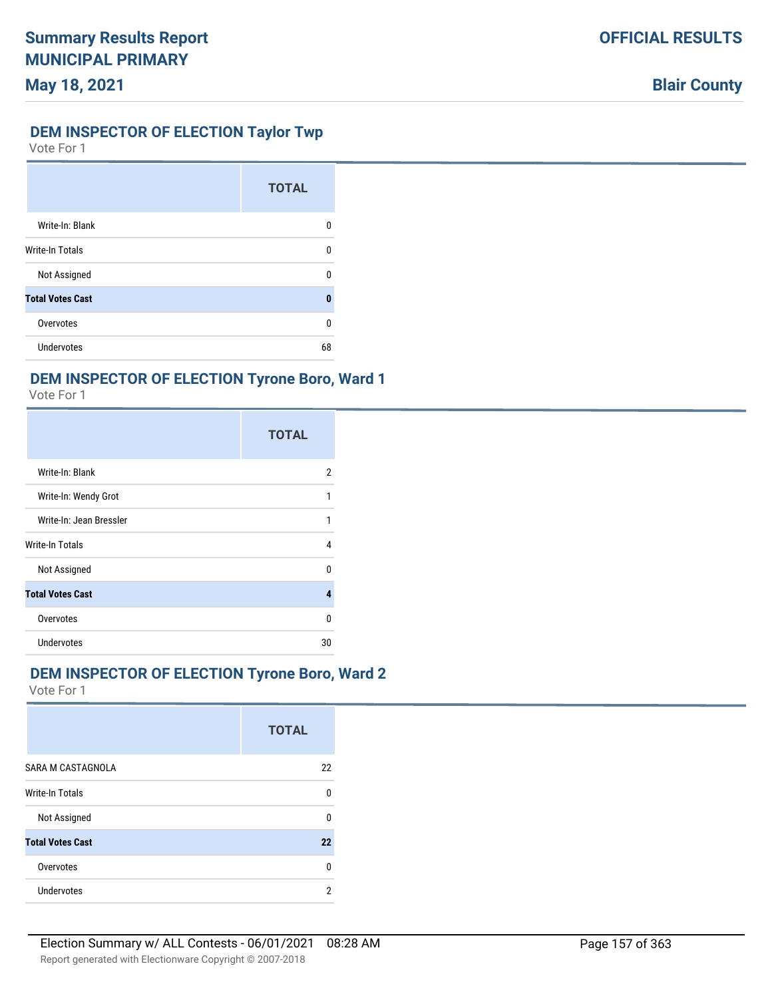# **DEM INSPECTOR OF ELECTION Taylor Twp**

Vote For 1

|                         | <b>TOTAL</b> |
|-------------------------|--------------|
| Write-In: Blank         | n            |
| Write-In Totals         | n            |
| Not Assigned            | n            |
| <b>Total Votes Cast</b> | O            |
| Overvotes               | ŋ            |
| Undervotes              | 68           |

### **DEM INSPECTOR OF ELECTION Tyrone Boro, Ward 1**

Vote For 1

|                         | <b>TOTAL</b> |
|-------------------------|--------------|
| Write-In: Blank         | 2            |
| Write-In: Wendy Grot    |              |
| Write-In: Jean Bressler |              |
| Write-In Totals         | 4            |
| Not Assigned            | n            |
| <b>Total Votes Cast</b> |              |
| Overvotes               | n            |
| Undervotes              | 30           |

# **DEM INSPECTOR OF ELECTION Tyrone Boro, Ward 2**

|                         | <b>TOTAL</b> |
|-------------------------|--------------|
| SARA M CASTAGNOLA       | 22           |
| <b>Write-In Totals</b>  | n            |
| Not Assigned            | n            |
| <b>Total Votes Cast</b> | 22           |
| Overvotes               | n            |
| Undervotes              | 2            |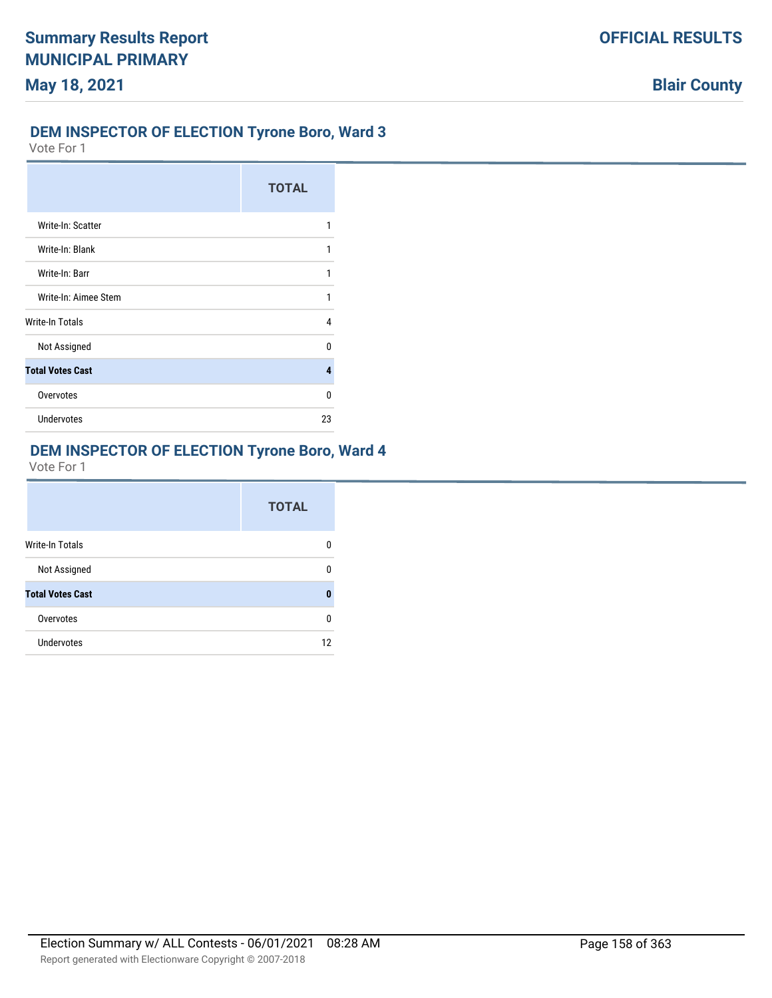# **DEM INSPECTOR OF ELECTION Tyrone Boro, Ward 3**

Vote For 1

|                         | <b>TOTAL</b> |
|-------------------------|--------------|
| Write-In: Scatter       |              |
| Write-In: Blank         |              |
| Write-In: Barr          |              |
| Write-In: Aimee Stem    | 1            |
| Write-In Totals         | 4            |
| Not Assigned            | n            |
| <b>Total Votes Cast</b> | 4            |
| Overvotes               | n            |
| <b>Undervotes</b>       | 23           |

# **DEM INSPECTOR OF ELECTION Tyrone Boro, Ward 4**

|                         | <b>TOTAL</b> |
|-------------------------|--------------|
| <b>Write-In Totals</b>  | n            |
| Not Assigned            | n            |
| <b>Total Votes Cast</b> | O            |
| Overvotes               | n            |
| <b>Undervotes</b>       | 12           |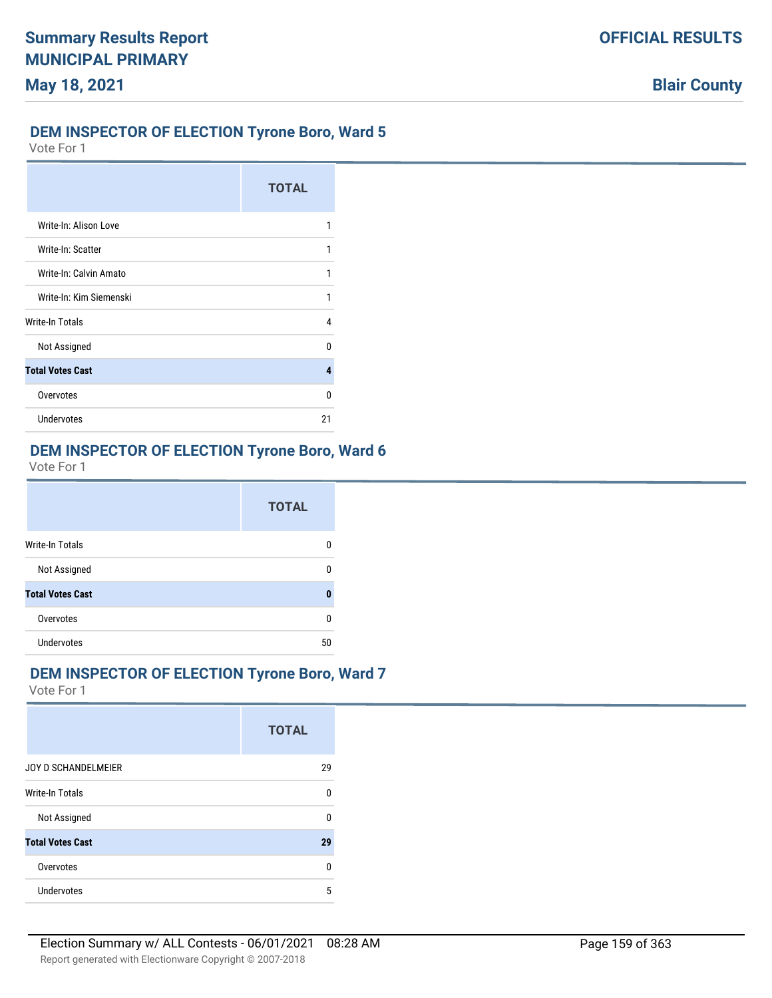# **DEM INSPECTOR OF ELECTION Tyrone Boro, Ward 5**

Vote For 1

|                         | <b>TOTAL</b> |
|-------------------------|--------------|
| Write-In: Alison Love   |              |
| Write-In: Scatter       |              |
| Write-In: Calvin Amato  |              |
| Write-In: Kim Siemenski |              |
| Write-In Totals         | 4            |
| Not Assigned            | n            |
| <b>Total Votes Cast</b> | 4            |
| Overvotes               | n            |
| <b>Undervotes</b>       | 21           |

## **DEM INSPECTOR OF ELECTION Tyrone Boro, Ward 6**

Vote For 1

|                         | <b>TOTAL</b> |
|-------------------------|--------------|
| <b>Write-In Totals</b>  | 0            |
| Not Assigned            | 0            |
| <b>Total Votes Cast</b> | 0            |
| Overvotes               | 0            |
| <b>Undervotes</b>       | 50           |

# **DEM INSPECTOR OF ELECTION Tyrone Boro, Ward 7**

|                         | <b>TOTAL</b> |
|-------------------------|--------------|
| JOY D SCHANDELMEIER     | 29           |
| <b>Write-In Totals</b>  | n            |
| Not Assigned            | n            |
| <b>Total Votes Cast</b> | 29           |
| Overvotes               | n            |
| Undervotes              | 5            |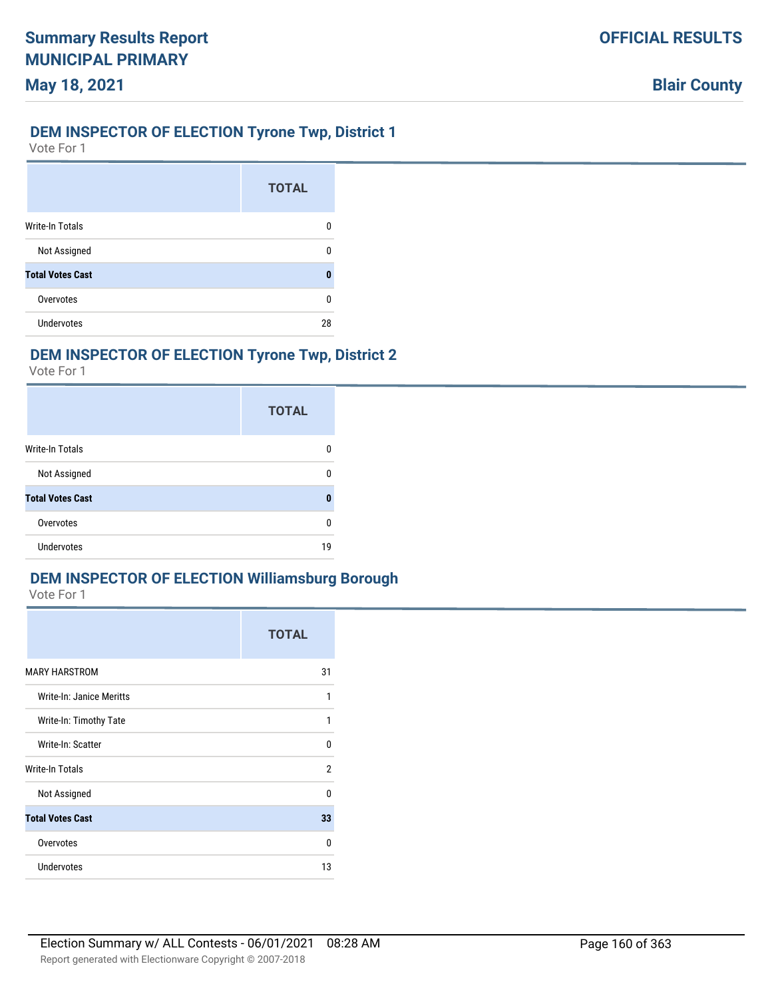## **DEM INSPECTOR OF ELECTION Tyrone Twp, District 1**

Vote For 1

|                         | <b>TOTAL</b> |
|-------------------------|--------------|
| <b>Write-In Totals</b>  | O            |
| Not Assigned            |              |
| <b>Total Votes Cast</b> | 0            |
| Overvotes               | n            |
| <b>Undervotes</b>       | 28           |

# **DEM INSPECTOR OF ELECTION Tyrone Twp, District 2**

Vote For 1

|                         | <b>TOTAL</b> |
|-------------------------|--------------|
| Write-In Totals         |              |
| Not Assigned            | n            |
| <b>Total Votes Cast</b> | ٥            |
| Overvotes               | ŋ            |
| <b>Undervotes</b>       | 19           |

# **DEM INSPECTOR OF ELECTION Williamsburg Borough**

|                          | <b>TOTAL</b> |
|--------------------------|--------------|
| <b>MARY HARSTROM</b>     | 31           |
| Write-In: Janice Meritts | 1            |
| Write-In: Timothy Tate   | 1            |
| Write-In: Scatter        | 0            |
| Write-In Totals          | 2            |
| Not Assigned             | $\Omega$     |
| <b>Total Votes Cast</b>  | 33           |
| Overvotes                | 0            |
| <b>Undervotes</b>        | 13           |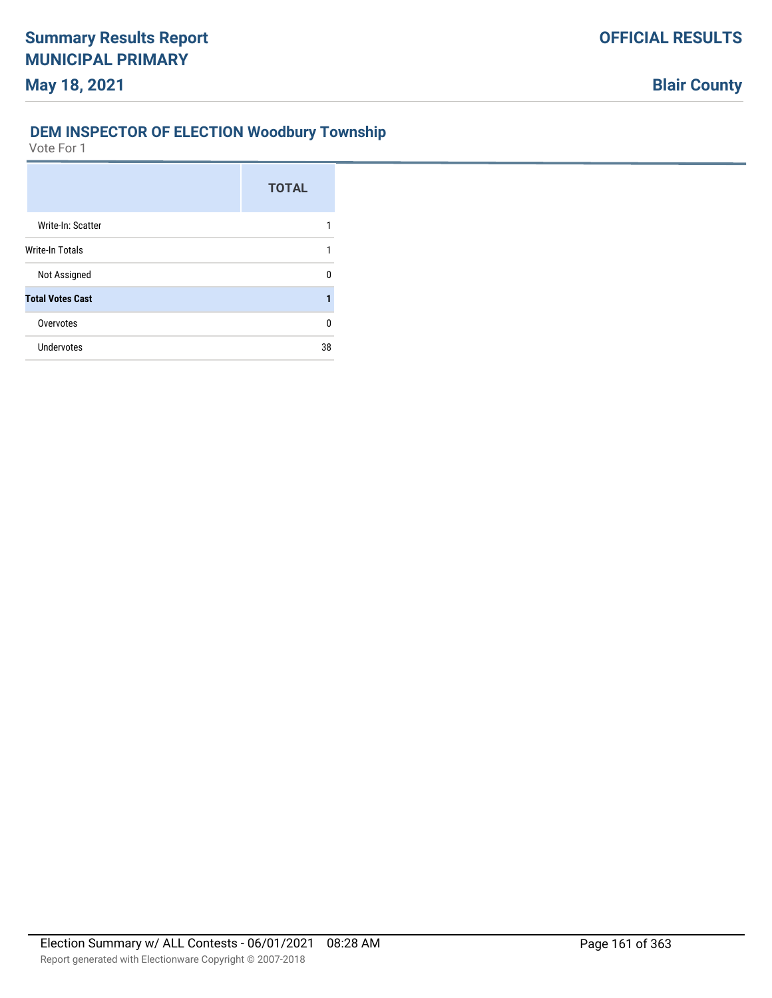# **DEM INSPECTOR OF ELECTION Woodbury Township**

|                         | <b>TOTAL</b> |
|-------------------------|--------------|
| Write-In: Scatter       |              |
| Write-In Totals         | 1            |
| Not Assigned            | n            |
| <b>Total Votes Cast</b> | 1            |
| Overvotes               | U            |
| <b>Undervotes</b>       | 38           |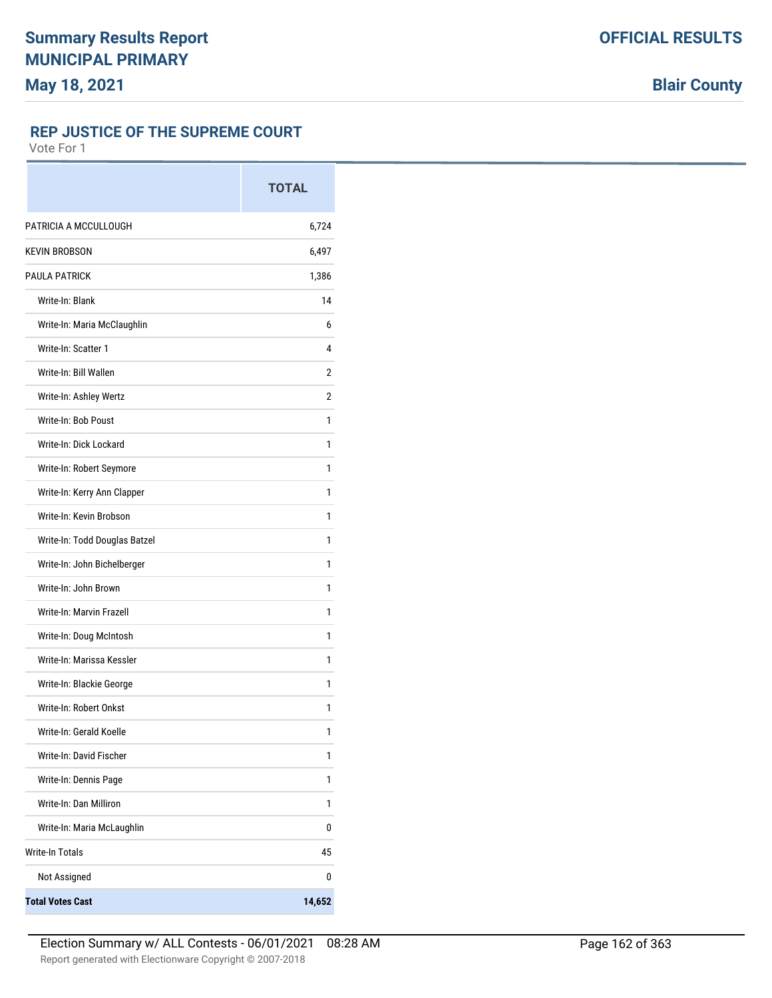# **REP JUSTICE OF THE SUPREME COURT**

|                               | <b>TOTAL</b> |
|-------------------------------|--------------|
| PATRICIA A MCCULLOUGH         | 6,724        |
| <b>KEVIN BROBSON</b>          | 6,497        |
| <b>PAULA PATRICK</b>          | 1,386        |
| Write-In: Blank               | 14           |
| Write-In: Maria McClaughlin   | 6            |
| Write-In: Scatter 1           | 4            |
| Write-In: Bill Wallen         | 2            |
| Write-In: Ashley Wertz        | 2            |
| Write-In: Bob Poust           | 1            |
| Write-In: Dick Lockard        | 1            |
| Write-In: Robert Seymore      | 1            |
| Write-In: Kerry Ann Clapper   | 1            |
| Write-In: Kevin Brobson       | 1            |
| Write-In: Todd Douglas Batzel | 1            |
| Write-In: John Bichelberger   | 1            |
| Write-In: John Brown          | 1            |
| Write-In: Marvin Frazell      | 1            |
| Write-In: Doug McIntosh       | 1            |
| Write-In: Marissa Kessler     | 1            |
| Write-In: Blackie George      | 1            |
| Write-In: Robert Onkst        | 1            |
| Write-In: Gerald Koelle       | 1            |
| Write-In: David Fischer       | 1            |
| Write-In: Dennis Page         | 1            |
| Write-In: Dan Milliron        | 1            |
| Write-In: Maria McLaughlin    | 0            |
| <b>Write-In Totals</b>        | 45           |
| Not Assigned                  | 0            |
| <b>Total Votes Cast</b>       | 14,652       |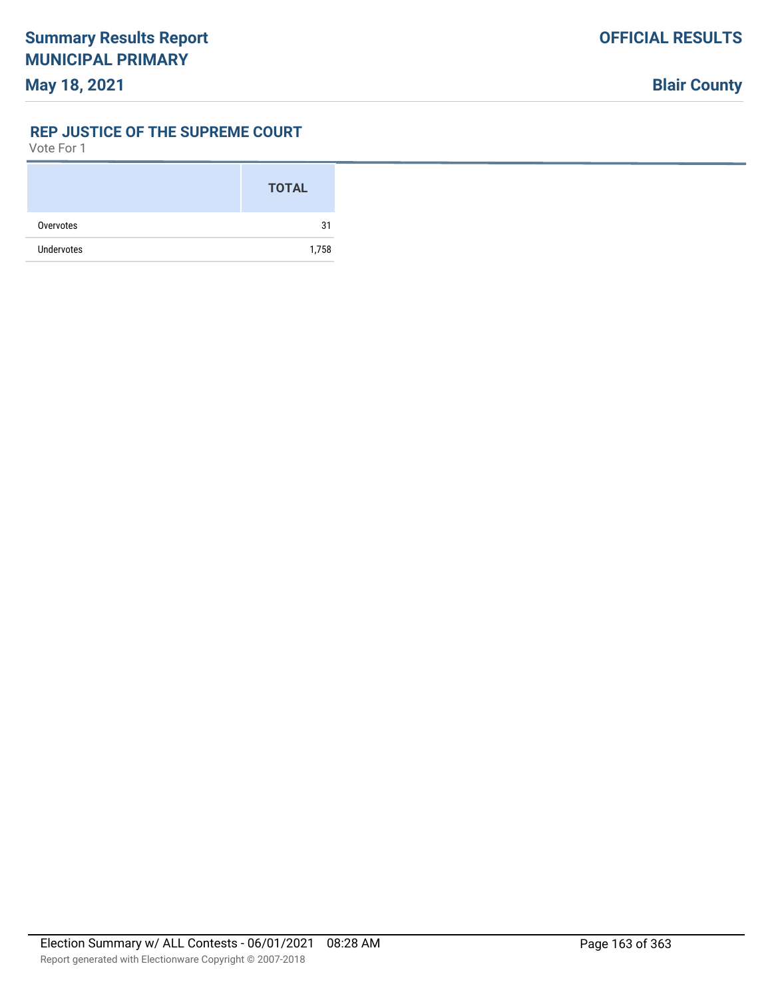#### **REP JUSTICE OF THE SUPREME COURT**

|                   | <b>TOTAL</b> |
|-------------------|--------------|
| Overvotes         | 31           |
| <b>Undervotes</b> | 1,758        |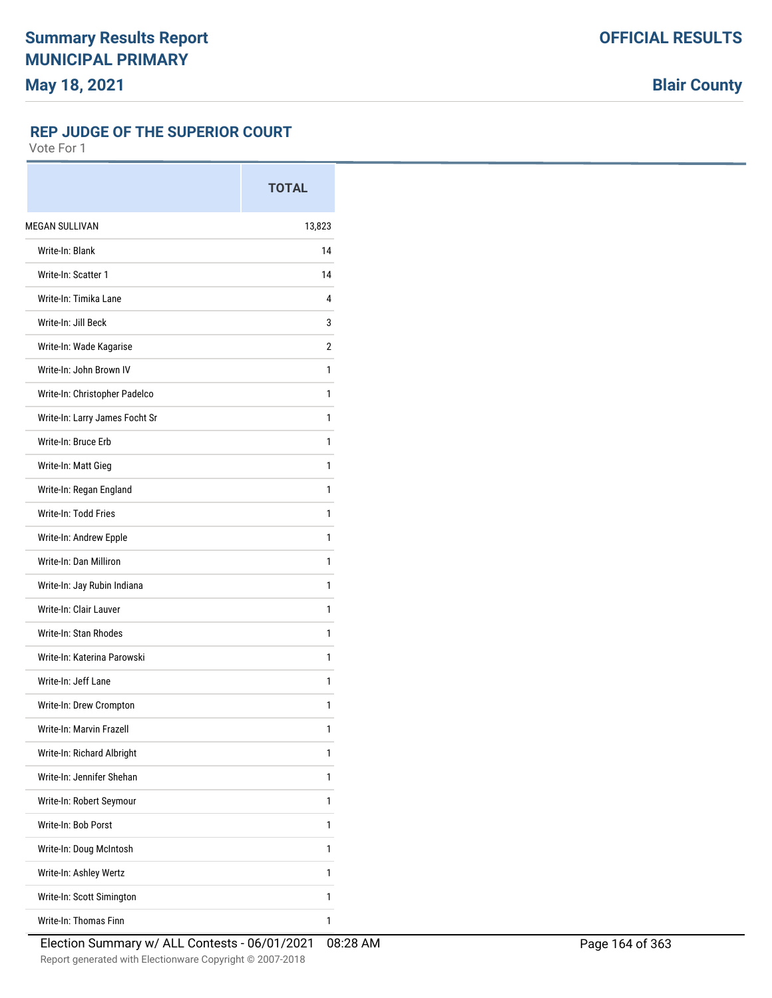#### **REP JUDGE OF THE SUPERIOR COURT**

|                                | <b>TOTAL</b> |
|--------------------------------|--------------|
| <b>MEGAN SULLIVAN</b>          | 13,823       |
| Write-In: Blank                | 14           |
| Write-In: Scatter 1            | 14           |
| Write-In: Timika Lane          | 4            |
| Write-In: Jill Beck            | 3            |
| Write-In: Wade Kagarise        | 2            |
| Write-In: John Brown IV        | 1            |
| Write-In: Christopher Padelco  | 1            |
| Write-In: Larry James Focht Sr | 1            |
| Write-In: Bruce Erb            | 1            |
| Write-In: Matt Gieg            | 1            |
| Write-In: Regan England        | 1            |
| Write-In: Todd Fries           | 1            |
| Write-In: Andrew Epple         | 1            |
| Write-In: Dan Milliron         | 1            |
| Write-In: Jay Rubin Indiana    | 1            |
| Write-In: Clair Lauver         | 1            |
| Write-In: Stan Rhodes          | 1            |
| Write-In: Katerina Parowski    | 1            |
| Write-In: Jeff Lane            | 1            |
| Write-In: Drew Crompton        | 1            |
| Write-In: Marvin Frazell       | 1            |
| Write-In: Richard Albright     | 1            |
| Write-In: Jennifer Shehan      | 1            |
| Write-In: Robert Seymour       | 1            |
| Write-In: Bob Porst            | 1            |
| Write-In: Doug McIntosh        | 1            |
| Write-In: Ashley Wertz         | 1            |
| Write-In: Scott Simington      | 1            |
| Write-In: Thomas Finn          | 1            |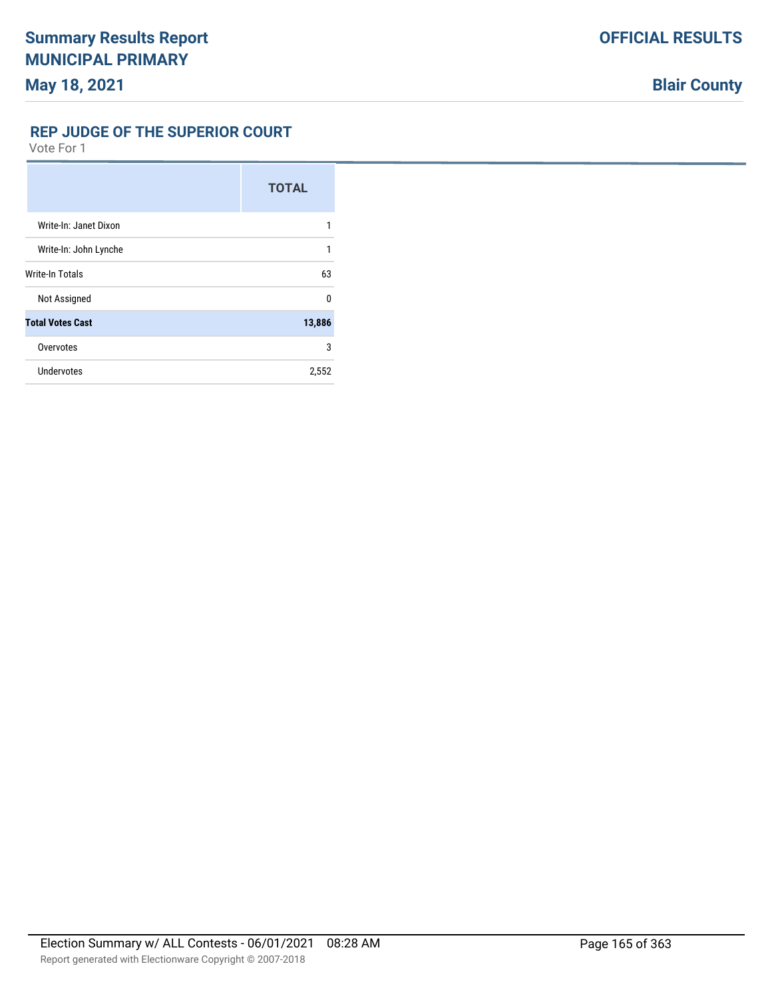## **REP JUDGE OF THE SUPERIOR COURT**

|                         | <b>TOTAL</b> |
|-------------------------|--------------|
| Write-In: Janet Dixon   | 1            |
| Write-In: John Lynche   | 1            |
| Write-In Totals         | 63           |
| Not Assigned            | 0            |
| <b>Total Votes Cast</b> | 13,886       |
| Overvotes               | 3            |
| Undervotes              | 2,552        |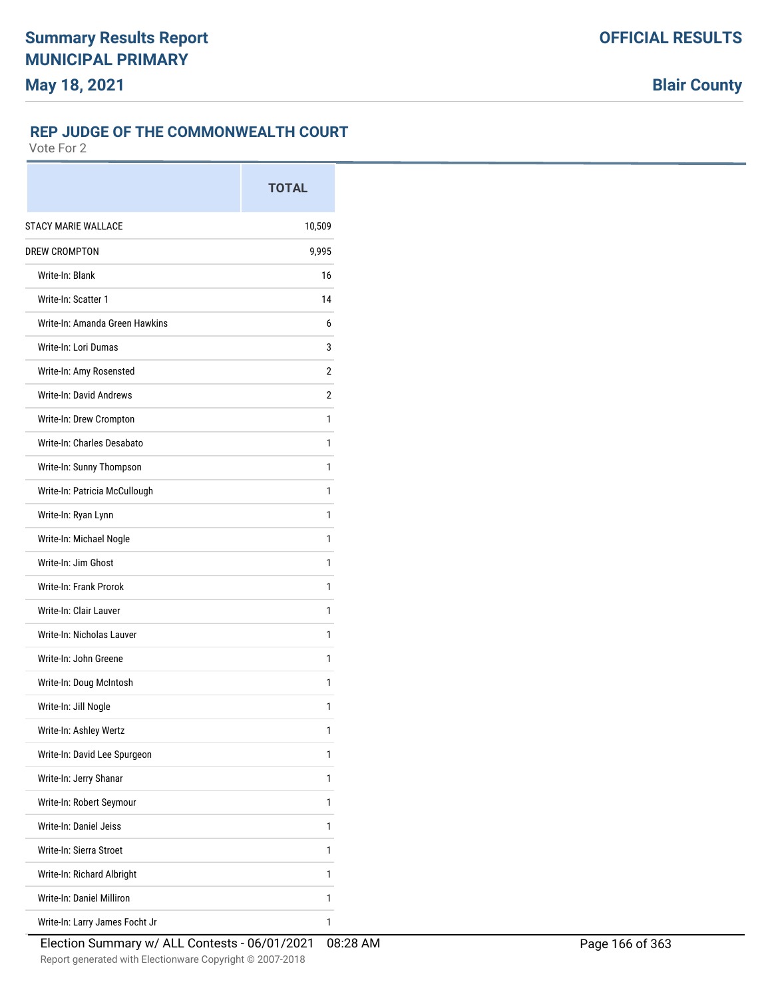# **REP JUDGE OF THE COMMONWEALTH COURT**

|                                | <b>TOTAL</b> |
|--------------------------------|--------------|
| <b>STACY MARIE WALLACE</b>     | 10,509       |
| <b>DREW CROMPTON</b>           | 9,995        |
| Write-In: Blank                | 16           |
| Write-In: Scatter 1            | 14           |
| Write-In: Amanda Green Hawkins | 6            |
| Write-In: Lori Dumas           | 3            |
| Write-In: Amy Rosensted        | 2            |
| Write-In: David Andrews        | 2            |
| Write-In: Drew Crompton        | 1            |
| Write-In: Charles Desabato     | 1            |
| Write-In: Sunny Thompson       | 1            |
| Write-In: Patricia McCullough  | 1            |
| Write-In: Ryan Lynn            | 1            |
| Write-In: Michael Nogle        | 1            |
| Write-In: Jim Ghost            | 1            |
| Write-In: Frank Prorok         | 1            |
| Write-In: Clair Lauver         | 1            |
| Write-In: Nicholas Lauver      | 1            |
| Write-In: John Greene          | 1            |
| Write-In: Doug McIntosh        | 1            |
| Write-In: Jill Nogle           | 1            |
| Write-In: Ashley Wertz         | 1            |
| Write-In: David Lee Spurgeon   | 1            |
| Write-In: Jerry Shanar         | 1            |
| Write-In: Robert Seymour       | 1            |
| Write-In: Daniel Jeiss         | 1            |
| Write-In: Sierra Stroet        | 1            |
| Write-In: Richard Albright     | 1            |
| Write-In: Daniel Milliron      | 1            |
| Write-In: Larry James Focht Jr | 1            |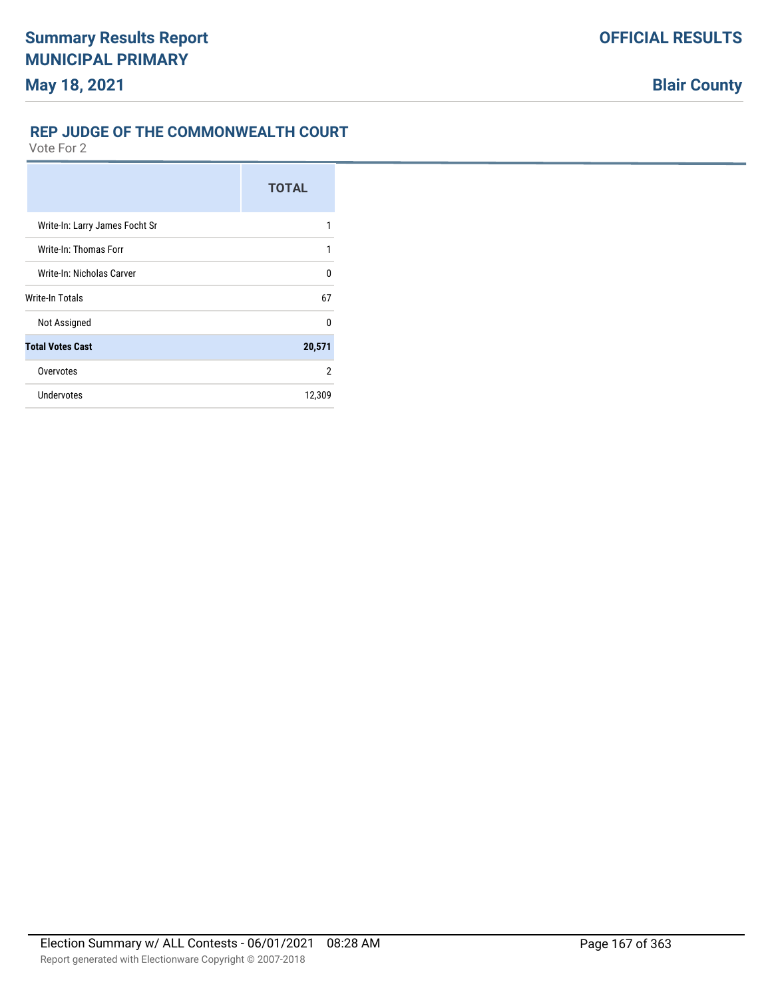Vote For 2

|                                | <b>TOTAL</b> |
|--------------------------------|--------------|
| Write-In: Larry James Focht Sr |              |
| Write-In: Thomas Forr          | 1            |
| Write-In: Nicholas Carver      | U            |
| Write-In Totals                | 67           |
| Not Assigned                   | U            |
| <b>Total Votes Cast</b>        | 20,571       |
| Overvotes                      | 2            |
| Undervotes                     | 12,309       |

**REP JUDGE OF THE COMMONWEALTH COURT**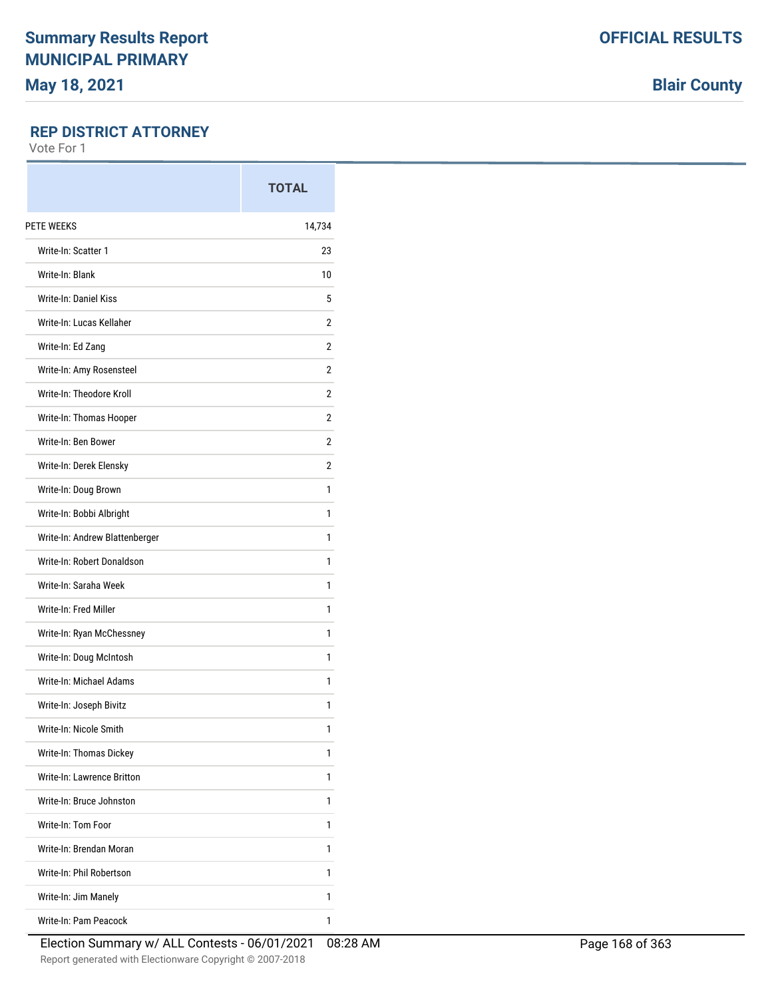**Blair County**

### **REP DISTRICT ATTORNEY**

|                                | <b>TOTAL</b> |
|--------------------------------|--------------|
| PETE WEEKS                     | 14,734       |
| Write-In: Scatter 1            | 23           |
| Write-In: Blank                | 10           |
| <b>Write-In: Daniel Kiss</b>   | 5            |
| Write-In: Lucas Kellaher       | 2            |
| Write-In: Ed Zang              | 2            |
| Write-In: Amy Rosensteel       | 2            |
| Write-In: Theodore Kroll       | 2            |
| Write-In: Thomas Hooper        | 2            |
| Write-In: Ben Bower            | 2            |
| Write-In: Derek Elensky        | 2            |
| Write-In: Doug Brown           | 1            |
| Write-In: Bobbi Albright       | 1            |
| Write-In: Andrew Blattenberger | 1            |
| Write-In: Robert Donaldson     | 1            |
| Write-In: Saraha Week          | 1            |
| Write-In: Fred Miller          | 1            |
| Write-In: Ryan McChessney      | 1            |
| Write-In: Doug McIntosh        | 1            |
| Write-In: Michael Adams        | 1            |
| Write-In: Joseph Bivitz        | 1            |
| Write-In: Nicole Smith         | 1            |
| Write-In: Thomas Dickey        | 1            |
| Write-In: Lawrence Britton     | 1            |
| Write-In: Bruce Johnston       | 1            |
| Write-In: Tom Foor             | 1            |
| Write-In: Brendan Moran        | 1            |
| Write-In: Phil Robertson       | 1            |
| Write-In: Jim Manely           | 1            |
| Write-In: Pam Peacock          | 1            |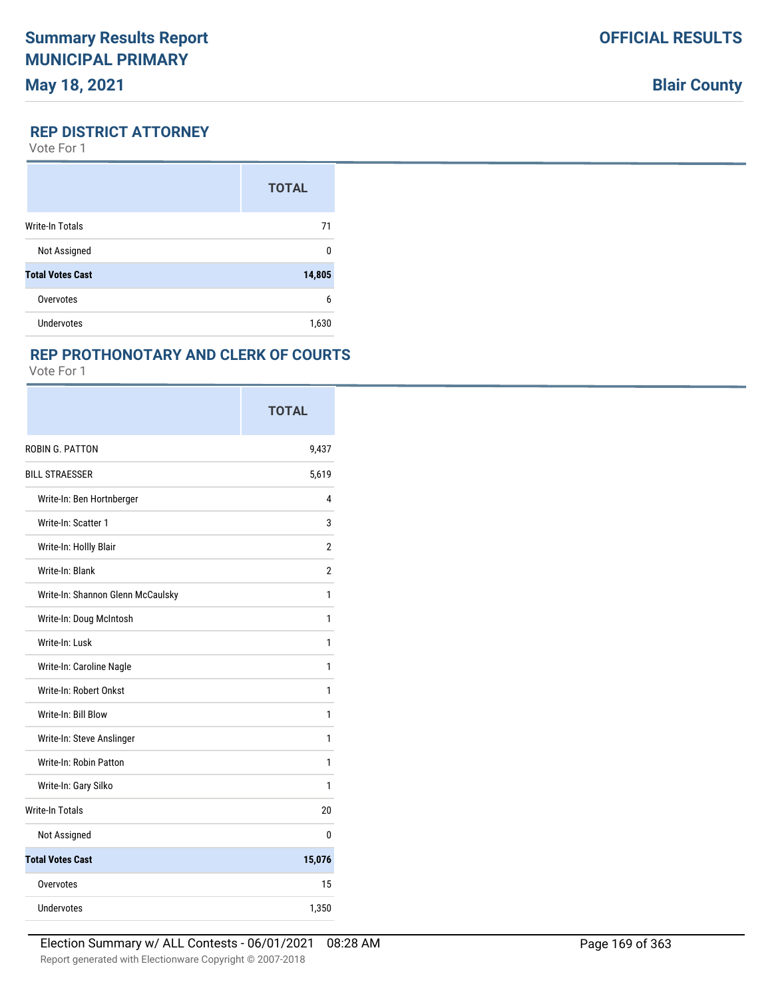### **REP DISTRICT ATTORNEY**

Vote For 1

|                         | <b>TOTAL</b> |
|-------------------------|--------------|
| <b>Write-In Totals</b>  | 71           |
| Not Assigned            | 0            |
| <b>Total Votes Cast</b> | 14,805       |
| Overvotes               | 6            |
| Undervotes              | 1,630        |

# **REP PROTHONOTARY AND CLERK OF COURTS**

|                                   | <b>TOTAL</b> |
|-----------------------------------|--------------|
| ROBIN G. PATTON                   | 9,437        |
| <b>BILL STRAESSER</b>             | 5,619        |
| Write-In: Ben Hortnberger         | 4            |
| Write-In: Scatter 1               | 3            |
| Write-In: Hollly Blair            | 2            |
| Write-In: Blank                   | 2            |
| Write-In: Shannon Glenn McCaulsky | 1            |
| Write-In: Doug McIntosh           | 1            |
| Write-In: Lusk                    | 1            |
| Write-In: Caroline Nagle          | 1            |
| Write-In: Robert Onkst            | 1            |
| Write-In: Bill Blow               | 1            |
| Write-In: Steve Anslinger         | 1            |
| Write-In: Robin Patton            | 1            |
| Write-In: Gary Silko              | 1            |
| <b>Write-In Totals</b>            | 20           |
| Not Assigned                      | 0            |
| <b>Total Votes Cast</b>           | 15,076       |
| Overvotes                         | 15           |
| Undervotes                        | 1,350        |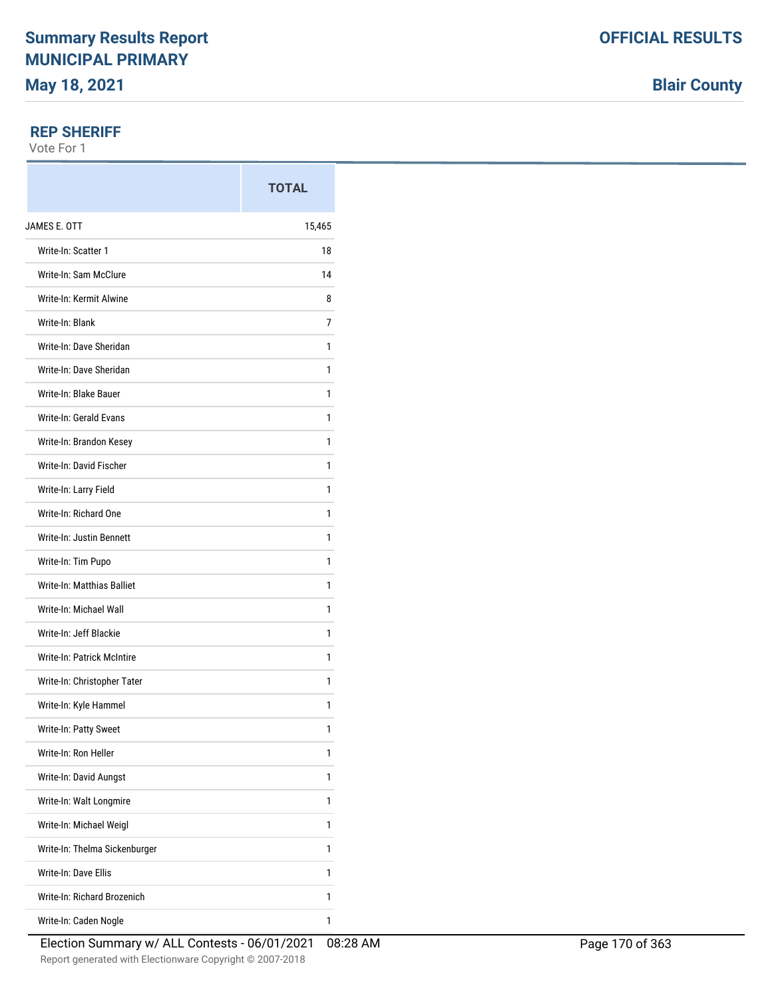#### **REP SHERIFF**

Vote For 1

|                                   | <b>TOTAL</b> |
|-----------------------------------|--------------|
| JAMES E. OTT                      | 15,465       |
| Write-In: Scatter 1               | 18           |
| Write-In: Sam McClure             | 14           |
| Write-In: Kermit Alwine           | 8            |
| Write-In: Blank                   | 7            |
| Write-In: Dave Sheridan           | 1            |
| Write-In: Dave Sheridan           | 1            |
| Write-In: Blake Bauer             | 1            |
| Write-In: Gerald Evans            | 1            |
| Write-In: Brandon Kesey           | 1            |
| Write-In: David Fischer           | 1            |
| Write-In: Larry Field             | 1            |
| Write-In: Richard One             | 1            |
| Write-In: Justin Bennett          | 1            |
| Write-In: Tim Pupo                | 1            |
| Write-In: Matthias Balliet        | 1            |
| Write-In: Michael Wall            | 1            |
| Write-In: Jeff Blackie            | 1            |
| <b>Write-In: Patrick McIntire</b> | 1            |
| Write-In: Christopher Tater       | 1            |
| Write-In: Kyle Hammel             | 1            |
| Write-In: Patty Sweet             | 1            |
| Write-In: Ron Heller              | 1            |
| Write-In: David Aungst            | 1            |
| Write-In: Walt Longmire           | 1            |
| Write-In: Michael Weigl           | 1            |
| Write-In: Thelma Sickenburger     | 1            |
| Write-In: Dave Ellis              | 1            |
| Write-In: Richard Brozenich       | 1            |
| Write-In: Caden Nogle             | 1            |

**Blair County**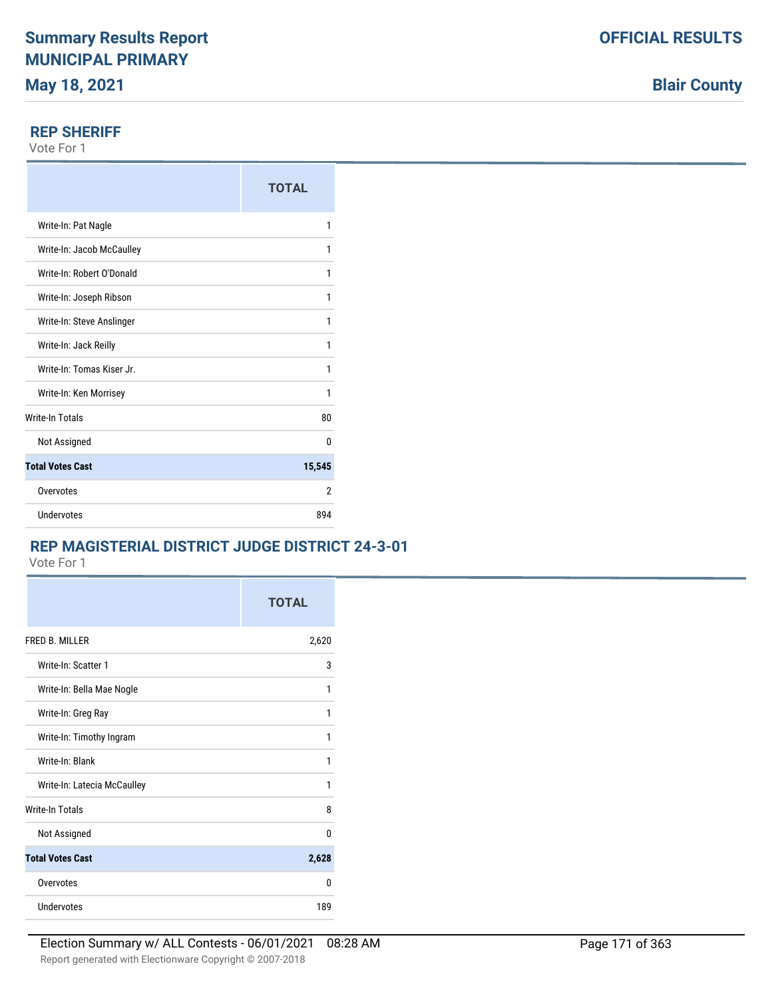**Blair County**

#### **REP SHERIFF**

Vote For 1

|                           | <b>TOTAL</b> |
|---------------------------|--------------|
| Write-In: Pat Nagle       | 1            |
| Write-In: Jacob McCaulley | 1            |
| Write-In: Robert O'Donald | 1            |
| Write-In: Joseph Ribson   | 1            |
| Write-In: Steve Anslinger | 1            |
| Write-In: Jack Reilly     | 1            |
| Write-In: Tomas Kiser Jr. | 1            |
| Write-In: Ken Morrisey    | 1            |
| <b>Write-In Totals</b>    | 80           |
| Not Assigned              | 0            |
| <b>Total Votes Cast</b>   | 15,545       |
| Overvotes                 | 2            |
| Undervotes                | 894          |

## **REP MAGISTERIAL DISTRICT JUDGE DISTRICT 24-3-01**

|                             | <b>TOTAL</b> |
|-----------------------------|--------------|
| FRED B. MILLER              | 2,620        |
| Write-In: Scatter 1         | 3            |
| Write-In: Bella Mae Nogle   | 1            |
| Write-In: Greg Ray          | 1            |
| Write-In: Timothy Ingram    | 1            |
| Write-In: Blank             | 1            |
| Write-In: Latecia McCaulley | 1            |
| <b>Write-In Totals</b>      | 8            |
| Not Assigned                | 0            |
| <b>Total Votes Cast</b>     | 2,628        |
| Overvotes                   | U            |
| <b>Undervotes</b>           | 189          |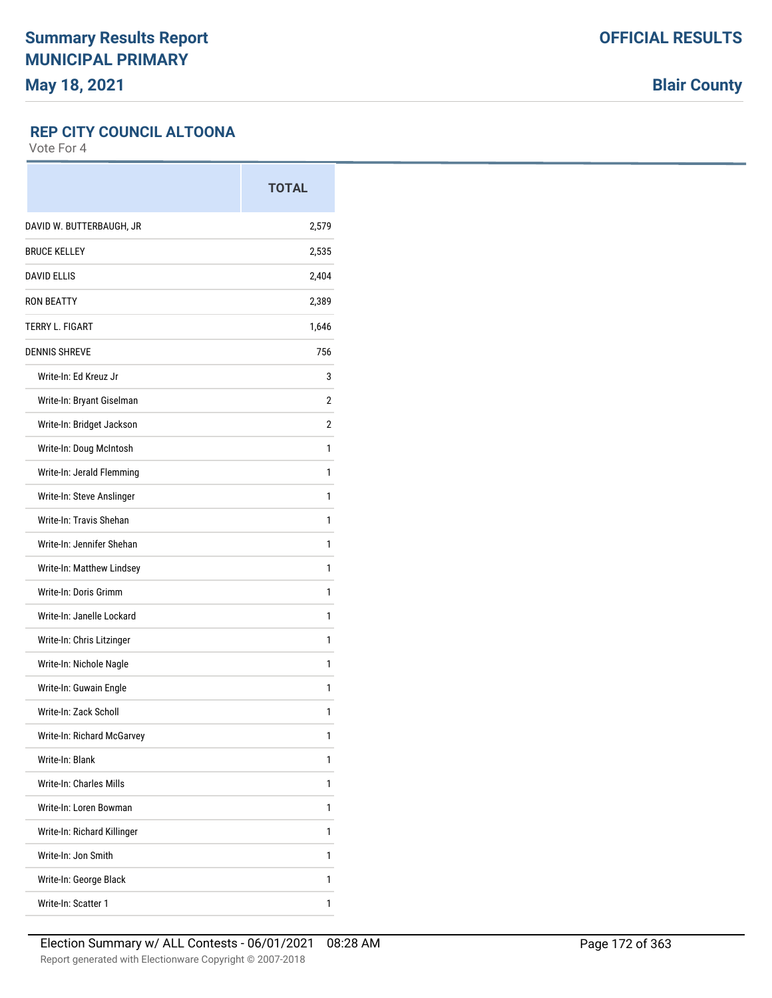**Blair County**

### **REP CITY COUNCIL ALTOONA**

|                                | <b>TOTAL</b> |
|--------------------------------|--------------|
| DAVID W. BUTTERBAUGH, JR       | 2,579        |
| <b>BRUCE KELLEY</b>            | 2,535        |
| <b>DAVID ELLIS</b>             | 2,404        |
| <b>RON BEATTY</b>              | 2,389        |
| <b>TERRY L. FIGART</b>         | 1,646        |
| <b>DENNIS SHREVE</b>           | 756          |
| Write-In: Ed Kreuz Jr          | 3            |
| Write-In: Bryant Giselman      | 2            |
| Write-In: Bridget Jackson      | 2            |
| Write-In: Doug McIntosh        | 1            |
| Write-In: Jerald Flemming      | 1            |
| Write-In: Steve Anslinger      | 1            |
| Write-In: Travis Shehan        | 1            |
| Write-In: Jennifer Shehan      | 1            |
| Write-In: Matthew Lindsey      | 1            |
| Write-In: Doris Grimm          | 1            |
| Write-In: Janelle Lockard      | 1            |
| Write-In: Chris Litzinger      | 1            |
| Write-In: Nichole Nagle        | 1            |
| Write-In: Guwain Engle         | 1            |
| Write-In: Zack Scholl          | 1            |
| Write-In: Richard McGarvey     | 1            |
| Write-In: Blank                | 1            |
| <b>Write-In: Charles Mills</b> | 1            |
| Write-In: Loren Bowman         | 1            |
| Write-In: Richard Killinger    | 1            |
| Write-In: Jon Smith            | 1            |
| Write-In: George Black         | 1            |
| Write-In: Scatter 1            | 1            |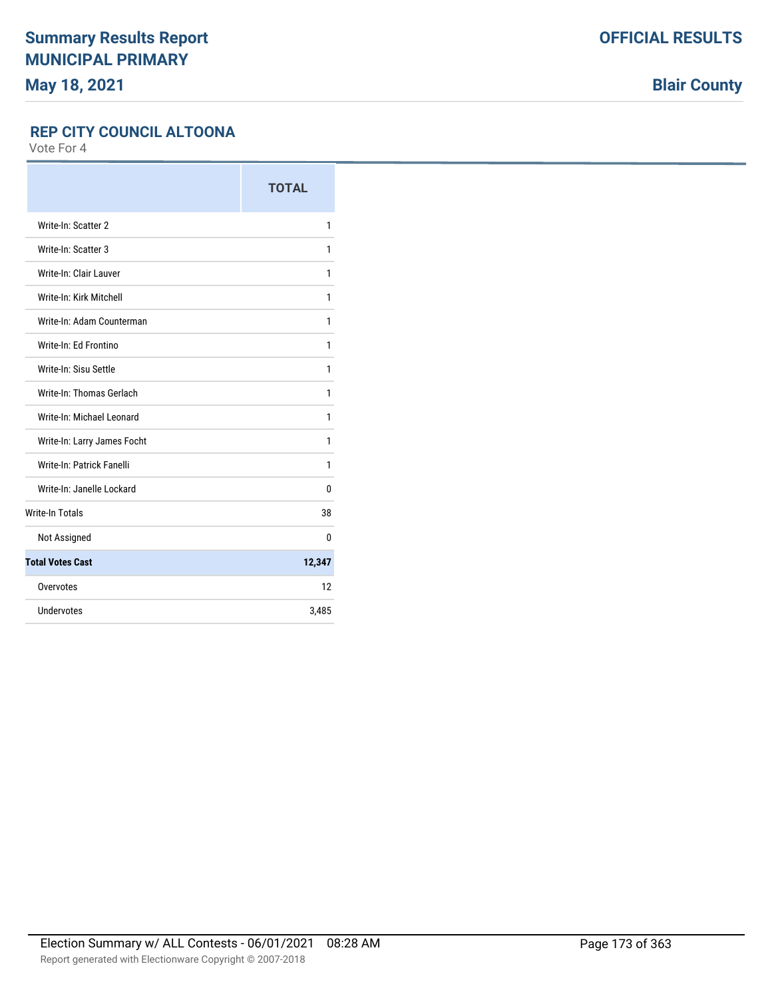**Blair County**

### **REP CITY COUNCIL ALTOONA**

|                             | <b>TOTAL</b> |
|-----------------------------|--------------|
| Write-In: Scatter 2         | 1            |
| Write-In: Scatter 3         | 1            |
| Write-In: Clair Lauver      | 1            |
| Write-In: Kirk Mitchell     | 1            |
| Write-In: Adam Counterman   | 1            |
| Write-In: Ed Frontino       | 1            |
| Write-In: Sisu Settle       | 1            |
| Write-In: Thomas Gerlach    | 1            |
| Write-In: Michael Leonard   | 1            |
| Write-In: Larry James Focht | 1            |
| Write-In: Patrick Fanelli   | 1            |
| Write-In: Janelle Lockard   | 0            |
| <b>Write-In Totals</b>      | 38           |
| Not Assigned                | 0            |
| <b>Total Votes Cast</b>     | 12,347       |
| Overvotes                   | 12           |
| Undervotes                  | 3,485        |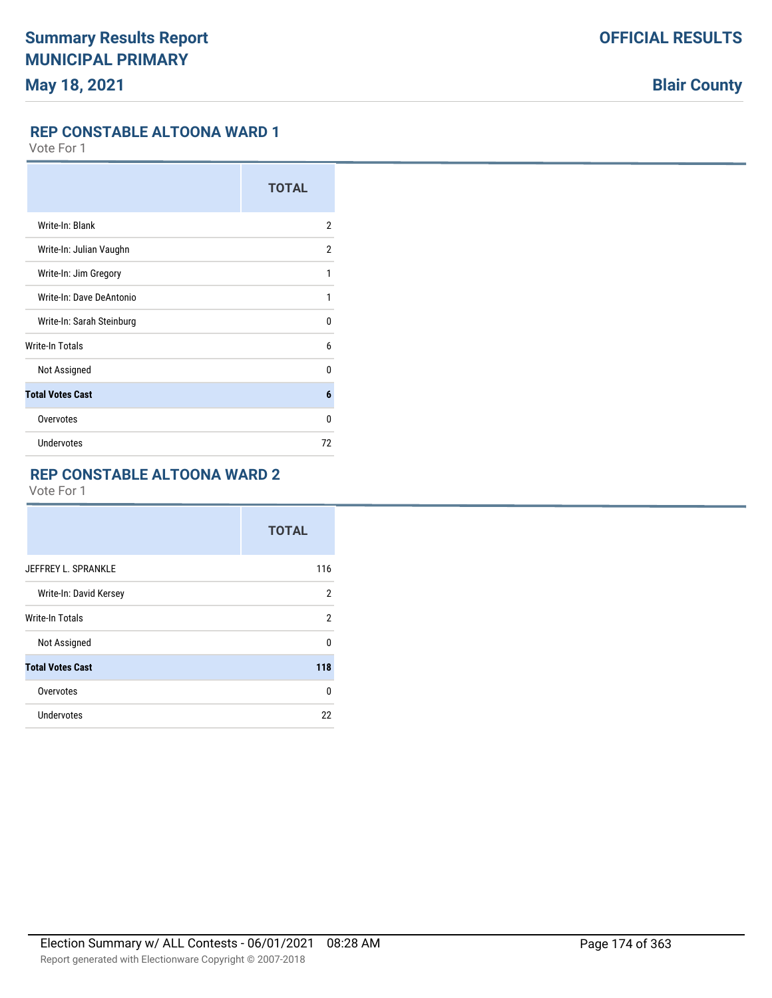#### **REP CONSTABLE ALTOONA WARD 1**

Vote For 1

|                           | <b>TOTAL</b> |
|---------------------------|--------------|
| Write-In: Blank           | 2            |
| Write-In: Julian Vaughn   | 2            |
| Write-In: Jim Gregory     | 1            |
| Write-In: Dave DeAntonio  | 1            |
| Write-In: Sarah Steinburg | 0            |
| Write-In Totals           | 6            |
| Not Assigned              | 0            |
| <b>Total Votes Cast</b>   | 6            |
| Overvotes                 | 0            |
| Undervotes                | 72           |

# **REP CONSTABLE ALTOONA WARD 2**

|                         | <b>TOTAL</b> |
|-------------------------|--------------|
| JEFFREY L. SPRANKLE     | 116          |
| Write-In: David Kersey  | 2            |
| <b>Write-In Totals</b>  | 2            |
| Not Assigned            | U            |
| <b>Total Votes Cast</b> | 118          |
| Overvotes               | 0            |
| Undervotes              | 22           |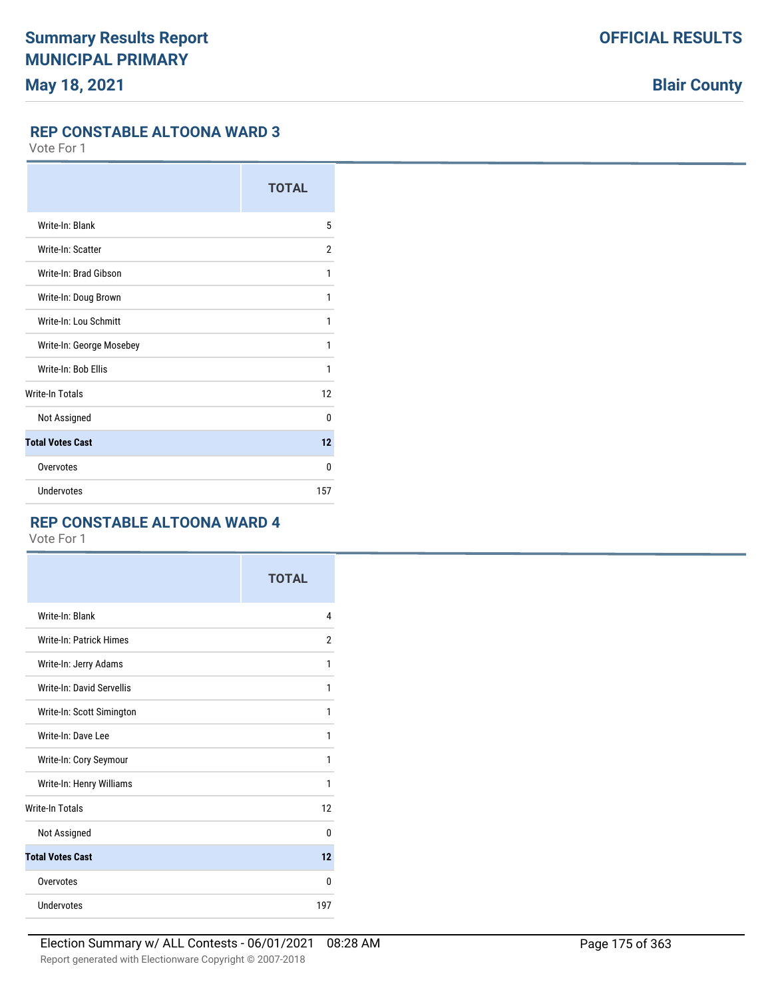#### **REP CONSTABLE ALTOONA WARD 3**

Vote For 1

|                          | <b>TOTAL</b> |
|--------------------------|--------------|
| Write-In: Blank          | 5            |
| Write-In: Scatter        | 2            |
| Write-In: Brad Gibson    | 1            |
| Write-In: Doug Brown     | 1            |
| Write-In: Lou Schmitt    | 1            |
| Write-In: George Mosebey | 1            |
| Write-In: Bob Ellis      | 1            |
| <b>Write-In Totals</b>   | 12           |
| Not Assigned             | $\Omega$     |
| <b>Total Votes Cast</b>  | 12           |
| Overvotes                | 0            |
| Undervotes               | 157          |

# **REP CONSTABLE ALTOONA WARD 4**

|                                | <b>TOTAL</b>   |
|--------------------------------|----------------|
| Write-In: Blank                | 4              |
| <b>Write-In: Patrick Himes</b> | $\overline{2}$ |
| Write-In: Jerry Adams          | 1              |
| Write-In: David Servellis      | 1              |
| Write-In: Scott Simington      | 1              |
| Write-In: Dave Lee             | 1              |
| Write-In: Cory Seymour         | 1              |
| Write-In: Henry Williams       | 1              |
| <b>Write-In Totals</b>         | 12             |
| Not Assigned                   | $\mathbf{0}$   |
| <b>Total Votes Cast</b>        | 12             |
| Overvotes                      | 0              |
| Undervotes                     | 197            |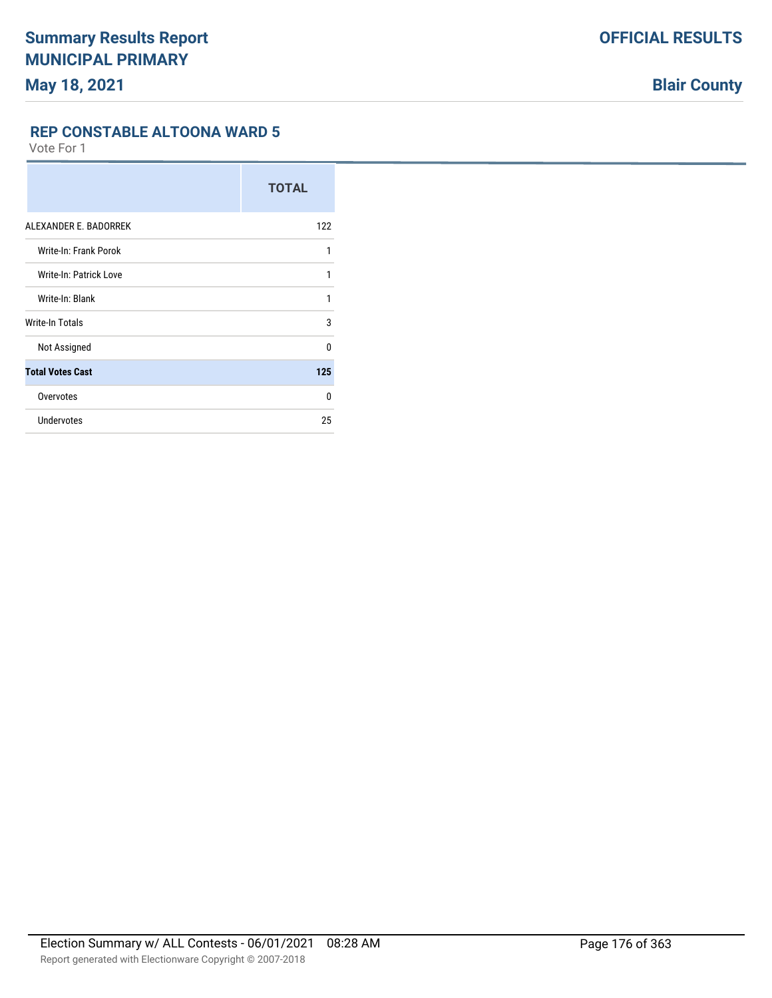**REP CONSTABLE ALTOONA WARD 5**

|                               | <b>TOTAL</b> |
|-------------------------------|--------------|
| ALEXANDER E. BADORREK         | 122          |
| Write-In: Frank Porok         | 1            |
| <b>Write-In: Patrick Love</b> | 1            |
| Write-In: Blank               | 1            |
| Write-In Totals               | 3            |
| Not Assigned                  | $\Omega$     |
| <b>Total Votes Cast</b>       | 125          |
| Overvotes                     | $\Omega$     |
| <b>Undervotes</b>             | 25           |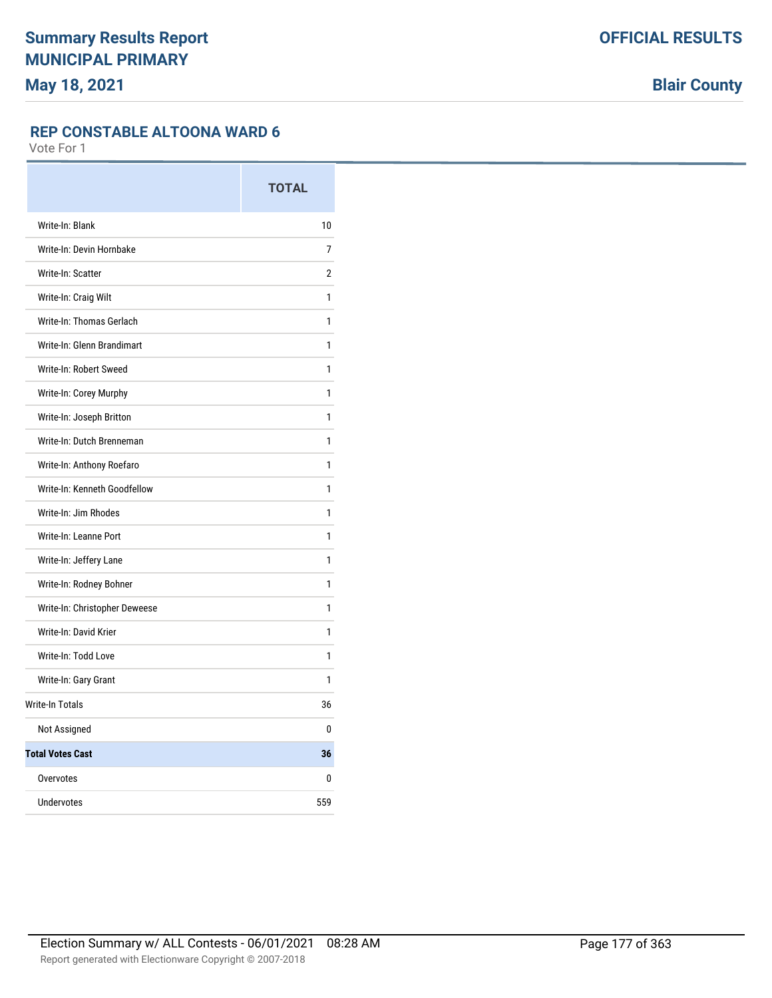#### **REP CONSTABLE ALTOONA WARD 6**

|                               | <b>TOTAL</b>   |
|-------------------------------|----------------|
| Write-In: Blank               | 10             |
| Write-In: Devin Hornbake      | 7              |
| Write-In: Scatter             | $\overline{2}$ |
| Write-In: Craig Wilt          | 1              |
| Write-In: Thomas Gerlach      | 1              |
| Write-In: Glenn Brandimart    | 1              |
| Write-In: Robert Sweed        | 1              |
| Write-In: Corey Murphy        | 1              |
| Write-In: Joseph Britton      | 1              |
| Write-In: Dutch Brenneman     | 1              |
| Write-In: Anthony Roefaro     | 1              |
| Write-In: Kenneth Goodfellow  | 1              |
| Write-In: Jim Rhodes          | 1              |
| Write-In: Leanne Port         | 1              |
| Write-In: Jeffery Lane        | 1              |
| Write-In: Rodney Bohner       | 1              |
| Write-In: Christopher Deweese | 1              |
| Write-In: David Krier         | 1              |
| Write-In: Todd Love           | 1              |
| Write-In: Gary Grant          | 1              |
| <b>Write-In Totals</b>        | 36             |
| Not Assigned                  | 0              |
| <b>Total Votes Cast</b>       | 36             |
| Overvotes                     | 0              |
| <b>Undervotes</b>             | 559            |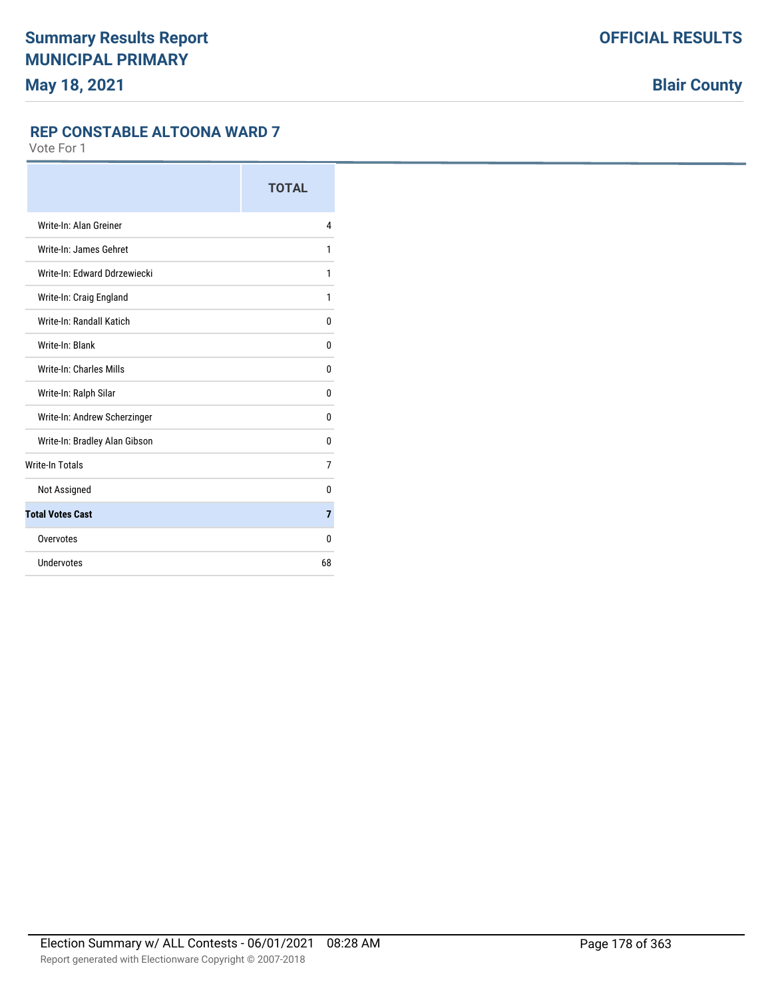#### **REP CONSTABLE ALTOONA WARD 7**

|                               | <b>TOTAL</b>   |
|-------------------------------|----------------|
| Write-In: Alan Greiner        | 4              |
| Write-In: James Gehret        | 1              |
| Write-In: Edward Ddrzewiecki  | 1              |
| Write-In: Craig England       | 1              |
| Write-In: Randall Katich      | 0              |
| Write-In: Blank               | 0              |
| Write-In: Charles Mills       | 0              |
| Write-In: Ralph Silar         | 0              |
| Write-In: Andrew Scherzinger  | 0              |
| Write-In: Bradley Alan Gibson | 0              |
| <b>Write-In Totals</b>        | 7              |
| Not Assigned                  | 0              |
| <b>Total Votes Cast</b>       | $\overline{7}$ |
| Overvotes                     | 0              |
| Undervotes                    | 68             |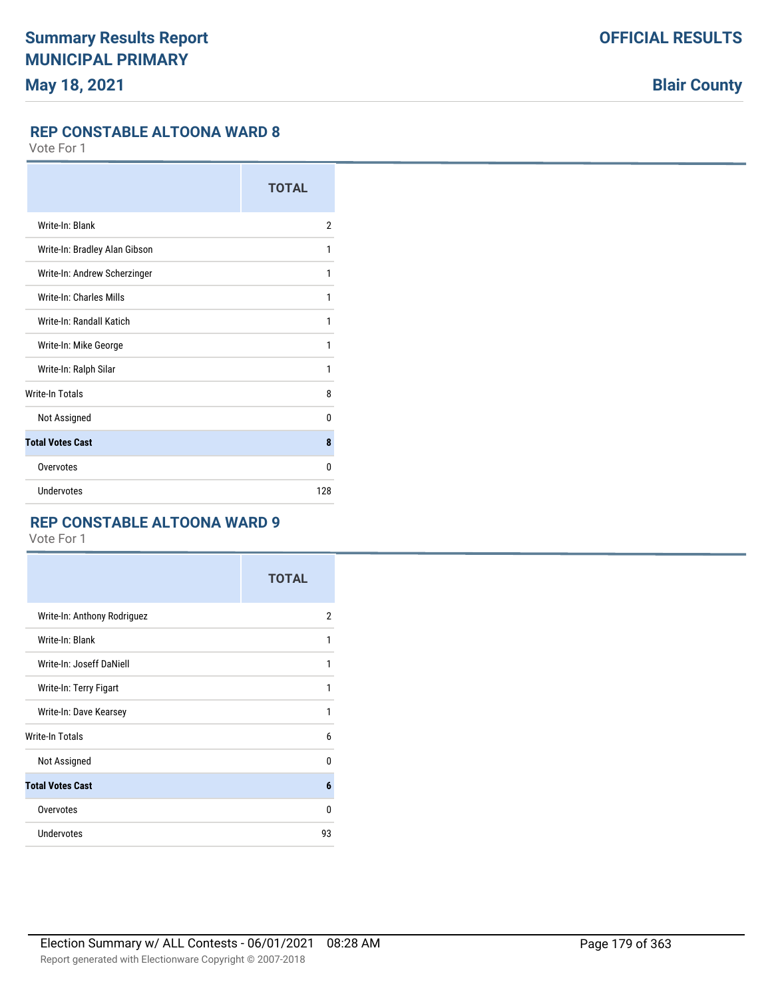### **REP CONSTABLE ALTOONA WARD 8**

Vote For 1

|                               | <b>TOTAL</b>   |
|-------------------------------|----------------|
| Write-In: Blank               | $\overline{2}$ |
| Write-In: Bradley Alan Gibson | 1              |
| Write-In: Andrew Scherzinger  | 1              |
| Write-In: Charles Mills       | 1              |
| Write-In: Randall Katich      | 1              |
| Write-In: Mike George         | 1              |
| Write-In: Ralph Silar         | 1              |
| <b>Write-In Totals</b>        | 8              |
| Not Assigned                  | 0              |
| <b>Total Votes Cast</b>       | 8              |
| Overvotes                     | $\Omega$       |
| Undervotes                    | 128            |

# **REP CONSTABLE ALTOONA WARD 9**

|                             | <b>TOTAL</b> |
|-----------------------------|--------------|
| Write-In: Anthony Rodriguez | 2            |
| Write-In: Blank             | 1            |
| Write-In: Joseff DaNiell    | 1            |
| Write-In: Terry Figart      | 1            |
| Write-In: Dave Kearsey      | 1            |
| Write-In Totals             | 6            |
| Not Assigned                | 0            |
| <b>Total Votes Cast</b>     | 6            |
| Overvotes                   | 0            |
| <b>Undervotes</b>           | 93           |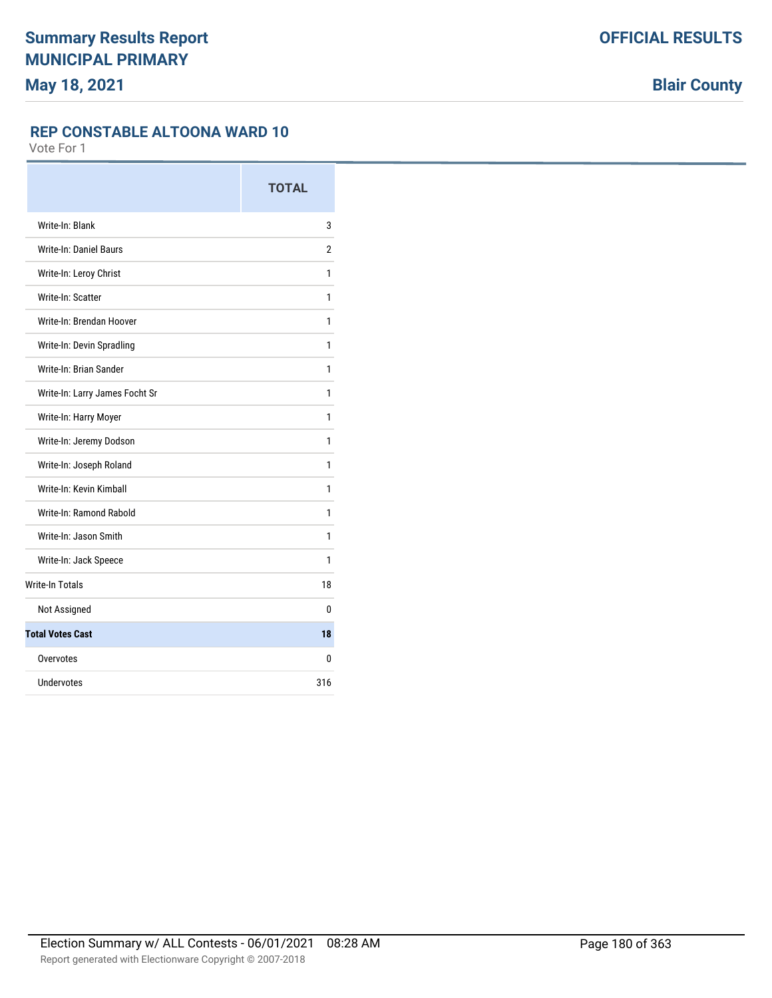#### **REP CONSTABLE ALTOONA WARD 10**

|                                | <b>TOTAL</b> |
|--------------------------------|--------------|
| Write-In: Blank                | 3            |
| <b>Write-In: Daniel Baurs</b>  | 2            |
| Write-In: Leroy Christ         | 1            |
| Write-In: Scatter              | 1            |
| Write-In: Brendan Hoover       | 1            |
| Write-In: Devin Spradling      | 1            |
| Write-In: Brian Sander         | 1            |
| Write-In: Larry James Focht Sr | 1            |
| Write-In: Harry Moyer          | 1            |
| Write-In: Jeremy Dodson        | 1            |
| Write-In: Joseph Roland        | 1            |
| Write-In: Kevin Kimball        | 1            |
| Write-In: Ramond Rabold        | 1            |
| Write-In: Jason Smith          | 1            |
| Write-In: Jack Speece          | 1            |
| <b>Write-In Totals</b>         | 18           |
| Not Assigned                   | 0            |
| <b>Total Votes Cast</b>        | 18           |
| Overvotes                      | 0            |
| Undervotes                     | 316          |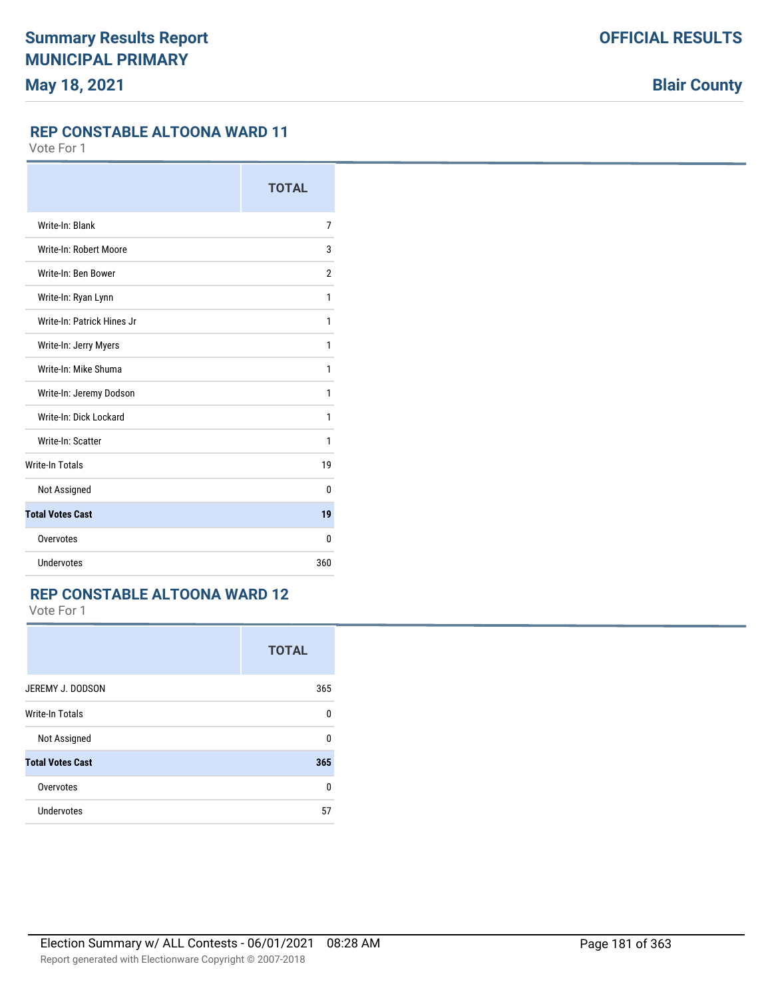## **REP CONSTABLE ALTOONA WARD 11**

Vote For 1

|                            | <b>TOTAL</b>   |
|----------------------------|----------------|
| Write-In: Blank            | 7              |
| Write-In: Robert Moore     | 3              |
| Write-In: Ben Bower        | $\overline{2}$ |
| Write-In: Ryan Lynn        | 1              |
| Write-In: Patrick Hines Jr | 1              |
| Write-In: Jerry Myers      | 1              |
| Write-In: Mike Shuma       | 1              |
| Write-In: Jeremy Dodson    | 1              |
| Write-In: Dick Lockard     | 1              |
| Write-In: Scatter          | 1              |
| <b>Write-In Totals</b>     | 19             |
| Not Assigned               | $\mathbf{0}$   |
| <b>Total Votes Cast</b>    | 19             |
| Overvotes                  | 0              |
| Undervotes                 | 360            |

### **REP CONSTABLE ALTOONA WARD 12**

|                         | <b>TOTAL</b> |
|-------------------------|--------------|
| JEREMY J. DODSON        | 365          |
| <b>Write-In Totals</b>  | $\Omega$     |
| Not Assigned            | $\Omega$     |
| <b>Total Votes Cast</b> | 365          |
| Overvotes               | 0            |
| Undervotes              | 57           |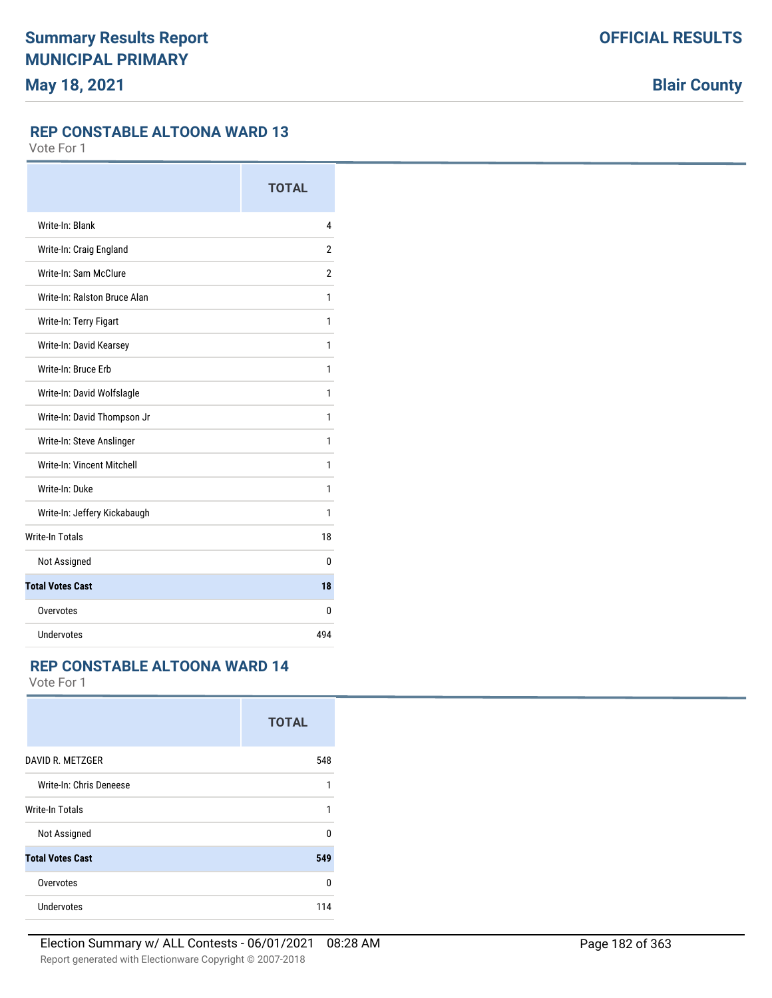## **REP CONSTABLE ALTOONA WARD 13**

Vote For 1

|                              | <b>TOTAL</b>   |
|------------------------------|----------------|
| Write-In: Blank              | 4              |
| Write-In: Craig England      | $\overline{2}$ |
| Write-In: Sam McClure        | $\overline{2}$ |
| Write-In: Ralston Bruce Alan | 1              |
| Write-In: Terry Figart       | 1              |
| Write-In: David Kearsey      | 1              |
| Write-In: Bruce Erb          | 1              |
| Write-In: David Wolfslagle   | 1              |
| Write-In: David Thompson Jr  | 1              |
| Write-In: Steve Anslinger    | 1              |
| Write-In: Vincent Mitchell   | 1              |
| Write-In: Duke               | 1              |
| Write-In: Jeffery Kickabaugh | 1              |
| <b>Write-In Totals</b>       | 18             |
| Not Assigned                 | 0              |
| <b>Total Votes Cast</b>      | 18             |
| Overvotes                    | 0              |
| Undervotes                   | 494            |

### **REP CONSTABLE ALTOONA WARD 14**

|                         | <b>TOTAL</b> |
|-------------------------|--------------|
| DAVID R. METZGER        | 548          |
| Write-In: Chris Deneese | 1            |
| <b>Write-In Totals</b>  | 1            |
| Not Assigned            | $\Omega$     |
| <b>Total Votes Cast</b> | 549          |
| Overvotes               | 0            |
| Undervotes              | 114          |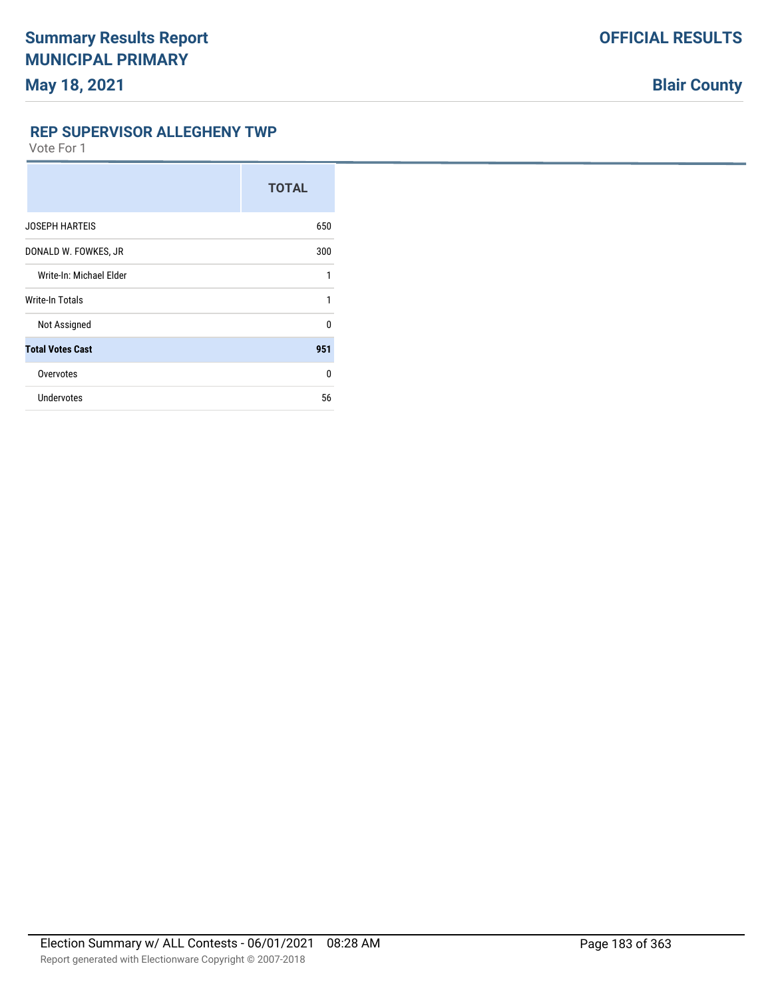**REP SUPERVISOR ALLEGHENY TWP**

|                         | <b>TOTAL</b> |
|-------------------------|--------------|
| <b>JOSEPH HARTEIS</b>   | 650          |
| DONALD W. FOWKES, JR    | 300          |
| Write-In: Michael Elder | 1            |
| Write-In Totals         | 1            |
| Not Assigned            | $\Omega$     |
| <b>Total Votes Cast</b> | 951          |
| Overvotes               | $\Omega$     |
| Undervotes              | 56           |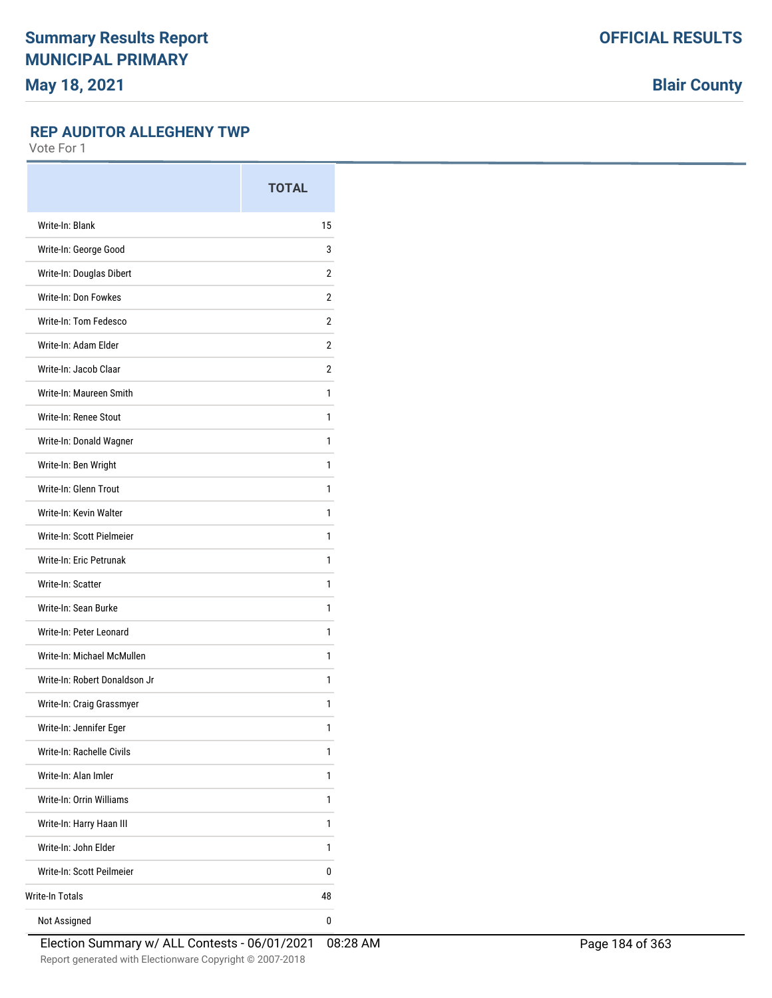**Blair County**

### **REP AUDITOR ALLEGHENY TWP**

|                               | <b>TOTAL</b>   |
|-------------------------------|----------------|
| Write-In: Blank               | 15             |
| Write-In: George Good         | 3              |
| Write-In: Douglas Dibert      | 2              |
| Write-In: Don Fowkes          | $\overline{2}$ |
| Write-In: Tom Fedesco         | 2              |
| Write-In: Adam Elder          | 2              |
| Write-In: Jacob Claar         | $\overline{2}$ |
| Write-In: Maureen Smith       | 1              |
| Write-In: Renee Stout         | 1              |
| Write-In: Donald Wagner       | 1              |
| Write-In: Ben Wright          | 1              |
| Write-In: Glenn Trout         | 1              |
| Write-In: Kevin Walter        | 1              |
| Write-In: Scott Pielmeier     | 1              |
| Write-In: Eric Petrunak       | 1              |
| Write-In: Scatter             | 1              |
| Write-In: Sean Burke          | 1              |
| Write-In: Peter Leonard       | 1              |
| Write-In: Michael McMullen    | 1              |
| Write-In: Robert Donaldson Jr | 1              |
| Write-In: Craig Grassmyer     | 1              |
| Write-In: Jennifer Eger       | 1              |
| Write-In: Rachelle Civils     | 1              |
| Write-In: Alan Imler          | 1              |
| Write-In: Orrin Williams      | 1              |
| Write-In: Harry Haan III      | 1              |
| Write-In: John Elder          | 1              |
| Write-In: Scott Peilmeier     | 0              |
| <b>Write-In Totals</b>        | 48             |
| Not Assigned                  | 0              |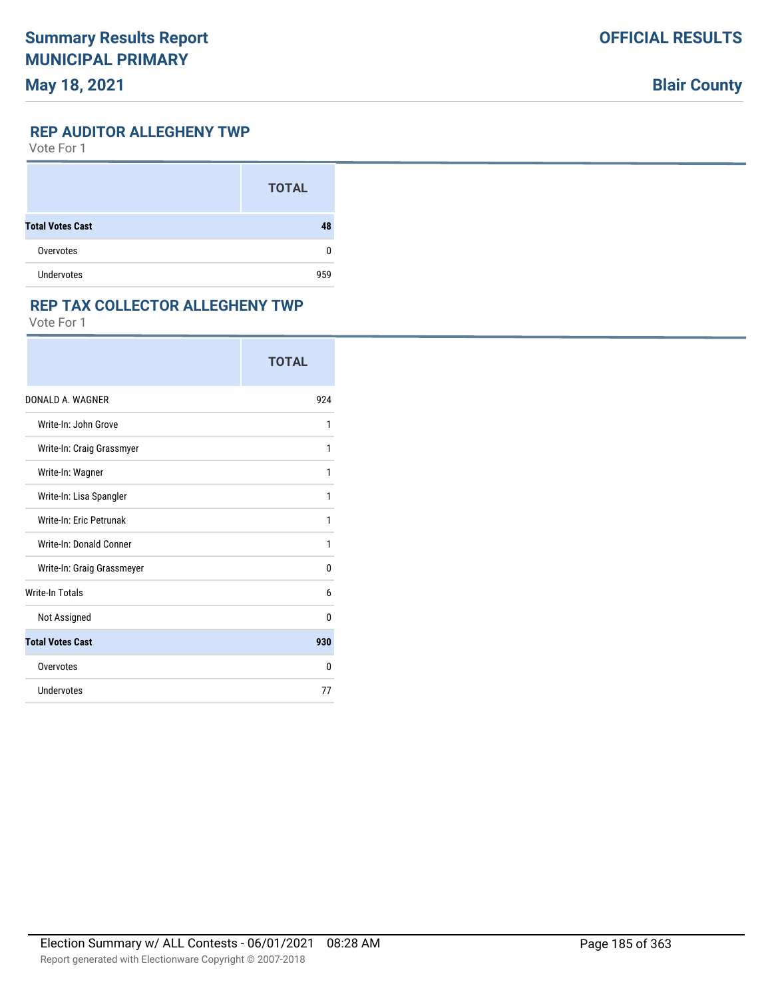# **Blair County**

#### **REP AUDITOR ALLEGHENY TWP**

Vote For 1

|                         | <b>TOTAL</b> |
|-------------------------|--------------|
| <b>Total Votes Cast</b> | 48           |
| Overvotes               | 0            |
| <b>Undervotes</b>       | 959          |

### **REP TAX COLLECTOR ALLEGHENY TWP**

|                            | <b>TOTAL</b> |
|----------------------------|--------------|
| DONALD A. WAGNER           | 924          |
| Write-In: John Grove       | 1            |
| Write-In: Craig Grassmyer  | 1            |
| Write-In: Wagner           | 1            |
| Write-In: Lisa Spangler    | 1            |
| Write-In: Eric Petrunak    | 1            |
| Write-In: Donald Conner    | 1            |
| Write-In: Graig Grassmeyer | 0            |
| <b>Write-In Totals</b>     | 6            |
| Not Assigned               | 0            |
| <b>Total Votes Cast</b>    | 930          |
| Overvotes                  | 0            |
| Undervotes                 | 77           |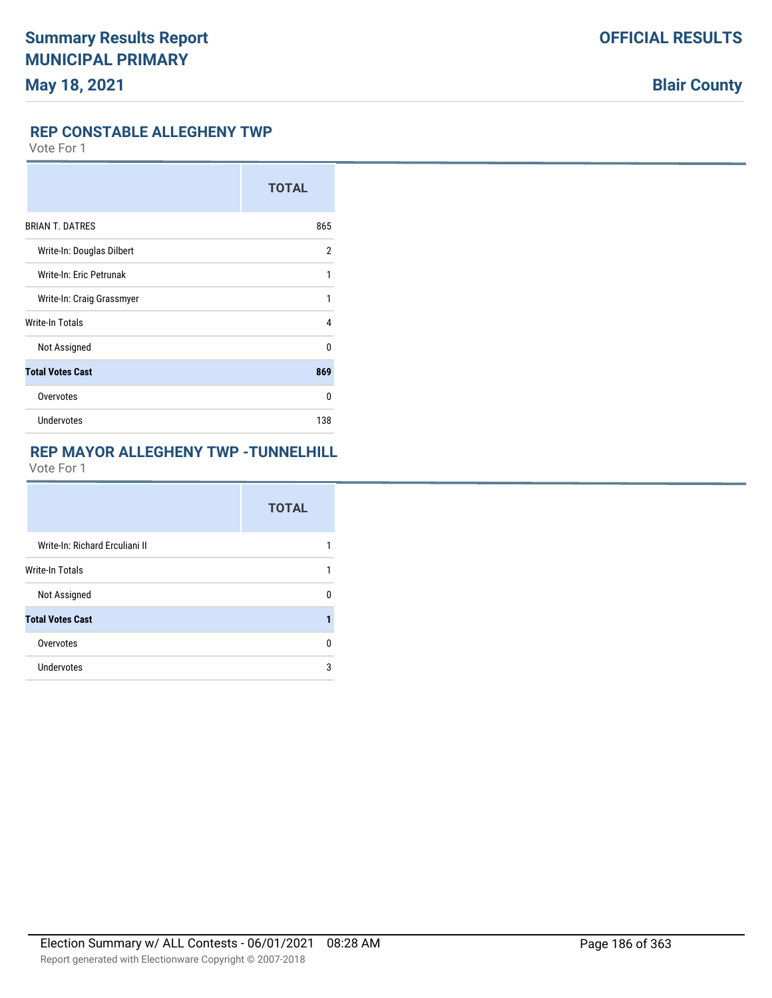### **REP CONSTABLE ALLEGHENY TWP**

Vote For 1

|                           | <b>TOTAL</b> |
|---------------------------|--------------|
| <b>BRIAN T. DATRES</b>    | 865          |
| Write-In: Douglas Dilbert | 2            |
| Write-In: Eric Petrunak   | 1            |
| Write-In: Craig Grassmyer | 1            |
| Write-In Totals           | 4            |
| Not Assigned              | 0            |
| <b>Total Votes Cast</b>   | 869          |
| Overvotes                 | 0            |
| Undervotes                | 138          |

# **REP MAYOR ALLEGHENY TWP -TUNNELHILL**

|                                | <b>TOTAL</b> |
|--------------------------------|--------------|
| Write-In: Richard Erculiani II |              |
| <b>Write-In Totals</b>         |              |
| Not Assigned                   | n            |
| <b>Total Votes Cast</b>        |              |
| Overvotes                      | U            |
| Undervotes                     | 3            |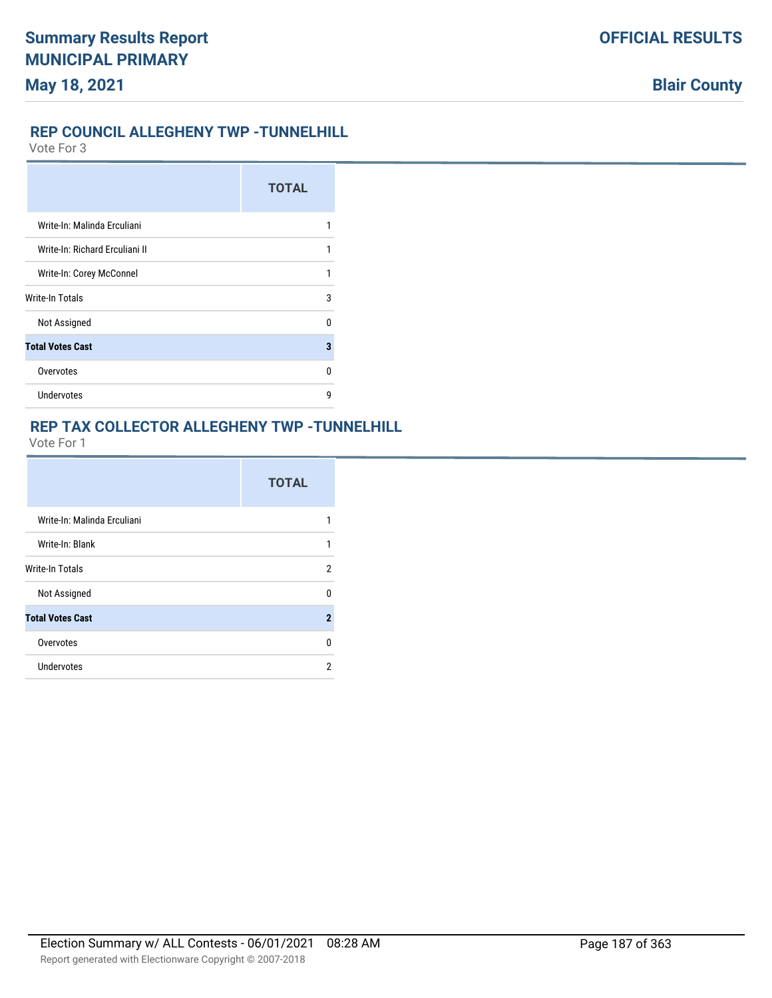## **REP COUNCIL ALLEGHENY TWP -TUNNELHILL**

Vote For 3

|                                | <b>TOTAL</b> |
|--------------------------------|--------------|
| Write-In: Malinda Erculiani    |              |
| Write-In: Richard Erculiani II | 1            |
| Write-In: Corey McConnel       |              |
| <b>Write-In Totals</b>         | 3            |
| Not Assigned                   | n            |
| <b>Total Votes Cast</b>        | 3            |
| Overvotes                      | n            |
| Undervotes                     | q            |

## **REP TAX COLLECTOR ALLEGHENY TWP -TUNNELHILL**

|                             | <b>TOTAL</b> |
|-----------------------------|--------------|
| Write-In: Malinda Erculiani | 1            |
| Write-In: Blank             | 1            |
| <b>Write-In Totals</b>      | 2            |
| Not Assigned                | U            |
| <b>Total Votes Cast</b>     | $\mathbf{2}$ |
| Overvotes                   | 0            |
| Undervotes                  | 2            |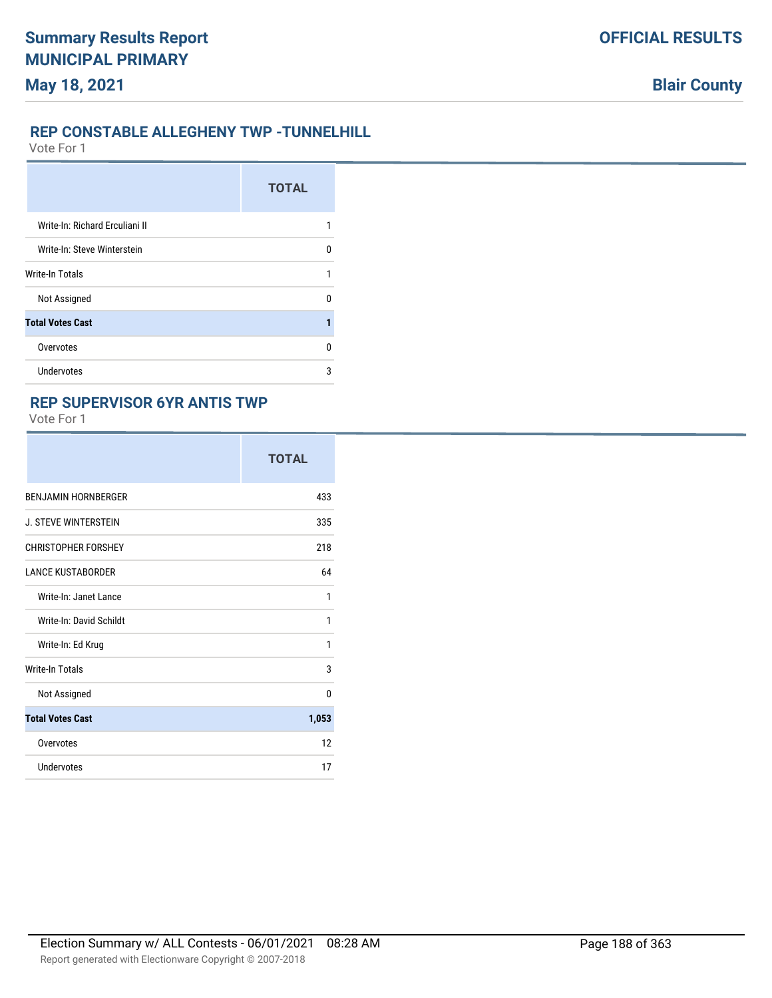### **REP CONSTABLE ALLEGHENY TWP -TUNNELHILL**

Vote For 1

|                                | <b>TOTAL</b> |
|--------------------------------|--------------|
| Write-In: Richard Erculiani II |              |
| Write-In: Steve Winterstein    | U            |
| Write-In Totals                | 1            |
| Not Assigned                   | U            |
| <b>Total Votes Cast</b>        |              |
| Overvotes                      | n            |
| <b>Undervotes</b>              | 3            |

## **REP SUPERVISOR 6YR ANTIS TWP**

|                             | <b>TOTAL</b> |
|-----------------------------|--------------|
| <b>BENJAMIN HORNBERGER</b>  | 433          |
| <b>J. STEVE WINTERSTEIN</b> | 335          |
| <b>CHRISTOPHER FORSHEY</b>  | 218          |
| <b>LANCE KUSTABORDER</b>    | 64           |
| Write-In: Janet Lance       | 1            |
| Write-In: David Schildt     | 1            |
| Write-In: Ed Krug           | 1            |
| <b>Write-In Totals</b>      | 3            |
| Not Assigned                | $\Omega$     |
| <b>Total Votes Cast</b>     | 1,053        |
| Overvotes                   | 12           |
| <b>Undervotes</b>           | 17           |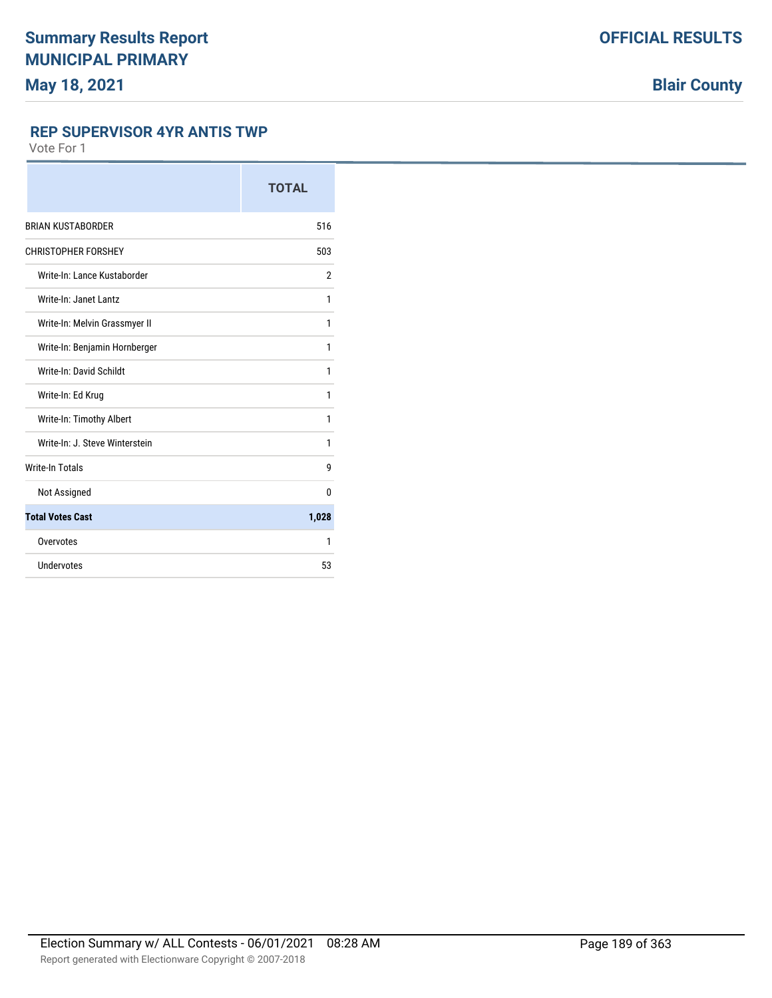### **REP SUPERVISOR 4YR ANTIS TWP**

|                                | <b>TOTAL</b> |
|--------------------------------|--------------|
| <b>BRIAN KUSTABORDER</b>       | 516          |
| <b>CHRISTOPHER FORSHEY</b>     | 503          |
| Write-In: Lance Kustaborder    | 2            |
| Write-In: Janet Lantz          | 1            |
| Write-In: Melvin Grassmyer II  | 1            |
| Write-In: Benjamin Hornberger  | 1            |
| Write-In: David Schildt        | 1            |
| Write-In: Ed Krug              | 1            |
| Write-In: Timothy Albert       | 1            |
| Write-In: J. Steve Winterstein | 1            |
| <b>Write-In Totals</b>         | 9            |
| Not Assigned                   | 0            |
| <b>Total Votes Cast</b>        | 1,028        |
| Overvotes                      | 1            |
| Undervotes                     | 53           |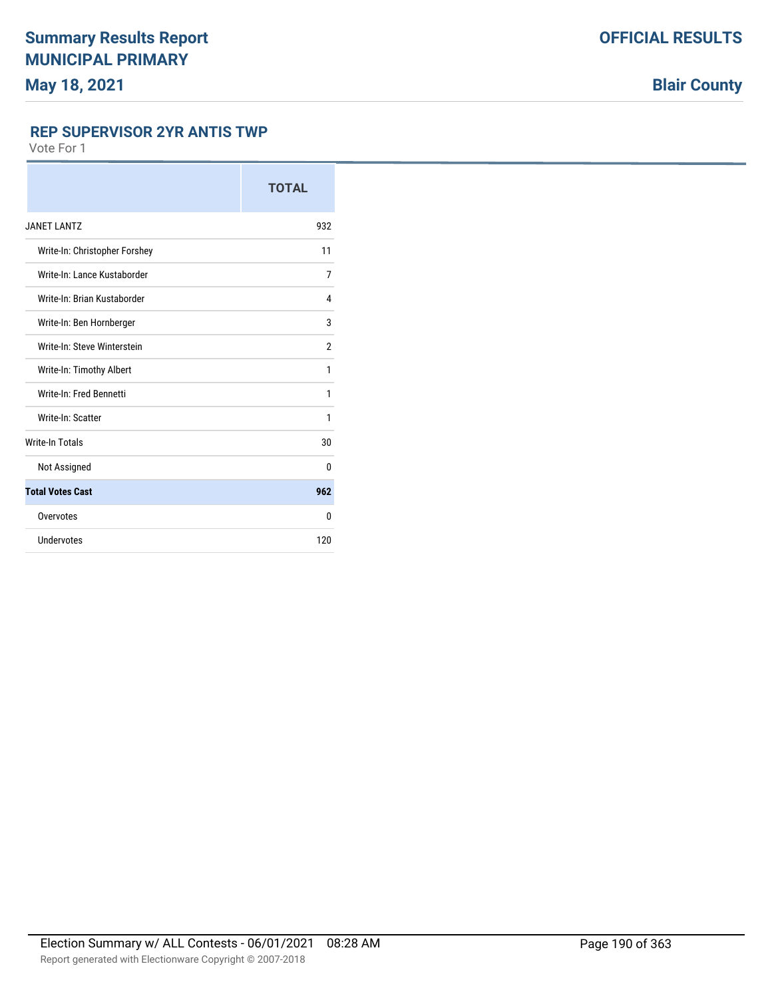### **REP SUPERVISOR 2YR ANTIS TWP**

|                               | <b>TOTAL</b>   |
|-------------------------------|----------------|
| <b>JANET LANTZ</b>            | 932            |
| Write-In: Christopher Forshey | 11             |
| Write-In: Lance Kustaborder   | 7              |
| Write-In: Brian Kustaborder   | 4              |
| Write-In: Ben Hornberger      | 3              |
| Write-In: Steve Winterstein   | $\overline{2}$ |
| Write-In: Timothy Albert      | 1              |
| Write-In: Fred Bennetti       | 1              |
| Write-In: Scatter             | 1              |
| <b>Write-In Totals</b>        | 30             |
| Not Assigned                  | 0              |
| <b>Total Votes Cast</b>       | 962            |
| Overvotes                     | 0              |
| Undervotes                    | 120            |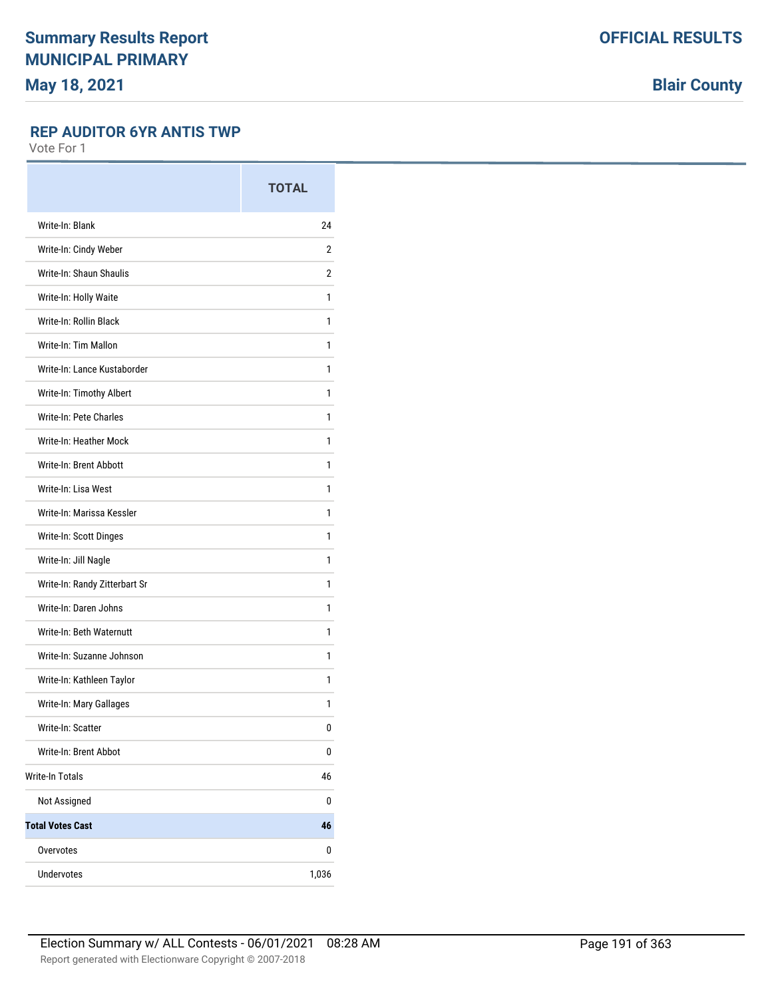**Blair County**

### **REP AUDITOR 6YR ANTIS TWP**

|                               | <b>TOTAL</b> |
|-------------------------------|--------------|
| Write-In: Blank               | 24           |
| Write-In: Cindy Weber         | 2            |
| Write-In: Shaun Shaulis       | 2            |
| Write-In: Holly Waite         | 1            |
| Write-In: Rollin Black        | 1            |
| Write-In: Tim Mallon          | 1            |
| Write-In: Lance Kustaborder   | 1            |
| Write-In: Timothy Albert      | 1            |
| Write-In: Pete Charles        | 1            |
| Write-In: Heather Mock        | 1            |
| Write-In: Brent Abbott        | 1            |
| Write-In: Lisa West           | 1            |
| Write-In: Marissa Kessler     | 1            |
| Write-In: Scott Dinges        | 1            |
| Write-In: Jill Nagle          | 1            |
| Write-In: Randy Zitterbart Sr | 1            |
| Write-In: Daren Johns         | 1            |
| Write-In: Beth Waternutt      | 1            |
| Write-In: Suzanne Johnson     | 1            |
| Write-In: Kathleen Taylor     | 1            |
| Write-In: Mary Gallages       | 1            |
| Write-In: Scatter             | 0            |
| Write-In: Brent Abbot         | 0            |
| <b>Write-In Totals</b>        | 46           |
| Not Assigned                  | 0            |
| <b>Total Votes Cast</b>       | 46           |
| Overvotes                     | 0            |
| Undervotes                    | 1,036        |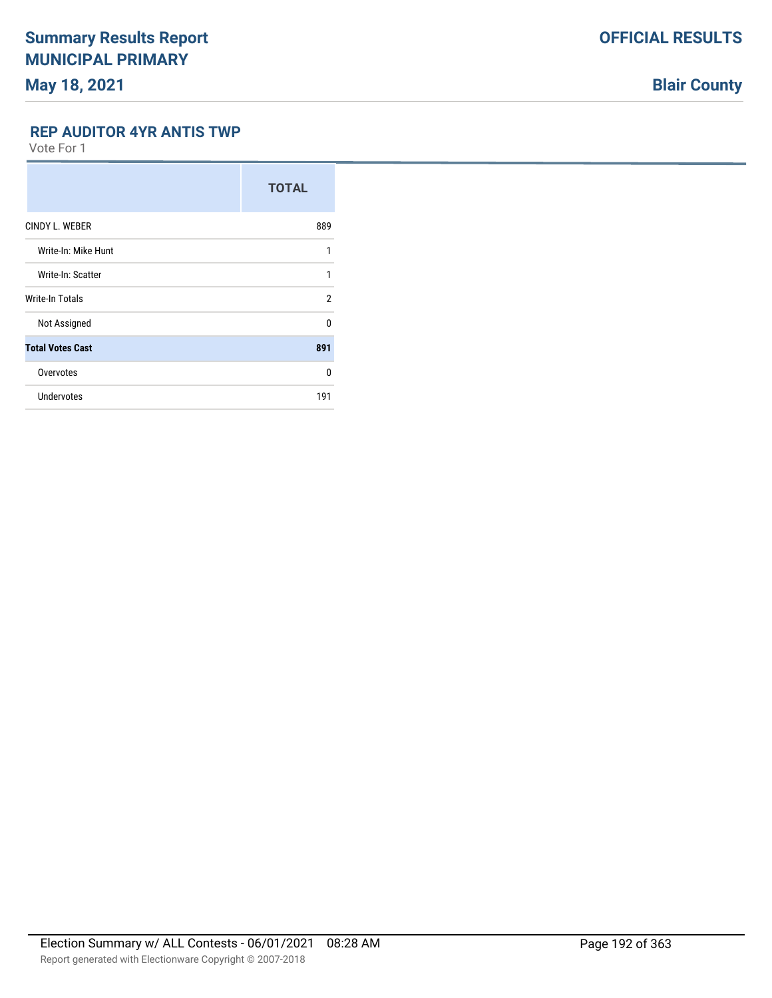**Blair County**

### **REP AUDITOR 4YR ANTIS TWP**

|                         | <b>TOTAL</b>   |
|-------------------------|----------------|
| CINDY L. WEBER          | 889            |
| Write-In: Mike Hunt     | 1              |
| Write-In: Scatter       | 1              |
| Write-In Totals         | $\overline{2}$ |
| Not Assigned            | <sup>0</sup>   |
| <b>Total Votes Cast</b> | 891            |
| Overvotes               | 0              |
| Undervotes              | 191            |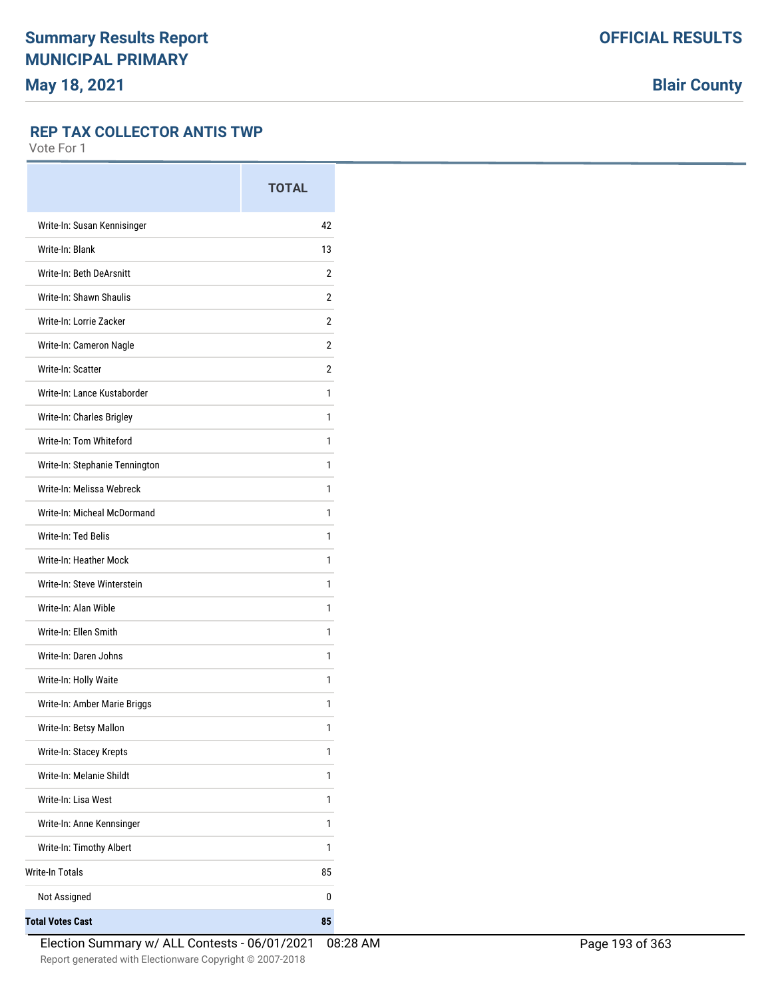#### **REP TAX COLLECTOR ANTIS TWP**

|                                | <b>TOTAL</b> |
|--------------------------------|--------------|
| Write-In: Susan Kennisinger    | 42           |
| Write-In: Blank                | 13           |
| Write-In: Beth DeArsnitt       | 2            |
| Write-In: Shawn Shaulis        | 2            |
| Write-In: Lorrie Zacker        | 2            |
| Write-In: Cameron Nagle        | 2            |
| Write-In: Scatter              | 2            |
| Write-In: Lance Kustaborder    | 1            |
| Write-In: Charles Brigley      | 1            |
| Write-In: Tom Whiteford        | 1            |
| Write-In: Stephanie Tennington | 1            |
| Write-In: Melissa Webreck      | 1            |
| Write-In: Micheal McDormand    | 1            |
| Write-In: Ted Belis            | 1            |
| Write-In: Heather Mock         | 1            |
| Write-In: Steve Winterstein    | 1            |
| Write-In: Alan Wible           | 1            |
| Write-In: Ellen Smith          | 1            |
| Write-In: Daren Johns          | 1            |
| Write-In: Holly Waite          | 1            |
| Write-In: Amber Marie Briggs   | 1            |
| Write-In: Betsy Mallon         | 1            |
| Write-In: Stacey Krepts        | 1            |
| Write-In: Melanie Shildt       | 1            |
| Write-In: Lisa West            | 1            |
| Write-In: Anne Kennsinger      | 1            |
| Write-In: Timothy Albert       | 1            |
| <b>Write-In Totals</b>         | 85           |
| Not Assigned                   | 0            |
| <b>Total Votes Cast</b>        | 85           |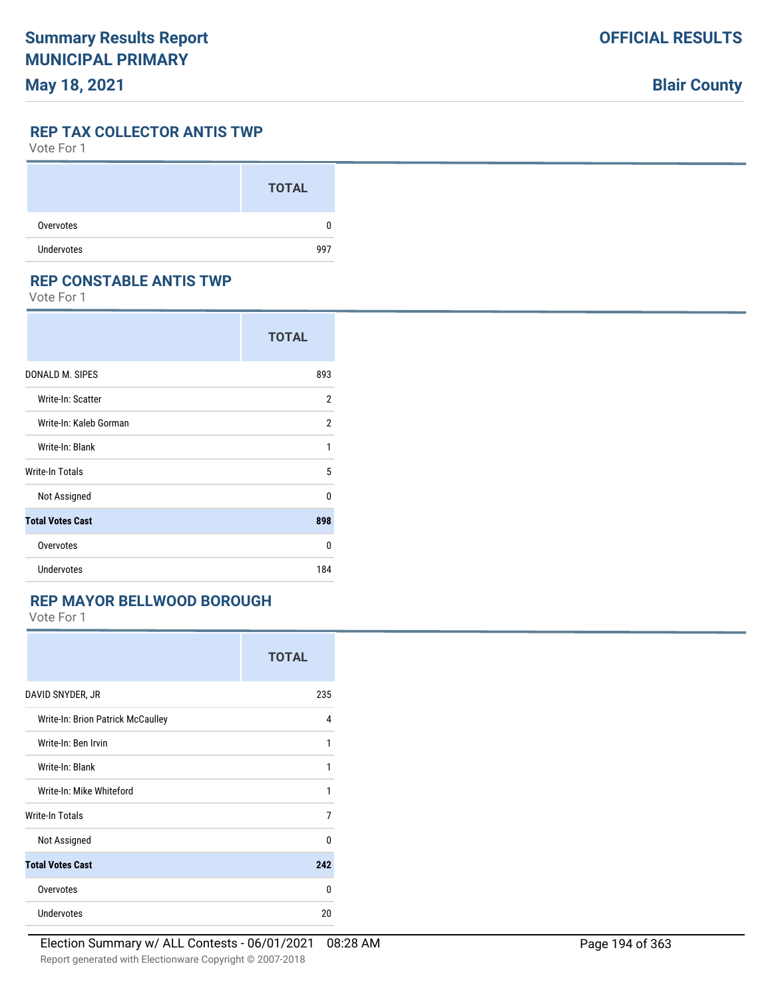## **Blair County**

#### **REP TAX COLLECTOR ANTIS TWP**

Vote For 1

|                   | <b>TOTAL</b> |
|-------------------|--------------|
| Overvotes         | 0            |
| <b>Undervotes</b> | 997          |

### **REP CONSTABLE ANTIS TWP**

Vote For 1

|                         | <b>TOTAL</b> |
|-------------------------|--------------|
| DONALD M. SIPES         | 893          |
| Write-In: Scatter       | 2            |
| Write-In: Kaleb Gorman  | 2            |
| Write-In: Blank         | 1            |
| Write-In Totals         | 5            |
| Not Assigned            | U            |
| <b>Total Votes Cast</b> | 898          |
| Overvotes               | U            |
| <b>Undervotes</b>       | 184          |

## **REP MAYOR BELLWOOD BOROUGH**

|                                   | <b>TOTAL</b> |
|-----------------------------------|--------------|
| DAVID SNYDER, JR                  | 235          |
| Write-In: Brion Patrick McCaulley | 4            |
| Write-In: Ben Irvin               | 1            |
| Write-In: Blank                   | 1            |
| Write-In: Mike Whiteford          | 1            |
| <b>Write-In Totals</b>            | 7            |
| Not Assigned                      | n            |
| <b>Total Votes Cast</b>           | 242          |
| Overvotes                         | U            |
| <b>Undervotes</b>                 | 20           |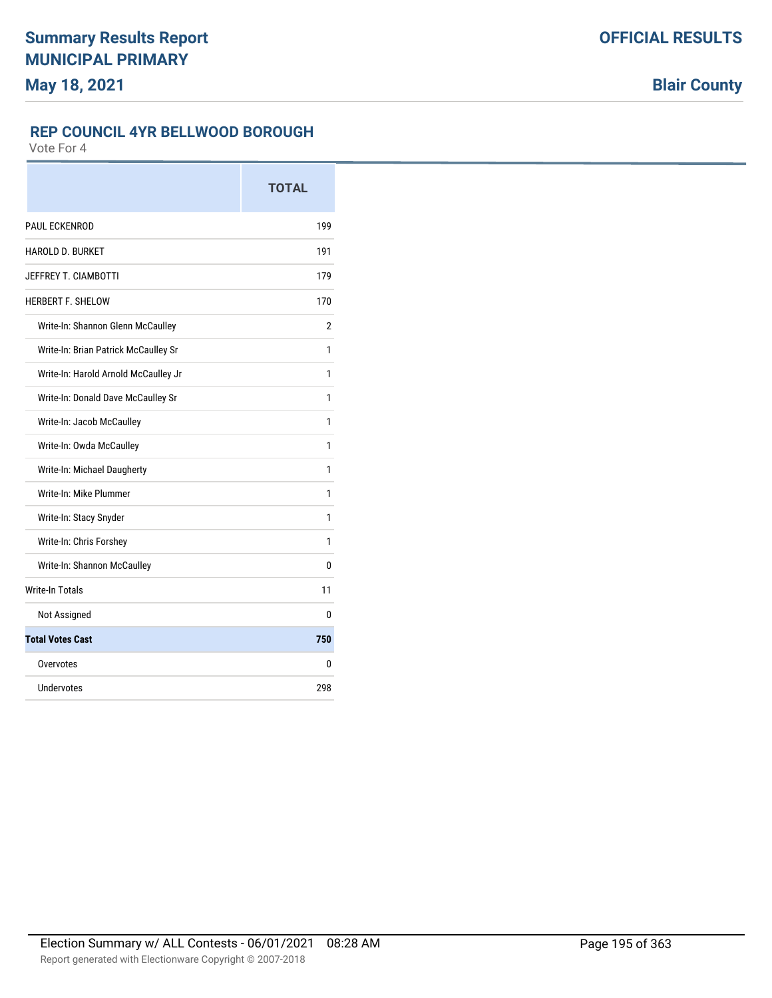## **REP COUNCIL 4YR BELLWOOD BOROUGH**

|                                      | <b>TOTAL</b> |
|--------------------------------------|--------------|
| <b>PAUL ECKENROD</b>                 | 199          |
| <b>HAROLD D. BURKET</b>              | 191          |
| JEFFREY T. CIAMBOTTI                 | 179          |
| <b>HERBERT F. SHELOW</b>             | 170          |
| Write-In: Shannon Glenn McCaulley    | 2            |
| Write-In: Brian Patrick McCaulley Sr | 1            |
| Write-In: Harold Arnold McCaulley Jr | 1            |
| Write-In: Donald Dave McCaulley Sr   | 1            |
| Write-In: Jacob McCaulley            | 1            |
| Write-In: Owda McCaulley             | 1            |
| Write-In: Michael Daugherty          | 1            |
| Write-In: Mike Plummer               | 1            |
| Write-In: Stacy Snyder               | 1            |
| Write-In: Chris Forshey              | 1            |
| Write-In: Shannon McCaulley          | 0            |
| <b>Write-In Totals</b>               | 11           |
| Not Assigned                         | 0            |
| <b>Total Votes Cast</b>              | 750          |
| Overvotes                            | 0            |
| Undervotes                           | 298          |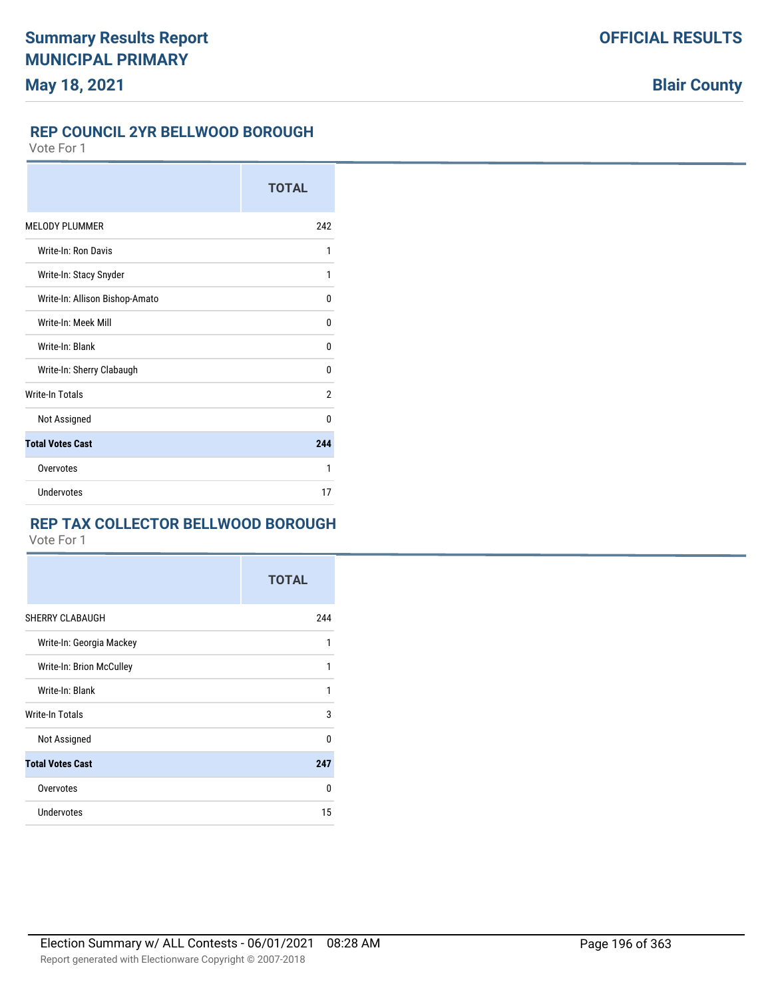## **REP COUNCIL 2YR BELLWOOD BOROUGH**

Vote For 1

|                                | <b>TOTAL</b> |
|--------------------------------|--------------|
| <b>MELODY PLUMMER</b>          | 242          |
| Write-In: Ron Davis            | 1            |
| Write-In: Stacy Snyder         | 1            |
| Write-In: Allison Bishop-Amato | U            |
| Write-In: Meek Mill            | 0            |
| Write-In: Blank                | U            |
| Write-In: Sherry Clabaugh      | U            |
| <b>Write-In Totals</b>         | 2            |
| Not Assigned                   | U            |
| <b>Total Votes Cast</b>        | 244          |
| Overvotes                      | 1            |
| Undervotes                     | 17           |

## **REP TAX COLLECTOR BELLWOOD BOROUGH**

|                          | <b>TOTAL</b> |
|--------------------------|--------------|
| SHERRY CLABAUGH          | 244          |
| Write-In: Georgia Mackey | 1            |
| Write-In: Brion McCulley | 1            |
| Write-In: Blank          | 1            |
| Write-In Totals          | 3            |
| Not Assigned             | 0            |
| <b>Total Votes Cast</b>  | 247          |
| Overvotes                | $\Omega$     |
| Undervotes               | 15           |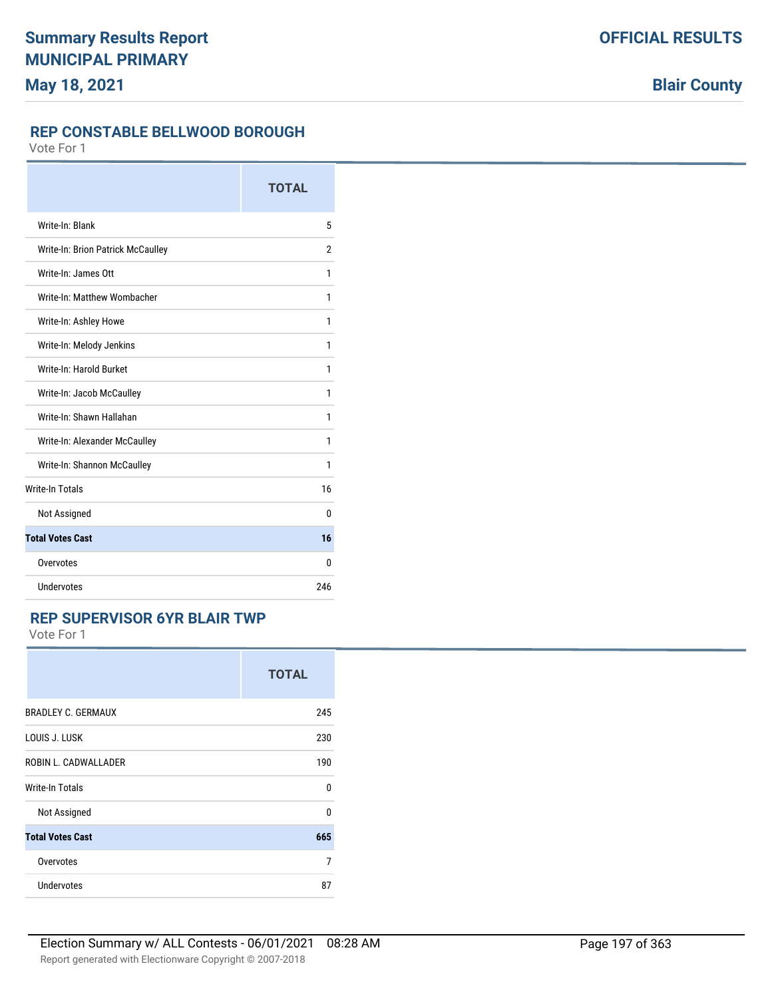### **REP CONSTABLE BELLWOOD BOROUGH**

Vote For 1

|                                   | <b>TOTAL</b>   |
|-----------------------------------|----------------|
| Write-In: Blank                   | 5              |
| Write-In: Brion Patrick McCaulley | $\overline{2}$ |
| Write-In: James Ott               | 1              |
| Write-In: Matthew Wombacher       | 1              |
| Write-In: Ashley Howe             | 1              |
| Write-In: Melody Jenkins          | 1              |
| Write-In: Harold Burket           | 1              |
| Write-In: Jacob McCaulley         | 1              |
| Write-In: Shawn Hallahan          | 1              |
| Write-In: Alexander McCaulley     | 1              |
| Write-In: Shannon McCaulley       | 1              |
| <b>Write-In Totals</b>            | 16             |
| Not Assigned                      | $\Omega$       |
| <b>Total Votes Cast</b>           | 16             |
| Overvotes                         | 0              |
| Undervotes                        | 246            |

## **REP SUPERVISOR 6YR BLAIR TWP**

|                           | <b>TOTAL</b> |
|---------------------------|--------------|
| <b>BRADLEY C. GERMAUX</b> | 245          |
| LOUIS J. LUSK             | 230          |
| ROBIN L. CADWALLADER      | 190          |
| <b>Write-In Totals</b>    | U            |
| Not Assigned              | $\Omega$     |
| <b>Total Votes Cast</b>   | 665          |
| Overvotes                 | 7            |
| Undervotes                | 87           |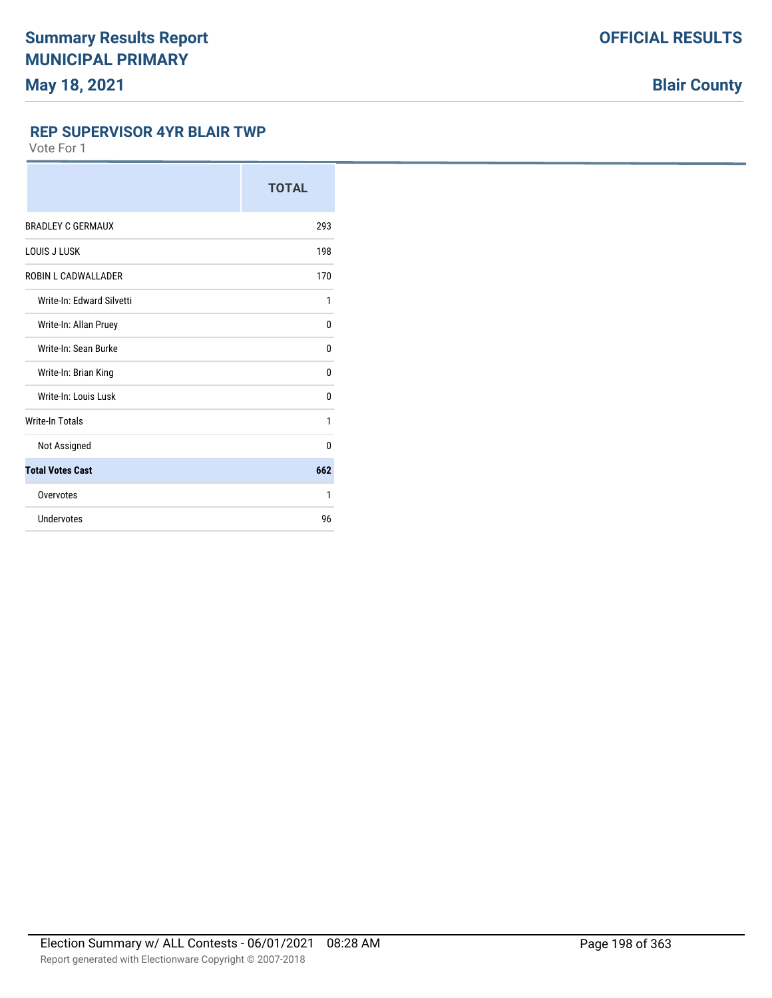#### **REP SUPERVISOR 4YR BLAIR TWP**

|                           | <b>TOTAL</b> |
|---------------------------|--------------|
| <b>BRADLEY C GERMAUX</b>  | 293          |
| LOUIS J LUSK              | 198          |
| ROBIN L CADWALLADER       | 170          |
| Write-In: Edward Silvetti | 1            |
| Write-In: Allan Pruey     | 0            |
| Write-In: Sean Burke      | $\Omega$     |
| Write-In: Brian King      | 0            |
| Write-In: Louis Lusk      | 0            |
| <b>Write-In Totals</b>    | 1            |
| Not Assigned              | $\Omega$     |
| <b>Total Votes Cast</b>   | 662          |
| Overvotes                 | 1            |
| Undervotes                | 96           |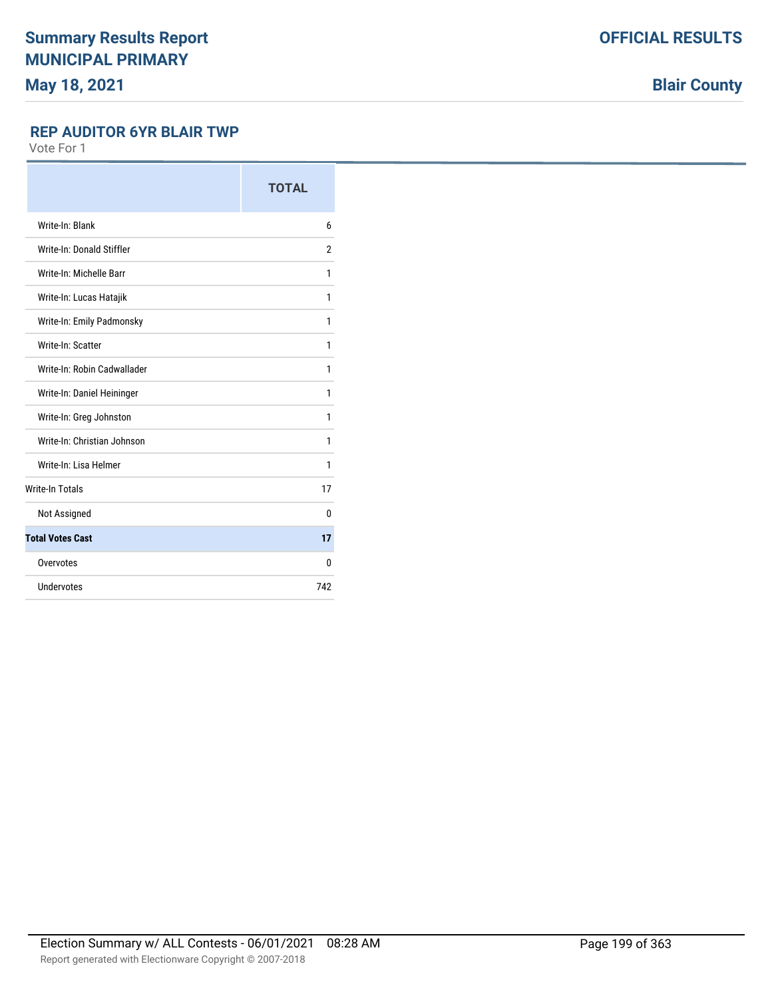**Blair County**

### **REP AUDITOR 6YR BLAIR TWP**

|                             | <b>TOTAL</b>   |
|-----------------------------|----------------|
| Write-In: Blank             | 6              |
| Write-In: Donald Stiffler   | $\overline{2}$ |
| Write-In: Michelle Barr     | 1              |
| Write-In: Lucas Hatajik     | 1              |
| Write-In: Emily Padmonsky   | 1              |
| Write-In: Scatter           | 1              |
| Write-In: Robin Cadwallader | 1              |
| Write-In: Daniel Heininger  | 1              |
| Write-In: Greg Johnston     | 1              |
| Write-In: Christian Johnson | 1              |
| Write-In: Lisa Helmer       | 1              |
| <b>Write-In Totals</b>      | 17             |
| Not Assigned                | 0              |
| <b>Total Votes Cast</b>     | 17             |
| Overvotes                   | 0              |
| Undervotes                  | 742            |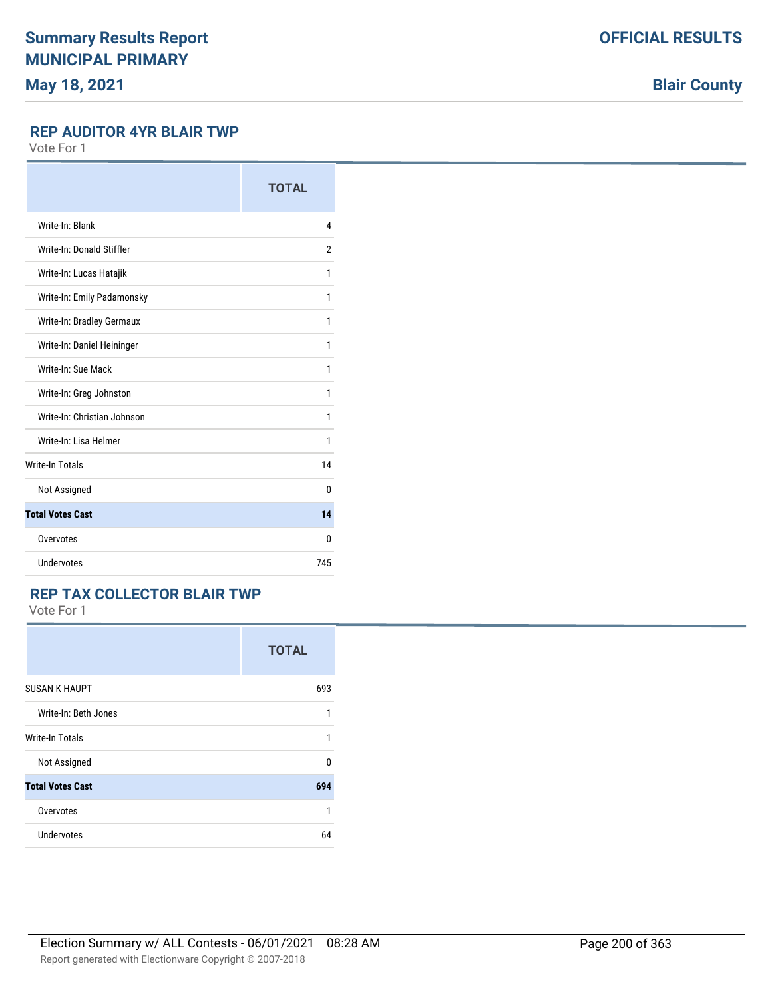**Blair County**

### **REP AUDITOR 4YR BLAIR TWP**

Vote For 1

|                             | <b>TOTAL</b> |
|-----------------------------|--------------|
| Write-In: Blank             | 4            |
| Write-In: Donald Stiffler   | 2            |
| Write-In: Lucas Hatajik     | 1            |
| Write-In: Emily Padamonsky  | 1            |
| Write-In: Bradley Germaux   | 1            |
| Write-In: Daniel Heininger  | 1            |
| Write-In: Sue Mack          | 1            |
| Write-In: Greg Johnston     | 1            |
| Write-In: Christian Johnson | 1            |
| Write-In: Lisa Helmer       | 1            |
| <b>Write-In Totals</b>      | 14           |
| Not Assigned                | $\Omega$     |
| <b>Total Votes Cast</b>     | 14           |
| Overvotes                   | $\Omega$     |
| <b>Undervotes</b>           | 745          |

### **REP TAX COLLECTOR BLAIR TWP**

|                         | <b>TOTAL</b> |
|-------------------------|--------------|
| <b>SUSAN K HAUPT</b>    | 693          |
| Write-In: Beth Jones    | 1            |
| <b>Write-In Totals</b>  | 1            |
| Not Assigned            | 0            |
| <b>Total Votes Cast</b> | 694          |
| Overvotes               | 1            |
| <b>Undervotes</b>       | 64           |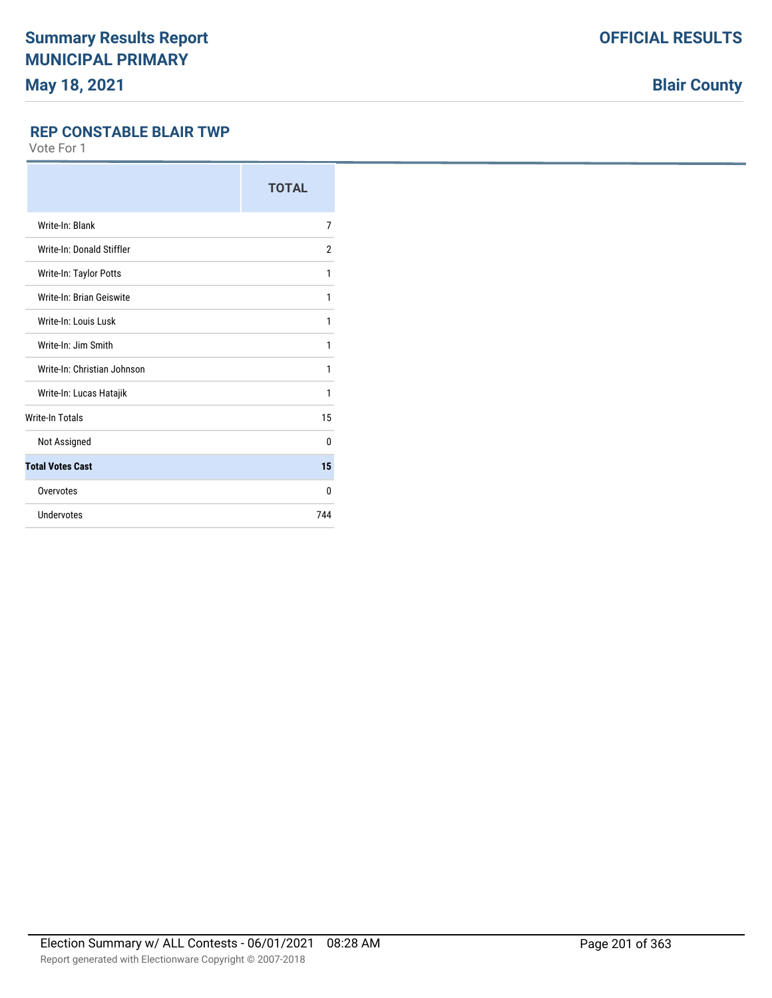**Blair County**

## **REP CONSTABLE BLAIR TWP**

|                             | <b>TOTAL</b>   |
|-----------------------------|----------------|
| Write-In: Blank             | 7              |
| Write-In: Donald Stiffler   | $\overline{2}$ |
| Write-In: Taylor Potts      | 1              |
| Write-In: Brian Geiswite    | 1              |
| Write-In: Louis Lusk        | 1              |
| Write-In: Jim Smith         | 1              |
| Write-In: Christian Johnson | 1              |
| Write-In: Lucas Hatajik     | 1              |
| <b>Write-In Totals</b>      | 15             |
| Not Assigned                | $\theta$       |
| <b>Total Votes Cast</b>     | 15             |
| Overvotes                   | $\Omega$       |
| Undervotes                  | 744            |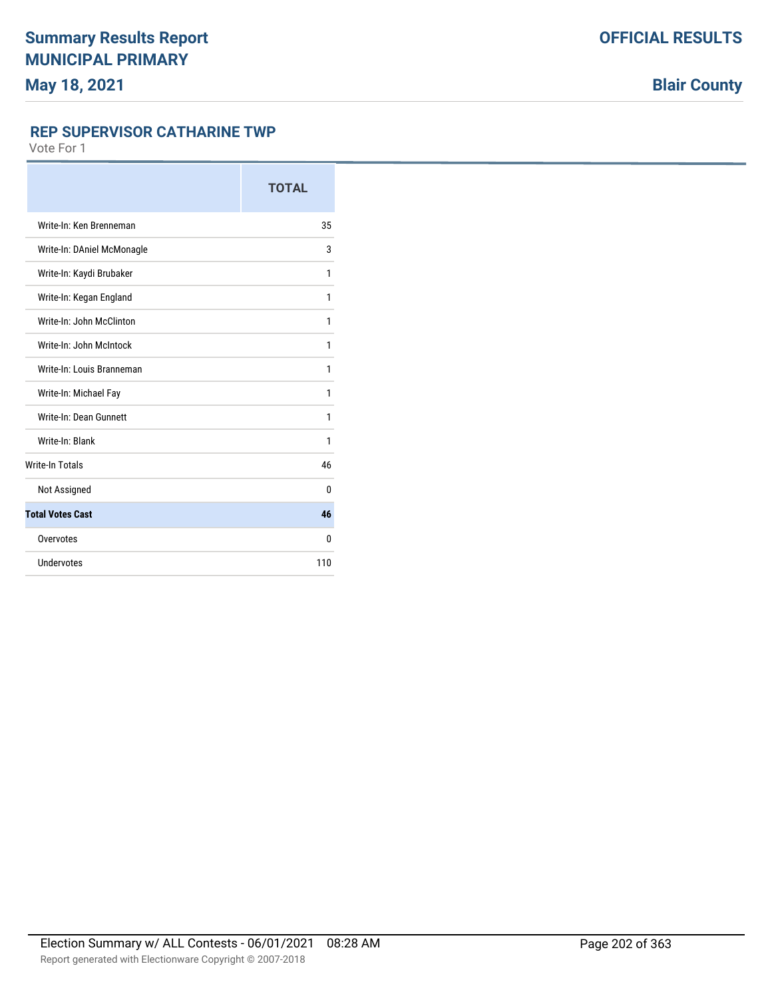#### **REP SUPERVISOR CATHARINE TWP**

|                            | <b>TOTAL</b> |
|----------------------------|--------------|
| Write-In: Ken Brenneman    | 35           |
| Write-In: DAniel McMonagle | 3            |
| Write-In: Kaydi Brubaker   | 1            |
| Write-In: Kegan England    | 1            |
| Write-In: John McClinton   | 1            |
| Write-In: John McIntock    | 1            |
| Write-In: Louis Branneman  | 1            |
| Write-In: Michael Fay      | 1            |
| Write-In: Dean Gunnett     | 1            |
| Write-In: Blank            | 1            |
| <b>Write-In Totals</b>     | 46           |
| Not Assigned               | 0            |
| <b>Total Votes Cast</b>    | 46           |
| Overvotes                  | 0            |
| Undervotes                 | 110          |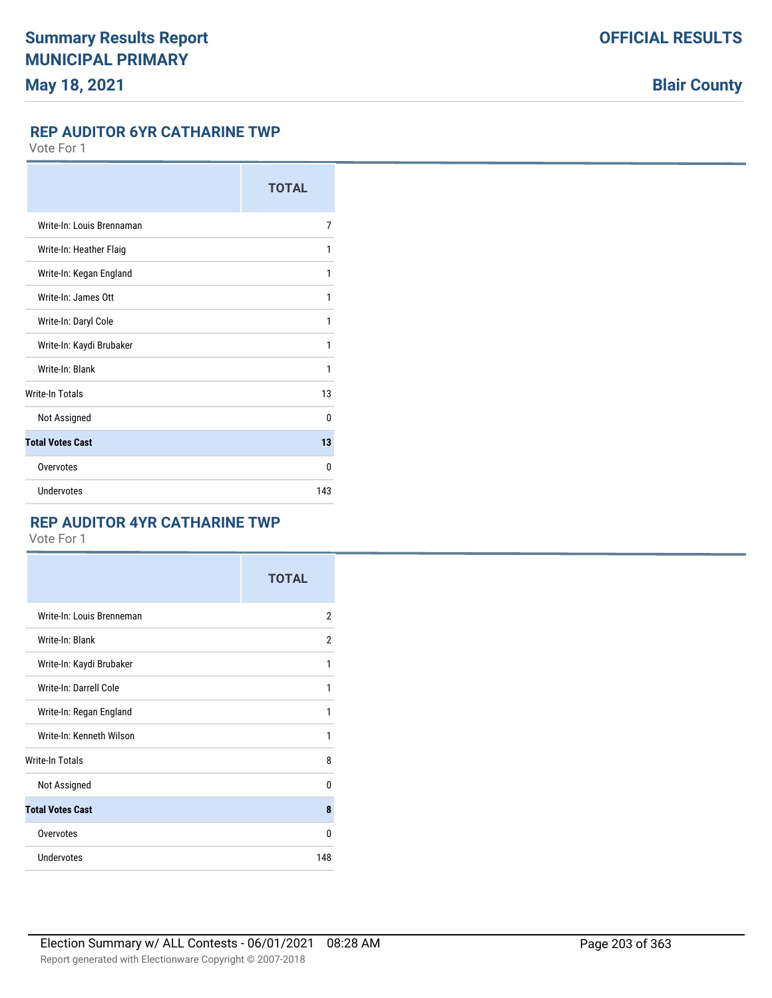### **REP AUDITOR 6YR CATHARINE TWP**

Vote For 1

|                           | <b>TOTAL</b> |
|---------------------------|--------------|
| Write-In: Louis Brennaman | 7            |
| Write-In: Heather Flaig   | 1            |
| Write-In: Kegan England   | 1            |
| Write-In: James Ott       | 1            |
| Write-In: Daryl Cole      | 1            |
| Write-In: Kaydi Brubaker  | 1            |
| Write-In: Blank           | 1            |
| <b>Write-In Totals</b>    | 13           |
| Not Assigned              | 0            |
| <b>Total Votes Cast</b>   | 13           |
| Overvotes                 | 0            |
| Undervotes                | 143          |

## **REP AUDITOR 4YR CATHARINE TWP**

|                           | <b>TOTAL</b>   |
|---------------------------|----------------|
| Write-In: Louis Brenneman | $\overline{2}$ |
| Write-In: Blank           | 2              |
| Write-In: Kaydi Brubaker  | 1              |
| Write-In: Darrell Cole    | 1              |
| Write-In: Regan England   | 1              |
| Write-In: Kenneth Wilson  | 1              |
| <b>Write-In Totals</b>    | 8              |
| Not Assigned              | $\Omega$       |
| <b>Total Votes Cast</b>   | 8              |
| Overvotes                 | $\Omega$       |
| <b>Undervotes</b>         | 148            |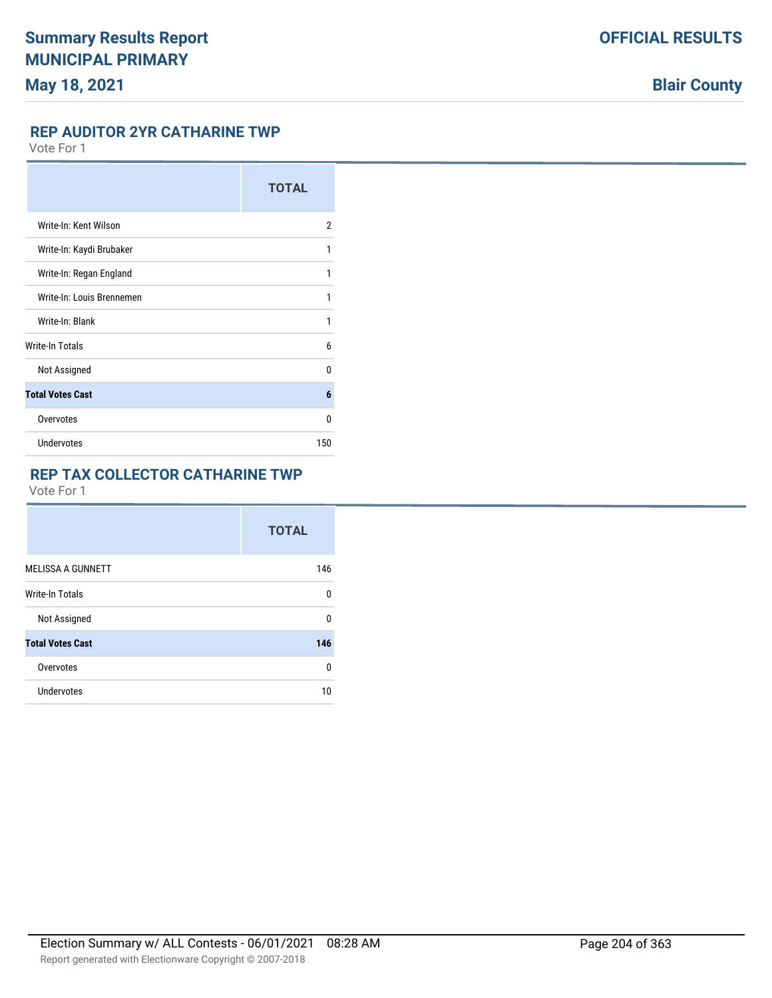#### **REP AUDITOR 2YR CATHARINE TWP**

Vote For 1

|                           | <b>TOTAL</b> |
|---------------------------|--------------|
| Write-In: Kent Wilson     | 2            |
| Write-In: Kaydi Brubaker  | 1            |
| Write-In: Regan England   | 1            |
| Write-In: Louis Brennemen | 1            |
| Write-In: Blank           | 1            |
| Write-In Totals           | 6            |
| Not Assigned              | 0            |
| <b>Total Votes Cast</b>   | 6            |
| Overvotes                 | U            |
| <b>Undervotes</b>         | 150          |

## **REP TAX COLLECTOR CATHARINE TWP**

|                          | <b>TOTAL</b> |
|--------------------------|--------------|
| <b>MELISSA A GUNNETT</b> | 146          |
| Write-In Totals          | 0            |
| Not Assigned             | 0            |
| <b>Total Votes Cast</b>  | 146          |
| Overvotes                | 0            |
| Undervotes               | 10           |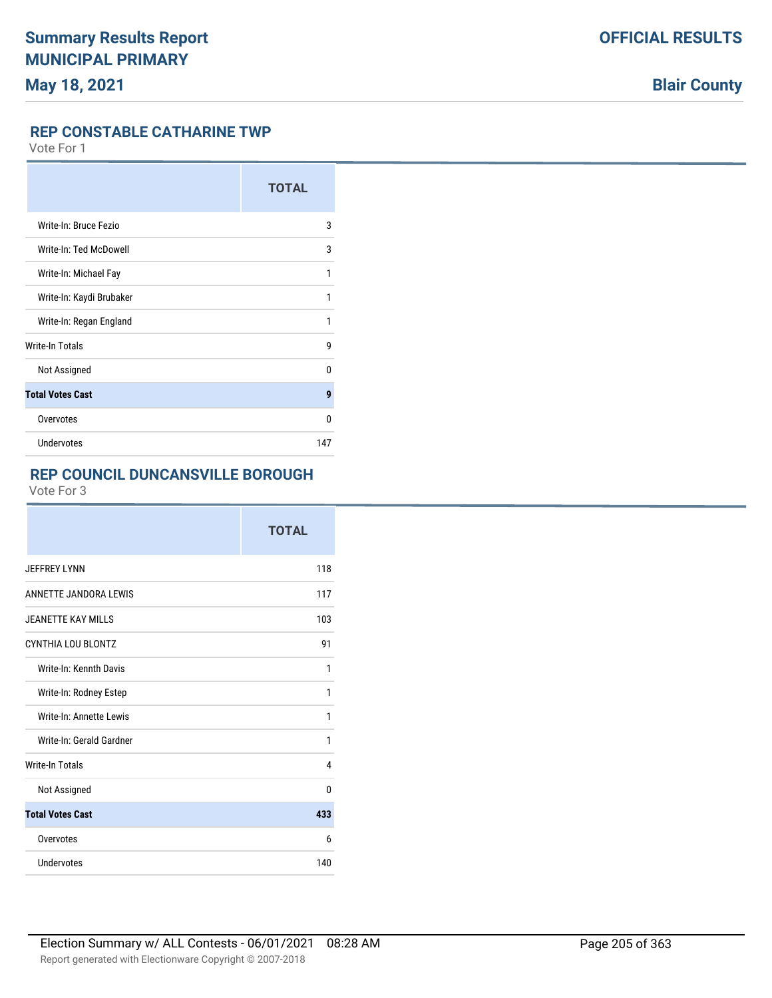#### **REP CONSTABLE CATHARINE TWP**

Vote For 1

|                          | <b>TOTAL</b> |
|--------------------------|--------------|
| Write-In: Bruce Fezio    | 3            |
| Write-In: Ted McDowell   | 3            |
| Write-In: Michael Fay    | 1            |
| Write-In: Kaydi Brubaker | 1            |
| Write-In: Regan England  | 1            |
| Write-In Totals          | 9            |
| Not Assigned             | 0            |
| <b>Total Votes Cast</b>  | 9            |
| Overvotes                | 0            |
| <b>Undervotes</b>        | 147          |

## **REP COUNCIL DUNCANSVILLE BOROUGH**

|                           | <b>TOTAL</b> |
|---------------------------|--------------|
| <b>JEFFREY LYNN</b>       | 118          |
| ANNETTE JANDORA LEWIS     | 117          |
| <b>JEANETTE KAY MILLS</b> | 103          |
| CYNTHIA LOU BLONTZ        | 91           |
| Write-In: Kennth Davis    | 1            |
| Write-In: Rodney Estep    | 1            |
| Write-In: Annette Lewis   | 1            |
| Write-In: Gerald Gardner  | 1            |
| <b>Write-In Totals</b>    | 4            |
| Not Assigned              | $\Omega$     |
| <b>Total Votes Cast</b>   | 433          |
| Overvotes                 | 6            |
| Undervotes                | 140          |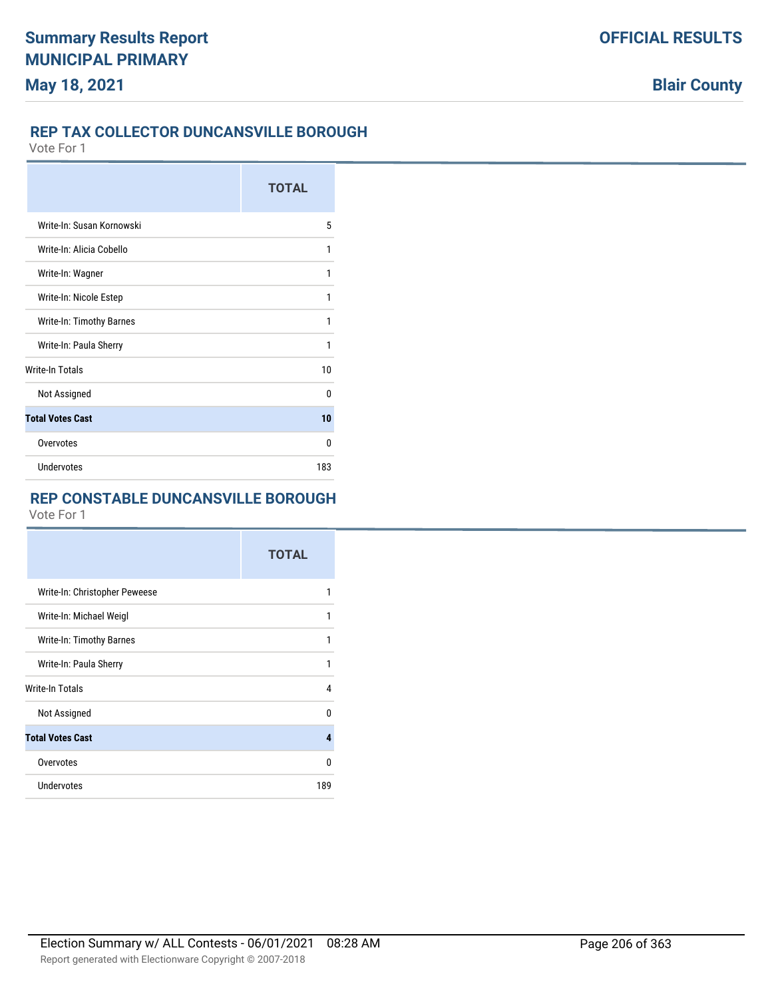## **REP TAX COLLECTOR DUNCANSVILLE BOROUGH**

Vote For 1

|                           | <b>TOTAL</b> |
|---------------------------|--------------|
| Write-In: Susan Kornowski | 5            |
| Write-In: Alicia Cobello  | 1            |
| Write-In: Wagner          | 1            |
| Write-In: Nicole Estep    | 1            |
| Write-In: Timothy Barnes  | 1            |
| Write-In: Paula Sherry    | 1            |
| <b>Write-In Totals</b>    | 10           |
| Not Assigned              | U            |
| <b>Total Votes Cast</b>   | 10           |
| Overvotes                 | U            |
| Undervotes                | 183          |

## **REP CONSTABLE DUNCANSVILLE BOROUGH**

|                               | <b>TOTAL</b> |
|-------------------------------|--------------|
| Write-In: Christopher Peweese |              |
| Write-In: Michael Weigl       | 1            |
| Write-In: Timothy Barnes      |              |
| Write-In: Paula Sherry        | 1            |
| <b>Write-In Totals</b>        | 4            |
| Not Assigned                  | n            |
| <b>Total Votes Cast</b>       | 4            |
| Overvotes                     | U            |
| Undervotes                    | 189          |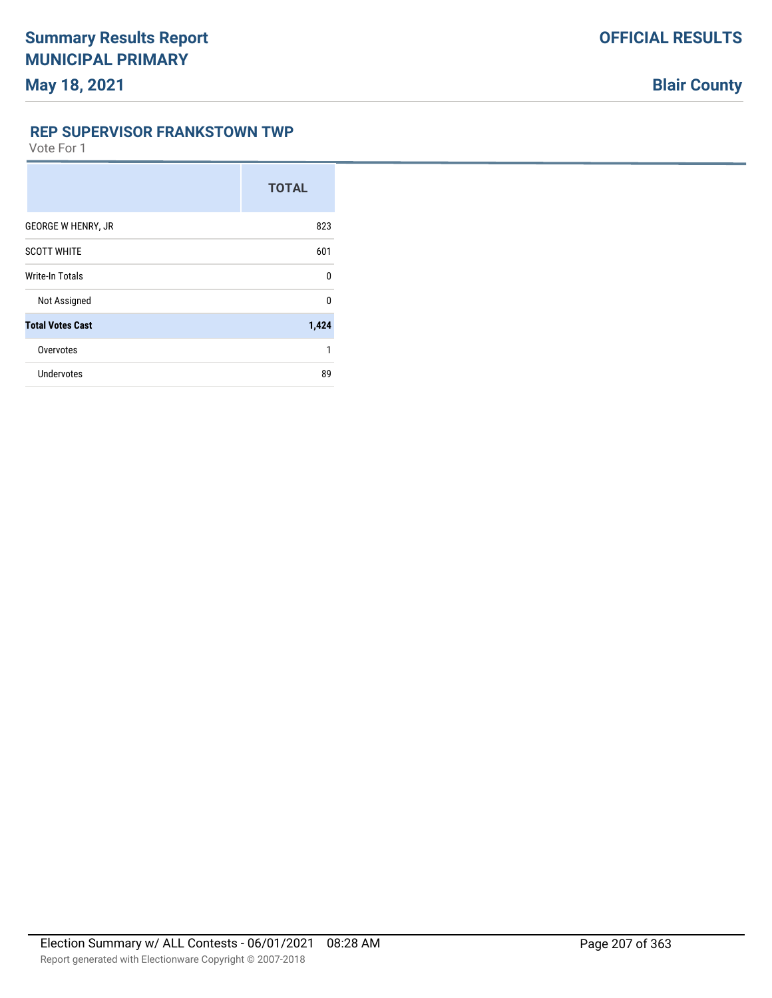#### **REP SUPERVISOR FRANKSTOWN TWP**

|                           | <b>TOTAL</b> |
|---------------------------|--------------|
| <b>GEORGE W HENRY, JR</b> | 823          |
| <b>SCOTT WHITE</b>        | 601          |
| Write-In Totals           | $\Omega$     |
| Not Assigned              | $\Omega$     |
| <b>Total Votes Cast</b>   | 1,424        |
| Overvotes                 | 1            |
| <b>Undervotes</b>         | 89           |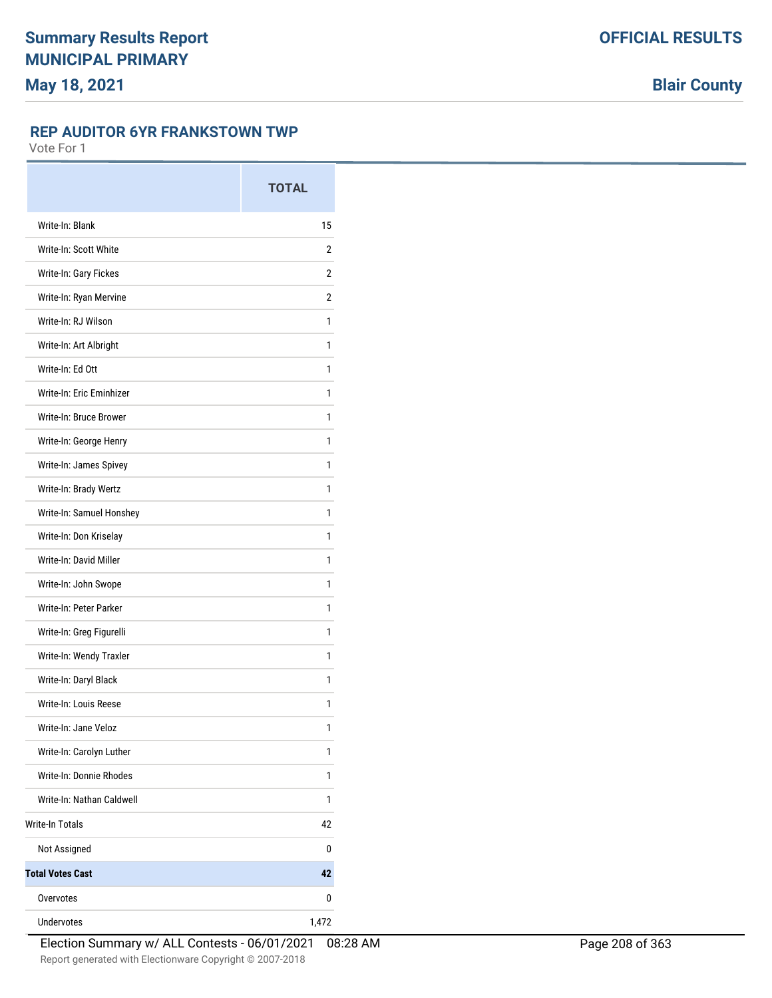#### **REP AUDITOR 6YR FRANKSTOWN TWP**

|                           | <b>TOTAL</b> |
|---------------------------|--------------|
| Write-In: Blank           | 15           |
| Write-In: Scott White     | 2            |
| Write-In: Gary Fickes     | 2            |
| Write-In: Ryan Mervine    | 2            |
| Write-In: RJ Wilson       | 1            |
| Write-In: Art Albright    | 1            |
| Write-In: Ed Ott          | 1            |
| Write-In: Eric Eminhizer  | 1            |
| Write-In: Bruce Brower    | 1            |
| Write-In: George Henry    | 1            |
| Write-In: James Spivey    | 1            |
| Write-In: Brady Wertz     | 1            |
| Write-In: Samuel Honshey  | 1            |
| Write-In: Don Kriselay    | 1            |
| Write-In: David Miller    | 1            |
| Write-In: John Swope      | 1            |
| Write-In: Peter Parker    | 1            |
| Write-In: Greg Figurelli  | 1            |
| Write-In: Wendy Traxler   | 1            |
| Write-In: Daryl Black     | 1            |
| Write-In: Louis Reese     | 1            |
| Write-In: Jane Veloz      | 1            |
| Write-In: Carolyn Luther  | 1            |
| Write-In: Donnie Rhodes   | 1            |
| Write-In: Nathan Caldwell | 1            |
| <b>Write-In Totals</b>    | 42           |
| Not Assigned              | 0            |
| <b>Total Votes Cast</b>   | 42           |
| Overvotes                 | 0            |
| Undervotes                | 1,472        |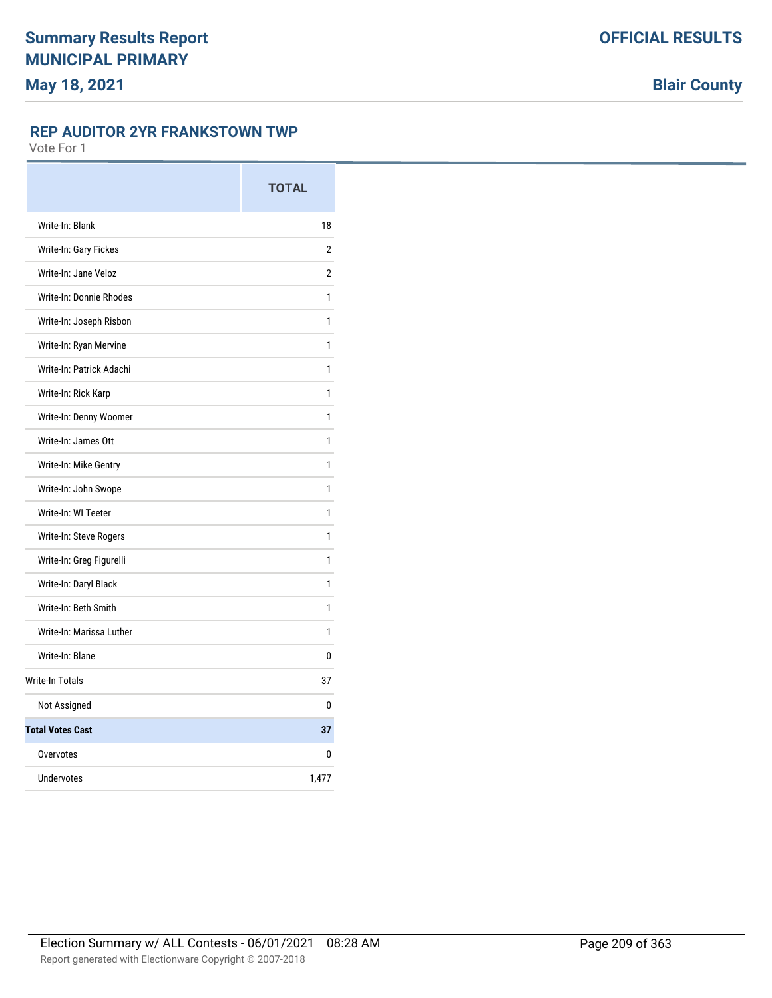### **REP AUDITOR 2YR FRANKSTOWN TWP**

|                          | <b>TOTAL</b>   |
|--------------------------|----------------|
| Write-In: Blank          | 18             |
| Write-In: Gary Fickes    | $\overline{2}$ |
| Write-In: Jane Veloz     | $\overline{2}$ |
| Write-In: Donnie Rhodes  | 1              |
| Write-In: Joseph Risbon  | 1              |
| Write-In: Ryan Mervine   | 1              |
| Write-In: Patrick Adachi | 1              |
| Write-In: Rick Karp      | 1              |
| Write-In: Denny Woomer   | 1              |
| Write-In: James Ott      | 1              |
| Write-In: Mike Gentry    | 1              |
| Write-In: John Swope     | 1              |
| Write-In: WI Teeter      | 1              |
| Write-In: Steve Rogers   | 1              |
| Write-In: Greg Figurelli | 1              |
| Write-In: Daryl Black    | 1              |
| Write-In: Beth Smith     | 1              |
| Write-In: Marissa Luther | 1              |
| Write-In: Blane          | 0              |
| Write-In Totals          | 37             |
| Not Assigned             | 0              |
| <b>Total Votes Cast</b>  | 37             |
| Overvotes                | 0              |
| <b>Undervotes</b>        | 1,477          |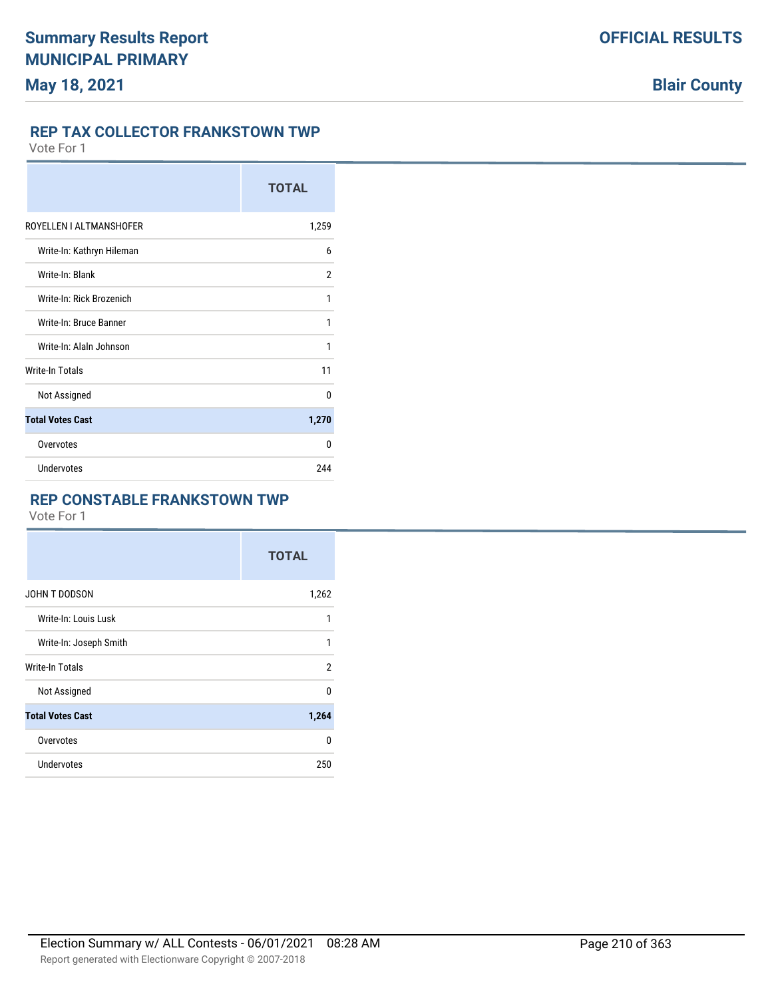### **REP TAX COLLECTOR FRANKSTOWN TWP**

Vote For 1

|                           | <b>TOTAL</b> |
|---------------------------|--------------|
| ROYELLEN I ALTMANSHOFER   | 1,259        |
| Write-In: Kathryn Hileman | 6            |
| Write-In: Blank           | 2            |
| Write-In: Rick Brozenich  | 1            |
| Write-In: Bruce Banner    | 1            |
| Write-In: Alaln Johnson   | 1            |
| Write-In Totals           | 11           |
| Not Assigned              | $\Omega$     |
| <b>Total Votes Cast</b>   | 1,270        |
| Overvotes                 | U            |
| <b>Undervotes</b>         | 244          |

#### **REP CONSTABLE FRANKSTOWN TWP**

|                         | <b>TOTAL</b>   |
|-------------------------|----------------|
| JOHN T DODSON           | 1,262          |
| Write-In: Louis Lusk    | 1              |
| Write-In: Joseph Smith  | 1              |
| Write-In Totals         | $\overline{2}$ |
| Not Assigned            | $\Omega$       |
| <b>Total Votes Cast</b> | 1,264          |
| Overvotes               | 0              |
| <b>Undervotes</b>       | 250            |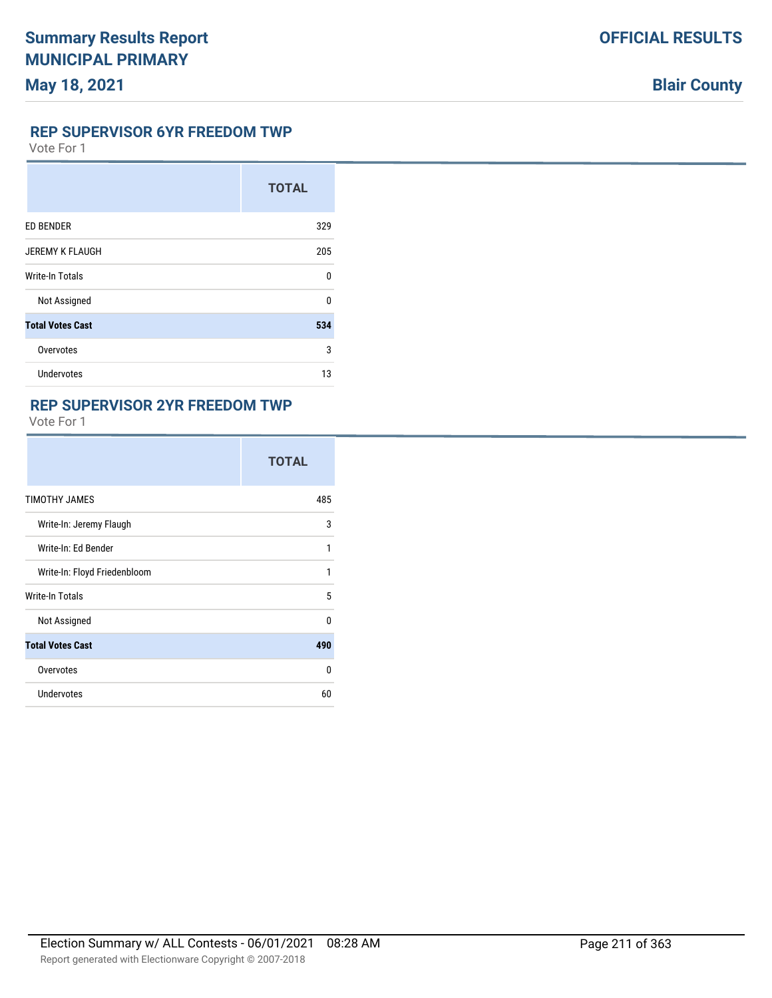### **REP SUPERVISOR 6YR FREEDOM TWP**

Vote For 1

|                         | <b>TOTAL</b> |
|-------------------------|--------------|
| <b>ED BENDER</b>        | 329          |
| <b>JEREMY K FLAUGH</b>  | 205          |
| Write-In Totals         | $\Omega$     |
| Not Assigned            | <sup>0</sup> |
| <b>Total Votes Cast</b> | 534          |
| Overvotes               | 3            |
| Undervotes              | 13           |

## **REP SUPERVISOR 2YR FREEDOM TWP**

|                              | <b>TOTAL</b> |
|------------------------------|--------------|
| TIMOTHY JAMES                | 485          |
| Write-In: Jeremy Flaugh      | 3            |
| Write-In: Ed Bender          | 1            |
| Write-In: Floyd Friedenbloom | 1            |
| Write-In Totals              | 5            |
| Not Assigned                 | $\Omega$     |
| <b>Total Votes Cast</b>      | 490          |
| Overvotes                    | $\Omega$     |
| Undervotes                   | 60           |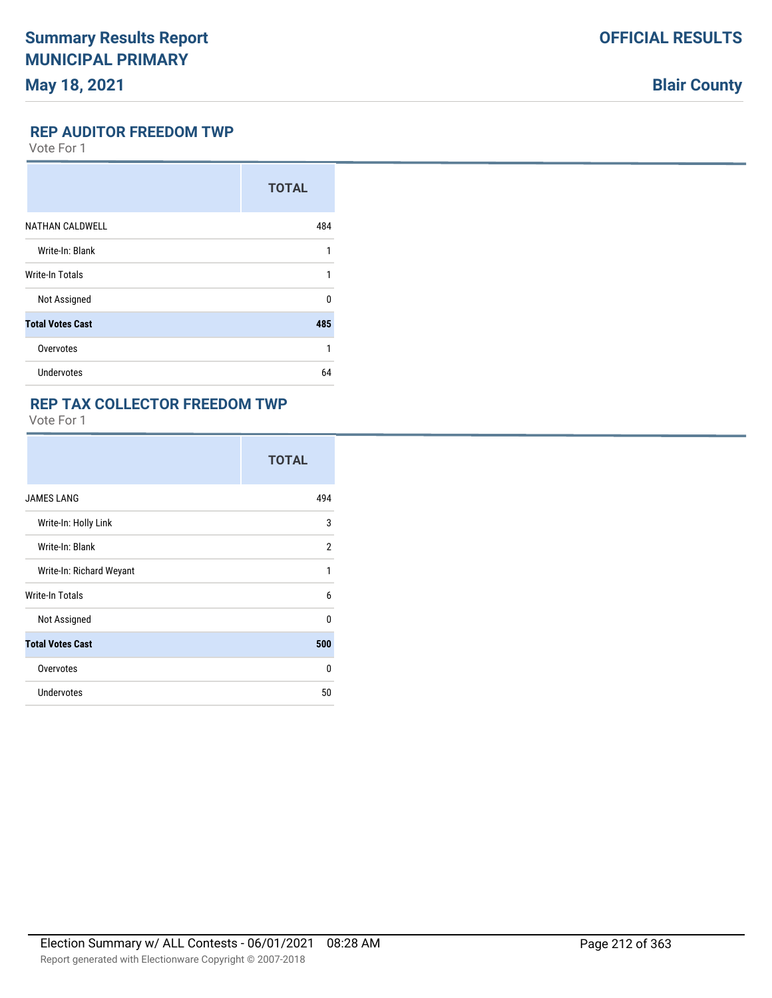# **Blair County**

#### **REP AUDITOR FREEDOM TWP**

Vote For 1

|                         | <b>TOTAL</b> |
|-------------------------|--------------|
| <b>NATHAN CALDWELL</b>  | 484          |
| Write-In: Blank         | 1            |
| Write-In Totals         | 1            |
| Not Assigned            | <sup>0</sup> |
| <b>Total Votes Cast</b> | 485          |
| Overvotes               | 1            |
| <b>Undervotes</b>       | 64           |

## **REP TAX COLLECTOR FREEDOM TWP**

|                          | <b>TOTAL</b> |
|--------------------------|--------------|
| <b>JAMES LANG</b>        | 494          |
| Write-In: Holly Link     | 3            |
| Write-In: Blank          | 2            |
| Write-In: Richard Weyant | 1            |
| Write-In Totals          | 6            |
| Not Assigned             | $\Omega$     |
| <b>Total Votes Cast</b>  | 500          |
| Overvotes                | $\Omega$     |
| Undervotes               | 50           |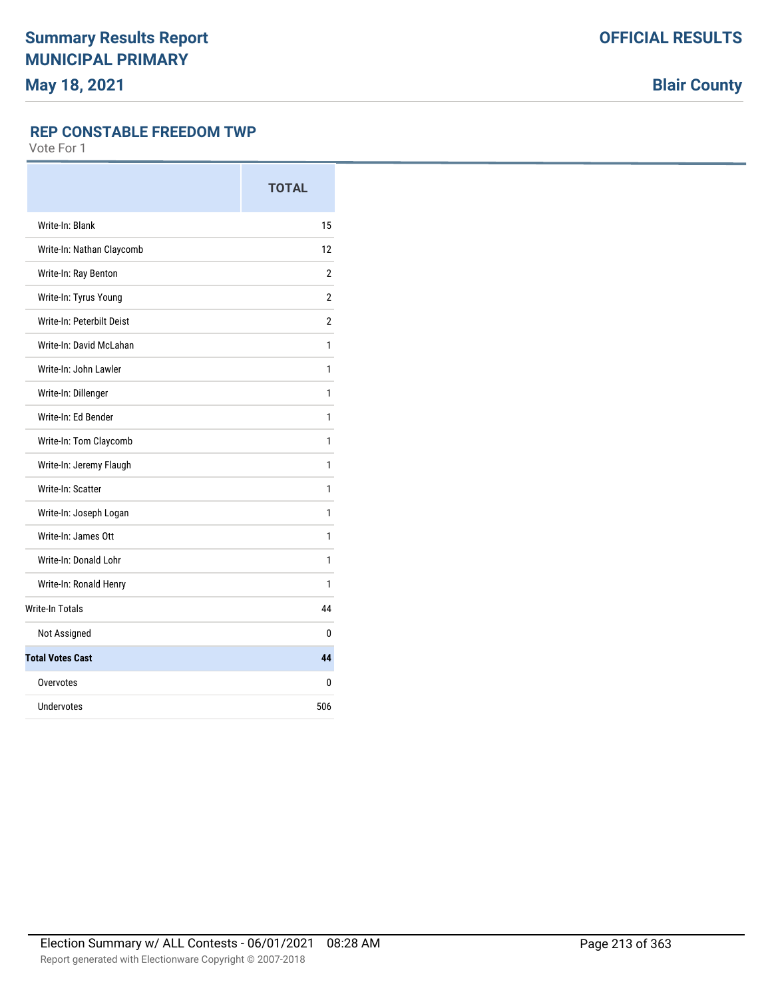**Blair County**

#### **REP CONSTABLE FREEDOM TWP**

|                           | <b>TOTAL</b>   |
|---------------------------|----------------|
| Write-In: Blank           | 15             |
| Write-In: Nathan Claycomb | 12             |
| Write-In: Ray Benton      | $\overline{2}$ |
| Write-In: Tyrus Young     | $\overline{2}$ |
| Write-In: Peterbilt Deist | $\overline{2}$ |
| Write-In: David McLahan   | 1              |
| Write-In: John Lawler     | 1              |
| Write-In: Dillenger       | 1              |
| Write-In: Ed Bender       | 1              |
| Write-In: Tom Claycomb    | 1              |
| Write-In: Jeremy Flaugh   | 1              |
| Write-In: Scatter         | 1              |
| Write-In: Joseph Logan    | 1              |
| Write-In: James Ott       | 1              |
| Write-In: Donald Lohr     | 1              |
| Write-In: Ronald Henry    | 1              |
| <b>Write-In Totals</b>    | 44             |
| Not Assigned              | 0              |
| <b>Total Votes Cast</b>   | 44             |
| Overvotes                 | 0              |
| Undervotes                | 506            |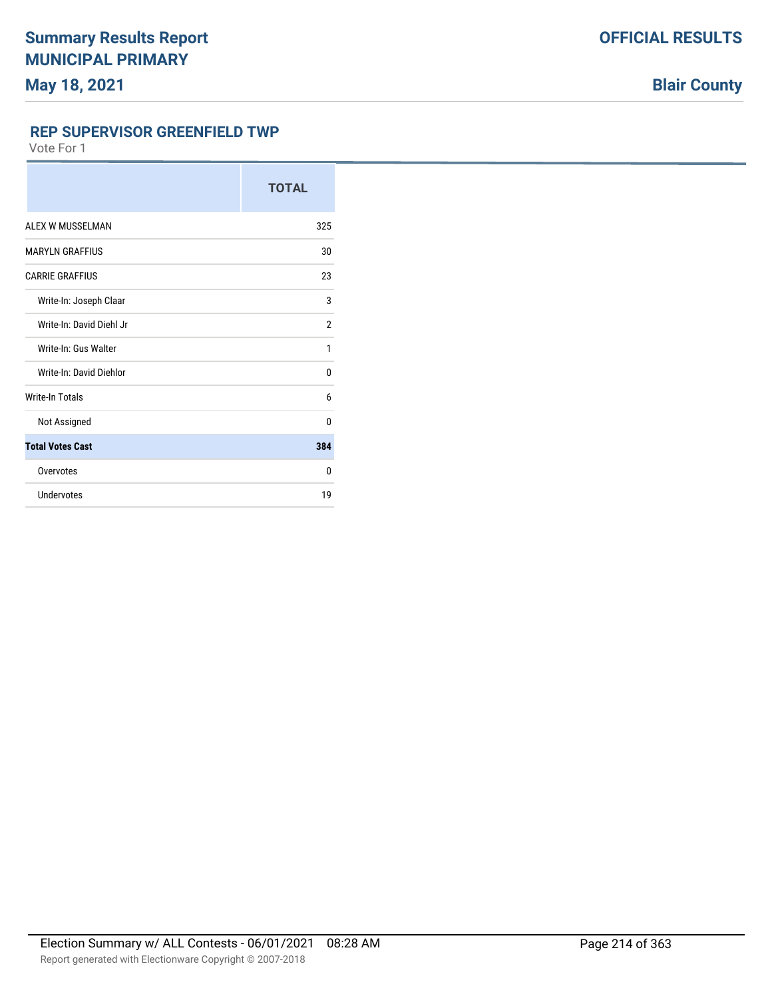**REP SUPERVISOR GREENFIELD TWP**

|                          | <b>TOTAL</b>   |
|--------------------------|----------------|
| ALEX W MUSSELMAN         | 325            |
| <b>MARYLN GRAFFIUS</b>   | 30             |
| <b>CARRIE GRAFFIUS</b>   | 23             |
| Write-In: Joseph Claar   | 3              |
| Write-In: David Diehl Jr | $\overline{2}$ |
| Write-In: Gus Walter     | 1              |
| Write-In: David Diehlor  | 0              |
| <b>Write-In Totals</b>   | 6              |
| Not Assigned             | 0              |
| <b>Total Votes Cast</b>  | 384            |
| Overvotes                | $\Omega$       |
| Undervotes               | 19             |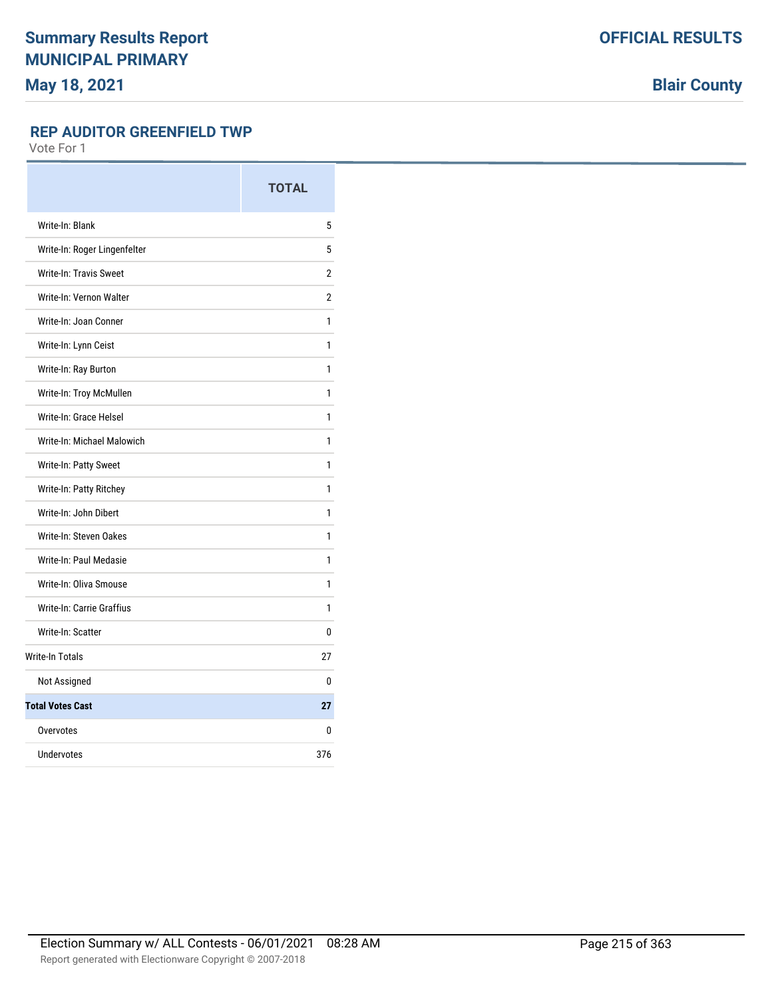**Blair County**

### **REP AUDITOR GREENFIELD TWP**

|                               | <b>TOTAL</b>   |
|-------------------------------|----------------|
| Write-In: Blank               | 5              |
| Write-In: Roger Lingenfelter  | 5              |
| <b>Write-In: Travis Sweet</b> | $\overline{2}$ |
| Write-In: Vernon Walter       | $\overline{2}$ |
| Write-In: Joan Conner         | 1              |
| Write-In: Lynn Ceist          | 1              |
| Write-In: Ray Burton          | 1              |
| Write-In: Troy McMullen       | 1              |
| Write-In: Grace Helsel        | 1              |
| Write-In: Michael Malowich    | 1              |
| Write-In: Patty Sweet         | 1              |
| Write-In: Patty Ritchey       | 1              |
| Write-In: John Dibert         | 1              |
| Write-In: Steven Oakes        | 1              |
| Write-In: Paul Medasie        | 1              |
| Write-In: Oliva Smouse        | 1              |
| Write-In: Carrie Graffius     | 1              |
| Write-In: Scatter             | 0              |
| <b>Write-In Totals</b>        | 27             |
| Not Assigned                  | 0              |
| <b>Total Votes Cast</b>       | 27             |
| Overvotes                     | 0              |
| Undervotes                    | 376            |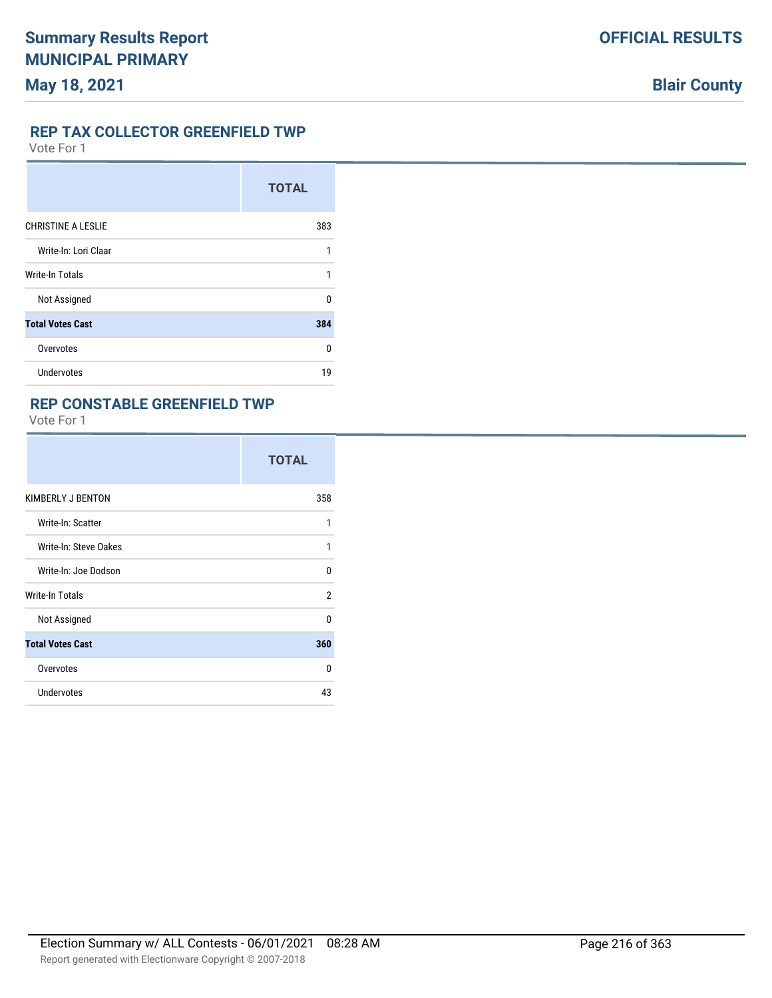### **REP TAX COLLECTOR GREENFIELD TWP**

Vote For 1

|                           | <b>TOTAL</b> |
|---------------------------|--------------|
| <b>CHRISTINE A LESLIE</b> | 383          |
| Write-In: Lori Claar      | 1            |
| <b>Write-In Totals</b>    | 1            |
| Not Assigned              | <sup>0</sup> |
| <b>Total Votes Cast</b>   | 384          |
| Overvotes                 | <sup>0</sup> |
| <b>Undervotes</b>         | 19           |

## **REP CONSTABLE GREENFIELD TWP**

|                         | <b>TOTAL</b> |
|-------------------------|--------------|
| KIMBERLY J BENTON       | 358          |
| Write-In: Scatter       | 1            |
| Write-In: Steve Oakes   | 1            |
| Write-In: Joe Dodson    | $\Omega$     |
| Write-In Totals         | 2            |
| Not Assigned            | $\Omega$     |
| <b>Total Votes Cast</b> | 360          |
| Overvotes               | $\Omega$     |
| <b>Undervotes</b>       | 43           |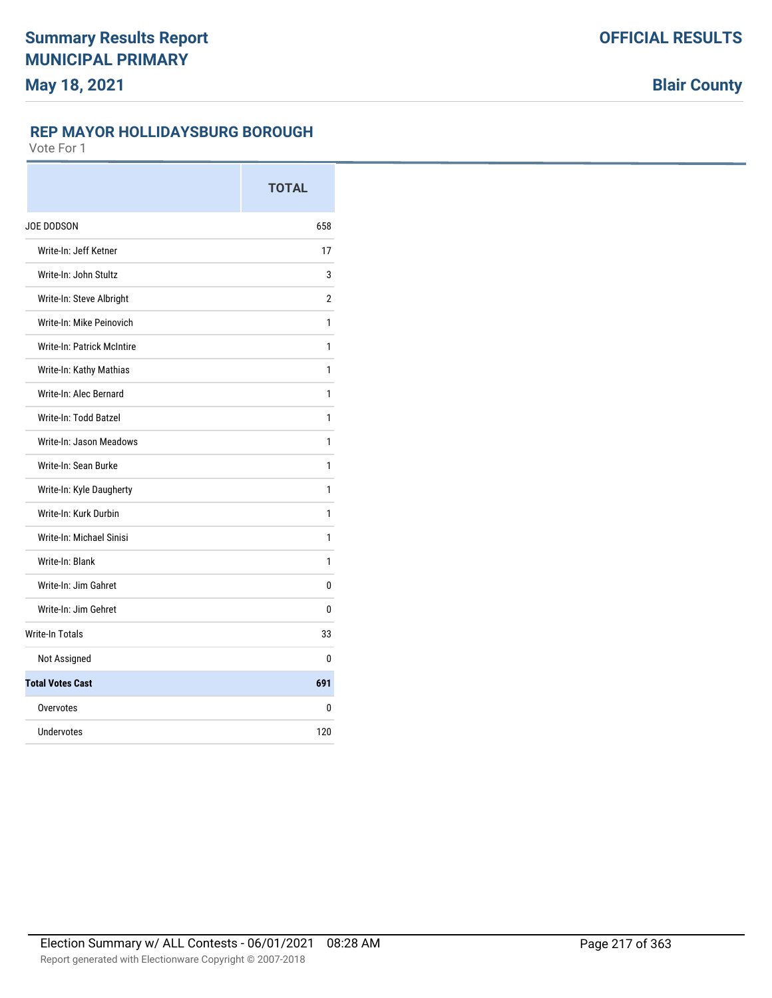### **REP MAYOR HOLLIDAYSBURG BOROUGH**

|                            | <b>TOTAL</b>   |
|----------------------------|----------------|
| JOE DODSON                 | 658            |
| Write-In: Jeff Ketner      | 17             |
| Write-In: John Stultz      | 3              |
| Write-In: Steve Albright   | $\overline{2}$ |
| Write-In: Mike Peinovich   | 1              |
| Write-In: Patrick McIntire | 1              |
| Write-In: Kathy Mathias    | 1              |
| Write-In: Alec Bernard     | 1              |
| Write-In: Todd Batzel      | 1              |
| Write-In: Jason Meadows    | 1              |
| Write-In: Sean Burke       | 1              |
| Write-In: Kyle Daugherty   | 1              |
| Write-In: Kurk Durbin      | 1              |
| Write-In: Michael Sinisi   | 1              |
| Write-In: Blank            | 1              |
| Write-In: Jim Gahret       | 0              |
| Write-In: Jim Gehret       | 0              |
| <b>Write-In Totals</b>     | 33             |
| Not Assigned               | 0              |
| <b>Total Votes Cast</b>    | 691            |
| Overvotes                  | 0              |
| Undervotes                 | 120            |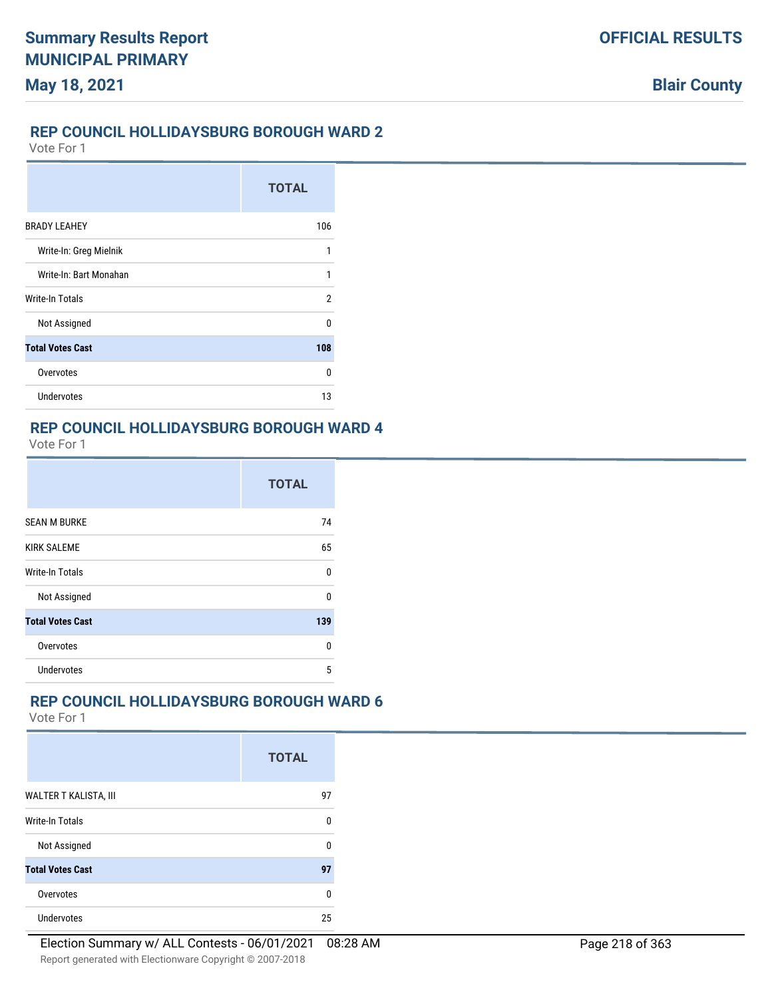### **REP COUNCIL HOLLIDAYSBURG BOROUGH WARD 2**

Vote For 1

**May 18, 2021**

|                         | <b>TOTAL</b> |
|-------------------------|--------------|
| <b>BRADY LEAHEY</b>     | 106          |
| Write-In: Greg Mielnik  | 1            |
| Write-In: Bart Monahan  | 1            |
| <b>Write-In Totals</b>  | 2            |
| Not Assigned            | n            |
| <b>Total Votes Cast</b> | 108          |
| Overvotes               | 0            |
| Undervotes              | 13           |

## **REP COUNCIL HOLLIDAYSBURG BOROUGH WARD 4**

Vote For 1

|                         | <b>TOTAL</b> |
|-------------------------|--------------|
| <b>SEAN M BURKE</b>     | 74           |
| <b>KIRK SALEME</b>      | 65           |
| Write-In Totals         | n            |
| Not Assigned            | n            |
| <b>Total Votes Cast</b> | 139          |
| Overvotes               | n            |
| Undervotes              | 5            |

## **REP COUNCIL HOLLIDAYSBURG BOROUGH WARD 6**

|                         | <b>TOTAL</b> |
|-------------------------|--------------|
| WALTER T KALISTA, III   | 97           |
| <b>Write-In Totals</b>  | 0            |
| Not Assigned            | ŋ            |
| <b>Total Votes Cast</b> | 97           |
| Overvotes               | ŋ            |
| <b>Undervotes</b>       | 25           |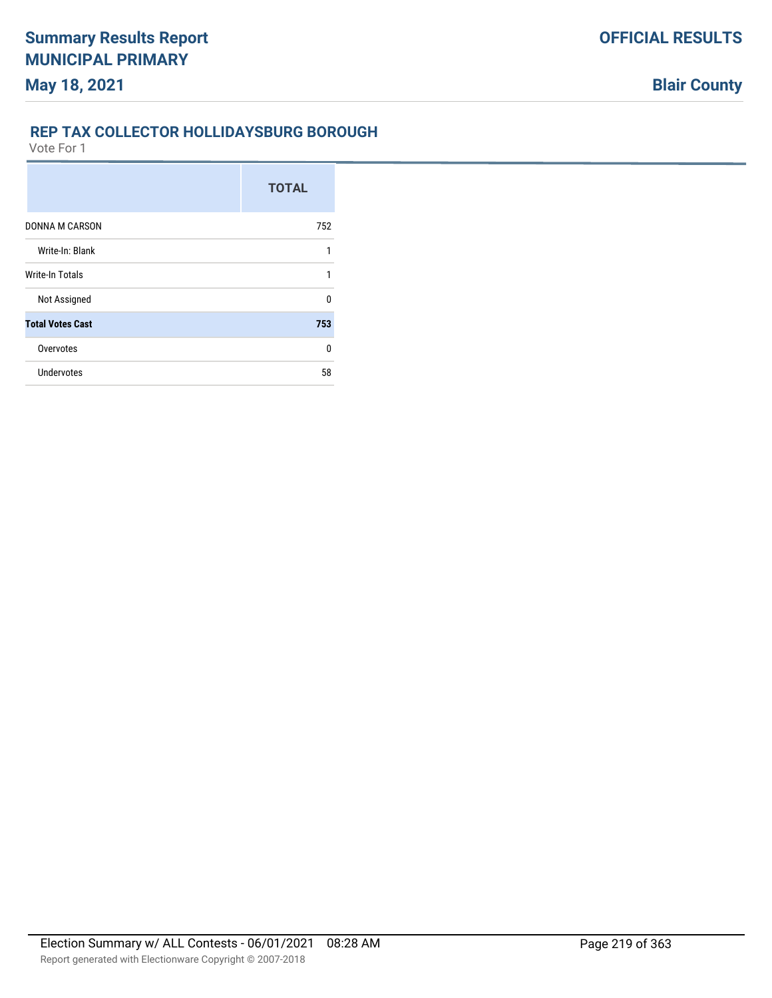### **REP TAX COLLECTOR HOLLIDAYSBURG BOROUGH**

|                         | <b>TOTAL</b> |
|-------------------------|--------------|
| <b>DONNA M CARSON</b>   | 752          |
| Write-In: Blank         | 1            |
| <b>Write-In Totals</b>  | 1            |
| Not Assigned            | 0            |
| <b>Total Votes Cast</b> | 753          |
| Overvotes               | 0            |
| <b>Undervotes</b>       | 58           |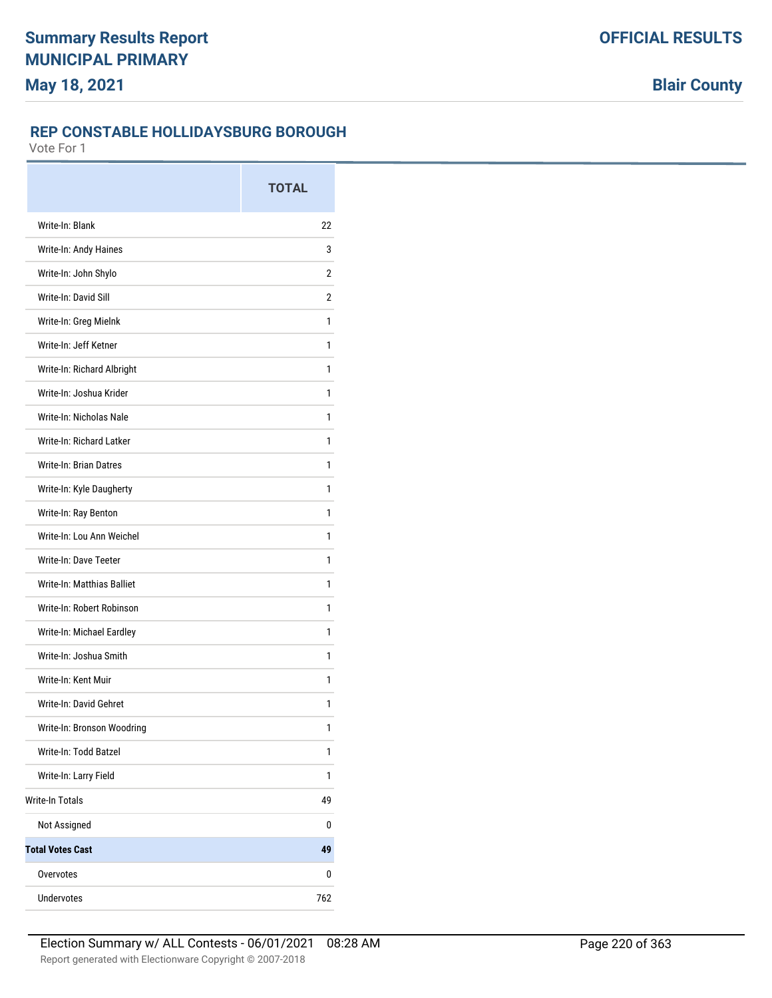### **REP CONSTABLE HOLLIDAYSBURG BOROUGH**

|                               | <b>TOTAL</b>   |
|-------------------------------|----------------|
| Write-In: Blank               | 22             |
| Write-In: Andy Haines         | 3              |
| Write-In: John Shylo          | 2              |
| Write-In: David Sill          | $\overline{2}$ |
| Write-In: Greg Mielnk         | 1              |
| Write-In: Jeff Ketner         | 1              |
| Write-In: Richard Albright    | 1              |
| Write-In: Joshua Krider       | 1              |
| Write-In: Nicholas Nale       | 1              |
| Write-In: Richard Latker      | 1              |
| <b>Write-In: Brian Datres</b> | 1              |
| Write-In: Kyle Daugherty      | 1              |
| Write-In: Ray Benton          | 1              |
| Write-In: Lou Ann Weichel     | 1              |
| Write-In: Dave Teeter         | 1              |
| Write-In: Matthias Balliet    | 1              |
| Write-In: Robert Robinson     | 1              |
| Write-In: Michael Eardley     | 1              |
| Write-In: Joshua Smith        | 1              |
| Write-In: Kent Muir           | 1              |
| Write-In: David Gehret        | 1              |
| Write-In: Bronson Woodring    | 1              |
| Write-In: Todd Batzel         | 1              |
| Write-In: Larry Field         | 1              |
| <b>Write-In Totals</b>        | 49             |
| Not Assigned                  | 0              |
| <b>Total Votes Cast</b>       | 49             |
| Overvotes                     | 0              |
| Undervotes                    | 762            |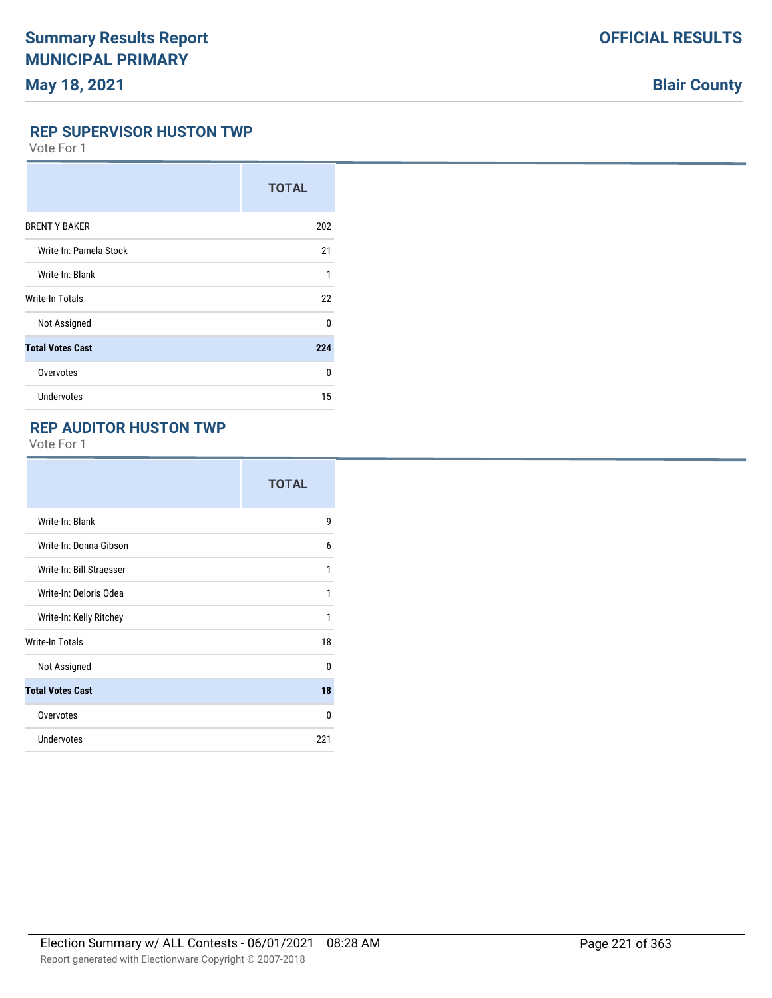# **Blair County**

#### **REP SUPERVISOR HUSTON TWP**

Vote For 1

|                         | <b>TOTAL</b> |
|-------------------------|--------------|
| <b>BRENT Y BAKER</b>    | 202          |
| Write-In: Pamela Stock  | 21           |
| Write-In: Blank         | 1            |
| Write-In Totals         | 22           |
| Not Assigned            | 0            |
| <b>Total Votes Cast</b> | 224          |
| Overvotes               | 0            |
| <b>Undervotes</b>       | 15           |

## **REP AUDITOR HUSTON TWP**

|                          | <b>TOTAL</b> |
|--------------------------|--------------|
| Write-In: Blank          | 9            |
| Write-In: Donna Gibson   | 6            |
| Write-In: Bill Straesser | 1            |
| Write-In: Deloris Odea   | 1            |
| Write-In: Kelly Ritchey  | 1            |
| Write-In Totals          | 18           |
| Not Assigned             | $\Omega$     |
| <b>Total Votes Cast</b>  | 18           |
| Overvotes                | 0            |
| <b>Undervotes</b>        | 221          |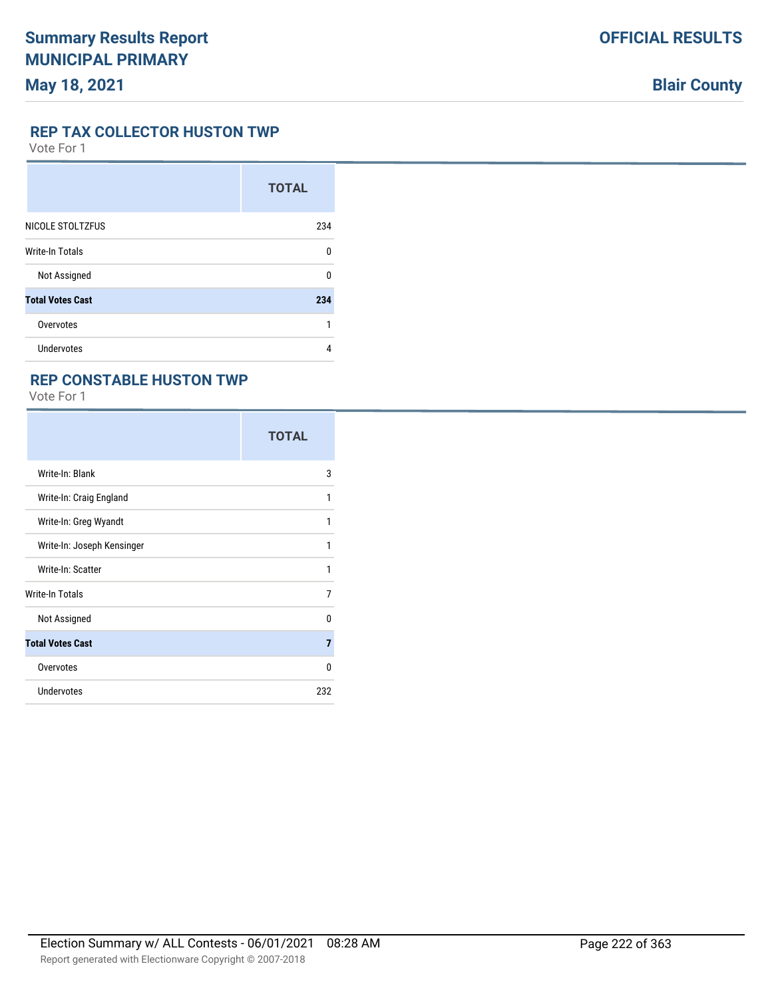#### **REP TAX COLLECTOR HUSTON TWP**

Vote For 1

|                         | <b>TOTAL</b> |
|-------------------------|--------------|
| NICOLE STOLTZFUS        | 234          |
| <b>Write-In Totals</b>  | U            |
| Not Assigned            | n            |
| <b>Total Votes Cast</b> | 234          |
| Overvotes               | 1            |
| Undervotes              | 4            |

### **REP CONSTABLE HUSTON TWP**

|                            | <b>TOTAL</b> |
|----------------------------|--------------|
| Write-In: Blank            | 3            |
| Write-In: Craig England    | 1            |
| Write-In: Greg Wyandt      | 1            |
| Write-In: Joseph Kensinger | 1            |
| Write-In: Scatter          | 1            |
| Write-In Totals            | 7            |
| Not Assigned               | $\Omega$     |
| <b>Total Votes Cast</b>    | 7            |
| Overvotes                  | 0            |
| <b>Undervotes</b>          | 232          |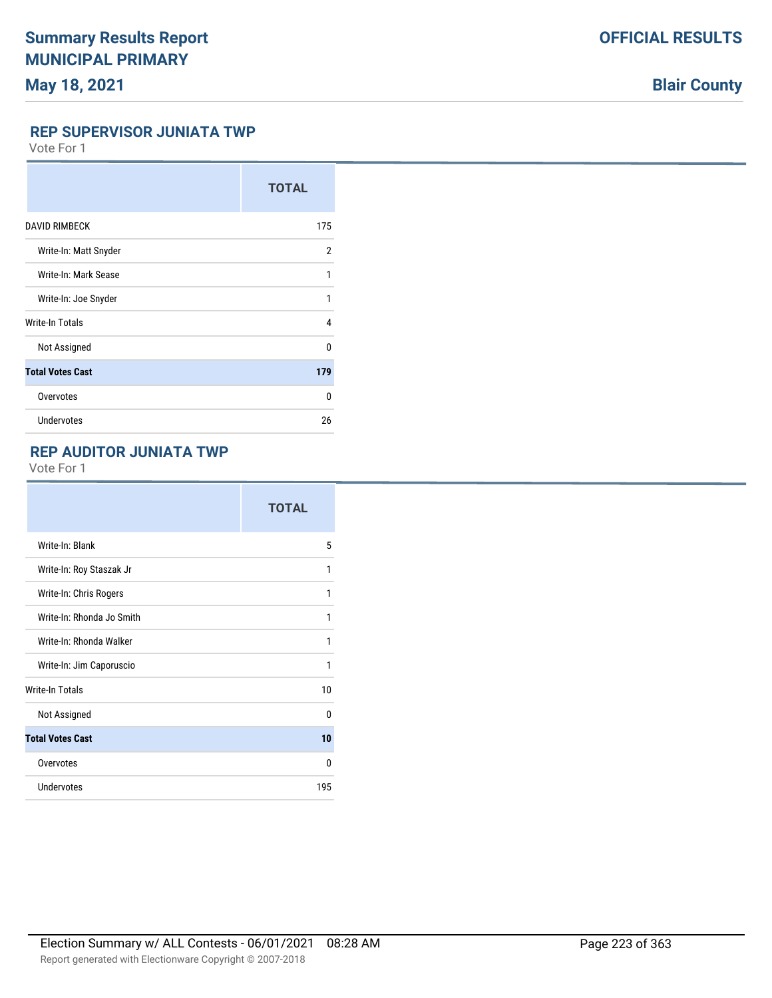# **Blair County**

#### **REP SUPERVISOR JUNIATA TWP**

Vote For 1

|                         | <b>TOTAL</b> |
|-------------------------|--------------|
| <b>DAVID RIMBECK</b>    | 175          |
| Write-In: Matt Snyder   | 2            |
| Write-In: Mark Sease    | 1            |
| Write-In: Joe Snyder    | 1            |
| Write-In Totals         | 4            |
| Not Assigned            | $\Omega$     |
| <b>Total Votes Cast</b> | 179          |
| Overvotes               | 0            |
| Undervotes              | 26           |

## **REP AUDITOR JUNIATA TWP**

|                           | <b>TOTAL</b> |
|---------------------------|--------------|
| Write-In: Blank           | 5            |
| Write-In: Roy Staszak Jr  | 1            |
| Write-In: Chris Rogers    | 1            |
| Write-In: Rhonda Jo Smith | 1            |
| Write-In: Rhonda Walker   | 1            |
| Write-In: Jim Caporuscio  | 1            |
| <b>Write-In Totals</b>    | 10           |
| Not Assigned              | $\Omega$     |
| <b>Total Votes Cast</b>   | 10           |
| Overvotes                 | $\Omega$     |
| <b>Undervotes</b>         | 195          |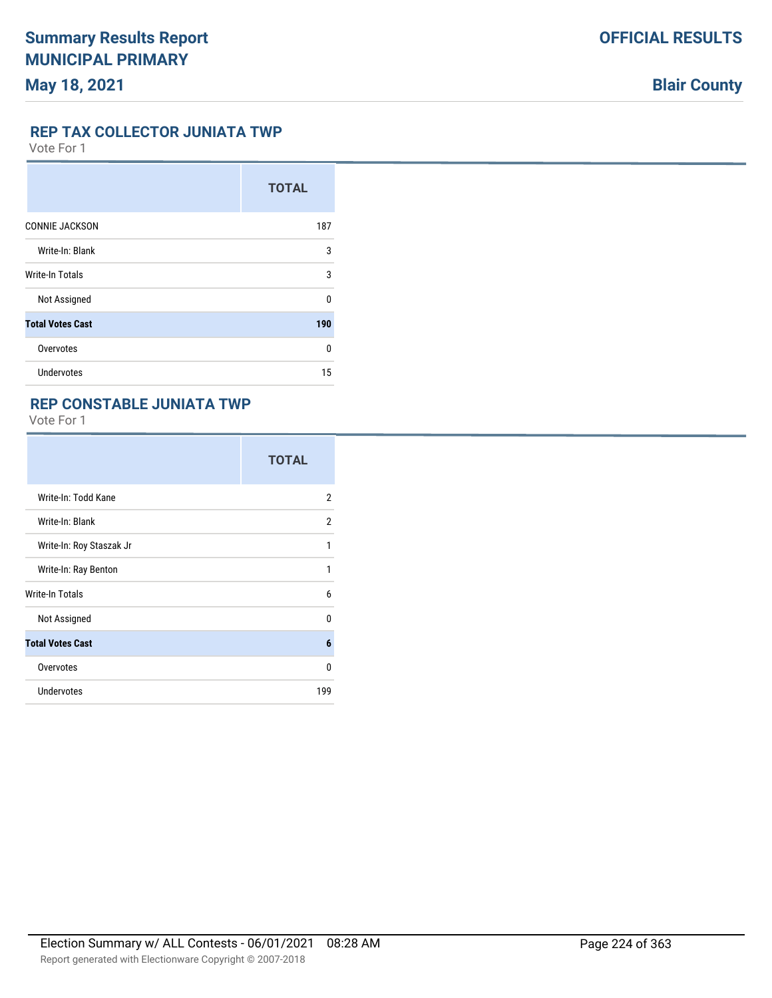#### **REP TAX COLLECTOR JUNIATA TWP**

Vote For 1

|                         | <b>TOTAL</b> |
|-------------------------|--------------|
| <b>CONNIE JACKSON</b>   | 187          |
| Write-In: Blank         | 3            |
| Write-In Totals         | 3            |
| Not Assigned            | $\Omega$     |
| <b>Total Votes Cast</b> | 190          |
| Overvotes               | n            |
| <b>Undervotes</b>       | 15           |

## **REP CONSTABLE JUNIATA TWP**

|                          | <b>TOTAL</b>   |
|--------------------------|----------------|
| Write-In: Todd Kane      | $\overline{2}$ |
| Write-In: Blank          | 2              |
| Write-In: Roy Staszak Jr | 1              |
| Write-In: Ray Benton     | 1              |
| Write-In Totals          | 6              |
| Not Assigned             | $\mathbf{0}$   |
| <b>Total Votes Cast</b>  | 6              |
| Overvotes                | $\Omega$       |
| <b>Undervotes</b>        | 199            |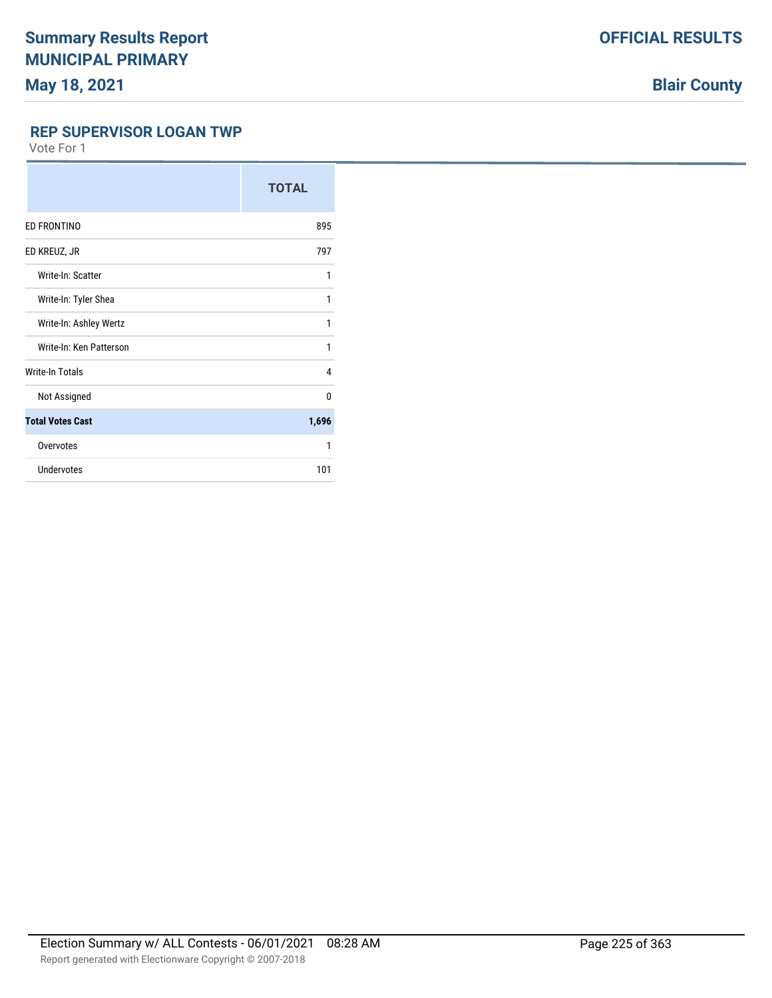# **Blair County**

### **REP SUPERVISOR LOGAN TWP**

| <b>TOTAL</b> |
|--------------|
| 895          |
| 797          |
| 1            |
| 1            |
| 1            |
| 1            |
| 4            |
| $\Omega$     |
| 1,696        |
| 1            |
| 101          |
|              |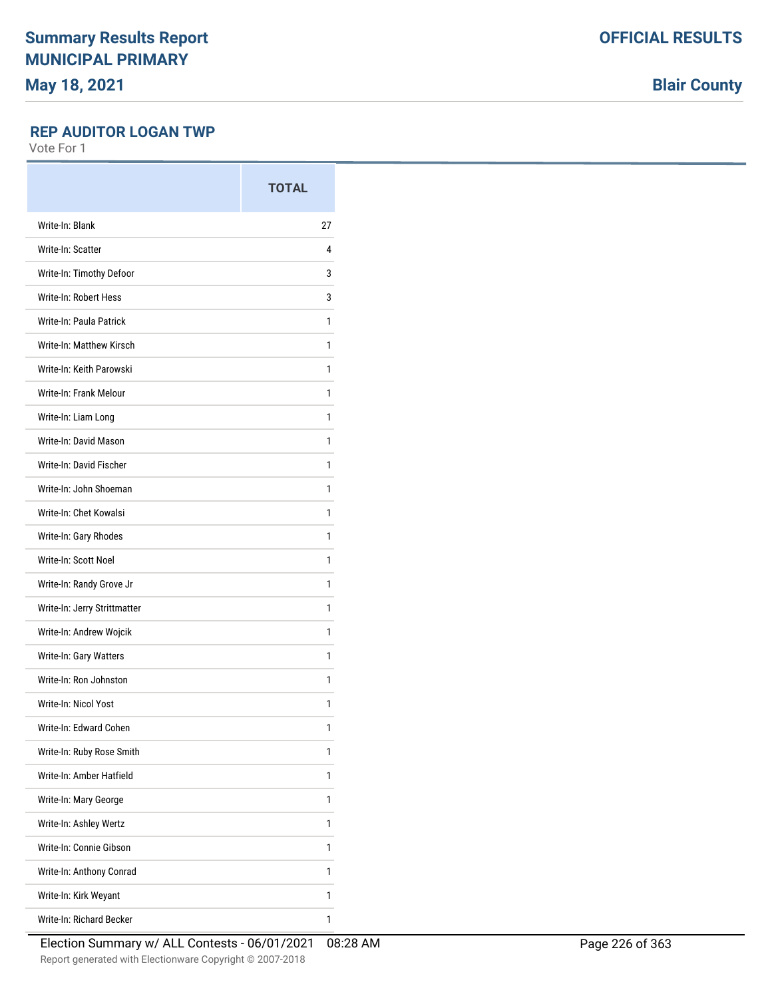**Blair County**

### **REP AUDITOR LOGAN TWP**

|                              | <b>TOTAL</b> |
|------------------------------|--------------|
| Write-In: Blank              | 27           |
| Write-In: Scatter            | 4            |
| Write-In: Timothy Defoor     | 3            |
| Write-In: Robert Hess        | 3            |
| Write-In: Paula Patrick      | 1            |
| Write-In: Matthew Kirsch     | 1            |
| Write-In: Keith Parowski     | 1            |
| Write-In: Frank Melour       | 1            |
| Write-In: Liam Long          | 1            |
| Write-In: David Mason        | 1            |
| Write-In: David Fischer      | 1            |
| Write-In: John Shoeman       | 1            |
| Write-In: Chet Kowalsi       | 1            |
| Write-In: Gary Rhodes        | 1            |
| Write-In: Scott Noel         | 1            |
| Write-In: Randy Grove Jr     | 1            |
| Write-In: Jerry Strittmatter | 1            |
| Write-In: Andrew Wojcik      | 1            |
| Write-In: Gary Watters       | 1            |
| Write-In: Ron Johnston       | 1            |
| Write-In: Nicol Yost         | 1            |
| Write-In: Edward Cohen       | 1            |
| Write-In: Ruby Rose Smith    | 1            |
| Write-In: Amber Hatfield     | 1            |
| Write-In: Mary George        | 1            |
| Write-In: Ashley Wertz       | 1            |
| Write-In: Connie Gibson      | 1            |
| Write-In: Anthony Conrad     | 1            |
| Write-In: Kirk Weyant        | 1            |
| Write-In: Richard Becker     | 1            |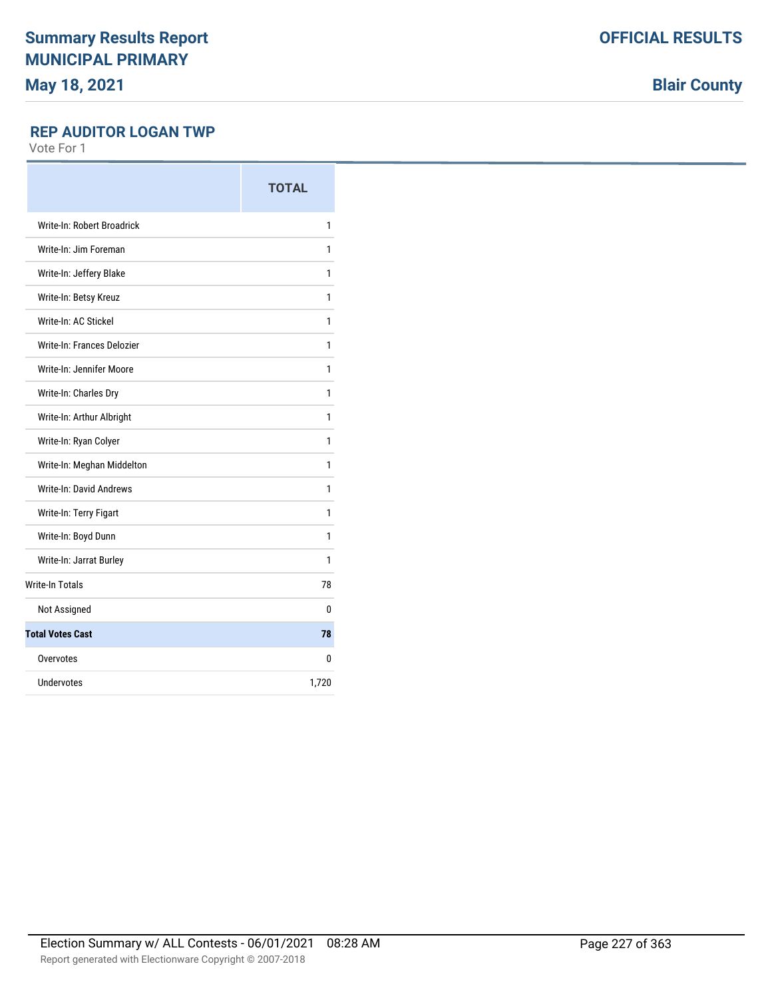**Blair County**

### **REP AUDITOR LOGAN TWP**

|                                | <b>TOTAL</b> |
|--------------------------------|--------------|
| Write-In: Robert Broadrick     | 1            |
| Write-In: Jim Foreman          | 1            |
| Write-In: Jeffery Blake        | 1            |
| Write-In: Betsy Kreuz          | 1            |
| Write-In: AC Stickel           | 1            |
| Write-In: Frances Delozier     | 1            |
| Write-In: Jennifer Moore       | 1            |
| Write-In: Charles Dry          | 1            |
| Write-In: Arthur Albright      | 1            |
| Write-In: Ryan Colyer          | 1            |
| Write-In: Meghan Middelton     | 1            |
| <b>Write-In: David Andrews</b> | 1            |
| Write-In: Terry Figart         | 1            |
| Write-In: Boyd Dunn            | 1            |
| Write-In: Jarrat Burley        | 1            |
| <b>Write-In Totals</b>         | 78           |
| Not Assigned                   | 0            |
| <b>Total Votes Cast</b>        | 78           |
| Overvotes                      | 0            |
| <b>Undervotes</b>              | 1,720        |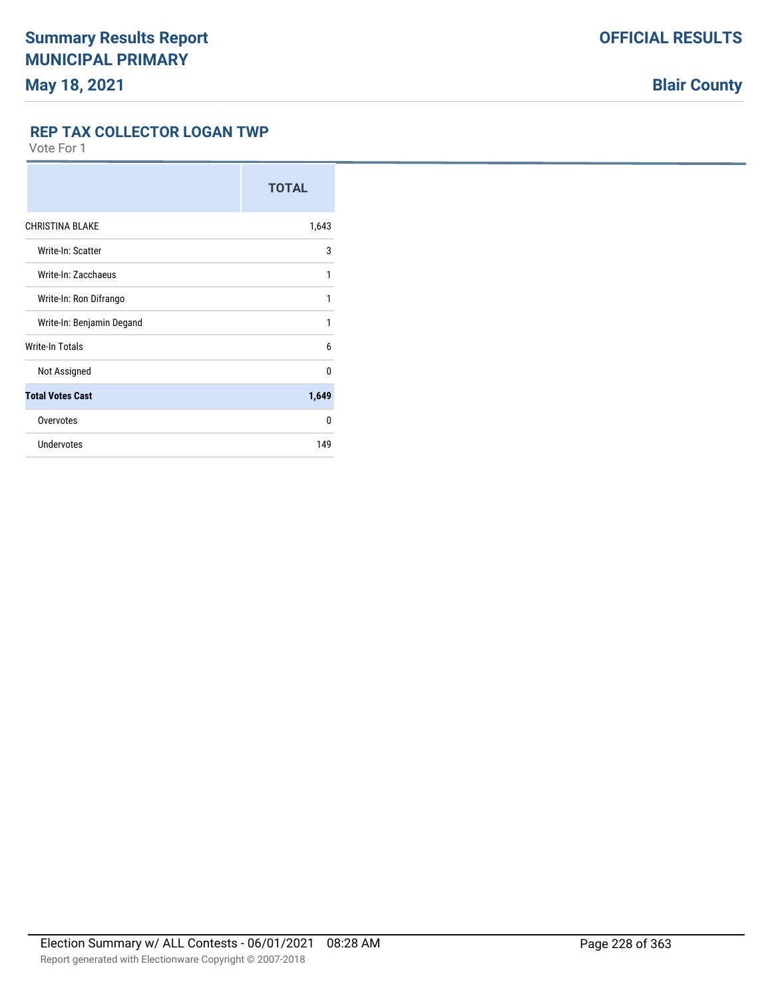**REP TAX COLLECTOR LOGAN TWP**

|                           | <b>TOTAL</b> |
|---------------------------|--------------|
| <b>CHRISTINA BLAKE</b>    | 1,643        |
| Write-In: Scatter         | 3            |
| Write-In: Zacchaeus       | 1            |
| Write-In: Ron Difrango    | 1            |
| Write-In: Benjamin Degand | 1            |
| Write-In Totals           | 6            |
| Not Assigned              | $\Omega$     |
| <b>Total Votes Cast</b>   | 1,649        |
| Overvotes                 | 0            |
| <b>Undervotes</b>         | 149          |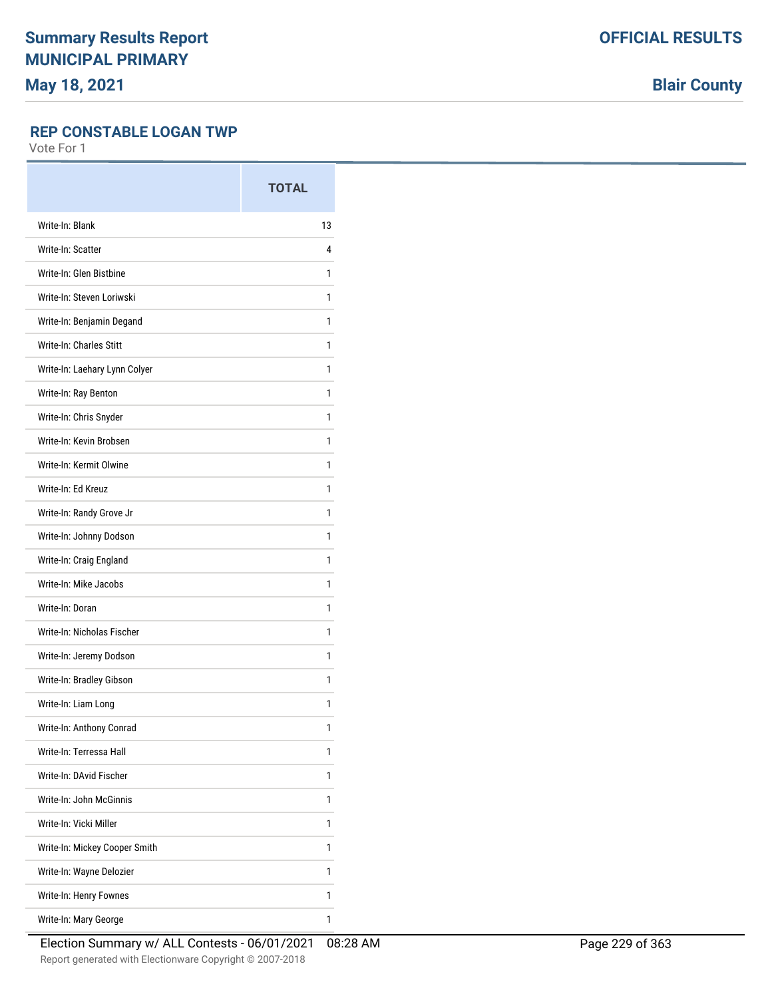**Blair County**

### **REP CONSTABLE LOGAN TWP**

|                               | <b>TOTAL</b> |
|-------------------------------|--------------|
| Write-In: Blank               | 13           |
| Write-In: Scatter             | 4            |
| Write-In: Glen Bistbine       | 1            |
| Write-In: Steven Loriwski     | 1            |
| Write-In: Benjamin Degand     | 1            |
| Write-In: Charles Stitt       | 1            |
| Write-In: Laehary Lynn Colyer | 1            |
| Write-In: Ray Benton          | 1            |
| Write-In: Chris Snyder        | 1            |
| Write-In: Kevin Brobsen       | 1            |
| Write-In: Kermit Olwine       | 1            |
| Write-In: Ed Kreuz            | 1            |
| Write-In: Randy Grove Jr      | 1            |
| Write-In: Johnny Dodson       | 1            |
| Write-In: Craig England       | 1            |
| Write-In: Mike Jacobs         | 1            |
| Write-In: Doran               | 1            |
| Write-In: Nicholas Fischer    | 1            |
| Write-In: Jeremy Dodson       | 1            |
| Write-In: Bradley Gibson      | 1            |
| Write-In: Liam Long           | 1            |
| Write-In: Anthony Conrad      | 1            |
| Write-In: Terressa Hall       | 1            |
| Write-In: DAvid Fischer       | 1            |
| Write-In: John McGinnis       | 1            |
| Write-In: Vicki Miller        | 1            |
| Write-In: Mickey Cooper Smith | 1            |
| Write-In: Wayne Delozier      | 1            |
| Write-In: Henry Fownes        | 1            |
| Write-In: Mary George         | 1            |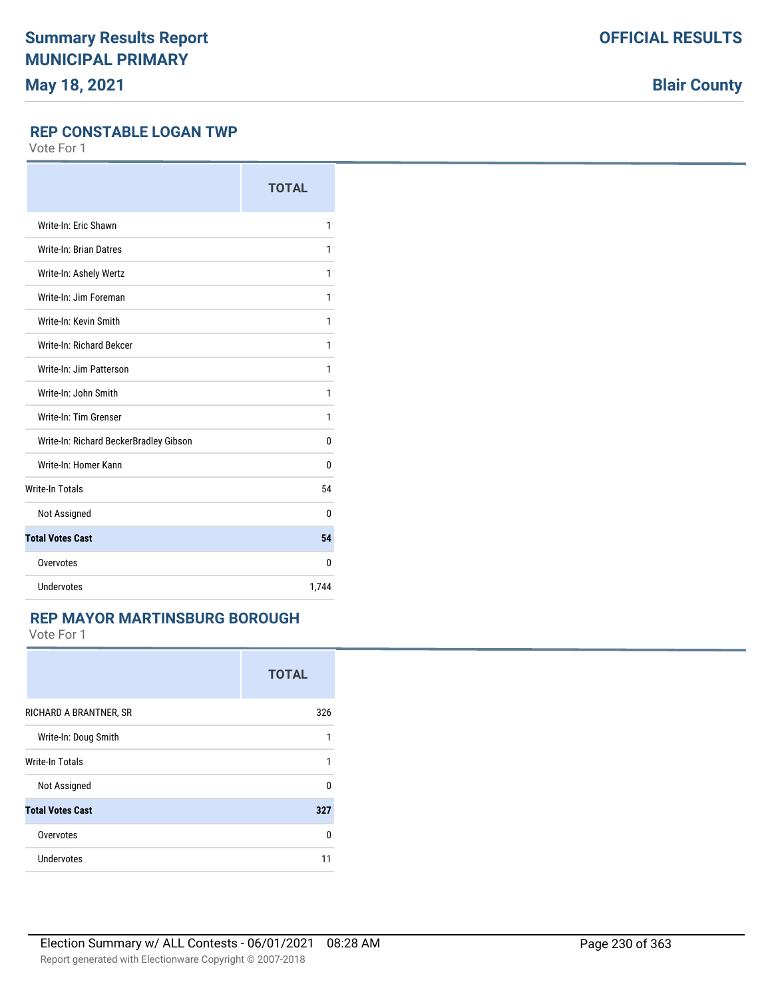**Blair County**

### **REP CONSTABLE LOGAN TWP**

Vote For 1

|                                        | <b>TOTAL</b> |
|----------------------------------------|--------------|
| Write-In: Eric Shawn                   | 1            |
| <b>Write-In: Brian Datres</b>          | 1            |
| Write-In: Ashely Wertz                 | 1            |
| Write-In: Jim Foreman                  | 1            |
| Write-In: Kevin Smith                  | 1            |
| Write-In: Richard Bekcer               | 1            |
| Write-In: Jim Patterson                | 1            |
| Write-In: John Smith                   | 1            |
| Write-In: Tim Grenser                  | 1            |
| Write-In: Richard BeckerBradley Gibson | 0            |
| Write-In: Homer Kann                   | 0            |
| <b>Write-In Totals</b>                 | 54           |
| Not Assigned                           | $\Omega$     |
| <b>Total Votes Cast</b>                | 54           |
| Overvotes                              | $\Omega$     |
| Undervotes                             | 1,744        |

### **REP MAYOR MARTINSBURG BOROUGH**

| <b>TOTAL</b> |
|--------------|
| 326          |
| 1            |
| 1            |
| $\Omega$     |
| 327          |
| 0            |
| 11           |
|              |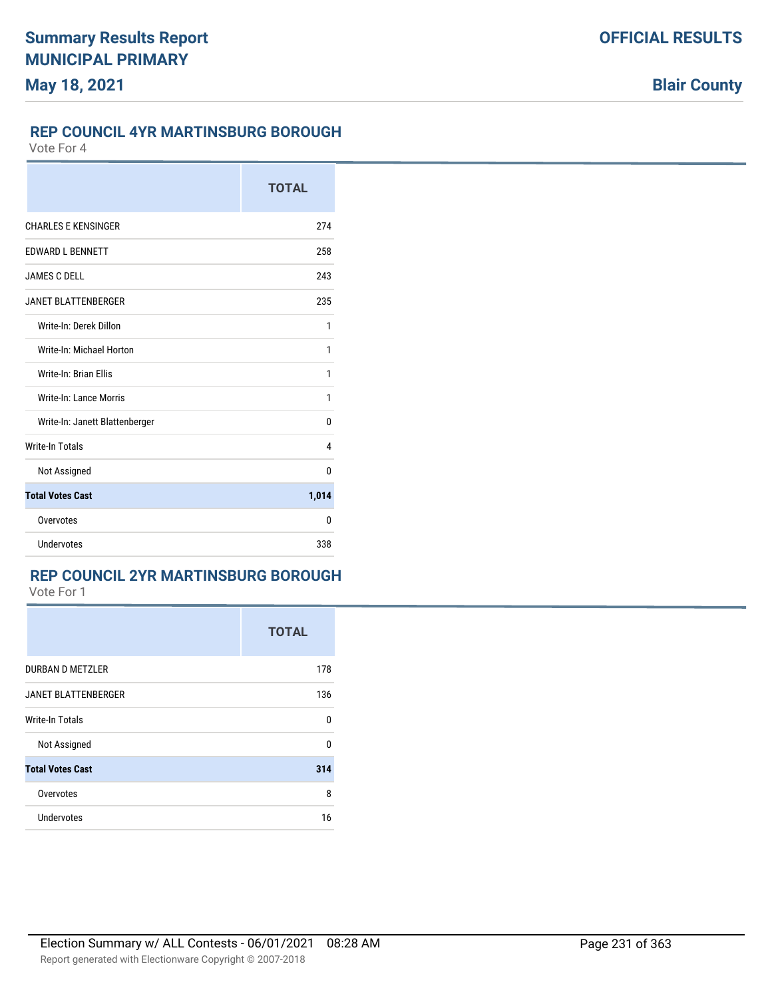### **REP COUNCIL 4YR MARTINSBURG BOROUGH**

Vote For 4

|                                | <b>TOTAL</b> |
|--------------------------------|--------------|
| <b>CHARLES E KENSINGER</b>     | 274          |
| <b>EDWARD L BENNETT</b>        | 258          |
| <b>JAMES C DELL</b>            | 243          |
| <b>JANET BLATTENBERGER</b>     | 235          |
| Write-In: Derek Dillon         | 1            |
| Write-In: Michael Horton       | 1            |
| Write-In: Brian Ellis          | 1            |
| Write-In: Lance Morris         | 1            |
| Write-In: Janett Blattenberger | 0            |
| <b>Write-In Totals</b>         | 4            |
| Not Assigned                   | 0            |
| <b>Total Votes Cast</b>        | 1,014        |
| Overvotes                      | $\Omega$     |
| Undervotes                     | 338          |

## **REP COUNCIL 2YR MARTINSBURG BOROUGH**

|                            | <b>TOTAL</b> |
|----------------------------|--------------|
| DURBAN D METZLER           | 178          |
| <b>JANET BLATTENBERGER</b> | 136          |
| <b>Write-In Totals</b>     | 0            |
| Not Assigned               | 0            |
| <b>Total Votes Cast</b>    | 314          |
| Overvotes                  | 8            |
| <b>Undervotes</b>          | 16           |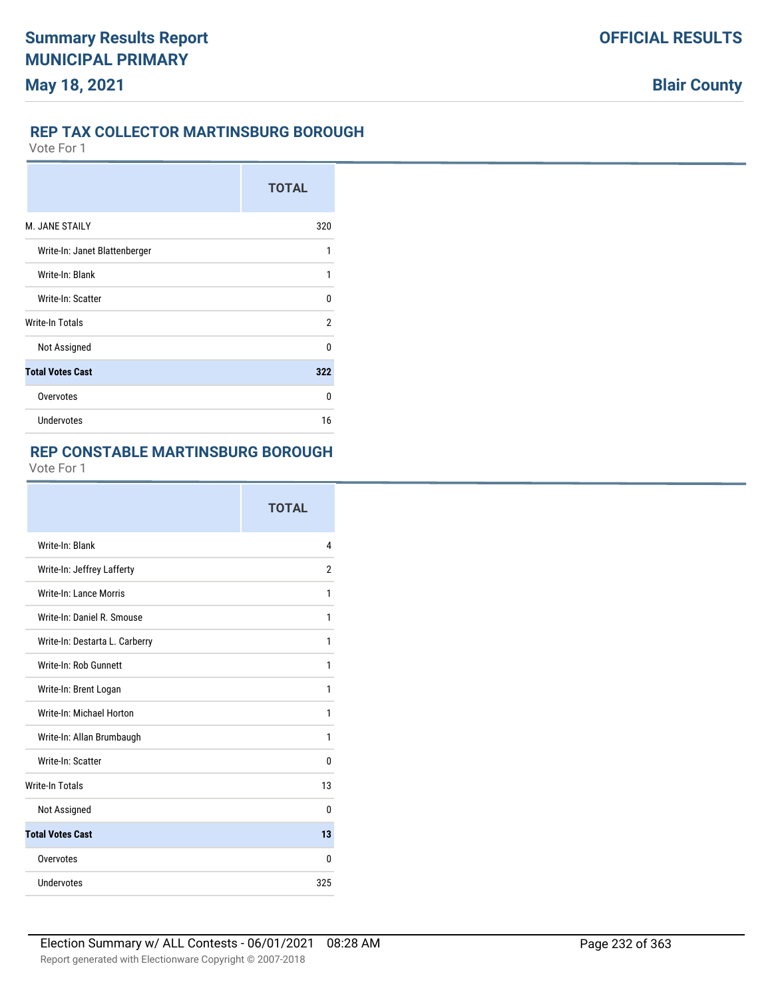## **REP TAX COLLECTOR MARTINSBURG BOROUGH**

Vote For 1

|                               | <b>TOTAL</b> |
|-------------------------------|--------------|
| M. JANE STAILY                | 320          |
| Write-In: Janet Blattenberger | 1            |
| Write-In: Blank               | 1            |
| Write-In: Scatter             | U            |
| <b>Write-In Totals</b>        | 2            |
| Not Assigned                  | $\Omega$     |
| <b>Total Votes Cast</b>       | 322          |
| Overvotes                     | U            |
| Undervotes                    | 16           |

# **REP CONSTABLE MARTINSBURG BOROUGH**

|                                | <b>TOTAL</b> |
|--------------------------------|--------------|
| Write-In: Blank                | 4            |
| Write-In: Jeffrey Lafferty     | 2            |
| Write-In: Lance Morris         | 1            |
| Write-In: Daniel R. Smouse     | 1            |
| Write-In: Destarta L. Carberry | 1            |
| Write-In: Rob Gunnett          | 1            |
| Write-In: Brent Logan          | 1            |
| Write-In: Michael Horton       | 1            |
| Write-In: Allan Brumbaugh      | 1            |
| Write-In: Scatter              | 0            |
| <b>Write-In Totals</b>         | 13           |
| Not Assigned                   | 0            |
| <b>Total Votes Cast</b>        | 13           |
| Overvotes                      | 0            |
| Undervotes                     | 325          |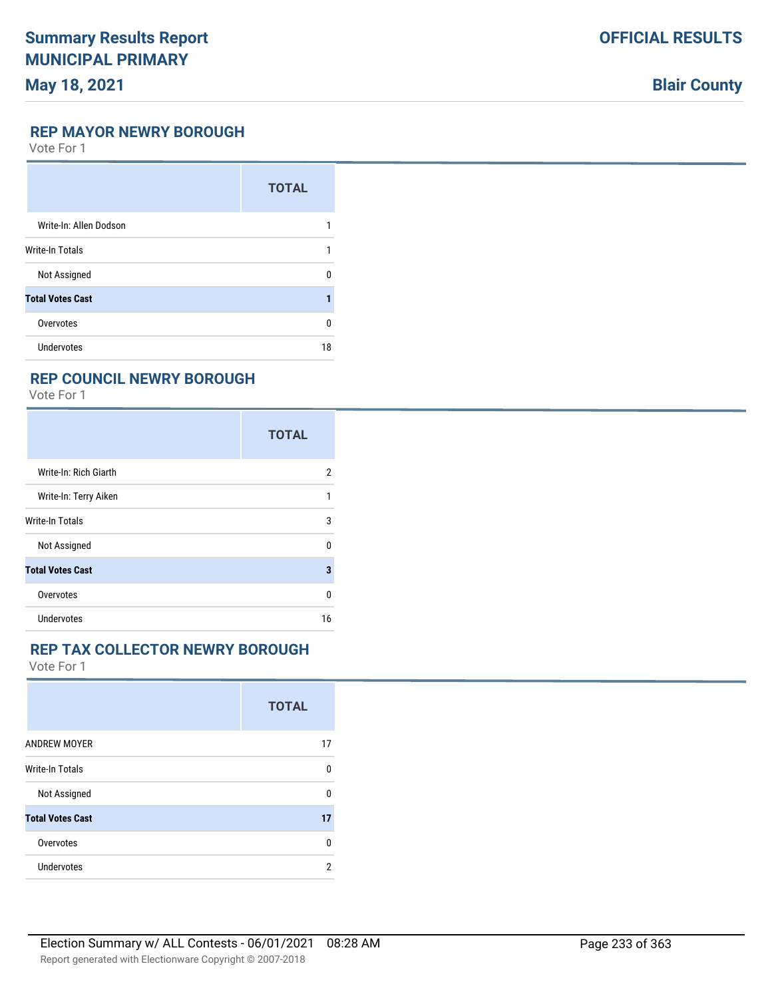# **Blair County**

### **REP MAYOR NEWRY BOROUGH**

Vote For 1

|                         | <b>TOTAL</b> |
|-------------------------|--------------|
| Write-In: Allen Dodson  |              |
| <b>Write-In Totals</b>  |              |
| Not Assigned            | n            |
| <b>Total Votes Cast</b> |              |
| Overvotes               | U            |
| <b>Undervotes</b>       | 18           |

### **REP COUNCIL NEWRY BOROUGH**

Vote For 1

|                         | <b>TOTAL</b> |
|-------------------------|--------------|
| Write-In: Rich Giarth   | 2            |
| Write-In: Terry Aiken   | 1            |
| <b>Write-In Totals</b>  | 3            |
| Not Assigned            | 0            |
| <b>Total Votes Cast</b> | 3            |
| Overvotes               | 0            |
| Undervotes              | 16           |

### **REP TAX COLLECTOR NEWRY BOROUGH**

|                         | <b>TOTAL</b> |
|-------------------------|--------------|
| <b>ANDREW MOYER</b>     | 17           |
| <b>Write-In Totals</b>  | 0            |
| Not Assigned            | U            |
| <b>Total Votes Cast</b> | 17           |
| Overvotes               | n            |
| Undervotes              | 2            |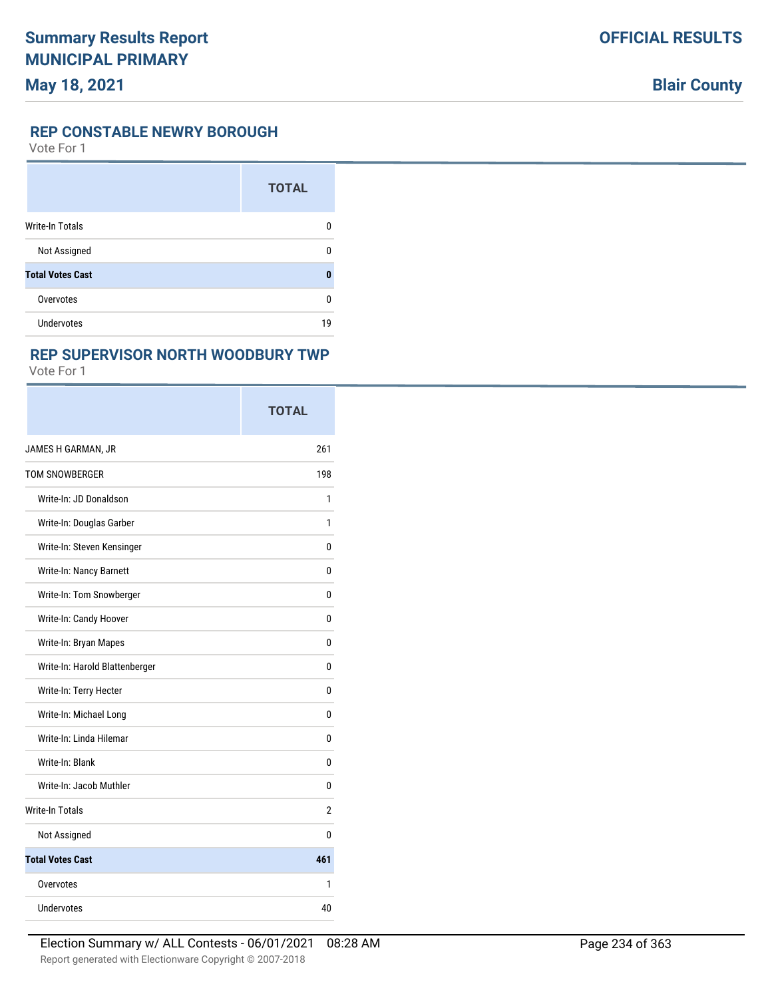### **REP CONSTABLE NEWRY BOROUGH**

Vote For 1

|                         | <b>TOTAL</b> |
|-------------------------|--------------|
| <b>Write-In Totals</b>  | 0            |
| Not Assigned            | ŋ            |
| <b>Total Votes Cast</b> | ٥            |
| Overvotes               | 0            |
| <b>Undervotes</b>       | 19           |

## **REP SUPERVISOR NORTH WOODBURY TWP**

|                                | <b>TOTAL</b> |
|--------------------------------|--------------|
| JAMES H GARMAN, JR             | 261          |
| <b>TOM SNOWBERGER</b>          | 198          |
| Write-In: JD Donaldson         | 1            |
| Write-In: Douglas Garber       | 1            |
| Write-In: Steven Kensinger     | 0            |
| Write-In: Nancy Barnett        | 0            |
| Write-In: Tom Snowberger       | 0            |
| Write-In: Candy Hoover         | 0            |
| Write-In: Bryan Mapes          | 0            |
| Write-In: Harold Blattenberger | 0            |
| Write-In: Terry Hecter         | 0            |
| Write-In: Michael Long         | 0            |
| Write-In: Linda Hilemar        | 0            |
| Write-In: Blank                | 0            |
| Write-In: Jacob Muthler        | 0            |
| Write-In Totals                | 2            |
| Not Assigned                   | 0            |
| <b>Total Votes Cast</b>        | 461          |
| Overvotes                      | 1            |
| Undervotes                     | 40           |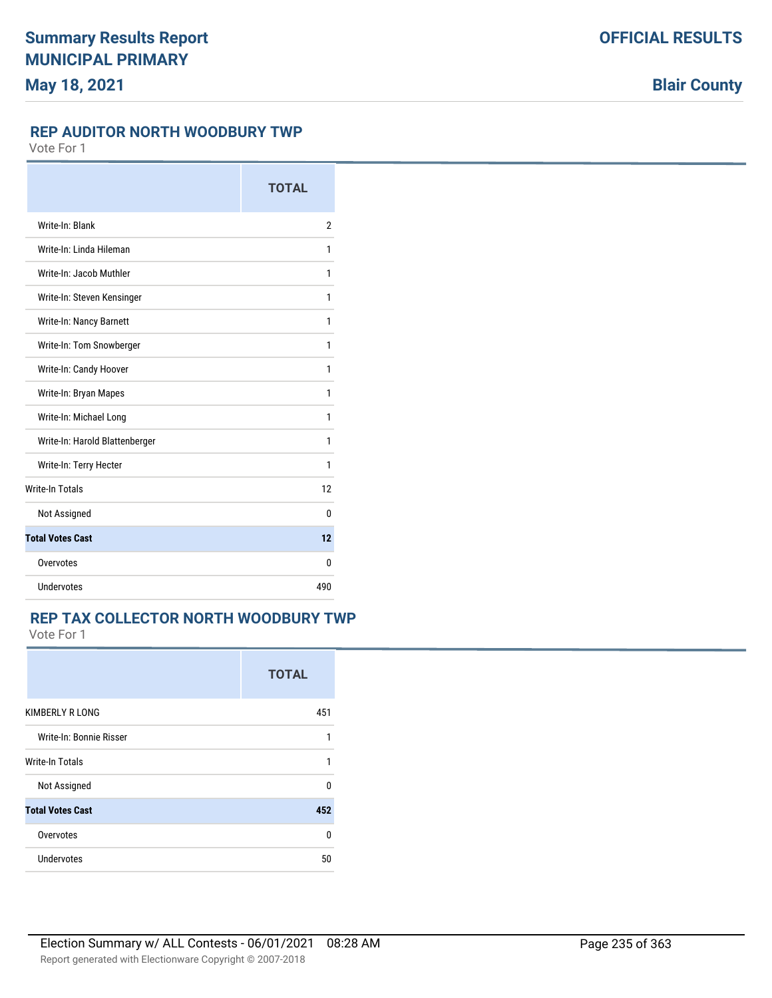### **REP AUDITOR NORTH WOODBURY TWP**

Vote For 1

|                                | <b>TOTAL</b>   |
|--------------------------------|----------------|
| Write-In: Blank                | $\overline{2}$ |
| Write-In: Linda Hileman        | 1              |
| Write-In: Jacob Muthler        | 1              |
| Write-In: Steven Kensinger     | 1              |
| Write-In: Nancy Barnett        | 1              |
| Write-In: Tom Snowberger       | 1              |
| Write-In: Candy Hoover         | 1              |
| Write-In: Bryan Mapes          | 1              |
| Write-In: Michael Long         | 1              |
| Write-In: Harold Blattenberger | 1              |
| Write-In: Terry Hecter         | 1              |
| <b>Write-In Totals</b>         | 12             |
| Not Assigned                   | 0              |
| <b>Total Votes Cast</b>        | 12             |
| Overvotes                      | 0              |
| Undervotes                     | 490            |

# **REP TAX COLLECTOR NORTH WOODBURY TWP**

|                         | <b>TOTAL</b> |
|-------------------------|--------------|
| KIMBERLY R LONG         | 451          |
| Write-In: Bonnie Risser | 1            |
| <b>Write-In Totals</b>  | 1            |
| Not Assigned            | U            |
| <b>Total Votes Cast</b> | 452          |
| Overvotes               | n            |
| Undervotes              | 50           |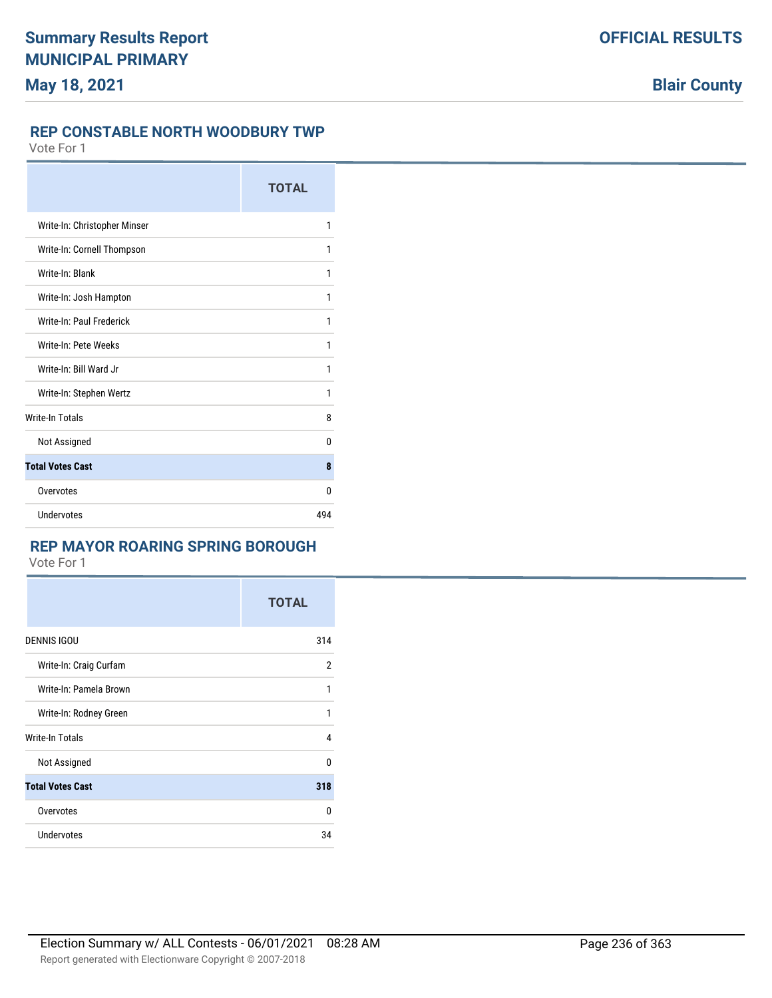### **REP CONSTABLE NORTH WOODBURY TWP**

Vote For 1

|                              | <b>TOTAL</b> |
|------------------------------|--------------|
| Write-In: Christopher Minser | 1            |
| Write-In: Cornell Thompson   | 1            |
| Write-In: Blank              | 1            |
| Write-In: Josh Hampton       | 1            |
| Write-In: Paul Frederick     | 1            |
| Write-In: Pete Weeks         | 1            |
| Write-In: Bill Ward Jr       | 1            |
| Write-In: Stephen Wertz      | 1            |
| <b>Write-In Totals</b>       | 8            |
| Not Assigned                 | 0            |
| <b>Total Votes Cast</b>      | 8            |
| Overvotes                    | 0            |
| <b>Undervotes</b>            | 494          |

### **REP MAYOR ROARING SPRING BOROUGH**

|                         | <b>TOTAL</b> |
|-------------------------|--------------|
| <b>DENNIS IGOU</b>      | 314          |
| Write-In: Craig Curfam  | 2            |
| Write-In: Pamela Brown  | 1            |
| Write-In: Rodney Green  | 1            |
| <b>Write-In Totals</b>  | 4            |
| Not Assigned            | $\Omega$     |
| <b>Total Votes Cast</b> | 318          |
| Overvotes               | 0            |
| <b>Undervotes</b>       | 34           |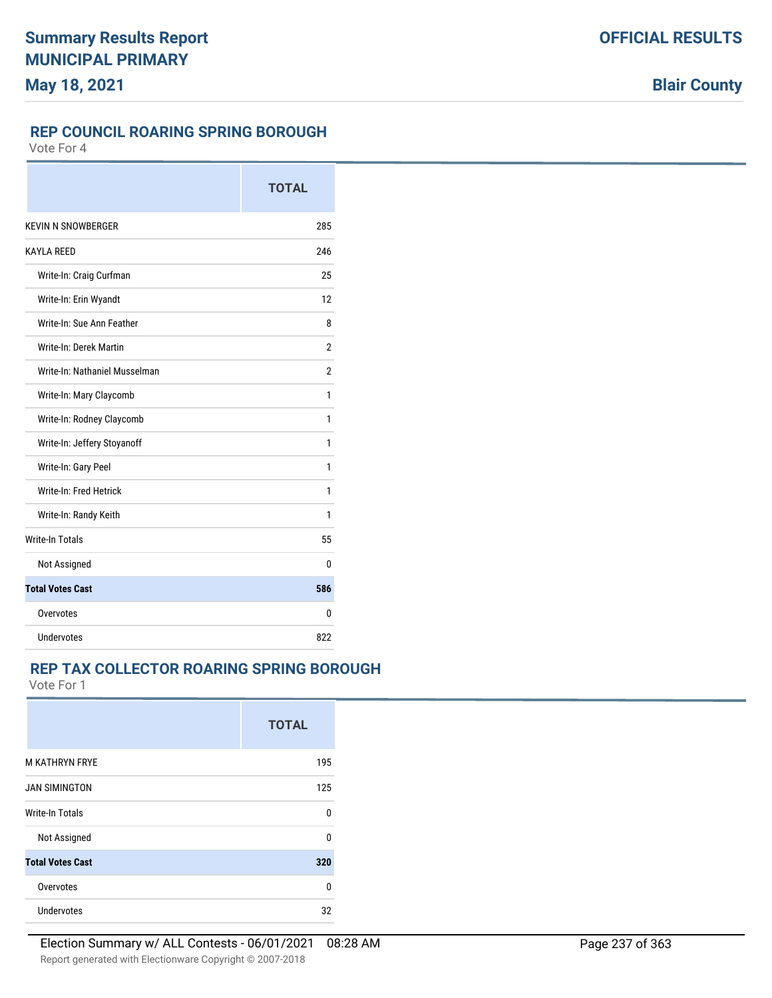### **REP COUNCIL ROARING SPRING BOROUGH**

Vote For 4

|                               | <b>TOTAL</b>   |
|-------------------------------|----------------|
| <b>KEVIN N SNOWBERGER</b>     | 285            |
| <b>KAYLA REED</b>             | 246            |
| Write-In: Craig Curfman       | 25             |
| Write-In: Erin Wyandt         | 12             |
| Write-In: Sue Ann Feather     | 8              |
| Write-In: Derek Martin        | $\overline{2}$ |
| Write-In: Nathaniel Musselman | $\overline{2}$ |
| Write-In: Mary Claycomb       | 1              |
| Write-In: Rodney Claycomb     | 1              |
| Write-In: Jeffery Stoyanoff   | 1              |
| Write-In: Gary Peel           | 1              |
| Write-In: Fred Hetrick        | 1              |
| Write-In: Randy Keith         | 1              |
| <b>Write-In Totals</b>        | 55             |
| Not Assigned                  | 0              |
| <b>Total Votes Cast</b>       | 586            |
| Overvotes                     | 0              |
| Undervotes                    | 822            |

## **REP TAX COLLECTOR ROARING SPRING BOROUGH**

|                         | <b>TOTAL</b> |
|-------------------------|--------------|
| <b>M KATHRYN FRYE</b>   | 195          |
| <b>JAN SIMINGTON</b>    | 125          |
| <b>Write-In Totals</b>  | 0            |
| Not Assigned            | U            |
| <b>Total Votes Cast</b> | 320          |
| Overvotes               | 0            |
| Undervotes              | 32           |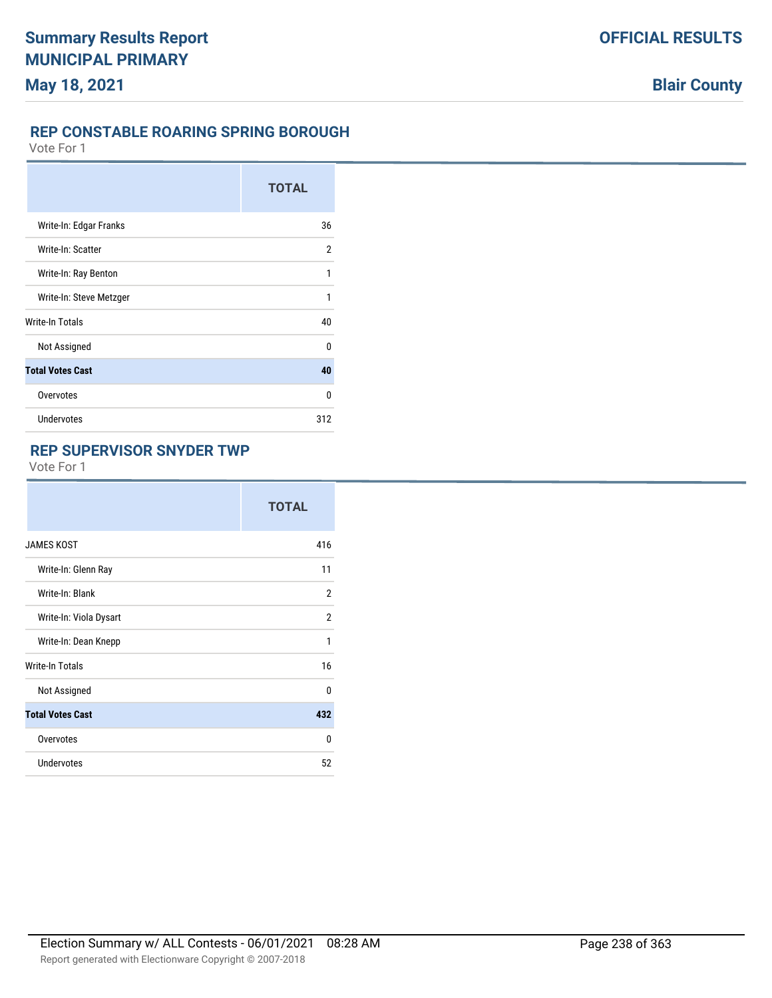## **REP CONSTABLE ROARING SPRING BOROUGH**

Vote For 1

|                         | <b>TOTAL</b>   |
|-------------------------|----------------|
| Write-In: Edgar Franks  | 36             |
| Write-In: Scatter       | $\overline{2}$ |
| Write-In: Ray Benton    | 1              |
| Write-In: Steve Metzger | 1              |
| <b>Write-In Totals</b>  | 40             |
| Not Assigned            | $\Omega$       |
| <b>Total Votes Cast</b> | 40             |
| Overvotes               | 0              |
| Undervotes              | 312            |

## **REP SUPERVISOR SNYDER TWP**

|                         | <b>TOTAL</b> |
|-------------------------|--------------|
| <b>JAMES KOST</b>       | 416          |
| Write-In: Glenn Ray     | 11           |
| Write-In: Blank         | 2            |
| Write-In: Viola Dysart  | 2            |
| Write-In: Dean Knepp    | 1            |
| <b>Write-In Totals</b>  | 16           |
| Not Assigned            | 0            |
| <b>Total Votes Cast</b> | 432          |
| Overvotes               | 0            |
| <b>Undervotes</b>       | 52           |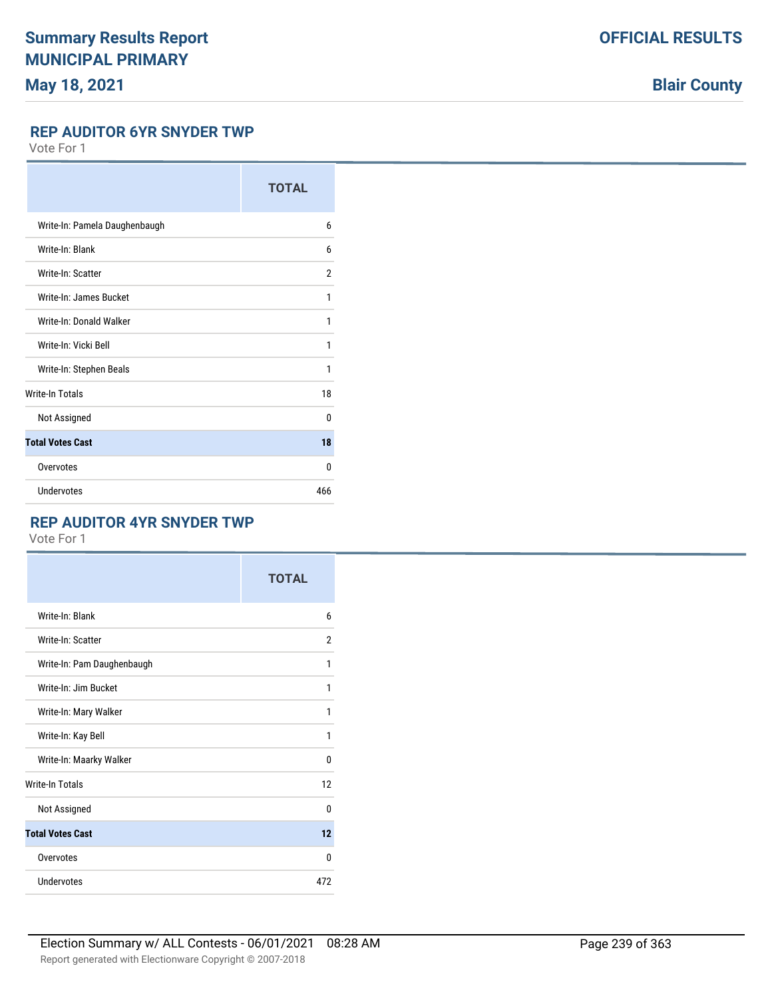# **Blair County**

#### **REP AUDITOR 6YR SNYDER TWP**

Vote For 1

|                               | <b>TOTAL</b> |
|-------------------------------|--------------|
| Write-In: Pamela Daughenbaugh | 6            |
| Write-In: Blank               | 6            |
| Write-In: Scatter             | 2            |
| Write-In: James Bucket        | 1            |
| Write-In: Donald Walker       | 1            |
| Write-In: Vicki Bell          | 1            |
| Write-In: Stephen Beals       | 1            |
| <b>Write-In Totals</b>        | 18           |
| Not Assigned                  | $\Omega$     |
| <b>Total Votes Cast</b>       | 18           |
| Overvotes                     | 0            |
| Undervotes                    | 466          |

### **REP AUDITOR 4YR SNYDER TWP**

|                            | <b>TOTAL</b>   |
|----------------------------|----------------|
| Write-In: Blank            | 6              |
| Write-In: Scatter          | $\overline{2}$ |
| Write-In: Pam Daughenbaugh | 1              |
| Write-In: Jim Bucket       | 1              |
| Write-In: Mary Walker      | 1              |
| Write-In: Kay Bell         | 1              |
| Write-In: Maarky Walker    | 0              |
| <b>Write-In Totals</b>     | 12             |
| Not Assigned               | $\Omega$       |
| <b>Total Votes Cast</b>    | 12             |
| Overvotes                  | 0              |
| Undervotes                 | 472            |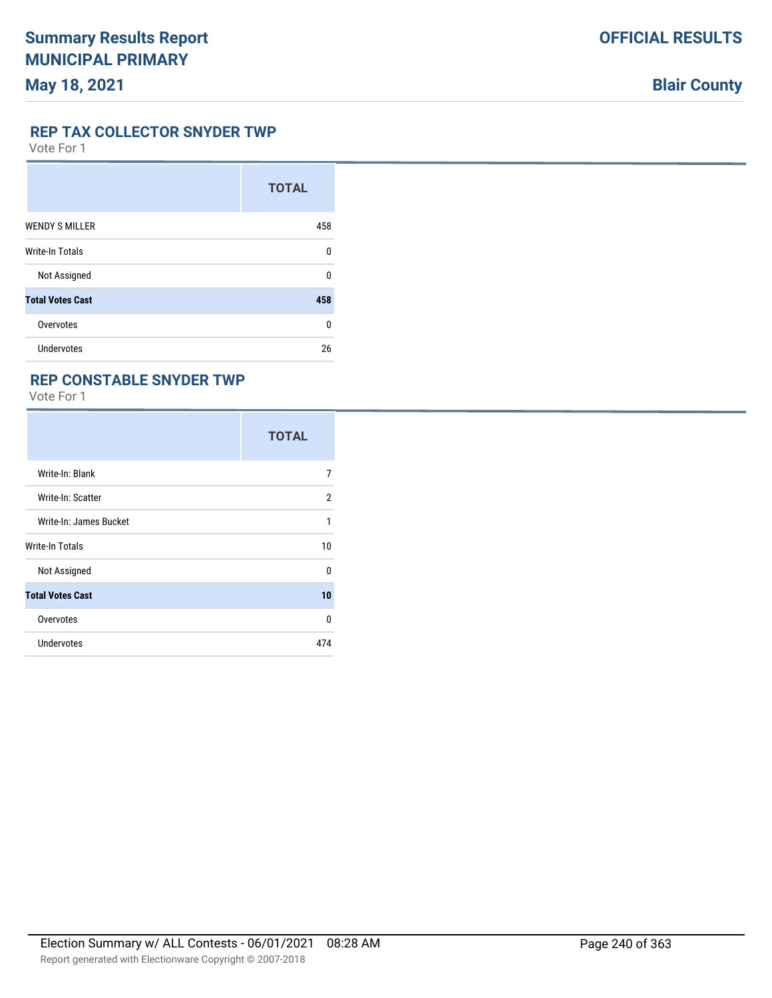#### **REP TAX COLLECTOR SNYDER TWP**

Vote For 1

|                         | <b>TOTAL</b> |
|-------------------------|--------------|
| <b>WENDY S MILLER</b>   | 458          |
| <b>Write-In Totals</b>  | U            |
| Not Assigned            | U            |
| <b>Total Votes Cast</b> | 458          |
| Overvotes               | U            |
| Undervotes              | 26           |

### **REP CONSTABLE SNYDER TWP**

|                         | <b>TOTAL</b> |
|-------------------------|--------------|
| Write-In: Blank         | 7            |
| Write-In: Scatter       | 2            |
| Write-In: James Bucket  | 1            |
| Write-In Totals         | 10           |
| Not Assigned            | $\Omega$     |
| <b>Total Votes Cast</b> | 10           |
| Overvotes               | 0            |
| <b>Undervotes</b>       | 474          |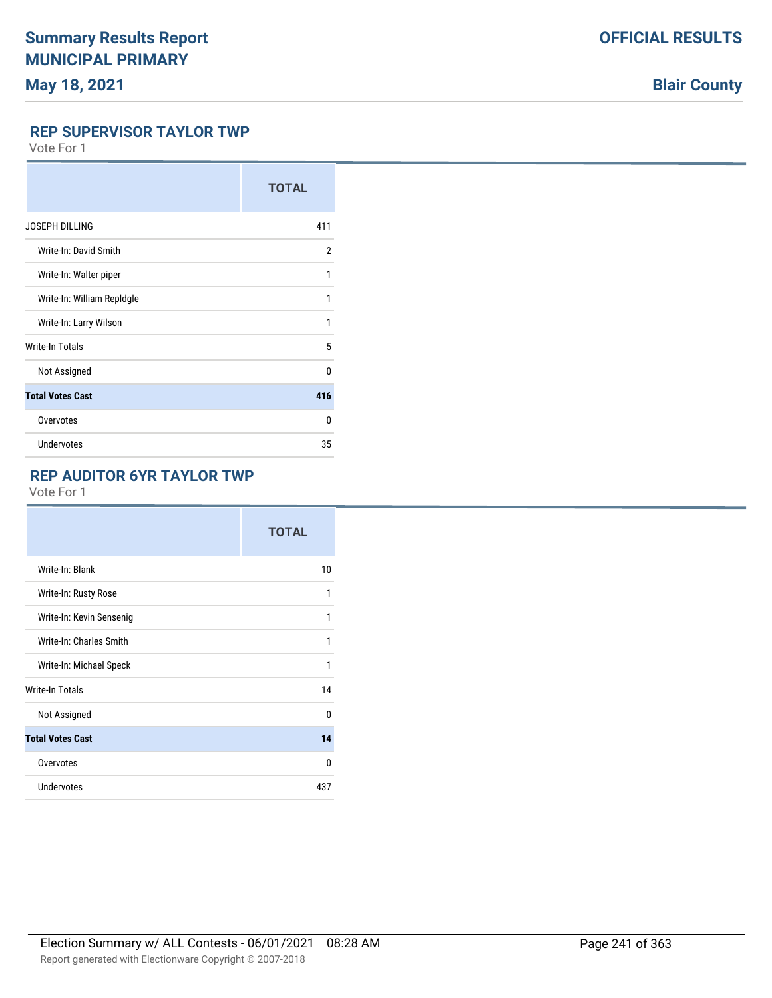# **Blair County**

### **REP SUPERVISOR TAYLOR TWP**

Vote For 1

|                            | <b>TOTAL</b> |
|----------------------------|--------------|
| <b>JOSEPH DILLING</b>      | 411          |
| Write-In: David Smith      | 2            |
| Write-In: Walter piper     | 1            |
| Write-In: William Repldgle | 1            |
| Write-In: Larry Wilson     | 1            |
| <b>Write-In Totals</b>     | 5            |
| Not Assigned               | U            |
| <b>Total Votes Cast</b>    | 416          |
| Overvotes                  | U            |
| <b>Undervotes</b>          | 35           |

## **REP AUDITOR 6YR TAYLOR TWP**

|                          | <b>TOTAL</b> |
|--------------------------|--------------|
| Write-In: Blank          | 10           |
| Write-In: Rusty Rose     | 1            |
| Write-In: Kevin Sensenig | 1            |
| Write-In: Charles Smith  | 1            |
| Write-In: Michael Speck  | 1            |
| <b>Write-In Totals</b>   | 14           |
| Not Assigned             | 0            |
| <b>Total Votes Cast</b>  | 14           |
| Overvotes                | $\Omega$     |
| <b>Undervotes</b>        | 437          |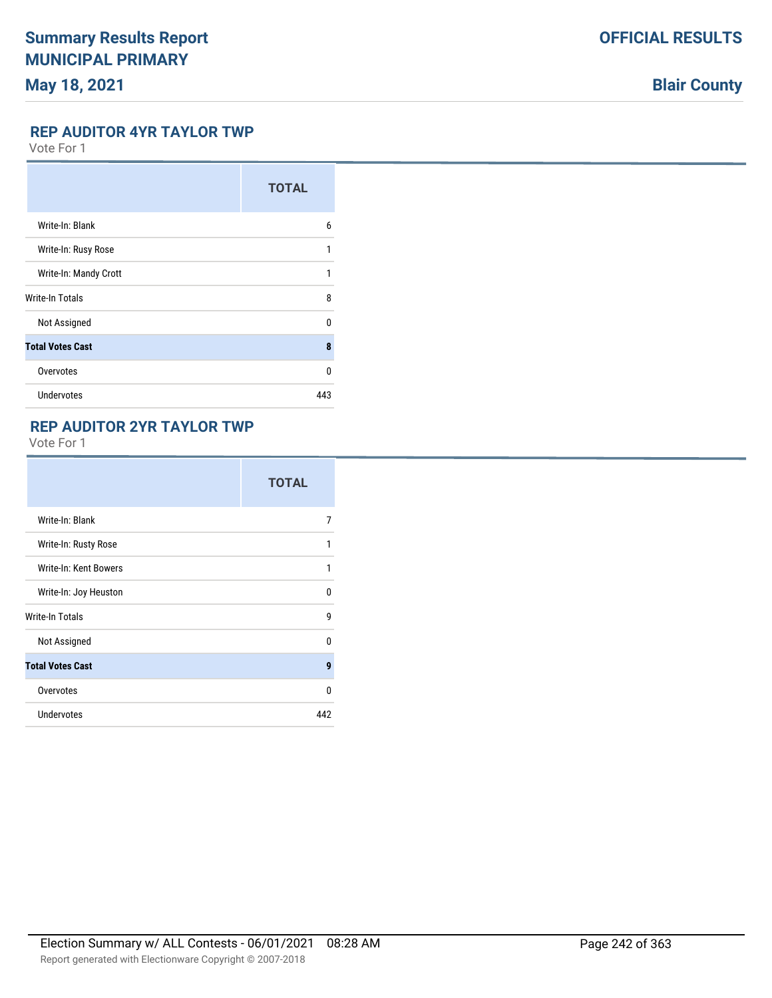# **Blair County**

### **REP AUDITOR 4YR TAYLOR TWP**

Vote For 1

|                         | <b>TOTAL</b> |
|-------------------------|--------------|
| Write-In: Blank         | 6            |
| Write-In: Rusy Rose     | 1            |
| Write-In: Mandy Crott   | 1            |
| Write-In Totals         | 8            |
| Not Assigned            | 0            |
| <b>Total Votes Cast</b> | 8            |
| Overvotes               | U            |
| <b>Undervotes</b>       | 443          |

## **REP AUDITOR 2YR TAYLOR TWP**

|                         | <b>TOTAL</b> |
|-------------------------|--------------|
| Write-In: Blank         | 7            |
| Write-In: Rusty Rose    | 1            |
| Write-In: Kent Bowers   | 1            |
| Write-In: Joy Heuston   | 0            |
| <b>Write-In Totals</b>  | 9            |
| Not Assigned            | 0            |
| <b>Total Votes Cast</b> | 9            |
| Overvotes               | 0            |
| <b>Undervotes</b>       | 442          |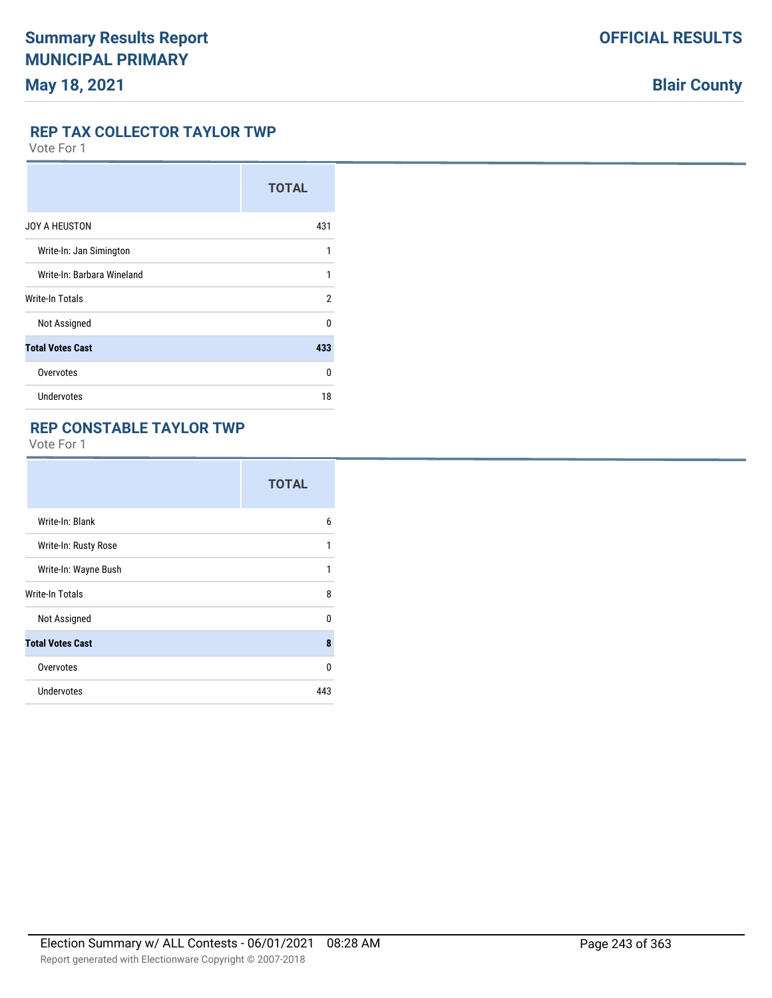#### **REP TAX COLLECTOR TAYLOR TWP**

Vote For 1

|                            | <b>TOTAL</b> |
|----------------------------|--------------|
| JOY A HEUSTON              | 431          |
| Write-In: Jan Simington    | 1            |
| Write-In: Barbara Wineland | 1            |
| Write-In Totals            | 2            |
| Not Assigned               | 0            |
| <b>Total Votes Cast</b>    | 433          |
| Overvotes                  | U            |
| <b>Undervotes</b>          | 18           |

## **REP CONSTABLE TAYLOR TWP**

|                         | <b>TOTAL</b> |
|-------------------------|--------------|
| Write-In: Blank         | 6            |
| Write-In: Rusty Rose    | 1            |
| Write-In: Wayne Bush    | 1            |
| Write-In Totals         | 8            |
| Not Assigned            | $\Omega$     |
| <b>Total Votes Cast</b> | 8            |
| Overvotes               | $\Omega$     |
| <b>Undervotes</b>       | 443          |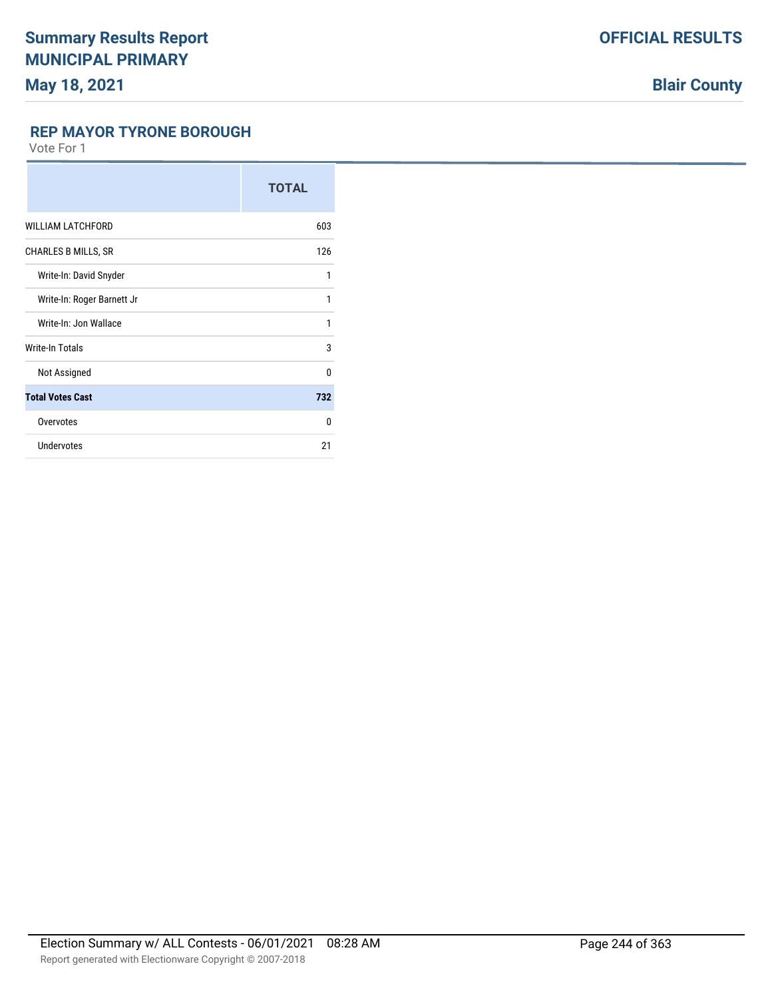### **REP MAYOR TYRONE BOROUGH**

|                            | <b>TOTAL</b> |
|----------------------------|--------------|
| <b>WILLIAM LATCHFORD</b>   | 603          |
| <b>CHARLES B MILLS, SR</b> | 126          |
| Write-In: David Snyder     | 1            |
| Write-In: Roger Barnett Jr | 1            |
| Write-In: Jon Wallace      | 1            |
| Write-In Totals            | 3            |
| Not Assigned               | $\Omega$     |
| <b>Total Votes Cast</b>    | 732          |
| Overvotes                  | $\Omega$     |
| <b>Undervotes</b>          | 21           |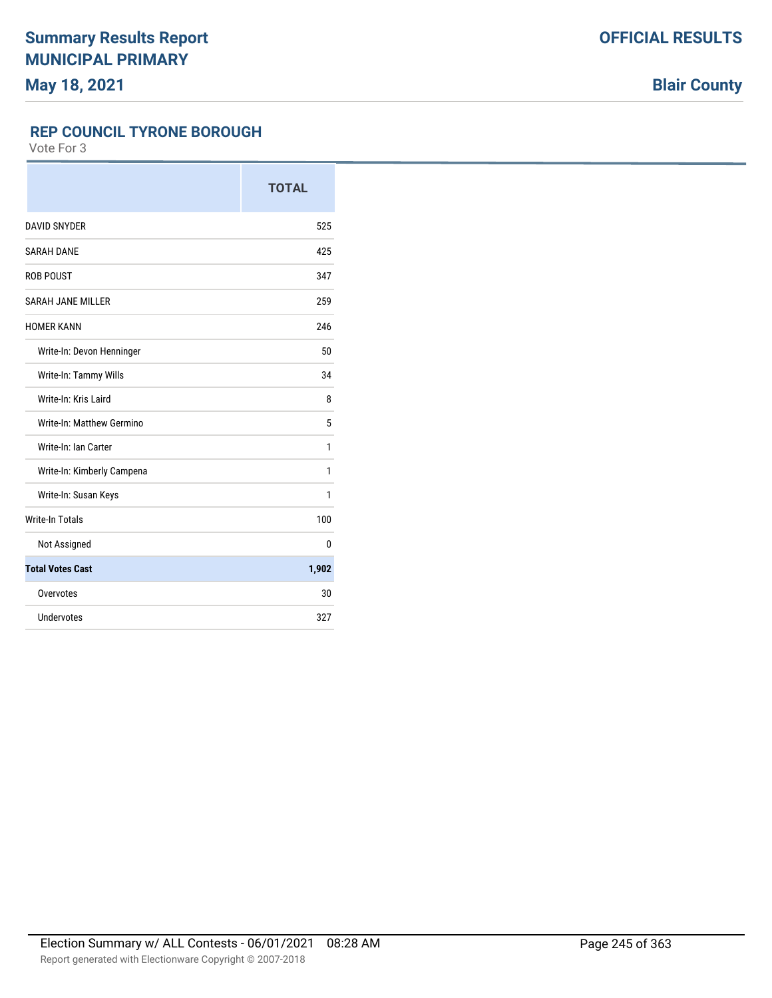**Blair County**

### **REP COUNCIL TYRONE BOROUGH**

|                            | <b>TOTAL</b> |
|----------------------------|--------------|
| <b>DAVID SNYDER</b>        | 525          |
| <b>SARAH DANE</b>          | 425          |
| <b>ROB POUST</b>           | 347          |
| <b>SARAH JANE MILLER</b>   | 259          |
| <b>HOMER KANN</b>          | 246          |
| Write-In: Devon Henninger  | 50           |
| Write-In: Tammy Wills      | 34           |
| Write-In: Kris Laird       | 8            |
| Write-In: Matthew Germino  | 5            |
| Write-In: Ian Carter       | 1            |
| Write-In: Kimberly Campena | 1            |
| Write-In: Susan Keys       | 1            |
| <b>Write-In Totals</b>     | 100          |
| Not Assigned               | 0            |
| <b>Total Votes Cast</b>    | 1,902        |
| Overvotes                  | 30           |
| Undervotes                 | 327          |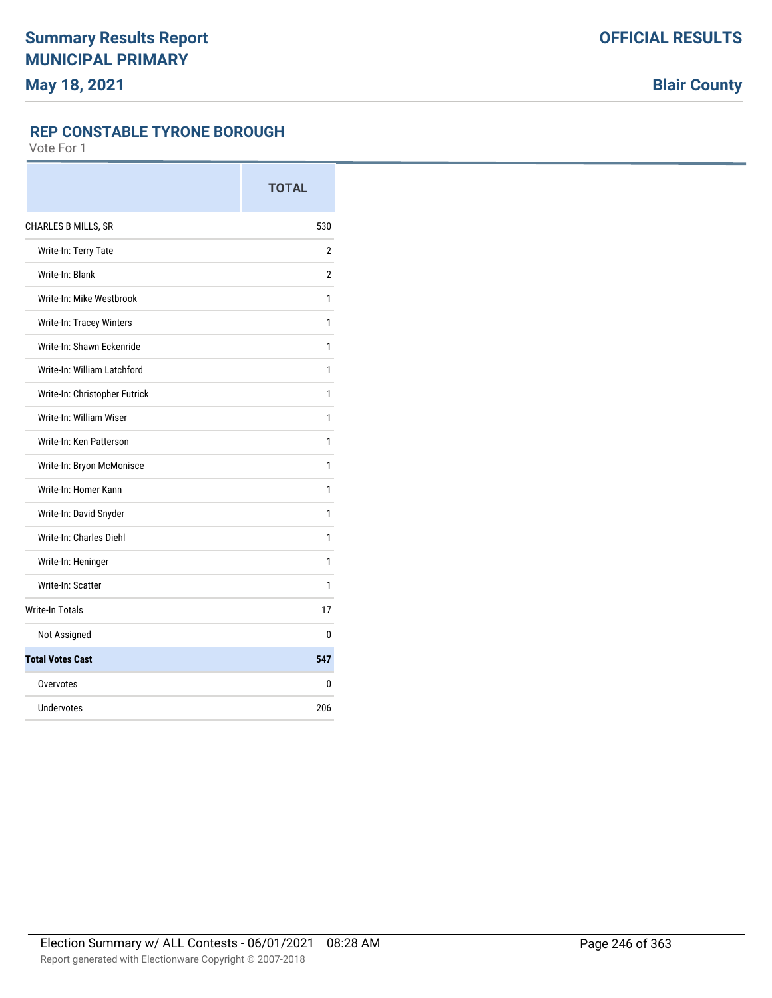### **REP CONSTABLE TYRONE BOROUGH**

|                               | <b>TOTAL</b>   |
|-------------------------------|----------------|
| <b>CHARLES B MILLS, SR</b>    | 530            |
| Write-In: Terry Tate          | 2              |
| Write-In: Blank               | $\overline{2}$ |
| Write-In: Mike Westbrook      | 1              |
| Write-In: Tracey Winters      | 1              |
| Write-In: Shawn Eckenride     | 1              |
| Write-In: William Latchford   | 1              |
| Write-In: Christopher Futrick | 1              |
| Write-In: William Wiser       | 1              |
| Write-In: Ken Patterson       | 1              |
| Write-In: Bryon McMonisce     | 1              |
| Write-In: Homer Kann          | 1              |
| Write-In: David Snyder        | 1              |
| Write-In: Charles Diehl       | 1              |
| Write-In: Heninger            | 1              |
| Write-In: Scatter             | 1              |
| <b>Write-In Totals</b>        | 17             |
| Not Assigned                  | 0              |
| <b>Total Votes Cast</b>       | 547            |
| Overvotes                     | 0              |
| Undervotes                    | 206            |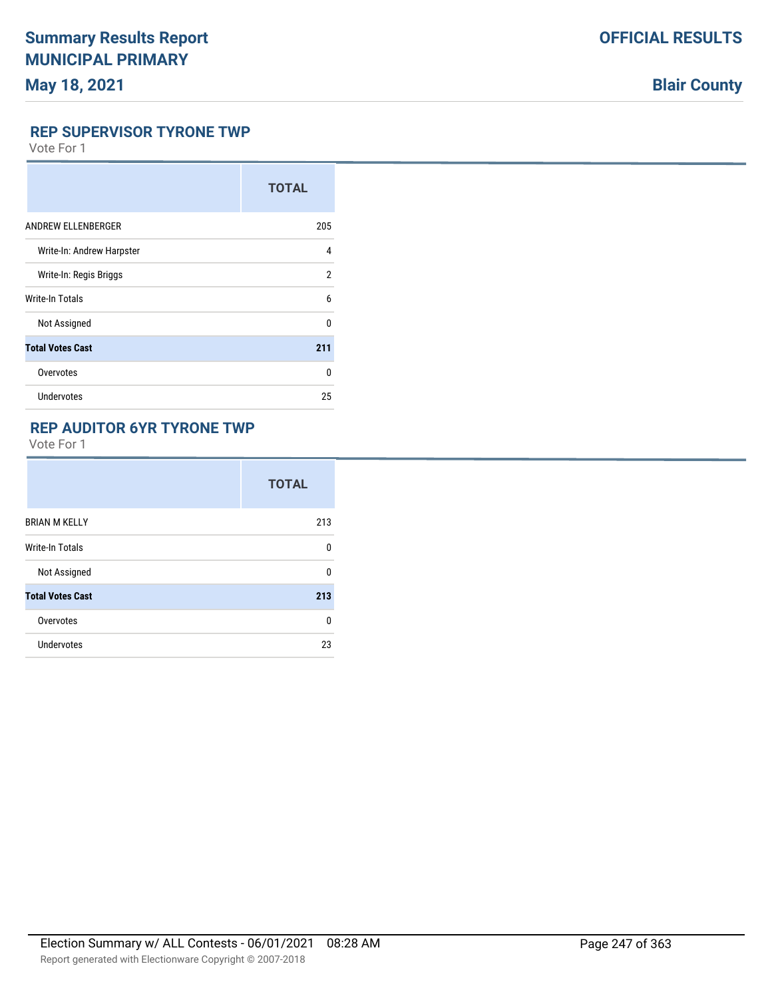# **Blair County**

#### **REP SUPERVISOR TYRONE TWP**

Vote For 1

|                           | <b>TOTAL</b>   |
|---------------------------|----------------|
| ANDREW ELLENBERGER        | 205            |
| Write-In: Andrew Harpster | 4              |
| Write-In: Regis Briggs    | $\overline{2}$ |
| <b>Write-In Totals</b>    | 6              |
| Not Assigned              | 0              |
| <b>Total Votes Cast</b>   | 211            |
| Overvotes                 | <sup>0</sup>   |
| Undervotes                | 25             |

## **REP AUDITOR 6YR TYRONE TWP**

|                         | <b>TOTAL</b> |
|-------------------------|--------------|
| <b>BRIAN M KELLY</b>    | 213          |
| Write-In Totals         | U            |
| Not Assigned            | U            |
| <b>Total Votes Cast</b> | 213          |
| Overvotes               | U            |
| Undervotes              | 23           |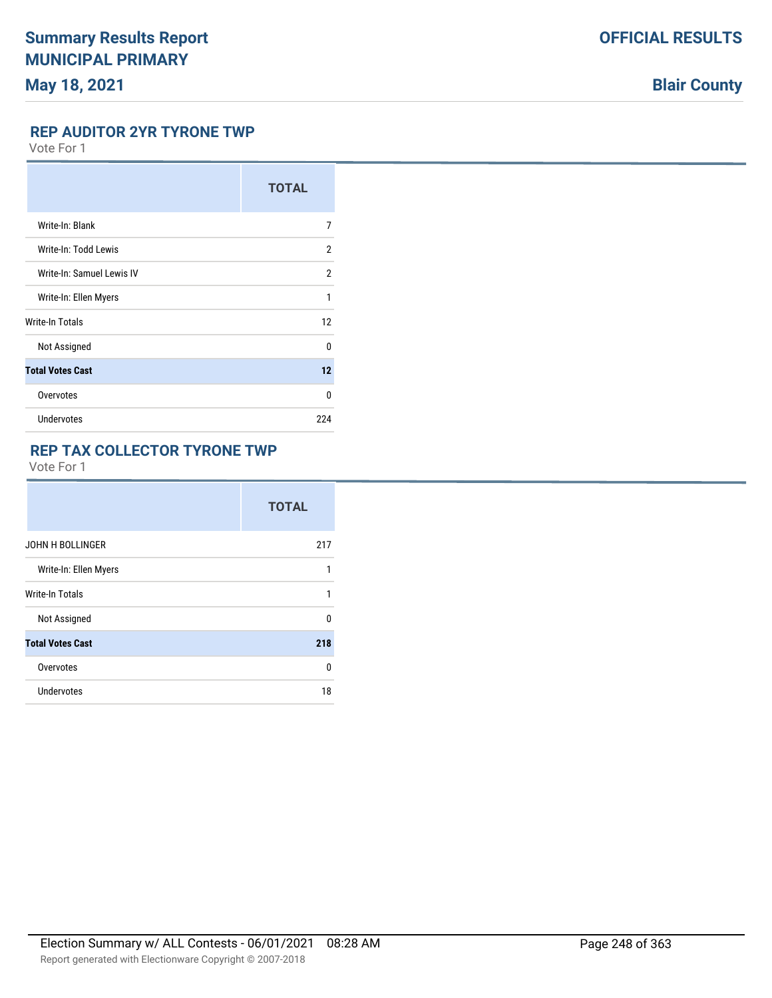# **Blair County**

### **REP AUDITOR 2YR TYRONE TWP**

Vote For 1

|                           | <b>TOTAL</b>   |
|---------------------------|----------------|
| Write-In: Blank           | 7              |
| Write-In: Todd Lewis      | $\overline{2}$ |
| Write-In: Samuel Lewis IV | $\overline{2}$ |
| Write-In: Ellen Myers     | 1              |
| Write-In Totals           | 12             |
| Not Assigned              | $\mathbf{0}$   |
| <b>Total Votes Cast</b>   | 12             |
| Overvotes                 | 0              |
| Undervotes                | 224            |

### **REP TAX COLLECTOR TYRONE TWP**

|                         | <b>TOTAL</b> |
|-------------------------|--------------|
| <b>JOHN H BOLLINGER</b> | 217          |
| Write-In: Ellen Myers   | 1            |
| <b>Write-In Totals</b>  | 1            |
| Not Assigned            | $\Omega$     |
| <b>Total Votes Cast</b> | 218          |
| Overvotes               | 0            |
| Undervotes              | 18           |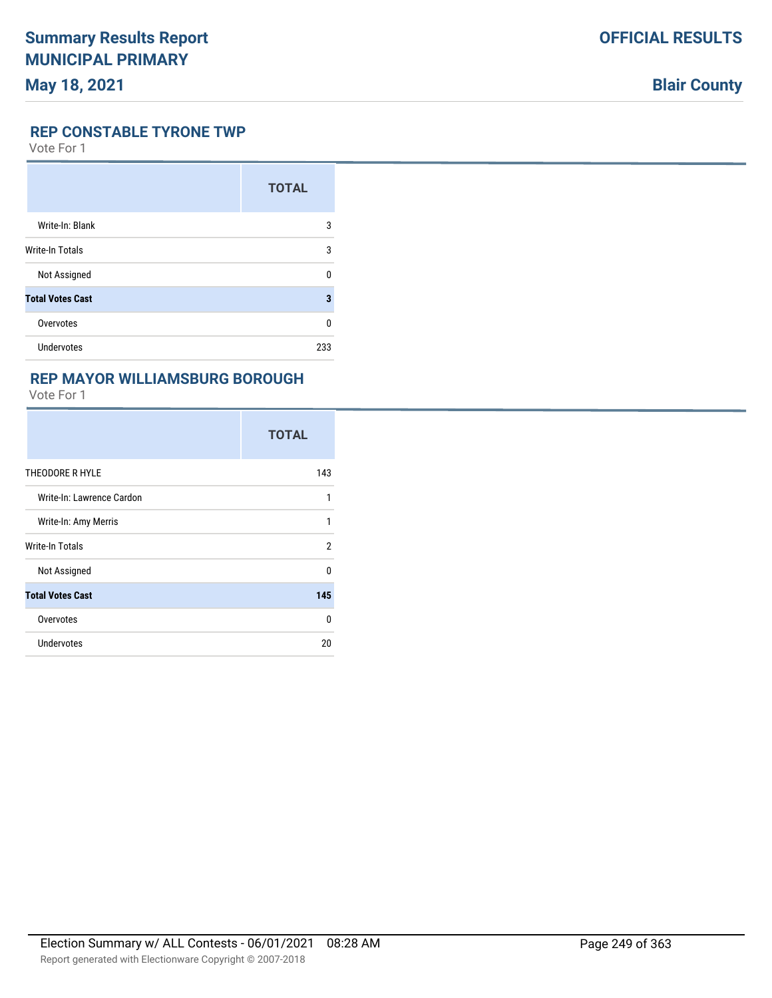# **Blair County**

### **REP CONSTABLE TYRONE TWP**

Vote For 1

|                         | <b>TOTAL</b> |
|-------------------------|--------------|
| Write-In: Blank         | 3            |
| <b>Write-In Totals</b>  | 3            |
| Not Assigned            | n            |
| <b>Total Votes Cast</b> | 3            |
| Overvotes               | ŋ            |
| Undervotes              | 233          |

### **REP MAYOR WILLIAMSBURG BOROUGH**

|                           | <b>TOTAL</b>   |
|---------------------------|----------------|
| THEODORE R HYLE           | 143            |
| Write-In: Lawrence Cardon | 1              |
| Write-In: Amy Merris      | 1              |
| Write-In Totals           | $\overline{2}$ |
| Not Assigned              | $\Omega$       |
| <b>Total Votes Cast</b>   | 145            |
| Overvotes                 | 0              |
| <b>Undervotes</b>         | 20             |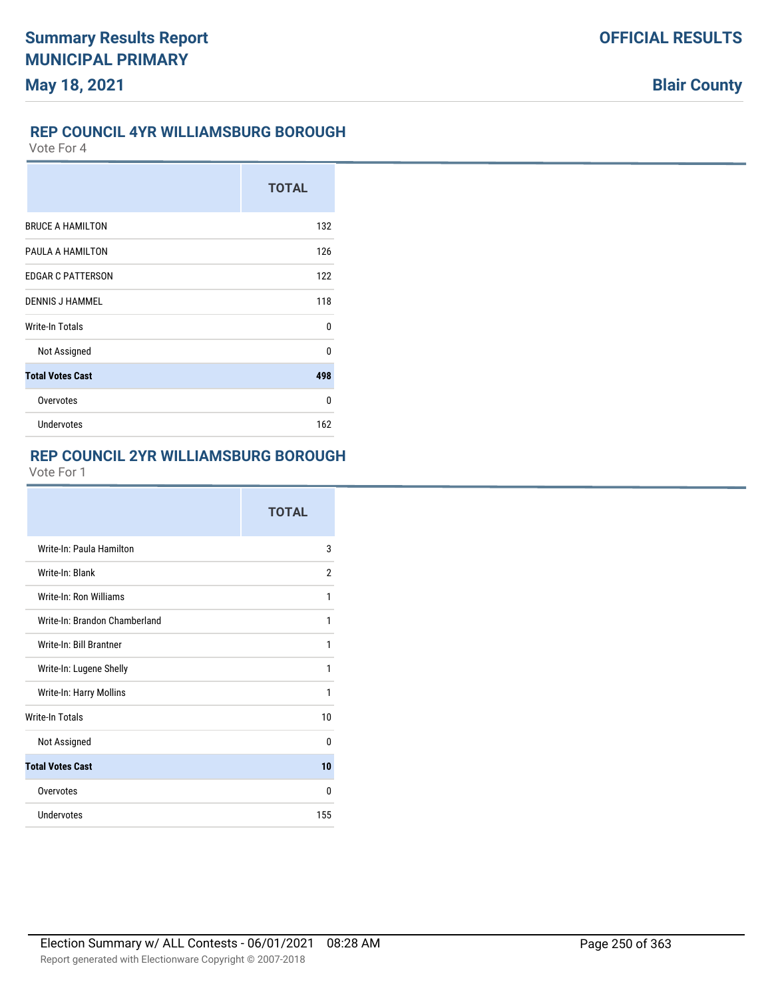### **REP COUNCIL 4YR WILLIAMSBURG BOROUGH**

Vote For 4

|                          | <b>TOTAL</b> |
|--------------------------|--------------|
| <b>BRUCE A HAMILTON</b>  | 132          |
| PAULA A HAMILTON         | 126          |
| <b>EDGAR C PATTERSON</b> | 122          |
| <b>DENNIS J HAMMEL</b>   | 118          |
| <b>Write-In Totals</b>   | $\Omega$     |
| Not Assigned             | 0            |
| <b>Total Votes Cast</b>  | 498          |
| Overvotes                | 0            |
| <b>Undervotes</b>        | 162          |

## **REP COUNCIL 2YR WILLIAMSBURG BOROUGH**

|                               | <b>TOTAL</b> |
|-------------------------------|--------------|
| Write-In: Paula Hamilton      | 3            |
| Write-In: Blank               | 2            |
| Write-In: Ron Williams        | 1            |
| Write-In: Brandon Chamberland | 1            |
| Write-In: Bill Brantner       | 1            |
| Write-In: Lugene Shelly       | 1            |
| Write-In: Harry Mollins       | 1            |
| <b>Write-In Totals</b>        | 10           |
| Not Assigned                  | U            |
| <b>Total Votes Cast</b>       | 10           |
| Overvotes                     | U            |
| Undervotes                    | 155          |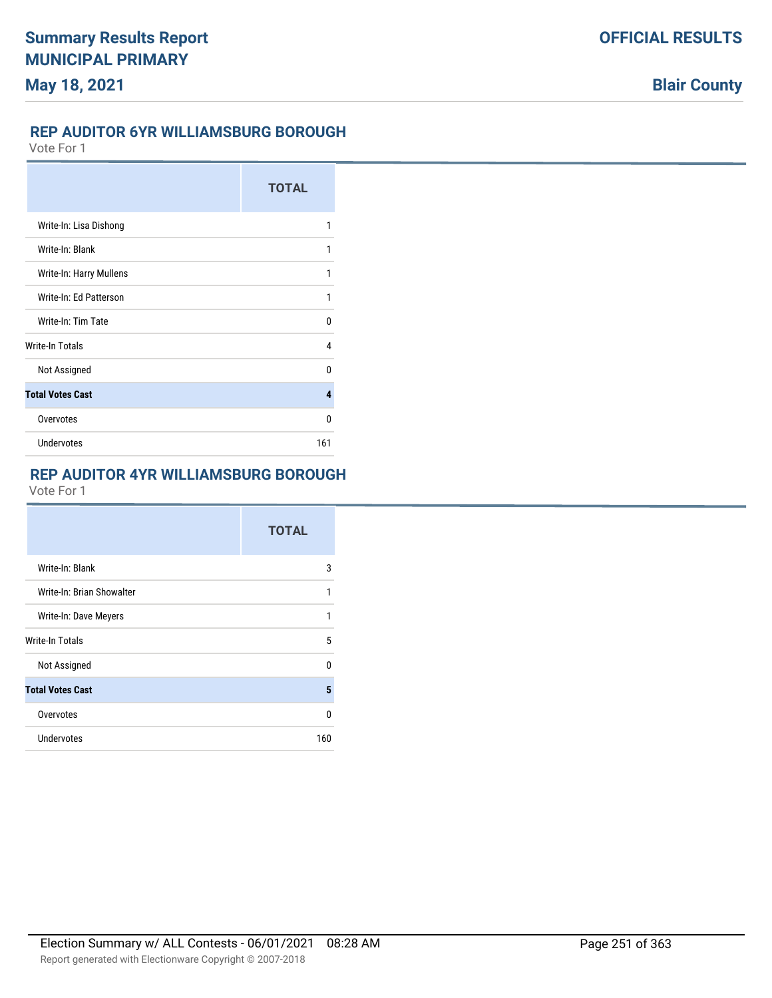### **REP AUDITOR 6YR WILLIAMSBURG BOROUGH**

Vote For 1

|                         | <b>TOTAL</b> |
|-------------------------|--------------|
| Write-In: Lisa Dishong  | 1            |
| Write-In: Blank         | 1            |
| Write-In: Harry Mullens | 1            |
| Write-In: Ed Patterson  | 1            |
| Write-In: Tim Tate      | 0            |
| <b>Write-In Totals</b>  | 4            |
| Not Assigned            | n            |
| <b>Total Votes Cast</b> | 4            |
| Overvotes               | 0            |
| <b>Undervotes</b>       | 161          |

## **REP AUDITOR 4YR WILLIAMSBURG BOROUGH**

|                           | <b>TOTAL</b> |
|---------------------------|--------------|
| Write-In: Blank           | 3            |
| Write-In: Brian Showalter | 1            |
| Write-In: Dave Meyers     | 1            |
| Write-In Totals           | 5            |
| Not Assigned              | U            |
| <b>Total Votes Cast</b>   | 5            |
| Overvotes                 | 0            |
| Undervotes                | 160          |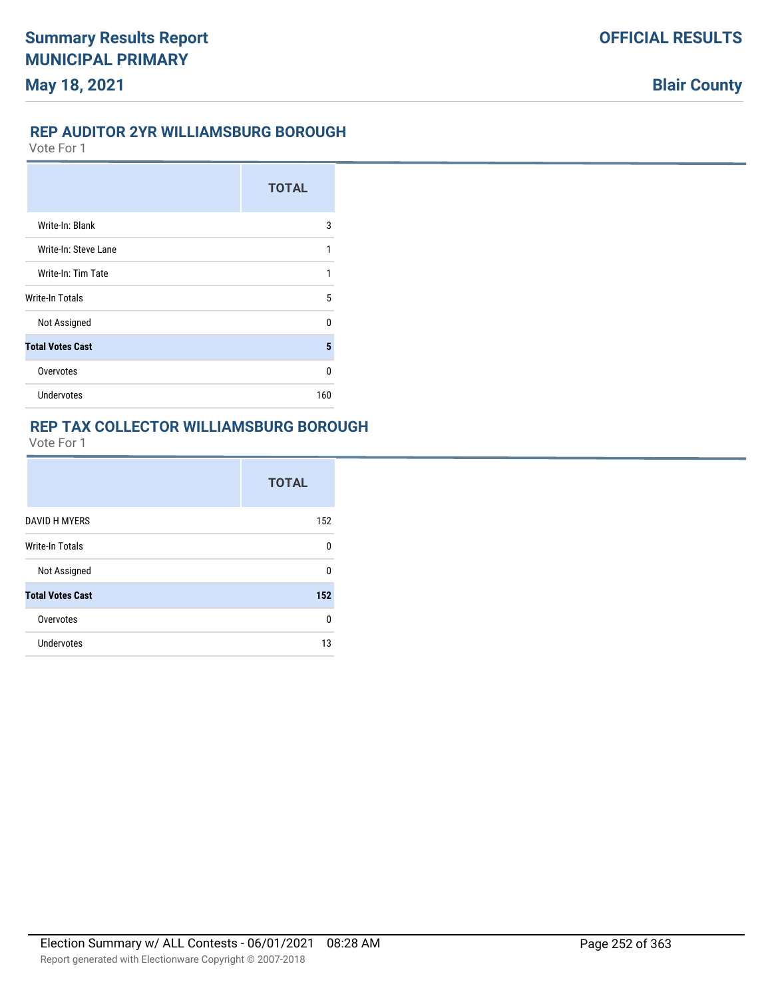### **REP AUDITOR 2YR WILLIAMSBURG BOROUGH**

Vote For 1

|                         | <b>TOTAL</b> |
|-------------------------|--------------|
| Write-In: Blank         | 3            |
| Write-In: Steve Lane    | 1            |
| Write-In: Tim Tate      | 1            |
| Write-In Totals         | 5            |
| Not Assigned            | n            |
| <b>Total Votes Cast</b> | 5            |
| Overvotes               | U            |
| <b>Undervotes</b>       | 160          |

## **REP TAX COLLECTOR WILLIAMSBURG BOROUGH**

|                         | <b>TOTAL</b> |
|-------------------------|--------------|
| <b>DAVID H MYERS</b>    | 152          |
| <b>Write-In Totals</b>  | n            |
| Not Assigned            | n            |
| <b>Total Votes Cast</b> | 152          |
| Overvotes               | n            |
| Undervotes              | 13           |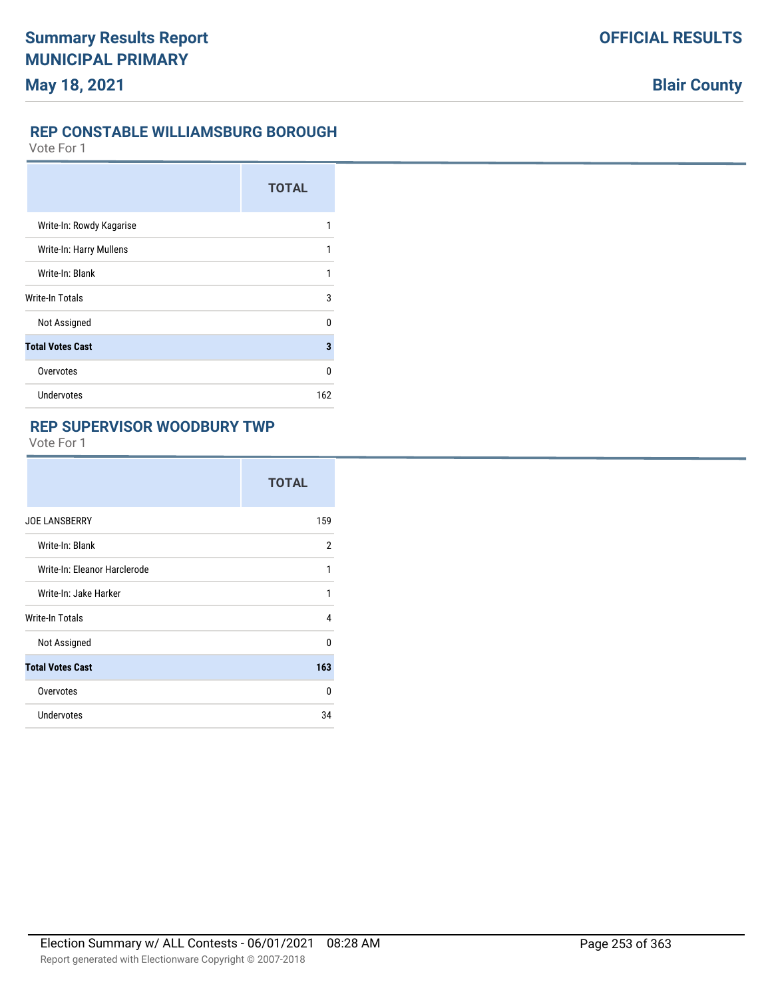#### **REP CONSTABLE WILLIAMSBURG BOROUGH**

Vote For 1

|                          | <b>TOTAL</b> |
|--------------------------|--------------|
| Write-In: Rowdy Kagarise |              |
| Write-In: Harry Mullens  | 1            |
| Write-In: Blank          | 1            |
| Write-In Totals          | 3            |
| Not Assigned             | U            |
| <b>Total Votes Cast</b>  | 3            |
| Overvotes                | U            |
| Undervotes               | 162          |

#### **REP SUPERVISOR WOODBURY TWP**

|                              | <b>TOTAL</b> |
|------------------------------|--------------|
| <b>JOE LANSBERRY</b>         | 159          |
| Write-In: Blank              | 2            |
| Write-In: Eleanor Harclerode | 1            |
| Write-In: Jake Harker        | 1            |
| Write-In Totals              | 4            |
| Not Assigned                 | <sup>0</sup> |
| <b>Total Votes Cast</b>      | 163          |
| Overvotes                    | $\Omega$     |
| Undervotes                   | 34           |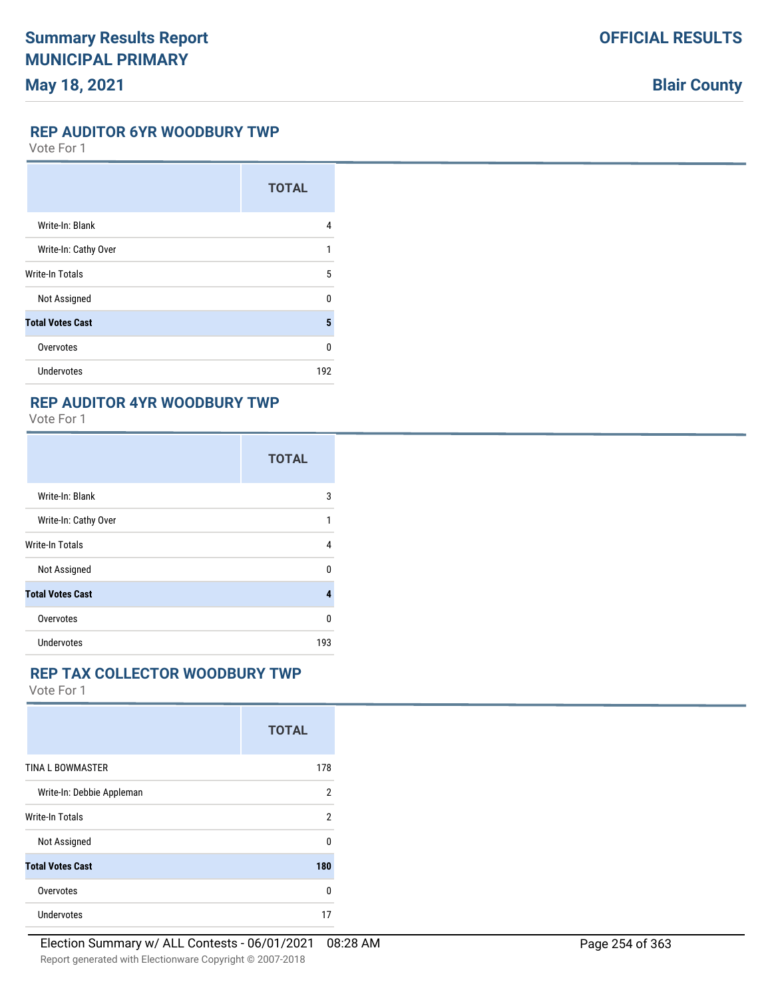# **May 18, 2021**

# **Blair County**

#### **REP AUDITOR 6YR WOODBURY TWP**

Vote For 1

|                         | <b>TOTAL</b> |
|-------------------------|--------------|
| Write-In: Blank         | 4            |
| Write-In: Cathy Over    | 1            |
| <b>Write-In Totals</b>  | 5            |
| Not Assigned            | $\Omega$     |
| <b>Total Votes Cast</b> | 5            |
| Overvotes               | 0            |
| <b>Undervotes</b>       | 192          |

#### **REP AUDITOR 4YR WOODBURY TWP**

Vote For 1

|                         | <b>TOTAL</b> |
|-------------------------|--------------|
| Write-In: Blank         | 3            |
| Write-In: Cathy Over    | 1            |
| Write-In Totals         | 4            |
| Not Assigned            | U            |
| <b>Total Votes Cast</b> | 4            |
| Overvotes               | U            |
| Undervotes              | 193          |

#### **REP TAX COLLECTOR WOODBURY TWP**

|                           | <b>TOTAL</b>   |
|---------------------------|----------------|
| <b>TINA L BOWMASTER</b>   | 178            |
| Write-In: Debbie Appleman | 2              |
| <b>Write-In Totals</b>    | $\overline{2}$ |
| Not Assigned              | $\Omega$       |
| <b>Total Votes Cast</b>   | 180            |
| Overvotes                 | U              |
| Undervotes                | 17             |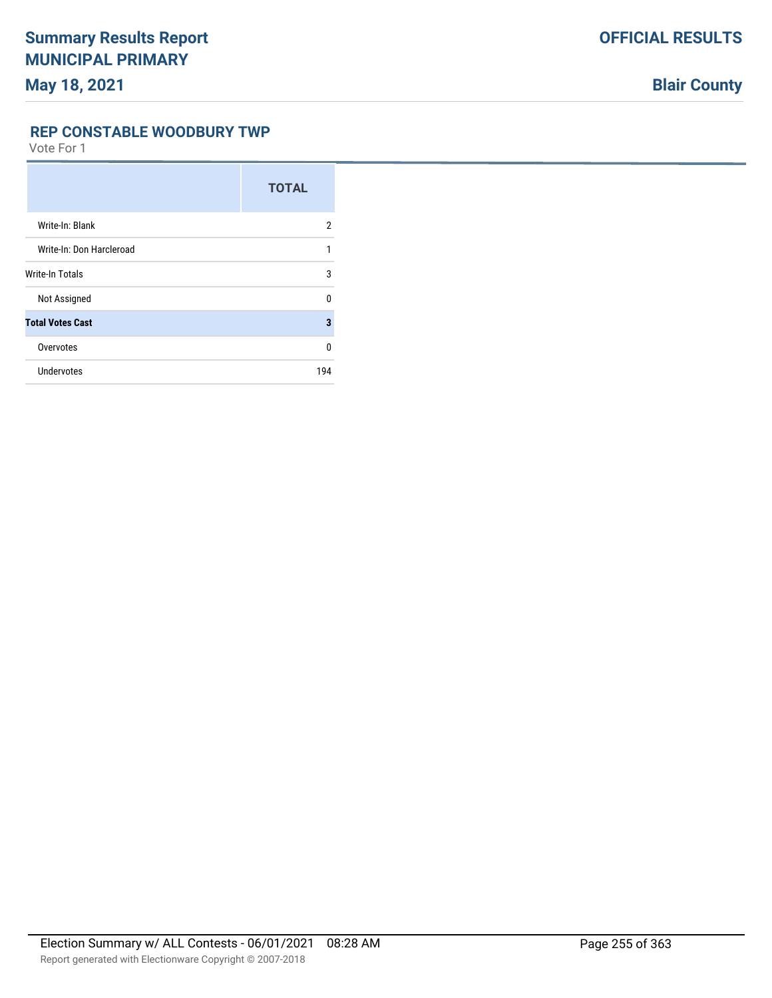# **May 18, 2021**

#### **REP CONSTABLE WOODBURY TWP**

|                          | <b>TOTAL</b>   |
|--------------------------|----------------|
| Write-In: Blank          | $\overline{2}$ |
| Write-In: Don Harcleroad | 1              |
| Write-In Totals          | 3              |
| Not Assigned             | 0              |
| <b>Total Votes Cast</b>  | 3              |
| Overvotes                | $\Omega$       |
| Undervotes               | 194            |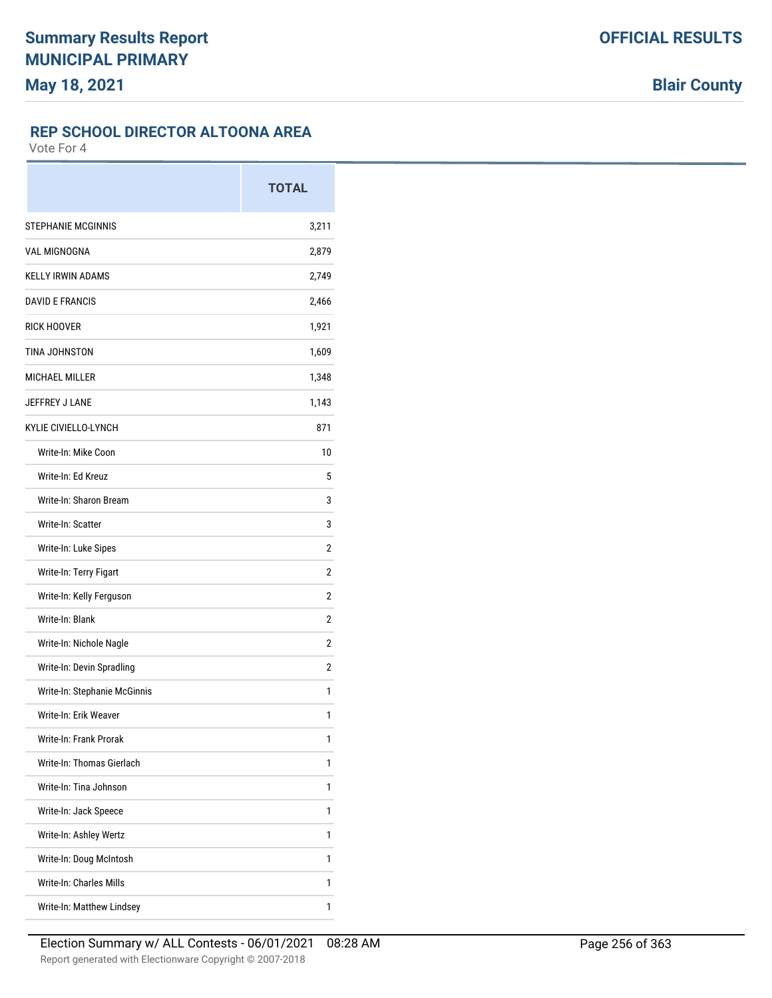## **REP SCHOOL DIRECTOR ALTOONA AREA**

|                              | <b>TOTAL</b> |
|------------------------------|--------------|
| <b>STEPHANIE MCGINNIS</b>    | 3,211        |
| <b>VAL MIGNOGNA</b>          | 2,879        |
| <b>KELLY IRWIN ADAMS</b>     | 2,749        |
| <b>DAVID E FRANCIS</b>       | 2,466        |
| <b>RICK HOOVER</b>           | 1,921        |
| TINA JOHNSTON                | 1,609        |
| <b>MICHAEL MILLER</b>        | 1,348        |
| JEFFREY J LANE               | 1,143        |
| KYLIE CIVIELLO-LYNCH         | 871          |
| Write-In: Mike Coon          | 10           |
| Write-In: Ed Kreuz           | 5            |
| Write-In: Sharon Bream       | 3            |
| Write-In: Scatter            | 3            |
| Write-In: Luke Sipes         | 2            |
| Write-In: Terry Figart       | 2            |
| Write-In: Kelly Ferguson     | 2            |
| Write-In: Blank              | 2            |
| Write-In: Nichole Nagle      | 2            |
| Write-In: Devin Spradling    | 2            |
| Write-In: Stephanie McGinnis | 1            |
| Write-In: Erik Weaver        | 1            |
| Write-In: Frank Prorak       | 1            |
| Write-In: Thomas Gierlach    | 1            |
| Write-In: Tina Johnson       | 1            |
| Write-In: Jack Speece        | 1            |
| Write-In: Ashley Wertz       | 1            |
| Write-In: Doug McIntosh      | 1            |
| Write-In: Charles Mills      | 1            |
| Write-In: Matthew Lindsey    | 1            |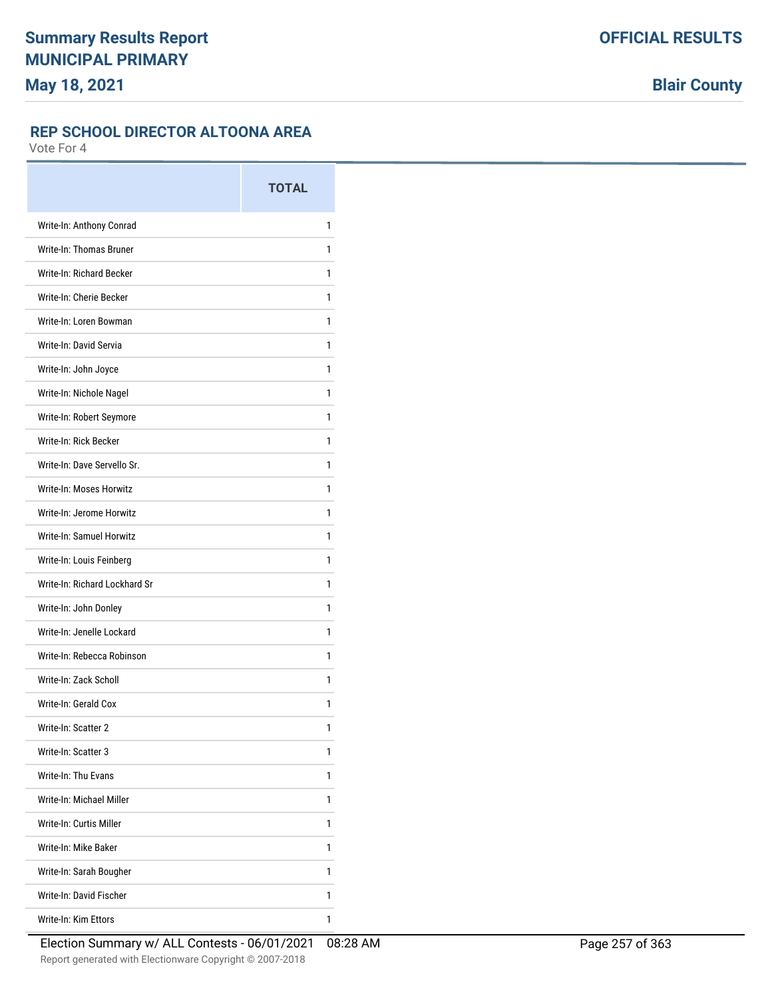#### **REP SCHOOL DIRECTOR ALTOONA AREA**

|                               | <b>TOTAL</b> |
|-------------------------------|--------------|
| Write-In: Anthony Conrad      | 1            |
| Write-In: Thomas Bruner       | 1            |
| Write-In: Richard Becker      | 1            |
| Write-In: Cherie Becker       | 1            |
| Write-In: Loren Bowman        | 1            |
| Write-In: David Servia        | 1            |
| Write-In: John Joyce          | 1            |
| Write-In: Nichole Nagel       | 1            |
| Write-In: Robert Seymore      | 1            |
| Write-In: Rick Becker         | 1            |
| Write-In: Dave Servello Sr.   | 1            |
| Write-In: Moses Horwitz       | 1            |
| Write-In: Jerome Horwitz      | 1            |
| Write-In: Samuel Horwitz      | 1            |
| Write-In: Louis Feinberg      | 1            |
| Write-In: Richard Lockhard Sr | 1            |
| Write-In: John Donley         | 1            |
| Write-In: Jenelle Lockard     | 1            |
| Write-In: Rebecca Robinson    | 1            |
| Write-In: Zack Scholl         | 1            |
| Write-In: Gerald Cox          | 1            |
| Write-In: Scatter 2           | 1            |
| Write-In: Scatter 3           | 1            |
| Write-In: Thu Evans           | 1            |
| Write-In: Michael Miller      | 1            |
| Write-In: Curtis Miller       | 1            |
| Write-In: Mike Baker          | 1            |
| Write-In: Sarah Bougher       | 1            |
| Write-In: David Fischer       | 1            |
| Write-In: Kim Ettors          | 1            |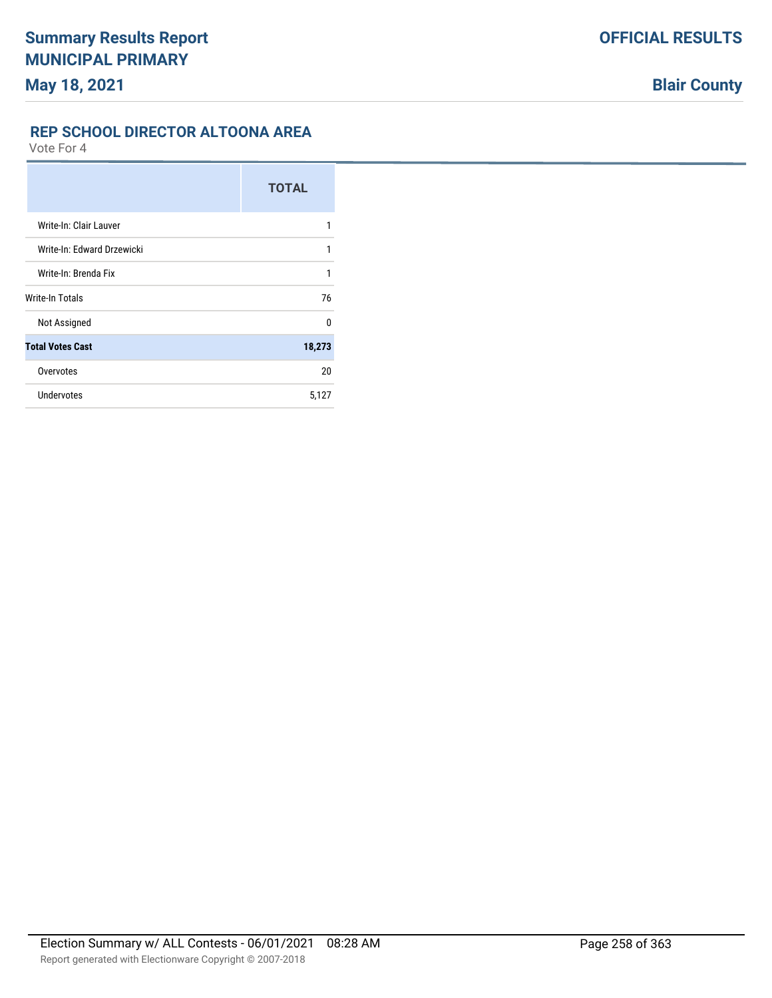#### **REP SCHOOL DIRECTOR ALTOONA AREA**

|                            | <b>TOTAL</b> |
|----------------------------|--------------|
| Write-In: Clair Lauver     | 1            |
| Write-In: Edward Drzewicki | 1            |
| Write-In: Brenda Fix       | 1            |
| Write-In Totals            | 76           |
| Not Assigned               | <sup>0</sup> |
| <b>Total Votes Cast</b>    | 18,273       |
| Overvotes                  | 20           |
| Undervotes                 | 5,127        |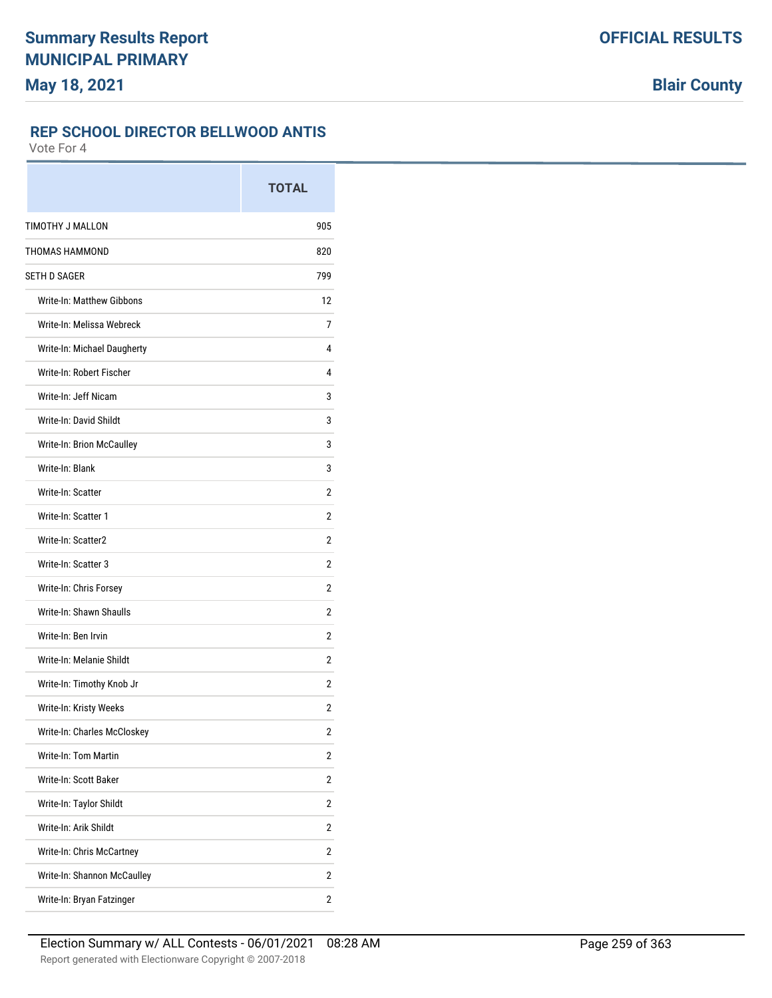## **REP SCHOOL DIRECTOR BELLWOOD ANTIS**

|                             | <b>TOTAL</b>   |
|-----------------------------|----------------|
| TIMOTHY J MALLON            | 905            |
| <b>THOMAS HAMMOND</b>       | 820            |
| <b>SETH D SAGER</b>         | 799            |
| Write-In: Matthew Gibbons   | 12             |
| Write-In: Melissa Webreck   | 7              |
| Write-In: Michael Daugherty | 4              |
| Write-In: Robert Fischer    | 4              |
| Write-In: Jeff Nicam        | 3              |
| Write-In: David Shildt      | 3              |
| Write-In: Brion McCaulley   | 3              |
| Write-In: Blank             | 3              |
| Write-In: Scatter           | 2              |
| Write-In: Scatter 1         | 2              |
| Write-In: Scatter2          | 2              |
| Write-In: Scatter 3         | 2              |
| Write-In: Chris Forsey      | 2              |
| Write-In: Shawn Shaulls     | 2              |
| Write-In: Ben Irvin         | 2              |
| Write-In: Melanie Shildt    | 2              |
| Write-In: Timothy Knob Jr   | 2              |
| Write-In: Kristy Weeks      | 2              |
| Write-In: Charles McCloskey | 2              |
| Write-In: Tom Martin        | 2              |
| Write-In: Scott Baker       | $\overline{2}$ |
| Write-In: Taylor Shildt     | 2              |
| Write-In: Arik Shildt       | 2              |
| Write-In: Chris McCartney   | $\overline{2}$ |
| Write-In: Shannon McCaulley | 2              |
| Write-In: Bryan Fatzinger   | 2              |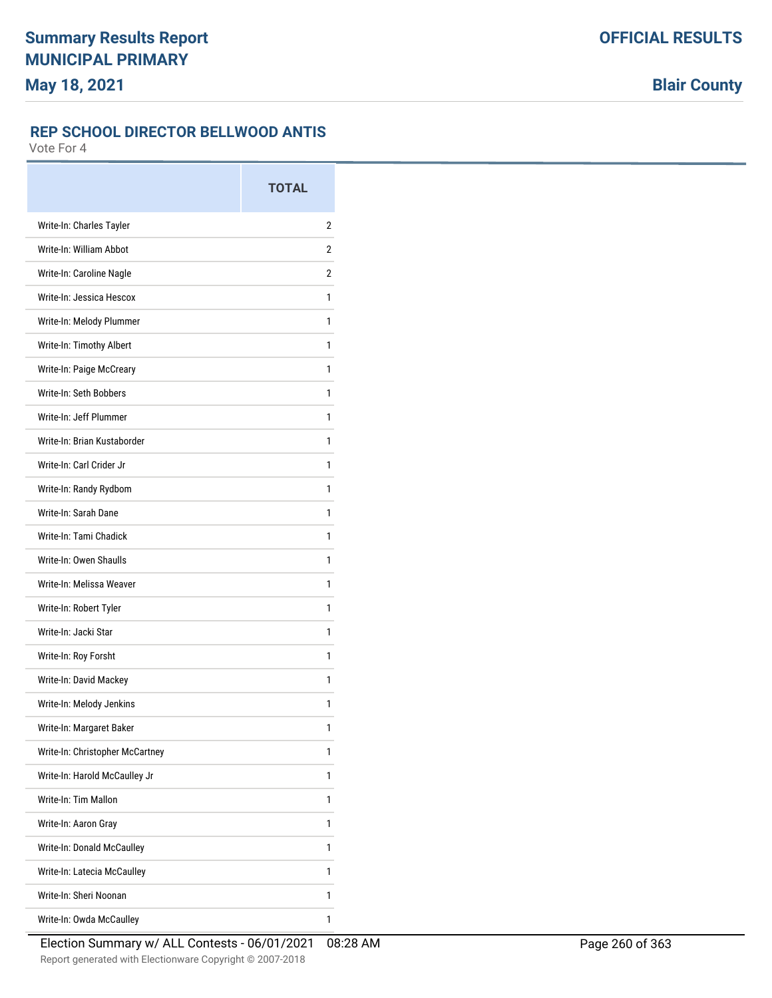## **REP SCHOOL DIRECTOR BELLWOOD ANTIS**

|                                 | <b>TOTAL</b> |
|---------------------------------|--------------|
| Write-In: Charles Tayler        | 2            |
| Write-In: William Abbot         | 2            |
| Write-In: Caroline Nagle        | 2            |
| Write-In: Jessica Hescox        | 1            |
| Write-In: Melody Plummer        | 1            |
| Write-In: Timothy Albert        | 1            |
| Write-In: Paige McCreary        | 1            |
| Write-In: Seth Bobbers          | 1            |
| Write-In: Jeff Plummer          | 1            |
| Write-In: Brian Kustaborder     | 1            |
| Write-In: Carl Crider Jr        | 1            |
| Write-In: Randy Rydbom          | 1            |
| Write-In: Sarah Dane            | 1            |
| Write-In: Tami Chadick          | 1            |
| Write-In: Owen Shaulls          | 1            |
| Write-In: Melissa Weaver        | 1            |
| Write-In: Robert Tyler          | 1            |
| Write-In: Jacki Star            | 1            |
| Write-In: Roy Forsht            | 1            |
| Write-In: David Mackey          | 1            |
| Write-In: Melody Jenkins        | 1            |
| Write-In: Margaret Baker        | 1            |
| Write-In: Christopher McCartney | 1            |
| Write-In: Harold McCaulley Jr   | 1            |
| Write-In: Tim Mallon            | 1            |
| Write-In: Aaron Gray            | 1            |
| Write-In: Donald McCaulley      | 1            |
| Write-In: Latecia McCaulley     | 1            |
| Write-In: Sheri Noonan          | 1            |
| Write-In: Owda McCaulley        | 1            |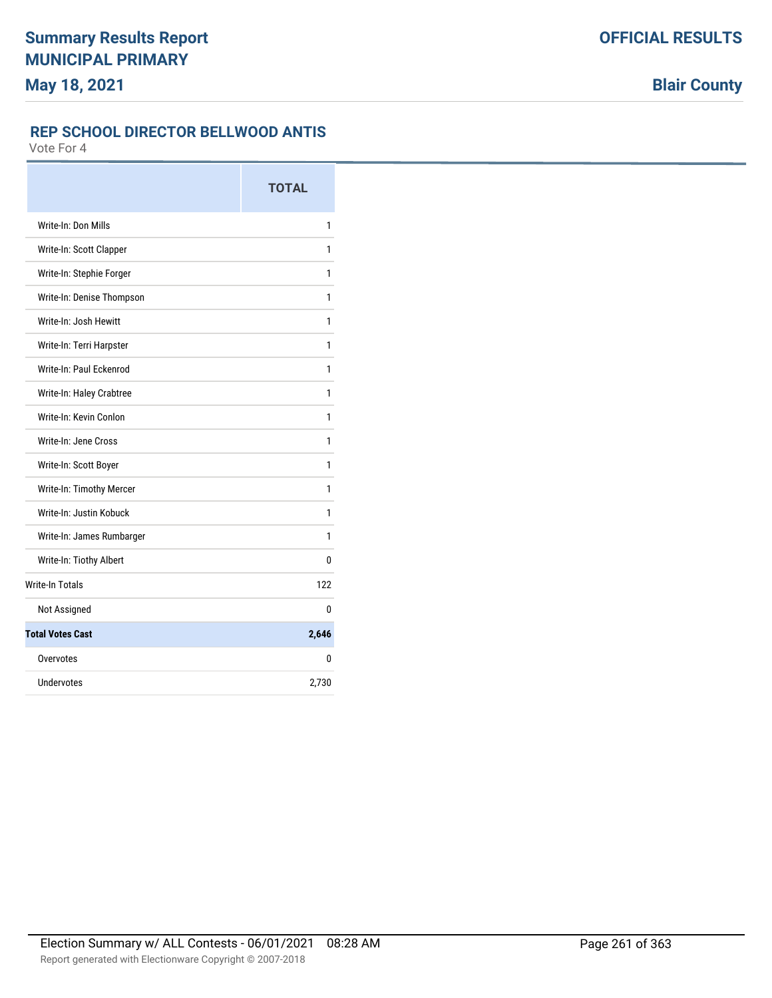# **REP SCHOOL DIRECTOR BELLWOOD ANTIS**

|                           | <b>TOTAL</b> |
|---------------------------|--------------|
| Write-In: Don Mills       | 1            |
| Write-In: Scott Clapper   | 1            |
| Write-In: Stephie Forger  | 1            |
| Write-In: Denise Thompson | 1            |
| Write-In: Josh Hewitt     | 1            |
| Write-In: Terri Harpster  | 1            |
| Write-In: Paul Eckenrod   | 1            |
| Write-In: Haley Crabtree  | 1            |
| Write-In: Kevin Conlon    | 1            |
| Write-In: Jene Cross      | 1            |
| Write-In: Scott Boyer     | 1            |
| Write-In: Timothy Mercer  | 1            |
| Write-In: Justin Kobuck   | 1            |
| Write-In: James Rumbarger | 1            |
| Write-In: Tiothy Albert   | 0            |
| <b>Write-In Totals</b>    | 122          |
| Not Assigned              | 0            |
| <b>Total Votes Cast</b>   | 2,646        |
| Overvotes                 | 0            |
| Undervotes                | 2,730        |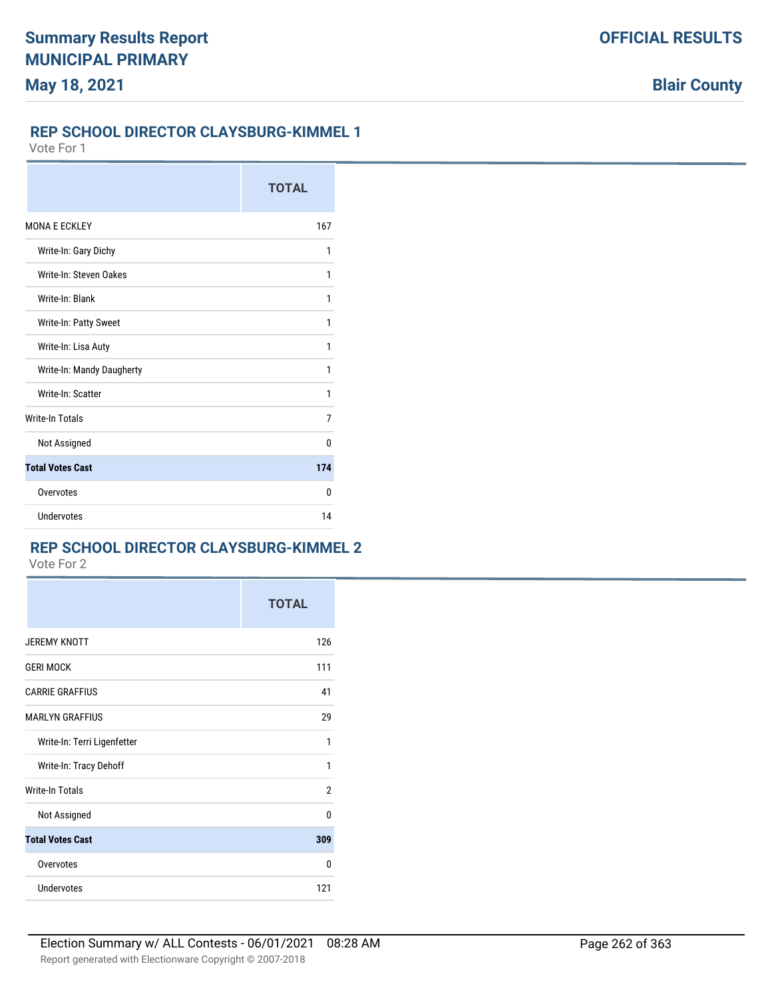#### **REP SCHOOL DIRECTOR CLAYSBURG-KIMMEL 1**

Vote For 1

|                           | <b>TOTAL</b> |
|---------------------------|--------------|
| <b>MONA E ECKLEY</b>      | 167          |
| Write-In: Gary Dichy      | 1            |
| Write-In: Steven Oakes    | 1            |
| Write-In: Blank           | 1            |
| Write-In: Patty Sweet     | 1            |
| Write-In: Lisa Auty       | 1            |
| Write-In: Mandy Daugherty | 1            |
| Write-In: Scatter         | 1            |
| <b>Write-In Totals</b>    | 7            |
| Not Assigned              | U            |
| <b>Total Votes Cast</b>   | 174          |
| Overvotes                 | 0            |
| Undervotes                | 14           |

# **REP SCHOOL DIRECTOR CLAYSBURG-KIMMEL 2**

|                             | <b>TOTAL</b> |
|-----------------------------|--------------|
| <b>JEREMY KNOTT</b>         | 126          |
| <b>GERI MOCK</b>            | 111          |
| <b>CARRIE GRAFFIUS</b>      | 41           |
| <b>MARLYN GRAFFIUS</b>      | 29           |
| Write-In: Terri Ligenfetter | 1            |
| Write-In: Tracy Dehoff      | 1            |
| <b>Write-In Totals</b>      | 2            |
| Not Assigned                | $\Omega$     |
| <b>Total Votes Cast</b>     | 309          |
| Overvotes                   | 0            |
| <b>Undervotes</b>           | 121          |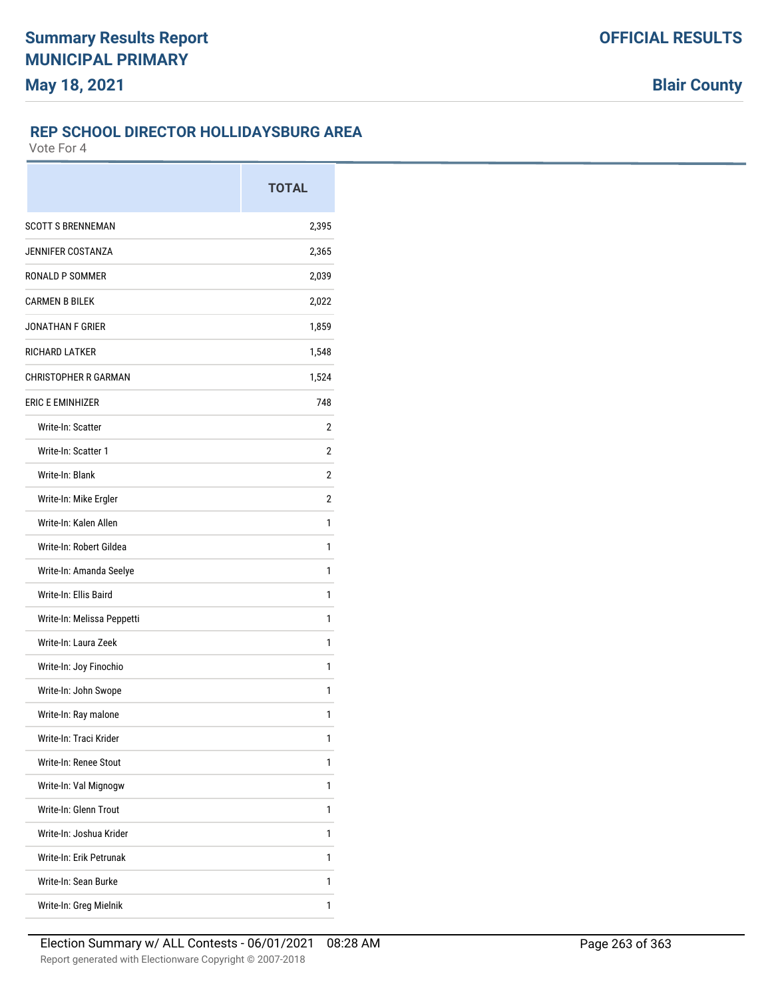#### **REP SCHOOL DIRECTOR HOLLIDAYSBURG AREA**

|                             | <b>TOTAL</b> |
|-----------------------------|--------------|
| <b>SCOTT S BRENNEMAN</b>    | 2,395        |
| <b>JENNIFER COSTANZA</b>    | 2,365        |
| RONALD P SOMMER             | 2,039        |
| <b>CARMEN B BILEK</b>       | 2,022        |
| <b>JONATHAN F GRIER</b>     | 1,859        |
| <b>RICHARD LATKER</b>       | 1,548        |
| <b>CHRISTOPHER R GARMAN</b> | 1,524        |
| <b>ERIC E EMINHIZER</b>     | 748          |
| Write-In: Scatter           | 2            |
| Write-In: Scatter 1         | 2            |
| Write-In: Blank             | 2            |
| Write-In: Mike Ergler       | 2            |
| Write-In: Kalen Allen       | 1            |
| Write-In: Robert Gildea     | 1            |
| Write-In: Amanda Seelye     | 1            |
| Write-In: Ellis Baird       | 1            |
| Write-In: Melissa Peppetti  | 1            |
| Write-In: Laura Zeek        | 1            |
| Write-In: Joy Finochio      | 1            |
| Write-In: John Swope        | 1            |
| Write-In: Ray malone        | 1            |
| Write-In: Traci Krider      | 1            |
| Write-In: Renee Stout       | 1            |
| Write-In: Val Mignogw       | 1            |
| Write-In: Glenn Trout       | 1            |
| Write-In: Joshua Krider     | 1            |
| Write-In: Erik Petrunak     | 1            |
| Write-In: Sean Burke        | 1            |
| Write-In: Greg Mielnik      | 1            |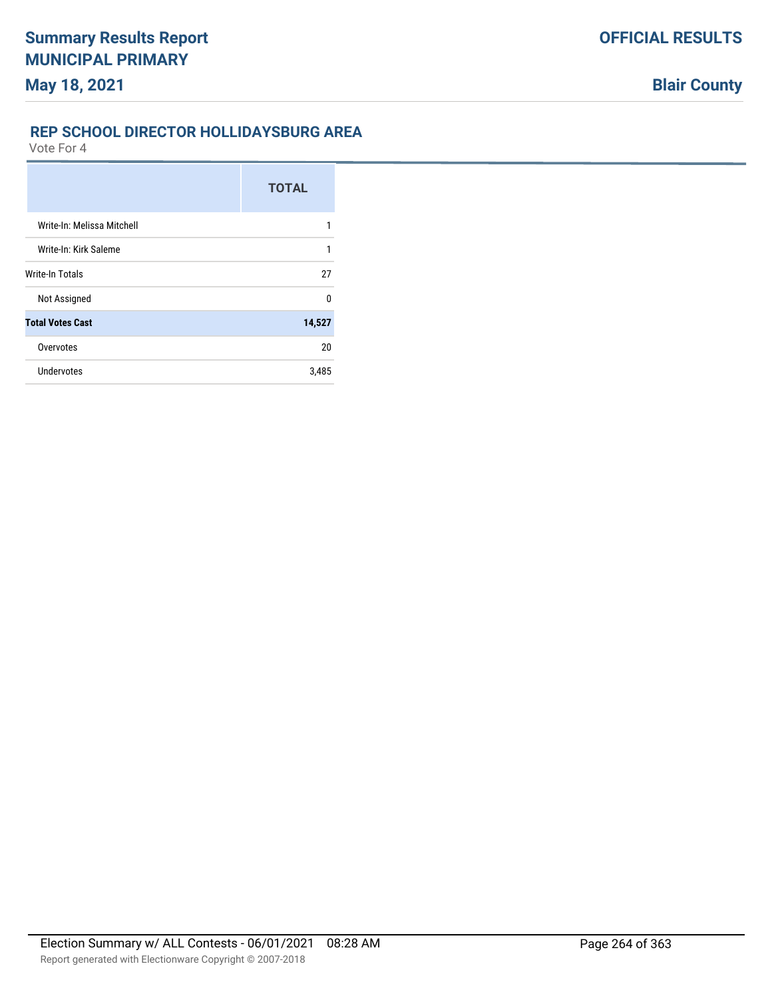# **REP SCHOOL DIRECTOR HOLLIDAYSBURG AREA**

|                            | <b>TOTAL</b> |
|----------------------------|--------------|
| Write-In: Melissa Mitchell | 1            |
| Write-In: Kirk Saleme      | 1            |
| <b>Write-In Totals</b>     | 27           |
| Not Assigned               | $\Omega$     |
| <b>Total Votes Cast</b>    | 14,527       |
| Overvotes                  | 20           |
| Undervotes                 | 3,485        |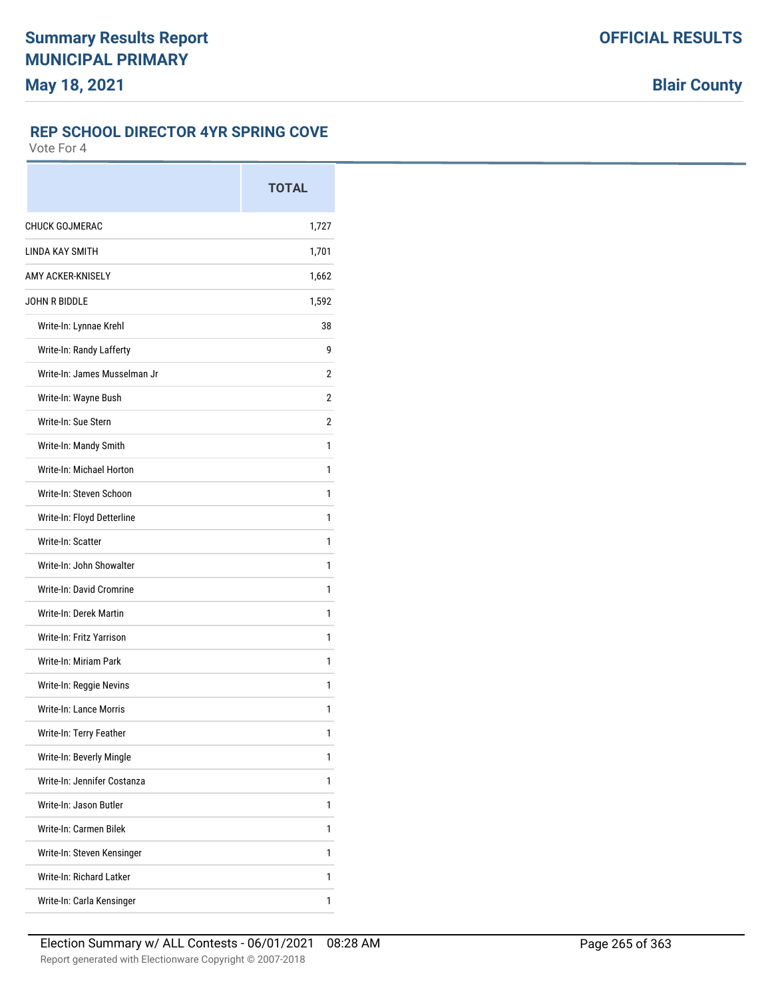## **REP SCHOOL DIRECTOR 4YR SPRING COVE**

|                              | <b>TOTAL</b> |
|------------------------------|--------------|
| <b>CHUCK GOJMERAC</b>        | 1,727        |
| <b>LINDA KAY SMITH</b>       | 1,701        |
| AMY ACKER-KNISELY            | 1,662        |
| JOHN R BIDDI F               | 1,592        |
| Write-In: Lynnae Krehl       | 38           |
| Write-In: Randy Lafferty     | 9            |
| Write-In: James Musselman Jr | 2            |
| Write-In: Wayne Bush         | 2            |
| Write-In: Sue Stern          | 2            |
| Write-In: Mandy Smith        | 1            |
| Write-In: Michael Horton     | 1            |
| Write-In: Steven Schoon      | 1            |
| Write-In: Floyd Detterline   | 1            |
| Write-In: Scatter            | 1            |
| Write-In: John Showalter     | 1            |
| Write-In: David Cromrine     | 1            |
| Write-In: Derek Martin       | 1            |
| Write-In: Fritz Yarrison     | 1            |
| Write-In: Miriam Park        | 1            |
| Write-In: Reggie Nevins      | 1            |
| Write-In: Lance Morris       | 1            |
| Write-In: Terry Feather      | 1            |
| Write-In: Beverly Mingle     | 1            |
| Write-In: Jennifer Costanza  | 1            |
| Write-In: Jason Butler       | 1            |
| Write-In: Carmen Bilek       | 1            |
| Write-In: Steven Kensinger   | 1            |
| Write-In: Richard Latker     | 1            |
| Write-In: Carla Kensinger    | 1            |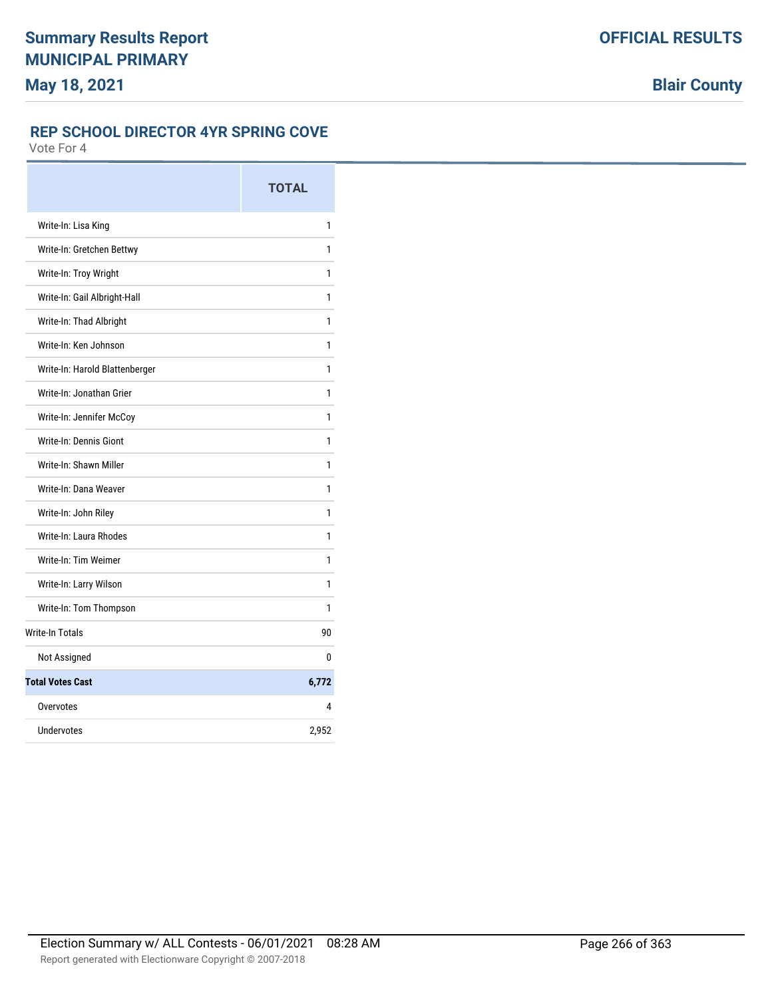## **REP SCHOOL DIRECTOR 4YR SPRING COVE**

|                                | <b>TOTAL</b> |
|--------------------------------|--------------|
| Write-In: Lisa King            | 1            |
| Write-In: Gretchen Bettwy      | 1            |
| Write-In: Troy Wright          | 1            |
| Write-In: Gail Albright-Hall   | 1            |
| Write-In: Thad Albright        | 1            |
| Write-In: Ken Johnson          | 1            |
| Write-In: Harold Blattenberger | 1            |
| Write-In: Jonathan Grier       | 1            |
| Write-In: Jennifer McCoy       | 1            |
| Write-In: Dennis Giont         | 1            |
| Write-In: Shawn Miller         | 1            |
| Write-In: Dana Weaver          | 1            |
| Write-In: John Riley           | 1            |
| Write-In: Laura Rhodes         | 1            |
| Write-In: Tim Weimer           | 1            |
| Write-In: Larry Wilson         | 1            |
| Write-In: Tom Thompson         | 1            |
| <b>Write-In Totals</b>         | 90           |
| Not Assigned                   | 0            |
| <b>Total Votes Cast</b>        | 6,772        |
| Overvotes                      | 4            |
| Undervotes                     | 2,952        |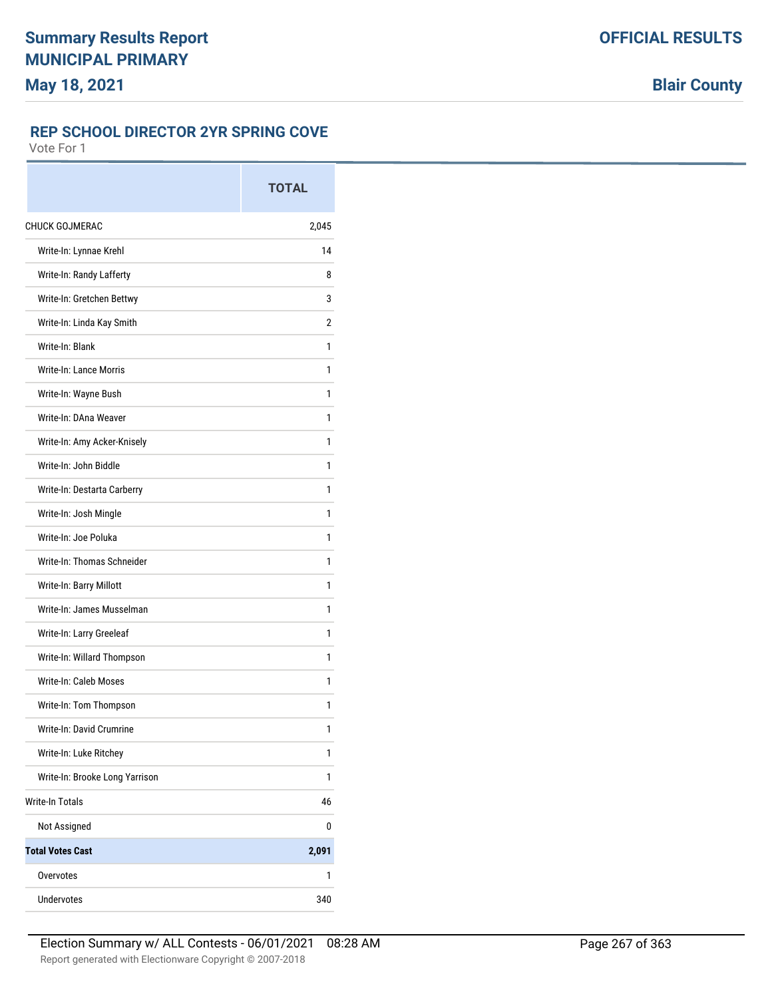## **REP SCHOOL DIRECTOR 2YR SPRING COVE**

|                                | <b>TOTAL</b> |
|--------------------------------|--------------|
| <b>CHUCK GOJMERAC</b>          | 2,045        |
| Write-In: Lynnae Krehl         | 14           |
| Write-In: Randy Lafferty       | 8            |
| Write-In: Gretchen Bettwy      | 3            |
| Write-In: Linda Kay Smith      | 2            |
| Write-In: Blank                | 1            |
| <b>Write-In: Lance Morris</b>  | 1            |
| Write-In: Wayne Bush           | 1            |
| Write-In: DAna Weaver          | 1            |
| Write-In: Amy Acker-Knisely    | 1            |
| Write-In: John Biddle          | 1            |
| Write-In: Destarta Carberry    | 1            |
| Write-In: Josh Mingle          | 1            |
| Write-In: Joe Poluka           | 1            |
| Write-In: Thomas Schneider     | 1            |
| Write-In: Barry Millott        | 1            |
| Write-In: James Musselman      | 1            |
| Write-In: Larry Greeleaf       | 1            |
| Write-In: Willard Thompson     | 1            |
| Write-In: Caleb Moses          | 1            |
| Write-In: Tom Thompson         | 1            |
| Write-In: David Crumrine       | 1            |
| Write-In: Luke Ritchey         | 1            |
| Write-In: Brooke Long Yarrison | 1            |
| <b>Write-In Totals</b>         | 46           |
| Not Assigned                   | 0            |
| <b>Total Votes Cast</b>        | 2,091        |
| Overvotes                      | 1            |
| <b>Undervotes</b>              | 340          |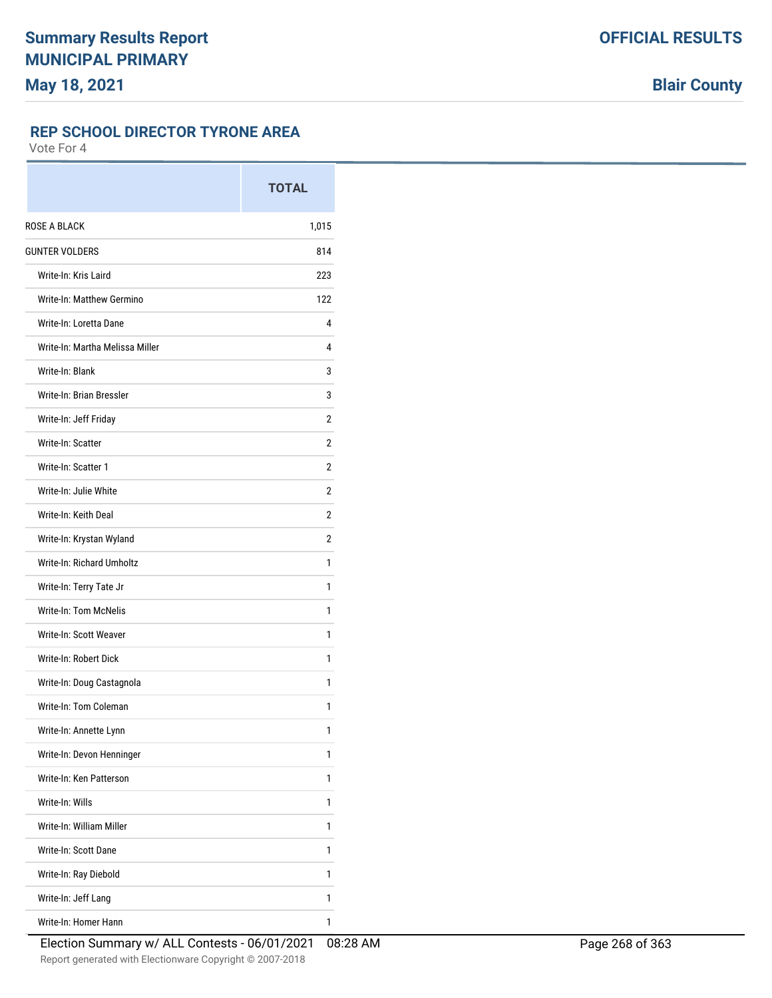#### **REP SCHOOL DIRECTOR TYRONE AREA**

|                                 | <b>TOTAL</b>   |
|---------------------------------|----------------|
| ROSE A BLACK                    | 1,015          |
| <b>GUNTER VOLDERS</b>           | 814            |
| Write-In: Kris Laird            | 223            |
| Write-In: Matthew Germino       | 122            |
| Write-In: Loretta Dane          | 4              |
| Write-In: Martha Melissa Miller | 4              |
| Write-In: Blank                 | 3              |
| Write-In: Brian Bressler        | 3              |
| Write-In: Jeff Friday           | $\overline{2}$ |
| Write-In: Scatter               | 2              |
| Write-In: Scatter 1             | 2              |
| Write-In: Julie White           | 2              |
| Write-In: Keith Deal            | 2              |
| Write-In: Krystan Wyland        | 2              |
| Write-In: Richard Umholtz       | 1              |
| Write-In: Terry Tate Jr         | 1              |
| Write-In: Tom McNelis           | 1              |
| Write-In: Scott Weaver          | 1              |
| Write-In: Robert Dick           | 1              |
| Write-In: Doug Castagnola       | 1              |
| Write-In: Tom Coleman           | 1              |
| Write-In: Annette Lynn          | 1              |
| Write-In: Devon Henninger       | 1              |
| Write-In: Ken Patterson         | 1              |
| Write-In: Wills                 | 1              |
| Write-In: William Miller        | 1              |
| Write-In: Scott Dane            | 1              |
| Write-In: Ray Diebold           | 1              |
| Write-In: Jeff Lang             | 1              |
| Write-In: Homer Hann            | 1              |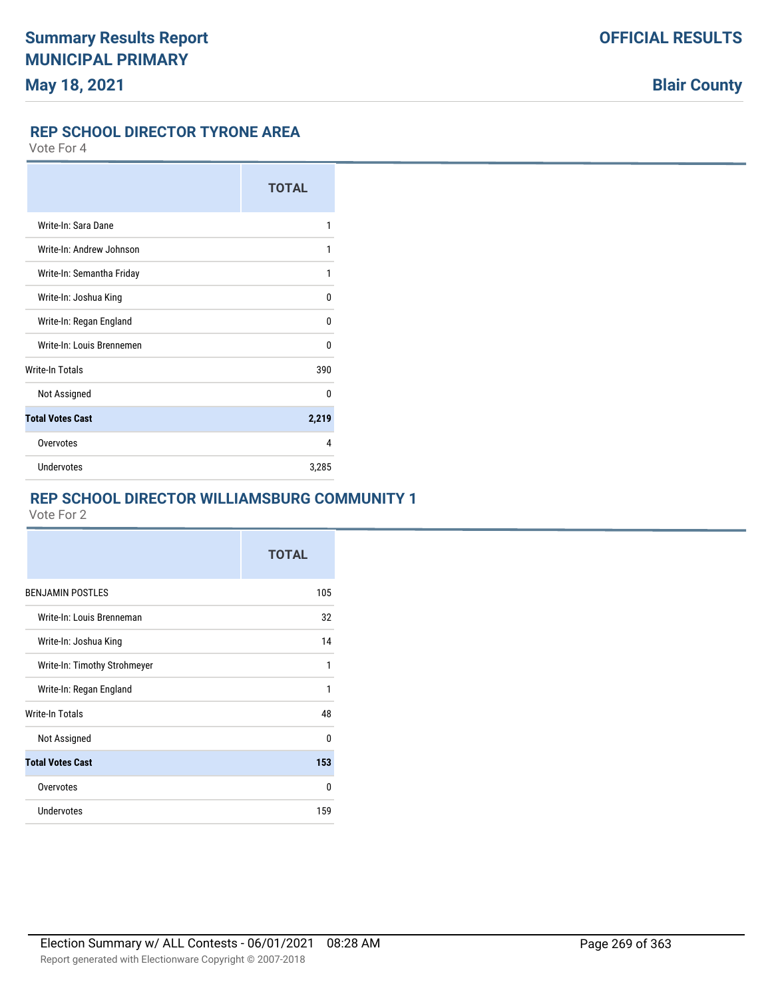#### **REP SCHOOL DIRECTOR TYRONE AREA**

Vote For 4

|                           | <b>TOTAL</b> |
|---------------------------|--------------|
| Write-In: Sara Dane       | 1            |
| Write-In: Andrew Johnson  | 1            |
| Write-In: Semantha Friday | 1            |
| Write-In: Joshua King     | U            |
| Write-In: Regan England   | n            |
| Write-In: Louis Brennemen | n            |
| <b>Write-In Totals</b>    | 390          |
| Not Assigned              | n            |
| <b>Total Votes Cast</b>   | 2,219        |
| Overvotes                 | 4            |
| Undervotes                | 3,285        |

#### **REP SCHOOL DIRECTOR WILLIAMSBURG COMMUNITY 1**

|                              | <b>TOTAL</b> |
|------------------------------|--------------|
| <b>BENJAMIN POSTLES</b>      | 105          |
| Write-In: Louis Brenneman    | 32           |
| Write-In: Joshua King        | 14           |
| Write-In: Timothy Strohmeyer | 1            |
| Write-In: Regan England      | 1            |
| Write-In Totals              | 48           |
| Not Assigned                 | U            |
| <b>Total Votes Cast</b>      | 153          |
| Overvotes                    | n            |
| Undervotes                   | 159          |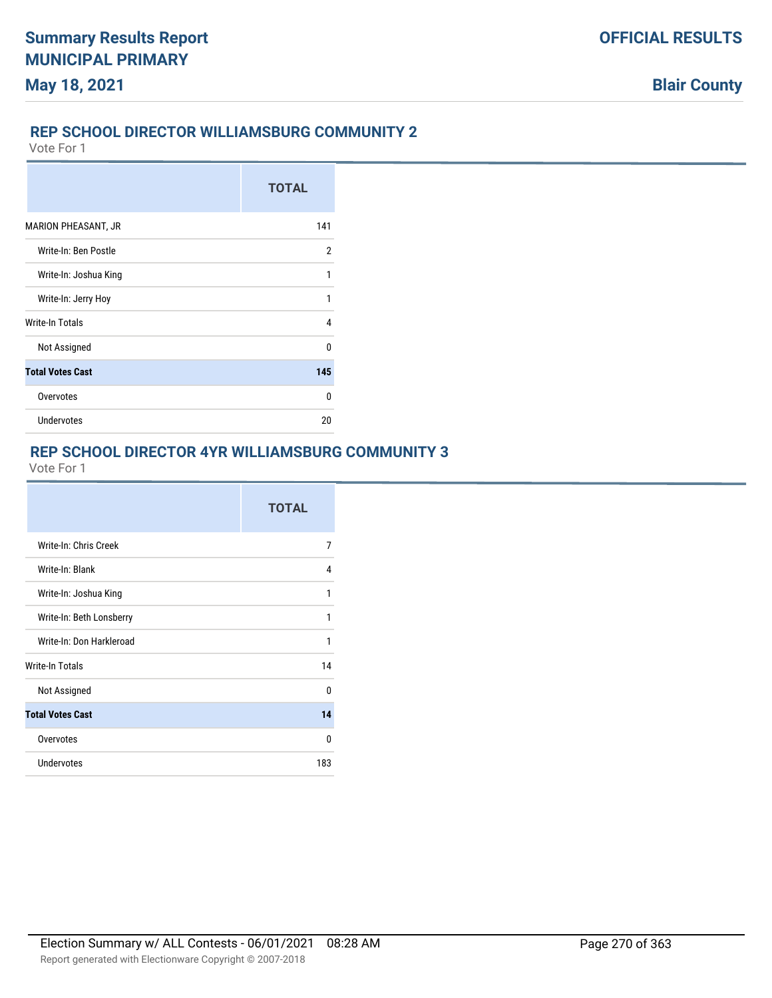#### **REP SCHOOL DIRECTOR WILLIAMSBURG COMMUNITY 2**

Vote For 1

|                         | <b>TOTAL</b> |
|-------------------------|--------------|
| MARION PHEASANT, JR     | 141          |
| Write-In: Ben Postle    | 2            |
| Write-In: Joshua King   | 1            |
| Write-In: Jerry Hoy     | 1            |
| <b>Write-In Totals</b>  | 4            |
| Not Assigned            | n            |
| <b>Total Votes Cast</b> | 145          |
| Overvotes               | U            |
| <b>Undervotes</b>       | 20           |

# **REP SCHOOL DIRECTOR 4YR WILLIAMSBURG COMMUNITY 3**

|                          | <b>TOTAL</b> |
|--------------------------|--------------|
| Write-In: Chris Creek    | 7            |
| Write-In: Blank          | 4            |
| Write-In: Joshua King    | 1            |
| Write-In: Beth Lonsberry | 1            |
| Write-In: Don Harkleroad | 1            |
| Write-In Totals          | 14           |
| Not Assigned             | <sup>0</sup> |
| <b>Total Votes Cast</b>  | 14           |
| Overvotes                | 0            |
| Undervotes               | 183          |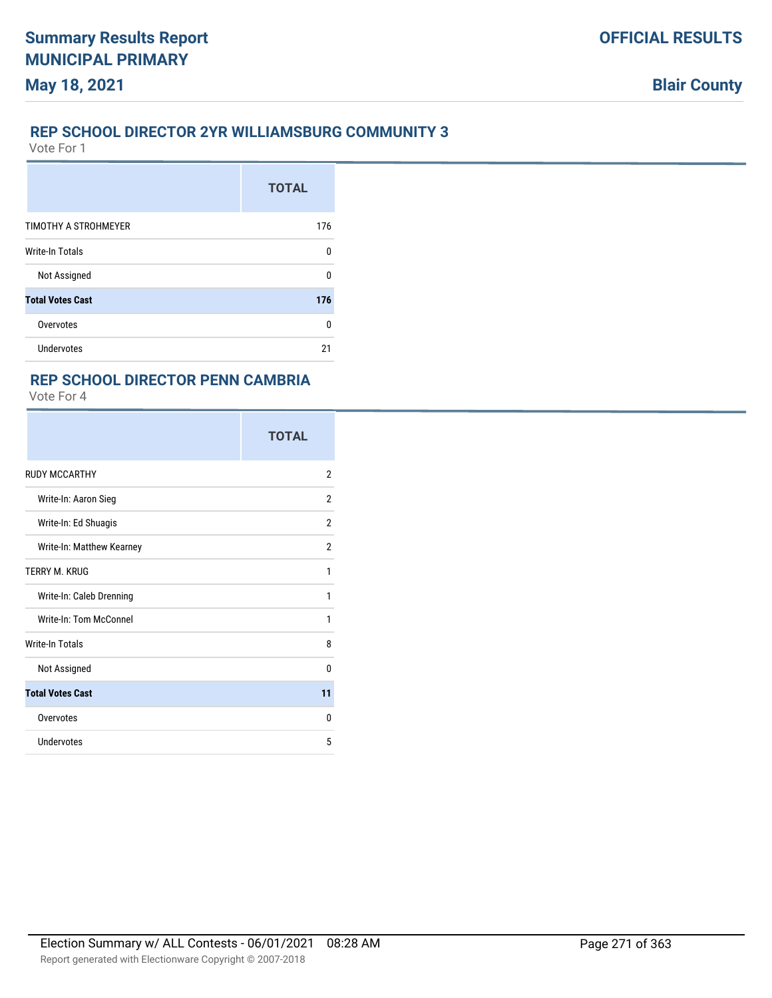#### **REP SCHOOL DIRECTOR 2YR WILLIAMSBURG COMMUNITY 3**

Vote For 1

**May 18, 2021**

|                         | <b>TOTAL</b> |
|-------------------------|--------------|
| TIMOTHY A STROHMEYER    | 176          |
| <b>Write-In Totals</b>  | 0            |
| Not Assigned            | U            |
| <b>Total Votes Cast</b> | 176          |
| Overvotes               | 0            |
| <b>Undervotes</b>       | 21           |

#### **REP SCHOOL DIRECTOR PENN CAMBRIA**

|                           | <b>TOTAL</b>   |
|---------------------------|----------------|
| <b>RUDY MCCARTHY</b>      | $\overline{2}$ |
| Write-In: Aaron Sieg      | $\overline{2}$ |
| Write-In: Ed Shuagis      | $\overline{2}$ |
| Write-In: Matthew Kearney | $\overline{2}$ |
| TERRY M. KRUG             | 1              |
| Write-In: Caleb Drenning  | 1              |
| Write-In: Tom McConnel    | 1              |
| <b>Write-In Totals</b>    | 8              |
| Not Assigned              | 0              |
| <b>Total Votes Cast</b>   | 11             |
| Overvotes                 | $\Omega$       |
| Undervotes                | 5              |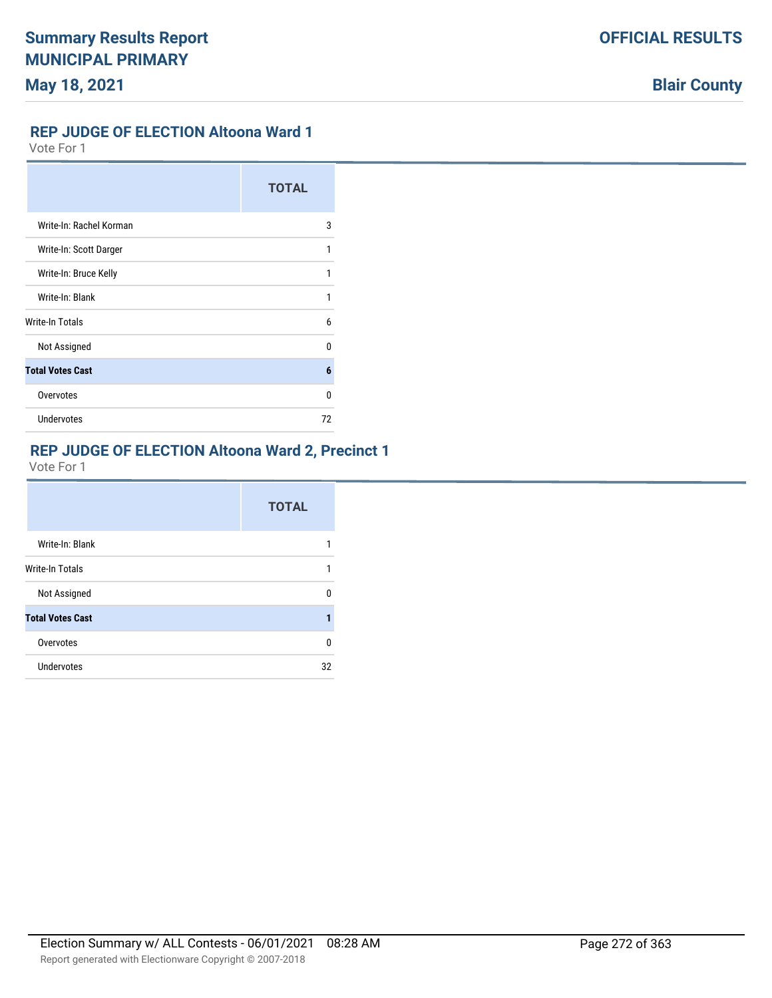## **REP JUDGE OF ELECTION Altoona Ward 1**

Vote For 1

|                         | <b>TOTAL</b> |
|-------------------------|--------------|
| Write-In: Rachel Korman | 3            |
| Write-In: Scott Darger  | 1            |
| Write-In: Bruce Kelly   | 1            |
| Write-In: Blank         |              |
| Write-In Totals         | 6            |
| Not Assigned            | n            |
| <b>Total Votes Cast</b> | 6            |
| Overvotes               | n            |
| <b>Undervotes</b>       | 72           |

#### **REP JUDGE OF ELECTION Altoona Ward 2, Precinct 1**

|                         | <b>TOTAL</b> |
|-------------------------|--------------|
| Write-In: Blank         |              |
| Write-In Totals         |              |
| Not Assigned            | n            |
| <b>Total Votes Cast</b> |              |
| Overvotes               | 0            |
| Undervotes              | 32           |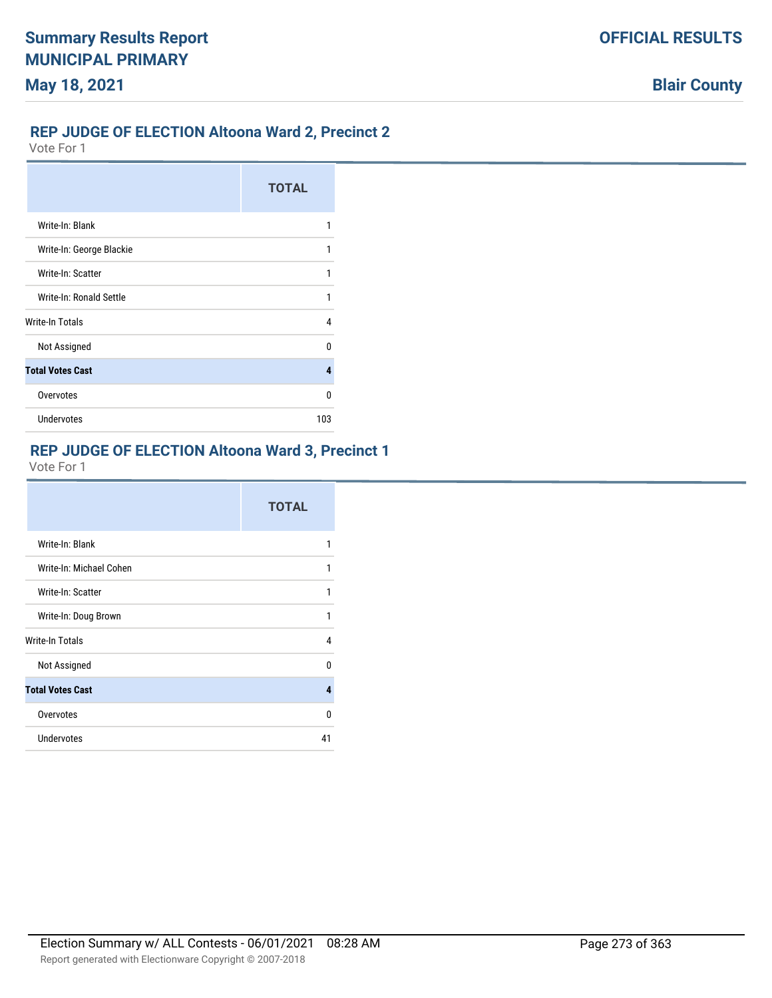# **REP JUDGE OF ELECTION Altoona Ward 2, Precinct 2**

Vote For 1

|                          | <b>TOTAL</b> |
|--------------------------|--------------|
| Write-In: Blank          | 1            |
| Write-In: George Blackie | 1            |
| Write-In: Scatter        | 1            |
| Write-In: Ronald Settle  | 1            |
| <b>Write-In Totals</b>   | 4            |
| Not Assigned             | n            |
| <b>Total Votes Cast</b>  | 4            |
| Overvotes                | n            |
| <b>Undervotes</b>        | 103          |

#### **REP JUDGE OF ELECTION Altoona Ward 3, Precinct 1**

|                         | <b>TOTAL</b> |
|-------------------------|--------------|
| Write-In: Blank         | 1            |
| Write-In: Michael Cohen | 1            |
| Write-In: Scatter       | 1            |
| Write-In: Doug Brown    | 1            |
| <b>Write-In Totals</b>  | 4            |
| Not Assigned            | U            |
| <b>Total Votes Cast</b> | 4            |
| Overvotes               | U            |
| Undervotes              | 41           |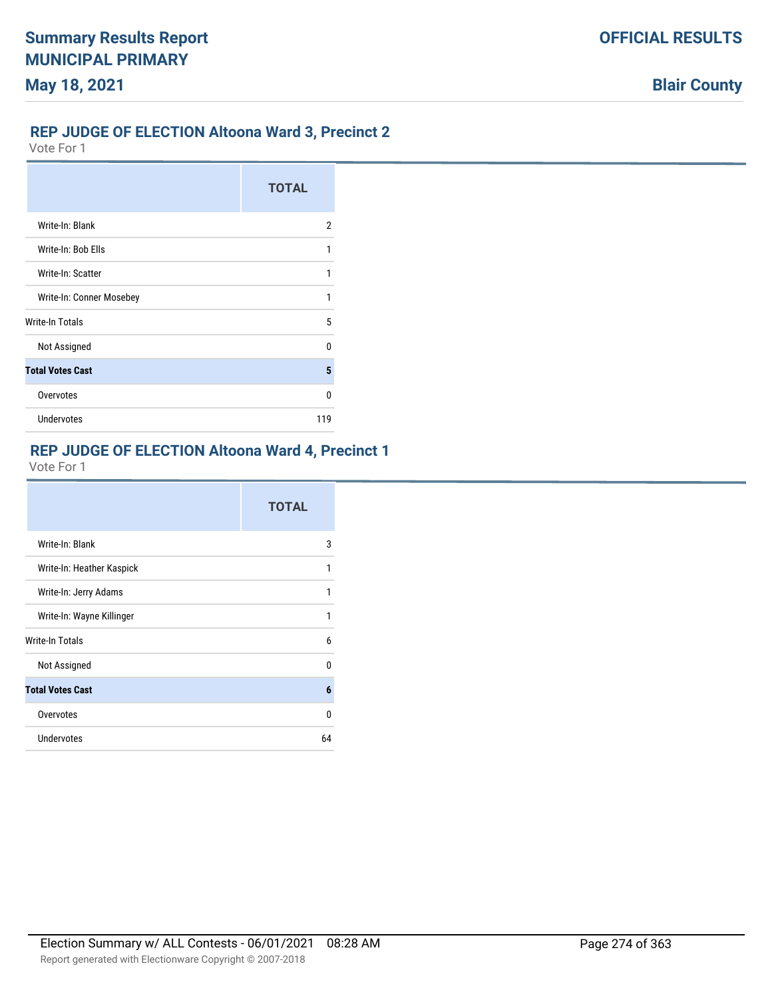## **REP JUDGE OF ELECTION Altoona Ward 3, Precinct 2**

Vote For 1

|                          | <b>TOTAL</b> |
|--------------------------|--------------|
| Write-In: Blank          | 2            |
| Write-In: Bob Ells       | 1            |
| Write-In: Scatter        | 1            |
| Write-In: Conner Mosebey | 1            |
| Write-In Totals          | 5            |
| Not Assigned             | n            |
| <b>Total Votes Cast</b>  | 5            |
| Overvotes                | n            |
| <b>Undervotes</b>        | 119          |

#### **REP JUDGE OF ELECTION Altoona Ward 4, Precinct 1**

|                           | <b>TOTAL</b> |
|---------------------------|--------------|
| Write-In: Blank           | 3            |
| Write-In: Heather Kaspick | 1            |
| Write-In: Jerry Adams     | 1            |
| Write-In: Wayne Killinger | 1            |
| Write-In Totals           | 6            |
| Not Assigned              | U            |
| <b>Total Votes Cast</b>   | 6            |
| Overvotes                 | 0            |
| Undervotes                | 64           |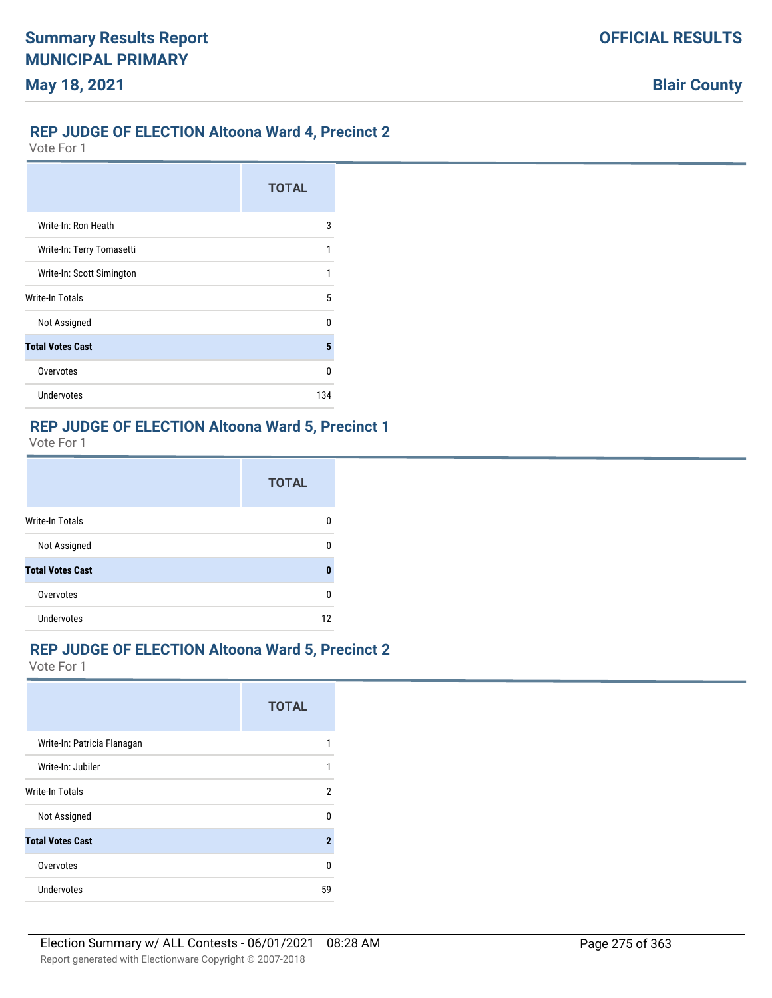# **REP JUDGE OF ELECTION Altoona Ward 4, Precinct 2**

Vote For 1

|                           | <b>TOTAL</b> |
|---------------------------|--------------|
| Write-In: Ron Heath       | 3            |
| Write-In: Terry Tomasetti |              |
| Write-In: Scott Simington |              |
| Write-In Totals           | 5            |
| Not Assigned              | n            |
| <b>Total Votes Cast</b>   | 5            |
| Overvotes                 | ŋ            |
| Undervotes                | 134          |

#### **REP JUDGE OF ELECTION Altoona Ward 5, Precinct 1**

Vote For 1

|                         | <b>TOTAL</b> |
|-------------------------|--------------|
| Write-In Totals         | n            |
| Not Assigned            | ŋ            |
| <b>Total Votes Cast</b> | Л            |
| Overvotes               | ŋ            |
| <b>Undervotes</b>       | 12           |

#### **REP JUDGE OF ELECTION Altoona Ward 5, Precinct 2**

|                             | <b>TOTAL</b> |
|-----------------------------|--------------|
| Write-In: Patricia Flanagan |              |
| Write-In: Jubiler           |              |
| <b>Write-In Totals</b>      | 2            |
| Not Assigned                | n            |
| <b>Total Votes Cast</b>     | 2            |
| Overvotes                   | U            |
| Undervotes                  | 59           |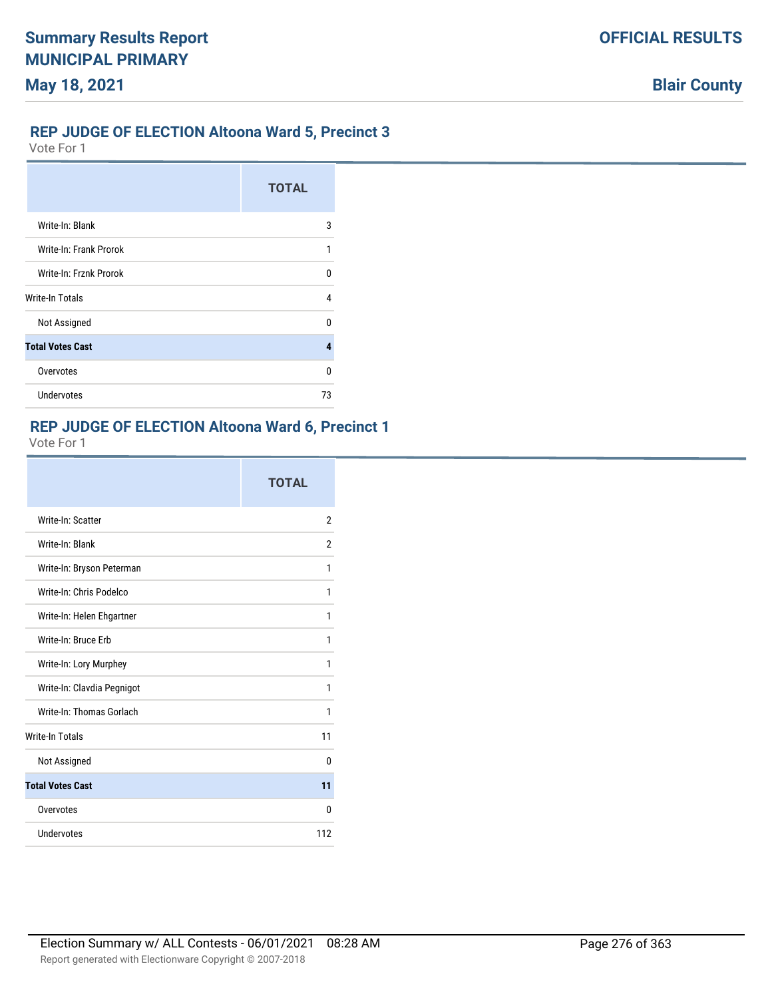# **REP JUDGE OF ELECTION Altoona Ward 5, Precinct 3**

Vote For 1

|                         | <b>TOTAL</b> |
|-------------------------|--------------|
| Write-In: Blank         | 3            |
| Write-In: Frank Prorok  |              |
| Write-In: Frznk Prorok  | U            |
| Write-In Totals         | 4            |
| Not Assigned            | n            |
| <b>Total Votes Cast</b> | 4            |
| Overvotes               | U            |
| <b>Undervotes</b>       | 73           |

# **REP JUDGE OF ELECTION Altoona Ward 6, Precinct 1**

|                            | <b>TOTAL</b>   |
|----------------------------|----------------|
| Write-In: Scatter          | $\overline{2}$ |
| Write-In: Blank            | 2              |
| Write-In: Bryson Peterman  | 1              |
| Write-In: Chris Podelco    | 1              |
| Write-In: Helen Ehgartner  | 1              |
| Write-In: Bruce Erb        | 1              |
| Write-In: Lory Murphey     | 1              |
| Write-In: Clavdia Pegnigot | 1              |
| Write-In: Thomas Gorlach   | 1              |
| <b>Write-In Totals</b>     | 11             |
| Not Assigned               | $\Omega$       |
| <b>Total Votes Cast</b>    | 11             |
| Overvotes                  | 0              |
| Undervotes                 | 112            |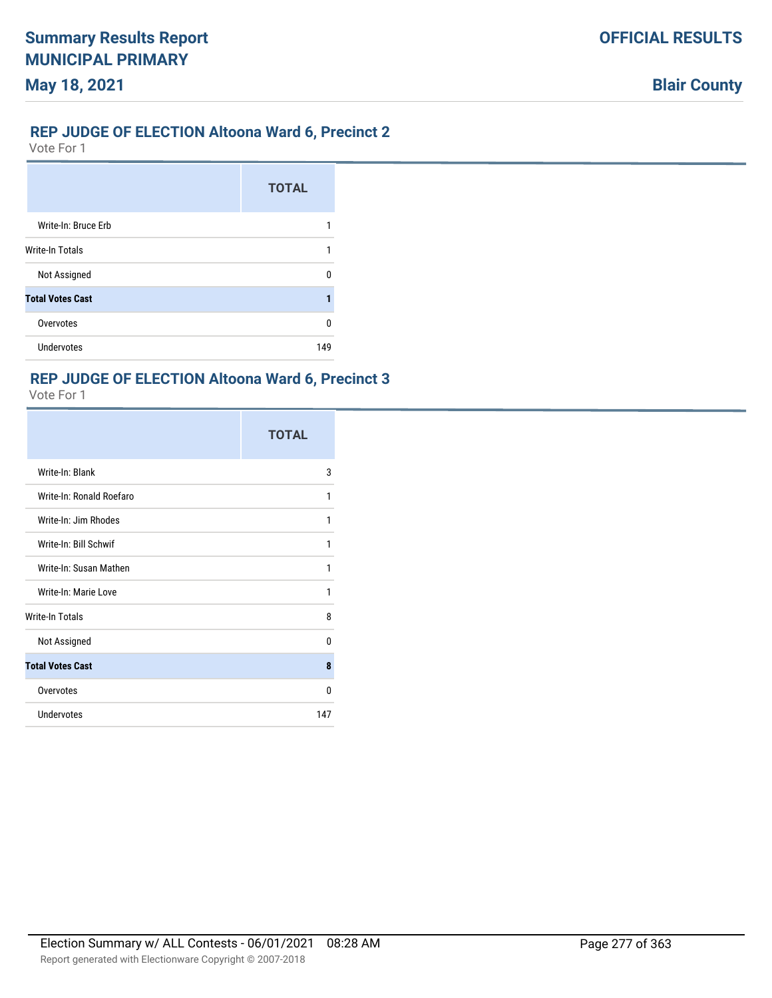# **REP JUDGE OF ELECTION Altoona Ward 6, Precinct 2**

Vote For 1

|                         | <b>TOTAL</b> |
|-------------------------|--------------|
| Write-In: Bruce Erb     |              |
| Write-In Totals         |              |
| Not Assigned            | n            |
| <b>Total Votes Cast</b> |              |
| Overvotes               | n            |
| <b>Undervotes</b>       | 149          |

# **REP JUDGE OF ELECTION Altoona Ward 6, Precinct 3**

|                          | <b>TOTAL</b> |
|--------------------------|--------------|
| Write-In: Blank          | 3            |
| Write-In: Ronald Roefaro | 1            |
| Write-In: Jim Rhodes     | 1            |
| Write-In: Bill Schwif    | 1            |
| Write-In: Susan Mathen   | 1            |
| Write-In: Marie Love     | 1            |
| <b>Write-In Totals</b>   | 8            |
| Not Assigned             | 0            |
| <b>Total Votes Cast</b>  | 8            |
| Overvotes                | 0            |
| <b>Undervotes</b>        | 147          |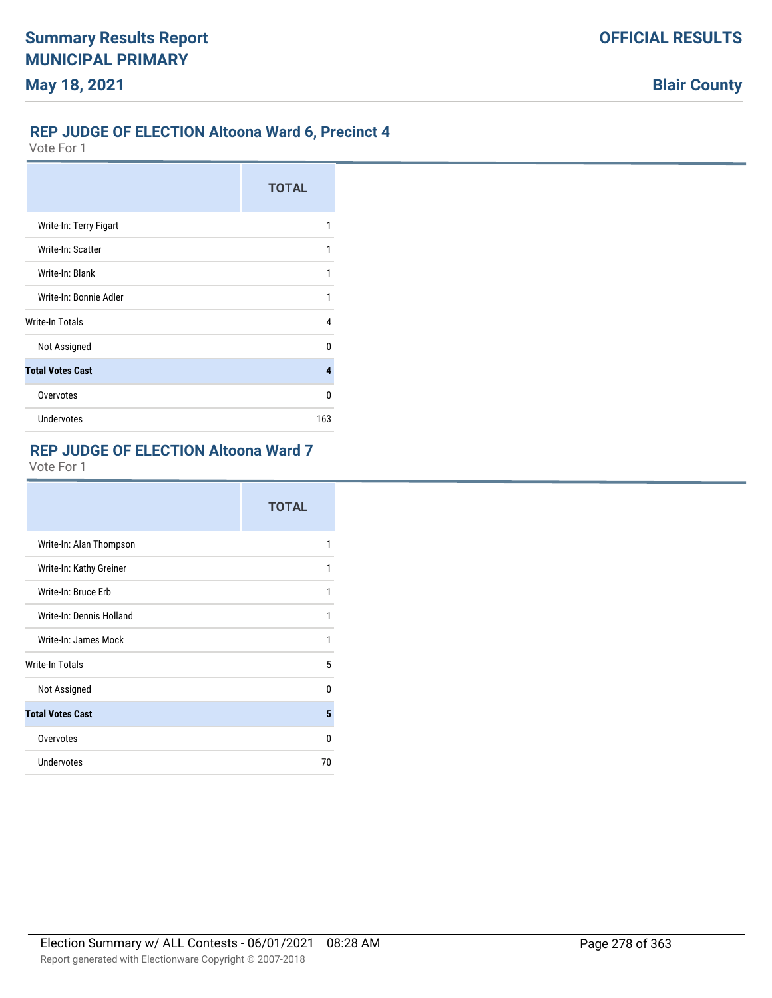# **REP JUDGE OF ELECTION Altoona Ward 6, Precinct 4**

Vote For 1

|                         | <b>TOTAL</b> |
|-------------------------|--------------|
| Write-In: Terry Figart  | 1            |
| Write-In: Scatter       | 1            |
| Write-In: Blank         | 1            |
| Write-In: Bonnie Adler  | 1            |
| Write-In Totals         | 4            |
| Not Assigned            | n            |
| <b>Total Votes Cast</b> | 4            |
| Overvotes               | U            |
| Undervotes              | 163          |

# **REP JUDGE OF ELECTION Altoona Ward 7**

|                          | <b>TOTAL</b> |
|--------------------------|--------------|
| Write-In: Alan Thompson  | 1            |
| Write-In: Kathy Greiner  | 1            |
| Write-In: Bruce Erb      | 1            |
| Write-In: Dennis Holland | 1            |
| Write-In: James Mock     | 1            |
| <b>Write-In Totals</b>   | 5            |
| Not Assigned             | U            |
| <b>Total Votes Cast</b>  | 5            |
| Overvotes                | 0            |
| Undervotes               | 70           |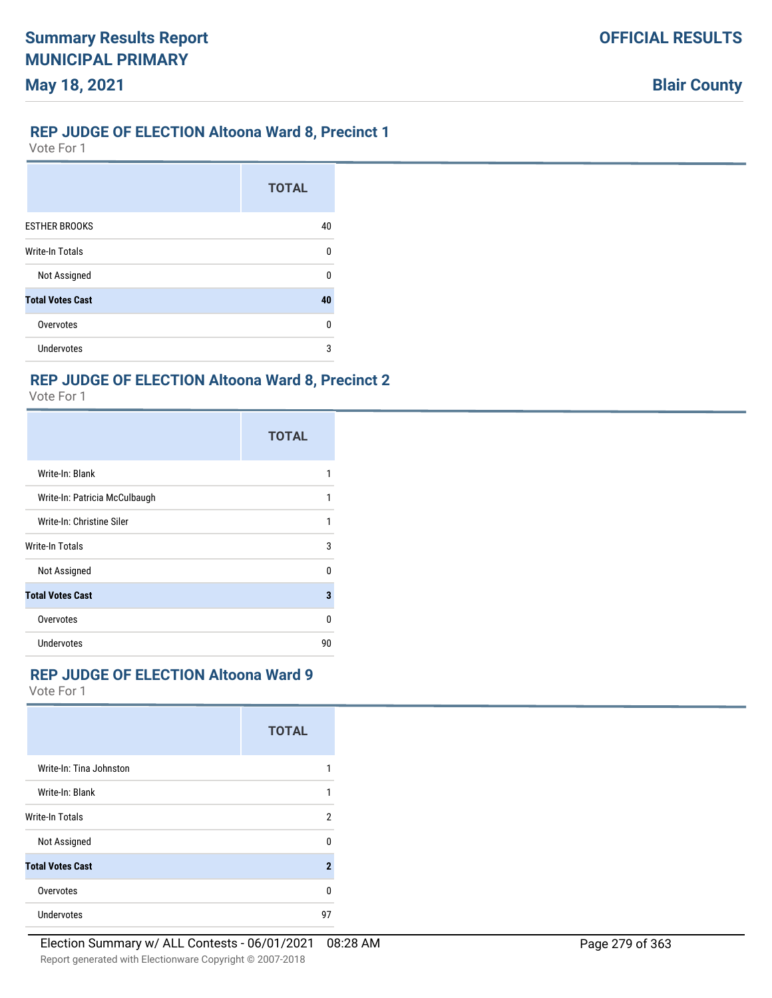#### **REP JUDGE OF ELECTION Altoona Ward 8, Precinct 1**

Vote For 1

|                         | <b>TOTAL</b> |
|-------------------------|--------------|
| <b>ESTHER BROOKS</b>    | 40           |
| <b>Write-In Totals</b>  | $\Omega$     |
| Not Assigned            | U            |
| <b>Total Votes Cast</b> | 40           |
| Overvotes               | U            |
| <b>Undervotes</b>       | 3            |

#### **REP JUDGE OF ELECTION Altoona Ward 8, Precinct 2**

Vote For 1

|                               | <b>TOTAL</b> |
|-------------------------------|--------------|
| Write-In: Blank               |              |
| Write-In: Patricia McCulbaugh |              |
| Write-In: Christine Siler     | 1            |
| <b>Write-In Totals</b>        | 3            |
| Not Assigned                  | U            |
| <b>Total Votes Cast</b>       | 3            |
| Overvotes                     | n            |
| Undervotes                    | 90           |

# **REP JUDGE OF ELECTION Altoona Ward 9**

|                         | <b>TOTAL</b>   |
|-------------------------|----------------|
| Write-In: Tina Johnston | 1              |
| Write-In: Blank         | 1              |
| <b>Write-In Totals</b>  | 2              |
| Not Assigned            | U              |
| <b>Total Votes Cast</b> | $\overline{2}$ |
| Overvotes               | 0              |
| Undervotes              | 97             |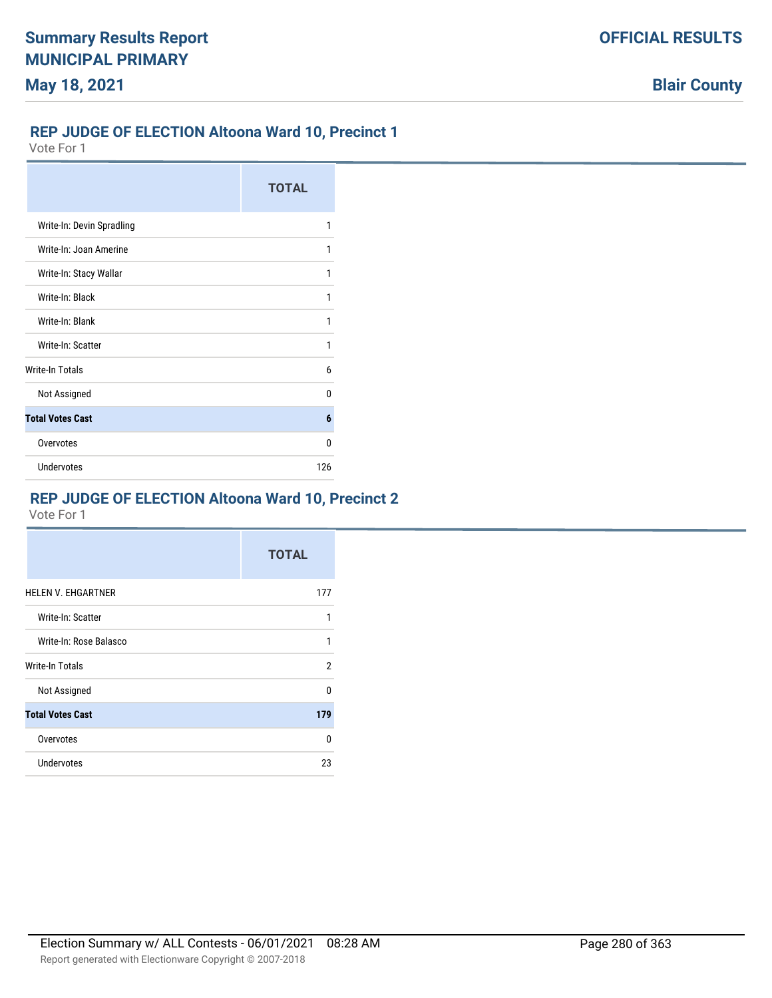# **REP JUDGE OF ELECTION Altoona Ward 10, Precinct 1**

Vote For 1

|                           | <b>TOTAL</b> |
|---------------------------|--------------|
| Write-In: Devin Spradling | 1            |
| Write-In: Joan Amerine    | 1            |
| Write-In: Stacy Wallar    | 1            |
| Write-In: Black           | 1            |
| Write-In: Blank           | 1            |
| Write-In: Scatter         | 1            |
| Write-In Totals           | 6            |
| Not Assigned              | n            |
| <b>Total Votes Cast</b>   | 6            |
| Overvotes                 | n            |
| <b>Undervotes</b>         | 126          |

# **REP JUDGE OF ELECTION Altoona Ward 10, Precinct 2**

|                           | <b>TOTAL</b> |
|---------------------------|--------------|
| <b>HELEN V. EHGARTNER</b> | 177          |
| Write-In: Scatter         | 1            |
| Write-In: Rose Balasco    | 1            |
| <b>Write-In Totals</b>    | 2            |
| Not Assigned              | U            |
| <b>Total Votes Cast</b>   | 179          |
| Overvotes                 | $\Omega$     |
| <b>Undervotes</b>         | 23           |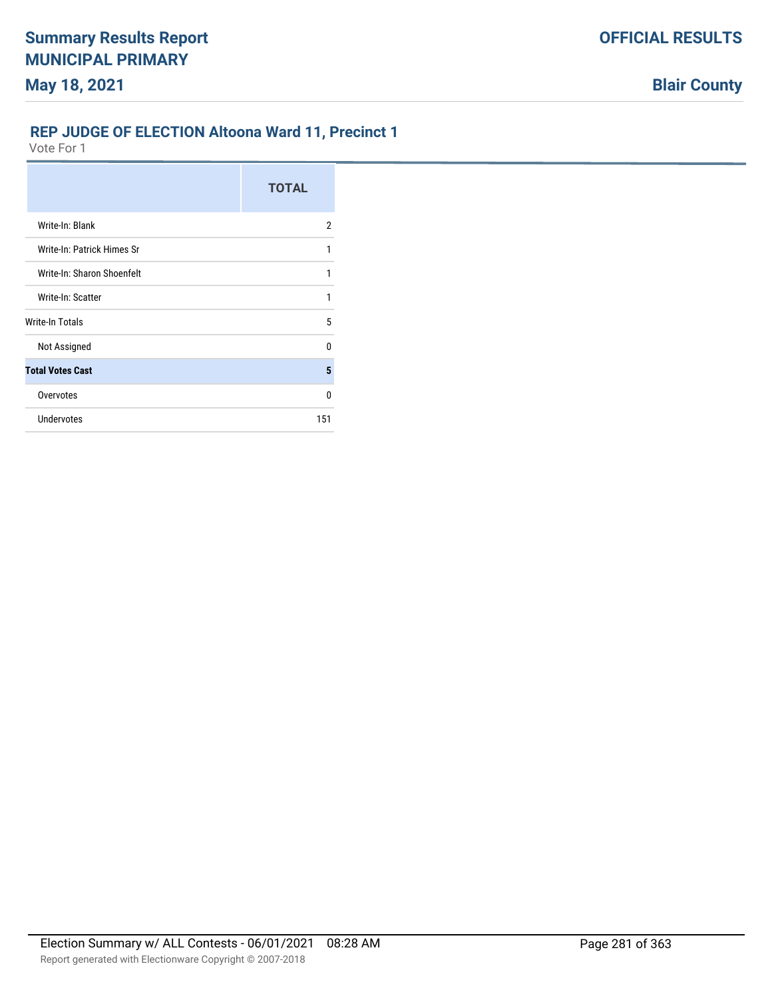# **REP JUDGE OF ELECTION Altoona Ward 11, Precinct 1**

|                            | <b>TOTAL</b> |
|----------------------------|--------------|
| Write-In: Blank            | 2            |
| Write-In: Patrick Himes Sr | 1            |
| Write-In: Sharon Shoenfelt | 1            |
| Write-In: Scatter          | 1            |
| Write-In Totals            | 5            |
| Not Assigned               | 0            |
| <b>Total Votes Cast</b>    | 5            |
| Overvotes                  | 0            |
| <b>Undervotes</b>          | 151          |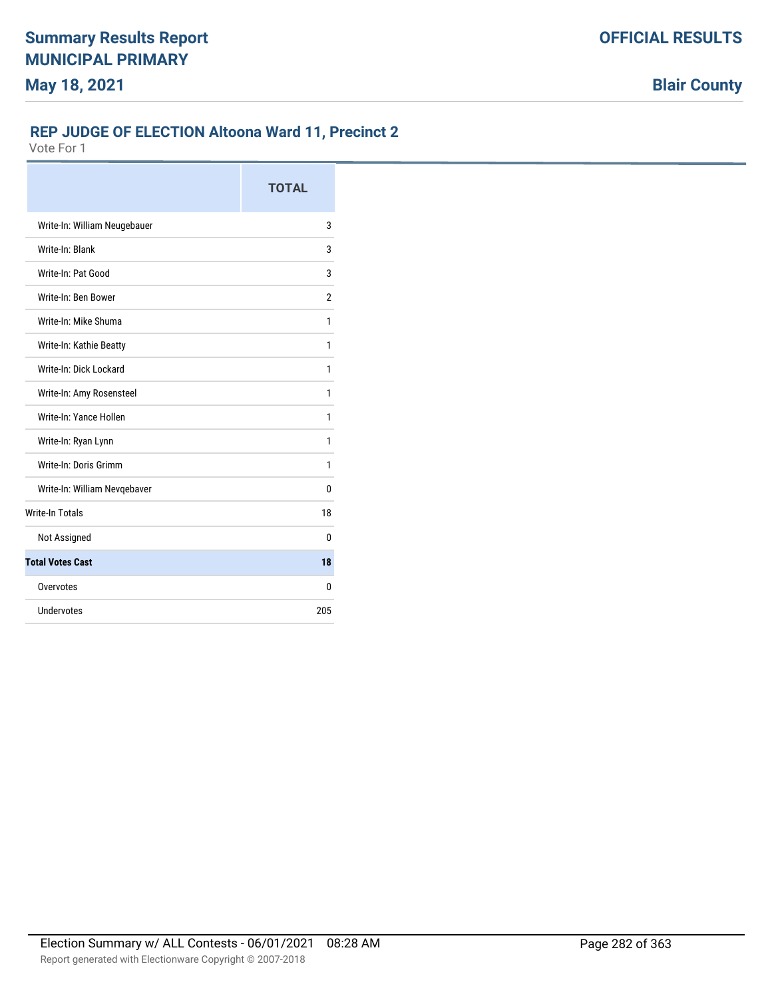# **REP JUDGE OF ELECTION Altoona Ward 11, Precinct 2**

|                              | <b>TOTAL</b>   |
|------------------------------|----------------|
| Write-In: William Neugebauer | 3              |
| Write-In: Blank              | 3              |
| Write-In: Pat Good           | 3              |
| Write-In: Ben Bower          | $\overline{2}$ |
| Write-In: Mike Shuma         | 1              |
| Write-In: Kathie Beatty      | 1              |
| Write-In: Dick Lockard       | 1              |
| Write-In: Amy Rosensteel     | 1              |
| Write-In: Yance Hollen       | 1              |
| Write-In: Ryan Lynn          | 1              |
| Write-In: Doris Grimm        | 1              |
| Write-In: William Nevqebaver | 0              |
| <b>Write-In Totals</b>       | 18             |
| Not Assigned                 | 0              |
| <b>Total Votes Cast</b>      | 18             |
| Overvotes                    | 0              |
| Undervotes                   | 205            |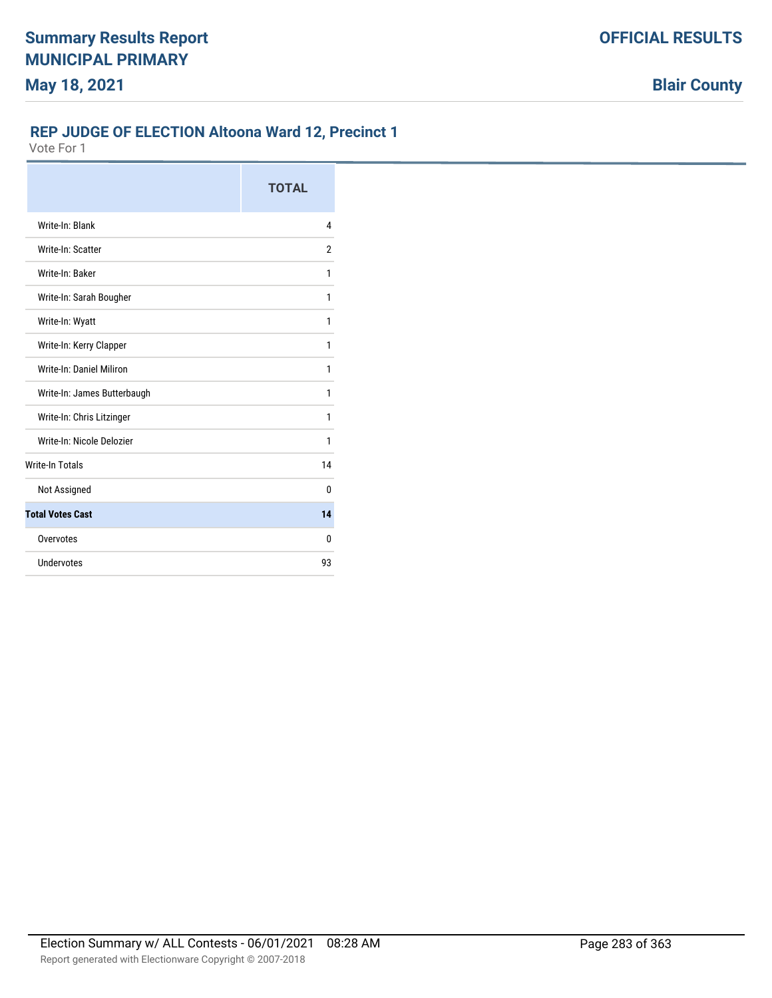# **REP JUDGE OF ELECTION Altoona Ward 12, Precinct 1**

|                             | <b>TOTAL</b> |
|-----------------------------|--------------|
| Write-In: Blank             | 4            |
| Write-In: Scatter           | 2            |
| Write-In: Baker             | 1            |
| Write-In: Sarah Bougher     | 1            |
| Write-In: Wyatt             | 1            |
| Write-In: Kerry Clapper     | 1            |
| Write-In: Daniel Miliron    | 1            |
| Write-In: James Butterbaugh | 1            |
| Write-In: Chris Litzinger   | 1            |
| Write-In: Nicole Delozier   | 1            |
| <b>Write-In Totals</b>      | 14           |
| Not Assigned                | 0            |
| <b>Total Votes Cast</b>     | 14           |
| Overvotes                   | 0            |
| Undervotes                  | 93           |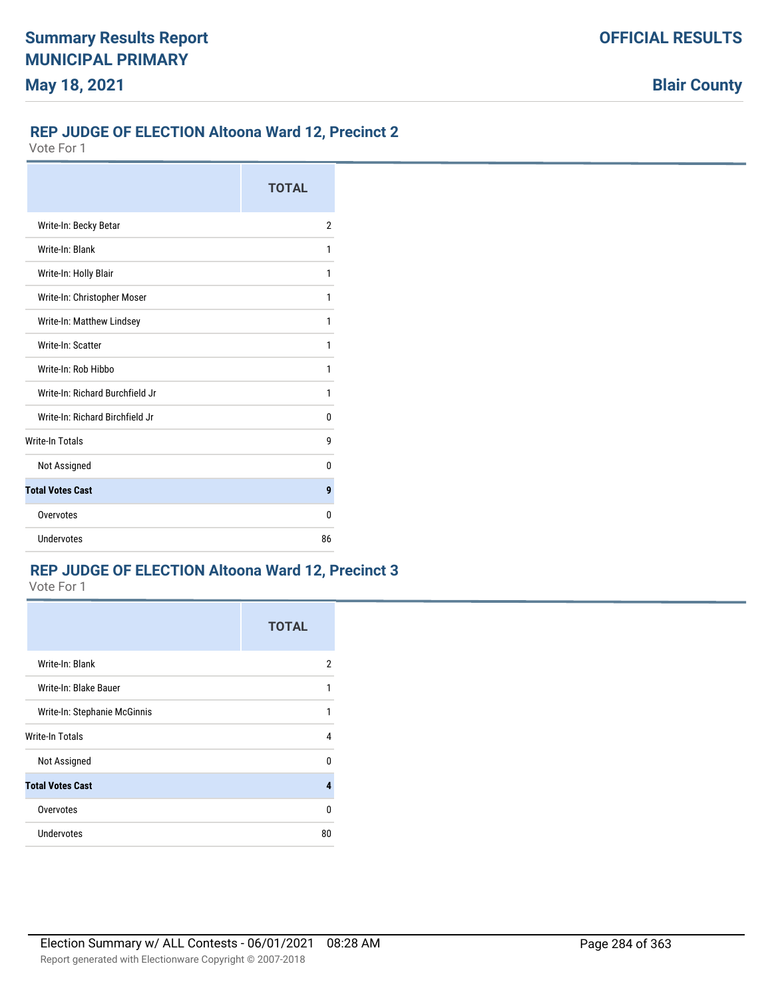#### **REP JUDGE OF ELECTION Altoona Ward 12, Precinct 2**

Vote For 1

|                                 | <b>TOTAL</b> |
|---------------------------------|--------------|
| Write-In: Becky Betar           | 2            |
| Write-In: Blank                 | 1            |
| Write-In: Holly Blair           | 1            |
| Write-In: Christopher Moser     | 1            |
| Write-In: Matthew Lindsey       | 1            |
| Write-In: Scatter               | 1            |
| Write-In: Rob Hibbo             | 1            |
| Write-In: Richard Burchfield Jr | 1            |
| Write-In: Richard Birchfield Jr | 0            |
| <b>Write-In Totals</b>          | 9            |
| Not Assigned                    | n            |
| <b>Total Votes Cast</b>         | 9            |
| Overvotes                       | n            |
| Undervotes                      | 86           |

# **REP JUDGE OF ELECTION Altoona Ward 12, Precinct 3**

|                              | <b>TOTAL</b> |
|------------------------------|--------------|
| Write-In: Blank              | 2            |
| Write-In: Blake Bauer        | 1            |
| Write-In: Stephanie McGinnis | 1            |
| Write-In Totals              | 4            |
| Not Assigned                 | U            |
| <b>Total Votes Cast</b>      | 4            |
| Overvotes                    | 0            |
| <b>Undervotes</b>            | 80           |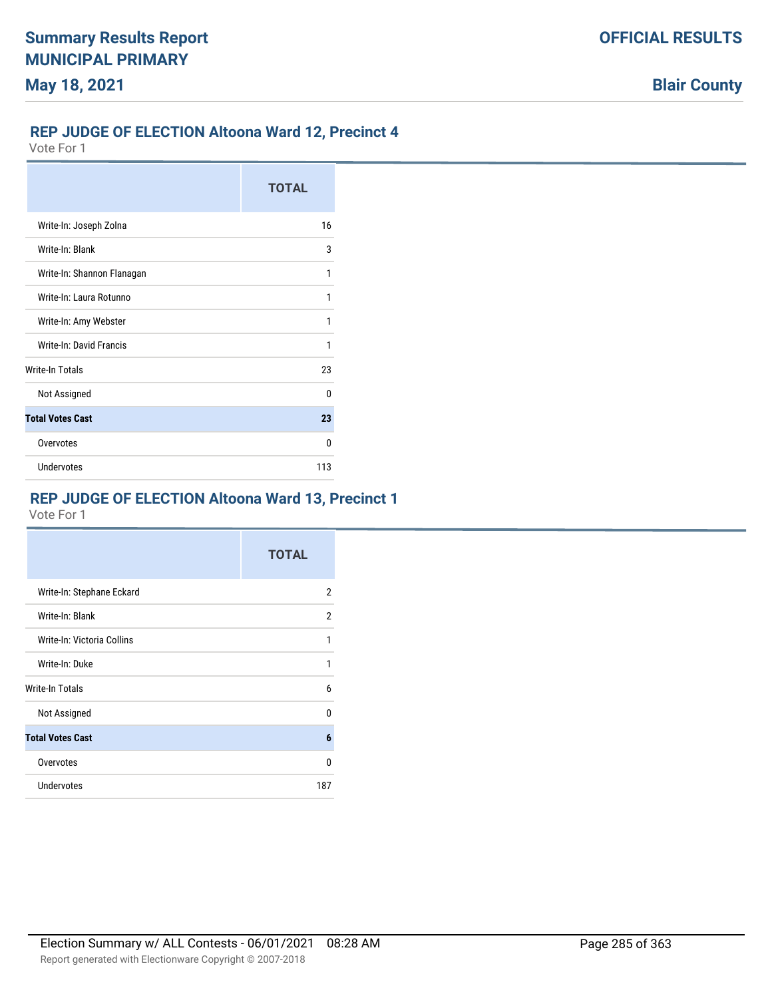# **REP JUDGE OF ELECTION Altoona Ward 12, Precinct 4**

Vote For 1

|                            | <b>TOTAL</b> |
|----------------------------|--------------|
| Write-In: Joseph Zolna     | 16           |
| Write-In: Blank            | 3            |
| Write-In: Shannon Flanagan |              |
| Write-In: Laura Rotunno    | 1            |
| Write-In: Amy Webster      | 1            |
| Write-In: David Francis    | 1            |
| <b>Write-In Totals</b>     | 23           |
| Not Assigned               | n            |
| <b>Total Votes Cast</b>    | 23           |
| Overvotes                  | n            |
| <b>Undervotes</b>          | 113          |

# **REP JUDGE OF ELECTION Altoona Ward 13, Precinct 1**

|                            | <b>TOTAL</b>   |
|----------------------------|----------------|
| Write-In: Stephane Eckard  | $\overline{2}$ |
| Write-In: Blank            | 2              |
| Write-In: Victoria Collins | 1              |
| Write-In: Duke             | 1              |
| Write-In Totals            | 6              |
| Not Assigned               | 0              |
| <b>Total Votes Cast</b>    | 6              |
| Overvotes                  | 0              |
| Undervotes                 | 187            |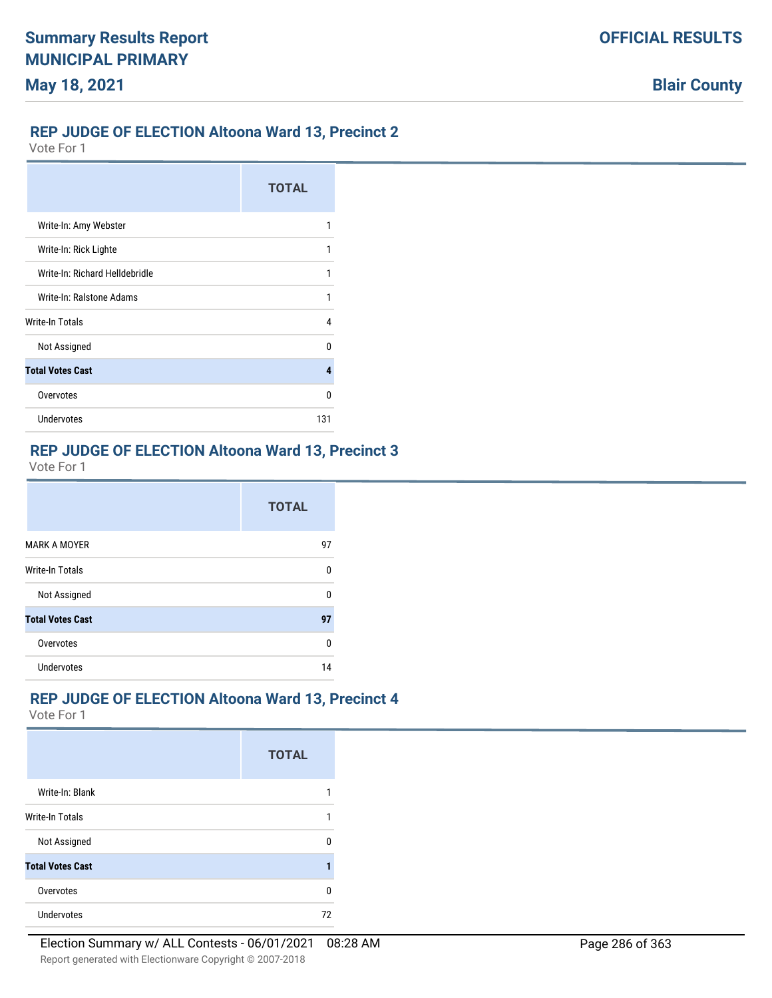# **REP JUDGE OF ELECTION Altoona Ward 13, Precinct 2**

Vote For 1

|                                | <b>TOTAL</b> |
|--------------------------------|--------------|
| Write-In: Amy Webster          | 1            |
| Write-In: Rick Lighte          | 1            |
| Write-In: Richard Helldebridle |              |
| Write-In: Ralstone Adams       | 1            |
| Write-In Totals                | 4            |
| Not Assigned                   | n            |
| <b>Total Votes Cast</b>        | 4            |
| Overvotes                      | n            |
| Undervotes                     | 131          |

# **REP JUDGE OF ELECTION Altoona Ward 13, Precinct 3**

Vote For 1

|                         | <b>TOTAL</b> |
|-------------------------|--------------|
| MARK A MOYER            | 97           |
| Write-In Totals         | 0            |
| Not Assigned            | 0            |
| <b>Total Votes Cast</b> | 97           |
| Overvotes               | 0            |
| Undervotes              | 14           |

## **REP JUDGE OF ELECTION Altoona Ward 13, Precinct 4**

|                         | <b>TOTAL</b> |
|-------------------------|--------------|
| Write-In: Blank         |              |
| <b>Write-In Totals</b>  |              |
| Not Assigned            | n            |
| <b>Total Votes Cast</b> |              |
| Overvotes               | $\Omega$     |
| Undervotes              | 72           |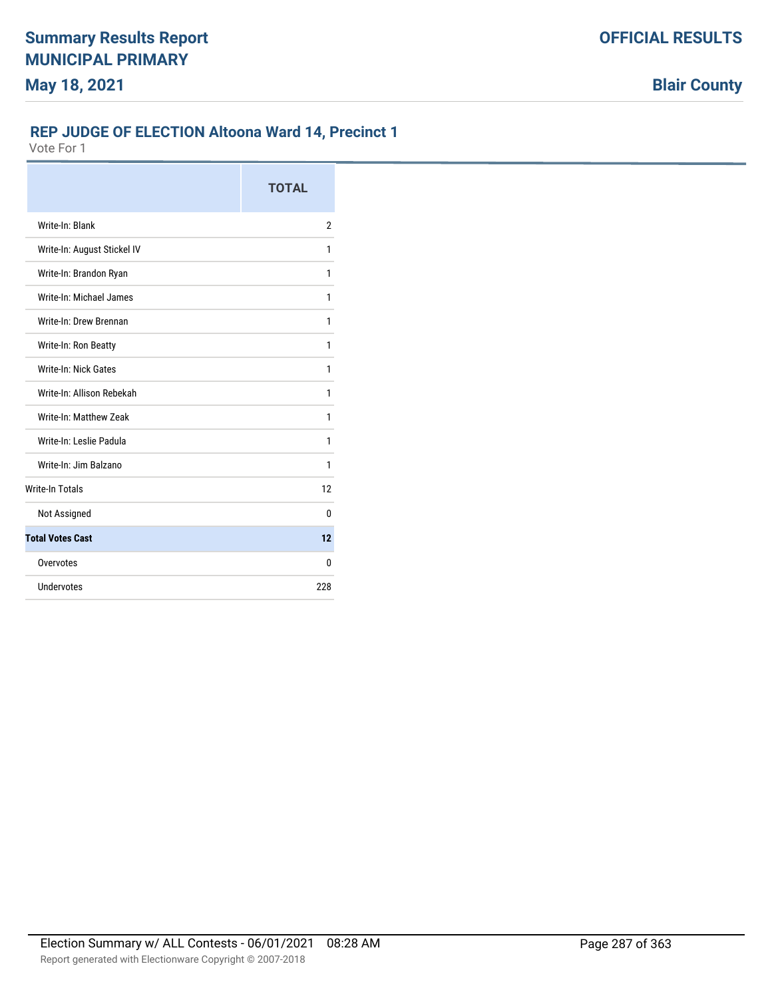# **REP JUDGE OF ELECTION Altoona Ward 14, Precinct 1**

|                             | <b>TOTAL</b> |
|-----------------------------|--------------|
| Write-In: Blank             | 2            |
| Write-In: August Stickel IV | 1            |
| Write-In: Brandon Ryan      | 1            |
| Write-In: Michael James     | 1            |
| Write-In: Drew Brennan      | 1            |
| Write-In: Ron Beatty        | 1            |
| Write-In: Nick Gates        | 1            |
| Write-In: Allison Rebekah   | 1            |
| Write-In: Matthew Zeak      | 1            |
| Write-In: Leslie Padula     | 1            |
| Write-In: Jim Balzano       | 1            |
| <b>Write-In Totals</b>      | 12           |
| Not Assigned                | 0            |
| <b>Total Votes Cast</b>     | 12           |
| Overvotes                   | 0            |
| Undervotes                  | 228          |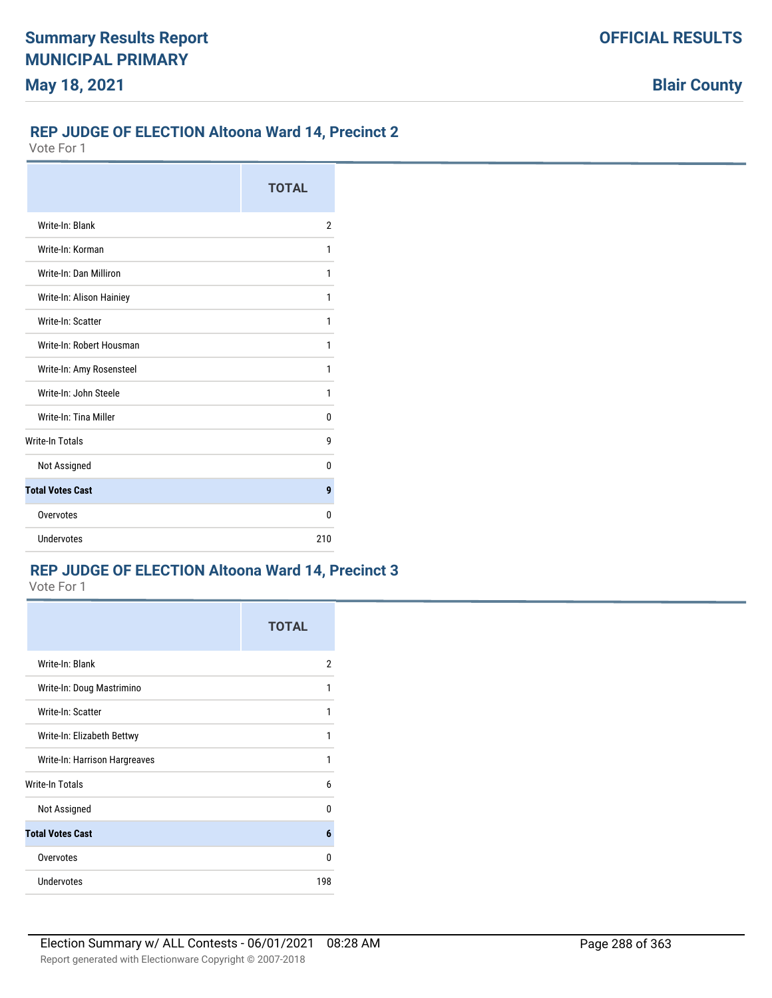#### **REP JUDGE OF ELECTION Altoona Ward 14, Precinct 2**

Vote For 1

|                          | <b>TOTAL</b> |
|--------------------------|--------------|
| Write-In: Blank          | 2            |
| Write-In: Korman         | 1            |
| Write-In: Dan Milliron   | 1            |
| Write-In: Alison Hainiey | 1            |
| Write-In: Scatter        | 1            |
| Write-In: Robert Housman | 1            |
| Write-In: Amy Rosensteel | 1            |
| Write-In: John Steele    | 1            |
| Write-In: Tina Miller    | 0            |
| <b>Write-In Totals</b>   | g            |
| Not Assigned             | U            |
| <b>Total Votes Cast</b>  | 9            |
| Overvotes                | n            |
| <b>Undervotes</b>        | 210          |

# **REP JUDGE OF ELECTION Altoona Ward 14, Precinct 3**

|                               | <b>TOTAL</b> |
|-------------------------------|--------------|
| Write-In: Blank               | 2            |
| Write-In: Doug Mastrimino     | 1            |
| Write-In: Scatter             | 1            |
| Write-In: Elizabeth Bettwy    | 1            |
| Write-In: Harrison Hargreaves | 1            |
| Write-In Totals               | 6            |
| Not Assigned                  | U            |
| <b>Total Votes Cast</b>       | 6            |
| Overvotes                     | U            |
| Undervotes                    | 198          |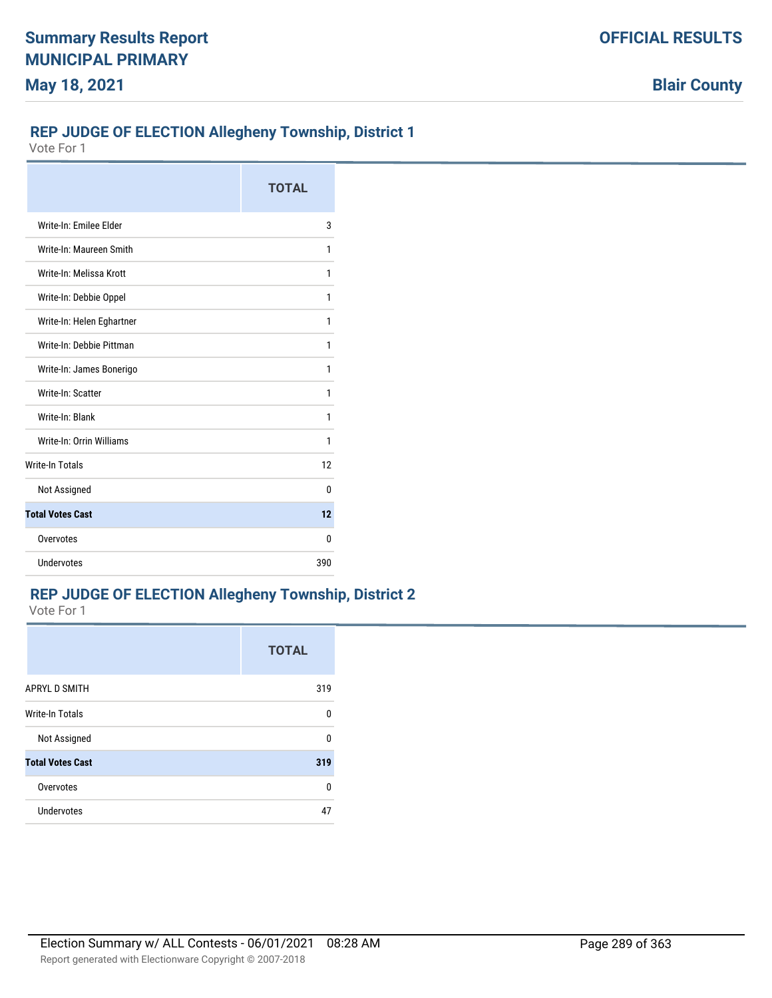## **REP JUDGE OF ELECTION Allegheny Township, District 1**

Vote For 1

|                           | <b>TOTAL</b> |
|---------------------------|--------------|
| Write-In: Emilee Elder    | 3            |
| Write-In: Maureen Smith   | 1            |
| Write-In: Melissa Krott   | 1            |
| Write-In: Debbie Oppel    | 1            |
| Write-In: Helen Eghartner | 1            |
| Write-In: Debbie Pittman  | 1            |
| Write-In: James Bonerigo  | 1            |
| Write-In: Scatter         | 1            |
| Write-In: Blank           | 1            |
| Write-In: Orrin Williams  | 1            |
| <b>Write-In Totals</b>    | 12           |
| Not Assigned              | 0            |
| <b>Total Votes Cast</b>   | 12           |
| Overvotes                 | 0            |
| Undervotes                | 390          |

### **REP JUDGE OF ELECTION Allegheny Township, District 2**

|                         | <b>TOTAL</b> |
|-------------------------|--------------|
| <b>APRYL D SMITH</b>    | 319          |
| <b>Write-In Totals</b>  | U            |
| Not Assigned            | n            |
| <b>Total Votes Cast</b> | 319          |
| Overvotes               | U            |
| Undervotes              | 47           |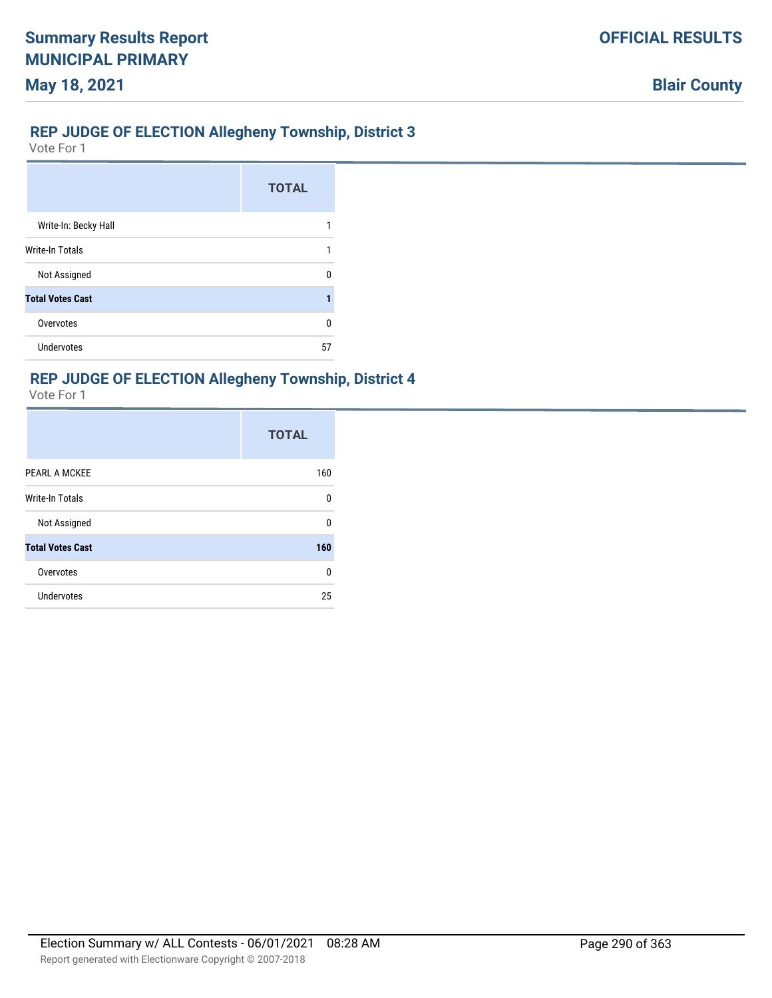## **REP JUDGE OF ELECTION Allegheny Township, District 3**

Vote For 1

|                         | <b>TOTAL</b> |
|-------------------------|--------------|
| Write-In: Becky Hall    |              |
| <b>Write-In Totals</b>  |              |
| Not Assigned            | n            |
| <b>Total Votes Cast</b> |              |
| Overvotes               | n            |
| Undervotes              | 57           |

## **REP JUDGE OF ELECTION Allegheny Township, District 4**

|                         | <b>TOTAL</b> |
|-------------------------|--------------|
| PEARL A MCKEE           | 160          |
| Write-In Totals         | 0            |
| Not Assigned            | U            |
| <b>Total Votes Cast</b> | 160          |
| Overvotes               | 0            |
| <b>Undervotes</b>       | 25           |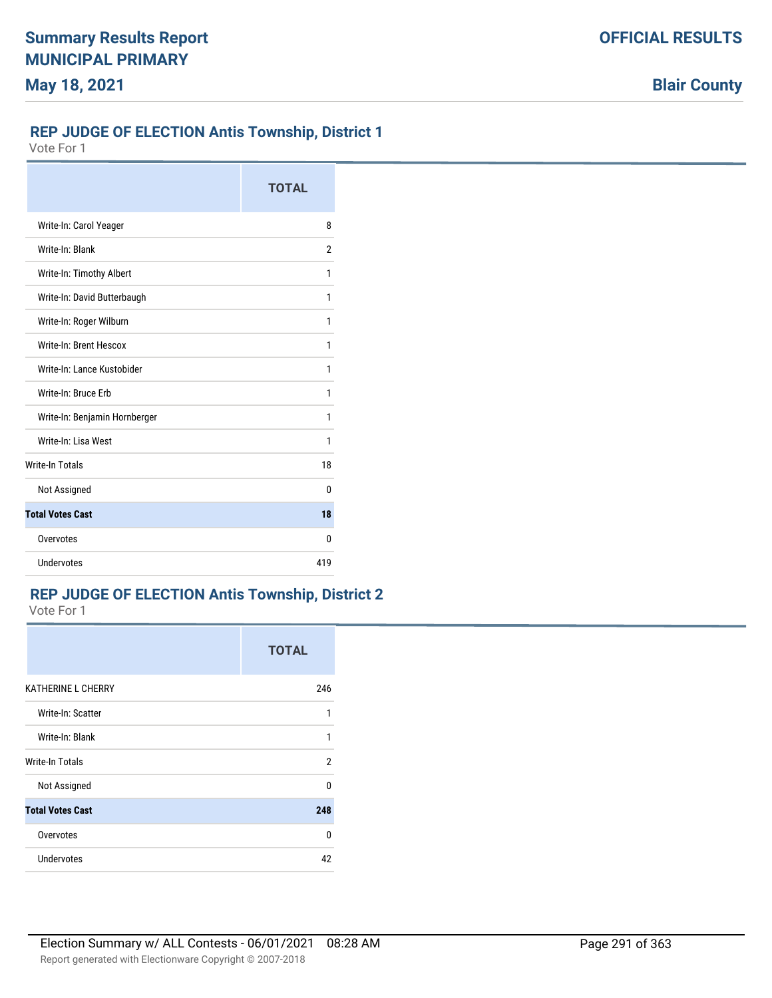**Blair County**

### **REP JUDGE OF ELECTION Antis Township, District 1**

Vote For 1

|                               | <b>TOTAL</b> |
|-------------------------------|--------------|
| Write-In: Carol Yeager        | 8            |
| Write-In: Blank               | 2            |
| Write-In: Timothy Albert      | 1            |
| Write-In: David Butterbaugh   | 1            |
| Write-In: Roger Wilburn       | 1            |
| Write-In: Brent Hescox        | 1            |
| Write-In: Lance Kustobider    | 1            |
| Write-In: Bruce Erb           | 1            |
| Write-In: Benjamin Hornberger | 1            |
| Write-In: Lisa West           | 1            |
| <b>Write-In Totals</b>        | 18           |
| Not Assigned                  | 0            |
| <b>Total Votes Cast</b>       | 18           |
| Overvotes                     | n            |
| Undervotes                    | 419          |

## **REP JUDGE OF ELECTION Antis Township, District 2**

|                           | <b>TOTAL</b> |
|---------------------------|--------------|
| <b>KATHERINE L CHERRY</b> | 246          |
| Write-In: Scatter         | 1            |
| Write-In: Blank           | 1            |
| Write-In Totals           | 2            |
| Not Assigned              | 0            |
| <b>Total Votes Cast</b>   | 248          |
| Overvotes                 | <sup>0</sup> |
| Undervotes                | 42           |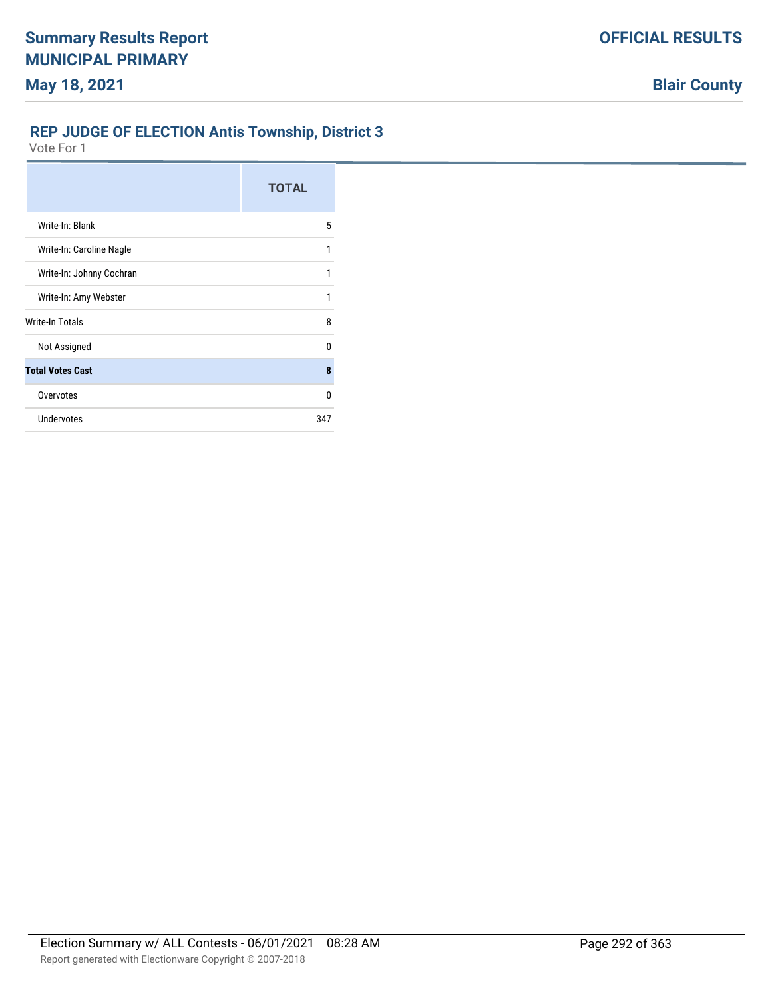## **REP JUDGE OF ELECTION Antis Township, District 3**

|                          | <b>TOTAL</b> |
|--------------------------|--------------|
| Write-In: Blank          | 5            |
| Write-In: Caroline Nagle | 1            |
| Write-In: Johnny Cochran | 1            |
| Write-In: Amy Webster    | 1            |
| Write-In Totals          | 8            |
| Not Assigned             | U            |
| <b>Total Votes Cast</b>  | 8            |
| Overvotes                | $\Omega$     |
| <b>Undervotes</b>        | 347          |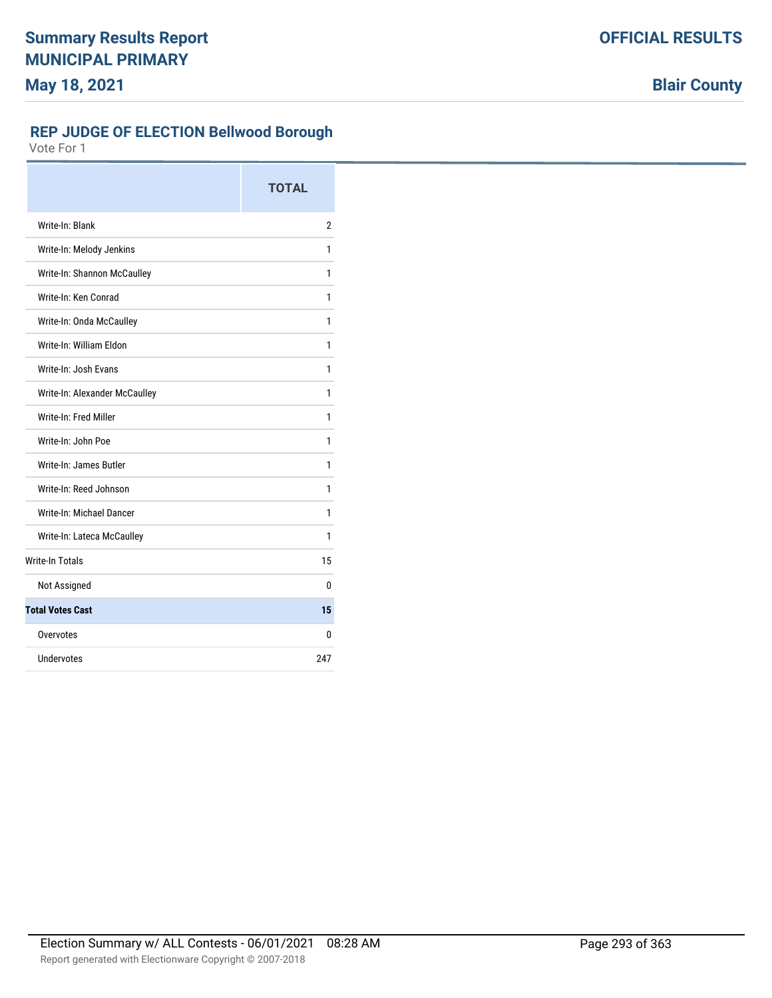**Blair County**

## **REP JUDGE OF ELECTION Bellwood Borough**

|                               | <b>TOTAL</b>   |
|-------------------------------|----------------|
| Write-In: Blank               | $\overline{2}$ |
| Write-In: Melody Jenkins      | 1              |
| Write-In: Shannon McCaulley   | 1              |
| Write-In: Ken Conrad          | 1              |
| Write-In: Onda McCaulley      | 1              |
| Write-In: William Fldon       | 1              |
| Write-In: Josh Evans          | 1              |
| Write-In: Alexander McCaulley | 1              |
| Write-In: Fred Miller         | 1              |
| Write-In: John Poe            | 1              |
| Write-In: James Butler        | 1              |
| Write-In: Reed Johnson        | 1              |
| Write-In: Michael Dancer      | 1              |
| Write-In: Lateca McCaulley    | 1              |
| <b>Write-In Totals</b>        | 15             |
| Not Assigned                  | 0              |
| <b>Total Votes Cast</b>       | 15             |
| Overvotes                     | 0              |
| Undervotes                    | 247            |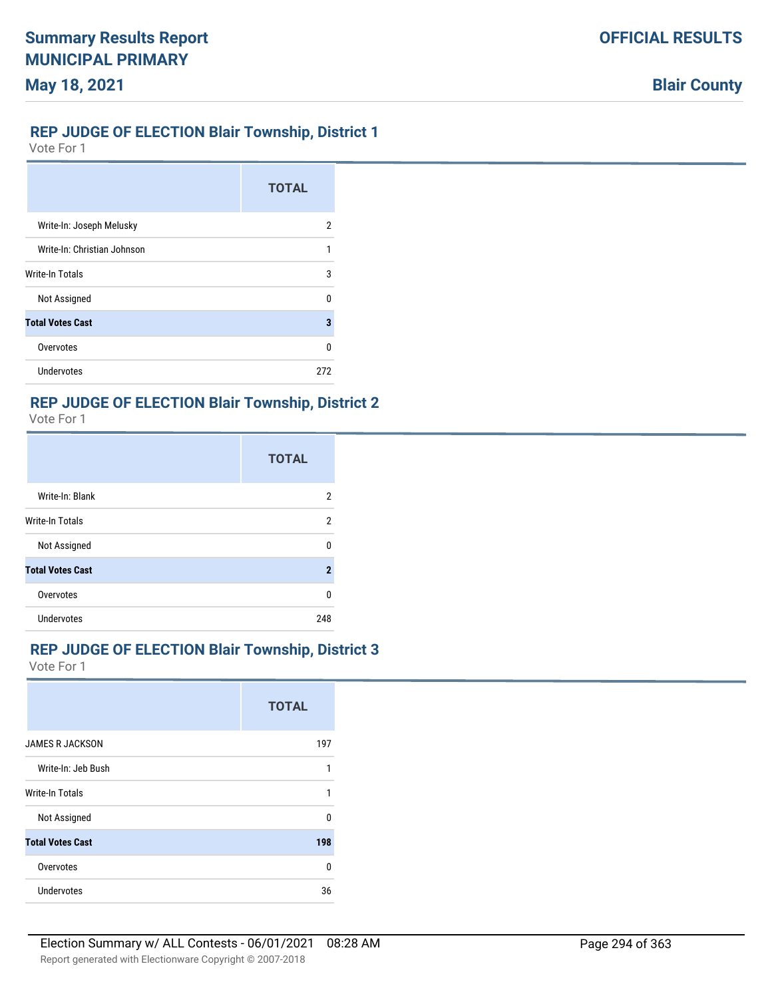#### **REP JUDGE OF ELECTION Blair Township, District 1**

Vote For 1

|                             | <b>TOTAL</b> |
|-----------------------------|--------------|
| Write-In: Joseph Melusky    | 2            |
| Write-In: Christian Johnson | 1            |
| <b>Write-In Totals</b>      | 3            |
| Not Assigned                | n            |
| <b>Total Votes Cast</b>     | 3            |
| Overvotes                   | U            |
| Undervotes                  | 272          |

#### **REP JUDGE OF ELECTION Blair Township, District 2**

Vote For 1

|                         | <b>TOTAL</b> |
|-------------------------|--------------|
| Write-In: Blank         | 2            |
| Write-In Totals         | 2            |
| Not Assigned            | U            |
| <b>Total Votes Cast</b> | 2            |
| Overvotes               | 0            |
| Undervotes              | 248          |

### **REP JUDGE OF ELECTION Blair Township, District 3**

|                         | <b>TOTAL</b> |
|-------------------------|--------------|
| <b>JAMES R JACKSON</b>  | 197          |
| Write-In: Jeb Bush      | 1            |
| Write-In Totals         | $\mathbf{1}$ |
| Not Assigned            | U            |
| <b>Total Votes Cast</b> | 198          |
| Overvotes               | U            |
| Undervotes              | 36           |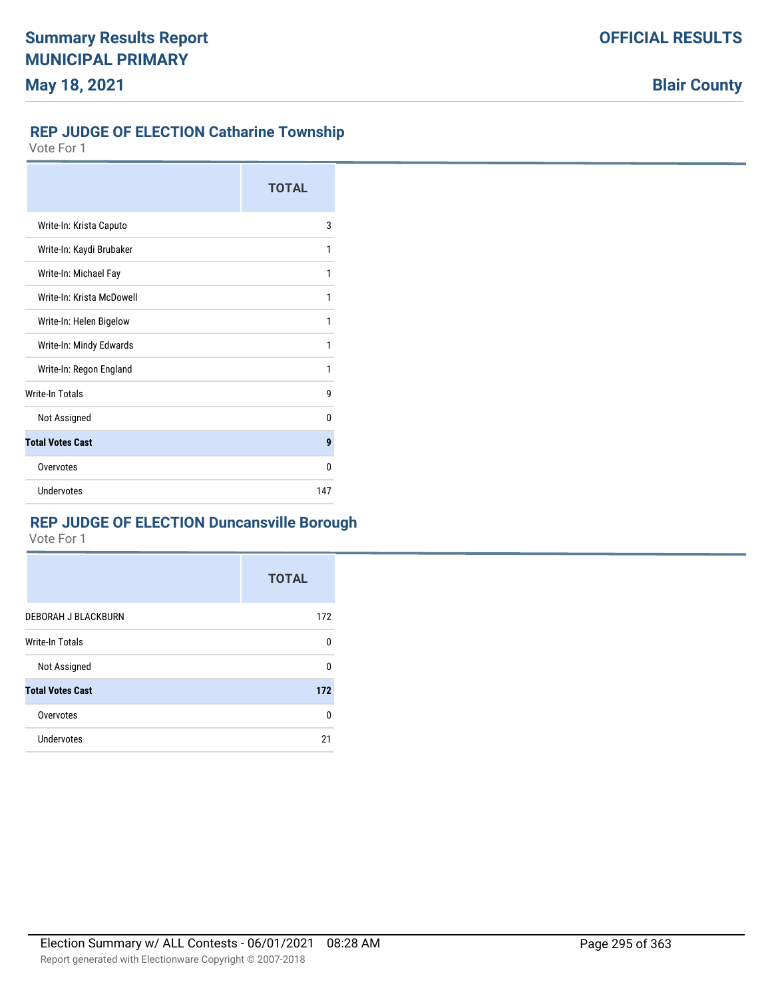#### **REP JUDGE OF ELECTION Catharine Township**

Vote For 1

|                           | <b>TOTAL</b> |
|---------------------------|--------------|
| Write-In: Krista Caputo   | 3            |
| Write-In: Kaydi Brubaker  | 1            |
| Write-In: Michael Fay     | 1            |
| Write-In: Krista McDowell | 1            |
| Write-In: Helen Bigelow   | 1            |
| Write-In: Mindy Edwards   | 1            |
| Write-In: Regon England   | 1            |
| <b>Write-In Totals</b>    | g            |
| Not Assigned              | U            |
| <b>Total Votes Cast</b>   | 9            |
| Overvotes                 | 0            |
| Undervotes                | 147          |

## **REP JUDGE OF ELECTION Duncansville Borough**

|                         | <b>TOTAL</b> |
|-------------------------|--------------|
| DEBORAH J BLACKBURN     | 172          |
| <b>Write-In Totals</b>  | 0            |
| Not Assigned            | 0            |
| <b>Total Votes Cast</b> | 172          |
| Overvotes               | 0            |
| Undervotes              | 21           |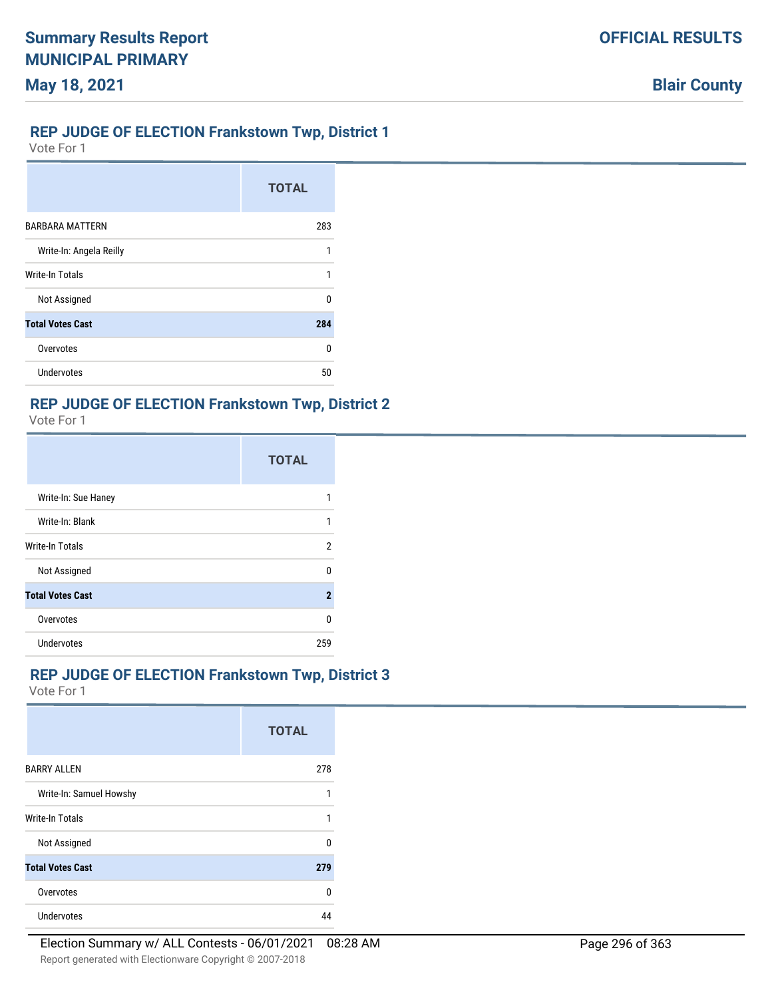#### **REP JUDGE OF ELECTION Frankstown Twp, District 1**

Vote For 1

**May 18, 2021**

|                         | <b>TOTAL</b> |
|-------------------------|--------------|
| <b>BARBARA MATTERN</b>  | 283          |
| Write-In: Angela Reilly | 1            |
| Write-In Totals         | 1            |
| Not Assigned            | n            |
| <b>Total Votes Cast</b> | 284          |
| Overvotes               | ŋ            |
| Undervotes              | 50           |

## **REP JUDGE OF ELECTION Frankstown Twp, District 2**

Vote For 1

|                         | <b>TOTAL</b>        |
|-------------------------|---------------------|
| Write-In: Sue Haney     |                     |
| Write-In: Blank         |                     |
| <b>Write-In Totals</b>  | 2                   |
| Not Assigned            | U                   |
| <b>Total Votes Cast</b> | $\boldsymbol{\eta}$ |
| Overvotes               | n                   |
| <b>Undervotes</b>       | 259                 |

### **REP JUDGE OF ELECTION Frankstown Twp, District 3**

|                         | <b>TOTAL</b> |
|-------------------------|--------------|
| <b>BARRY ALLEN</b>      | 278          |
| Write-In: Samuel Howshy | 1            |
| <b>Write-In Totals</b>  | 1            |
| Not Assigned            | $\theta$     |
| <b>Total Votes Cast</b> | 279          |
| Overvotes               | $\mathbf{0}$ |
| Undervotes              | 44           |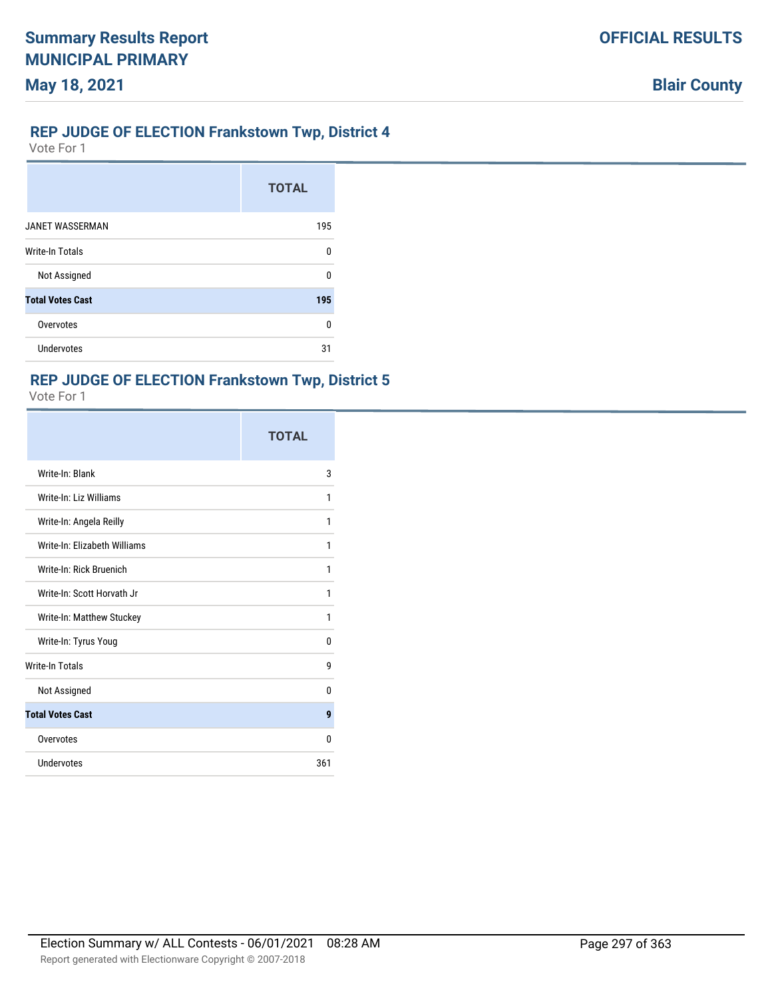# **REP JUDGE OF ELECTION Frankstown Twp, District 4**

Vote For 1

**May 18, 2021**

|                         | <b>TOTAL</b> |
|-------------------------|--------------|
| <b>JANET WASSERMAN</b>  | 195          |
| Write-In Totals         | $\Omega$     |
| Not Assigned            | ŋ            |
| <b>Total Votes Cast</b> | 195          |
| Overvotes               | ŋ            |
| <b>Undervotes</b>       | 31           |

#### **REP JUDGE OF ELECTION Frankstown Twp, District 5**

|                              | <b>TOTAL</b> |
|------------------------------|--------------|
| Write-In: Blank              | 3            |
| Write-In: Liz Williams       | 1            |
| Write-In: Angela Reilly      | 1            |
| Write-In: Flizabeth Williams | 1            |
| Write-In: Rick Bruenich      | 1            |
| Write-In: Scott Horvath Jr   | 1            |
| Write-In: Matthew Stuckey    | 1            |
| Write-In: Tyrus Youg         | 0            |
| <b>Write-In Totals</b>       | 9            |
| Not Assigned                 | 0            |
| <b>Total Votes Cast</b>      | 9            |
| Overvotes                    | 0            |
| Undervotes                   | 361          |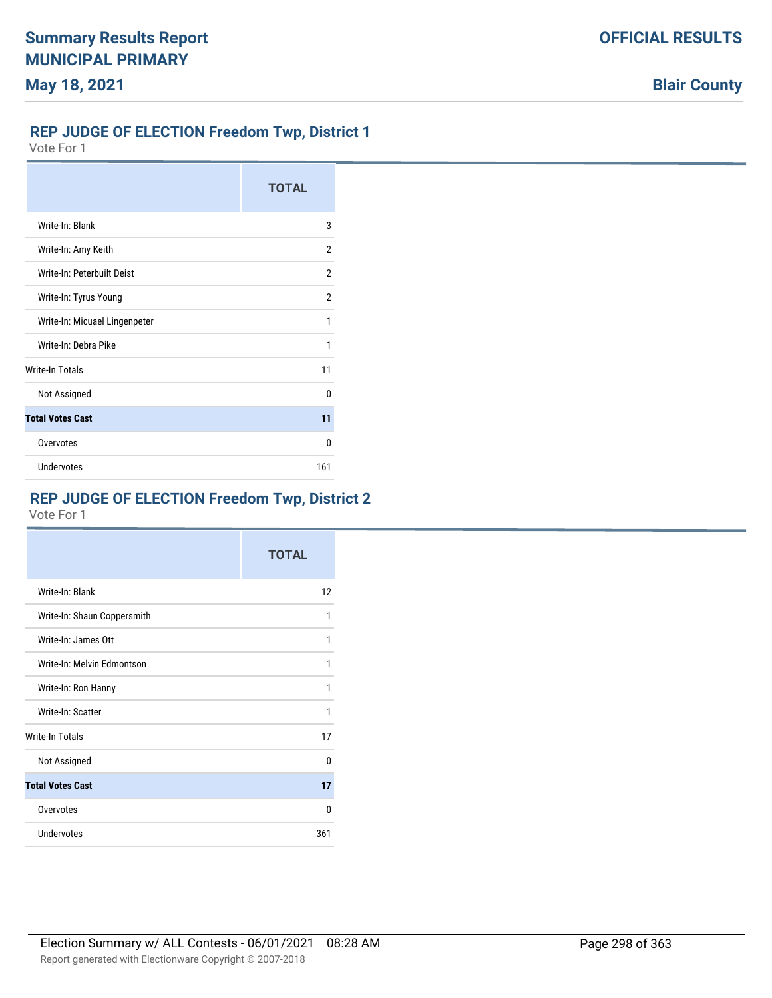# **REP JUDGE OF ELECTION Freedom Twp, District 1**

Vote For 1

|                               | <b>TOTAL</b>   |
|-------------------------------|----------------|
| Write-In: Blank               | 3              |
| Write-In: Amy Keith           | 2              |
| Write-In: Peterbuilt Deist    | 2              |
| Write-In: Tyrus Young         | $\overline{2}$ |
| Write-In: Micuael Lingenpeter | 1              |
| Write-In: Debra Pike          | 1              |
| <b>Write-In Totals</b>        | 11             |
| Not Assigned                  | U              |
| <b>Total Votes Cast</b>       | 11             |
| Overvotes                     | n              |
| Undervotes                    | 161            |

# **REP JUDGE OF ELECTION Freedom Twp, District 2**

|                             | <b>TOTAL</b> |
|-----------------------------|--------------|
| Write-In: Blank             | 12           |
| Write-In: Shaun Coppersmith | 1            |
| Write-In: James Ott         | 1            |
| Write-In: Melvin Edmontson  | 1            |
| Write-In: Ron Hanny         | 1            |
| Write-In: Scatter           | 1            |
| Write-In Totals             | 17           |
| Not Assigned                | U            |
| <b>Total Votes Cast</b>     | 17           |
| Overvotes                   | 0            |
| Undervotes                  | 361          |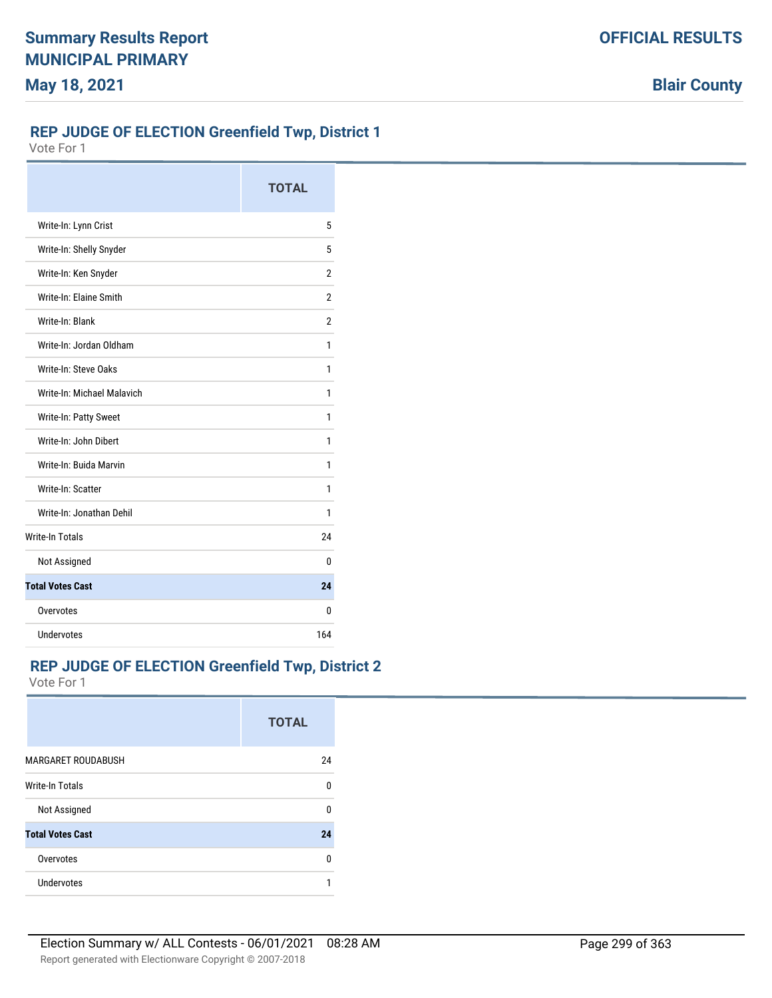**Blair County**

## **REP JUDGE OF ELECTION Greenfield Twp, District 1**

Vote For 1

|                            | <b>TOTAL</b>   |
|----------------------------|----------------|
| Write-In: Lynn Crist       | 5              |
| Write-In: Shelly Snyder    | 5              |
| Write-In: Ken Snyder       | 2              |
| Write-In: Flaine Smith     | $\overline{2}$ |
| Write-In: Blank            | 2              |
| Write-In: Jordan Oldham    | 1              |
| Write-In: Steve Oaks       | 1              |
| Write-In: Michael Malavich | 1              |
| Write-In: Patty Sweet      | 1              |
| Write-In: John Dibert      | 1              |
| Write-In: Buida Marvin     | 1              |
| Write-In: Scatter          | 1              |
| Write-In: Jonathan Dehil   | 1              |
| <b>Write-In Totals</b>     | 24             |
| Not Assigned               | 0              |
| <b>Total Votes Cast</b>    | 24             |
| Overvotes                  | 0              |
| Undervotes                 | 164            |

### **REP JUDGE OF ELECTION Greenfield Twp, District 2**

|                           | <b>TOTAL</b> |
|---------------------------|--------------|
| <b>MARGARET ROUDABUSH</b> | 24           |
| <b>Write-In Totals</b>    | 0            |
| Not Assigned              | 0            |
| <b>Total Votes Cast</b>   | 24           |
| Overvotes                 | ŋ            |
| Undervotes                | 1            |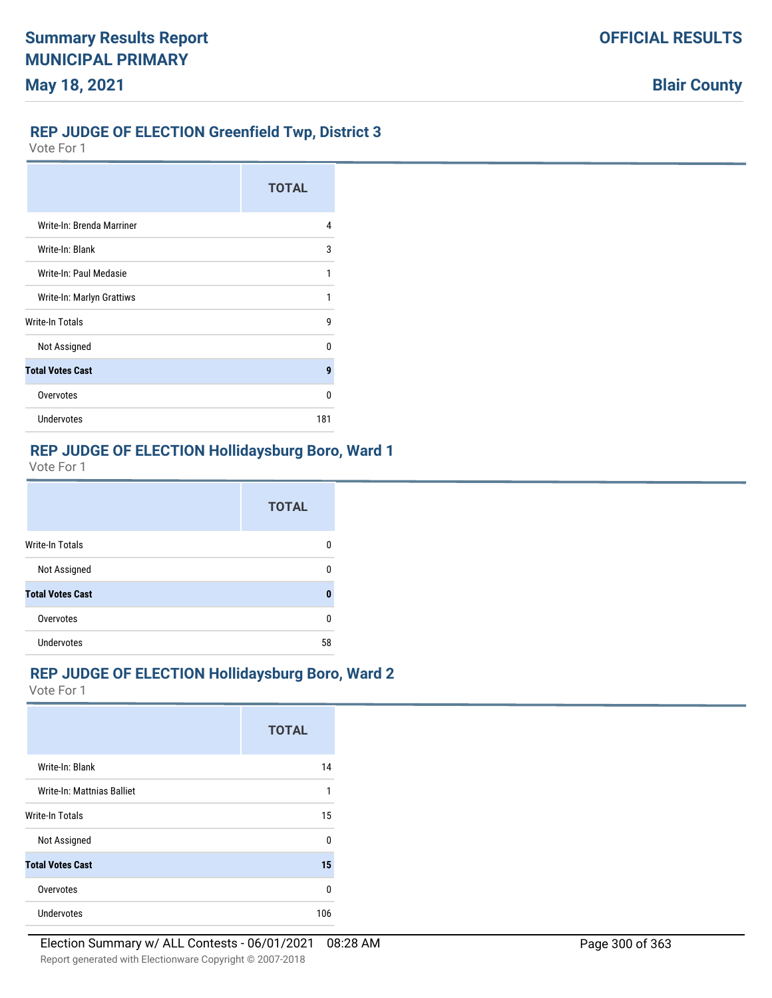### **REP JUDGE OF ELECTION Greenfield Twp, District 3**

Vote For 1

|                           | <b>TOTAL</b> |
|---------------------------|--------------|
| Write-In: Brenda Marriner | 4            |
| Write-In: Blank           | 3            |
| Write-In: Paul Medasie    | 1            |
| Write-In: Marlyn Grattiws |              |
| Write-In Totals           | 9            |
| Not Assigned              | n            |
| <b>Total Votes Cast</b>   | 9            |
| Overvotes                 | n            |
| Undervotes                | 181          |

#### **REP JUDGE OF ELECTION Hollidaysburg Boro, Ward 1**

Vote For 1

|                         | <b>TOTAL</b> |
|-------------------------|--------------|
| Write-In Totals         | 0            |
| Not Assigned            | 0            |
| <b>Total Votes Cast</b> | n            |
| Overvotes               | 0            |
| Undervotes              | 58           |

### **REP JUDGE OF ELECTION Hollidaysburg Boro, Ward 2**

|                            | <b>TOTAL</b> |
|----------------------------|--------------|
| Write-In: Blank            | 14           |
| Write-In: Mattnias Balliet | 1            |
| Write-In Totals            | 15           |
| Not Assigned               | U            |
| <b>Total Votes Cast</b>    | 15           |
| Overvotes                  | U            |
| Undervotes                 | 106          |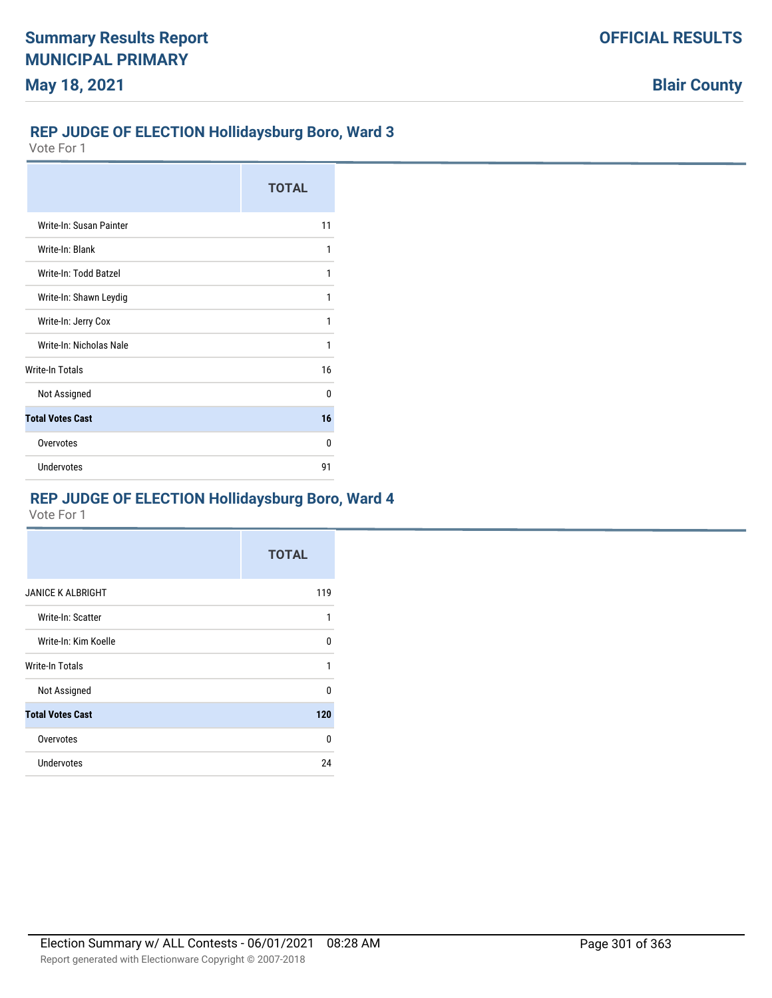## **REP JUDGE OF ELECTION Hollidaysburg Boro, Ward 3**

Vote For 1

|                         | <b>TOTAL</b> |
|-------------------------|--------------|
| Write-In: Susan Painter | 11           |
| Write-In: Blank         | 1            |
| Write-In: Todd Batzel   | 1            |
| Write-In: Shawn Leydig  | 1            |
| Write-In: Jerry Cox     | 1            |
| Write-In: Nicholas Nale | 1            |
| <b>Write-In Totals</b>  | 16           |
| Not Assigned            | n            |
| <b>Total Votes Cast</b> | 16           |
| Overvotes               | n            |
| <b>Undervotes</b>       | 91           |

## **REP JUDGE OF ELECTION Hollidaysburg Boro, Ward 4**

|                          | <b>TOTAL</b> |
|--------------------------|--------------|
| <b>JANICE K ALBRIGHT</b> | 119          |
| Write-In: Scatter        | 1            |
| Write-In: Kim Koelle     | 0            |
| Write-In Totals          | 1            |
| Not Assigned             | U            |
| <b>Total Votes Cast</b>  | 120          |
| Overvotes                | $\Omega$     |
| <b>Undervotes</b>        | 24           |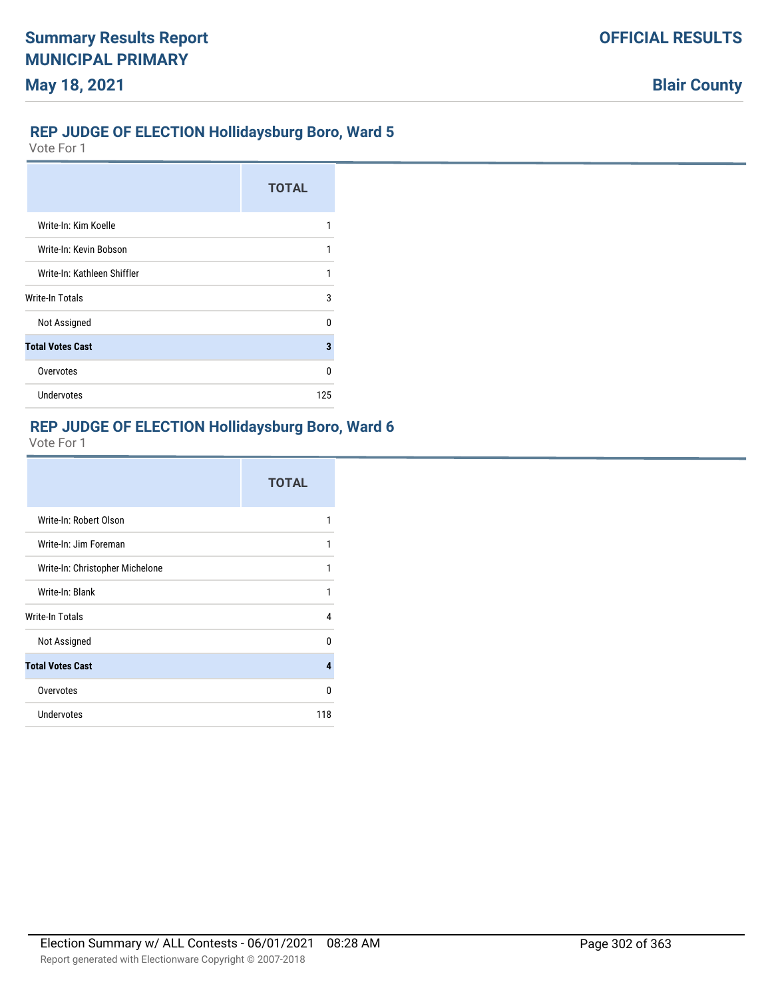## **REP JUDGE OF ELECTION Hollidaysburg Boro, Ward 5**

Vote For 1

|                             | <b>TOTAL</b> |
|-----------------------------|--------------|
| Write-In: Kim Koelle        |              |
| Write-In: Kevin Bobson      | 1            |
| Write-In: Kathleen Shiffler | 1            |
| Write-In Totals             | 3            |
| Not Assigned                | n            |
| <b>Total Votes Cast</b>     | 3            |
| Overvotes                   | n            |
| <b>Undervotes</b>           | 125          |

# **REP JUDGE OF ELECTION Hollidaysburg Boro, Ward 6**

|                                 | <b>TOTAL</b> |
|---------------------------------|--------------|
| Write-In: Robert Olson          | 1            |
| Write-In: Jim Foreman           | 1            |
| Write-In: Christopher Michelone | 1            |
| Write-In: Blank                 | 1            |
| <b>Write-In Totals</b>          | 4            |
| Not Assigned                    | 0            |
| <b>Total Votes Cast</b>         | 4            |
| Overvotes                       | 0            |
| Undervotes                      | 118          |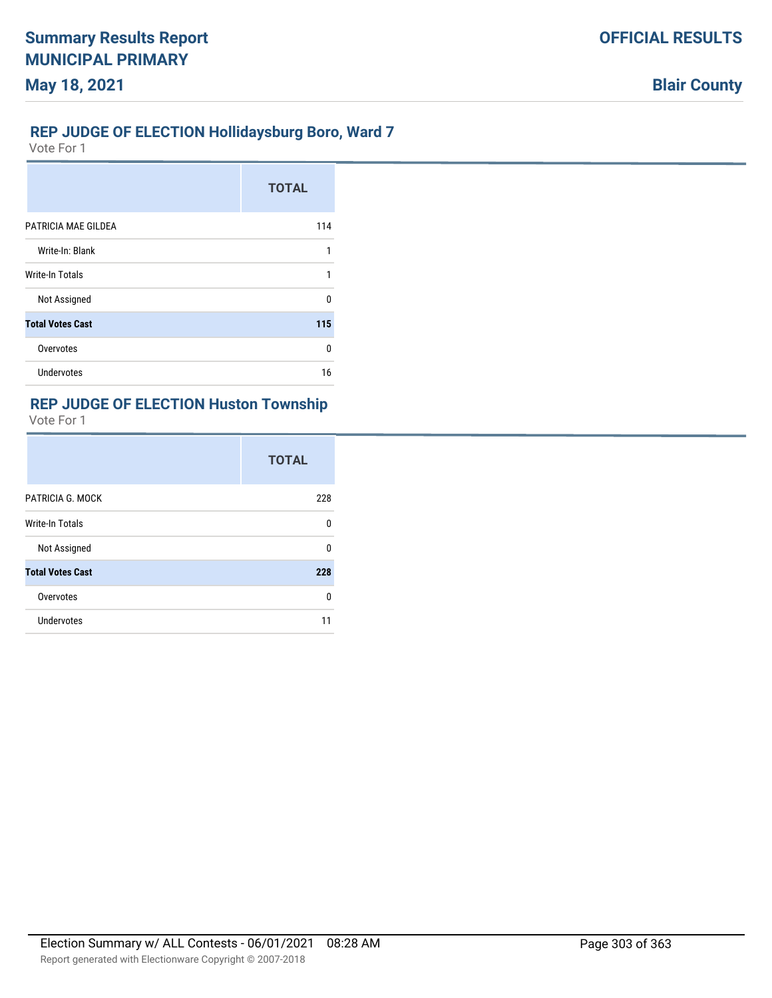## **REP JUDGE OF ELECTION Hollidaysburg Boro, Ward 7**

Vote For 1

|                         | <b>TOTAL</b> |
|-------------------------|--------------|
| PATRICIA MAE GILDEA     | 114          |
| Write-In: Blank         | 1            |
| <b>Write-In Totals</b>  | 1            |
| Not Assigned            | U            |
| <b>Total Votes Cast</b> | 115          |
| Overvotes               | $\Omega$     |
| Undervotes              | 16           |

## **REP JUDGE OF ELECTION Huston Township**

|                         | <b>TOTAL</b> |
|-------------------------|--------------|
| PATRICIA G. MOCK        | 228          |
| Write-In Totals         | <sup>0</sup> |
| Not Assigned            | <sup>0</sup> |
| <b>Total Votes Cast</b> | 228          |
| Overvotes               | 0            |
| <b>Undervotes</b>       |              |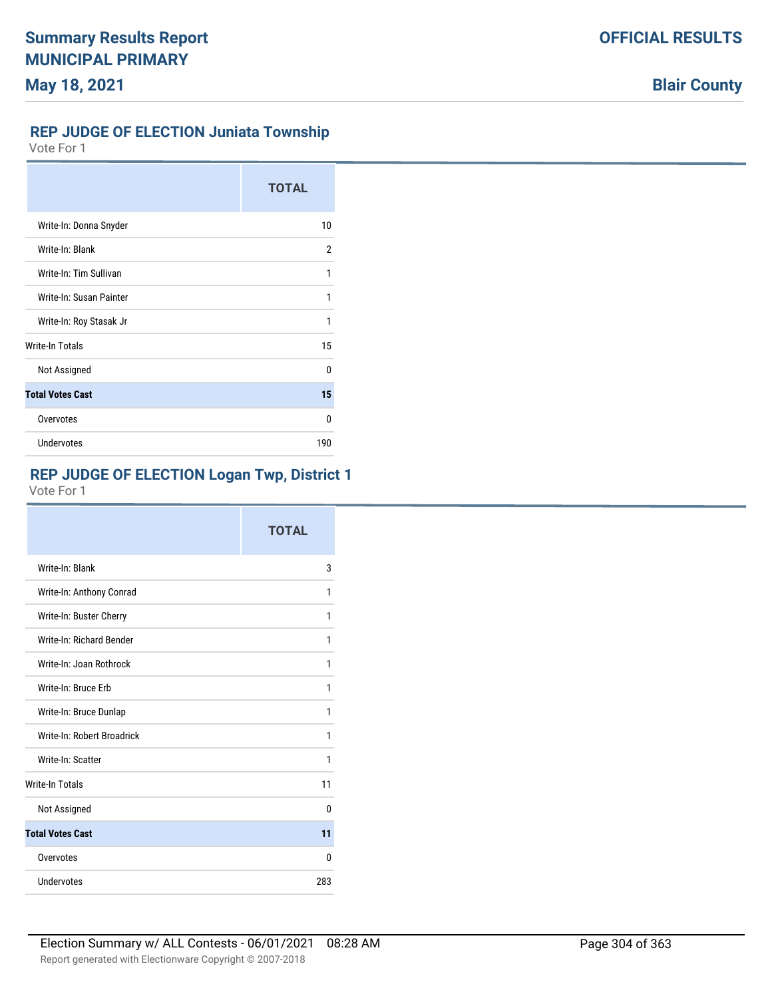## **REP JUDGE OF ELECTION Juniata Township**

Vote For 1

|                         | <b>TOTAL</b> |
|-------------------------|--------------|
| Write-In: Donna Snyder  | 10           |
| Write-In: Blank         | 2            |
| Write-In: Tim Sullivan  | 1            |
| Write-In: Susan Painter | 1            |
| Write-In: Roy Stasak Jr | 1            |
| <b>Write-In Totals</b>  | 15           |
| Not Assigned            | <sup>0</sup> |
| <b>Total Votes Cast</b> | 15           |
| Overvotes               | $\Omega$     |
| <b>Undervotes</b>       | 190          |

# **REP JUDGE OF ELECTION Logan Twp, District 1**

|                            | <b>TOTAL</b> |
|----------------------------|--------------|
| Write-In: Blank            | 3            |
| Write-In: Anthony Conrad   | 1            |
| Write-In: Buster Cherry    | 1            |
| Write-In: Richard Bender   | 1            |
| Write-In: Joan Rothrock    | 1            |
| Write-In: Bruce Frb        | 1            |
| Write-In: Bruce Dunlap     | 1            |
| Write-In: Robert Broadrick | 1            |
| Write-In: Scatter          | 1            |
| <b>Write-In Totals</b>     | 11           |
| Not Assigned               | 0            |
| <b>Total Votes Cast</b>    | 11           |
| Overvotes                  | 0            |
| Undervotes                 | 283          |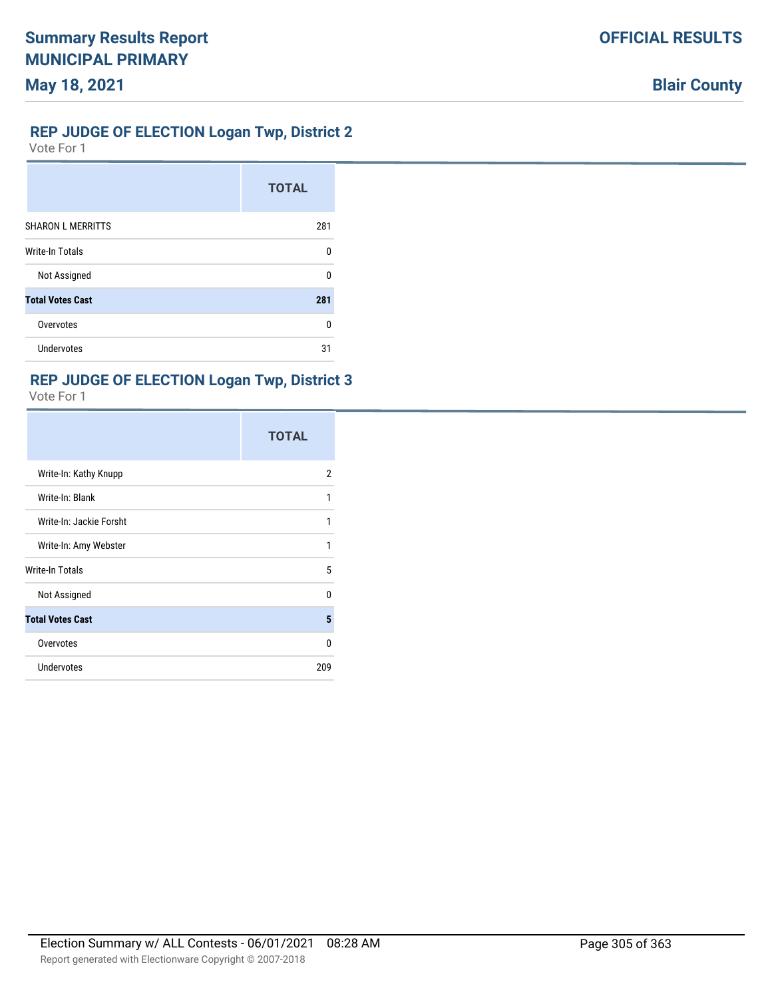### **REP JUDGE OF ELECTION Logan Twp, District 2**

Vote For 1

|                          | <b>TOTAL</b> |
|--------------------------|--------------|
| <b>SHARON L MERRITTS</b> | 281          |
| <b>Write-In Totals</b>   | n            |
| Not Assigned             | n            |
| <b>Total Votes Cast</b>  | 281          |
| Overvotes                | n            |
| <b>Undervotes</b>        | 31           |

### **REP JUDGE OF ELECTION Logan Twp, District 3**

|                         | <b>TOTAL</b> |
|-------------------------|--------------|
| Write-In: Kathy Knupp   | 2            |
| Write-In: Blank         | 1            |
| Write-In: Jackie Forsht | 1            |
| Write-In: Amy Webster   | 1            |
| Write-In Totals         | 5            |
| Not Assigned            | U            |
| <b>Total Votes Cast</b> | 5            |
| Overvotes               | 0            |
| <b>Undervotes</b>       | 209          |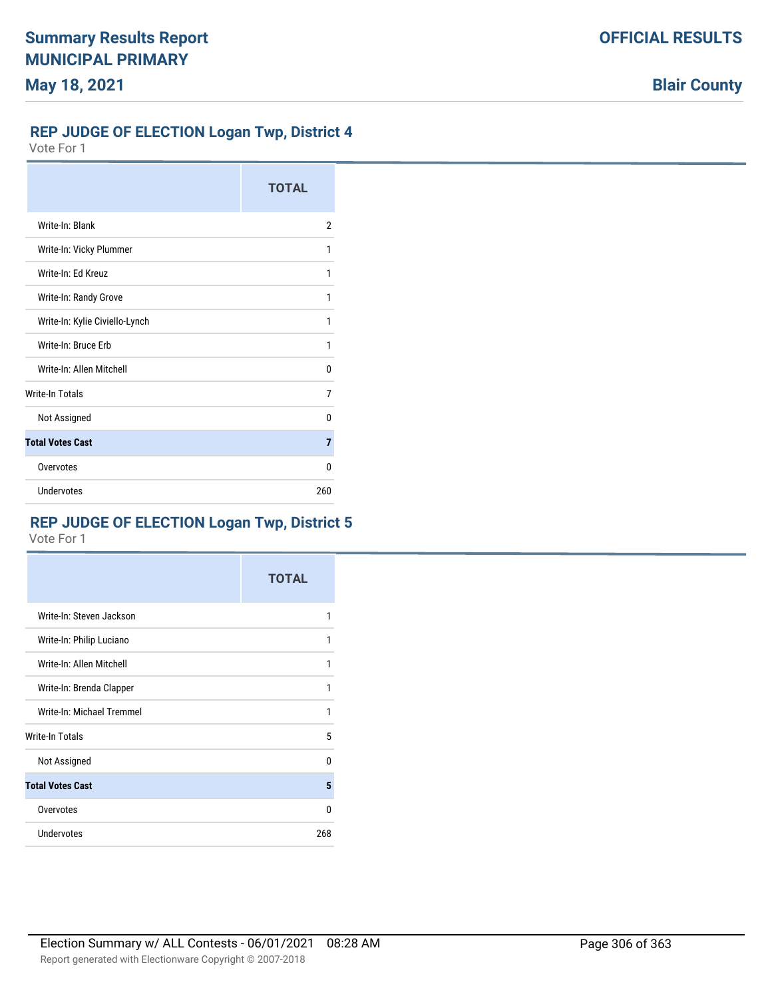## **OFFICIAL RESULTS**

**Blair County**

### **REP JUDGE OF ELECTION Logan Twp, District 4**

Vote For 1

|                                | <b>TOTAL</b> |
|--------------------------------|--------------|
| Write-In: Blank                | 2            |
| Write-In: Vicky Plummer        | 1            |
| Write-In: Ed Kreuz             | 1            |
| Write-In: Randy Grove          | 1            |
| Write-In: Kylie Civiello-Lynch | 1            |
| Write-In: Bruce Erb            | 1            |
| Write-In: Allen Mitchell       | 0            |
| <b>Write-In Totals</b>         | 7            |
| Not Assigned                   | U            |
| <b>Total Votes Cast</b>        | 7            |
| Overvotes                      | 0            |
| Undervotes                     | 260          |

## **REP JUDGE OF ELECTION Logan Twp, District 5**

|                           | <b>TOTAL</b> |
|---------------------------|--------------|
| Write-In: Steven Jackson  | 1            |
| Write-In: Philip Luciano  | 1            |
| Write-In: Allen Mitchell  | 1            |
| Write-In: Brenda Clapper  | 1            |
| Write-In: Michael Tremmel | 1            |
| Write-In Totals           | 5            |
| Not Assigned              | $\mathbf{0}$ |
| <b>Total Votes Cast</b>   | 5            |
| Overvotes                 | $\Omega$     |
| Undervotes                | 268          |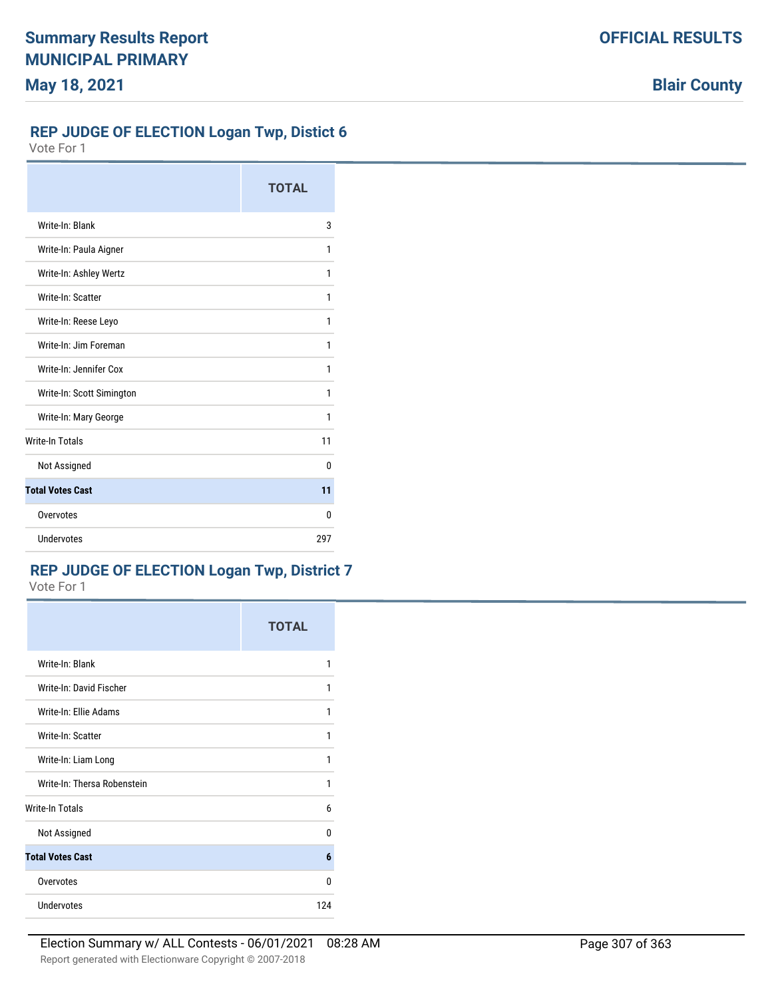### **REP JUDGE OF ELECTION Logan Twp, Distict 6**

Vote For 1

|                           | <b>TOTAL</b> |
|---------------------------|--------------|
| Write-In: Blank           | 3            |
| Write-In: Paula Aigner    | 1            |
| Write-In: Ashley Wertz    | 1            |
| Write-In: Scatter         | 1            |
| Write-In: Reese Leyo      | 1            |
| Write-In: Jim Foreman     | 1            |
| Write-In: Jennifer Cox    | 1            |
| Write-In: Scott Simington | 1            |
| Write-In: Mary George     | 1            |
| <b>Write-In Totals</b>    | 11           |
| Not Assigned              | 0            |
| <b>Total Votes Cast</b>   | 11           |
| Overvotes                 | 0            |
| Undervotes                | 297          |

## **REP JUDGE OF ELECTION Logan Twp, District 7**

Vote For 1

|                             | <b>TOTAL</b> |
|-----------------------------|--------------|
| Write-In: Blank             | 1            |
| Write-In: David Fischer     | 1            |
| Write-In: Ellie Adams       | 1            |
| Write-In: Scatter           | 1            |
| Write-In: Liam Long         | 1            |
| Write-In: Thersa Robenstein | 1            |
| Write-In Totals             | 6            |
| Not Assigned                | U            |
| <b>Total Votes Cast</b>     | 6            |
| Overvotes                   | U            |
| <b>Undervotes</b>           | 124          |

**Blair County**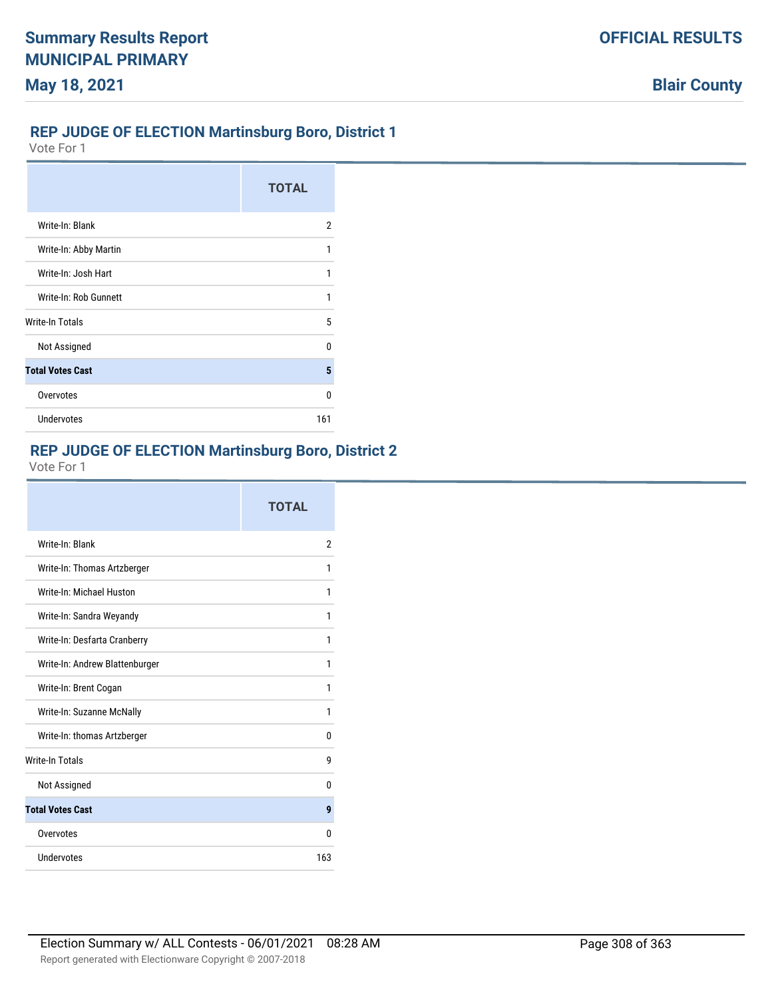#### **REP JUDGE OF ELECTION Martinsburg Boro, District 1**

Vote For 1

|                         | <b>TOTAL</b> |
|-------------------------|--------------|
| Write-In: Blank         | 2            |
| Write-In: Abby Martin   |              |
| Write-In: Josh Hart     |              |
| Write-In: Rob Gunnett   | 1            |
| <b>Write-In Totals</b>  | 5            |
| Not Assigned            | n            |
| <b>Total Votes Cast</b> | 5            |
| Overvotes               | n            |
| <b>Undervotes</b>       | 161          |

### **REP JUDGE OF ELECTION Martinsburg Boro, District 2**

|                                | <b>TOTAL</b>   |
|--------------------------------|----------------|
| Write-In: Blank                | $\overline{2}$ |
| Write-In: Thomas Artzberger    | 1              |
| Write-In: Michael Huston       | 1              |
| Write-In: Sandra Weyandy       | 1              |
| Write-In: Desfarta Cranberry   | 1              |
| Write-In: Andrew Blattenburger | 1              |
| Write-In: Brent Cogan          | 1              |
| Write-In: Suzanne McNally      | 1              |
| Write-In: thomas Artzberger    | 0              |
| <b>Write-In Totals</b>         | g              |
| Not Assigned                   | 0              |
| <b>Total Votes Cast</b>        | 9              |
| Overvotes                      | n              |
| Undervotes                     | 163            |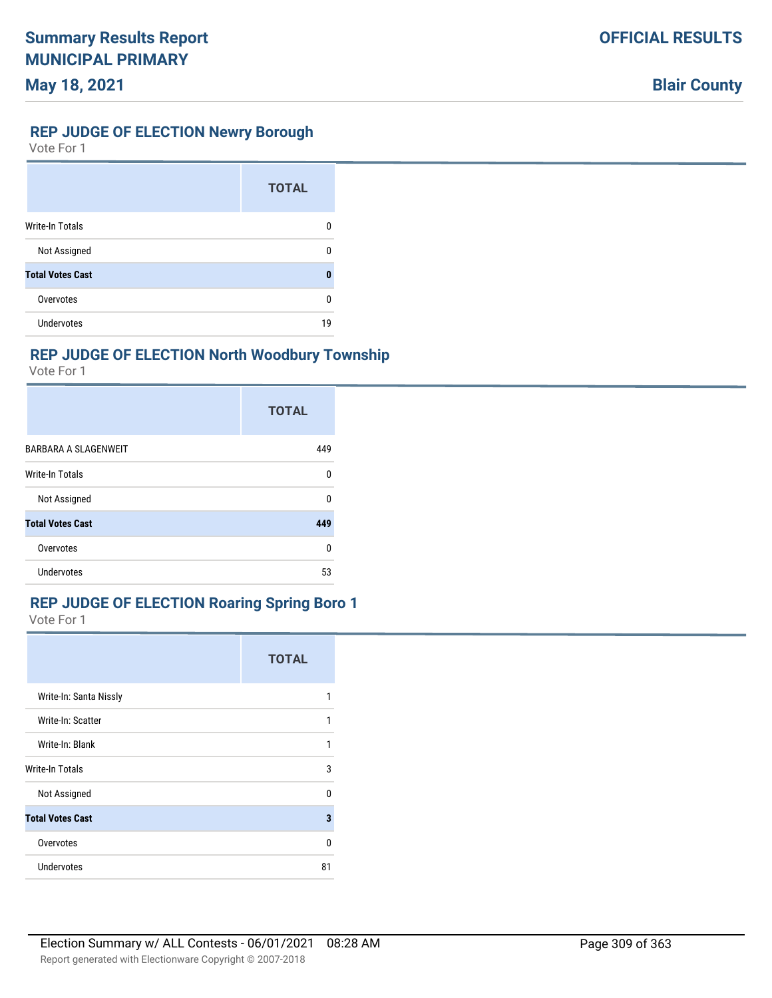### **REP JUDGE OF ELECTION Newry Borough**

Vote For 1

|                         | <b>TOTAL</b> |
|-------------------------|--------------|
| <b>Write-In Totals</b>  | 0            |
| Not Assigned            | n            |
| <b>Total Votes Cast</b> | Ω            |
| Overvotes               | n            |
| <b>Undervotes</b>       | 19           |

## **REP JUDGE OF ELECTION North Woodbury Township**

Vote For 1

|                             | <b>TOTAL</b> |
|-----------------------------|--------------|
| <b>BARBARA A SLAGENWEIT</b> | 449          |
| <b>Write-In Totals</b>      | 0            |
| Not Assigned                | U            |
| <b>Total Votes Cast</b>     | 449          |
| Overvotes                   | 0            |
| <b>Undervotes</b>           | 53           |

## **REP JUDGE OF ELECTION Roaring Spring Boro 1**

|                         | <b>TOTAL</b> |
|-------------------------|--------------|
| Write-In: Santa Nissly  | 1            |
| Write-In: Scatter       | 1            |
| Write-In: Blank         | 1            |
| Write-In Totals         | 3            |
| Not Assigned            | 0            |
| <b>Total Votes Cast</b> | 3            |
| Overvotes               | <sup>0</sup> |
| Undervotes              | 81           |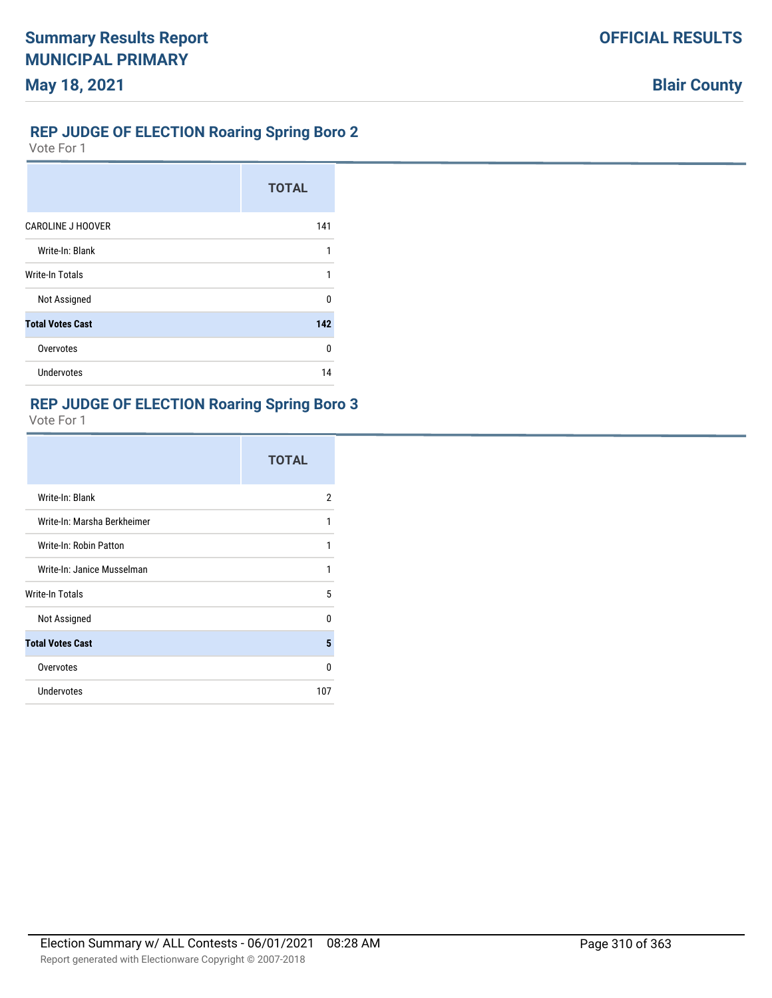### **REP JUDGE OF ELECTION Roaring Spring Boro 2**

Vote For 1

|                          | <b>TOTAL</b> |
|--------------------------|--------------|
| <b>CAROLINE J HOOVER</b> | 141          |
| Write-In: Blank          | 1            |
| <b>Write-In Totals</b>   | 1            |
| Not Assigned             | n            |
| <b>Total Votes Cast</b>  | 142          |
| Overvotes                | U            |
| Undervotes               | 14           |

## **REP JUDGE OF ELECTION Roaring Spring Boro 3**

|                             | <b>TOTAL</b> |
|-----------------------------|--------------|
| Write-In: Blank             | 2            |
| Write-In: Marsha Berkheimer | 1            |
| Write-In: Robin Patton      | 1            |
| Write-In: Janice Musselman  | 1            |
| Write-In Totals             | 5            |
| Not Assigned                | <sup>0</sup> |
| <b>Total Votes Cast</b>     | 5            |
| Overvotes                   | 0            |
| Undervotes                  | 107          |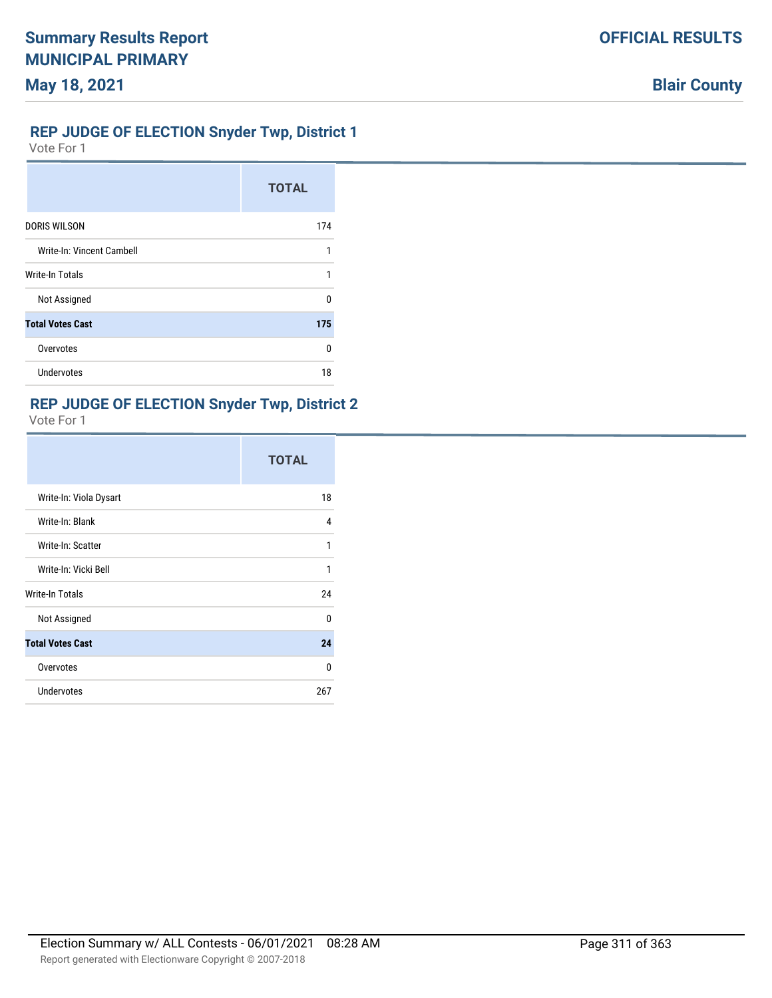# **OFFICIAL RESULTS**

### **REP JUDGE OF ELECTION Snyder Twp, District 1**

Vote For 1

|                           | <b>TOTAL</b> |
|---------------------------|--------------|
| <b>DORIS WILSON</b>       | 174          |
| Write-In: Vincent Cambell | 1            |
| <b>Write-In Totals</b>    | 1            |
| Not Assigned              | n            |
| <b>Total Votes Cast</b>   | 175          |
| Overvotes                 | U            |
| Undervotes                | 18           |

## **REP JUDGE OF ELECTION Snyder Twp, District 2**

|                         | <b>TOTAL</b> |
|-------------------------|--------------|
| Write-In: Viola Dysart  | 18           |
| Write-In: Blank         | 4            |
| Write-In: Scatter       | 1            |
| Write-In: Vicki Bell    | 1            |
| Write-In Totals         | 24           |
| Not Assigned            | $\Omega$     |
| <b>Total Votes Cast</b> | 24           |
| Overvotes               | 0            |
| <b>Undervotes</b>       | 267          |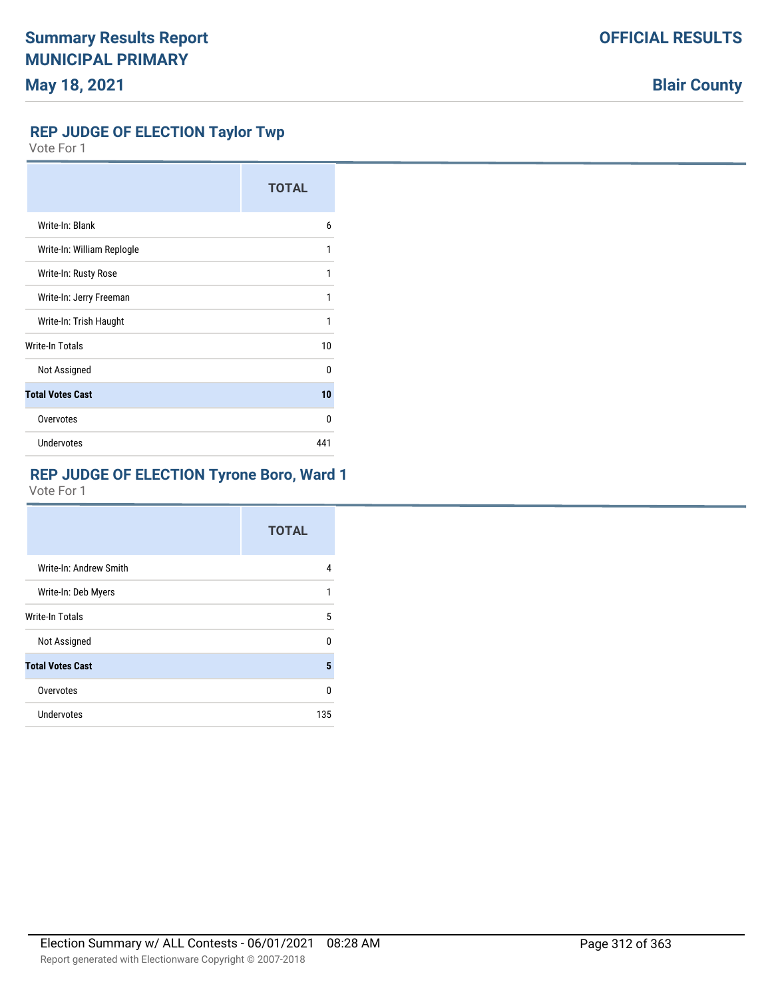#### **REP JUDGE OF ELECTION Taylor Twp**

Vote For 1

|                            | <b>TOTAL</b> |
|----------------------------|--------------|
| Write-In: Blank            | 6            |
| Write-In: William Replogle | 1            |
| Write-In: Rusty Rose       | 1            |
| Write-In: Jerry Freeman    | 1            |
| Write-In: Trish Haught     | 1            |
| Write-In Totals            | 10           |
| Not Assigned               | $\Omega$     |
| <b>Total Votes Cast</b>    | 10           |
| Overvotes                  | <sup>0</sup> |
| Undervotes                 | 441          |

# **REP JUDGE OF ELECTION Tyrone Boro, Ward 1**

|                         | <b>TOTAL</b> |
|-------------------------|--------------|
| Write-In: Andrew Smith  | 4            |
| Write-In: Deb Myers     | 1            |
| <b>Write-In Totals</b>  | 5            |
| Not Assigned            | U            |
| <b>Total Votes Cast</b> | 5            |
| Overvotes               | U            |
| Undervotes              | 135          |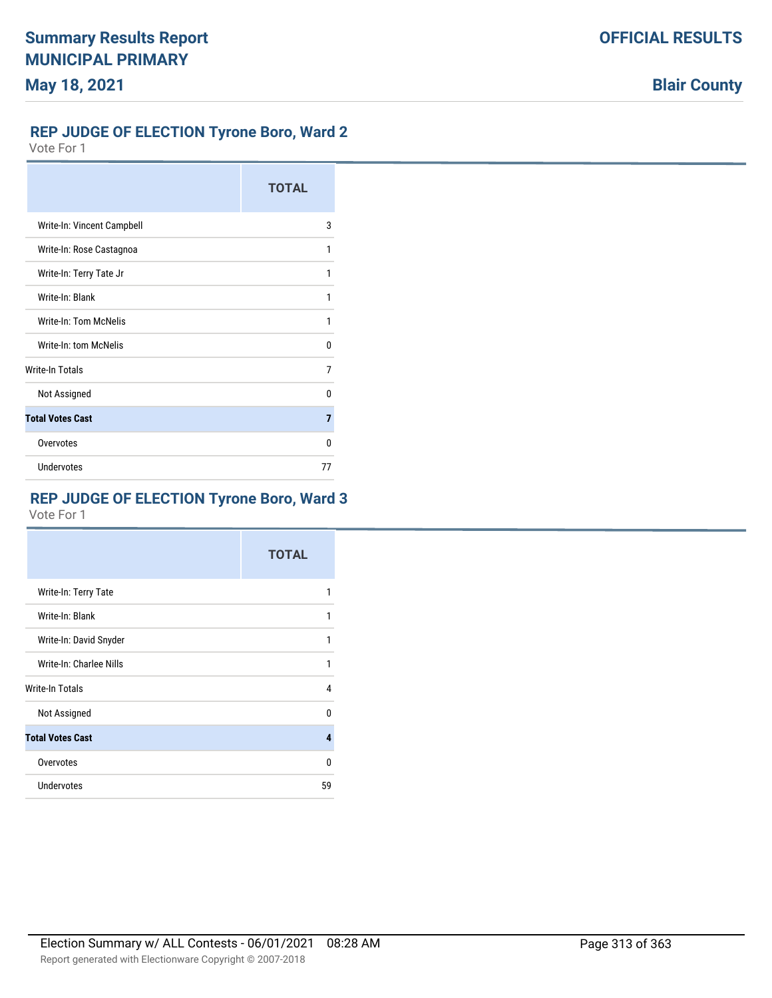# **REP JUDGE OF ELECTION Tyrone Boro, Ward 2**

Vote For 1

|                              | <b>TOTAL</b> |
|------------------------------|--------------|
| Write-In: Vincent Campbell   | 3            |
| Write-In: Rose Castagnoa     | 1            |
| Write-In: Terry Tate Jr      | 1            |
| Write-In: Blank              | 1            |
| <b>Write-In: Tom McNelis</b> | 1            |
| Write-In: tom McNelis        | U            |
| Write-In Totals              | 7            |
| Not Assigned                 | n            |
| <b>Total Votes Cast</b>      | 7            |
| Overvotes                    | U            |
| <b>Undervotes</b>            | 77           |

# **REP JUDGE OF ELECTION Tyrone Boro, Ward 3**

|                         | <b>TOTAL</b> |
|-------------------------|--------------|
| Write-In: Terry Tate    | 1            |
| Write-In: Blank         | 1            |
| Write-In: David Snyder  | 1            |
| Write-In: Charlee Nills | 1            |
| Write-In Totals         | 4            |
| Not Assigned            | U            |
| <b>Total Votes Cast</b> | 4            |
| Overvotes               | U            |
| Undervotes              | 59           |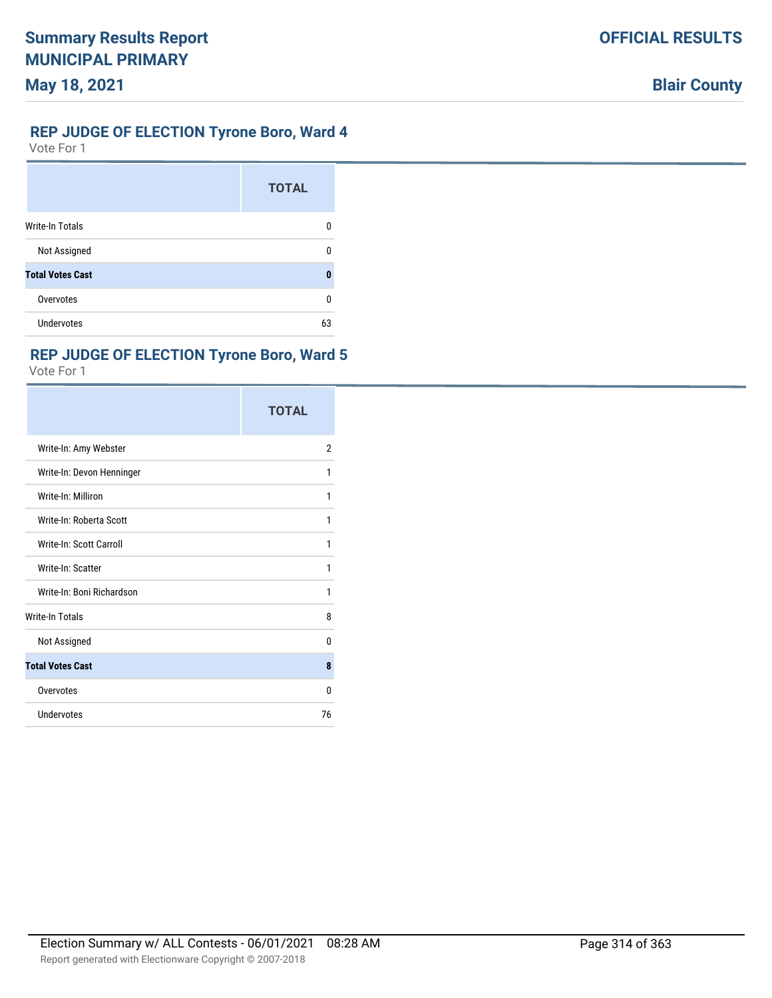# **REP JUDGE OF ELECTION Tyrone Boro, Ward 4**

Vote For 1

|                         | <b>TOTAL</b> |
|-------------------------|--------------|
| <b>Write-In Totals</b>  | 0            |
| Not Assigned            | n            |
| <b>Total Votes Cast</b> | 0            |
| Overvotes               | U            |
| Undervotes              | 63           |

## **REP JUDGE OF ELECTION Tyrone Boro, Ward 5**

|                           | <b>TOTAL</b>   |
|---------------------------|----------------|
| Write-In: Amy Webster     | $\overline{2}$ |
| Write-In: Devon Henninger | 1              |
| Write-In: Milliron        | 1              |
| Write-In: Roberta Scott   | 1              |
| Write-In: Scott Carroll   | 1              |
| Write-In: Scatter         | 1              |
| Write-In: Boni Richardson | 1              |
| <b>Write-In Totals</b>    | 8              |
| Not Assigned              | 0              |
| <b>Total Votes Cast</b>   | 8              |
| Overvotes                 | 0              |
| Undervotes                | 76             |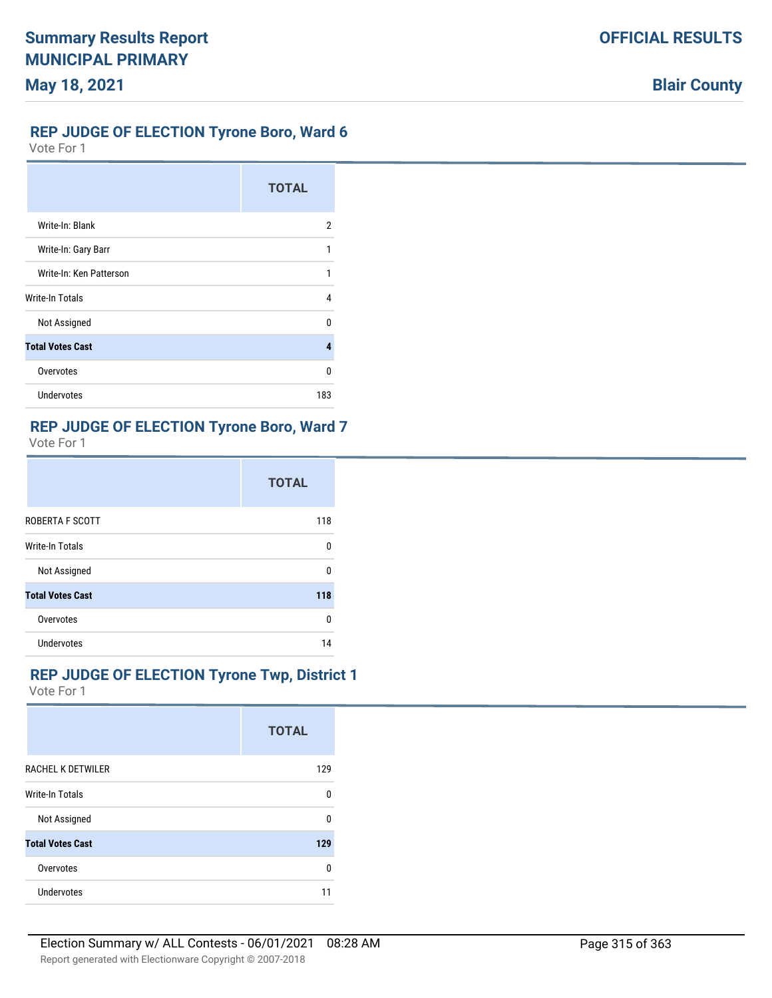### **OFFICIAL RESULTS**

# **Blair County**

#### **REP JUDGE OF ELECTION Tyrone Boro, Ward 6**

Vote For 1

|                         | <b>TOTAL</b> |
|-------------------------|--------------|
| Write-In: Blank         | 2            |
| Write-In: Gary Barr     | 1            |
| Write-In: Ken Patterson | 1            |
| Write-In Totals         | 4            |
| Not Assigned            | U            |
| <b>Total Votes Cast</b> | 4            |
| Overvotes               | 0            |
| <b>Undervotes</b>       | 183          |

### **REP JUDGE OF ELECTION Tyrone Boro, Ward 7**

Vote For 1

|                         | <b>TOTAL</b> |
|-------------------------|--------------|
| ROBERTA F SCOTT         | 118          |
| <b>Write-In Totals</b>  | 0            |
| Not Assigned            | n            |
| <b>Total Votes Cast</b> | 118          |
| Overvotes               | 0            |
| <b>Undervotes</b>       | 14           |

## **REP JUDGE OF ELECTION Tyrone Twp, District 1**

|                          | <b>TOTAL</b> |
|--------------------------|--------------|
| <b>RACHEL K DETWILER</b> | 129          |
| <b>Write-In Totals</b>   | U            |
| Not Assigned             | n            |
| <b>Total Votes Cast</b>  | 129          |
| Overvotes                | 0            |
| Undervotes               | 11           |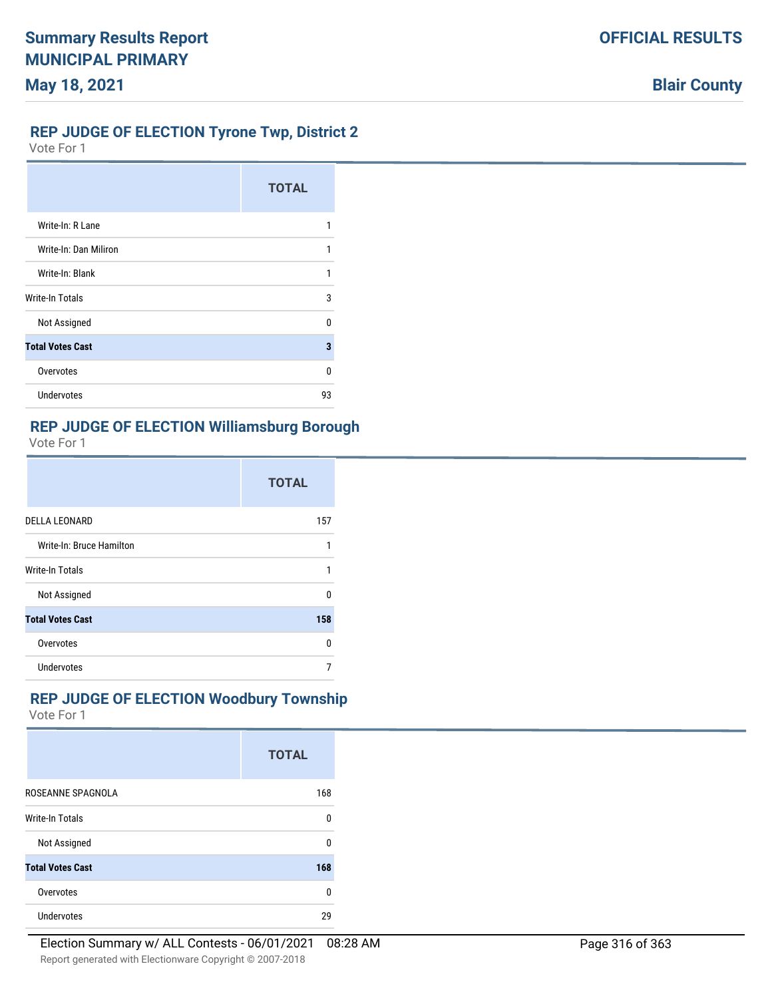## **OFFICIAL RESULTS**

# **Blair County**

#### **REP JUDGE OF ELECTION Tyrone Twp, District 2**

Vote For 1

|                         | <b>TOTAL</b> |
|-------------------------|--------------|
| Write-In: R Lane        | 1            |
| Write-In: Dan Miliron   | 1            |
| Write-In: Blank         | 1            |
| <b>Write-In Totals</b>  | 3            |
| Not Assigned            | n            |
| <b>Total Votes Cast</b> | 3            |
| Overvotes               | 0            |
| <b>Undervotes</b>       | 93           |

## **REP JUDGE OF ELECTION Williamsburg Borough**

Vote For 1

|                          | <b>TOTAL</b> |
|--------------------------|--------------|
| <b>DELLA LEONARD</b>     | 157          |
| Write-In: Bruce Hamilton |              |
| <b>Write-In Totals</b>   |              |
| Not Assigned             | n            |
| <b>Total Votes Cast</b>  | 158          |
| Overvotes                | n            |
| Undervotes               |              |

## **REP JUDGE OF ELECTION Woodbury Township**

|                         | <b>TOTAL</b> |
|-------------------------|--------------|
| ROSEANNE SPAGNOLA       | 168          |
| <b>Write-In Totals</b>  | 0            |
| Not Assigned            | U            |
| <b>Total Votes Cast</b> | 168          |
| Overvotes               | 0            |
| <b>Undervotes</b>       | 29           |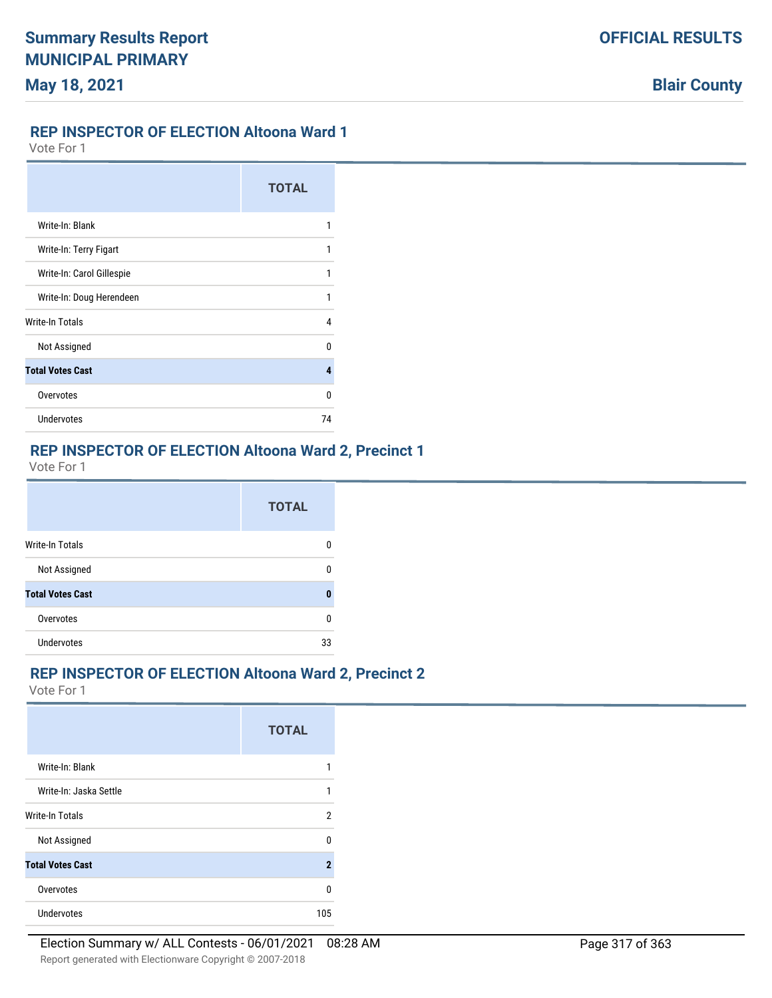#### **REP INSPECTOR OF ELECTION Altoona Ward 1**

Vote For 1

|                           | <b>TOTAL</b> |
|---------------------------|--------------|
| Write-In: Blank           | 1            |
| Write-In: Terry Figart    | 1            |
| Write-In: Carol Gillespie | 1            |
| Write-In: Doug Herendeen  | 1            |
| Write-In Totals           | 4            |
| Not Assigned              | n            |
| <b>Total Votes Cast</b>   | 4            |
| Overvotes                 | n            |
| Undervotes                | 74           |

#### **REP INSPECTOR OF ELECTION Altoona Ward 2, Precinct 1**

Vote For 1

|                         | <b>TOTAL</b> |
|-------------------------|--------------|
| Write-In Totals         |              |
| Not Assigned            | n            |
| <b>Total Votes Cast</b> | Λ            |
| Overvotes               | n            |
| <b>Undervotes</b>       | 33           |

## **REP INSPECTOR OF ELECTION Altoona Ward 2, Precinct 2**

|                         | <b>TOTAL</b> |
|-------------------------|--------------|
| Write-In: Blank         |              |
| Write-In: Jaska Settle  |              |
| <b>Write-In Totals</b>  | 2            |
| Not Assigned            | n            |
| <b>Total Votes Cast</b> | 2            |
| Overvotes               | n            |
| <b>Undervotes</b>       | 105          |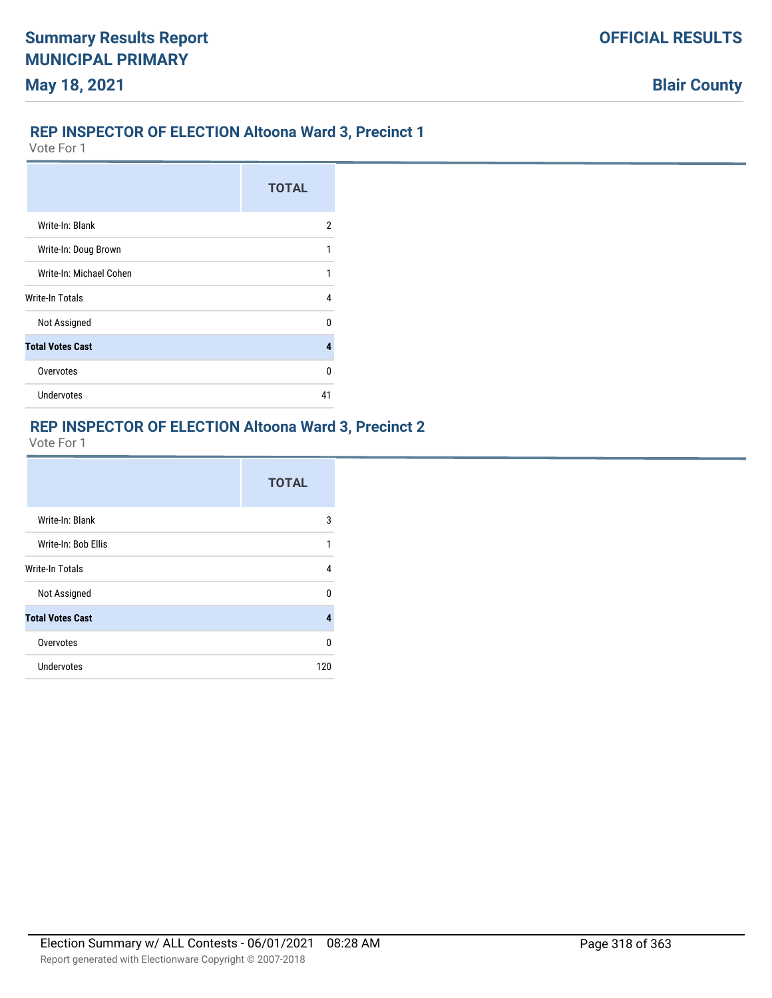## **REP INSPECTOR OF ELECTION Altoona Ward 3, Precinct 1**

Vote For 1

|                         | <b>TOTAL</b> |
|-------------------------|--------------|
| Write-In: Blank         | 2            |
| Write-In: Doug Brown    | 1            |
| Write-In: Michael Cohen | 1            |
| Write-In Totals         | 4            |
| Not Assigned            | n            |
| <b>Total Votes Cast</b> | 4            |
| Overvotes               | U            |
| <b>Undervotes</b>       | 41           |

## **REP INSPECTOR OF ELECTION Altoona Ward 3, Precinct 2**

|                         | <b>TOTAL</b> |
|-------------------------|--------------|
| Write-In: Blank         | 3            |
| Write-In: Bob Ellis     | 1            |
| Write-In Totals         | 4            |
| Not Assigned            | U            |
| <b>Total Votes Cast</b> | 4            |
| Overvotes               | 0            |
| Undervotes              | 120          |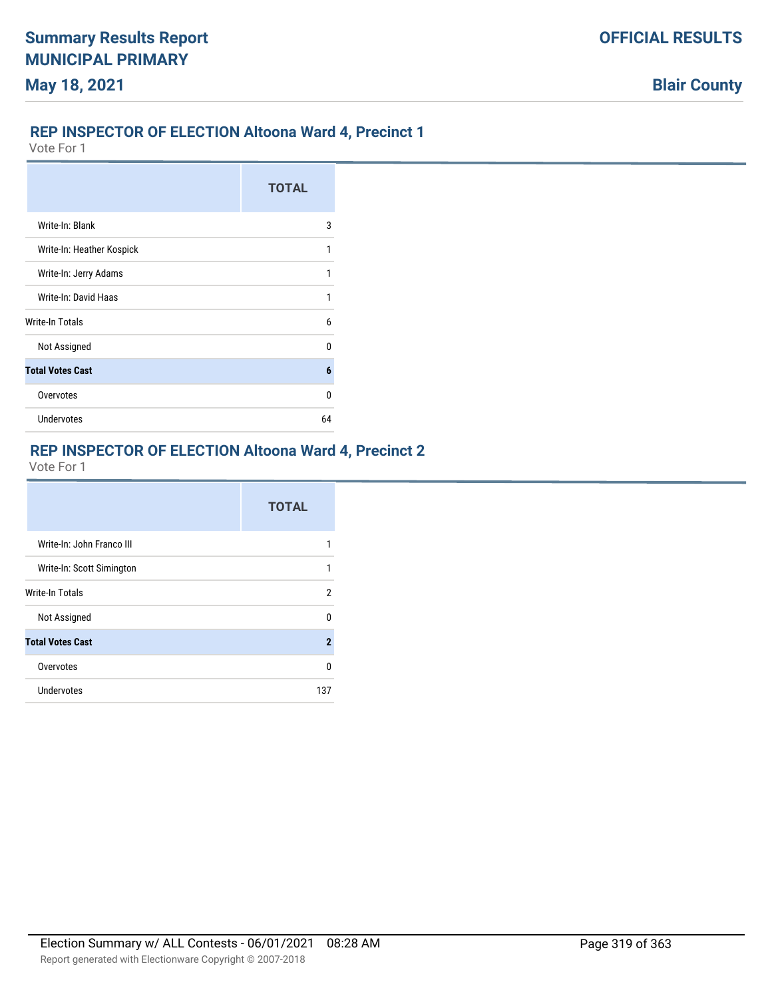#### **REP INSPECTOR OF ELECTION Altoona Ward 4, Precinct 1**

Vote For 1

|                           | <b>TOTAL</b> |
|---------------------------|--------------|
| Write-In: Blank           | 3            |
| Write-In: Heather Kospick | 1            |
| Write-In: Jerry Adams     | 1            |
| Write-In: David Haas      | 1            |
| Write-In Totals           | 6            |
| Not Assigned              | n            |
| <b>Total Votes Cast</b>   | 6            |
| Overvotes                 | n            |
| <b>Undervotes</b>         | 64           |

#### **REP INSPECTOR OF ELECTION Altoona Ward 4, Precinct 2**

|                           | <b>TOTAL</b> |
|---------------------------|--------------|
| Write-In: John Franco III |              |
| Write-In: Scott Simington | 1            |
| <b>Write-In Totals</b>    | 2            |
| Not Assigned              | n            |
| <b>Total Votes Cast</b>   | $\mathbf{2}$ |
| Overvotes                 | n            |
| Undervotes                | 137          |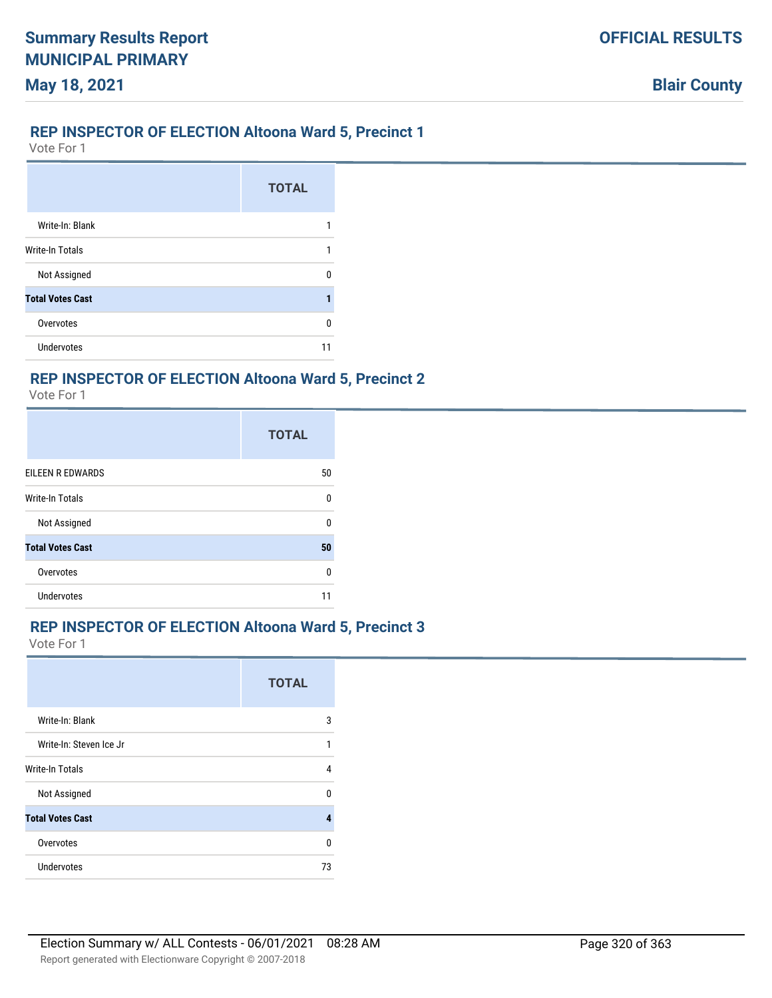### **REP INSPECTOR OF ELECTION Altoona Ward 5, Precinct 1**

Vote For 1

|                         | <b>TOTAL</b> |
|-------------------------|--------------|
| Write-In: Blank         |              |
| Write-In Totals         |              |
| Not Assigned            | n            |
| <b>Total Votes Cast</b> |              |
| Overvotes               | n            |
| <b>Undervotes</b>       |              |

### **REP INSPECTOR OF ELECTION Altoona Ward 5, Precinct 2**

Vote For 1

|                         | <b>TOTAL</b> |
|-------------------------|--------------|
| EILEEN R EDWARDS        | 50           |
| <b>Write-In Totals</b>  | $\Omega$     |
| Not Assigned            | n            |
| <b>Total Votes Cast</b> | 50           |
| Overvotes               | U            |
| <b>Undervotes</b>       |              |

### **REP INSPECTOR OF ELECTION Altoona Ward 5, Precinct 3**

|                         | <b>TOTAL</b> |
|-------------------------|--------------|
| Write-In: Blank         | 3            |
| Write-In: Steven Ice Jr | 1            |
| <b>Write-In Totals</b>  | 4            |
| Not Assigned            | n            |
| <b>Total Votes Cast</b> | 4            |
| Overvotes               | n            |
| Undervotes              | 73           |
|                         |              |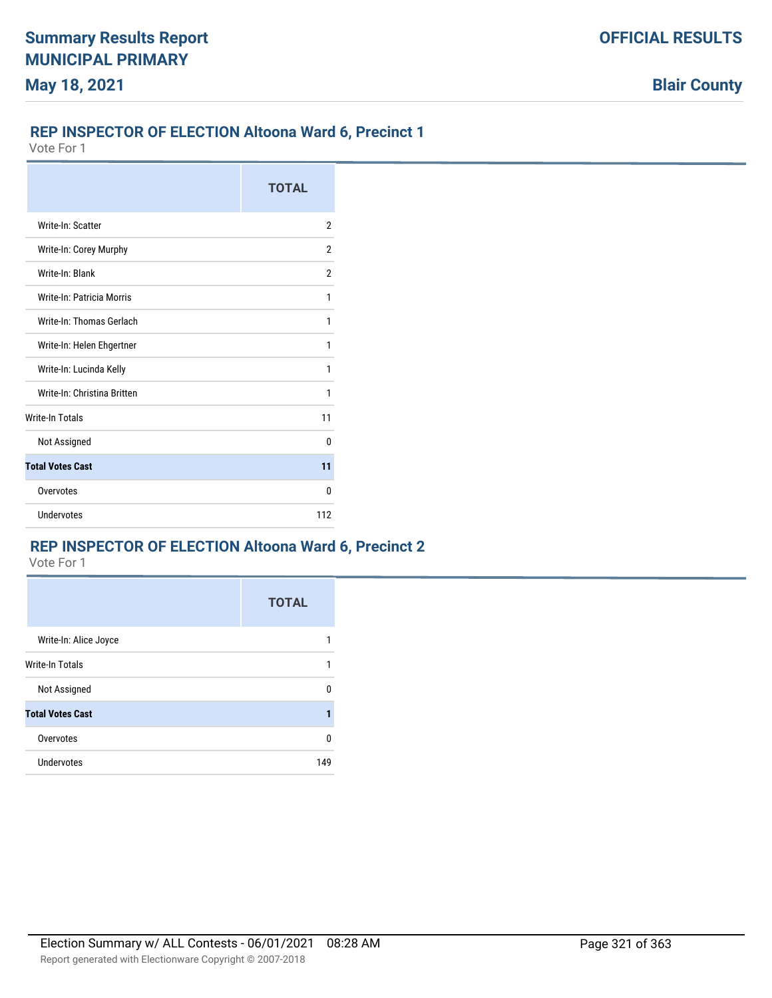### **REP INSPECTOR OF ELECTION Altoona Ward 6, Precinct 1**

Vote For 1

|                             | <b>TOTAL</b>   |
|-----------------------------|----------------|
| Write-In: Scatter           | $\overline{2}$ |
| Write-In: Corey Murphy      | 2              |
| Write-In: Blank             | 2              |
| Write-In: Patricia Morris   | 1              |
| Write-In: Thomas Gerlach    | 1              |
| Write-In: Helen Ehgertner   | 1              |
| Write-In: Lucinda Kelly     | 1              |
| Write-In: Christina Britten | 1              |
| <b>Write-In Totals</b>      | 11             |
| Not Assigned                | U              |
| <b>Total Votes Cast</b>     | 11             |
| Overvotes                   | 0              |
| Undervotes                  | 112            |

## **REP INSPECTOR OF ELECTION Altoona Ward 6, Precinct 2**

|                         | <b>TOTAL</b> |
|-------------------------|--------------|
| Write-In: Alice Joyce   |              |
| <b>Write-In Totals</b>  | 1            |
| Not Assigned            | n            |
| <b>Total Votes Cast</b> |              |
| Overvotes               | n            |
| <b>Undervotes</b>       | 149          |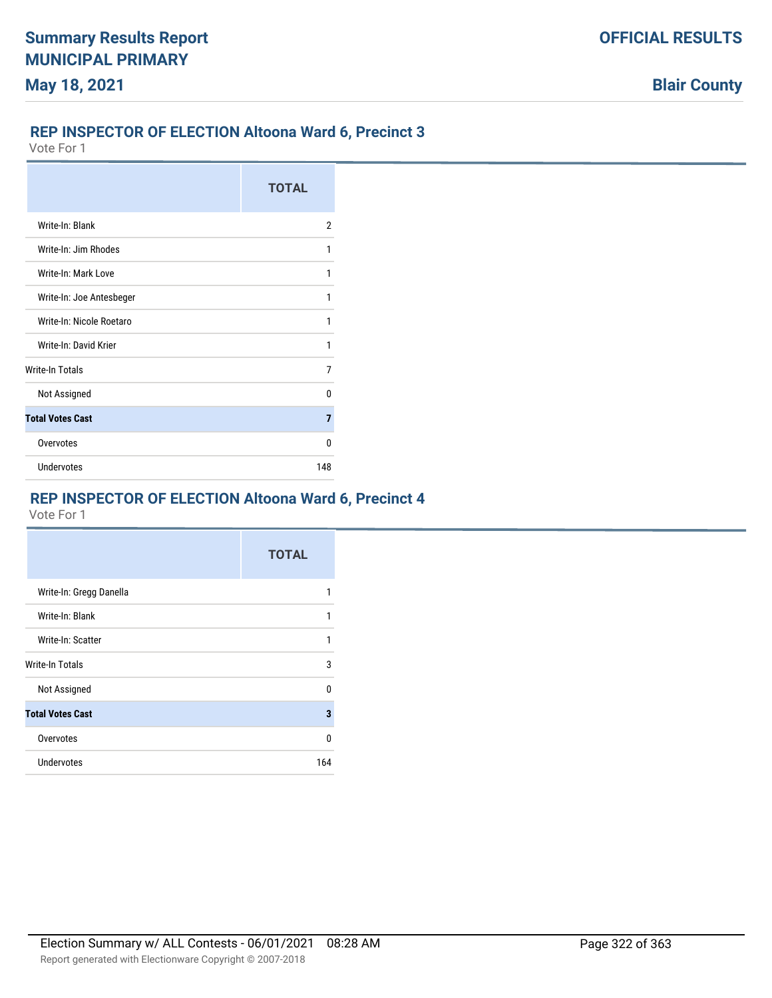## **REP INSPECTOR OF ELECTION Altoona Ward 6, Precinct 3**

Vote For 1

|                          | <b>TOTAL</b> |
|--------------------------|--------------|
| Write-In: Blank          | 2            |
| Write-In: Jim Rhodes     | 1            |
| Write-In: Mark Love      | 1            |
| Write-In: Joe Antesbeger | 1            |
| Write-In: Nicole Roetaro | 1            |
| Write-In: David Krier    | 1            |
| Write-In Totals          | 7            |
| Not Assigned             | n            |
| <b>Total Votes Cast</b>  | 7            |
| Overvotes                | n            |
| Undervotes               | 148          |

# **REP INSPECTOR OF ELECTION Altoona Ward 6, Precinct 4**

|                         | <b>TOTAL</b> |
|-------------------------|--------------|
| Write-In: Gregg Danella | 1            |
| Write-In: Blank         | 1            |
| Write-In: Scatter       | 1            |
| <b>Write-In Totals</b>  | 3            |
| Not Assigned            | U            |
| <b>Total Votes Cast</b> | 3            |
| Overvotes               | $\Omega$     |
| Undervotes              | 164          |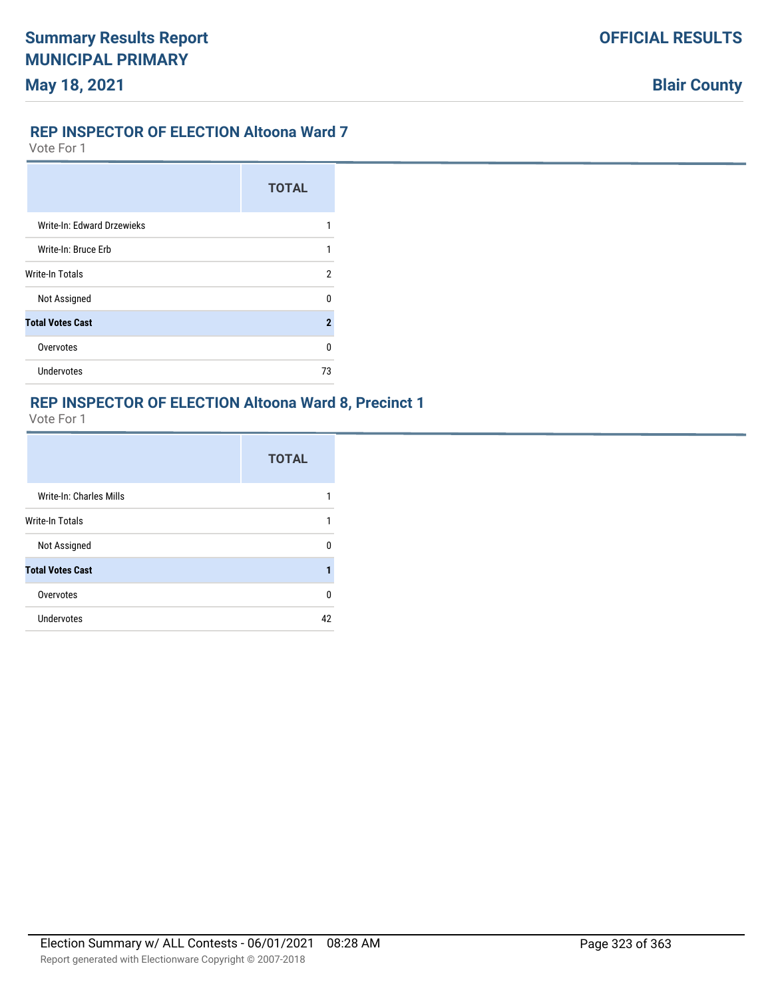### **REP INSPECTOR OF ELECTION Altoona Ward 7**

Vote For 1

|                            | <b>TOTAL</b>        |
|----------------------------|---------------------|
| Write-In: Edward Drzewieks |                     |
| Write-In: Bruce Erb        | 1                   |
| Write-In Totals            | 2                   |
| Not Assigned               | U                   |
| <b>Total Votes Cast</b>    | $\boldsymbol{\eta}$ |
| Overvotes                  | U                   |
| Undervotes                 | 73                  |

#### **REP INSPECTOR OF ELECTION Altoona Ward 8, Precinct 1**

|                         | <b>TOTAL</b> |
|-------------------------|--------------|
| Write-In: Charles Mills |              |
| <b>Write-In Totals</b>  | 1            |
| Not Assigned            | n            |
| <b>Total Votes Cast</b> |              |
| Overvotes               | U            |
| <b>Undervotes</b>       | 42           |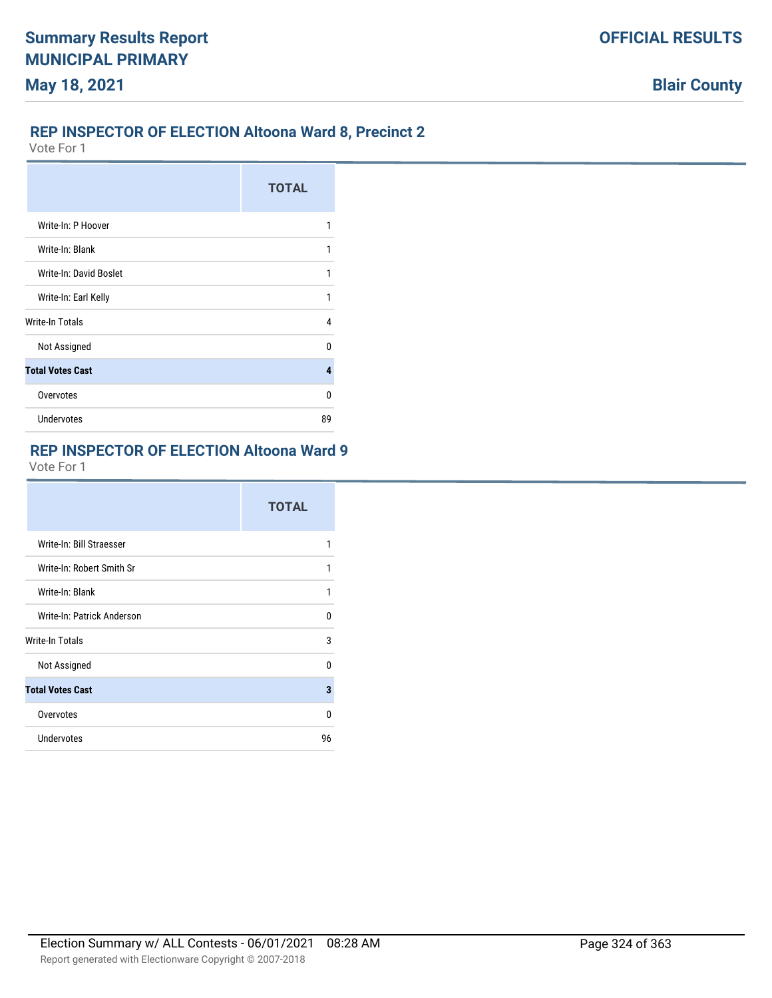## **REP INSPECTOR OF ELECTION Altoona Ward 8, Precinct 2**

Vote For 1

|                         | <b>TOTAL</b>   |
|-------------------------|----------------|
| Write-In: P Hoover      | 1              |
| Write-In: Blank         | 1              |
| Write-In: David Boslet  | 1              |
| Write-In: Earl Kelly    | 1              |
| Write-In Totals         | 4              |
| Not Assigned            | n              |
| <b>Total Votes Cast</b> | $\overline{4}$ |
| Overvotes               | U              |
| <b>Undervotes</b>       | 89             |

### **REP INSPECTOR OF ELECTION Altoona Ward 9**

|                            | <b>TOTAL</b> |
|----------------------------|--------------|
| Write-In: Bill Straesser   | 1            |
| Write-In: Robert Smith Sr  | 1            |
| Write-In: Blank            | 1            |
| Write-In: Patrick Anderson | 0            |
| Write-In Totals            | 3            |
| Not Assigned               | U            |
| <b>Total Votes Cast</b>    | 3            |
| Overvotes                  | U            |
| Undervotes                 | 96           |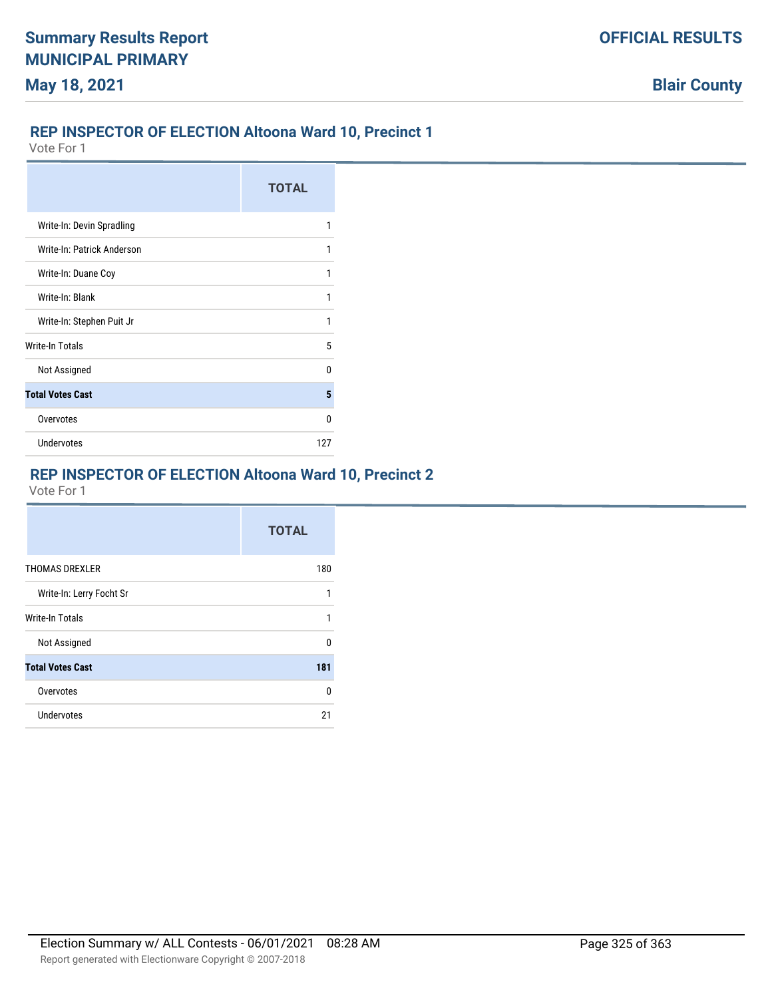### **REP INSPECTOR OF ELECTION Altoona Ward 10, Precinct 1**

Vote For 1

|                            | <b>TOTAL</b> |
|----------------------------|--------------|
| Write-In: Devin Spradling  | 1            |
| Write-In: Patrick Anderson | 1            |
| Write-In: Duane Coy        | 1            |
| Write-In: Blank            | 1            |
| Write-In: Stephen Puit Jr  | 1            |
| <b>Write-In Totals</b>     | 5            |
| Not Assigned               | n            |
| <b>Total Votes Cast</b>    | 5            |
| Overvotes                  | n            |
| <b>Undervotes</b>          | 127          |

# **REP INSPECTOR OF ELECTION Altoona Ward 10, Precinct 2**

|                          | <b>TOTAL</b> |
|--------------------------|--------------|
| <b>THOMAS DREXLER</b>    | 180          |
| Write-In: Lerry Focht Sr | 1            |
| <b>Write-In Totals</b>   |              |
| Not Assigned             | U            |
| <b>Total Votes Cast</b>  | 181          |
| Overvotes                | 0            |
| Undervotes               | 21           |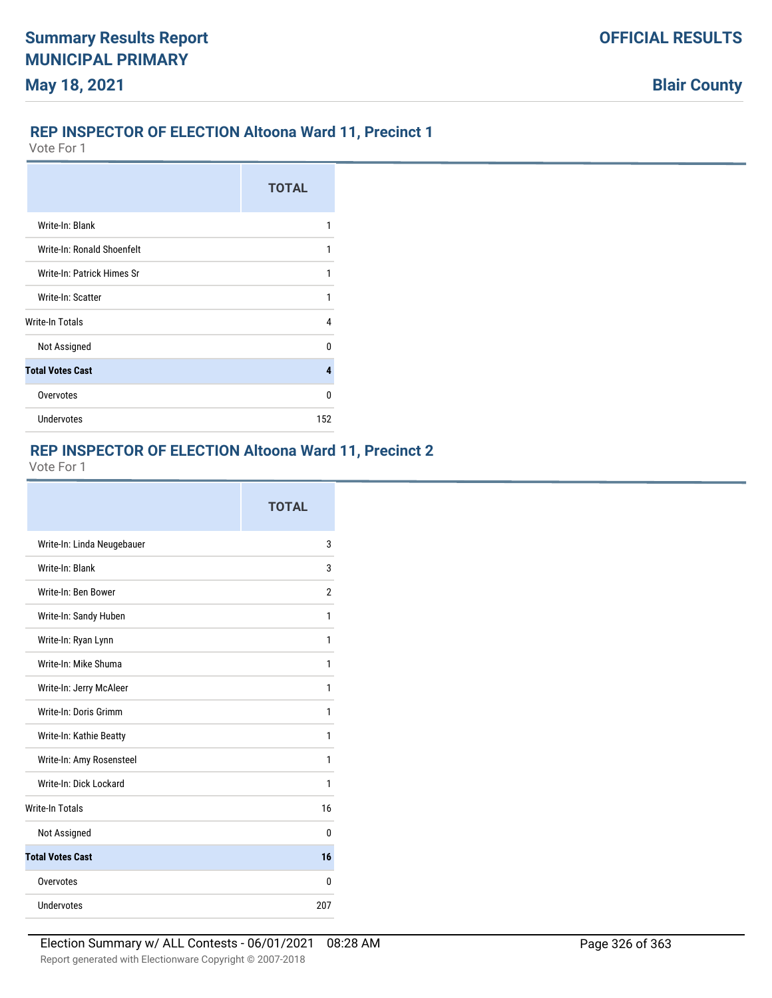# **REP INSPECTOR OF ELECTION Altoona Ward 11, Precinct 1**

Vote For 1

|                            | <b>TOTAL</b> |
|----------------------------|--------------|
| Write-In: Blank            | 1            |
| Write-In: Ronald Shoenfelt | 1            |
| Write-In: Patrick Himes Sr | 1            |
| Write-In: Scatter          | 1            |
| Write-In Totals            | 4            |
| Not Assigned               | n            |
| <b>Total Votes Cast</b>    | 4            |
| Overvotes                  | n            |
| <b>Undervotes</b>          | 152          |

# **REP INSPECTOR OF ELECTION Altoona Ward 11, Precinct 2**

|                            | <b>TOTAL</b> |
|----------------------------|--------------|
| Write-In: Linda Neugebauer | 3            |
| Write-In: Blank            | 3            |
| Write-In: Ben Bower        | 2            |
| Write-In: Sandy Huben      | 1            |
| Write-In: Ryan Lynn        | 1            |
| Write-In: Mike Shuma       | 1            |
| Write-In: Jerry McAleer    | 1            |
| Write-In: Doris Grimm      | 1            |
| Write-In: Kathie Beatty    | 1            |
| Write-In: Amy Rosensteel   | 1            |
| Write-In: Dick Lockard     | 1            |
| <b>Write-In Totals</b>     | 16           |
| Not Assigned               | 0            |
| <b>Total Votes Cast</b>    | 16           |
| Overvotes                  | U            |
| Undervotes                 | 207          |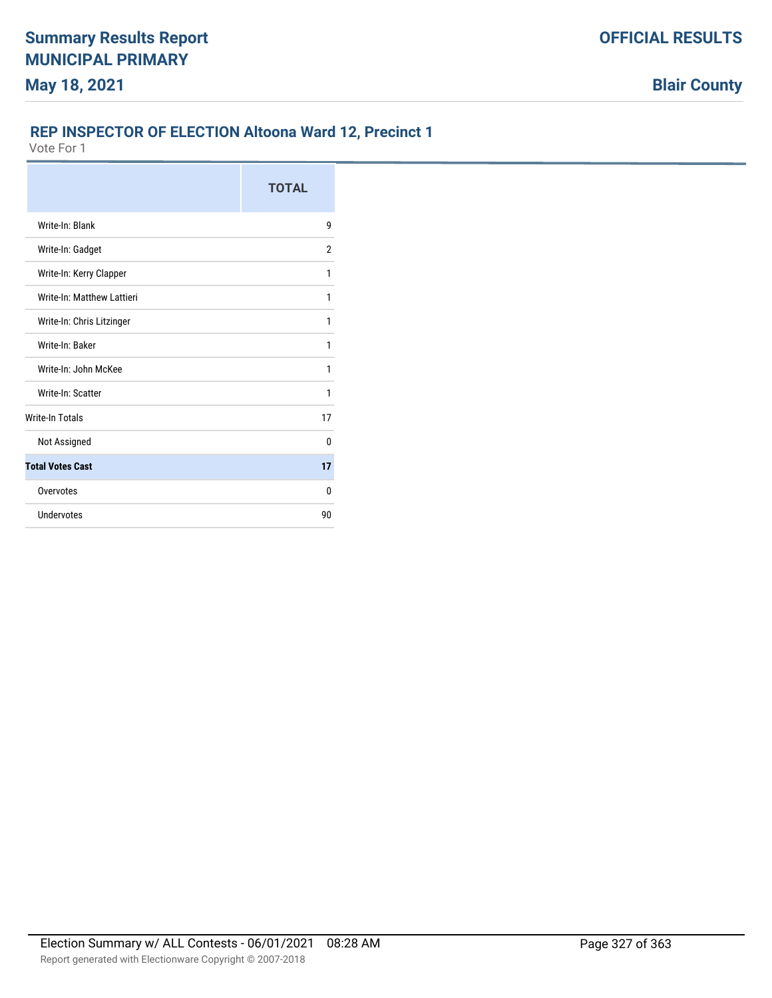#### **REP INSPECTOR OF ELECTION Altoona Ward 12, Precinct 1**

|                            | <b>TOTAL</b> |
|----------------------------|--------------|
| Write-In: Blank            | 9            |
| Write-In: Gadget           | 2            |
| Write-In: Kerry Clapper    | 1            |
| Write-In: Matthew Lattieri | 1            |
| Write-In: Chris Litzinger  | 1            |
| Write-In: Baker            | 1            |
| Write-In: John McKee       | 1            |
| Write-In: Scatter          | 1            |
| <b>Write-In Totals</b>     | 17           |
| Not Assigned               | 0            |
| <b>Total Votes Cast</b>    | 17           |
| Overvotes                  | 0            |
| Undervotes                 | 90           |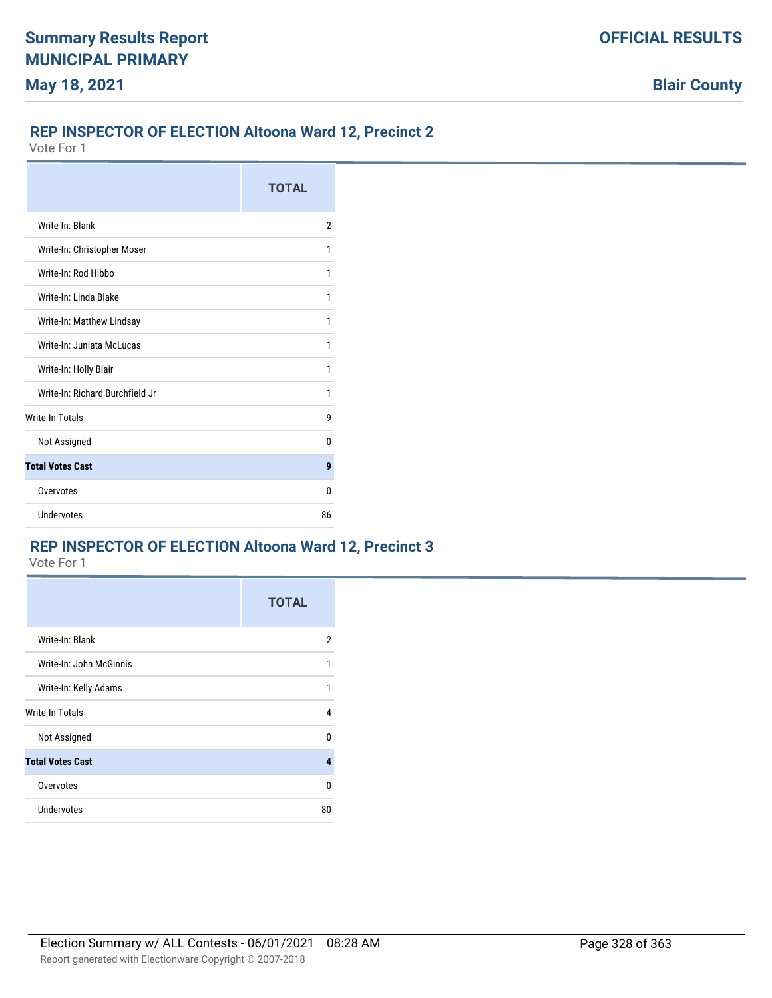### **REP INSPECTOR OF ELECTION Altoona Ward 12, Precinct 2**

Vote For 1

|                                 | <b>TOTAL</b>   |
|---------------------------------|----------------|
| Write-In: Blank                 | $\overline{2}$ |
| Write-In: Christopher Moser     | 1              |
| Write-In: Rod Hibbo             | 1              |
| Write-In: Linda Blake           | 1              |
| Write-In: Matthew Lindsay       | 1              |
| Write-In: Juniata McLucas       | 1              |
| Write-In: Holly Blair           | 1              |
| Write-In: Richard Burchfield Jr | 1              |
| <b>Write-In Totals</b>          | g              |
| Not Assigned                    | 0              |
| <b>Total Votes Cast</b>         | 9              |
| Overvotes                       | $\Omega$       |
| Undervotes                      | 86             |

# **REP INSPECTOR OF ELECTION Altoona Ward 12, Precinct 3**

|                         | <b>TOTAL</b> |
|-------------------------|--------------|
| Write-In: Blank         | 2            |
| Write-In: John McGinnis | 1            |
| Write-In: Kelly Adams   | 1            |
| Write-In Totals         | 4            |
| Not Assigned            | U            |
| <b>Total Votes Cast</b> | 4            |
| Overvotes               | 0            |
| <b>Undervotes</b>       | 80           |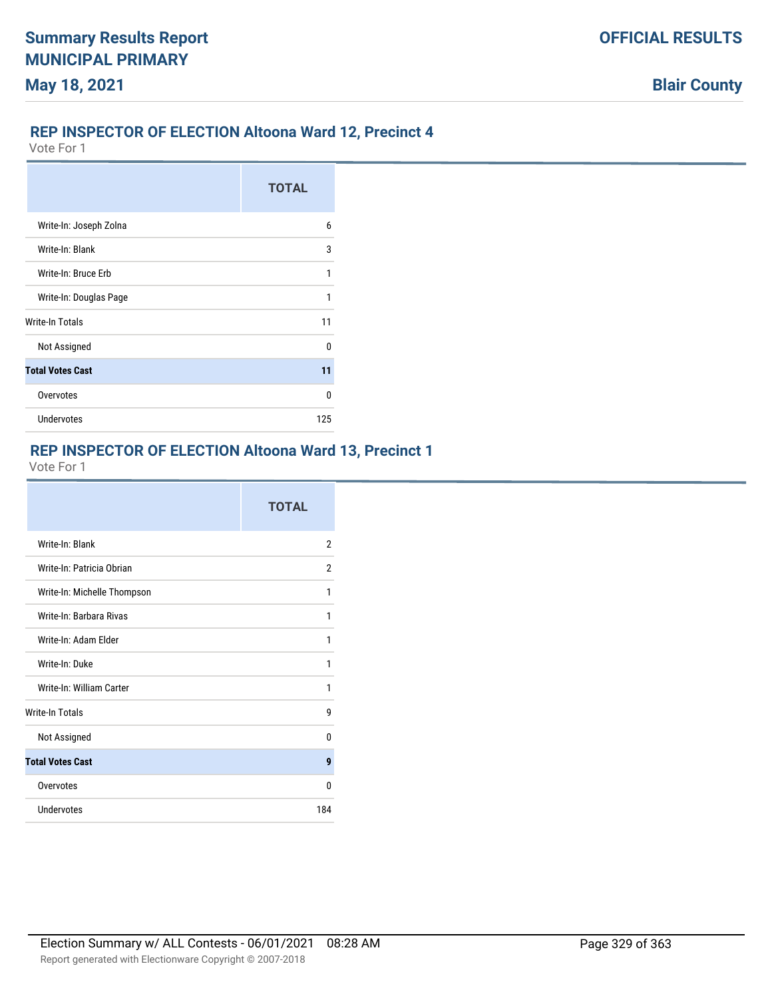### **REP INSPECTOR OF ELECTION Altoona Ward 12, Precinct 4**

Vote For 1

|                         | <b>TOTAL</b> |
|-------------------------|--------------|
| Write-In: Joseph Zolna  | 6            |
| Write-In: Blank         | 3            |
| Write-In: Bruce Erb     | 1            |
| Write-In: Douglas Page  | 1            |
| Write-In Totals         | 11           |
| Not Assigned            | U            |
| <b>Total Votes Cast</b> | 11           |
| Overvotes               | n            |
| <b>Undervotes</b>       | 125          |

#### **REP INSPECTOR OF ELECTION Altoona Ward 13, Precinct 1**

|                             | <b>TOTAL</b>   |
|-----------------------------|----------------|
| Write-In: Blank             | $\overline{2}$ |
| Write-In: Patricia Obrian   | 2              |
| Write-In: Michelle Thompson | 1              |
| Write-In: Barbara Rivas     | 1              |
| Write-In: Adam Flder        | 1              |
| Write-In: Duke              | 1              |
| Write-In: William Carter    | 1              |
| <b>Write-In Totals</b>      | 9              |
| Not Assigned                | 0              |
| <b>Total Votes Cast</b>     | 9              |
| Overvotes                   | U              |
| Undervotes                  | 184            |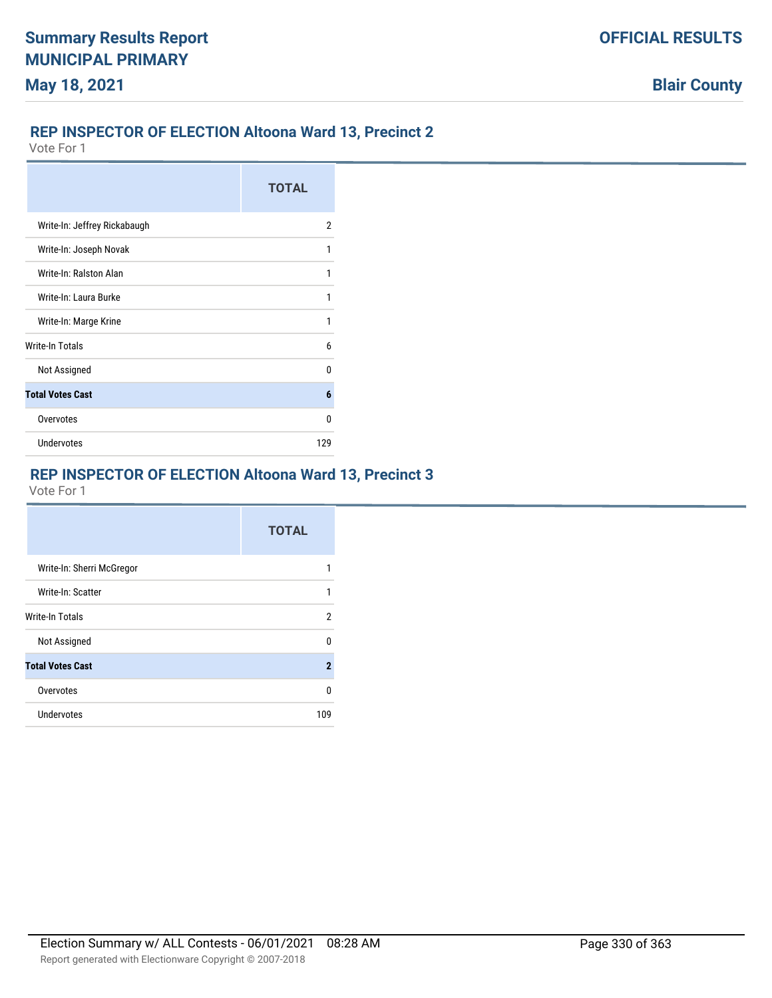### **REP INSPECTOR OF ELECTION Altoona Ward 13, Precinct 2**

Vote For 1

|                              | <b>TOTAL</b> |
|------------------------------|--------------|
| Write-In: Jeffrey Rickabaugh | 2            |
| Write-In: Joseph Novak       | 1            |
| Write-In: Ralston Alan       | 1            |
| Write-In: Laura Burke        |              |
| Write-In: Marge Krine        | 1            |
| <b>Write-In Totals</b>       | 6            |
| Not Assigned                 | n            |
| <b>Total Votes Cast</b>      | 6            |
| Overvotes                    | n            |
| Undervotes                   | 129          |

# **REP INSPECTOR OF ELECTION Altoona Ward 13, Precinct 3**

|                           | <b>TOTAL</b>   |
|---------------------------|----------------|
| Write-In: Sherri McGregor |                |
| Write-In: Scatter         |                |
| Write-In Totals           | 2              |
| Not Assigned              | U              |
| <b>Total Votes Cast</b>   | $\overline{2}$ |
| Overvotes                 | U              |
| <b>Undervotes</b>         | 109            |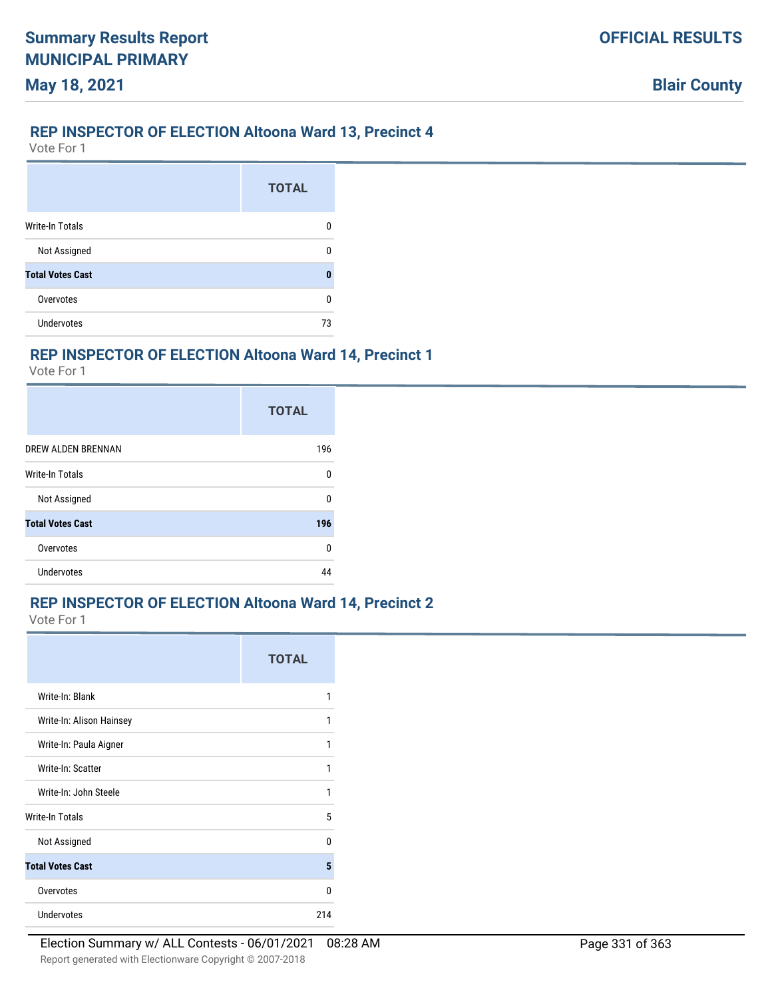## **REP INSPECTOR OF ELECTION Altoona Ward 13, Precinct 4**

Vote For 1

|                         | <b>TOTAL</b> |
|-------------------------|--------------|
| <b>Write-In Totals</b>  | n            |
| Not Assigned            | Ω            |
| <b>Total Votes Cast</b> | 0            |
| Overvotes               | 0            |
| <b>Undervotes</b>       | 73           |

# **REP INSPECTOR OF ELECTION Altoona Ward 14, Precinct 1**

Vote For 1

|                         | <b>TOTAL</b> |
|-------------------------|--------------|
| DREW ALDEN BRENNAN      | 196          |
| <b>Write-In Totals</b>  | 0            |
| Not Assigned            | n            |
| <b>Total Votes Cast</b> | 196          |
| Overvotes               | ŋ            |
| <b>Undervotes</b>       | ΔΔ           |

#### **REP INSPECTOR OF ELECTION Altoona Ward 14, Precinct 2**

|                          | <b>TOTAL</b> |
|--------------------------|--------------|
| Write-In: Blank          | 1            |
| Write-In: Alison Hainsey | 1            |
| Write-In: Paula Aigner   | 1            |
| Write-In: Scatter        | 1            |
| Write-In: John Steele    | 1            |
| Write-In Totals          | 5            |
| Not Assigned             | n            |
| <b>Total Votes Cast</b>  | 5            |
| Overvotes                | U            |
| <b>Undervotes</b>        | 214          |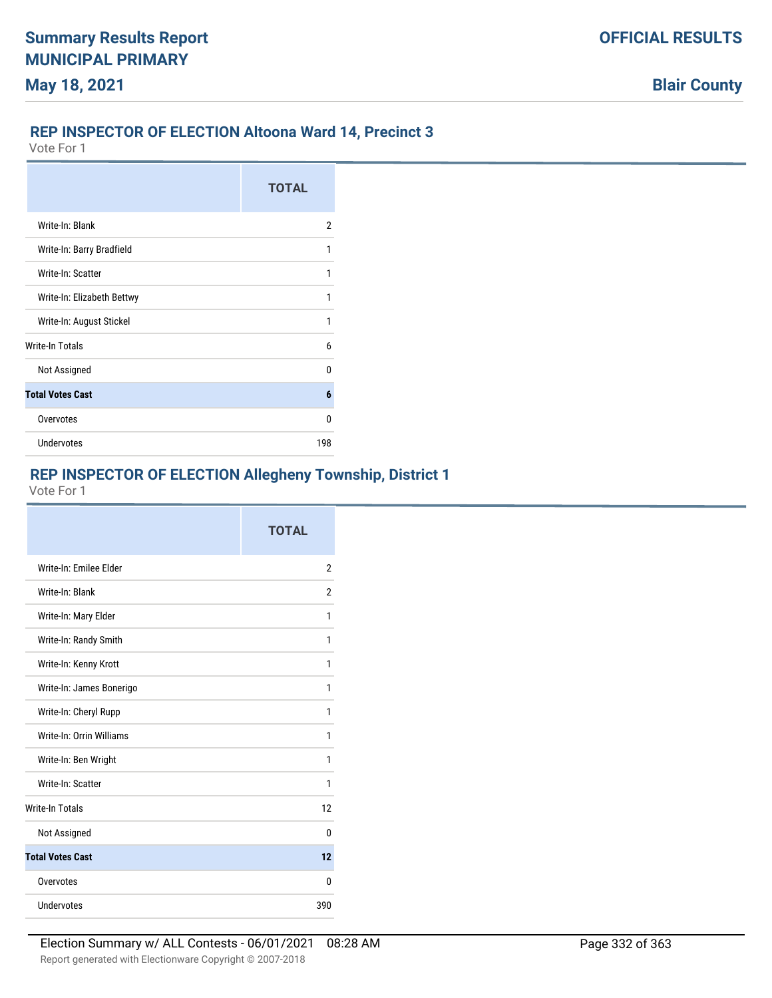### **REP INSPECTOR OF ELECTION Altoona Ward 14, Precinct 3**

Vote For 1

|                            | <b>TOTAL</b> |
|----------------------------|--------------|
| Write-In: Blank            | 2            |
| Write-In: Barry Bradfield  |              |
| Write-In: Scatter          |              |
| Write-In: Elizabeth Bettwy |              |
| Write-In: August Stickel   |              |
| Write-In Totals            | 6            |
| Not Assigned               | U            |
| <b>Total Votes Cast</b>    | 6            |
| Overvotes                  | n            |
| <b>Undervotes</b>          | 198          |

# **REP INSPECTOR OF ELECTION Allegheny Township, District 1**

|                          | <b>TOTAL</b> |
|--------------------------|--------------|
| Write-In: Emilee Elder   | 2            |
| Write-In: Blank          | 2            |
| Write-In: Mary Elder     | 1            |
| Write-In: Randy Smith    | 1            |
| Write-In: Kenny Krott    | 1            |
| Write-In: James Bonerigo | 1            |
| Write-In: Cheryl Rupp    | 1            |
| Write-In: Orrin Williams | 1            |
| Write-In: Ben Wright     | 1            |
| Write-In: Scatter        | 1            |
| <b>Write-In Totals</b>   | 12           |
| Not Assigned             | U            |
| <b>Total Votes Cast</b>  | 12           |
| Overvotes                | 0            |
| Undervotes               | 390          |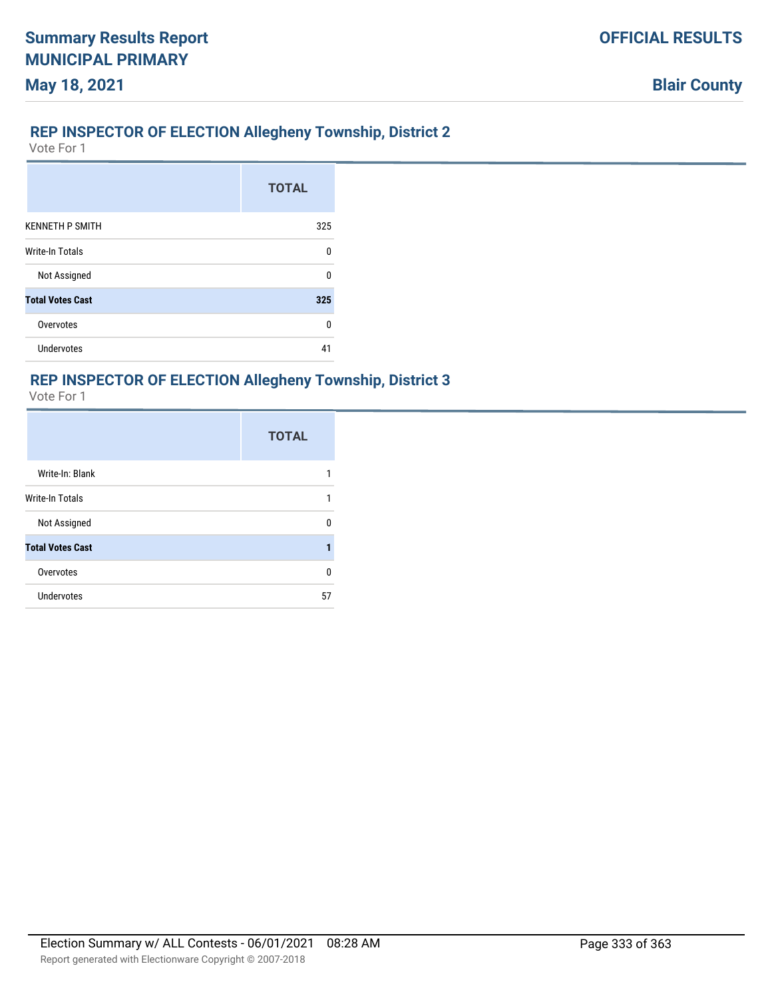# **REP INSPECTOR OF ELECTION Allegheny Township, District 2**

Vote For 1

**May 18, 2021**

|                         | <b>TOTAL</b> |
|-------------------------|--------------|
| <b>KENNETH P SMITH</b>  | 325          |
| <b>Write-In Totals</b>  | $\Omega$     |
| Not Assigned            | U            |
| <b>Total Votes Cast</b> | 325          |
| Overvotes               | U            |
| <b>Undervotes</b>       | 41           |

#### **REP INSPECTOR OF ELECTION Allegheny Township, District 3**

|                         | <b>TOTAL</b> |
|-------------------------|--------------|
| Write-In: Blank         |              |
| <b>Write-In Totals</b>  |              |
| Not Assigned            | n            |
| <b>Total Votes Cast</b> |              |
| Overvotes               | 0            |
| <b>Undervotes</b>       | 57           |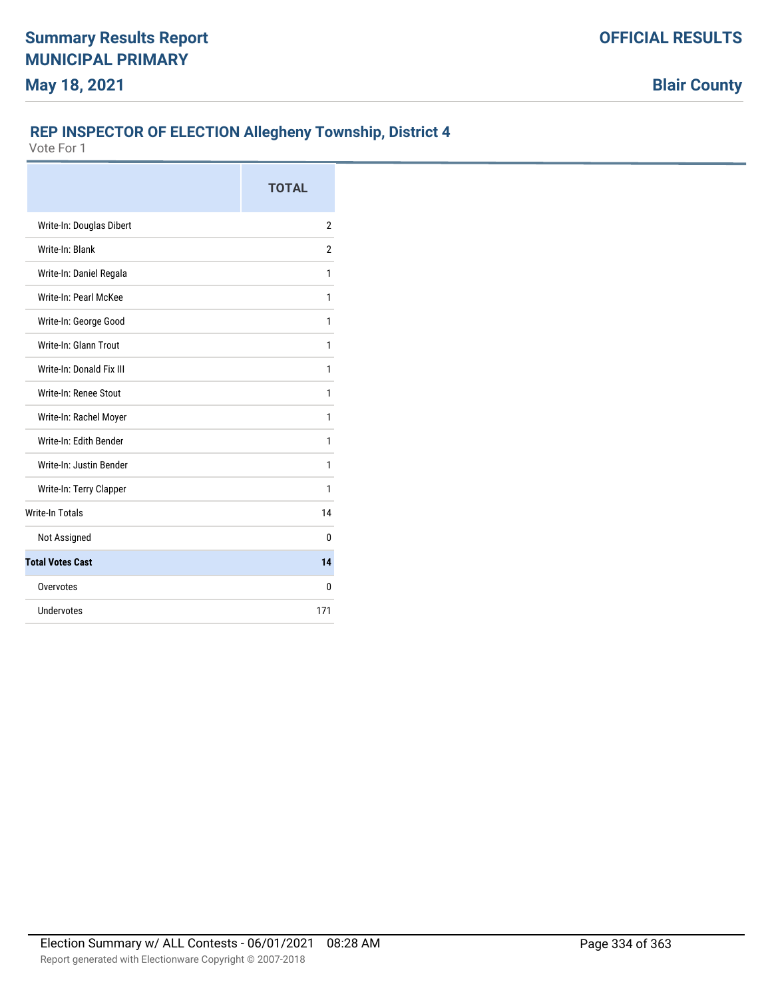# **REP INSPECTOR OF ELECTION Allegheny Township, District 4**

|                          | <b>TOTAL</b>   |
|--------------------------|----------------|
| Write-In: Douglas Dibert | $\overline{2}$ |
| Write-In: Blank          | $\overline{2}$ |
| Write-In: Daniel Regala  | 1              |
| Write-In: Pearl McKee    | 1              |
| Write-In: George Good    | 1              |
| Write-In: Glann Trout    | 1              |
| Write-In: Donald Fix III | 1              |
| Write-In: Renee Stout    | 1              |
| Write-In: Rachel Moyer   | 1              |
| Write-In: Edith Bender   | 1              |
| Write-In: Justin Bender  | 1              |
| Write-In: Terry Clapper  | 1              |
| <b>Write-In Totals</b>   | 14             |
| Not Assigned             | 0              |
| <b>Total Votes Cast</b>  | 14             |
| Overvotes                | 0              |
| Undervotes               | 171            |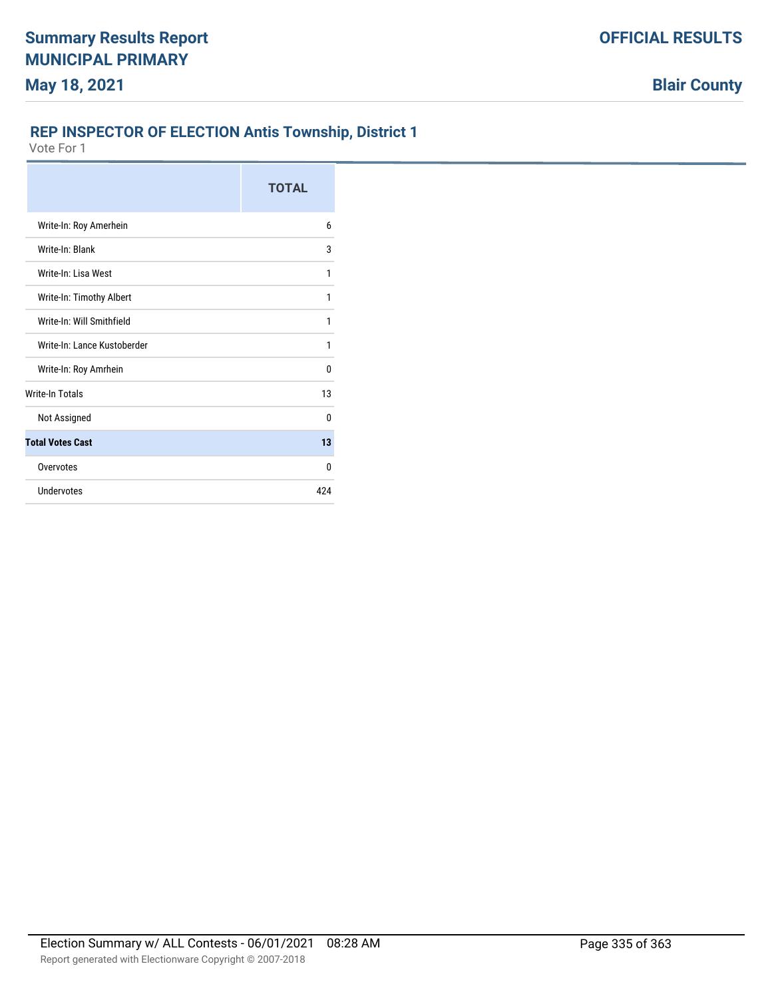### **REP INSPECTOR OF ELECTION Antis Township, District 1**

|                             | <b>TOTAL</b> |
|-----------------------------|--------------|
| Write-In: Roy Amerhein      | 6            |
| Write-In: Blank             | 3            |
| Write-In: Lisa West         | 1            |
| Write-In: Timothy Albert    | 1            |
| Write-In: Will Smithfield   | 1            |
| Write-In: Lance Kustoberder | 1            |
| Write-In: Roy Amrhein       | 0            |
| <b>Write-In Totals</b>      | 13           |
| Not Assigned                | 0            |
| <b>Total Votes Cast</b>     | 13           |
| Overvotes                   | <sup>0</sup> |
| Undervotes                  | 424          |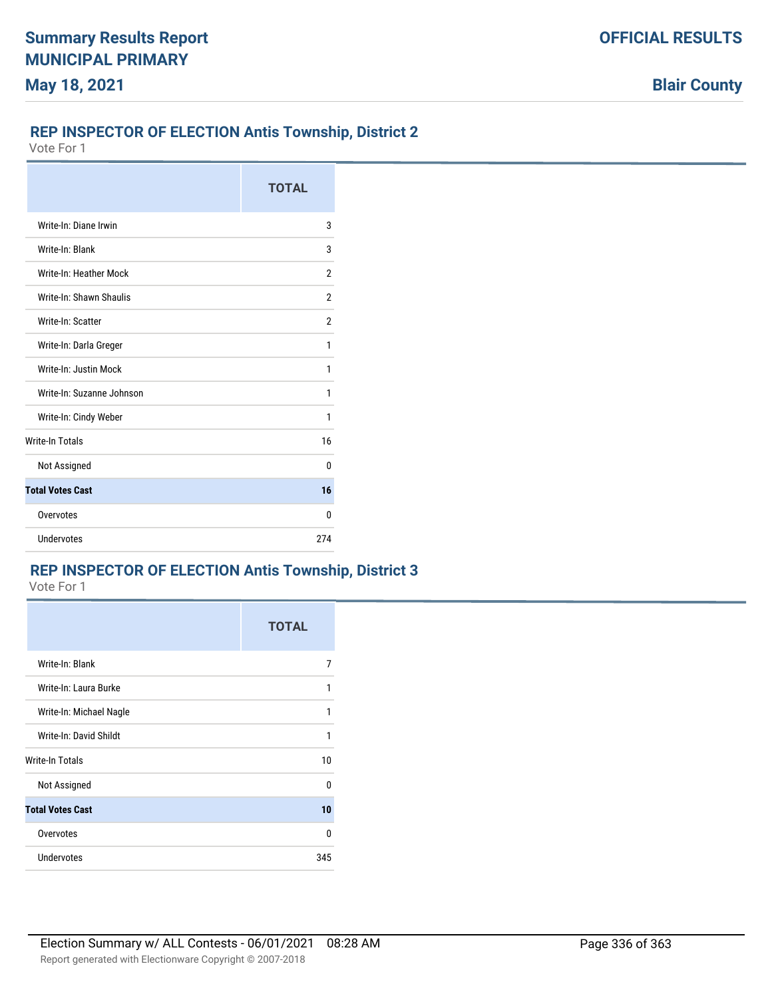#### **REP INSPECTOR OF ELECTION Antis Township, District 2**

Vote For 1

|                           | <b>TOTAL</b> |
|---------------------------|--------------|
| Write-In: Diane Irwin     | 3            |
| Write-In: Blank           | 3            |
| Write-In: Heather Mock    | 2            |
| Write-In: Shawn Shaulis   | 2            |
| Write-In: Scatter         | 2            |
| Write-In: Darla Greger    | 1            |
| Write-In: Justin Mock     | 1            |
| Write-In: Suzanne Johnson | 1            |
| Write-In: Cindy Weber     | 1            |
| <b>Write-In Totals</b>    | 16           |
| Not Assigned              | n            |
| <b>Total Votes Cast</b>   | 16           |
| Overvotes                 | n            |
| Undervotes                | 274          |

# **REP INSPECTOR OF ELECTION Antis Township, District 3**

|                         | <b>TOTAL</b> |
|-------------------------|--------------|
| Write-In: Blank         | 7            |
| Write-In: Laura Burke   | 1            |
| Write-In: Michael Nagle | 1            |
| Write-In: David Shildt  | 1            |
| <b>Write-In Totals</b>  | 10           |
| Not Assigned            | $\Omega$     |
| <b>Total Votes Cast</b> | 10           |
| Overvotes               | $\Omega$     |
| <b>Undervotes</b>       | 345          |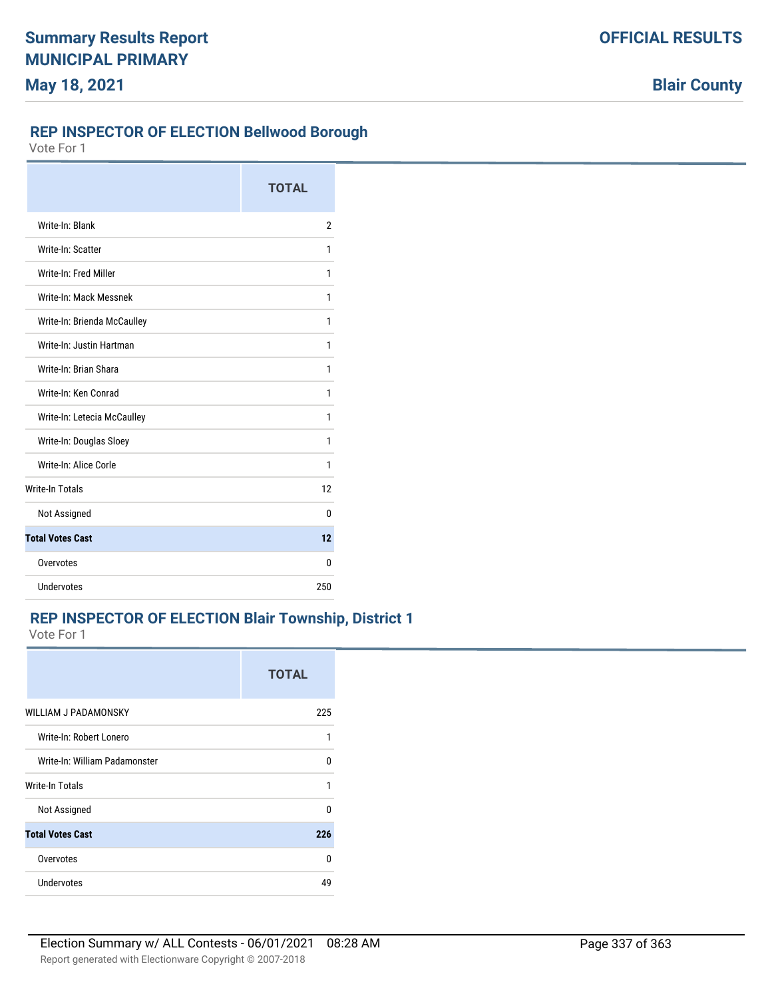## **REP INSPECTOR OF ELECTION Bellwood Borough**

Vote For 1

|                             | <b>TOTAL</b>   |
|-----------------------------|----------------|
| Write-In: Blank             | $\overline{2}$ |
| Write-In: Scatter           | 1              |
| Write-In: Fred Miller       | 1              |
| Write-In: Mack Messnek      | 1              |
| Write-In: Brienda McCaulley | 1              |
| Write-In: Justin Hartman    | 1              |
| Write-In: Brian Shara       | 1              |
| Write-In: Ken Conrad        | 1              |
| Write-In: Letecia McCaulley | 1              |
| Write-In: Douglas Sloey     | 1              |
| Write-In: Alice Corle       | 1              |
| <b>Write-In Totals</b>      | 12             |
| Not Assigned                | 0              |
| <b>Total Votes Cast</b>     | 12             |
| Overvotes                   | 0              |
| Undervotes                  | 250            |

## **REP INSPECTOR OF ELECTION Blair Township, District 1**

|                               | <b>TOTAL</b> |
|-------------------------------|--------------|
| <b>WILLIAM J PADAMONSKY</b>   | 225          |
| Write-In: Robert Lonero       | 1            |
| Write-In: William Padamonster | n            |
| Write-In Totals               | 1            |
| Not Assigned                  | 0            |
| <b>Total Votes Cast</b>       | 226          |
| Overvotes                     | U            |
| Undervotes                    | 49           |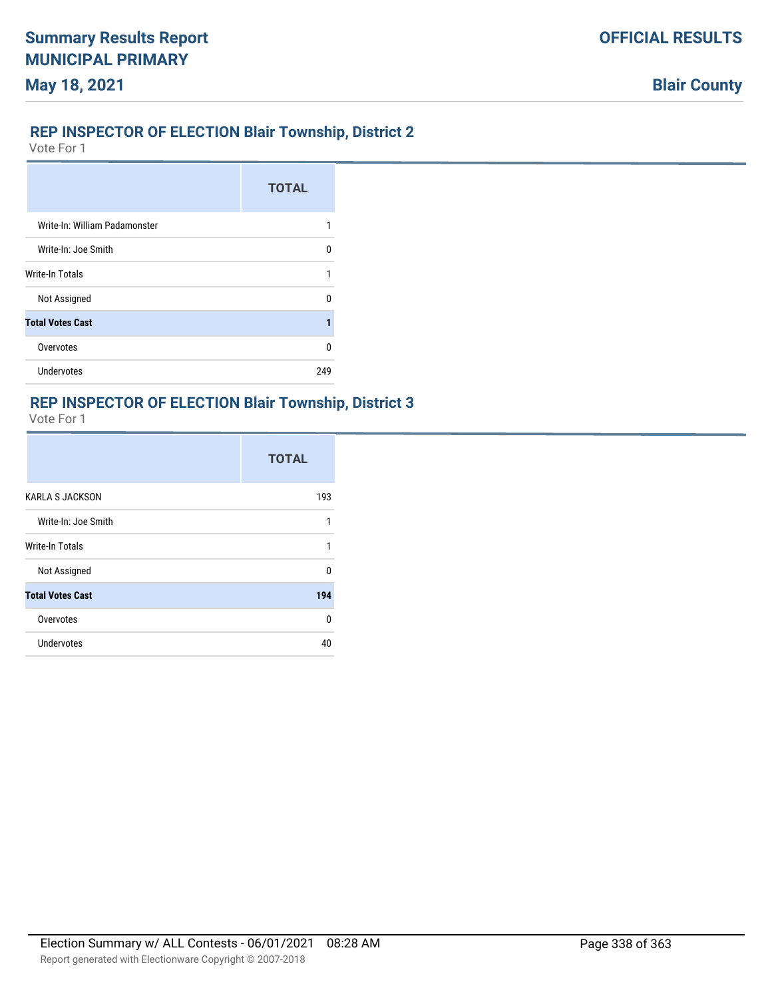### **REP INSPECTOR OF ELECTION Blair Township, District 2**

Vote For 1

|                               | <b>TOTAL</b> |
|-------------------------------|--------------|
| Write-In: William Padamonster |              |
| Write-In: Joe Smith           | U            |
| Write-In Totals               | 1            |
| Not Assigned                  | n            |
| <b>Total Votes Cast</b>       |              |
| Overvotes                     | U            |
| <b>Undervotes</b>             | 249          |

## **REP INSPECTOR OF ELECTION Blair Township, District 3**

|                         | <b>TOTAL</b> |
|-------------------------|--------------|
| <b>KARLA S JACKSON</b>  | 193          |
| Write-In: Joe Smith     | 1            |
| <b>Write-In Totals</b>  | 1            |
| Not Assigned            | 0            |
| <b>Total Votes Cast</b> | 194          |
| Overvotes               | $\Omega$     |
| Undervotes              | 40           |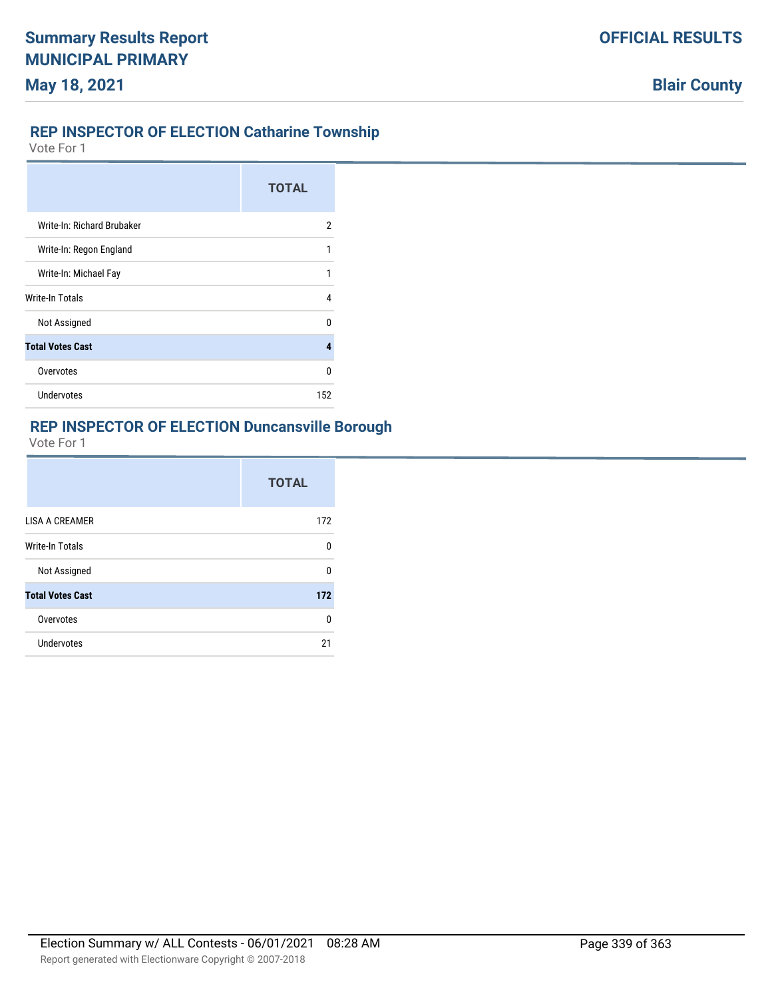## **REP INSPECTOR OF ELECTION Catharine Township**

Vote For 1

|                            | <b>TOTAL</b> |
|----------------------------|--------------|
| Write-In: Richard Brubaker | 2            |
| Write-In: Regon England    | 1            |
| Write-In: Michael Fay      |              |
| <b>Write-In Totals</b>     | 4            |
| Not Assigned               | n            |
| <b>Total Votes Cast</b>    | Δ            |
| Overvotes                  | U            |
| <b>Undervotes</b>          | 152          |

# **REP INSPECTOR OF ELECTION Duncansville Borough**

|                         | <b>TOTAL</b> |
|-------------------------|--------------|
| <b>LISA A CREAMER</b>   | 172          |
| Write-In Totals         | n            |
| Not Assigned            | n            |
| <b>Total Votes Cast</b> | 172          |
| Overvotes               | n            |
| Undervotes              | 21           |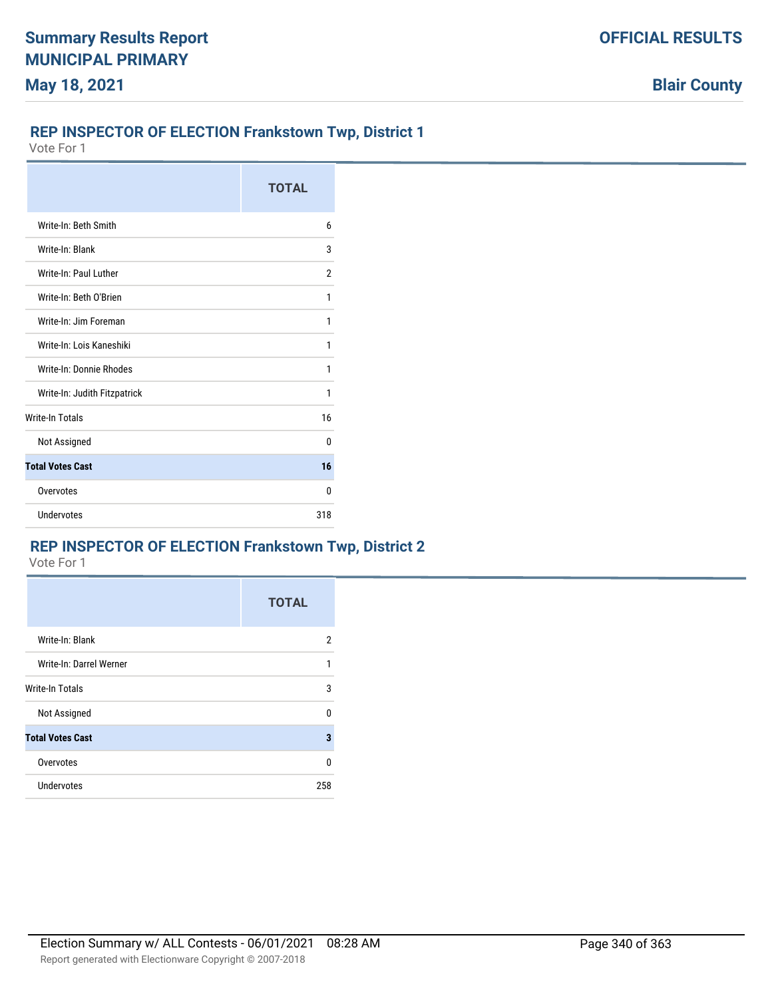### **REP INSPECTOR OF ELECTION Frankstown Twp, District 1**

Vote For 1

|                              | <b>TOTAL</b> |
|------------------------------|--------------|
| Write-In: Beth Smith         | 6            |
| Write-In: Blank              | 3            |
| Write-In: Paul Luther        | 2            |
| Write-In: Beth O'Brien       | 1            |
| Write-In: Jim Foreman        | 1            |
| Write-In: Lois Kaneshiki     | 1            |
| Write-In: Donnie Rhodes      | 1            |
| Write-In: Judith Fitzpatrick | 1            |
| <b>Write-In Totals</b>       | 16           |
| Not Assigned                 | 0            |
| <b>Total Votes Cast</b>      | 16           |
| Overvotes                    | 0            |
| Undervotes                   | 318          |

### **REP INSPECTOR OF ELECTION Frankstown Twp, District 2**

|                         | <b>TOTAL</b> |
|-------------------------|--------------|
| Write-In: Blank         | 2            |
| Write-In: Darrel Werner | 1            |
| Write-In Totals         | 3            |
| Not Assigned            | 0            |
| <b>Total Votes Cast</b> | 3            |
| Overvotes               | 0            |
| Undervotes              | 258          |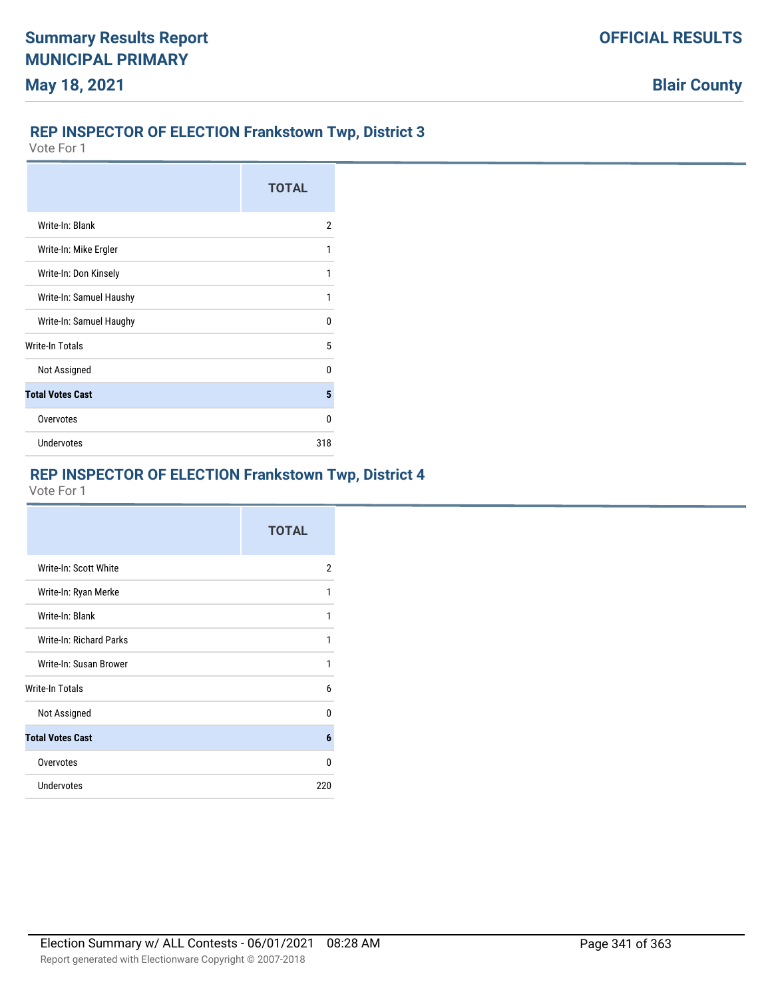## **REP INSPECTOR OF ELECTION Frankstown Twp, District 3**

Vote For 1

|                         | <b>TOTAL</b> |
|-------------------------|--------------|
| Write-In: Blank         | 2            |
| Write-In: Mike Ergler   |              |
| Write-In: Don Kinsely   |              |
| Write-In: Samuel Haushy |              |
| Write-In: Samuel Haughy | n            |
| Write-In Totals         | 5            |
| Not Assigned            | n            |
| <b>Total Votes Cast</b> | 5            |
| Overvotes               | n            |
| <b>Undervotes</b>       | 318          |

# **REP INSPECTOR OF ELECTION Frankstown Twp, District 4**

|                                | <b>TOTAL</b> |
|--------------------------------|--------------|
| Write-In: Scott White          | 2            |
| Write-In: Ryan Merke           | 1            |
| Write-In: Blank                | 1            |
| <b>Write-In: Richard Parks</b> | 1            |
| Write-In: Susan Brower         | 1            |
| Write-In Totals                | 6            |
| Not Assigned                   | U            |
| <b>Total Votes Cast</b>        | 6            |
| Overvotes                      | U            |
| <b>Undervotes</b>              | 220          |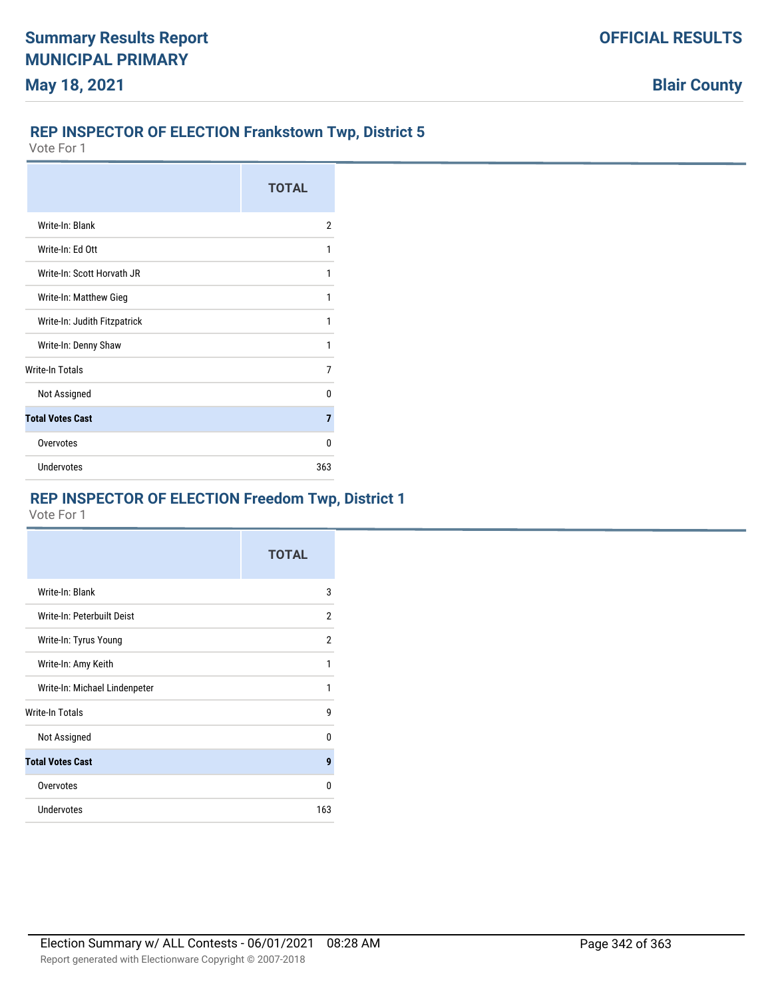# **REP INSPECTOR OF ELECTION Frankstown Twp, District 5**

Vote For 1

|                              | <b>TOTAL</b> |
|------------------------------|--------------|
| Write-In: Blank              | 2            |
| Write-In: Ed Ott             | 1            |
| Write-In: Scott Horvath JR   | 1            |
| Write-In: Matthew Gieg       | 1            |
| Write-In: Judith Fitzpatrick | 1            |
| Write-In: Denny Shaw         | 1            |
| Write-In Totals              | 7            |
| Not Assigned                 | n            |
| <b>Total Votes Cast</b>      | 7            |
| Overvotes                    | n            |
| Undervotes                   | 363          |

# **REP INSPECTOR OF ELECTION Freedom Twp, District 1**

|                               | <b>TOTAL</b> |
|-------------------------------|--------------|
| Write-In: Blank               | 3            |
| Write-In: Peterbuilt Deist    | 2            |
| Write-In: Tyrus Young         | 2            |
| Write-In: Amy Keith           | 1            |
| Write-In: Michael Lindenpeter | 1            |
| Write-In Totals               | g            |
| Not Assigned                  | U            |
| <b>Total Votes Cast</b>       | 9            |
| Overvotes                     | 0            |
| Undervotes                    | 163          |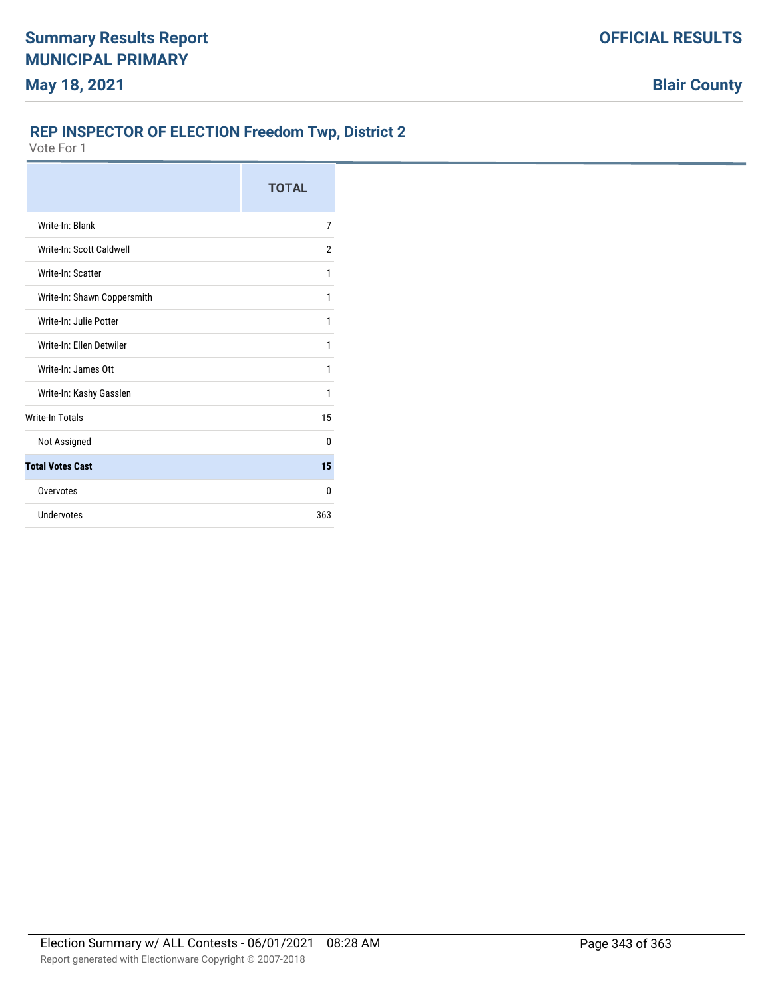# **REP INSPECTOR OF ELECTION Freedom Twp, District 2**

|                             | <b>TOTAL</b> |
|-----------------------------|--------------|
| Write-In: Blank             | 7            |
| Write-In: Scott Caldwell    | 2            |
| Write-In: Scatter           | 1            |
| Write-In: Shawn Coppersmith | 1            |
| Write-In: Julie Potter      | 1            |
| Write-In: Ellen Detwiler    | 1            |
| Write-In: James Ott         | 1            |
| Write-In: Kashy Gasslen     | 1            |
| <b>Write-In Totals</b>      | 15           |
| Not Assigned                | 0            |
| <b>Total Votes Cast</b>     | 15           |
| Overvotes                   | 0            |
| Undervotes                  | 363          |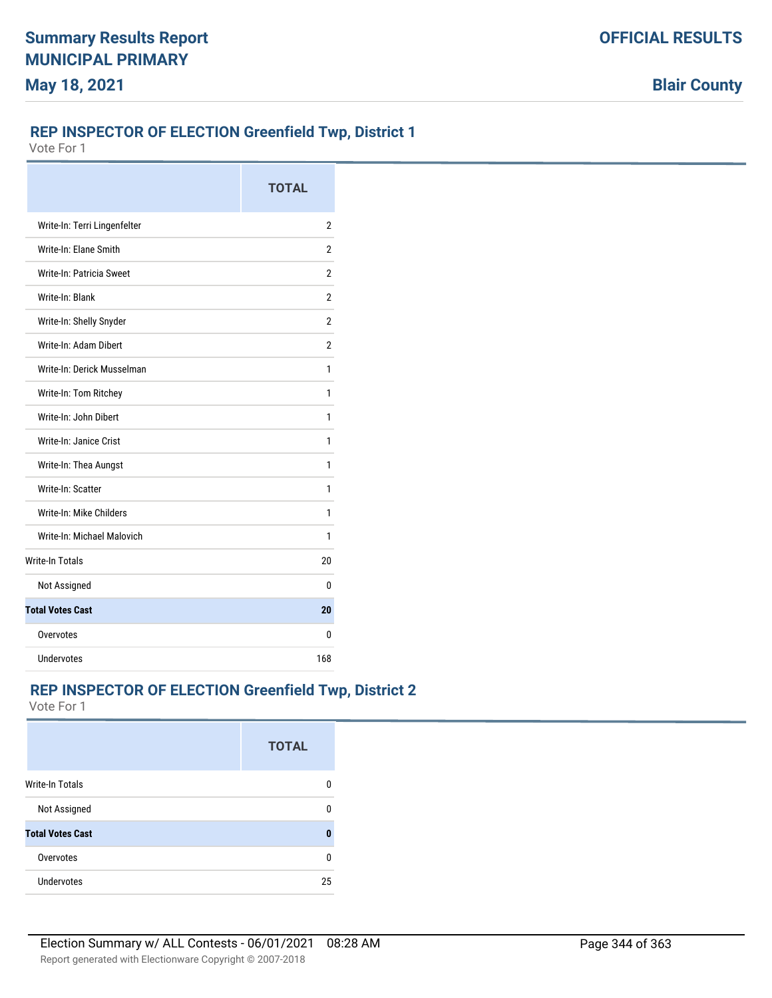### **REP INSPECTOR OF ELECTION Greenfield Twp, District 1**

Vote For 1

|                              | <b>TOTAL</b> |
|------------------------------|--------------|
| Write-In: Terri Lingenfelter | 2            |
| Write-In: Elane Smith        | 2            |
| Write-In: Patricia Sweet     | 2            |
| Write-In: Blank              | 2            |
| Write-In: Shelly Snyder      | 2            |
| Write-In: Adam Dibert        | 2            |
| Write-In: Derick Musselman   | 1            |
| Write-In: Tom Ritchey        | 1            |
| Write-In: John Dibert        | 1            |
| Write-In: Janice Crist       | 1            |
| Write-In: Thea Aungst        | 1            |
| Write-In: Scatter            | 1            |
| Write-In: Mike Childers      | 1            |
| Write-In: Michael Malovich   | 1            |
| <b>Write-In Totals</b>       | 20           |
| Not Assigned                 | 0            |
| <b>Total Votes Cast</b>      | 20           |
| Overvotes                    | 0            |
| Undervotes                   | 168          |

# **REP INSPECTOR OF ELECTION Greenfield Twp, District 2**

|                         | <b>TOTAL</b> |
|-------------------------|--------------|
| <b>Write-In Totals</b>  | O            |
| Not Assigned            | n            |
| <b>Total Votes Cast</b> |              |
| Overvotes               | n            |
| <b>Undervotes</b>       | 25           |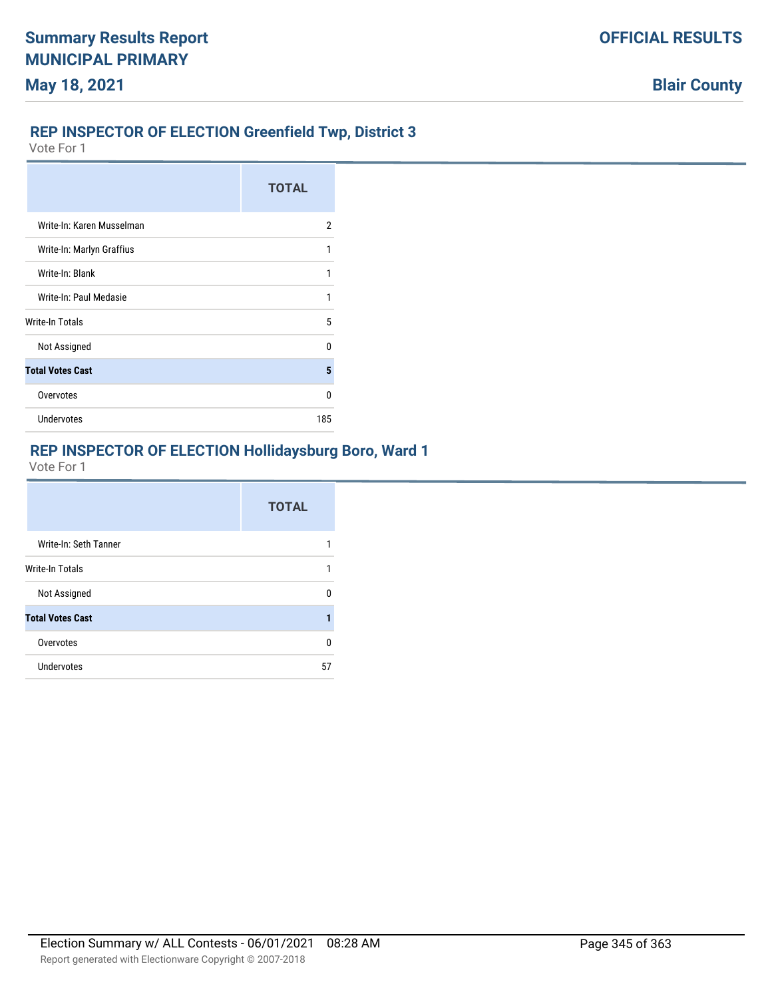## **REP INSPECTOR OF ELECTION Greenfield Twp, District 3**

Vote For 1

|                           | <b>TOTAL</b> |
|---------------------------|--------------|
| Write-In: Karen Musselman | 2            |
| Write-In: Marlyn Graffius | 1            |
| Write-In: Blank           |              |
| Write-In: Paul Medasie    | 1            |
| Write-In Totals           | 5            |
| Not Assigned              | n            |
| <b>Total Votes Cast</b>   | 5            |
| Overvotes                 | n            |
| Undervotes                | 185          |

#### **REP INSPECTOR OF ELECTION Hollidaysburg Boro, Ward 1**

|                         | <b>TOTAL</b> |
|-------------------------|--------------|
| Write-In: Seth Tanner   |              |
| <b>Write-In Totals</b>  |              |
| Not Assigned            | n            |
| <b>Total Votes Cast</b> |              |
| Overvotes               | n            |
| Undervotes              | 57           |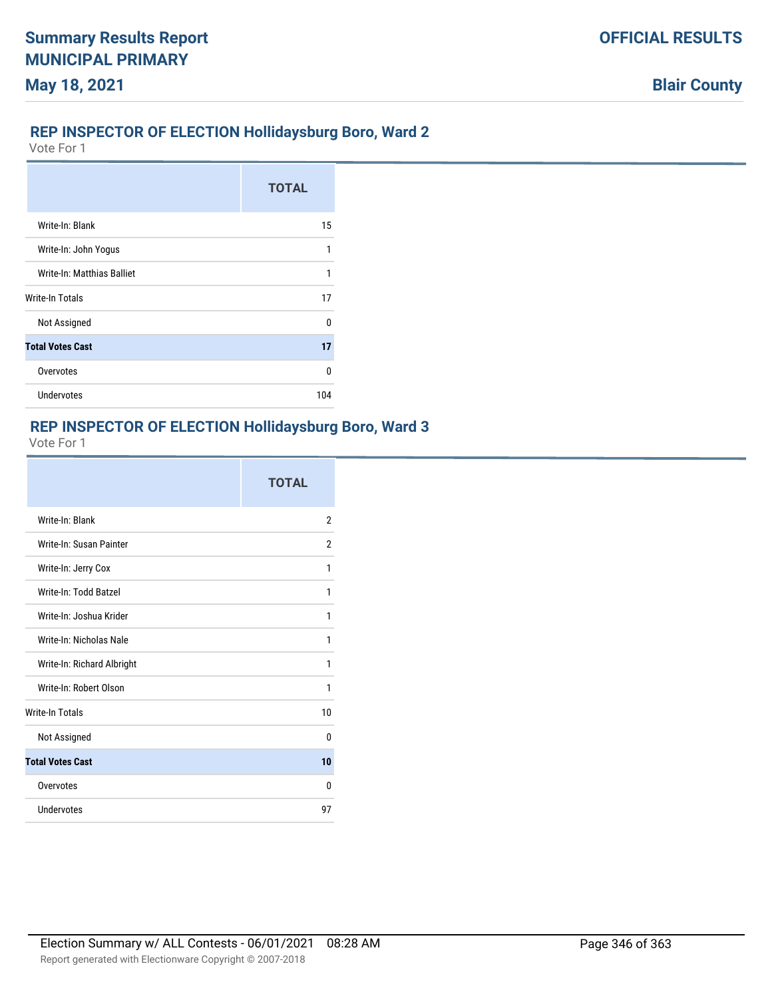# **REP INSPECTOR OF ELECTION Hollidaysburg Boro, Ward 2**

Vote For 1

|                            | <b>TOTAL</b> |
|----------------------------|--------------|
| Write-In: Blank            | 15           |
| Write-In: John Yogus       | 1            |
| Write-In: Matthias Balliet | 1            |
| Write-In Totals            | 17           |
| Not Assigned               | n            |
| <b>Total Votes Cast</b>    | 17           |
| Overvotes                  | U            |
| <b>Undervotes</b>          | 104          |

# **REP INSPECTOR OF ELECTION Hollidaysburg Boro, Ward 3**

|                            | <b>TOTAL</b> |
|----------------------------|--------------|
| Write-In: Blank            | 2            |
| Write-In: Susan Painter    | 2            |
| Write-In: Jerry Cox        | 1            |
| Write-In: Todd Batzel      | 1            |
| Write-In: Joshua Krider    | 1            |
| Write-In: Nicholas Nale    | 1            |
| Write-In: Richard Albright | 1            |
| Write-In: Robert Olson     | 1            |
| <b>Write-In Totals</b>     | 10           |
| Not Assigned               | 0            |
| <b>Total Votes Cast</b>    | 10           |
| Overvotes                  | 0            |
| Undervotes                 | 97           |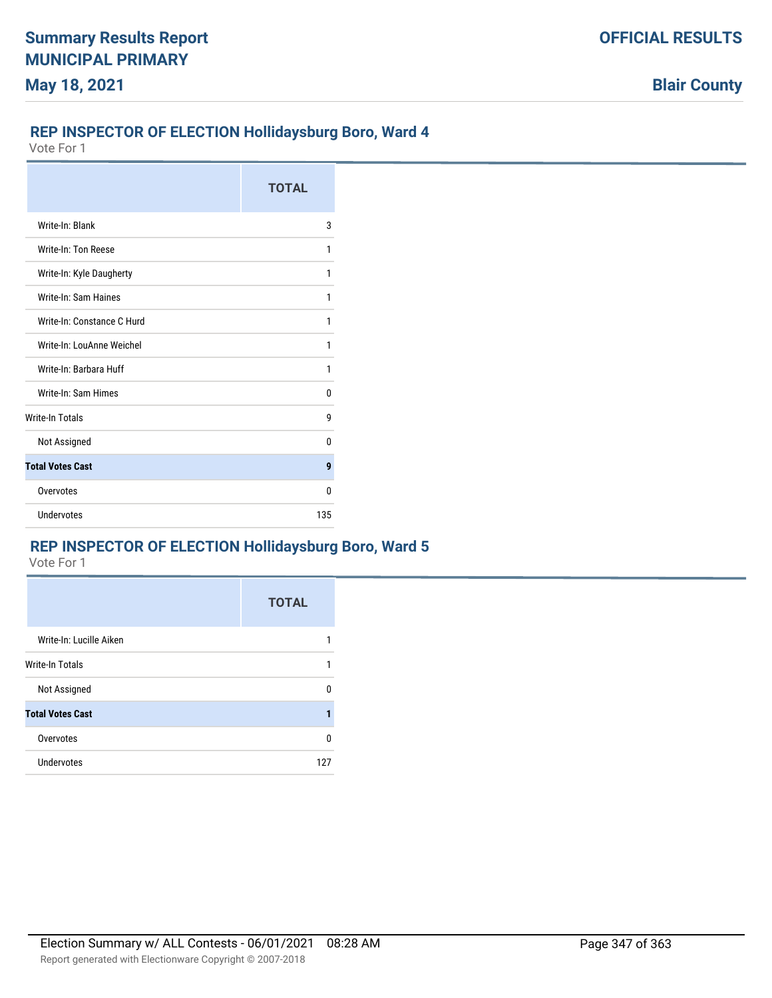### **REP INSPECTOR OF ELECTION Hollidaysburg Boro, Ward 4**

Vote For 1

|                            | <b>TOTAL</b> |
|----------------------------|--------------|
| Write-In: Blank            | 3            |
| Write-In: Ton Reese        | 1            |
| Write-In: Kyle Daugherty   | 1            |
| Write-In: Sam Haines       | 1            |
| Write-In: Constance C Hurd | 1            |
| Write-In: LouAnne Weichel  | 1            |
| Write-In: Barbara Huff     | 1            |
| Write-In: Sam Himes        | 0            |
| <b>Write-In Totals</b>     | g            |
| Not Assigned               | 0            |
| <b>Total Votes Cast</b>    | 9            |
| Overvotes                  | 0            |
| Undervotes                 | 135          |

# **REP INSPECTOR OF ELECTION Hollidaysburg Boro, Ward 5**

|                         | <b>TOTAL</b> |
|-------------------------|--------------|
| Write-In: Lucille Aiken |              |
| <b>Write-In Totals</b>  | 1            |
| Not Assigned            | n            |
| <b>Total Votes Cast</b> |              |
| Overvotes               | n            |
| Undervotes              | 127          |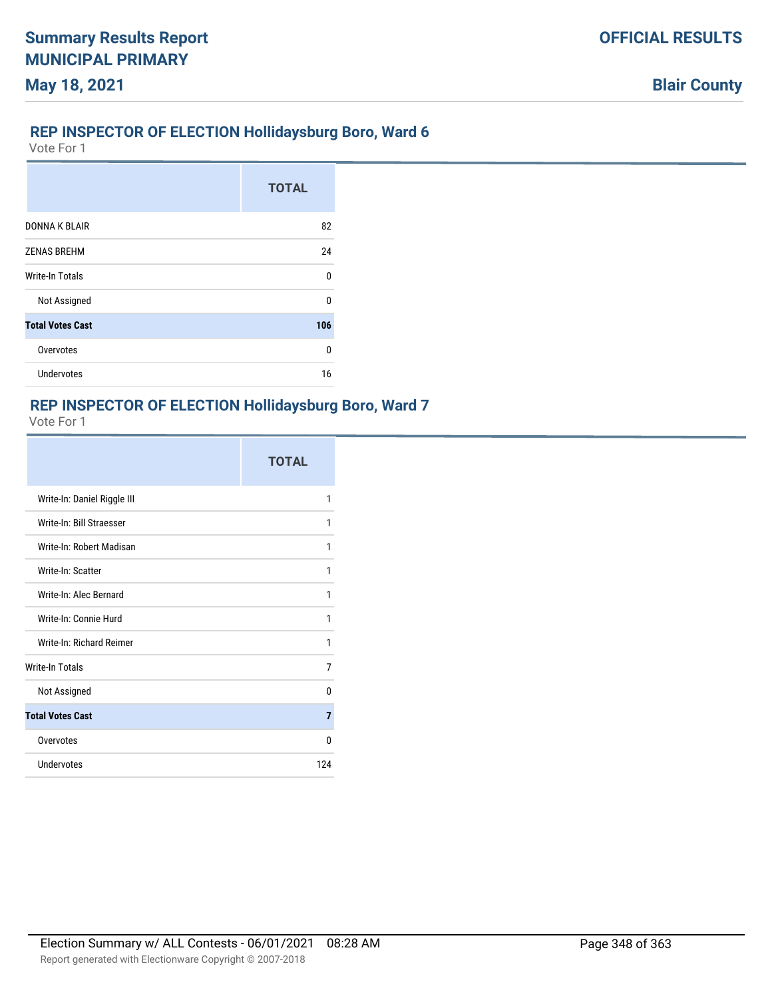# **REP INSPECTOR OF ELECTION Hollidaysburg Boro, Ward 6**

Vote For 1

**May 18, 2021**

|                         | <b>TOTAL</b> |
|-------------------------|--------------|
|                         |              |
| <b>DONNAK BLAIR</b>     | 82           |
| <b>ZENAS BREHM</b>      | 24           |
| Write-In Totals         | U            |
| Not Assigned            | U            |
| <b>Total Votes Cast</b> | 106          |
| Overvotes               | 0            |
| Undervotes              | 16           |

# **REP INSPECTOR OF ELECTION Hollidaysburg Boro, Ward 7**

|                             | <b>TOTAL</b> |
|-----------------------------|--------------|
| Write-In: Daniel Riggle III | 1            |
| Write-In: Bill Straesser    | 1            |
| Write-In: Robert Madisan    | 1            |
| Write-In: Scatter           | 1            |
| Write-In: Alec Bernard      | 1            |
| Write-In: Connie Hurd       | 1            |
| Write-In: Richard Reimer    | 1            |
| Write-In Totals             | 7            |
| Not Assigned                | 0            |
| <b>Total Votes Cast</b>     | 7            |
| Overvotes                   | <sup>0</sup> |
| Undervotes                  | 124          |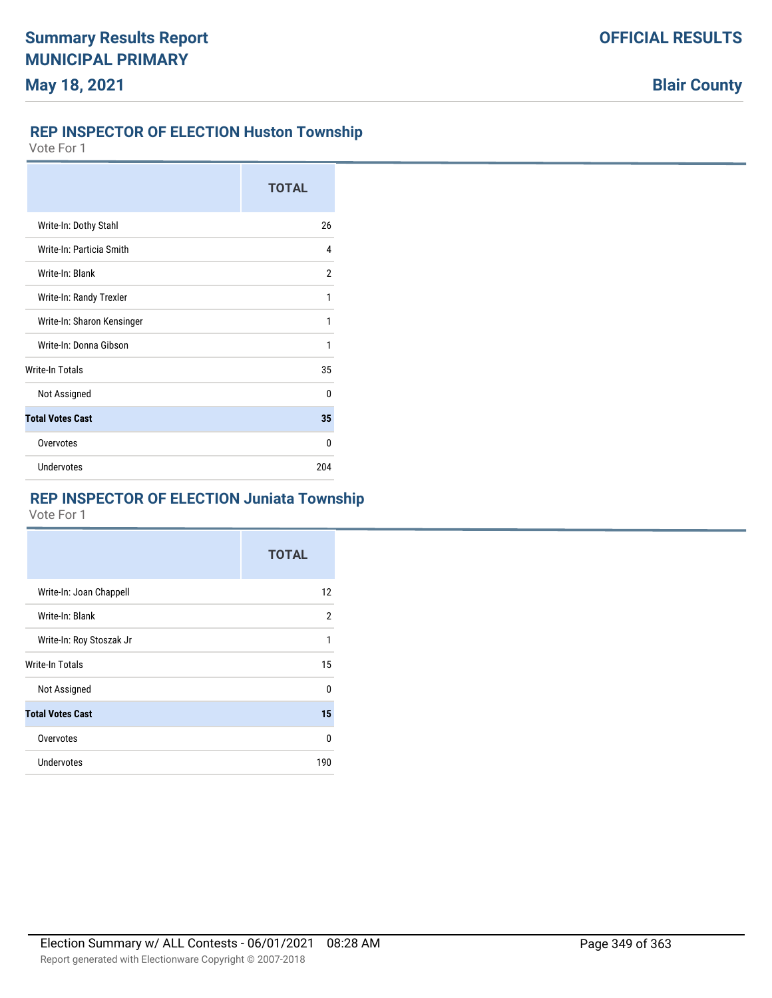## **REP INSPECTOR OF ELECTION Huston Township**

Vote For 1

|                            | <b>TOTAL</b> |
|----------------------------|--------------|
| Write-In: Dothy Stahl      | 26           |
| Write-In: Particia Smith   | 4            |
| Write-In: Blank            | 2            |
| Write-In: Randy Trexler    | 1            |
| Write-In: Sharon Kensinger | 1            |
| Write-In: Donna Gibson     | 1            |
| Write-In Totals            | 35           |
| Not Assigned               | <sup>0</sup> |
| <b>Total Votes Cast</b>    | 35           |
| Overvotes                  | U            |
| Undervotes                 | 204          |

# **REP INSPECTOR OF ELECTION Juniata Township**

|                          | <b>TOTAL</b>   |
|--------------------------|----------------|
| Write-In: Joan Chappell  | 12             |
| Write-In: Blank          | $\overline{2}$ |
| Write-In: Roy Stoszak Jr | 1              |
| <b>Write-In Totals</b>   | 15             |
| Not Assigned             | $\Omega$       |
| <b>Total Votes Cast</b>  | 15             |
| Overvotes                | 0              |
| Undervotes               | 190            |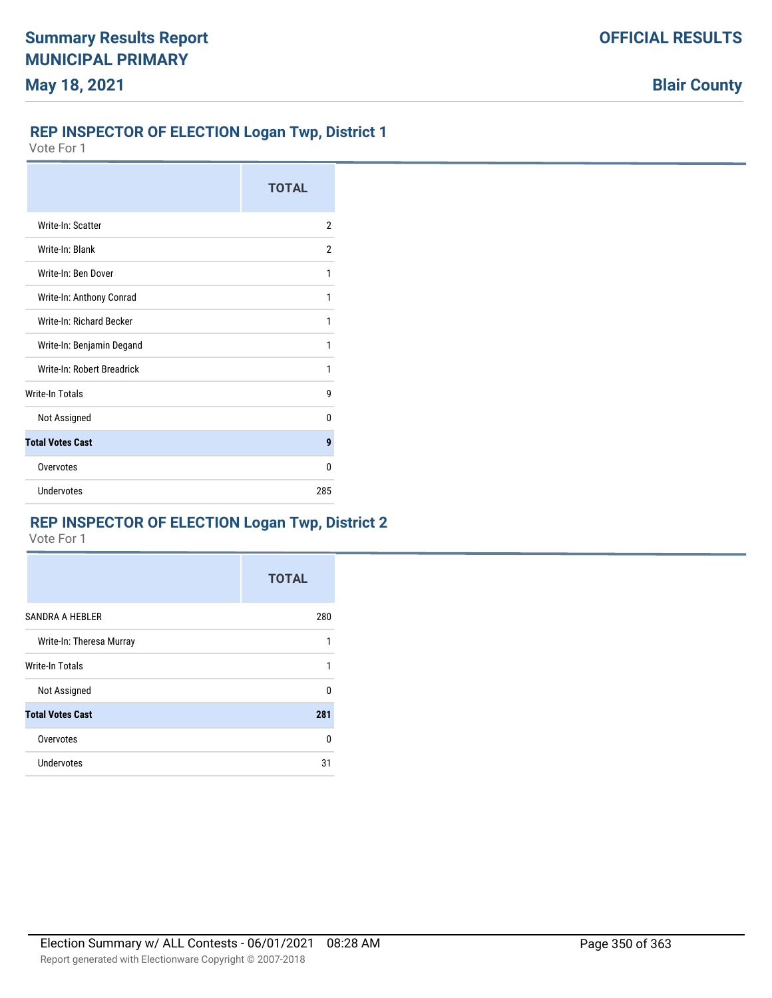## **REP INSPECTOR OF ELECTION Logan Twp, District 1**

Vote For 1

|                            | <b>TOTAL</b> |
|----------------------------|--------------|
| Write-In: Scatter          | 2            |
| Write-In: Blank            | 2            |
| Write-In: Ben Dover        | 1            |
| Write-In: Anthony Conrad   | 1            |
| Write-In: Richard Becker   | 1            |
| Write-In: Benjamin Degand  | 1            |
| Write-In: Robert Breadrick | 1            |
| <b>Write-In Totals</b>     | 9            |
| Not Assigned               | n            |
| <b>Total Votes Cast</b>    | 9            |
| Overvotes                  | 0            |
| Undervotes                 | 285          |

# **REP INSPECTOR OF ELECTION Logan Twp, District 2**

|                          | <b>TOTAL</b> |
|--------------------------|--------------|
| <b>SANDRA A HEBLER</b>   | 280          |
| Write-In: Theresa Murray | 1            |
| Write-In Totals          | 1            |
| Not Assigned             | 0            |
| <b>Total Votes Cast</b>  | 281          |
| Overvotes                | n            |
| Undervotes               | 31           |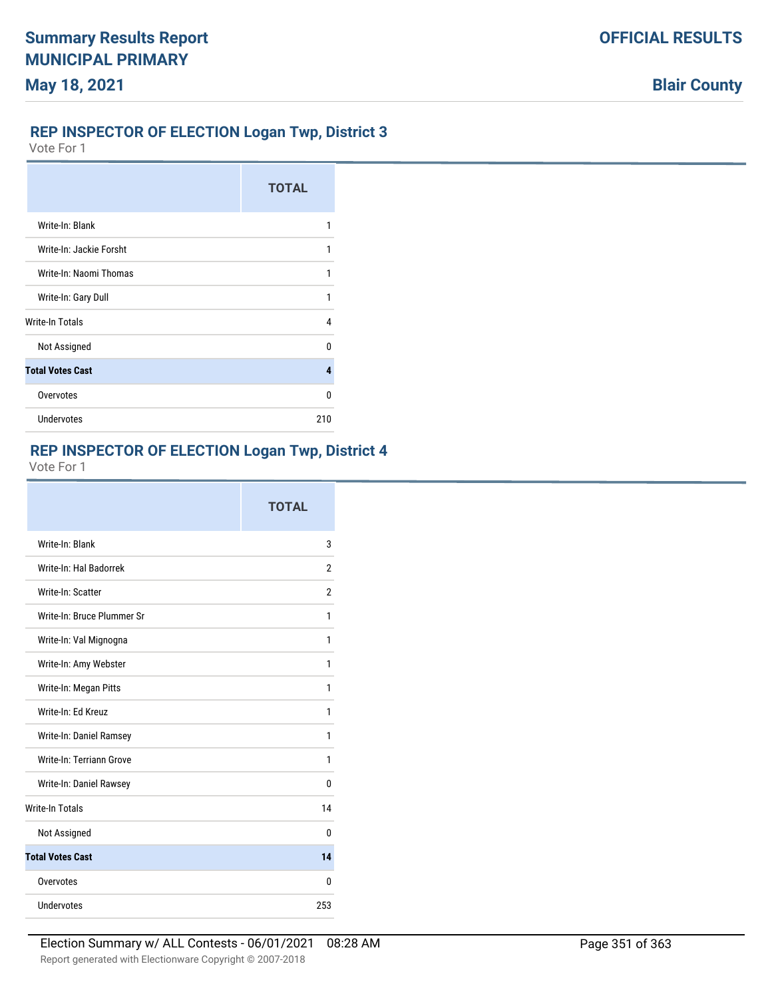## **REP INSPECTOR OF ELECTION Logan Twp, District 3**

Vote For 1

|                         | <b>TOTAL</b> |
|-------------------------|--------------|
| Write-In: Blank         | 1            |
| Write-In: Jackie Forsht | 1            |
| Write-In: Naomi Thomas  |              |
| Write-In: Gary Dull     | 1            |
| Write-In Totals         | 4            |
| Not Assigned            | n            |
| <b>Total Votes Cast</b> | 4            |
| Overvotes               | n            |
| Undervotes              | 210          |

## **REP INSPECTOR OF ELECTION Logan Twp, District 4**

|                            | <b>TOTAL</b>   |
|----------------------------|----------------|
| Write-In: Blank            | 3              |
| Write-In: Hal Badorrek     | 2              |
| Write-In: Scatter          | $\overline{2}$ |
| Write-In: Bruce Plummer Sr | 1              |
| Write-In: Val Mignogna     | 1              |
| Write-In: Amy Webster      | 1              |
| Write-In: Megan Pitts      | 1              |
| Write-In: Ed Kreuz         | 1              |
| Write-In: Daniel Ramsey    | 1              |
| Write-In: Terriann Grove   | 1              |
| Write-In: Daniel Rawsey    | n              |
| <b>Write-In Totals</b>     | 14             |
| Not Assigned               | 0              |
| <b>Total Votes Cast</b>    | 14             |
| Overvotes                  | 0              |
| Undervotes                 | 253            |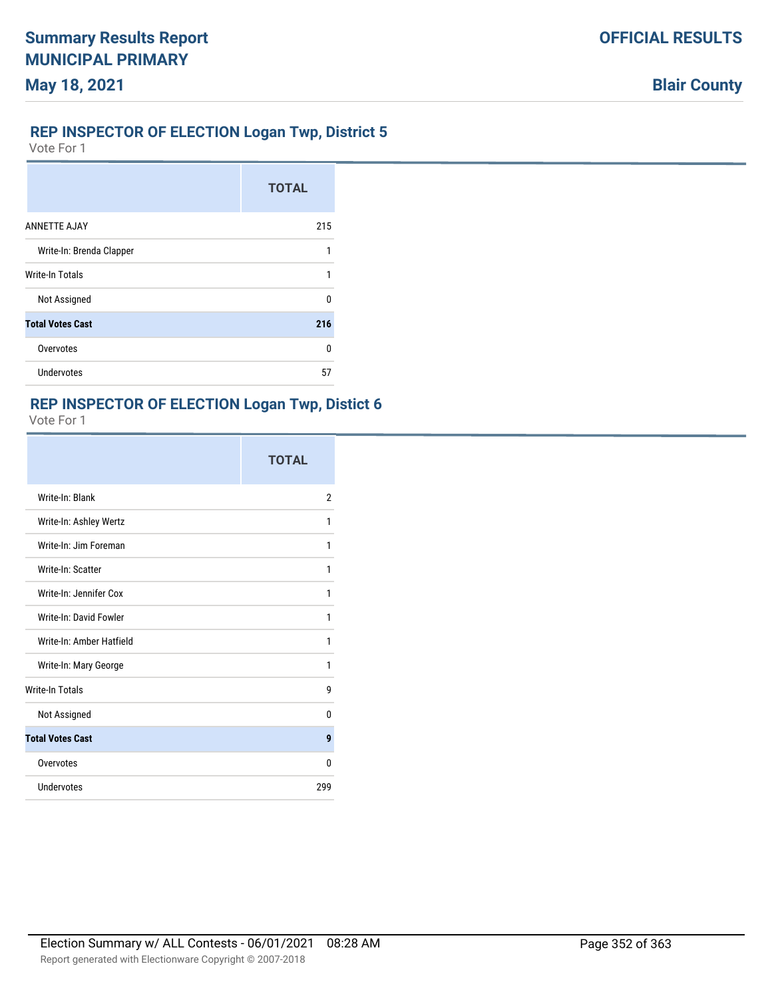# **May 18, 2021**

#### **REP INSPECTOR OF ELECTION Logan Twp, District 5**

Vote For 1

|                          | <b>TOTAL</b> |
|--------------------------|--------------|
| <b>ANNETTE AJAY</b>      | 215          |
| Write-In: Brenda Clapper | 1            |
| <b>Write-In Totals</b>   | 1            |
| Not Assigned             | n            |
| <b>Total Votes Cast</b>  | 216          |
| Overvotes                | n            |
| Undervotes               | 57           |

# **REP INSPECTOR OF ELECTION Logan Twp, Distict 6**

|                          | <b>TOTAL</b> |
|--------------------------|--------------|
| Write-In: Blank          | 2            |
| Write-In: Ashley Wertz   | 1            |
| Write-In: Jim Foreman    | 1            |
| Write-In: Scatter        | 1            |
| Write-In: Jennifer Cox   | 1            |
| Write-In: David Fowler   | 1            |
| Write-In: Amber Hatfield | 1            |
| Write-In: Mary George    | 1            |
| <b>Write-In Totals</b>   | g            |
| Not Assigned             | 0            |
| <b>Total Votes Cast</b>  | 9            |
| Overvotes                | 0            |
| <b>Undervotes</b>        | 299          |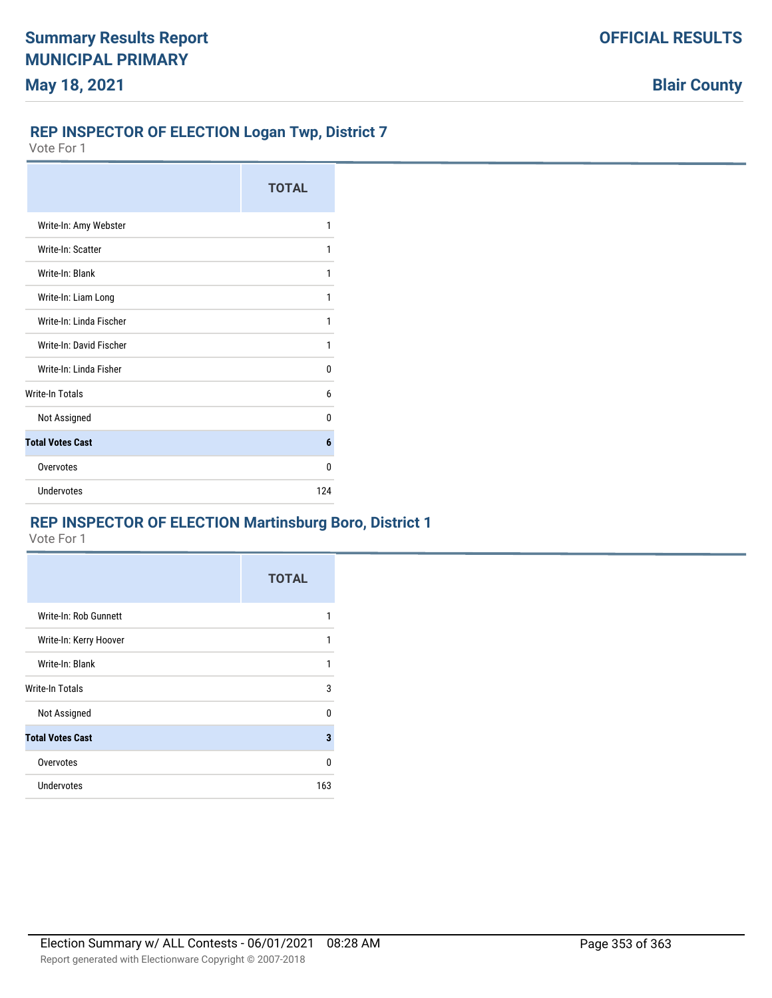### **REP INSPECTOR OF ELECTION Logan Twp, District 7**

Vote For 1

|                         | <b>TOTAL</b> |
|-------------------------|--------------|
| Write-In: Amy Webster   | 1            |
| Write-In: Scatter       | 1            |
| Write-In: Blank         | 1            |
| Write-In: Liam Long     | 1            |
| Write-In: Linda Fischer | 1            |
| Write-In: David Fischer | 1            |
| Write-In: Linda Fisher  | 0            |
| <b>Write-In Totals</b>  | 6            |
| Not Assigned            | n            |
| <b>Total Votes Cast</b> | 6            |
| Overvotes               | 0            |
| Undervotes              | 124          |

## **REP INSPECTOR OF ELECTION Martinsburg Boro, District 1**

|                         | <b>TOTAL</b> |
|-------------------------|--------------|
| Write-In: Rob Gunnett   | 1            |
| Write-In: Kerry Hoover  | 1            |
| Write-In: Blank         | 1            |
| Write-In Totals         | 3            |
| Not Assigned            | 0            |
| <b>Total Votes Cast</b> | 3            |
| Overvotes               | 0            |
| Undervotes              | 163          |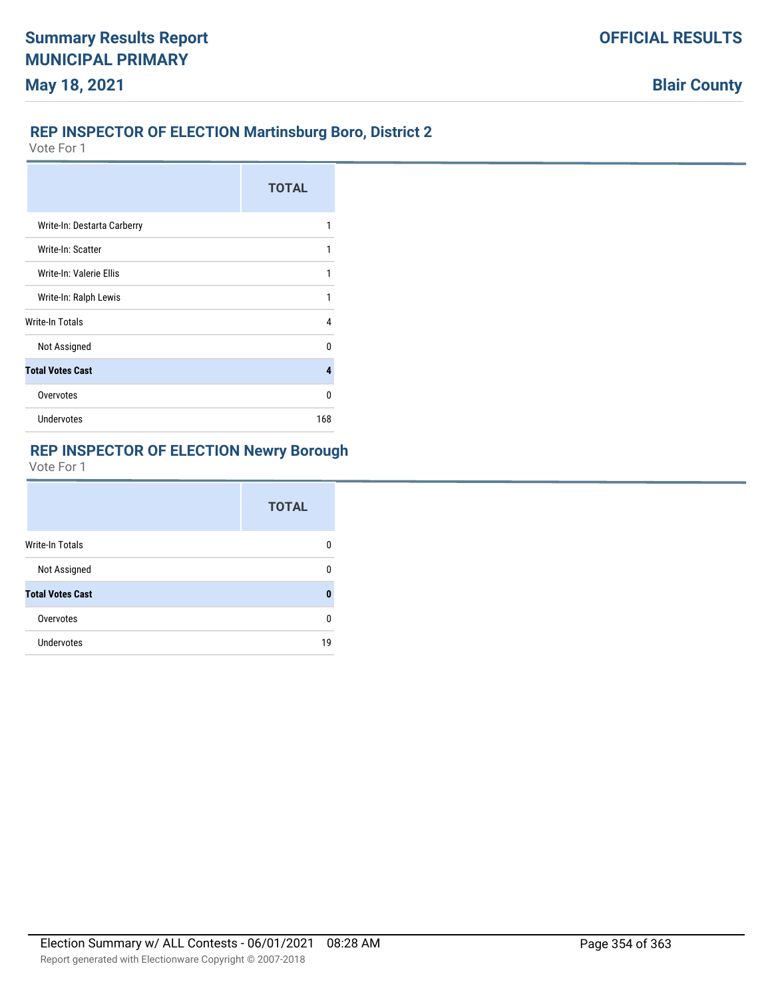## **REP INSPECTOR OF ELECTION Martinsburg Boro, District 2**

Vote For 1

|                             | <b>TOTAL</b> |
|-----------------------------|--------------|
| Write-In: Destarta Carberry | 1            |
| Write-In: Scatter           | 1            |
| Write-In: Valerie Ellis     | 1            |
| Write-In: Ralph Lewis       | 1            |
| Write-In Totals             | 4            |
| Not Assigned                | n            |
| <b>Total Votes Cast</b>     | 4            |
| Overvotes                   | U            |
| <b>Undervotes</b>           | 168          |

# **REP INSPECTOR OF ELECTION Newry Borough**

|                         | <b>TOTAL</b> |
|-------------------------|--------------|
| Write-In Totals         |              |
| Not Assigned            |              |
| <b>Total Votes Cast</b> | Ω            |
| Overvotes               | n            |
| <b>Undervotes</b>       | 19           |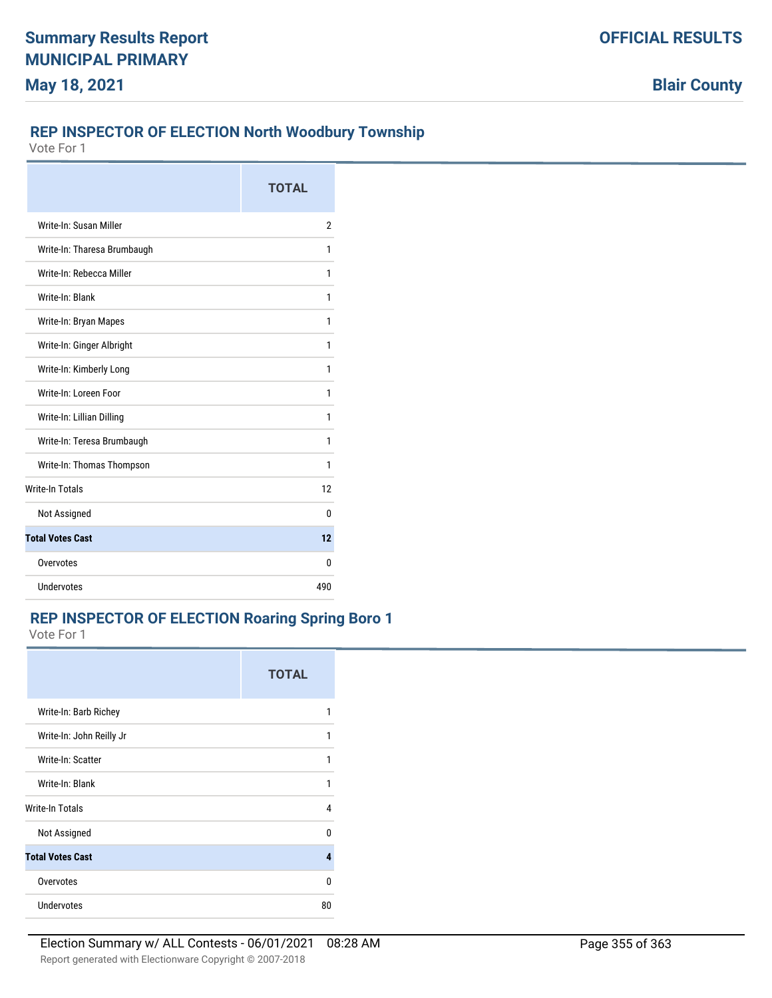# **REP INSPECTOR OF ELECTION North Woodbury Township**

Vote For 1

|                             | <b>TOTAL</b> |
|-----------------------------|--------------|
| Write-In: Susan Miller      | 2            |
| Write-In: Tharesa Brumbaugh | 1            |
| Write-In: Rebecca Miller    | 1            |
| Write-In: Blank             | 1            |
| Write-In: Bryan Mapes       | 1            |
| Write-In: Ginger Albright   | 1            |
| Write-In: Kimberly Long     | 1            |
| Write-In: Loreen Foor       | 1            |
| Write-In: Lillian Dilling   | 1            |
| Write-In: Teresa Brumbaugh  | 1            |
| Write-In: Thomas Thompson   | 1            |
| <b>Write-In Totals</b>      | 12           |
| Not Assigned                | 0            |
| <b>Total Votes Cast</b>     | 12           |
| Overvotes                   | 0            |
| Undervotes                  | 490          |

## **REP INSPECTOR OF ELECTION Roaring Spring Boro 1**

|                          | <b>TOTAL</b> |
|--------------------------|--------------|
| Write-In: Barb Richey    | 1            |
| Write-In: John Reilly Jr | 1            |
| Write-In: Scatter        | 1            |
| Write-In: Blank          | 1            |
| Write-In Totals          | 4            |
| Not Assigned             | n            |
| <b>Total Votes Cast</b>  | 4            |
| Overvotes                | n            |
| <b>Undervotes</b>        | 80           |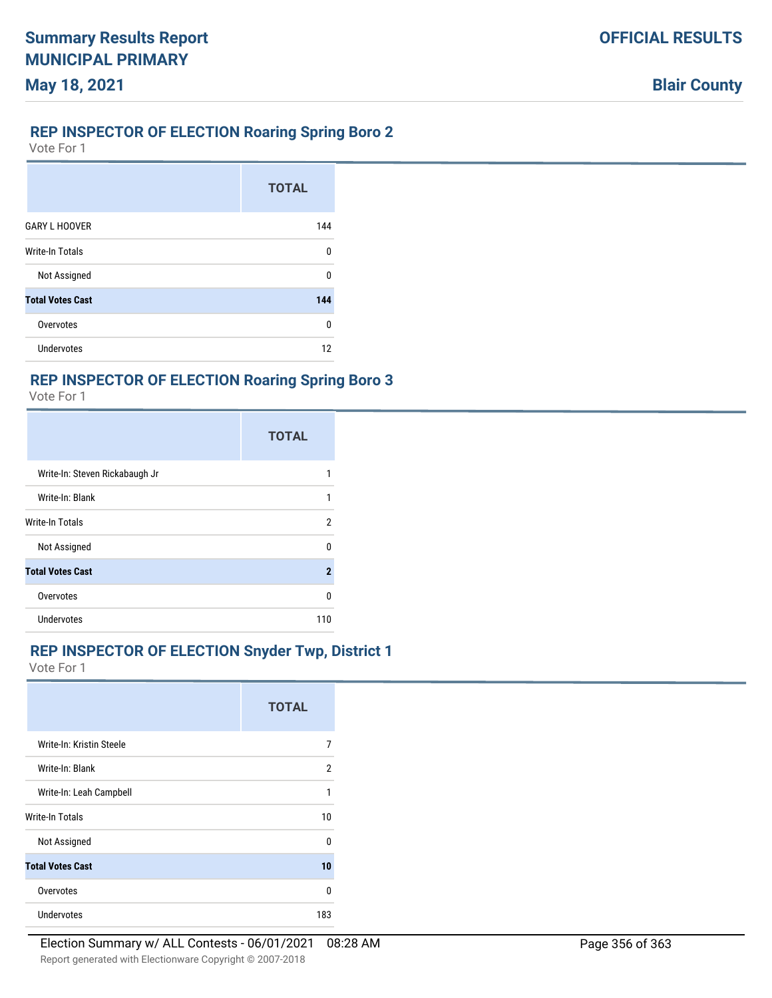## **REP INSPECTOR OF ELECTION Roaring Spring Boro 2**

Vote For 1

**May 18, 2021**

|                         | <b>TOTAL</b> |
|-------------------------|--------------|
| <b>GARY L HOOVER</b>    | 144          |
| Write-In Totals         | U            |
| Not Assigned            | n            |
| <b>Total Votes Cast</b> | 144          |
| Overvotes               | $\Omega$     |
| Undervotes              | 12           |

# **REP INSPECTOR OF ELECTION Roaring Spring Boro 3**

Vote For 1

|                                | <b>TOTAL</b> |
|--------------------------------|--------------|
| Write-In: Steven Rickabaugh Jr |              |
| Write-In: Blank                | 1            |
| Write-In Totals                | 2            |
| Not Assigned                   | n            |
| <b>Total Votes Cast</b>        | 2            |
| Overvotes                      | U            |
| <b>Undervotes</b>              | 110          |

#### **REP INSPECTOR OF ELECTION Snyder Twp, District 1**

|                          | <b>TOTAL</b> |
|--------------------------|--------------|
| Write-In: Kristin Steele | 7            |
| Write-In: Blank          | 2            |
| Write-In: Leah Campbell  | 1            |
| Write-In Totals          | 10           |
| Not Assigned             | n            |
| <b>Total Votes Cast</b>  | 10           |
| Overvotes                | U            |
| <b>Undervotes</b>        | 183          |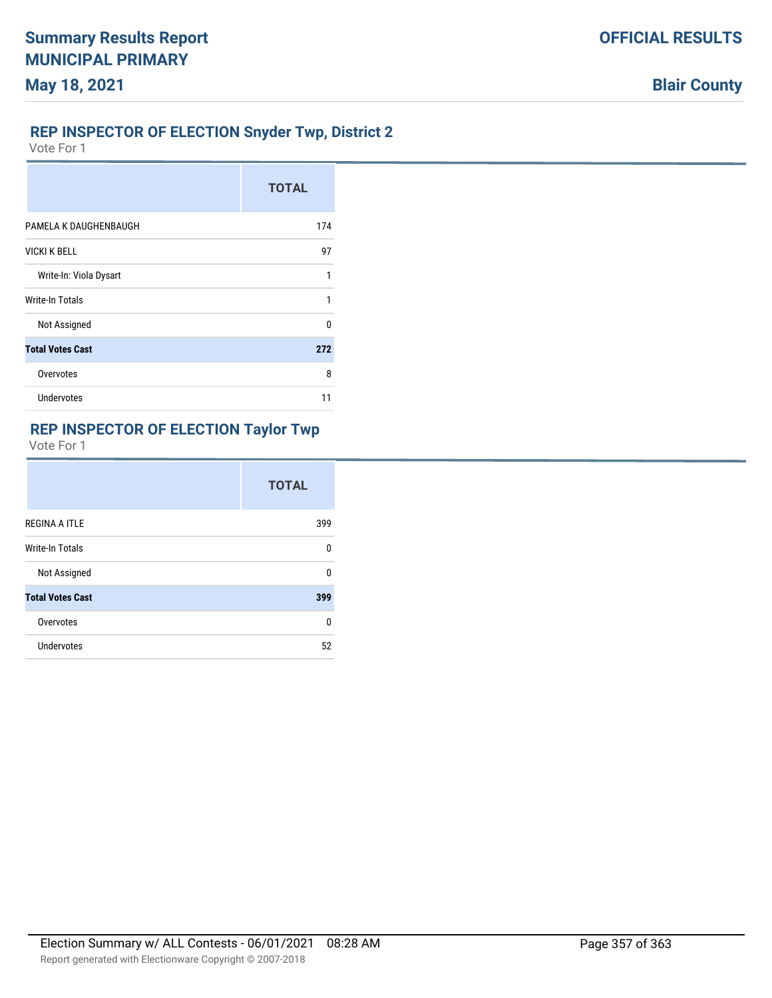## **REP INSPECTOR OF ELECTION Snyder Twp, District 2**

Vote For 1

|                         | <b>TOTAL</b> |
|-------------------------|--------------|
| PAMELA K DAUGHENBAUGH   | 174          |
| <b>VICKI K BELL</b>     | 97           |
| Write-In: Viola Dysart  | 1            |
| Write-In Totals         | 1            |
| Not Assigned            | $\Omega$     |
| <b>Total Votes Cast</b> | 272          |
| Overvotes               | 8            |
| <b>Undervotes</b>       | 11           |

# **REP INSPECTOR OF ELECTION Taylor Twp**

|                         | <b>TOTAL</b> |
|-------------------------|--------------|
| <b>REGINA A ITLE</b>    | 399          |
| Write-In Totals         | U            |
| Not Assigned            | n            |
| <b>Total Votes Cast</b> | 399          |
| Overvotes               | n            |
| Undervotes              | 52           |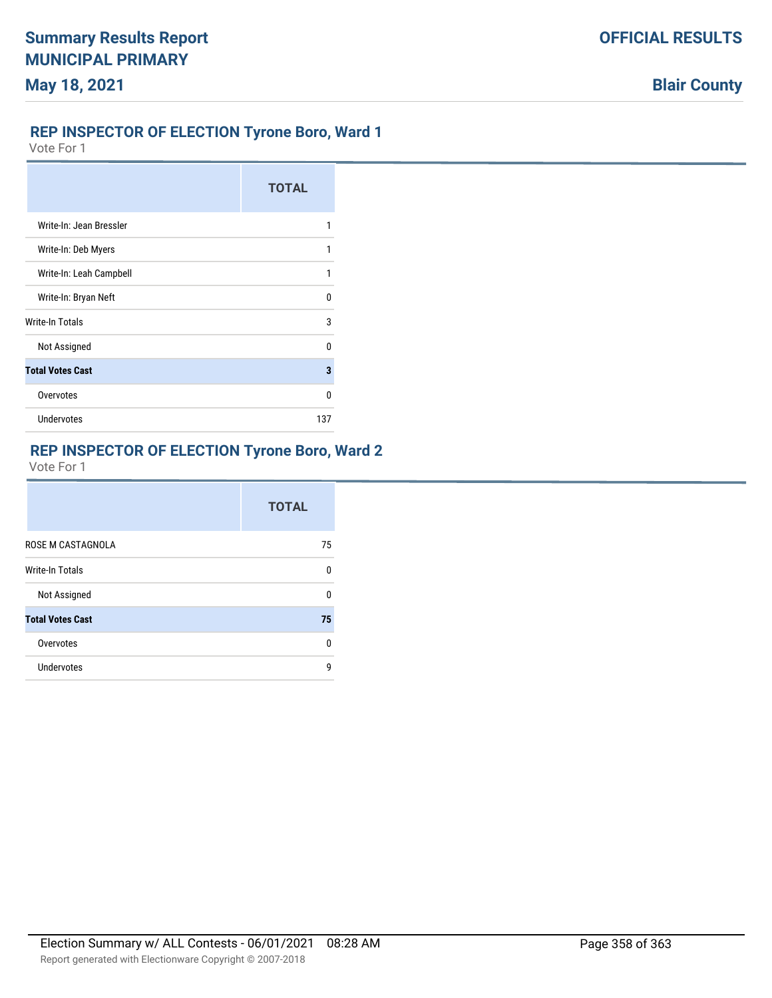### **REP INSPECTOR OF ELECTION Tyrone Boro, Ward 1**

Vote For 1

|                         | <b>TOTAL</b> |
|-------------------------|--------------|
| Write-In: Jean Bressler |              |
| Write-In: Deb Myers     | 1            |
| Write-In: Leah Campbell |              |
| Write-In: Bryan Neft    | n            |
| Write-In Totals         | 3            |
| Not Assigned            | n            |
| <b>Total Votes Cast</b> | 3            |
| Overvotes               | n            |
| <b>Undervotes</b>       | 137          |

## **REP INSPECTOR OF ELECTION Tyrone Boro, Ward 2**

|                         | <b>TOTAL</b> |
|-------------------------|--------------|
| ROSE M CASTAGNOLA       | 75           |
| <b>Write-In Totals</b>  | 0            |
| Not Assigned            | 0            |
| <b>Total Votes Cast</b> | 75           |
| Overvotes               | <sup>0</sup> |
| Undervotes              | g            |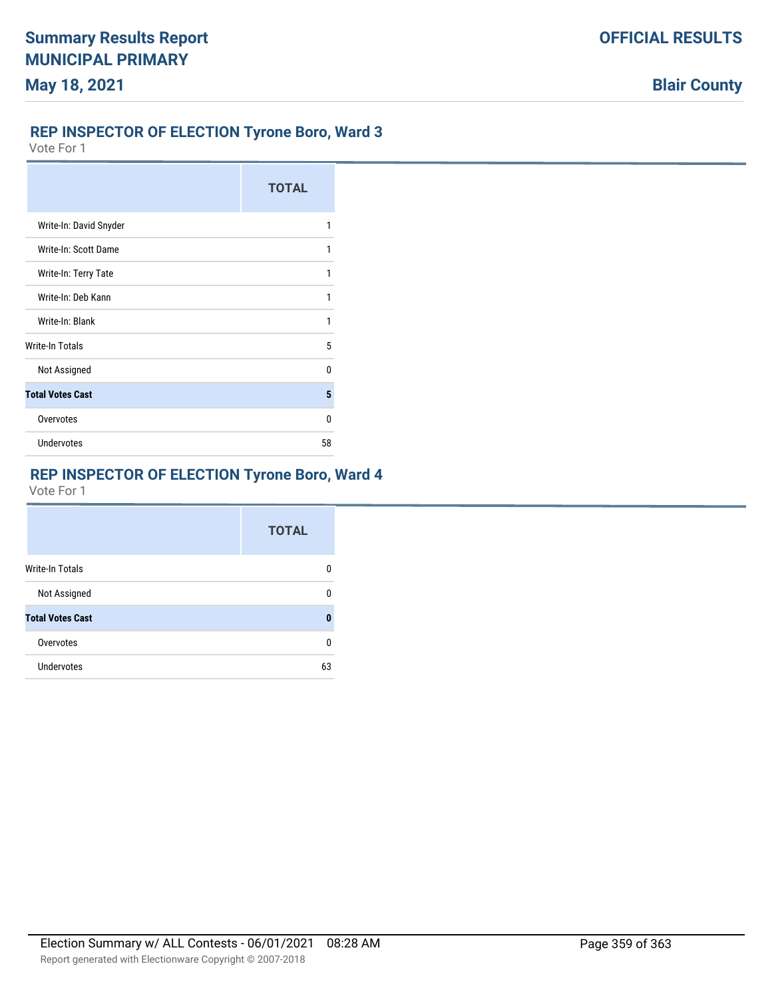## **REP INSPECTOR OF ELECTION Tyrone Boro, Ward 3**

Vote For 1

|                         | <b>TOTAL</b> |
|-------------------------|--------------|
| Write-In: David Snyder  | 1            |
| Write-In: Scott Dame    | 1            |
| Write-In: Terry Tate    | 1            |
| Write-In: Deb Kann      | 1            |
| Write-In: Blank         | 1            |
| Write-In Totals         | 5            |
| Not Assigned            | n            |
| <b>Total Votes Cast</b> | 5            |
| Overvotes               | n            |
| <b>Undervotes</b>       | 58           |

# **REP INSPECTOR OF ELECTION Tyrone Boro, Ward 4**

|                         | <b>TOTAL</b> |
|-------------------------|--------------|
| <b>Write-In Totals</b>  | n            |
| Not Assigned            | n            |
| <b>Total Votes Cast</b> | 0            |
| Overvotes               | n            |
| Undervotes              | 63           |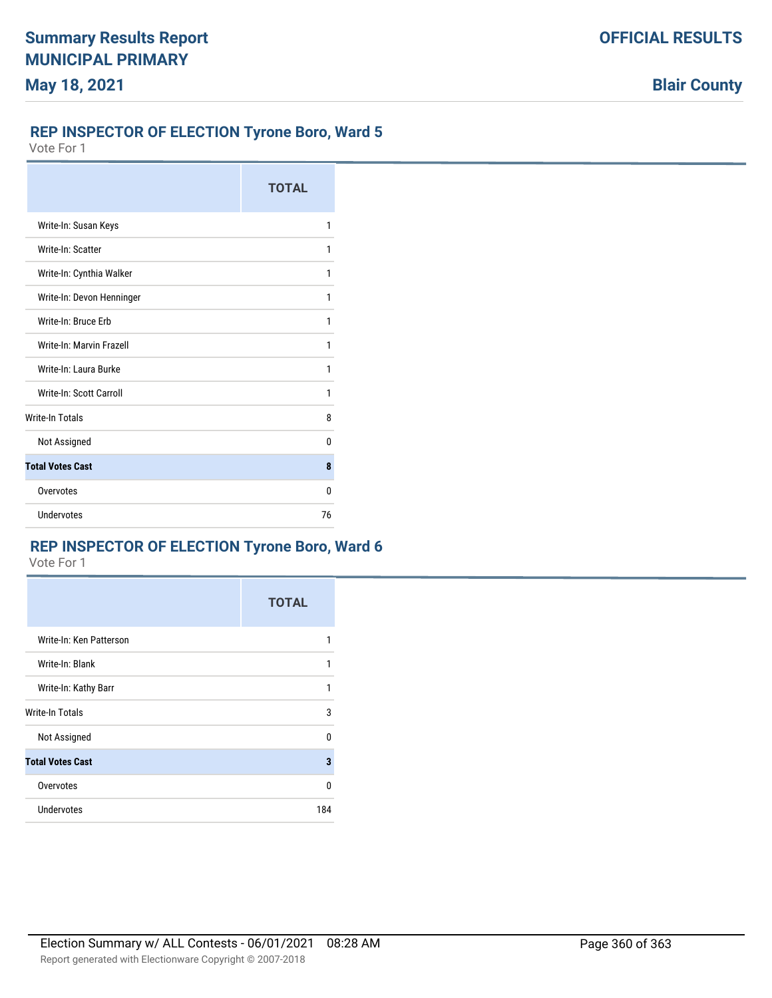## **REP INSPECTOR OF ELECTION Tyrone Boro, Ward 5**

Vote For 1

|                           | <b>TOTAL</b> |
|---------------------------|--------------|
| Write-In: Susan Keys      | 1            |
| Write-In: Scatter         | 1            |
| Write-In: Cynthia Walker  | 1            |
| Write-In: Devon Henninger | 1            |
| Write-In: Bruce Frb       | 1            |
| Write-In: Marvin Frazell  | 1            |
| Write-In: Laura Burke     | 1            |
| Write-In: Scott Carroll   | 1            |
| <b>Write-In Totals</b>    | 8            |
| Not Assigned              | 0            |
| <b>Total Votes Cast</b>   | 8            |
| Overvotes                 | 0            |
| <b>Undervotes</b>         | 76           |

### **REP INSPECTOR OF ELECTION Tyrone Boro, Ward 6**

|                         | <b>TOTAL</b> |
|-------------------------|--------------|
| Write-In: Ken Patterson | 1            |
| Write-In: Blank         | 1            |
| Write-In: Kathy Barr    | 1            |
| Write-In Totals         | 3            |
| Not Assigned            | 0            |
| <b>Total Votes Cast</b> | 3            |
| Overvotes               | 0            |
| <b>Undervotes</b>       | 184          |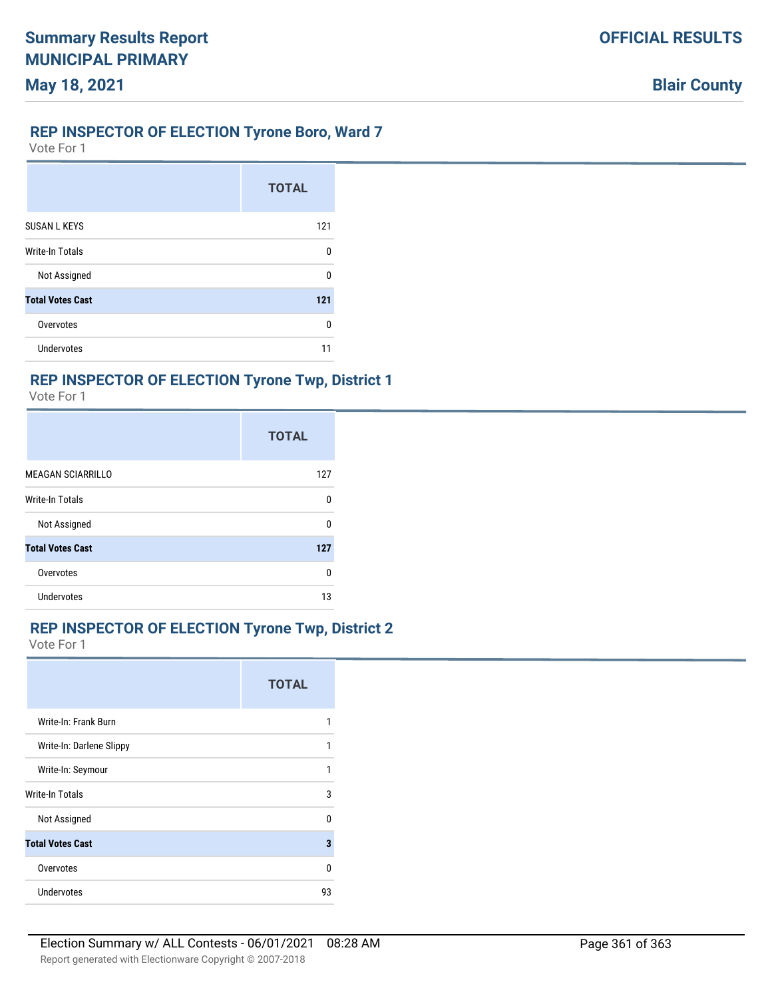# **REP INSPECTOR OF ELECTION Tyrone Boro, Ward 7**

Vote For 1

**May 18, 2021**

|                         | <b>TOTAL</b> |
|-------------------------|--------------|
| <b>SUSAN L KEYS</b>     | 121          |
| <b>Write-In Totals</b>  | 0            |
| Not Assigned            | 0            |
| <b>Total Votes Cast</b> | 121          |
| Overvotes               | 0            |
| <b>Undervotes</b>       | 11           |

#### **REP INSPECTOR OF ELECTION Tyrone Twp, District 1**

Vote For 1

|                          | <b>TOTAL</b> |
|--------------------------|--------------|
| <b>MEAGAN SCIARRILLO</b> | 127          |
| Write-In Totals          | 0            |
| Not Assigned             | n            |
| <b>Total Votes Cast</b>  | 127          |
| Overvotes                | 0            |
| <b>Undervotes</b>        | 13           |

#### **REP INSPECTOR OF ELECTION Tyrone Twp, District 2**

Vote For 1

|                          | <b>TOTAL</b> |
|--------------------------|--------------|
| Write-In: Frank Burn     |              |
| Write-In: Darlene Slippy | 1            |
| Write-In: Seymour        | 1            |
| Write-In Totals          | 3            |
| Not Assigned             | U            |
| <b>Total Votes Cast</b>  | 3            |
| Overvotes                | n            |
| <b>Undervotes</b>        | 93           |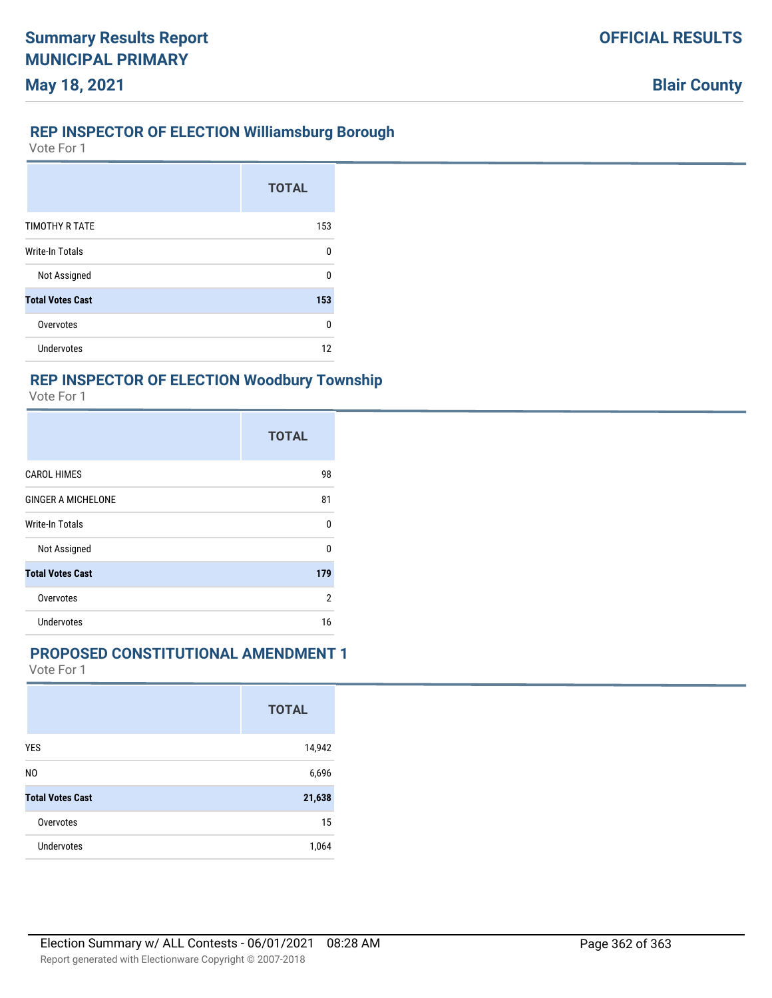#### **REP INSPECTOR OF ELECTION Williamsburg Borough**

Vote For 1

**May 18, 2021**

|                         | <b>TOTAL</b> |
|-------------------------|--------------|
| <b>TIMOTHY R TATE</b>   | 153          |
| Write-In Totals         | 0            |
| Not Assigned            | U            |
| <b>Total Votes Cast</b> | 153          |
| Overvotes               | $\Omega$     |
| Undervotes              | 12           |

#### **REP INSPECTOR OF ELECTION Woodbury Township**

Vote For 1

|                           | <b>TOTAL</b>   |
|---------------------------|----------------|
| <b>CAROL HIMES</b>        | 98             |
| <b>GINGER A MICHELONE</b> | 81             |
| <b>Write-In Totals</b>    | $\Omega$       |
| Not Assigned              | 0              |
| <b>Total Votes Cast</b>   | 179            |
| Overvotes                 | $\overline{2}$ |
| <b>Undervotes</b>         | 16             |

### **PROPOSED CONSTITUTIONAL AMENDMENT 1**

Vote For 1

|                         | <b>TOTAL</b> |
|-------------------------|--------------|
| <b>YES</b>              | 14,942       |
| N <sub>0</sub>          | 6,696        |
| <b>Total Votes Cast</b> | 21,638       |
| Overvotes               | 15           |
| Undervotes              | 1,064        |